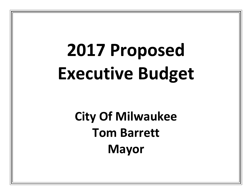# **2017 Proposed Executive Budget**

# **City Of Milwaukee Tom Barrett Mayor**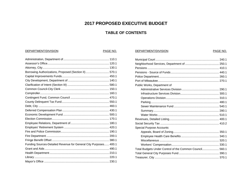## **2017 PROPOSED EXECUTIVE BUDGET**

### **TABLE OF CONTENTS**

DEPARTMENT/DIVISION

#### DEPARTMENT/DIVISION

#### PAGE NO.

| Borrowing Authorizations, Proposed (Section II)  570.1           |
|------------------------------------------------------------------|
|                                                                  |
|                                                                  |
|                                                                  |
|                                                                  |
|                                                                  |
|                                                                  |
|                                                                  |
|                                                                  |
|                                                                  |
|                                                                  |
|                                                                  |
|                                                                  |
|                                                                  |
|                                                                  |
|                                                                  |
|                                                                  |
| Funding Sources-Detailed Revenue for General City Purposes 400.1 |
|                                                                  |
|                                                                  |
|                                                                  |
|                                                                  |

| Public Works, Department of                             |  |
|---------------------------------------------------------|--|
|                                                         |  |
|                                                         |  |
|                                                         |  |
|                                                         |  |
|                                                         |  |
|                                                         |  |
|                                                         |  |
|                                                         |  |
|                                                         |  |
| Special Purpose Accounts                                |  |
|                                                         |  |
|                                                         |  |
|                                                         |  |
|                                                         |  |
| Total Budgets Under Control of the Common Council 560.1 |  |
|                                                         |  |
|                                                         |  |

PAGE NO.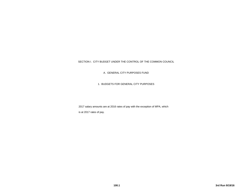#### SECTION I. CITY BUDGET UNDER THE CONTROL OF THE COMMON COUNCIL

A. GENERAL CITY PURPOSES FUND

1. BUDGETS FOR GENERAL CITY PURPOSES

2017 salary amounts are at 2016 rates of pay with the exception of MPA, which is at 2017 rates of pay.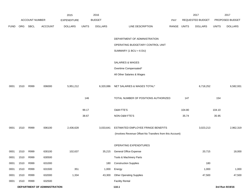|             |      |                       |                              | 2015               |              | 2016           |                                                          |             |        | 2017             |              | 2017            |
|-------------|------|-----------------------|------------------------------|--------------------|--------------|----------------|----------------------------------------------------------|-------------|--------|------------------|--------------|-----------------|
|             |      | <b>ACCOUNT NUMBER</b> |                              | <b>EXPENDITURE</b> |              | <b>BUDGET</b>  |                                                          | PAY         |        | REQUESTED BUDGET |              | PROPOSED BUDGET |
| <b>FUND</b> | ORG  | SBCL                  | <b>ACCOUNT</b>               | <b>DOLLARS</b>     | <b>UNITS</b> | <b>DOLLARS</b> | LINE DESCRIPTION                                         | RANGE UNITS |        | <b>DOLLARS</b>   | <b>UNITS</b> | <b>DOLLARS</b>  |
|             |      |                       |                              |                    |              |                | DEPARTMENT OF ADMINISTRATION                             |             |        |                  |              |                 |
|             |      |                       |                              |                    |              |                |                                                          |             |        |                  |              |                 |
|             |      |                       |                              |                    |              |                | OPERATING BUDGETARY CONTROL UNIT                         |             |        |                  |              |                 |
|             |      |                       |                              |                    |              |                | SUMMARY (1 BCU = $6$ DU)                                 |             |        |                  |              |                 |
|             |      |                       |                              |                    |              |                | SALARIES & WAGES                                         |             |        |                  |              |                 |
|             |      |                       |                              |                    |              |                | Overtime Compensated*                                    |             |        |                  |              |                 |
|             |      |                       |                              |                    |              |                | All Other Salaries & Wages                               |             |        |                  |              |                 |
| 0001        | 1510 | R999                  | 006000                       | 5,951,212          |              | 6,320,086      | NET SALARIES & WAGES TOTAL*                              |             |        | 6,718,252        |              | 6,582,931       |
|             |      |                       |                              |                    | 146          |                | TOTAL NUMBER OF POSITIONS AUTHORIZED                     |             | 147    |                  | 154          |                 |
|             |      |                       |                              |                    | 99.17        |                | O&M FTE'S                                                |             | 104.80 |                  | 104.10       |                 |
|             |      |                       |                              |                    | 38.67        |                | NON-O&M FTE'S                                            |             | 35.74  |                  | 35.95        |                 |
| 0001        | 1510 | R999                  | 006100                       | 2,436,628          |              | 3,033,641      | ESTIMATED EMPLOYEE FRINGE BENEFITS                       |             |        | 3,023,213        |              | 2,962,319       |
|             |      |                       |                              |                    |              |                | (Involves Revenue Offset-No Transfers from this Account) |             |        |                  |              |                 |
|             |      |                       |                              |                    |              |                | OPERATING EXPENDITURES                                   |             |        |                  |              |                 |
| 0001        | 1510 | R999                  | 630100                       | 102,637            |              | 35,215         | <b>General Office Expense</b>                            |             |        | 20,715           |              | 18,000          |
| 0001        | 1510 | R999                  | 630500                       |                    |              |                | Tools & Machinery Parts                                  |             |        |                  |              |                 |
| 0001        | 1510 | R999                  | 631000                       |                    |              | 180            | <b>Construction Supplies</b>                             |             |        | 180              |              |                 |
| 0001        | 1510 | R999                  | 631500                       | 351                |              | 1,000          | Energy                                                   |             |        | 1,000            |              | 1,000           |
| 0001        | 1510 | R999                  | 632000                       | 1,334              |              | 43,300         | <b>Other Operating Supplies</b>                          |             |        | 47,500           |              | 47,500          |
| 0001        | 1510 | R999                  | 632500                       |                    |              |                | <b>Facility Rental</b>                                   |             |        |                  |              |                 |
|             |      |                       | DEPARTMENT OF ADMINISTRATION |                    |              |                | 110.1                                                    |             |        |                  |              | 3rd Run 9/19/16 |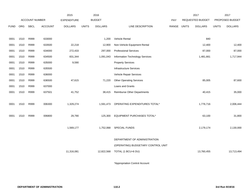|             |      |                       |                | 2015               |              | 2016           |                                    |       |              | 2017             |              | 2017            |
|-------------|------|-----------------------|----------------|--------------------|--------------|----------------|------------------------------------|-------|--------------|------------------|--------------|-----------------|
|             |      | <b>ACCOUNT NUMBER</b> |                | <b>EXPENDITURE</b> |              | <b>BUDGET</b>  |                                    | PAY   |              | REQUESTED BUDGET |              | PROPOSED BUDGET |
| <b>FUND</b> | ORG  | <b>SBCL</b>           | <b>ACCOUNT</b> | <b>DOLLARS</b>     | <b>UNITS</b> | <b>DOLLARS</b> | LINE DESCRIPTION                   | RANGE | <b>UNITS</b> | <b>DOLLARS</b>   | <b>UNITS</b> | <b>DOLLARS</b>  |
|             |      |                       |                |                    |              |                |                                    |       |              |                  |              |                 |
| 0001        | 1510 | R999                  | 633000         |                    |              | 1,200          | <b>Vehicle Rental</b>              |       |              | 840              |              |                 |
| 0001        | 1510 | R999                  | 633500         | 22,218             |              | 12,900         | Non-Vehicle Equipment Rental       |       |              | 12,400           |              | 12,400          |
| 0001        | 1510 | R999                  | 634000         | 272,433            |              | 297,000        | <b>Professional Services</b>       |       |              | 87,000           |              | 87,000          |
| 0001        | 1510 | R999                  | 634500         | 831,344            |              | 1,091,043      | Information Technology Services    |       |              | 1,481,661        |              | 1,717,944       |
| 0001        | 1510 | R999                  | 635000         | 9,590              |              |                | <b>Property Services</b>           |       |              |                  |              |                 |
| 0001        | 1510 | R999                  | 635500         |                    |              |                | Infrastructure Services            |       |              |                  |              |                 |
| 0001        | 1510 | R999                  | 636000         |                    |              |                | Vehicle Repair Services            |       |              |                  |              |                 |
| 0001        | 1510 | R999                  | 636500         | 47,615             |              | 71,220         | <b>Other Operating Services</b>    |       |              | 85,005           |              | 87,600          |
| 0001        | 1510 | R999                  | 637000         |                    |              |                | Loans and Grants                   |       |              |                  |              |                 |
| 0001        | 1510 | R999                  | 637501         | 41,752             |              | 38,415         | Reimburse Other Departments        |       |              | 40,415           |              | 35,000          |
|             |      |                       |                |                    |              |                |                                    |       |              |                  |              |                 |
| 0001        | 1510 | R999                  | 006300         | 1,329,274          |              | 1,591,473      | OPERATING EXPENDITURES TOTAL*      |       |              | 1,776,716        |              | 2,006,444       |
|             |      |                       |                |                    |              |                |                                    |       |              |                  |              |                 |
| 0001        | 1510 | R999                  | 006800         | 29,790             |              | 125,300        | EQUIPMENT PURCHASES TOTAL*         |       |              | 63,100           |              | 31,800          |
|             |      |                       |                |                    |              |                |                                    |       |              |                  |              |                 |
|             |      |                       |                | 1,569,177          |              | 1,752,068      | <b>SPECIAL FUNDS</b>               |       |              | 2,179,174        |              | 2,130,000       |
|             |      |                       |                |                    |              |                |                                    |       |              |                  |              |                 |
|             |      |                       |                |                    |              |                | DEPARTMENT OF ADMINISTRATION       |       |              |                  |              |                 |
|             |      |                       |                |                    |              |                | (OPERATING) BUDGETARY CONTROL UNIT |       |              |                  |              |                 |
|             |      |                       |                | 11,316,081         |              | 12,822,568     | TOTAL (1 BCU=6 DU)                 |       |              | 13,760,455       |              | 13,713,494      |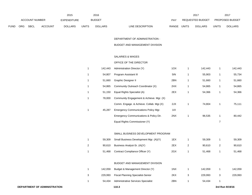|             |                       |             |                | 2015               |              | 2016           |                           | 2017                           |              | 2017                   |
|-------------|-----------------------|-------------|----------------|--------------------|--------------|----------------|---------------------------|--------------------------------|--------------|------------------------|
|             | <b>ACCOUNT NUMBER</b> |             |                | <b>EXPENDITURE</b> |              | <b>BUDGET</b>  | PAY                       | REQUESTED BUDGET               |              | <b>PROPOSED BUDGET</b> |
| <b>FUND</b> | ORG                   | <b>SBCL</b> | <b>ACCOUNT</b> | <b>DOLLARS</b>     | <b>UNITS</b> | <b>DOLLARS</b> | LINE DESCRIPTION<br>RANGE | <b>UNITS</b><br><b>DOLLARS</b> | <b>UNITS</b> | <b>DOLLARS</b>         |

DEPARTMENT OF ADMINISTRATION -

BUDGET AND MANAGEMENT DIVISION

#### SALARIES & WAGES

#### OFFICE OF THE DIRECTOR

| 142,443 | Administration Director (Y)                 | 1OX |   | 142,443 |   | 142,443 |
|---------|---------------------------------------------|-----|---|---------|---|---------|
| 54.807  | Program Assistant III                       | 5IN | 1 | 55,903  |   | 55,734  |
| 51.660  | Graphic Designer II                         | 2BN | 1 | 51,660  | 1 | 51,660  |
| 54.865  | Community Outreach Coordinator (X)          | 2HX | 1 | 54,865  | 1 | 54,865  |
| 51.150  | Equal Rights Specialist (A)                 | 2EX |   | 54,366  |   | 54,366  |
| 78,000  | Community Engagement & Achieve. Mgr. (X)    |     |   |         |   |         |
|         | Comm. Engage. & Achieve. Collab. Mgr.(X)    | 2JX |   | 74.804  |   | 75,111  |
| 45.287  | <b>Emergency Communications Policy Mgr.</b> | 11X |   |         |   |         |
|         | Emergency Communications & Policy Dir.      | 2NX |   | 96.535  |   | 80.442  |
|         | Equal Rights Commissioner (Y)               |     |   |         | 7 |         |

#### SMALL BUSINESS DEVELOPMENT PROGRAM

| 59.309 | Small Business Development Mgr. (A)(Y) | 1EX | 59.309 | 59,309 |
|--------|----------------------------------------|-----|--------|--------|
| 90.610 | Business Analyst-Sr. (A)(Y)            | 2EX | 90.610 | 90.610 |
| 51.468 | Contract Compliance Officer (Y)        | 2GX | 51.468 | 51,468 |

#### BUDGET AND MANAGEMENT DIVISION

|   | 142.059 | Budget & Management Director (Y)   | 1NX | 142.059 | 142.059 |
|---|---------|------------------------------------|-----|---------|---------|
| 3 | 229.993 | Fiscal Planning Specialist-Senior  | 2KX | 229.993 | 229.993 |
|   | 54.434  | Administrative Services Specialist | 2BN | 54.434  |         |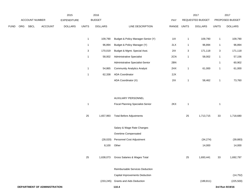|             |     |                |                | 2015               |                | 2016           |                                          |       |                           | 2017             |              | 2017            |
|-------------|-----|----------------|----------------|--------------------|----------------|----------------|------------------------------------------|-------|---------------------------|------------------|--------------|-----------------|
|             |     | ACCOUNT NUMBER |                | <b>EXPENDITURE</b> |                | <b>BUDGET</b>  |                                          | PAY   |                           | REQUESTED BUDGET |              | PROPOSED BUDGET |
| <b>FUND</b> | ORG | <b>SBCL</b>    | <b>ACCOUNT</b> | <b>DOLLARS</b>     | <b>UNITS</b>   | <b>DOLLARS</b> | LINE DESCRIPTION                         | RANGE | <b>UNITS</b>              | <b>DOLLARS</b>   | <b>UNITS</b> | <b>DOLLARS</b>  |
|             |     |                |                |                    | $\mathbf{1}$   | 109,790        | Budget & Policy Manager-Senior (Y)       | 11X   | $\overline{1}$            | 109,790          | $\mathbf{1}$ | 109,790         |
|             |     |                |                |                    | $\overline{1}$ | 96,894         | Budget & Policy Manager (Y)              | 2LX   | $\overline{1}$            | 96,894           | $\mathbf{1}$ | 96,894          |
|             |     |                |                |                    | $\sqrt{3}$     | 170,019        | Budget & Mgmt. Special Asst.             | 2IX   | $\ensuremath{\mathsf{3}}$ | 171,118          | $\mathbf{3}$ | 171,118         |
|             |     |                |                |                    | $\overline{1}$ | 58,002         | <b>Administrative Specialist</b>         | 2CN   | $\mathbf{1}$              | 58,002           | $\mathbf{1}$ | 57,156          |
|             |     |                |                |                    |                |                | Administrative Specialist-Senior         | 2BN   |                           |                  | $\mathbf{1}$ | 60,902          |
|             |     |                |                |                    | $\mathbf{1}$   | 54,865         | <b>Community Analytics Analyst</b>       | 2HX   | $\mathbf{1}$              | 61,000           | $\mathbf{1}$ | 61,000          |
|             |     |                |                |                    | $\mathbf{1}$   | 62,338         | <b>ADA Coordinator</b>                   | 2JX   |                           |                  |              |                 |
|             |     |                |                |                    |                |                | ADA Coordinator (X)                      | 2IX   | $\mathbf{1}$              | 58,462           | $\mathbf{1}$ | 73,760          |
|             |     |                |                |                    |                |                |                                          |       |                           |                  |              |                 |
|             |     |                |                |                    |                |                | AUXILIARY PERSONNEL                      |       |                           |                  |              |                 |
|             |     |                |                |                    | $\overline{1}$ |                | <b>Fiscal Planning Specialist-Senior</b> | 2KX   | $\overline{1}$            |                  | $\mathbf{1}$ |                 |
|             |     |                |                |                    | 25             | 1,657,993      | <b>Total Before Adjustments</b>          |       | 25                        | 1,713,715        | 33           | 1,718,680       |
|             |     |                |                |                    |                |                | Salary & Wage Rate Changes               |       |                           |                  |              |                 |
|             |     |                |                |                    |                |                | Overtime Compensated                     |       |                           |                  |              |                 |
|             |     |                |                |                    |                |                |                                          |       |                           |                  |              |                 |

| (28,020) | Personnel Cost Adjustment | (34, 274) | (39, 883) |
|----------|---------------------------|-----------|-----------|
| 8,100    | Other                     | 14,000    | 14,000    |
|          |                           |           |           |

| 25 | 1.638.073  | Gross Salaries & Wages Total           | 25 | 1.693.441  | 33 | 1,692,797 |
|----|------------|----------------------------------------|----|------------|----|-----------|
|    |            |                                        |    |            |    |           |
|    |            | <b>Reimbursable Services Deduction</b> |    |            |    |           |
|    |            | Capital Improvements Deduction         |    |            |    | (14, 752) |
|    | (233, 245) | <b>Grants and Aids Deduction</b>       |    | (189, 811) |    | (225,500) |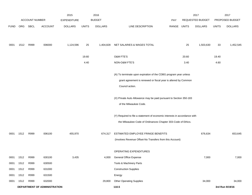|             |      |                       |                              | 2015               |              | 2016           |                                                                                                                                                       |            |              | 2017             |              | 2017            |
|-------------|------|-----------------------|------------------------------|--------------------|--------------|----------------|-------------------------------------------------------------------------------------------------------------------------------------------------------|------------|--------------|------------------|--------------|-----------------|
|             |      | <b>ACCOUNT NUMBER</b> |                              | <b>EXPENDITURE</b> |              | <b>BUDGET</b>  |                                                                                                                                                       | <b>PAY</b> |              | REQUESTED BUDGET |              | PROPOSED BUDGET |
| <b>FUND</b> | ORG  | SBCL                  | <b>ACCOUNT</b>               | <b>DOLLARS</b>     | <b>UNITS</b> | <b>DOLLARS</b> | LINE DESCRIPTION                                                                                                                                      | RANGE      | <b>UNITS</b> | <b>DOLLARS</b>   | <b>UNITS</b> | <b>DOLLARS</b>  |
| 0001        | 1512 | R999                  | 006000                       | 1,124,596          | 25           | 1,404,828      | NET SALARIES & WAGES TOTAL                                                                                                                            |            | 25           | 1,503,630        | 33           | 1,452,545       |
|             |      |                       |                              |                    | 19.60        |                | O&M FTE'S                                                                                                                                             |            | 20.60        |                  | 19.40        |                 |
|             |      |                       |                              |                    | 4.40         |                | NON-O&M FTE'S                                                                                                                                         |            | 3.40         |                  | 4.60         |                 |
|             |      |                       |                              |                    |              |                | (A) To terminate upon expiration of the CDBG program year unless<br>grant agreement is renewed or fiscal year is altered by Common<br>Council action. |            |              |                  |              |                 |
|             |      |                       |                              |                    |              |                | (X) Private Auto Allowance may be paid pursuant to Section 350-183<br>of the Milwaukee Code.                                                          |            |              |                  |              |                 |
|             |      |                       |                              |                    |              |                | (Y) Required to file a statement of economic interests in accordance with<br>the Milwaukee Code of Ordinances Chapter 303-Code of Ethics.             |            |              |                  |              |                 |
| 0001        | 1512 | R999                  | 006100                       | 455,970            |              | 674,317        | ESTIMATED EMPLOYEE FRINGE BENEFITS<br>(Involves Revenue Offset-No Transfers from this Account)                                                        |            |              | 676,634          |              | 653,645         |
|             |      |                       |                              |                    |              |                | OPERATING EXPENDITURES                                                                                                                                |            |              |                  |              |                 |
| 0001        | 1512 | R999                  | 630100                       | 3,435              |              | 4,000          | General Office Expense                                                                                                                                |            |              | 7,000            |              | 7,000           |
| 0001        | 1512 | R999                  | 630500                       |                    |              |                | Tools & Machinery Parts                                                                                                                               |            |              |                  |              |                 |
| 0001        | 1512 | R999                  | 631000                       |                    |              |                | <b>Construction Supplies</b>                                                                                                                          |            |              |                  |              |                 |
| 0001        | 1512 | R999                  | 631500                       |                    |              |                | Energy                                                                                                                                                |            |              |                  |              |                 |
| 0001        | 1512 | R999                  | 632000                       |                    |              | 29,800         | <b>Other Operating Supplies</b>                                                                                                                       |            |              | 34,000           |              | 34,000          |
|             |      |                       | DEPARTMENT OF ADMINISTRATION |                    |              |                | 110.5                                                                                                                                                 |            |              |                  |              | 3rd Run 9/19/16 |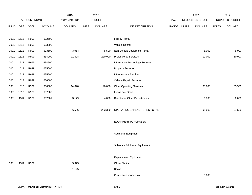|             |      |                |         | 2015               |              | 2016           |                                 |       |              | 2017             |              | 2017            |
|-------------|------|----------------|---------|--------------------|--------------|----------------|---------------------------------|-------|--------------|------------------|--------------|-----------------|
|             |      | ACCOUNT NUMBER |         | <b>EXPENDITURE</b> |              | <b>BUDGET</b>  |                                 | PAY   |              | REQUESTED BUDGET |              | PROPOSED BUDGET |
| <b>FUND</b> | ORG  | <b>SBCL</b>    | ACCOUNT | <b>DOLLARS</b>     | <b>UNITS</b> | <b>DOLLARS</b> | LINE DESCRIPTION                | RANGE | <b>UNITS</b> | <b>DOLLARS</b>   | <b>UNITS</b> | <b>DOLLARS</b>  |
|             |      |                |         |                    |              |                |                                 |       |              |                  |              |                 |
| 0001        | 1512 | R999           | 632500  |                    |              |                | <b>Facility Rental</b>          |       |              |                  |              |                 |
| 0001        | 1512 | R999           | 633000  |                    |              |                | Vehicle Rental                  |       |              |                  |              |                 |
| 0001        | 1512 | R999           | 633500  | 3,964              |              | 5,500          | Non-Vehicle Equipment Rental    |       |              | 5,000            |              | 5,000           |
| 0001        | 1512 | R999           | 634000  | 71,398             |              | 220,000        | <b>Professional Services</b>    |       |              | 10,000           |              | 10,000          |
| 0001        | 1512 | R999           | 634500  |                    |              |                | Information Technology Services |       |              |                  |              |                 |
| 0001        | 1512 | R999           | 635000  |                    |              |                | <b>Property Services</b>        |       |              |                  |              |                 |
| 0001        | 1512 | R999           | 635500  |                    |              |                | <b>Infrastructure Services</b>  |       |              |                  |              |                 |
| 0001        | 1512 | R999           | 636000  |                    |              |                | Vehicle Repair Services         |       |              |                  |              |                 |
| 0001        | 1512 | R999           | 636500  | 14,620             |              | 20,000         | <b>Other Operating Services</b> |       |              | 33,000           |              | 35,500          |
| 0001        | 1512 | R999           | 637000  |                    |              |                | Loans and Grants                |       |              |                  |              |                 |
| 0001        | 1512 | R999           | 637501  | 3,179              |              | 4,000          | Reimburse Other Departments     |       |              | 6,000            |              | 6,000           |
|             |      |                |         |                    |              |                |                                 |       |              |                  |              |                 |
|             |      |                |         | 96,596             |              | 283,300        | OPERATING EXPENDITURES TOTAL    |       |              | 95,000           |              | 97,500          |
|             |      |                |         |                    |              |                |                                 |       |              |                  |              |                 |
|             |      |                |         |                    |              |                | <b>EQUIPMENT PURCHASES</b>      |       |              |                  |              |                 |
|             |      |                |         |                    |              |                |                                 |       |              |                  |              |                 |
|             |      |                |         |                    |              |                | <b>Additional Equipment</b>     |       |              |                  |              |                 |
|             |      |                |         |                    |              |                |                                 |       |              |                  |              |                 |
|             |      |                |         |                    |              |                | Subtotal - Additional Equipment |       |              |                  |              |                 |
|             |      |                |         |                    |              |                |                                 |       |              |                  |              |                 |
|             |      |                |         |                    |              |                | Replacement Equipment           |       |              |                  |              |                 |
| 0001        | 1512 | R999           |         | 5,375              |              |                | Office Chairs                   |       |              |                  |              |                 |
|             |      |                |         | 1,125              |              |                | <b>Books</b>                    |       |              |                  |              |                 |
|             |      |                |         |                    |              |                | Conference room chairs          |       |              | 3,000            |              |                 |
|             |      |                |         |                    |              |                |                                 |       |              |                  |              |                 |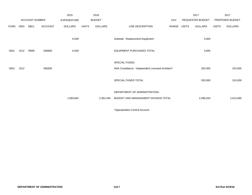|             |            |                       |                | 2015               |              | 2016           |                                                  |       |              | 2017                    |              | 2017            |
|-------------|------------|-----------------------|----------------|--------------------|--------------|----------------|--------------------------------------------------|-------|--------------|-------------------------|--------------|-----------------|
|             |            | <b>ACCOUNT NUMBER</b> |                | <b>EXPENDITURE</b> |              | <b>BUDGET</b>  |                                                  | PAY   |              | <b>REQUESTED BUDGET</b> |              | PROPOSED BUDGET |
| <b>FUND</b> | <b>ORG</b> | SBCL                  | <b>ACCOUNT</b> | <b>DOLLARS</b>     | <b>UNITS</b> | <b>DOLLARS</b> | LINE DESCRIPTION                                 | RANGE | <b>UNITS</b> | <b>DOLLARS</b>          | <b>UNITS</b> | <b>DOLLARS</b>  |
|             |            |                       |                | 6,500              |              |                | Subtotal - Replacement Equipment                 |       |              | 3,000                   |              |                 |
| 0001        | 1512       | R999                  | 006800         | 6,500              |              |                | <b>EQUIPMENT PURCHASES TOTAL</b>                 |       |              | 3,000                   |              |                 |
|             |            |                       |                |                    |              |                | SPECIAL FUNDS                                    |       |              |                         |              |                 |
| 0001        | 1512       |                       | 006300         |                    |              |                | ADA Compliance - Independent Licensed Architect* |       |              | 320,000                 |              | 310,000         |
|             |            |                       |                |                    |              |                | SPECIAL FUNDS TOTAL                              |       |              | 320,000                 |              | 310,000         |
|             |            |                       |                |                    |              |                | DEPARTMENT OF ADMINISTRATION -                   |       |              |                         |              |                 |
|             |            |                       |                | 1,683,662          |              | 2,362,445      | BUDGET AND MANAGEMENT DIVISION TOTAL             |       |              | 2,598,264               |              | 2,513,690       |
|             |            |                       |                |                    |              |                |                                                  |       |              |                         |              |                 |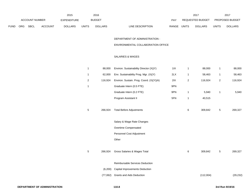|             |                       |             |                | 2015               |              | 2016           |                           | 2017                           |              | 2017                   |
|-------------|-----------------------|-------------|----------------|--------------------|--------------|----------------|---------------------------|--------------------------------|--------------|------------------------|
|             | <b>ACCOUNT NUMBER</b> |             |                | <b>EXPENDITURE</b> |              | <b>BUDGET</b>  | <b>PAY</b>                | <b>REQUESTED BUDGET</b>        |              | <b>PROPOSED BUDGET</b> |
| <b>FUND</b> | <b>ORG</b>            | <b>SBCL</b> | <b>ACCOUNT</b> | <b>DOLLARS</b>     | <b>UNITS</b> | <b>DOLLARS</b> | RANGE<br>LINE DESCRIPTION | <b>UNITS</b><br><b>DOLLARS</b> | <b>UNITS</b> | <b>DOLLARS</b>         |

DEPARTMENT OF ADMINISTRATION -

ENVIRONMENTAL COLLABORATION OFFICE

#### SALARIES & WAGES

| 1 | 88,000   | Environ. Sustainability Director (X)(Y)  | 11X | $\mathbf{1}$   | 88,000    | 1 | 88,000    |
|---|----------|------------------------------------------|-----|----------------|-----------|---|-----------|
| 1 | 62,000   | Env. Sustainability Prog. Mgr. (X)(Y)    | 2LX | 1              | 58,463    | 1 | 58,463    |
| 2 | 116,924  | Environ. Sustain. Prog. Coord. (X)(Y)(A) | 2IX | $\overline{c}$ | 116,924   | 2 | 116,924   |
| 1 |          | Graduate Intern (0.5 FTE)                | 9PN |                |           |   |           |
|   |          | Graduate Intern (0.2 FTE)                | 9PN | 1              | 5,940     | 1 | 5,940     |
|   |          | Program Assistant II                     | 5FN | $\mathbf{1}$   | 40,515    |   |           |
|   |          |                                          |     |                |           |   |           |
| 5 | 266,924  | <b>Total Before Adjustments</b>          |     | 6              | 309,842   | 5 | 269,327   |
|   |          |                                          |     |                |           |   |           |
|   |          | Salary & Wage Rate Changes               |     |                |           |   |           |
|   |          | Overtime Compensated                     |     |                |           |   |           |
|   |          | Personnel Cost Adjustment                |     |                |           |   |           |
|   |          | Other                                    |     |                |           |   |           |
|   |          |                                          |     |                |           |   |           |
| 5 | 266,924  | Gross Salaries & Wages Total             |     | 6              | 309,842   | 5 | 269,327   |
|   |          |                                          |     |                |           |   |           |
|   |          | Reimbursable Services Deduction          |     |                |           |   |           |
|   | (6,200)  | Capital Improvements Deduction           |     |                |           |   |           |
|   | (77,062) | <b>Grants and Aids Deduction</b>         |     |                | (112,004) |   | (29, 232) |
|   |          |                                          |     |                |           |   |           |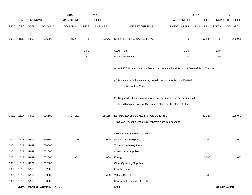|             |      |                |                                     | 2015               |                 | 2016           |                                                                                                                                           |             |      | 2017             |              | 2017            |
|-------------|------|----------------|-------------------------------------|--------------------|-----------------|----------------|-------------------------------------------------------------------------------------------------------------------------------------------|-------------|------|------------------|--------------|-----------------|
|             |      | ACCOUNT NUMBER |                                     | <b>EXPENDITURE</b> |                 | <b>BUDGET</b>  |                                                                                                                                           | <b>PAY</b>  |      | REQUESTED BUDGET |              | PROPOSED BUDGET |
| <b>FUND</b> |      | ORG SBCL       | <b>ACCOUNT</b>                      | <b>DOLLARS</b>     | <b>UNITS</b>    | <b>DOLLARS</b> | LINE DESCRIPTION                                                                                                                          | RANGE UNITS |      | <b>DOLLARS</b>   | <b>UNITS</b> | <b>DOLLARS</b>  |
| 0001        | 1517 | R999           | 006000                              | 165,284            | $5\phantom{.0}$ | 183,662        | NET SALARIES & WAGES TOTAL                                                                                                                |             | 6    | 197,838          | 5            | 240,095         |
|             |      |                |                                     |                    | 2.60            |                | O&M FTE'S                                                                                                                                 |             | 3.20 |                  | 3.70         |                 |
|             |      |                |                                     |                    | 1.40            |                | NON-O&M FTE'S                                                                                                                             |             | 2.00 |                  | 0.50         |                 |
|             |      |                |                                     |                    |                 |                | (A) 0.5 FTE is reimbursed by Sewer Maintenance Fund as part of General Fund Transfer.                                                     |             |      |                  |              |                 |
|             |      |                |                                     |                    |                 |                | (X) Private Auto Allowance may be paid pursuant to Section 350-183<br>of the Milwaukee Code.                                              |             |      |                  |              |                 |
|             |      |                |                                     |                    |                 |                | (Y) Required to file a statement of economic interests in accordance with<br>the Milwaukee Code of Ordinances Chapter 303-Code of Ethics. |             |      |                  |              |                 |
| 0001        | 1517 | R999           | 006100                              | 74,161             |                 | 88,158         | ESTIMATED EMPLOYEE FRINGE BENEFITS                                                                                                        |             |      | 89,027           |              | 108,043         |
|             |      |                |                                     |                    |                 |                | (Involves Revenue Offset-No Transfers from this Account)                                                                                  |             |      |                  |              |                 |
|             |      |                |                                     |                    |                 |                | OPERATING EXPENDITURES                                                                                                                    |             |      |                  |              |                 |
| 0001        | 1517 | R999           | 630100                              | 799                |                 | 2,000          | <b>General Office Expense</b>                                                                                                             |             |      | 1,000            |              | 1,000           |
| 0001        | 1517 | R999           | 630500                              |                    |                 |                | Tools & Machinery Parts                                                                                                                   |             |      |                  |              |                 |
| 0001        | 1517 | R999           | 631000                              |                    |                 |                | <b>Construction Supplies</b>                                                                                                              |             |      |                  |              |                 |
| 0001        | 1517 | R999           | 631500                              | 351                |                 | 1,000          | Energy                                                                                                                                    |             |      | 1,000            |              | 1,000           |
| 0001        | 1517 | R999           | 632000                              |                    |                 |                | <b>Other Operating Supplies</b>                                                                                                           |             |      |                  |              |                 |
| 0001        | 1517 | R999           | 632500                              |                    |                 |                | <b>Facility Rental</b>                                                                                                                    |             |      |                  |              |                 |
| 0001        | 1517 | R999           | 633000                              |                    |                 | 400            | Vehicle Rental                                                                                                                            |             |      | 40               |              |                 |
| 0001        | 1517 | R999           | 633500                              |                    |                 |                | Non-Vehicle Equipment Rental                                                                                                              |             |      |                  |              |                 |
|             |      |                | <b>DEPARTMENT OF ADMINISTRATION</b> |                    |                 |                | 110.9                                                                                                                                     |             |      |                  |              | 3rd Run 9/19/16 |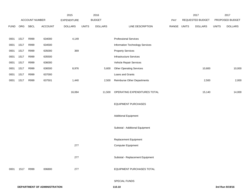|             |      |                |                              | 2015               |              | 2016           |                                    |       |              | 2017             |              | 2017            |
|-------------|------|----------------|------------------------------|--------------------|--------------|----------------|------------------------------------|-------|--------------|------------------|--------------|-----------------|
|             |      | ACCOUNT NUMBER |                              | <b>EXPENDITURE</b> |              | <b>BUDGET</b>  |                                    | PAY   |              | REQUESTED BUDGET |              | PROPOSED BUDGET |
| <b>FUND</b> | ORG  | SBCL           | <b>ACCOUNT</b>               | <b>DOLLARS</b>     | <b>UNITS</b> | <b>DOLLARS</b> | LINE DESCRIPTION                   | RANGE | <b>UNITS</b> | <b>DOLLARS</b>   | <b>UNITS</b> | <b>DOLLARS</b>  |
|             |      |                |                              |                    |              |                |                                    |       |              |                  |              |                 |
| 0001        | 1517 | R999           | 634000                       | 4,149              |              |                | <b>Professional Services</b>       |       |              |                  |              |                 |
| 0001        | 1517 | R999           | 634500                       |                    |              |                | Information Technology Services    |       |              |                  |              |                 |
| 0001        | 1517 | R999           | 635000                       | 369                |              |                | <b>Property Services</b>           |       |              |                  |              |                 |
| 0001        | 1517 | R999           | 635500                       |                    |              |                | <b>Infrastructure Services</b>     |       |              |                  |              |                 |
| 0001        | 1517 | R999           | 636000                       |                    |              |                | Vehicle Repair Services            |       |              |                  |              |                 |
| 0001        | 1517 | R999           | 636500                       | 8,976              |              | 5,600          | <b>Other Operating Services</b>    |       |              | 10,600           |              | 10,000          |
| 0001        | 1517 | R999           | 637000                       |                    |              |                | Loans and Grants                   |       |              |                  |              |                 |
| 0001        | 1517 | R999           | 637501                       | 1,440              |              | 2,500          | <b>Reimburse Other Departments</b> |       |              | 2,500            |              | 2,000           |
|             |      |                |                              |                    |              |                |                                    |       |              |                  |              |                 |
|             |      |                |                              | 16,084             |              | 11,500         | OPERATING EXPENDITURES TOTAL       |       |              | 15,140           |              | 14,000          |
|             |      |                |                              |                    |              |                |                                    |       |              |                  |              |                 |
|             |      |                |                              |                    |              |                | <b>EQUIPMENT PURCHASES</b>         |       |              |                  |              |                 |
|             |      |                |                              |                    |              |                |                                    |       |              |                  |              |                 |
|             |      |                |                              |                    |              |                | <b>Additional Equipment</b>        |       |              |                  |              |                 |
|             |      |                |                              |                    |              |                |                                    |       |              |                  |              |                 |
|             |      |                |                              |                    |              |                | Subtotal - Additional Equipment    |       |              |                  |              |                 |
|             |      |                |                              |                    |              |                |                                    |       |              |                  |              |                 |
|             |      |                |                              |                    |              |                | Replacement Equipment              |       |              |                  |              |                 |
|             |      |                |                              | 277                |              |                | Computer Equipment                 |       |              |                  |              |                 |
|             |      |                |                              |                    |              |                |                                    |       |              |                  |              |                 |
|             |      |                |                              | 277                |              |                | Subtotal - Replacement Equipment   |       |              |                  |              |                 |
|             |      |                |                              |                    |              |                |                                    |       |              |                  |              |                 |
| 0001        | 1517 | R999           | 006800                       | 277                |              |                | <b>EQUIPMENT PURCHASES TOTAL</b>   |       |              |                  |              |                 |
|             |      |                |                              |                    |              |                | SPECIAL FUNDS                      |       |              |                  |              |                 |
|             |      |                | DEPARTMENT OF ADMINISTRATION |                    |              |                | 110.10                             |       |              |                  |              | 3rd Run 9/19/16 |
|             |      |                |                              |                    |              |                |                                    |       |              |                  |              |                 |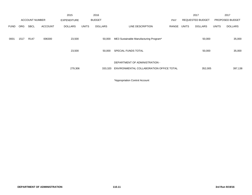|             |      |                       |                | 2015               |              | 2016           |                                          |            |              | 2017                    |              | 2017            |
|-------------|------|-----------------------|----------------|--------------------|--------------|----------------|------------------------------------------|------------|--------------|-------------------------|--------------|-----------------|
|             |      | <b>ACCOUNT NUMBER</b> |                | <b>EXPENDITURE</b> |              | <b>BUDGET</b>  |                                          | <b>PAY</b> |              | <b>REQUESTED BUDGET</b> |              | PROPOSED BUDGET |
| <b>FUND</b> | ORG  | <b>SBCL</b>           | <b>ACCOUNT</b> | DOLLARS            | <b>UNITS</b> | <b>DOLLARS</b> | LINE DESCRIPTION                         | RANGE      | <b>UNITS</b> | <b>DOLLARS</b>          | <b>UNITS</b> | <b>DOLLARS</b>  |
| 0001        | 1517 | R <sub>147</sub>      | 006300         | 23,500             |              | 50,000         | ME3 Sustainable Manufacturing Program*   |            |              | 50,000                  |              | 35,000          |
|             |      |                       |                | 23,500             |              | 50,000         | SPECIAL FUNDS TOTAL                      |            |              | 50,000                  |              | 35,000          |
|             |      |                       |                |                    |              |                | DEPARTMENT OF ADMINISTRATION -           |            |              |                         |              |                 |
|             |      |                       |                | 279,306            |              | 333,320        | ENVIRONMENTAL COLLABORATION OFFICE TOTAL |            |              | 352,005                 |              | 397,138         |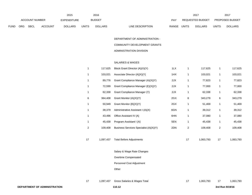|             |                       |             |                | 2015               |              | 2016           |                           | 2017                           |              | 2017                   |
|-------------|-----------------------|-------------|----------------|--------------------|--------------|----------------|---------------------------|--------------------------------|--------------|------------------------|
|             | <b>ACCOUNT NUMBER</b> |             |                | <b>EXPENDITURE</b> |              | <b>BUDGET</b>  | PAY                       | REQUESTED BUDGET               |              | <b>PROPOSED BUDGET</b> |
| <b>FUND</b> | <b>ORG</b>            | <b>SBCL</b> | <b>ACCOUNT</b> | <b>DOLLARS</b>     | <b>UNITS</b> | <b>DOLLARS</b> | LINE DESCRIPTION<br>RANGE | <b>UNITS</b><br><b>DOLLARS</b> | <b>UNITS</b> | <b>DOLLARS</b>         |

DEPARTMENT OF ADMINISTRATION - COMMUNITY DEVELOPMENT GRANTS ADMINISTRATION DIVISION

#### SALARIES & WAGES

|    | 117,625   | Block Grant Director (A)(X)(Y)         | 1LX | 1  | 117,625   |                | 117,625   |
|----|-----------|----------------------------------------|-----|----|-----------|----------------|-----------|
| 1  | 103,021   | Associate Director (A)(X)(Y)           | 1HX | 1  | 103,021   | 1              | 103,021   |
| 1  | 89,776    | Grant Compliance Manager (A)(X)(Y)     | 2JX | 1  | 77,823    | 1              | 77,823    |
| 1  | 72,599    | Grant Compliance Manager (E)(X)(Y)     | 2JX | 1  | 77,000    | 1              | 77,000    |
| 1  | 62,338    | Grant Compliance Manager (Y)           | 2JX | 1  | 62,338    | 1              | 62,338    |
| 6  | 364,408   | Grant Monitor (A)(X)(Y)                | 2GX | 6  | 343,279   | 6              | 343,279   |
| 1  | 50,949    | Grant Monitor (B)(X)(Y)                | 2GX | 1  | 51,469    | 1              | 51,469    |
| 1  | 38,379    | Administrative Assistant I (A)(X)      | 6GN | 1  | 39,312    | 1              | 39,312    |
| 1  | 43,496    | Office Assistant IV (A)                | 6HN | 1  | 37,080    | 1              | 37,080    |
| 1  | 45,438    | Program Assistant I (A)                | 5EN | 1  | 45,438    | 1              | 45,438    |
| 2  | 109,408   | Business Services Specialist (A)(X)(Y) | 2DN | 2  | 109,408   | $\overline{c}$ | 109,408   |
|    |           |                                        |     |    |           |                |           |
| 17 | 1,097,437 | <b>Total Before Adjustments</b>        |     | 17 | 1,063,793 | 17             | 1,063,793 |
|    |           |                                        |     |    |           |                |           |

Salary & Wage Rate Changes

Overtime Compensated

Personnel Cost Adjustment

Other

17 1,097,437 Gross Salaries & Wages Total 17 1,063,793 17 1,063,793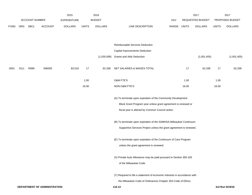|             |      |                       |                              | 2015               |              | 2016           |                                                                           |             |       | 2017             |              | 2017            |
|-------------|------|-----------------------|------------------------------|--------------------|--------------|----------------|---------------------------------------------------------------------------|-------------|-------|------------------|--------------|-----------------|
|             |      | <b>ACCOUNT NUMBER</b> |                              | <b>EXPENDITURE</b> |              | <b>BUDGET</b>  |                                                                           | <b>PAY</b>  |       | REQUESTED BUDGET |              | PROPOSED BUDGET |
| <b>FUND</b> | ORG  | SBCL                  | <b>ACCOUNT</b>               | <b>DOLLARS</b>     | <b>UNITS</b> | <b>DOLLARS</b> | LINE DESCRIPTION                                                          | RANGE UNITS |       | <b>DOLLARS</b>   | <b>UNITS</b> | <b>DOLLARS</b>  |
|             |      |                       |                              |                    |              |                | Reimbursable Services Deduction                                           |             |       |                  |              |                 |
|             |      |                       |                              |                    |              |                | Capital Improvements Deduction                                            |             |       |                  |              |                 |
|             |      |                       |                              |                    |              | (1,035,099)    | <b>Grants and Aids Deduction</b>                                          |             |       | (1,001,455)      |              | (1,001,455)     |
|             |      |                       |                              |                    |              |                |                                                                           |             |       |                  |              |                 |
| 0001        | 1511 | R999                  | 006000                       | 83,518             | 17           | 62,338         | NET SALARIES & WAGES TOTAL                                                |             | 17    | 62,338           | 17           | 62,338          |
|             |      |                       |                              |                    | 1.00         |                | O&M FTE'S                                                                 |             | 1.00  |                  | 1.00         |                 |
|             |      |                       |                              |                    | 16.00        |                | NON-O&M FTE'S                                                             |             | 16.00 |                  | 16.00        |                 |
|             |      |                       |                              |                    |              |                | (A) To terminate upon expiration of the Community Development             |             |       |                  |              |                 |
|             |      |                       |                              |                    |              |                | Block Grant Program year unless grant agreement is renewed or             |             |       |                  |              |                 |
|             |      |                       |                              |                    |              |                | fiscal year is altered by Common Council action.                          |             |       |                  |              |                 |
|             |      |                       |                              |                    |              |                | (B) To terminate upon expiration of the SAMHSA-Milwaukee Continuum        |             |       |                  |              |                 |
|             |      |                       |                              |                    |              |                | Supportive Services Project unless the grant agreement is renewed.        |             |       |                  |              |                 |
|             |      |                       |                              |                    |              |                | (E) To terminate upon expiration of the Continuum of Care Program         |             |       |                  |              |                 |
|             |      |                       |                              |                    |              |                | unless the grant agreement is renewed.                                    |             |       |                  |              |                 |
|             |      |                       |                              |                    |              |                | (X) Private Auto Allowance may be paid pursuant to Section 350-183        |             |       |                  |              |                 |
|             |      |                       |                              |                    |              |                | of the Milwaukee Code.                                                    |             |       |                  |              |                 |
|             |      |                       |                              |                    |              |                | (Y) Required to file a statement of economic interests in accordance with |             |       |                  |              |                 |
|             |      |                       |                              |                    |              |                | the Milwaukee Code of Ordinances Chapter 303-Code of Ethics.              |             |       |                  |              |                 |
|             |      |                       | DEPARTMENT OF ADMINISTRATION |                    |              |                | 110.13                                                                    |             |       |                  |              | 3rd Run 9/19/16 |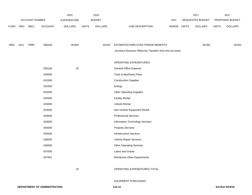|             |      |                |                | 2015               |              | 2016           |                                                          |       |              | 2017             |              | 2017            |
|-------------|------|----------------|----------------|--------------------|--------------|----------------|----------------------------------------------------------|-------|--------------|------------------|--------------|-----------------|
|             |      | ACCOUNT NUMBER |                | <b>EXPENDITURE</b> |              | <b>BUDGET</b>  |                                                          | PAY   |              | REQUESTED BUDGET |              | PROPOSED BUDGET |
| <b>FUND</b> |      | ORG SBCL       | <b>ACCOUNT</b> | <b>DOLLARS</b>     | <b>UNITS</b> | <b>DOLLARS</b> | LINE DESCRIPTION                                         | RANGE | <b>UNITS</b> | <b>DOLLARS</b>   | <b>UNITS</b> | <b>DOLLARS</b>  |
|             |      |                |                |                    |              |                |                                                          |       |              |                  |              |                 |
|             |      |                |                |                    |              |                |                                                          |       |              |                  |              |                 |
| 0001        | 1511 | R999           | 006100         | 26,804             |              | 29,922         | ESTIMATED EMPLOYEE FRINGE BENEFITS                       |       |              | 28,052           |              | 28,052          |
|             |      |                |                |                    |              |                | (Involves Revenue Offset-No Transfers from this Account) |       |              |                  |              |                 |
|             |      |                |                |                    |              |                |                                                          |       |              |                  |              |                 |
|             |      |                |                |                    |              |                | OPERATING EXPENDITURES                                   |       |              |                  |              |                 |
|             |      |                | 630100         | 20                 |              |                | <b>General Office Expense</b>                            |       |              |                  |              |                 |
|             |      |                | 630500         |                    |              |                | Tools & Machinery Parts                                  |       |              |                  |              |                 |
|             |      |                | 631000         |                    |              |                | <b>Construction Supplies</b>                             |       |              |                  |              |                 |
|             |      |                | 631500         |                    |              |                | Energy                                                   |       |              |                  |              |                 |
|             |      |                | 632000         |                    |              |                | <b>Other Operating Supplies</b>                          |       |              |                  |              |                 |
|             |      |                | 632500         |                    |              |                | <b>Facility Rental</b>                                   |       |              |                  |              |                 |
|             |      |                | 633000         |                    |              |                | Vehicle Rental                                           |       |              |                  |              |                 |
|             |      |                | 633500         |                    |              |                | Non-Vehicle Equipment Rental                             |       |              |                  |              |                 |
|             |      |                | 634000         |                    |              |                | <b>Professional Services</b>                             |       |              |                  |              |                 |
|             |      |                | 634500         |                    |              |                | Information Technology Services                          |       |              |                  |              |                 |
|             |      |                | 635000         |                    |              |                | <b>Property Services</b>                                 |       |              |                  |              |                 |
|             |      |                | 635500         |                    |              |                | <b>Infrastructure Services</b>                           |       |              |                  |              |                 |
|             |      |                | 636000         |                    |              |                | Vehicle Repair Services                                  |       |              |                  |              |                 |
|             |      |                | 636500         |                    |              |                | <b>Other Operating Services</b>                          |       |              |                  |              |                 |
|             |      |                | 637000         |                    |              |                | Loans and Grants                                         |       |              |                  |              |                 |
|             |      |                | 637501         |                    |              |                | <b>Reimburse Other Departments</b>                       |       |              |                  |              |                 |
|             |      |                |                |                    |              |                |                                                          |       |              |                  |              |                 |
|             |      |                |                | 20                 |              |                | OPERATING EXPENDITURES TOTAL                             |       |              |                  |              |                 |

EQUIPMENT PURCHASES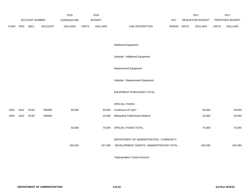|             |      |                       |                | 2015               |              | 2016           |                                                                                     |             | 2017             |              | 2017            |
|-------------|------|-----------------------|----------------|--------------------|--------------|----------------|-------------------------------------------------------------------------------------|-------------|------------------|--------------|-----------------|
|             |      | <b>ACCOUNT NUMBER</b> |                | <b>EXPENDITURE</b> |              | <b>BUDGET</b>  |                                                                                     | PAY         | REQUESTED BUDGET |              | PROPOSED BUDGET |
| <b>FUND</b> | ORG  | SBCL                  | <b>ACCOUNT</b> | <b>DOLLARS</b>     | <b>UNITS</b> | <b>DOLLARS</b> | LINE DESCRIPTION                                                                    | RANGE UNITS | <b>DOLLARS</b>   | <b>UNITS</b> | <b>DOLLARS</b>  |
|             |      |                       |                |                    |              |                | <b>Additional Equipment</b>                                                         |             |                  |              |                 |
|             |      |                       |                |                    |              |                | Subtotal - Additional Equipment                                                     |             |                  |              |                 |
|             |      |                       |                |                    |              |                | Replacement Equipment                                                               |             |                  |              |                 |
|             |      |                       |                |                    |              |                | Subtotal - Replacement Equipment                                                    |             |                  |              |                 |
|             |      |                       |                |                    |              |                | EQUIPMENT PURCHASES TOTAL                                                           |             |                  |              |                 |
|             |      |                       |                |                    |              |                | SPECIAL FUNDS                                                                       |             |                  |              |                 |
| 0001        | 1510 | R <sub>150</sub>      | 006300         | 50,000             |              | 50,000         | Continuum of Care*                                                                  |             | 50,000           |              | 50,000          |
| 0001        | 1510 | R149                  | 006300         |                    |              | 25,000         | Milwaukee Fatherhood Initiative*                                                    |             | 25,000           |              | 25,000          |
|             |      |                       |                | 50,000             |              | 75,000         | SPECIAL FUNDS TOTAL                                                                 |             | 75,000           |              | 75,000          |
|             |      |                       |                | 160,342            |              | 167,260        | DEPARTMENT OF ADMINISTRATION - COMMUNITY<br>DEVELOPMENT GRANTS ADMINISTRATION TOTAL |             | 165,390          |              | 165,390         |
|             |      |                       |                |                    |              |                |                                                                                     |             |                  |              |                 |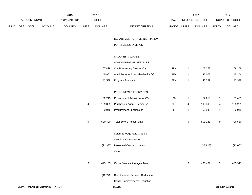|             | ACCOUNT NUMBER |                              | 2015<br>EXPENDITURE |                  | 2016<br><b>BUDGET</b> |                                       | PAY   |              | 2017<br>REQUESTED BUDGET |                          | 2017<br>PROPOSED BUDGET |
|-------------|----------------|------------------------------|---------------------|------------------|-----------------------|---------------------------------------|-------|--------------|--------------------------|--------------------------|-------------------------|
| <b>FUND</b> | ORG SBCL       | ACCOUNT                      | <b>DOLLARS</b>      | <b>UNITS</b>     | <b>DOLLARS</b>        | LINE DESCRIPTION                      | RANGE | UNITS        | <b>DOLLARS</b>           | <b>UNITS</b>             | <b>DOLLARS</b>          |
|             |                |                              |                     |                  |                       | DEPARTMENT OF ADMINISTRATION-         |       |              |                          |                          |                         |
|             |                |                              |                     |                  |                       | PURCHASING DIVISION                   |       |              |                          |                          |                         |
|             |                |                              |                     |                  |                       | SALARIES & WAGES                      |       |              |                          |                          |                         |
|             |                |                              |                     |                  |                       | ADMINISTRATIVE SERVICES               |       |              |                          |                          |                         |
|             |                |                              |                     | $\mathbf{1}$     | 107,428               | City Purchasing Director (Y)          | 1LX   | $\mathbf{1}$ | 108,258                  | $\mathbf{1}$             | 108,258                 |
|             |                |                              |                     | $\mathbf{1}$     | 45,962                | Administrative Specialist-Senior (Y)  | 2EX   | $\mathbf{1}$ | 47,072                   | $\mathbf{1}$             | 45,306                  |
|             |                |                              |                     | $\mathbf{1}$     | 42,538                | Program Assistant II                  | 5FN   | $\mathbf{1}$ | 43,389                   | $\mathbf{1}$             | 43,348                  |
|             |                |                              |                     |                  |                       | PROCUREMENT SERVICES                  |       |              |                          |                          |                         |
|             |                |                              |                     | $\mathbf{1}$     | 52,215                | Procurement Administrator (Y)         | 1CX   | $\mathbf{1}$ | 52,215                   | $\mathbf{1}$             | 51,469                  |
|             |                |                              |                     | 4                | 199,399               | Purchasing Agent - Senior (Y)         | 2EX   | 4            | 199,399                  | $\overline{\mathcal{A}}$ | 195,251                 |
|             |                |                              |                     | $\mathbf{1}$     | 52,948                | Procurement Specialist (Y)            | 2FX   | $\mathbf{1}$ | 52,948                   | $\mathbf{1}$             | 52,948                  |
|             |                |                              |                     | $\boldsymbol{9}$ | 500,490               | <b>Total Before Adjustments</b>       |       | 9            | 503,281                  | $\boldsymbol{9}$         | 496,580                 |
|             |                |                              |                     |                  |                       | Salary & Wage Rate Change             |       |              |                          |                          |                         |
|             |                |                              |                     |                  |                       | Overtime Compensated                  |       |              |                          |                          |                         |
|             |                |                              |                     |                  | (21, 337)             | Personnel Cost Adjustment             |       |              | (12, 812)                |                          | (12, 663)               |
|             |                |                              |                     |                  |                       | Other                                 |       |              |                          |                          |                         |
|             |                |                              |                     | 9                | 479,153               | Gross Salaries & Wages Total          |       | 9            | 490,469                  | 9                        | 483,917                 |
|             |                |                              |                     |                  | (12, 772)             | Reimbursable Services Deduction       |       |              |                          |                          |                         |
|             |                |                              |                     |                  |                       | <b>Capital Improvements Deduction</b> |       |              |                          |                          |                         |
|             |                | DEPARTMENT OF ADMINISTRATION |                     |                  |                       | 110.16                                |       |              |                          |                          | 3rd Run 9/19/16         |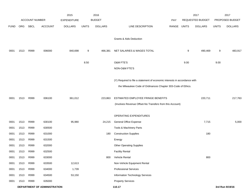|             |      |                              |                | 2015               |              | 2016           |                                                                                                                                           |       |              | 2017             |              | 2017            |
|-------------|------|------------------------------|----------------|--------------------|--------------|----------------|-------------------------------------------------------------------------------------------------------------------------------------------|-------|--------------|------------------|--------------|-----------------|
|             |      | <b>ACCOUNT NUMBER</b>        |                | <b>EXPENDITURE</b> |              | <b>BUDGET</b>  |                                                                                                                                           | PAY   |              | REQUESTED BUDGET |              | PROPOSED BUDGET |
| <b>FUND</b> | ORG  | SBCL                         | <b>ACCOUNT</b> | <b>DOLLARS</b>     | <b>UNITS</b> | <b>DOLLARS</b> | LINE DESCRIPTION                                                                                                                          | RANGE | <b>UNITS</b> | <b>DOLLARS</b>   | <b>UNITS</b> | <b>DOLLARS</b>  |
|             |      |                              |                |                    |              |                | Grants & Aids Deduction                                                                                                                   |       |              |                  |              |                 |
| 0001        | 1513 | R999                         | 006000         | 840,698            | 9            | 466,381        | NET SALARIES & WAGES TOTAL                                                                                                                |       | 9            | 490,469          | 9            | 483,917         |
|             |      |                              |                |                    | 8.50         |                | O&M FTE'S<br>NON-O&M FTE'S                                                                                                                |       | 9.00         |                  | 9.00         |                 |
|             |      |                              |                |                    |              |                | (Y) Required to file a statement of economic interests in accordance with<br>the Milwaukee Code of Ordinances Chapter 303-Code of Ethics. |       |              |                  |              |                 |
| 0001        | 1513 | R999                         | 006100         | 361,012            |              | 223,863        | ESTIMATED EMPLOYEE FRINGE BENEFITS<br>(Involves Revenue Offset-No Transfers from this Account)                                            |       |              | 220,711          |              | 217,763         |
|             |      |                              |                |                    |              |                | OPERATING EXPENDITURES                                                                                                                    |       |              |                  |              |                 |
| 0001        | 1513 | R999                         | 630100         | 95,980             |              | 24,215         | General Office Expense                                                                                                                    |       |              | 7,715            |              | 5,000           |
| 0001        | 1513 | R999                         | 630500         |                    |              |                | Tools & Machinery Parts                                                                                                                   |       |              |                  |              |                 |
| 0001        | 1513 | R999                         | 631000         |                    |              | 180            | <b>Construction Supplies</b>                                                                                                              |       |              | 180              |              |                 |
| 0001        | 1513 | R999                         | 631500         |                    |              |                | Energy                                                                                                                                    |       |              |                  |              |                 |
| 0001        | 1513 | R999                         | 632000         |                    |              |                | <b>Other Operating Supplies</b>                                                                                                           |       |              |                  |              |                 |
| 0001        | 1513 | R999                         | 632500         |                    |              |                | <b>Facility Rental</b>                                                                                                                    |       |              |                  |              |                 |
| 0001        | 1513 | R999                         | 633000         |                    |              | 800            | Vehicle Rental                                                                                                                            |       |              | 800              |              |                 |
| 0001        | 1513 | R999                         | 633500         | 12,613             |              |                | Non-Vehicle Equipment Rental                                                                                                              |       |              |                  |              |                 |
| 0001        | 1513 | R999                         | 634000         | 1,739              |              |                | <b>Professional Services</b>                                                                                                              |       |              |                  |              |                 |
| 0001        | 1513 | R999                         | 634500         | 53,150             |              |                | Information Technology Services                                                                                                           |       |              |                  |              |                 |
| 0001        | 1513 | R999                         | 635000         |                    |              |                | <b>Property Services</b>                                                                                                                  |       |              |                  |              |                 |
|             |      | DEPARTMENT OF ADMINISTRATION |                |                    |              |                | 110.17                                                                                                                                    |       |              |                  |              | 3rd Run 9/19/16 |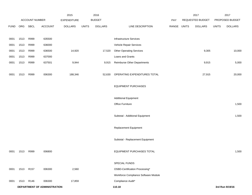|             |      |                  |                              | 2015               |              | 2016           |                                      |             | 2017             |              | 2017            |
|-------------|------|------------------|------------------------------|--------------------|--------------|----------------|--------------------------------------|-------------|------------------|--------------|-----------------|
|             |      | ACCOUNT NUMBER   |                              | <b>EXPENDITURE</b> |              | <b>BUDGET</b>  |                                      | PAY         | REQUESTED BUDGET |              | PROPOSED BUDGET |
| <b>FUND</b> | ORG  | <b>SBCL</b>      | <b>ACCOUNT</b>               | <b>DOLLARS</b>     | <b>UNITS</b> | <b>DOLLARS</b> | LINE DESCRIPTION                     | RANGE UNITS | <b>DOLLARS</b>   | <b>UNITS</b> | <b>DOLLARS</b>  |
|             |      |                  |                              |                    |              |                |                                      |             |                  |              |                 |
| 0001        | 1513 | R999             | 635500                       |                    |              |                | Infrastructure Services              |             |                  |              |                 |
| 0001        | 1513 | R999             | 636000                       |                    |              |                | Vehicle Repair Services              |             |                  |              |                 |
| 0001        | 1513 | R999             | 636500                       | 14,920             |              | 17,520         | <b>Other Operating Services</b>      |             | 9,305            |              | 10,000          |
| 0001        | 1513 | R999             | 637000                       |                    |              |                | Loans and Grants                     |             |                  |              |                 |
| 0001        | 1513 | R999             | 637501                       | 9,944              |              | 9,915          | <b>Reimburse Other Departments</b>   |             | 9,915            |              | 5,000           |
|             |      |                  |                              |                    |              |                |                                      |             |                  |              |                 |
| 0001        | 1513 | R999             | 006300                       | 188,346            |              | 52,630         | OPERATING EXPENDITURES TOTAL         |             | 27,915           |              | 20,000          |
|             |      |                  |                              |                    |              |                |                                      |             |                  |              |                 |
|             |      |                  |                              |                    |              |                | <b>EQUIPMENT PURCHASES</b>           |             |                  |              |                 |
|             |      |                  |                              |                    |              |                |                                      |             |                  |              |                 |
|             |      |                  |                              |                    |              |                | <b>Additional Equipment</b>          |             |                  |              |                 |
|             |      |                  |                              |                    |              |                | Office Furniture                     |             |                  |              | 1,500           |
|             |      |                  |                              |                    |              |                |                                      |             |                  |              |                 |
|             |      |                  |                              |                    |              |                | Subtotal - Additional Equipment      |             |                  |              | 1,500           |
|             |      |                  |                              |                    |              |                |                                      |             |                  |              |                 |
|             |      |                  |                              |                    |              |                | Replacement Equipment                |             |                  |              |                 |
|             |      |                  |                              |                    |              |                |                                      |             |                  |              |                 |
|             |      |                  |                              |                    |              |                | Subtotal - Replacement Equipment     |             |                  |              |                 |
|             |      |                  |                              |                    |              |                |                                      |             |                  |              |                 |
| 0001        | 1513 | R999             | 006800                       |                    |              |                | EQUIPMENT PURCHASES TOTAL            |             |                  |              | 1,500           |
|             |      |                  |                              |                    |              |                |                                      |             |                  |              |                 |
|             |      |                  |                              |                    |              |                | SPECIAL FUNDS                        |             |                  |              |                 |
| 0001        | 1513 | R <sub>157</sub> | 006300                       | 2,560              |              |                | OSBD-Certification Processing*       |             |                  |              |                 |
|             |      |                  |                              |                    |              |                | Workforce Compliance Software Module |             |                  |              |                 |
| 0001        | 1513 | R146             | 006300                       | 17,859             |              |                | Compliance Audit*                    |             |                  |              |                 |
|             |      |                  | DEPARTMENT OF ADMINISTRATION |                    |              |                | 110.18                               |             |                  |              | 3rd Run 9/19/16 |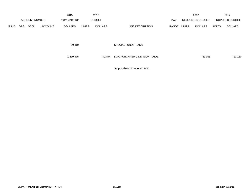|             |            |                       |                | 2015               |              | 2016           |                               |       |              | 2017                    |              | 2017            |
|-------------|------------|-----------------------|----------------|--------------------|--------------|----------------|-------------------------------|-------|--------------|-------------------------|--------------|-----------------|
|             |            | <b>ACCOUNT NUMBER</b> |                | <b>EXPENDITURE</b> |              | <b>BUDGET</b>  |                               | PAY   |              | <b>REQUESTED BUDGET</b> |              | PROPOSED BUDGET |
| <b>FUND</b> | <b>ORG</b> | <b>SBCL</b>           | <b>ACCOUNT</b> | <b>DOLLARS</b>     | <b>UNITS</b> | <b>DOLLARS</b> | LINE DESCRIPTION              | RANGE | <b>UNITS</b> | <b>DOLLARS</b>          | <b>UNITS</b> | <b>DOLLARS</b>  |
|             |            |                       |                |                    |              |                |                               |       |              |                         |              |                 |
|             |            |                       |                |                    |              |                |                               |       |              |                         |              |                 |
|             |            |                       |                | 20,419             |              |                | SPECIAL FUNDS TOTAL           |       |              |                         |              |                 |
|             |            |                       |                |                    |              |                |                               |       |              |                         |              |                 |
|             |            |                       |                |                    |              |                |                               |       |              |                         |              |                 |
|             |            |                       |                | 1,410,475          |              | 742,874        | DOA-PURCHASING DIVISION TOTAL |       |              | 739,095                 |              | 723,180         |
|             |            |                       |                |                    |              |                |                               |       |              |                         |              |                 |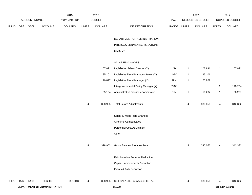|             |      |                |                              | 2015               |              | 2016           |                                       |             |              | 2017             |                | 2017            |
|-------------|------|----------------|------------------------------|--------------------|--------------|----------------|---------------------------------------|-------------|--------------|------------------|----------------|-----------------|
|             |      | ACCOUNT NUMBER |                              | <b>EXPENDITURE</b> |              | <b>BUDGET</b>  |                                       | PAY         |              | REQUESTED BUDGET |                | PROPOSED BUDGET |
| <b>FUND</b> | ORG  | SBCL           | ACCOUNT                      | <b>DOLLARS</b>     | <b>UNITS</b> | <b>DOLLARS</b> | LINE DESCRIPTION                      | RANGE UNITS |              | <b>DOLLARS</b>   | <b>UNITS</b>   | <b>DOLLARS</b>  |
|             |      |                |                              |                    |              |                | DEPARTMENT OF ADMINISTRATION -        |             |              |                  |                |                 |
|             |      |                |                              |                    |              |                | INTERGOVERNMENTAL RELATIONS           |             |              |                  |                |                 |
|             |      |                |                              |                    |              |                | <b>DIVISION</b>                       |             |              |                  |                |                 |
|             |      |                |                              |                    |              |                | SALARIES & WAGES                      |             |              |                  |                |                 |
|             |      |                |                              |                    | $\mathbf{1}$ | 107,891        | Legislative Liaison Director (Y)      | 1NX         | $\mathbf{1}$ | 107,891          | $\mathbf{1}$   | 107,891         |
|             |      |                |                              |                    | $\mathbf{1}$ | 95,101         | Legislative Fiscal Manager-Senior (Y) | 2MX         | $\mathbf{1}$ | 95,101           |                |                 |
|             |      |                |                              |                    | $\mathbf{1}$ | 70,827         | Legislative Fiscal Manager (Y)        | 2LX         | $\mathbf{1}$ | 70,827           |                |                 |
|             |      |                |                              |                    |              |                | Intergovernmental Policy Manager (Y)  | 2MX         |              |                  | $\overline{a}$ | 178,204         |
|             |      |                |                              |                    | $\mathbf{1}$ | 55,134         | Administrative Services Coordinator   | 5JN         | $\mathbf{1}$ | 56,237           | $\mathbf{1}$   | 56,237          |
|             |      |                |                              |                    | 4            | 328,953        | <b>Total Before Adjustments</b>       |             | 4            | 330,056          | 4              | 342,332         |
|             |      |                |                              |                    |              |                | Salary & Wage Rate Changes            |             |              |                  |                |                 |
|             |      |                |                              |                    |              |                | Overtime Compensated                  |             |              |                  |                |                 |
|             |      |                |                              |                    |              |                | Personnel Cost Adjustment             |             |              |                  |                |                 |
|             |      |                |                              |                    |              |                | Other                                 |             |              |                  |                |                 |
|             |      |                |                              |                    | 4            | 328,953        | Gross Salaries & Wages Total          |             | 4            | 330,056          | 4              | 342,332         |
|             |      |                |                              |                    |              |                | Reimbursable Services Deduction       |             |              |                  |                |                 |
|             |      |                |                              |                    |              |                | Capital Improvements Deduction        |             |              |                  |                |                 |
|             |      |                |                              |                    |              |                | Grants & Aids Deduction               |             |              |                  |                |                 |
| 0001        | 1514 | R999           | 006000                       | 331,043            | 4            | 328,953        | NET SALARIES & WAGES TOTAL            |             | 4            | 330,056          | 4              | 342,332         |
|             |      |                | DEPARTMENT OF ADMINISTRATION |                    |              |                | 110.20                                |             |              |                  |                | 3rd Run 9/19/16 |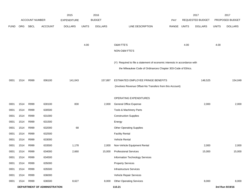|             |            |                       |                              | 2015               |              | 2016           |                                                                           |       |              | 2017             |              | 2017            |
|-------------|------------|-----------------------|------------------------------|--------------------|--------------|----------------|---------------------------------------------------------------------------|-------|--------------|------------------|--------------|-----------------|
|             |            | <b>ACCOUNT NUMBER</b> |                              | <b>EXPENDITURE</b> |              | <b>BUDGET</b>  |                                                                           | PAY   |              | REQUESTED BUDGET |              | PROPOSED BUDGET |
| <b>FUND</b> | <b>ORG</b> | SBCL                  | <b>ACCOUNT</b>               | <b>DOLLARS</b>     | <b>UNITS</b> | <b>DOLLARS</b> | LINE DESCRIPTION                                                          | RANGE | <b>UNITS</b> | <b>DOLLARS</b>   | <b>UNITS</b> | <b>DOLLARS</b>  |
|             |            |                       |                              |                    |              |                |                                                                           |       |              |                  |              |                 |
|             |            |                       |                              |                    |              |                |                                                                           |       |              |                  |              |                 |
|             |            |                       |                              |                    | 4.00         |                | O&M FTE'S                                                                 |       | 4.00         |                  | 4.00         |                 |
|             |            |                       |                              |                    |              |                | NON-O&M FTE'S                                                             |       |              |                  |              |                 |
|             |            |                       |                              |                    |              |                | (Y) Required to file a statement of economic interests in accordance with |       |              |                  |              |                 |
|             |            |                       |                              |                    |              |                | the Milwaukee Code of Ordinances Chapter 303-Code of Ethics.              |       |              |                  |              |                 |
|             |            |                       |                              |                    |              |                |                                                                           |       |              |                  |              |                 |
| 0001        | 1514       | R999                  | 006100                       | 141,043            |              | 157,897        | ESTIMATED EMPLOYEE FRINGE BENEFITS                                        |       |              | 148,525          |              | 154,049         |
|             |            |                       |                              |                    |              |                | (Involves Revenue Offset-No Transfers from this Account)                  |       |              |                  |              |                 |
|             |            |                       |                              |                    |              |                |                                                                           |       |              |                  |              |                 |
|             |            |                       |                              |                    |              |                | OPERATING EXPENDITURES                                                    |       |              |                  |              |                 |
| 0001        | 1514       | R999                  | 630100                       | 830                |              | 2,000          | <b>General Office Expense</b>                                             |       |              | 2,000            |              | 2,000           |
| 0001        | 1514       | R999                  | 630500                       |                    |              |                | Tools & Machinery Parts                                                   |       |              |                  |              |                 |
| 0001        | 1514       | R999                  | 631000                       |                    |              |                | <b>Construction Supplies</b>                                              |       |              |                  |              |                 |
| 0001        | 1514       | R999                  | 631500                       |                    |              |                | Energy                                                                    |       |              |                  |              |                 |
| 0001        | 1514       | R999                  | 632000                       | 68                 |              |                | <b>Other Operating Supplies</b>                                           |       |              |                  |              |                 |
| 0001        | 1514       | R999                  | 632500                       |                    |              |                | <b>Facility Rental</b>                                                    |       |              |                  |              |                 |
| 0001        | 1514       | R999                  | 633000                       |                    |              |                | <b>Vehicle Rental</b>                                                     |       |              |                  |              |                 |
| 0001        | 1514       | R999                  | 633500                       | 1,178              |              | 2,000          | Non-Vehicle Equipment Rental                                              |       |              | 2,000            |              | 2,000           |
| 0001        | 1514       | R999                  | 634000                       | 2,660              |              | 15,000         | <b>Professional Services</b>                                              |       |              | 15,000           |              | 15,000          |
| 0001        | 1514       | R999                  | 634500                       |                    |              |                | Information Technology Services                                           |       |              |                  |              |                 |
| 0001        | 1514       | R999                  | 635000                       |                    |              |                | <b>Property Services</b>                                                  |       |              |                  |              |                 |
| 0001        | 1514       | R999                  | 635500                       |                    |              |                | Infrastructure Services                                                   |       |              |                  |              |                 |
| 0001        | 1514       | R999                  | 636000                       |                    |              |                | Vehicle Repair Services                                                   |       |              |                  |              |                 |
| 0001        | 1514       | R999                  | 636500                       | 8,627              |              | 8,000          | <b>Other Operating Services</b>                                           |       |              | 8,000            |              | 8,000           |
|             |            |                       | DEPARTMENT OF ADMINISTRATION |                    |              |                | 110.21                                                                    |       |              |                  |              | 3rd Run 9/19/16 |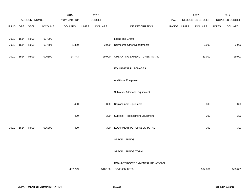|             |      |                |                | 2015               |              | 2016           |                                    |             | 2017             |              | 2017            |
|-------------|------|----------------|----------------|--------------------|--------------|----------------|------------------------------------|-------------|------------------|--------------|-----------------|
|             |      | ACCOUNT NUMBER |                | <b>EXPENDITURE</b> |              | <b>BUDGET</b>  |                                    | PAY         | REQUESTED BUDGET |              | PROPOSED BUDGET |
| <b>FUND</b> | ORG  | <b>SBCL</b>    | <b>ACCOUNT</b> | <b>DOLLARS</b>     | <b>UNITS</b> | <b>DOLLARS</b> | LINE DESCRIPTION                   | RANGE UNITS | <b>DOLLARS</b>   | <b>UNITS</b> | <b>DOLLARS</b>  |
|             |      |                |                |                    |              |                |                                    |             |                  |              |                 |
| 0001        | 1514 | R999           | 637000         |                    |              |                | Loans and Grants                   |             |                  |              |                 |
| 0001        | 1514 | R999           | 637501         | 1,380              |              | 2,000          | <b>Reimburse Other Departments</b> |             | 2,000            |              | 2,000           |
|             |      |                |                |                    |              |                |                                    |             |                  |              |                 |
| 0001        | 1514 | R999           | 006300         | 14,743             |              | 29,000         | OPERATING EXPENDITURES TOTAL       |             | 29,000           |              | 29,000          |
|             |      |                |                |                    |              |                |                                    |             |                  |              |                 |
|             |      |                |                |                    |              |                | <b>EQUIPMENT PURCHASES</b>         |             |                  |              |                 |
|             |      |                |                |                    |              |                |                                    |             |                  |              |                 |
|             |      |                |                |                    |              |                | <b>Additional Equipment</b>        |             |                  |              |                 |
|             |      |                |                |                    |              |                |                                    |             |                  |              |                 |
|             |      |                |                |                    |              |                | Subtotal - Additional Equipment    |             |                  |              |                 |
|             |      |                |                | 400                |              | 300            | Replacement Equipment              |             | 300              |              | 300             |
|             |      |                |                |                    |              |                |                                    |             |                  |              |                 |
|             |      |                |                | 400                |              | 300            | Subtotal - Replacement Equipment   |             | 300              |              | 300             |
|             |      |                |                |                    |              |                |                                    |             |                  |              |                 |
| 0001        | 1514 | R999           | 006800         | 400                |              | 300            | EQUIPMENT PURCHASES TOTAL          |             | 300              |              | 300             |
|             |      |                |                |                    |              |                |                                    |             |                  |              |                 |
|             |      |                |                |                    |              |                | SPECIAL FUNDS                      |             |                  |              |                 |
|             |      |                |                |                    |              |                |                                    |             |                  |              |                 |
|             |      |                |                |                    |              |                | SPECIAL FUNDS TOTAL                |             |                  |              |                 |
|             |      |                |                |                    |              |                |                                    |             |                  |              |                 |
|             |      |                |                |                    |              |                | DOA-INTERGOVERNMENTAL RELATIONS    |             |                  |              |                 |
|             |      |                |                | 487,229            |              | 516,150        | <b>DIVISION TOTAL</b>              |             | 507,881          |              | 525,681         |
|             |      |                |                |                    |              |                |                                    |             |                  |              |                 |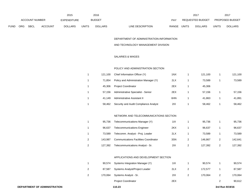|             |                |      |                | 2015               |       | 2016           |                                  | 2017                    |              | 2017                   |
|-------------|----------------|------|----------------|--------------------|-------|----------------|----------------------------------|-------------------------|--------------|------------------------|
|             | ACCOUNT NUMBER |      |                | <b>EXPENDITURE</b> |       | <b>BUDGET</b>  | PAY                              | REQUESTED BUDGET        |              | <b>PROPOSED BUDGET</b> |
| <b>FUND</b> | ORG            | SBCL | <b>ACCOUNT</b> | <b>DOLLARS</b>     | UNITS | <b>DOLLARS</b> | <b>RANGE</b><br>LINE DESCRIPTION | UNITS<br><b>DOLLARS</b> | <b>UNITS</b> | <b>DOLLARS</b>         |

#### DEPARTMENT OF ADMINISTRATION-INFORMATION

#### AND TECHNOLOGY MANAGEMENT DIVISION

#### SALARIES & WAGES

#### POLICY AND ADMINISTRATION SECTION

| 121.100 | Chief Information Officer (Y)         | 1NX | 121.100 | 121,100 |
|---------|---------------------------------------|-----|---------|---------|
| 71.854  | Policy and Administration Manager (Y) | 2LX | 73.589  | 73,589  |
| 45.306  | <b>Project Coordinator</b>            | 2EX | 45.306  |         |
| 57.156  | Administrative Specialist - Senior    | 2EX | 57.156  | 57,156  |
| 41.149  | Administrative Assistant II           | 6HN | 41.863  | 41,891  |
| 58.462  | Security and Audit Compliance Analyst | 2IX | 58.462  | 58,462  |

#### NETWORK AND TELECOMMUNICATIONS SECTION

|   | 95.736  | Telecommunications Manager (Y)               | 11X | 95.736  |   | 95,736  |
|---|---------|----------------------------------------------|-----|---------|---|---------|
|   | 96.637  | <b>Telecommunications Engineer</b>           | 2KX | 96.637  |   | 96.637  |
|   | 73.589  | Telecomm. Analyst - Proj. Leader             | 2LX | 73.589  |   | 73,589  |
| 2 | 143.987 | <b>Communications Facilities Coordinator</b> | 3SN | 146.867 |   | 142.641 |
|   | 127,392 | Telecommunications Analyst - Sr.             | 2IX | 127.392 | 2 | 127,392 |

#### APPLICATIONS AND DEVELOPMENT SECTION

| 90.574  | Systems Integration Manager (Y) | 11X | 90.574  | 90.574  |
|---------|---------------------------------|-----|---------|---------|
| 87.587  | Systems Analyst/Project Leader  | 2LX | 172.577 | 87,587  |
| 170.064 | Systems Analyst - Sr.           | 2IX | 170.064 | 170,064 |
|         | <b>Project Coordinator</b>      | 2EX |         | 90,612  |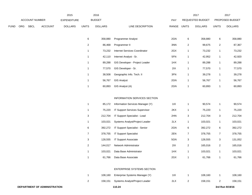|      |                       |      |                | 2015               |       | 2016           |                  |            |              | 2017                    |              | 2017                   |
|------|-----------------------|------|----------------|--------------------|-------|----------------|------------------|------------|--------------|-------------------------|--------------|------------------------|
|      | <b>ACCOUNT NUMBER</b> |      |                | <b>EXPENDITURE</b> |       | <b>BUDGET</b>  |                  | <b>PAY</b> |              | <b>REQUESTED BUDGET</b> |              | <b>PROPOSED BUDGET</b> |
| FUND | ORG                   | SBCL | <b>ACCOUNT</b> | <b>DOLLARS</b>     | UNITS | <b>DOLLARS</b> | LINE DESCRIPTION | RANGE      | <b>UNITS</b> | <b>DOLLARS</b>          | <b>UNITS</b> | <b>DOLLARS</b>         |

| 6            | 358.880 | <b>Programmer Analyst</b>             | 2GN | 6 | 358,880 | 6 | 358,880 |
|--------------|---------|---------------------------------------|-----|---|---------|---|---------|
| 2            | 86.468  | Programmer II                         | 3NN | 2 | 99,675  | 2 | 87,367  |
| 1            | 73.232  | Internet Services Coordinator         | 2GX | 1 | 73,232  |   | 73,232  |
|              | 42.110  | Internet Analyst - Sr.                | 5FN | 1 | 42,952  |   | 42,920  |
| $\mathbf{1}$ | 89.288  | <b>GIS Developer - Project Leader</b> | 1HX | 1 | 89,288  |   | 89,288  |
| 1            | 77.570  | GIS Developer - Sr.                   | 2IX | 1 | 77,570  |   | 77,570  |
|              | 38.508  | Geographic Info. Tech. II             | 3FN | 1 | 39,278  |   | 39,278  |
| 1            | 56.767  | <b>GIS Analyst</b>                    | 2GN | 1 | 56,767  |   | 56,767  |
|              | 60.893  | GIS Analyst (A)                       | 2GN |   | 60.893  |   | 60.893  |

#### INFORMATION SERVICES SECTION

| 1 | 85.172  | Information Services Manager (Y)      | 11X |                | 90,574  |                | 90,574  |
|---|---------|---------------------------------------|-----|----------------|---------|----------------|---------|
| 1 | 75,220  | <b>IT Support Services Supervisor</b> | 2KX |                | 75,220  | 1              | 75,220  |
| 3 | 212.704 | IT Support Specialist - Lead          | 2HN | 3              | 212,704 | 3              | 212,704 |
| 1 | 103.021 | Systems Analyst/Project Leader        | 2LX |                | 103,021 | 1              | 103,021 |
| 6 | 392.272 | IT Support Specialist - Senior        | 2GN | 6              | 392,272 | 6              | 392,272 |
| 7 | 378.755 | <b>IT Support Specialist</b>          | 2EN | 7              | 378,755 | 7              | 378,755 |
| 3 | 128,555 | <b>IT Support Associate</b>           | 5GN | 3              | 128,555 | 3              | 131,052 |
| 2 | 144,017 | <b>Network Administrator</b>          | 2IX | $\overline{2}$ | 165,016 | $\overline{2}$ | 165,016 |
| 1 | 103.021 | Data Base Administrator               | 1HX | 1              | 103,021 | 1              | 103,021 |
| 1 | 61.766  | Data Base Associate                   | 2GX |                | 61,766  | 1              | 61,766  |

#### ENTERPRISE SYSTEMS SECTION

|  | 108,160 Enterprise Systems Manager (Y) | 1 I X | 108.160 | 108,160 |
|--|----------------------------------------|-------|---------|---------|
|  | 158,151 Systems Analyst/Project Leader | 2LX   | 158.151 | 158,151 |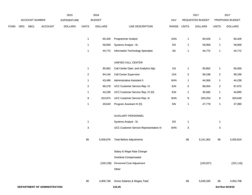|             |     |                |                                     | 2015               |                  | 2016           |                                         |             |                           | 2017             |                           | 2017            |
|-------------|-----|----------------|-------------------------------------|--------------------|------------------|----------------|-----------------------------------------|-------------|---------------------------|------------------|---------------------------|-----------------|
|             |     | ACCOUNT NUMBER |                                     | <b>EXPENDITURE</b> |                  | <b>BUDGET</b>  |                                         | PAY         |                           | REQUESTED BUDGET |                           | PROPOSED BUDGET |
| <b>FUND</b> | ORG | <b>SBCL</b>    | <b>ACCOUNT</b>                      | <b>DOLLARS</b>     | <b>UNITS</b>     | <b>DOLLARS</b> | LINE DESCRIPTION                        | RANGE UNITS |                           | <b>DOLLARS</b>   | <b>UNITS</b>              | <b>DOLLARS</b>  |
|             |     |                |                                     |                    | $\mathbf{1}$     | 60,426         | Programmer Analyst                      | 2GN         | $\mathbf{1}$              | 60,426           | $\mathbf{1}$              | 60,426          |
|             |     |                |                                     |                    | $\mathbf{1}$     | 58,958         | Systems Analyst - Sr.                   | 2IX         | $\mathbf{1}$              | 58,958           | $\mathbf{1}$              | 58,958          |
|             |     |                |                                     |                    | $\mathbf{1}$     | 44,772         | Information Technology Specialist       | 3G          | $\mathbf{1}$              | 44,772           | $\mathbf{1}$              | 44,772          |
|             |     |                |                                     |                    |                  |                |                                         |             |                           |                  |                           |                 |
|             |     |                |                                     |                    |                  |                | UNIFIED CALL CENTER                     |             |                           |                  |                           |                 |
|             |     |                |                                     |                    | $\mathbf{1}$     | 95,862         | Call Center Oper. and Analytics Mgr.    | 11X         | $\mathbf{1}$              | 95,862           | $\mathbf{1}$              | 65,000          |
|             |     |                |                                     |                    | $\boldsymbol{2}$ | 94,146         | Call Center Supervisor                  | 1AX         | $\overline{\mathbf{c}}$   | 99,198           | $\overline{c}$            | 99,198          |
|             |     |                |                                     |                    | $\mathbf{1}$     | 43,496         | Administrative Assistant II             | 6HN         | $\mathbf{1}$              | 44,366           | $\mathbf{1}$              | 44,238          |
|             |     |                |                                     |                    | $\overline{c}$   | 86,278         | UCC Customer Service Rep. IV            | 6JN         | $\overline{\mathbf{c}}$   | 88,004           | $\overline{c}$            | 87,672          |
|             |     |                |                                     |                    | $\mathbf{1}$     | 44,198         | UCC Customer Service Rep. IV (D)        | 6JN         | $\mathbf{1}$              | 45,082           | $\mathbf{1}$              | 44,895          |
|             |     |                |                                     |                    | 9                | 313,974        | UCC Customer Service Rep. III           | 6HN         | 9                         | 320,253          | 9                         | 320,648         |
|             |     |                |                                     |                    | $\mathbf{1}$     | 49,643         | Program Assistant III (D)               | 5IN         | $\mathbf{1}$              | 47,779           | $\mathbf{1}$              | 37,080          |
|             |     |                |                                     |                    |                  |                | AUXILIARY PERSONNEL                     |             |                           |                  |                           |                 |
|             |     |                |                                     |                    | $\mathbf{1}$     |                | Systems Analyst - Sr.                   | 2IX         | $\mathbf{1}$              |                  | $\mathbf{1}$              |                 |
|             |     |                |                                     |                    | 3                |                | UCC Customer Service Representative III | 6HN         | $\ensuremath{\mathsf{3}}$ |                  | $\ensuremath{\mathsf{3}}$ |                 |
|             |     |                |                                     |                    | 86               | 5,006,876      | <b>Total Before Adjustments</b>         |             | 86                        | 5,151,362        | 86                        | 5,055,824       |
|             |     |                |                                     |                    |                  |                |                                         |             |                           |                  |                           |                 |
|             |     |                |                                     |                    |                  |                | Salary & Wage Rate Change               |             |                           |                  |                           |                 |
|             |     |                |                                     |                    |                  |                | Overtime Compensated                    |             |                           |                  |                           |                 |
|             |     |                |                                     |                    |                  | (100, 138)     | Personnel Cost Adjustment               |             |                           | (103, 027)       |                           | (101, 116)      |
|             |     |                |                                     |                    |                  |                | Other                                   |             |                           |                  |                           |                 |
|             |     |                |                                     |                    | 86               | 4,906,738      | Gross Salaries & Wages Total            |             | 86                        | 5,048,335        | 86                        | 4,954,708       |
|             |     |                | <b>DEPARTMENT OF ADMINISTRATION</b> |                    |                  |                | 110.25                                  |             |                           |                  |                           | 3rd Run 9/19/16 |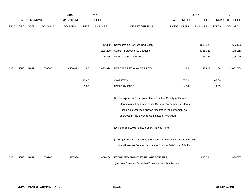|             |            |                       |                | 2015               |              | 2016           |                                                                           |       |              | 2017             |              | 2017            |
|-------------|------------|-----------------------|----------------|--------------------|--------------|----------------|---------------------------------------------------------------------------|-------|--------------|------------------|--------------|-----------------|
|             |            | <b>ACCOUNT NUMBER</b> |                | <b>EXPENDITURE</b> |              | <b>BUDGET</b>  |                                                                           | PAY   |              | REQUESTED BUDGET |              | PROPOSED BUDGET |
| <b>FUND</b> | <b>ORG</b> | <b>SBCL</b>           | <b>ACCOUNT</b> | <b>DOLLARS</b>     | <b>UNITS</b> | <b>DOLLARS</b> | LINE DESCRIPTION                                                          | RANGE | <b>UNITS</b> | <b>DOLLARS</b>   | <b>UNITS</b> | <b>DOLLARS</b>  |
|             |            |                       |                |                    |              |                |                                                                           |       |              |                  |              |                 |
|             |            |                       |                |                    |              |                |                                                                           |       |              |                  |              |                 |
|             |            |                       |                |                    |              | (712, 329)     | <b>Reimbursable Services Deduction</b>                                    |       |              | (682, 529)       |              | (682, 529)      |
|             |            |                       |                |                    |              | (225, 220)     | Capital Improvements Deduction                                            |       |              | (136, 620)       |              | (175, 210)      |
|             |            |                       |                |                    |              | (95, 265)      | <b>Grants &amp; Aids Deduction</b>                                        |       |              | (95, 265)        |              | (95, 265)       |
|             |            |                       |                |                    |              |                |                                                                           |       |              |                  |              |                 |
| 0001        | 1515       | R999                  | 006000         | 3,406,073          | 86           | 3,873,924      | NET SALARIES & WAGES TOTAL                                                |       | 86           | 4,133,921        | 86           | 4,001,704       |
|             |            |                       |                |                    |              |                |                                                                           |       |              |                  |              |                 |
|             |            |                       |                |                    | 63.47        |                | <b>O&amp;M FTE'S</b>                                                      |       | 67.00        |                  | 67.00        |                 |
|             |            |                       |                |                    | 16.87        |                | NON-O&M FTE'S                                                             |       | 14.34        |                  | 14.85        |                 |
|             |            |                       |                |                    |              |                |                                                                           |       |              |                  |              |                 |
|             |            |                       |                |                    |              |                | (A) To expire 12/31/17 unless the Milwaukee County Automated              |       |              |                  |              |                 |
|             |            |                       |                |                    |              |                | Mapping and Land Information Systems Agreement is extended.               |       |              |                  |              |                 |
|             |            |                       |                |                    |              |                | Position is authorized only as reflected in the agreement as              |       |              |                  |              |                 |
|             |            |                       |                |                    |              |                | approved by the Steering Committee of MCAMLIS.                            |       |              |                  |              |                 |
|             |            |                       |                |                    |              |                |                                                                           |       |              |                  |              |                 |
|             |            |                       |                |                    |              |                | (D) Positions 100% reimbursed by Parking Fund.                            |       |              |                  |              |                 |
|             |            |                       |                |                    |              |                |                                                                           |       |              |                  |              |                 |
|             |            |                       |                |                    |              |                | (Y) Required to file a statement of economic interests in accordance with |       |              |                  |              |                 |
|             |            |                       |                |                    |              |                | the Milwaukee Code of Ordinances Chapter 303-Code of Ethics.              |       |              |                  |              |                 |
| 0001        | 1515       | R999                  | 006100         | 1,377,638          |              | 1,859,484      | ESTIMATED EMPLOYEE FRINGE BENEFITS                                        |       |              | 1,860,264        |              | 1,800,767       |
|             |            |                       |                |                    |              |                | (Involves Revenue Offset-No Transfers from this Account)                  |       |              |                  |              |                 |
|             |            |                       |                |                    |              |                |                                                                           |       |              |                  |              |                 |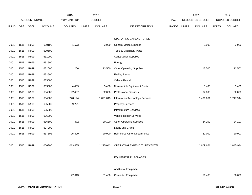|             |      |                       |                | 2015               |              | 2016           |                                    |             | 2017             |              | 2017            |
|-------------|------|-----------------------|----------------|--------------------|--------------|----------------|------------------------------------|-------------|------------------|--------------|-----------------|
|             |      | <b>ACCOUNT NUMBER</b> |                | <b>EXPENDITURE</b> |              | <b>BUDGET</b>  |                                    | PAY         | REQUESTED BUDGET |              | PROPOSED BUDGET |
| <b>FUND</b> | ORG  | SBCL                  | <b>ACCOUNT</b> | <b>DOLLARS</b>     | <b>UNITS</b> | <b>DOLLARS</b> | LINE DESCRIPTION                   | RANGE UNITS | <b>DOLLARS</b>   | <b>UNITS</b> | <b>DOLLARS</b>  |
|             |      |                       |                |                    |              |                |                                    |             |                  |              |                 |
|             |      |                       |                |                    |              |                | OPERATING EXPENDITURES             |             |                  |              |                 |
| 0001        | 1515 | R999                  | 630100         | 1,573              |              | 3,000          | <b>General Office Expense</b>      |             | 3,000            |              | 3,000           |
| 0001        | 1515 | R999                  | 630500         |                    |              |                | Tools & Machinery Parts            |             |                  |              |                 |
| 0001        | 1515 | R999                  | 631000         |                    |              |                | <b>Construction Supplies</b>       |             |                  |              |                 |
| 0001        | 1515 | R999                  | 631500         |                    |              |                | Energy                             |             |                  |              |                 |
| 0001        | 1515 | R999                  | 632000         | 1,266              |              | 13,500         | <b>Other Operating Supplies</b>    |             | 13,500           |              | 13,500          |
| 0001        | 1515 | R999                  | 632500         |                    |              |                | <b>Facility Rental</b>             |             |                  |              |                 |
| 0001        | 1515 | R999                  | 633000         |                    |              |                | Vehicle Rental                     |             |                  |              |                 |
| 0001        | 1515 | R999                  | 633500         | 4,463              |              | 5,400          | Non-Vehicle Equipment Rental       |             | 5,400            |              | 5,400           |
| 0001        | 1515 | R999                  | 634000         | 192,487            |              | 62,000         | <b>Professional Services</b>       |             | 62,000           |              | 62,000          |
| 0001        | 1515 | R999                  | 634500         | 778,194            |              | 1,091,043      | Information Technology Services    |             | 1,481,661        |              | 1,717,944       |
| 0001        | 1515 | R999                  | 635000         | 9,221              |              |                | <b>Property Services</b>           |             |                  |              |                 |
| 0001        | 1515 | R999                  | 635500         |                    |              |                | <b>Infrastructure Services</b>     |             |                  |              |                 |
| 0001        | 1515 | R999                  | 636000         |                    |              |                | Vehicle Repair Services            |             |                  |              |                 |
| 0001        | 1515 | R999                  | 636500         | 472                |              | 20,100         | <b>Other Operating Services</b>    |             | 24,100           |              | 24,100          |
| 0001        | 1515 | R999                  | 637000         |                    |              |                | Loans and Grants                   |             |                  |              |                 |
| 0001        | 1515 | R999                  | 637501         | 25,809             |              | 20,000         | <b>Reimburse Other Departments</b> |             | 20,000           |              | 20,000          |
|             |      |                       |                |                    |              |                |                                    |             |                  |              |                 |
| 0001        | 1515 | R999                  | 006300         | 1,013,485          |              | 1,215,043      | OPERATING EXPENDITURES TOTAL       |             | 1,609,661        |              | 1,845,944       |
|             |      |                       |                |                    |              |                |                                    |             |                  |              |                 |
|             |      |                       |                |                    |              |                | <b>EQUIPMENT PURCHASES</b>         |             |                  |              |                 |
|             |      |                       |                |                    |              |                |                                    |             |                  |              |                 |
|             |      |                       |                |                    |              |                | <b>Additional Equipment</b>        |             |                  |              |                 |
|             |      |                       |                | 22,613             |              | 51,400         | Computer Equipment                 |             | 51,400           |              | 30,000          |
|             |      |                       |                |                    |              |                |                                    |             |                  |              |                 |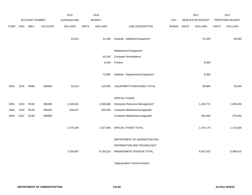|             |      |                       |                | 2015           |              | 2016           |                                  |       | 2017         |                  | 2017         |                 |
|-------------|------|-----------------------|----------------|----------------|--------------|----------------|----------------------------------|-------|--------------|------------------|--------------|-----------------|
|             |      | <b>ACCOUNT NUMBER</b> |                | EXPENDITURE    |              | <b>BUDGET</b>  |                                  | PAY   |              | REQUESTED BUDGET |              | PROPOSED BUDGET |
| <b>FUND</b> | ORG  | SBCL                  | <b>ACCOUNT</b> | <b>DOLLARS</b> | <b>UNITS</b> | <b>DOLLARS</b> | LINE DESCRIPTION                 | RANGE | <b>UNITS</b> | <b>DOLLARS</b>   | <b>UNITS</b> | <b>DOLLARS</b>  |
|             |      |                       |                |                |              |                |                                  |       |              |                  |              |                 |
|             |      |                       |                | 22,613         |              | 51,400         | Subtotal - Additional Equipment  |       |              | 51,400           |              | 30,000          |
|             |      |                       |                |                |              |                |                                  |       |              |                  |              |                 |
|             |      |                       |                |                |              |                | Replacement Equipment            |       |              |                  |              |                 |
|             |      |                       |                |                |              | 65,200         | <b>Computer Workstations</b>     |       |              |                  |              |                 |
|             |      |                       |                |                |              | 8,400          | Printers                         |       |              | 8,400            |              |                 |
|             |      |                       |                |                |              |                |                                  |       |              |                  |              |                 |
|             |      |                       |                |                |              | 73,600         | Subtotal - Replacement Equipment |       |              | 8,400            |              |                 |
|             |      |                       |                |                |              |                |                                  |       |              |                  |              |                 |
| 0001        | 1515 | R999                  | 006800         | 22,613         |              | 125,000        | EQUIPMENT PURCHASES TOTAL        |       |              | 59,800           |              | 30,000          |
|             |      |                       |                |                |              |                |                                  |       |              |                  |              |                 |
|             |      |                       |                |                |              |                | SPECIAL FUNDS                    |       |              |                  |              |                 |
| 0001        | 1510 | R <sub>158</sub>      | 006300         | 1,245,821      |              | 1,396,868      | Enterprise Resource Management*  |       |              | 1,438,774        |              | 1,435,000       |
| 0001        | 1510 | R148                  | 006300         | 229,437        |              | 230,200        | Computer Maintenance/Upgrade*    |       |              |                  |              |                 |
| 0001        | 1510 | R148                  | 006800         |                |              |                | Computer Maintenance/Upgrade*    |       |              | 295,400          |              | 275,000         |
|             |      |                       |                |                |              |                |                                  |       |              |                  |              |                 |
|             |      |                       |                | 1,475,258      |              | 1,627,068      | SPECIAL FUNDS TOTAL              |       |              | 1,734,174        |              | 1,710,000       |
|             |      |                       |                |                |              |                |                                  |       |              |                  |              |                 |
|             |      |                       |                |                |              |                | DEPARTMENT OF ADMINISTRATION     |       |              |                  |              |                 |
|             |      |                       |                |                |              |                | INFORMATION AND TECHNOLOGY       |       |              |                  |              |                 |
|             |      |                       |                | 7,295,067      |              | 8,700,519      | MANAGEMENT DIVISION TOTAL        |       |              | 9,397,820        |              | 9,388,415       |
|             |      |                       |                |                |              |                |                                  |       |              |                  |              |                 |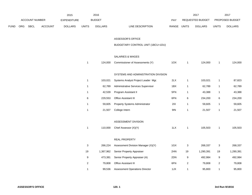|             |     | 2016<br>2015   |                |                    |                           |                |                                       | 2017        |                | 2017             |                         |                 |
|-------------|-----|----------------|----------------|--------------------|---------------------------|----------------|---------------------------------------|-------------|----------------|------------------|-------------------------|-----------------|
|             |     | ACCOUNT NUMBER |                | <b>EXPENDITURE</b> |                           | <b>BUDGET</b>  |                                       | PAY         |                | REQUESTED BUDGET |                         | PROPOSED BUDGET |
| <b>FUND</b> | ORG | <b>SBCL</b>    | <b>ACCOUNT</b> | <b>DOLLARS</b>     | <b>UNITS</b>              | <b>DOLLARS</b> | LINE DESCRIPTION                      | RANGE UNITS |                | <b>DOLLARS</b>   | <b>UNITS</b>            | <b>DOLLARS</b>  |
|             |     |                |                |                    |                           |                |                                       |             |                |                  |                         |                 |
|             |     |                |                |                    |                           |                | ASSESSOR'S OFFICE                     |             |                |                  |                         |                 |
|             |     |                |                |                    |                           |                | BUDGETARY CONTROL UNIT (1BCU=1DU)     |             |                |                  |                         |                 |
|             |     |                |                |                    |                           |                |                                       |             |                |                  |                         |                 |
|             |     |                |                |                    |                           |                | SALARIES & WAGES                      |             |                |                  |                         |                 |
|             |     |                |                |                    | $\mathbf{1}$              | 124,000        | Commissioner of Assessments (Y)       | 1OX         | $\mathbf{1}$   | 124,000          | $\overline{1}$          | 124,000         |
|             |     |                |                |                    |                           |                |                                       |             |                |                  |                         |                 |
|             |     |                |                |                    |                           |                | SYSTEMS AND ADMINISTRATION DIVISION   |             |                |                  |                         |                 |
|             |     |                |                |                    | $\mathbf{1}$              | 103,021        | Systems Analyst Project Leader Mgr.   | 2LX         | $\mathbf{1}$   | 103,021          | $\overline{1}$          | 87,823          |
|             |     |                |                |                    | $\mathbf{1}$              | 62,789         | Administrative Services Supervisor    | 1BX         | 1              | 62,789           | $\mathbf{1}$            | 62,789          |
|             |     |                |                |                    | $\mathbf{1}$              | 42,539         | Program Assistant II                  | 5FN         | $\mathbf{1}$   | 43,388           | $\mathbf{1}$            | 43,388          |
|             |     |                |                |                    | 6                         | 229,553        | Office Assistant III                  | 6FN         | 6              | 234,200          | 6                       | 234,200         |
|             |     |                |                |                    | $\mathbf{1}$              | 59,605         | <b>Property Systems Administrator</b> | 2IX         | $\mathbf{1}$   | 59,605           | $\mathbf{1}$            | 59,605          |
|             |     |                |                |                    | $\mathbf{1}$              | 21,507         | College Intern                        | 9IN         | $\mathbf{1}$   | 21,507           | $\overline{1}$          | 21,507          |
|             |     |                |                |                    |                           |                |                                       |             |                |                  |                         |                 |
|             |     |                |                |                    |                           |                | ASSESSMENT DIVISION                   |             |                |                  |                         |                 |
|             |     |                |                |                    | $\mathbf{1}$              | 110,000        | Chief Assessor (X)(Y)                 | 1LX         | $\mathbf{1}$   | 105,503          | $\overline{1}$          | 105,503         |
|             |     |                |                |                    |                           |                |                                       |             |                |                  |                         |                 |
|             |     |                |                |                    |                           |                | REAL PROPERTY                         |             |                |                  |                         |                 |
|             |     |                |                |                    | $\ensuremath{\mathsf{3}}$ | 266,224        | Assessment Division Manager (X)(Y)    | 1GX         | $\sqrt{3}$     | 268,337          | 3                       | 268,337         |
|             |     |                |                |                    | 19                        | 1,367,962      | Senior Property Appraiser             | 2HN         | 19             | 1,290,391        | 19                      | 1,290,391       |
|             |     |                |                |                    | $\boldsymbol{9}$          | 473,381        | Senior Property Appraiser (A)         | 2DN         | 9              | 492,984          | 9                       | 492,984         |
|             |     |                |                |                    | $\overline{\mathbf{c}}$   | 79,808         | <b>Office Assistant III</b>           | 6FN         | $\overline{c}$ | 79,808           | $\overline{\mathbf{c}}$ | 79,808          |
|             |     |                |                |                    | $\mathbf{1}$              | 99,536         | <b>Assessment Operations Director</b> | 1JX         | $\mathbf{1}$   | 95,800           | $\mathbf{1}$            | 95,800          |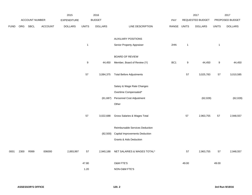|             |      |                | 2016<br>2015   |                    |                  |                |                                       | 2017  |                  | 2017             |              |                 |
|-------------|------|----------------|----------------|--------------------|------------------|----------------|---------------------------------------|-------|------------------|------------------|--------------|-----------------|
|             |      | ACCOUNT NUMBER |                | <b>EXPENDITURE</b> |                  | <b>BUDGET</b>  |                                       | PAY   |                  | REQUESTED BUDGET |              | PROPOSED BUDGET |
| <b>FUND</b> | ORG  | <b>SBCL</b>    | <b>ACCOUNT</b> | <b>DOLLARS</b>     | <b>UNITS</b>     | <b>DOLLARS</b> | LINE DESCRIPTION                      | RANGE | <b>UNITS</b>     | <b>DOLLARS</b>   | <b>UNITS</b> | <b>DOLLARS</b>  |
|             |      |                |                |                    |                  |                |                                       |       |                  |                  |              |                 |
|             |      |                |                |                    |                  |                | <b>AUXILIARY POSITIONS</b>            |       |                  |                  |              |                 |
|             |      |                |                |                    | $\mathbf{1}$     |                | Senior Property Appraiser             | 2HN   | $\mathbf{1}$     |                  | $\mathbf{1}$ |                 |
|             |      |                |                |                    |                  |                | <b>BOARD OF REVIEW</b>                |       |                  |                  |              |                 |
|             |      |                |                |                    | $\boldsymbol{9}$ | 44,450         | Member, Board of Review (Y)           | BC1   | $\boldsymbol{9}$ | 44,450           | 9            | 44,450          |
|             |      |                |                |                    |                  |                |                                       |       |                  |                  |              |                 |
|             |      |                |                |                    | 57               | 3,084,375      | <b>Total Before Adjustments</b>       |       | 57               | 3,025,783        | 57           | 3,010,585       |
|             |      |                |                |                    |                  |                | Salary & Wage Rate Changes            |       |                  |                  |              |                 |
|             |      |                |                |                    |                  |                | Overtime Compensated*                 |       |                  |                  |              |                 |
|             |      |                |                |                    |                  | (61, 687)      | Personnel Cost Adjustment             |       |                  | (62, 028)        |              | (62, 028)       |
|             |      |                |                |                    |                  |                | Other                                 |       |                  |                  |              |                 |
|             |      |                |                |                    |                  |                |                                       |       |                  |                  |              |                 |
|             |      |                |                |                    | 57               | 3,022,688      | Gross Salaries & Wages Total          |       | 57               | 2,963,755        | 57           | 2,948,557       |
|             |      |                |                |                    |                  |                | Reimbursable Services Deduction       |       |                  |                  |              |                 |
|             |      |                |                |                    |                  | (82, 500)      | <b>Capital Improvements Deduction</b> |       |                  |                  |              |                 |
|             |      |                |                |                    |                  |                | <b>Grants &amp; Aids Deduction</b>    |       |                  |                  |              |                 |
|             | 2300 | R999           | 006000         | 2,893,997          | 57               |                | NET SALARIES & WAGES TOTAL*           |       | 57               |                  | 57           |                 |
| 0001        |      |                |                |                    |                  | 2,940,188      |                                       |       |                  | 2,963,755        |              | 2,948,557       |
|             |      |                |                |                    | 47.80            |                | O&M FTE'S                             |       | 49.00            |                  | 49.00        |                 |
|             |      |                |                |                    | 1.20             |                | NON-O&M FTE'S                         |       |                  |                  |              |                 |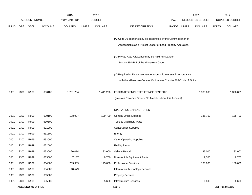|             |      |                          |                | 2015               |              | 2016           |                                                                      |             | 2017             |              | 2017            |
|-------------|------|--------------------------|----------------|--------------------|--------------|----------------|----------------------------------------------------------------------|-------------|------------------|--------------|-----------------|
|             |      | <b>ACCOUNT NUMBER</b>    |                | <b>EXPENDITURE</b> |              | <b>BUDGET</b>  |                                                                      | <b>PAY</b>  | REQUESTED BUDGET |              | PROPOSED BUDGET |
| <b>FUND</b> | ORG  | <b>SBCL</b>              | <b>ACCOUNT</b> | <b>DOLLARS</b>     | <b>UNITS</b> | <b>DOLLARS</b> | LINE DESCRIPTION                                                     | RANGE UNITS | <b>DOLLARS</b>   | <b>UNITS</b> | <b>DOLLARS</b>  |
|             |      |                          |                |                    |              |                | (A) Up to 10 positions may be designated by the Commissioner of      |             |                  |              |                 |
|             |      |                          |                |                    |              |                | Assessments as a Project Leader or Lead Property Appraiser.          |             |                  |              |                 |
|             |      |                          |                |                    |              |                |                                                                      |             |                  |              |                 |
|             |      |                          |                |                    |              |                | (X) Private Auto Allowance May Be Paid Pursuant to                   |             |                  |              |                 |
|             |      |                          |                |                    |              |                | Section 350-183 of the Milwaukee Code.                               |             |                  |              |                 |
|             |      |                          |                |                    |              |                | (Y) Required to file a statement of economic interests in accordance |             |                  |              |                 |
|             |      |                          |                |                    |              |                | with the Milwaukee Code of Ordinances Chapter 303-Code of Ethics.    |             |                  |              |                 |
|             |      |                          |                |                    |              |                |                                                                      |             |                  |              |                 |
| 0001        | 2300 | R999                     | 006100         | 1,201,704          |              | 1,411,290      | ESTIMATED EMPLOYEE FRINGE BENEFITS                                   |             | 1,333,690        |              | 1,326,851       |
|             |      |                          |                |                    |              |                | (Involves Revenue Offset - No Transfers from this Account)           |             |                  |              |                 |
|             |      |                          |                |                    |              |                | OPERATING EXPENDITURES                                               |             |                  |              |                 |
| 0001        | 2300 | R999                     | 630100         | 138,907            |              | 129,700        | <b>General Office Expense</b>                                        |             | 135,700          |              | 135,700         |
| 0001        | 2300 | R999                     | 630500         |                    |              |                | Tools & Machinery Parts                                              |             |                  |              |                 |
| 0001        | 2300 | R999                     | 631000         |                    |              |                | <b>Construction Supplies</b>                                         |             |                  |              |                 |
| 0001        | 2300 | R999                     | 631500         |                    |              |                | Energy                                                               |             |                  |              |                 |
| 0001        | 2300 | R999                     | 632000         |                    |              |                | <b>Other Operating Supplies</b>                                      |             |                  |              |                 |
| 0001        | 2300 | R999                     | 632500         |                    |              |                | <b>Facility Rental</b>                                               |             |                  |              |                 |
| 0001        | 2300 | R999                     | 633000         | 26,014             |              | 33,000         | Vehicle Rental                                                       |             | 33,000           |              | 33,000          |
| 0001        | 2300 | R999                     | 633500         | 7,187              |              | 9,700          | Non-Vehicle Equipment Rental                                         |             | 9,700            |              | 9,700           |
| 0001        | 2300 | R999                     | 634000         | 203,939            |              | 175,000        | <b>Professional Services</b>                                         |             | 188,000          |              | 188,000         |
| 0001        | 2300 | R999                     | 634500         | 18,579             |              |                | Information Technology Services                                      |             |                  |              |                 |
| 0001        | 2300 | R999                     | 635000         |                    |              |                | <b>Property Services</b>                                             |             |                  |              |                 |
| 0001        | 2300 | R999                     | 635500         |                    |              | 5,600          | Infrastructure Services                                              |             | 6,600            |              | 6,600           |
|             |      | <b>ASSESSOR'S OFFICE</b> |                |                    |              |                | 120.3                                                                |             |                  |              | 3rd Run 9/19/16 |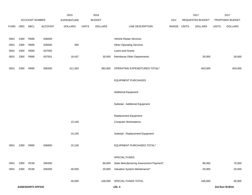|             |      |                          |                | 2015           |              | 2016           |                                         |       |              | 2017             |              | 2017            |
|-------------|------|--------------------------|----------------|----------------|--------------|----------------|-----------------------------------------|-------|--------------|------------------|--------------|-----------------|
|             |      | ACCOUNT NUMBER           |                | EXPENDITURE    |              | <b>BUDGET</b>  |                                         | PAY   |              | REQUESTED BUDGET |              | PROPOSED BUDGET |
| <b>FUND</b> | ORG  | SBCL                     | <b>ACCOUNT</b> | <b>DOLLARS</b> | <b>UNITS</b> | <b>DOLLARS</b> | LINE DESCRIPTION                        | RANGE | <b>UNITS</b> | <b>DOLLARS</b>   | <b>UNITS</b> | <b>DOLLARS</b>  |
|             |      |                          |                |                |              |                |                                         |       |              |                  |              |                 |
| 0001        | 2300 | R999                     | 636000         |                |              |                | Vehicle Repair Services                 |       |              |                  |              |                 |
| 0001        | 2300 | R999                     | 636500         | 300            |              |                | <b>Other Operating Services</b>         |       |              |                  |              |                 |
| 0001        | 2300 | R999                     | 637000         |                |              |                | Loans and Grants                        |       |              |                  |              |                 |
| 0001        | 2300 | R999                     | 637501         | 16,437         |              | 30,000         | <b>Reimburse Other Departments</b>      |       |              | 30,000           |              | 30,000          |
| 0001        | 2300 | R999                     | 006300         | 411,363        |              | 383,000        | OPERATING EXPENDITURES TOTAL*           |       |              | 403,000          |              | 403,000         |
|             |      |                          |                |                |              |                | <b>EQUIPMENT PURCHASES</b>              |       |              |                  |              |                 |
|             |      |                          |                |                |              |                | <b>Additional Equipment</b>             |       |              |                  |              |                 |
|             |      |                          |                |                |              |                | Subtotal - Additional Equipment         |       |              |                  |              |                 |
|             |      |                          |                |                |              |                | Replacement Equipment                   |       |              |                  |              |                 |
|             |      |                          |                | 15,100         |              |                | <b>Computer Workstations</b>            |       |              |                  |              |                 |
|             |      |                          |                |                |              |                |                                         |       |              |                  |              |                 |
|             |      |                          |                | 15,100         |              |                | Subtotal - Replacement Equipment        |       |              |                  |              |                 |
| 0001        | 2300 | R999                     | 006800         | 15,100         |              |                | EQUIPMENT PURCHASES TOTAL*              |       |              |                  |              |                 |
|             |      |                          |                |                |              |                | SPECIAL FUNDS                           |       |              |                  |              |                 |
| 0001        | 2300 | R239                     | 006300         |                |              | 86,000         | State Manufacturing Assessment Payment* |       |              | 86,000           |              | 70,000          |
| 0001        | 2300 | R248                     | 006300         | 40,000         |              | 20,000         | Valuation System Maintenance*           |       |              | 20,000           |              | 20,000          |
|             |      |                          |                |                |              |                |                                         |       |              |                  |              |                 |
|             |      |                          |                | 40,000         |              | 106,000        | SPECIAL FUNDS TOTAL                     |       |              | 106,000          |              | 90,000          |
|             |      | <b>ASSESSOR'S OFFICE</b> |                |                |              |                | 120.4                                   |       |              |                  |              | 3rd Run 9/19/16 |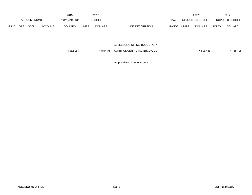|             |                |             |                | 2015           |              | 2016           |                  |            |       | 2017             |              | 2017                   |
|-------------|----------------|-------------|----------------|----------------|--------------|----------------|------------------|------------|-------|------------------|--------------|------------------------|
|             | ACCOUNT NUMBER |             |                | EXPENDITURE    |              | <b>BUDGET</b>  |                  | <b>PAY</b> |       | REQUESTED BUDGET |              | <b>PROPOSED BUDGET</b> |
| <b>FUND</b> | <b>ORG</b>     | <b>SBCL</b> | <b>ACCOUNT</b> | <b>DOLLARS</b> | <b>UNITS</b> | <b>DOLLARS</b> | LINE DESCRIPTION | RANGE      | UNITS | <b>DOLLARS</b>   | <b>UNITS</b> | <b>DOLLARS</b>         |

#### ASSESSOR'S OFFICE BUDGETARY

| CONTROL UNIT TOTAL (1BCU=1DU)<br>4,562,164<br>4.840.478 | 4,768,408<br>4,806,445 |
|---------------------------------------------------------|------------------------|
|---------------------------------------------------------|------------------------|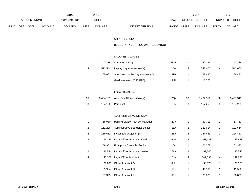|             |                       |             |                    | 2015           |               | 2016           |                                  | 2017                           |                        | 2017           |
|-------------|-----------------------|-------------|--------------------|----------------|---------------|----------------|----------------------------------|--------------------------------|------------------------|----------------|
|             | <b>ACCOUNT NUMBER</b> |             | <b>EXPENDITURE</b> |                | <b>BUDGET</b> | PAY            | <b>REQUESTED BUDGET</b>          |                                | <b>PROPOSED BUDGET</b> |                |
| <b>FUND</b> | ORG                   | <b>SBCL</b> | ACCOUNT            | <b>DOLLARS</b> | <b>UNITS</b>  | <b>DOLLARS</b> | <b>RANGE</b><br>LINE DESCRIPTION | <b>UNITS</b><br><b>DOLLARS</b> | UNITS                  | <b>DOLLARS</b> |

# CITY ATTORNEY

# BUDGETARY CONTROL UNIT (1BCU=1DU)

## SALARIES & WAGES

|  |         | 147,336 City Attorney (Y)                   | <b>EOE</b> |   | 147.336 |   | 147,336 |
|--|---------|---------------------------------------------|------------|---|---------|---|---------|
|  | 573,541 | Deputy City Attorney (A)(Y)                 | 1OX        | 4 | 542,600 | 4 | 542,600 |
|  |         | 65,062 Spec. Asst. to the City Attorney (Y) | 1FX        |   | 68,480  |   | 68,480  |
|  |         | Graduate Intern (0.25 FTE)                  | 9IN        |   | 11,300  |   |         |

## LEGAL DIVISION

| 36<br>3,434,131           |         | Asst. City Attorney V (A)(Y)     | 2QX | 36             | 3,427,311 | 36             | 3,427,311 |
|---------------------------|---------|----------------------------------|-----|----------------|-----------|----------------|-----------|
| 3                         | 154,180 | Paralegal                        | 5JN | 3              | 157,253   | 3              | 157,253   |
|                           |         |                                  |     |                |           |                |           |
|                           |         | ADMINISTRATIVE DIVISION          |     |                |           |                |           |
| 1                         | 65,080  | Parking Citation Review Manager  | 2GX | $\mathbf{1}$   | 67,713    | $\mathbf{1}$   | 67,713    |
| $\overline{2}$            | 111,206 | Administrative Specialist-Senior | 2EX | $\overline{2}$ | 122,614   | $\overline{2}$ | 122,614   |
| $\overline{2}$<br>119,611 |         | Investigator/Adjuster (Y)        | 2EN | $\overline{2}$ | 124,453   | $\overline{c}$ | 124,453   |
| 3                         | 164,236 | Legal Office Assistant - Lead    | 6NN | 3              | 153,488   | 3              | 153,488   |
| 1                         | 58,981  | IT Support Specialist-Senior     | 2GN | $\mathbf{1}$   | 61,372    | $\mathbf{1}$   | 61,372    |
| $\overline{2}$            | 96,541  | Legal Office Assistant - Senior  | 6LN | $\overline{2}$ | 92,540    | $\sqrt{2}$     | 92,540    |
| 4                         | 143,367 | Legal Office Assistant           | 6JN | 4              | 149,095   | 4              | 149,095   |
| $\mathbf 1$               | 37,080  | Office Assistant IV              | 6HN | $\overline{1}$ | 38,578    | $\mathbf{1}$   | 38,578    |
| $\mathbf 1$               | 39,904  | <b>Office Assistant III</b>      | 6FN | $\mathbf{1}$   | 41,506    | $\mathbf{1}$   | 41,506    |
|                           | 37,323  | Office Assistant II              | 6EN |                | 38,823    |                | 38,823    |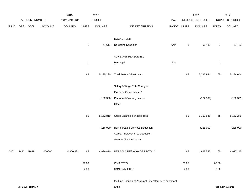|             |      |                |         | 2015               |              | 2016           |                                                          |       |              | 2017             |                | 2017            |
|-------------|------|----------------|---------|--------------------|--------------|----------------|----------------------------------------------------------|-------|--------------|------------------|----------------|-----------------|
|             |      | ACCOUNT NUMBER |         | <b>EXPENDITURE</b> |              | <b>BUDGET</b>  |                                                          | PAY   |              | REQUESTED BUDGET |                | PROPOSED BUDGET |
| <b>FUND</b> | ORG  | SBCL           | ACCOUNT | <b>DOLLARS</b>     | <b>UNITS</b> | <b>DOLLARS</b> | LINE DESCRIPTION                                         | RANGE | <b>UNITS</b> | <b>DOLLARS</b>   | <b>UNITS</b>   | <b>DOLLARS</b>  |
|             |      |                |         |                    |              |                | DOCKET UNIT                                              |       |              |                  |                |                 |
|             |      |                |         |                    | $\mathbf{1}$ | 47,611         | <b>Docketing Specialist</b>                              | 6NN   | $\mathbf{1}$ | 51,482           | $\overline{1}$ | 51,482          |
|             |      |                |         |                    |              |                | AUXILIARY PERSONNEL                                      |       |              |                  |                |                 |
|             |      |                |         |                    | $\mathbf{1}$ |                | Paralegal                                                | 5JN   |              |                  | $\overline{1}$ |                 |
|             |      |                |         |                    | 65           | 5,295,190      | <b>Total Before Adjustments</b>                          |       | 65           | 5,295,944        | 65             | 5,284,644       |
|             |      |                |         |                    |              |                | Salary & Wage Rate Changes                               |       |              |                  |                |                 |
|             |      |                |         |                    |              |                | Overtime Compensated*                                    |       |              |                  |                |                 |
|             |      |                |         |                    |              | (132, 380)     | Personnel Cost Adjustment                                |       |              | (132, 399)       |                | (132, 399)      |
|             |      |                |         |                    |              |                | Other                                                    |       |              |                  |                |                 |
|             |      |                |         |                    | 65           | 5,162,810      | Gross Salaries & Wages Total                             |       | 65           | 5,163,545        | 65             | 5,152,245       |
|             |      |                |         |                    |              | (166,000)      | Reimbursable Services Deduction                          |       |              | (235,000)        |                | (235,000)       |
|             |      |                |         |                    |              |                | Capital Improvements Deduction                           |       |              |                  |                |                 |
|             |      |                |         |                    |              |                | <b>Grant &amp; Aids Deduction</b>                        |       |              |                  |                |                 |
| 0001        | 1490 | R999           | 006000  | 4,900,422          | 65           | 4,996,810      | NET SALARIES & WAGES TOTAL*                              |       | 65           | 4,928,545        | 65             | 4,917,245       |
|             |      |                |         |                    | 59.00        |                | <b>O&amp;M FTE'S</b>                                     |       | 60.25        |                  | 60.00          |                 |
|             |      |                |         |                    | 2.00         |                | NON-O&M FTE'S                                            |       | 2.00         |                  | 2.00           |                 |
|             |      |                |         |                    |              |                | (A) One Position of Assistant City Attorney to be vacant |       |              |                  |                |                 |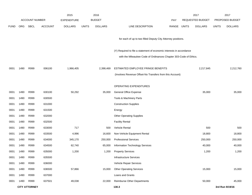|             |            |                       |                | 2015               |              | 2016           |                                                                      |       |              | 2017             |              | 2017            |
|-------------|------------|-----------------------|----------------|--------------------|--------------|----------------|----------------------------------------------------------------------|-------|--------------|------------------|--------------|-----------------|
|             |            | <b>ACCOUNT NUMBER</b> |                | <b>EXPENDITURE</b> |              | <b>BUDGET</b>  |                                                                      | PAY   |              | REQUESTED BUDGET |              | PROPOSED BUDGET |
| <b>FUND</b> | <b>ORG</b> | SBCL                  | <b>ACCOUNT</b> | <b>DOLLARS</b>     | <b>UNITS</b> | <b>DOLLARS</b> | LINE DESCRIPTION                                                     | RANGE | <b>UNITS</b> | <b>DOLLARS</b>   | <b>UNITS</b> | <b>DOLLARS</b>  |
|             |            |                       |                |                    |              |                |                                                                      |       |              |                  |              |                 |
|             |            |                       |                |                    |              |                | for each of up to two filled Deputy City Attorney positions.         |       |              |                  |              |                 |
|             |            |                       |                |                    |              |                | (Y) Required to file a statement of economic interests in accordance |       |              |                  |              |                 |
|             |            |                       |                |                    |              |                | with the Milwaukee Code of Ordinances Chapter 303-Code of Ethics.    |       |              |                  |              |                 |
| 0001        | 1490       | R999                  | 006100         | 1,966,405          |              | 2,398,469      | ESTIMATED EMPLOYEE FRINGE BENEFITS                                   |       |              | 2,217,845        |              | 2,212,760       |
|             |            |                       |                |                    |              |                | (Involves Revenue Offset-No Transfers from this Account)             |       |              |                  |              |                 |
|             |            |                       |                |                    |              |                |                                                                      |       |              |                  |              |                 |
|             |            |                       |                |                    |              |                | OPERATING EXPENDITURES                                               |       |              |                  |              |                 |
| 0001        | 1490       | R999                  | 630100         | 50,292             |              | 35,000         | <b>General Office Expense</b>                                        |       |              | 35,000           |              | 35,000          |
| 0001        | 1490       | R999                  | 630500         |                    |              |                | Tools & Machinery Parts                                              |       |              |                  |              |                 |
| 0001        | 1490       | R999                  | 631000         |                    |              |                | <b>Construction Supplies</b>                                         |       |              |                  |              |                 |
| 0001        | 1490       | R999                  | 631500         |                    |              |                | Energy                                                               |       |              |                  |              |                 |
| 0001        | 1490       | R999                  | 632000         |                    |              |                | <b>Other Operating Supplies</b>                                      |       |              |                  |              |                 |
| 0001        | 1490       | R999                  | 632500         |                    |              |                | <b>Facility Rental</b>                                               |       |              |                  |              |                 |
| 0001        | 1490       | R999                  | 633000         | 717                |              | 500            | <b>Vehicle Rental</b>                                                |       |              | 500              |              | 500             |
| 0001        | 1490       | R999                  | 633500         | 4,996              |              | 16,600         | Non-Vehicle Equipment Rental                                         |       |              | 18,800           |              | 18,800          |
| 0001        | 1490       | R999                  | 634000         | 345,170            |              | 250,000        | <b>Professional Services</b>                                         |       |              | 250,000          |              | 250,000         |
| 0001        | 1490       | R999                  | 634500         | 62,740             |              | 65,000         | Information Technology Services                                      |       |              | 40,000           |              | 40,000          |
| 0001        | 1490       | R999                  | 635000         | 1,200              |              | 1,200          | <b>Property Services</b>                                             |       |              | 1,200            |              | 1,200           |
| 0001        | 1490       | R999                  | 635500         |                    |              |                | Infrastructure Services                                              |       |              |                  |              |                 |
| 0001        | 1490       | R999                  | 636000         |                    |              |                | Vehicle Repair Services                                              |       |              |                  |              |                 |
| 0001        | 1490       | R999                  | 636500         | 57,866             |              | 15,000         | <b>Other Operating Services</b>                                      |       |              | 15,000           |              | 15,000          |
| 0001        | 1490       | R999                  | 637000         |                    |              |                | Loans and Grants                                                     |       |              |                  |              |                 |
| 0001        | 1490       | R999                  | 637501         | 49,038             |              | 22,000         | Reimburse Other Departments                                          |       |              | 50,000           |              | 45,000          |
|             |            | <b>CITY ATTORNEY</b>  |                |                    |              |                | 130.3                                                                |       |              |                  |              | 3rd Run 9/19/16 |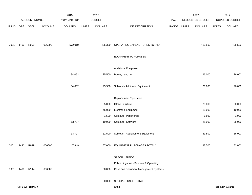|             |      | ACCOUNT NUMBER       |                | 2015               |              | 2016<br><b>BUDGET</b> |                                          |       |              | 2017<br>REQUESTED BUDGET |              | 2017<br>PROPOSED BUDGET |
|-------------|------|----------------------|----------------|--------------------|--------------|-----------------------|------------------------------------------|-------|--------------|--------------------------|--------------|-------------------------|
|             |      |                      |                | <b>EXPENDITURE</b> |              |                       |                                          | PAY   |              |                          |              |                         |
| <b>FUND</b> | ORG  | SBCL                 | <b>ACCOUNT</b> | <b>DOLLARS</b>     | <b>UNITS</b> | <b>DOLLARS</b>        | LINE DESCRIPTION                         | RANGE | <b>UNITS</b> | <b>DOLLARS</b>           | <b>UNITS</b> | <b>DOLLARS</b>          |
|             |      |                      |                |                    |              |                       |                                          |       |              |                          |              |                         |
| 0001        | 1490 | R999                 | 006300         | 572,019            |              | 405,300               | OPERATING EXPENDITURES TOTAL*            |       |              | 410,500                  |              | 405,500                 |
|             |      |                      |                |                    |              |                       |                                          |       |              |                          |              |                         |
|             |      |                      |                |                    |              |                       | <b>EQUIPMENT PURCHASES</b>               |       |              |                          |              |                         |
|             |      |                      |                |                    |              |                       |                                          |       |              |                          |              |                         |
|             |      |                      |                |                    |              |                       | <b>Additional Equipment</b>              |       |              |                          |              |                         |
|             |      |                      |                | 34,052             |              | 25,500                | Books, Law, Lot                          |       |              | 26,000                   |              | 26,000                  |
|             |      |                      |                | 34,052             |              | 25,500                | Subtotal - Additional Equipment          |       |              | 26,000                   |              | 26,000                  |
|             |      |                      |                |                    |              |                       |                                          |       |              |                          |              |                         |
|             |      |                      |                |                    |              |                       | Replacement Equipment                    |       |              |                          |              |                         |
|             |      |                      |                |                    |              | 5,000                 | Office Furniture                         |       |              | 25,000                   |              | 20,000                  |
|             |      |                      |                |                    |              | 45,000                | Electronic Equipment                     |       |              | 10,000                   |              | 10,000                  |
|             |      |                      |                |                    |              | 1,500                 | <b>Computer Peripherals</b>              |       |              | 1,500                    |              | 1,000                   |
|             |      |                      |                | 13,797             |              | 10,000                | <b>Computer Software</b>                 |       |              | 25,000                   |              | 25,000                  |
|             |      |                      |                |                    |              |                       |                                          |       |              |                          |              |                         |
|             |      |                      |                | 13,797             |              | 61,500                | Subtotal - Replacement Equipment         |       |              | 61,500                   |              | 56,000                  |
| 0001        | 1490 | R999                 | 006800         | 47,849             |              | 87,000                | EQUIPMENT PURCHASES TOTAL*               |       |              | 87,500                   |              | 82,000                  |
|             |      |                      |                |                    |              |                       |                                          |       |              |                          |              |                         |
|             |      |                      |                |                    |              |                       | SPECIAL FUNDS                            |       |              |                          |              |                         |
|             |      |                      |                |                    |              |                       | Police Litigation - Services & Operating |       |              |                          |              |                         |
| 0001        | 1490 | R144                 | 006300         |                    |              | 60,000                | Case and Document Management Systems     |       |              |                          |              |                         |
|             |      |                      |                |                    |              |                       |                                          |       |              |                          |              |                         |
|             |      |                      |                |                    |              |                       | 60,000 SPECIAL FUNDS TOTAL               |       |              |                          |              |                         |
|             |      | <b>CITY ATTORNEY</b> |                |                    |              |                       | 130.4                                    |       |              |                          |              | 3rd Run 9/19/16         |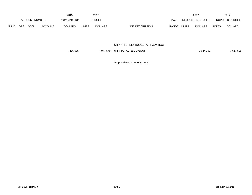|             |                |             |                    | 2015           |               | 2016           |                                  |                  | 201            |                        | 2017           |
|-------------|----------------|-------------|--------------------|----------------|---------------|----------------|----------------------------------|------------------|----------------|------------------------|----------------|
|             | ACCOUNT NUMBER |             | <b>EXPENDITURE</b> |                | <b>BUDGET</b> | PAY            |                                  | REQUESTED BUDGET |                | <b>PROPOSED BUDGET</b> |                |
| <b>FUND</b> | ORG            | <b>SBCL</b> | <b>ACCOUNT</b>     | <b>DOLLARS</b> | <b>UNITS</b>  | <b>DOLLARS</b> | LINE DESCRIPTION<br><b>RANGE</b> | <b>UNITS</b>     | <b>DOLLARS</b> | <b>UNITS</b>           | <b>DOLLARS</b> |

### CITY ATTORNEY BUDGETARY CONTROL

| UNIT TOTAL (1BCU=1DU)<br>7,486,695<br>7.947.579<br>7.644.390 | 7,617,505 |
|--------------------------------------------------------------|-----------|
|--------------------------------------------------------------|-----------|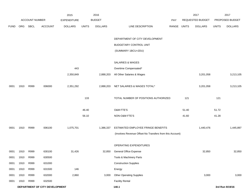|             |      |                       |                                | 2015               |              | 2016           |                                                          |       |       | 2017             |              | 2017            |
|-------------|------|-----------------------|--------------------------------|--------------------|--------------|----------------|----------------------------------------------------------|-------|-------|------------------|--------------|-----------------|
|             |      | <b>ACCOUNT NUMBER</b> |                                | <b>EXPENDITURE</b> |              | <b>BUDGET</b>  |                                                          | PAY   |       | REQUESTED BUDGET |              | PROPOSED BUDGET |
| <b>FUND</b> | ORG  | SBCL                  | <b>ACCOUNT</b>                 | <b>DOLLARS</b>     | <b>UNITS</b> | <b>DOLLARS</b> | LINE DESCRIPTION                                         | RANGE | UNITS | <b>DOLLARS</b>   | <b>UNITS</b> | <b>DOLLARS</b>  |
|             |      |                       |                                |                    |              |                |                                                          |       |       |                  |              |                 |
|             |      |                       |                                |                    |              |                | DEPARTMENT OF CITY DEVELOPMENT                           |       |       |                  |              |                 |
|             |      |                       |                                |                    |              |                | BUDGETARY CONTROL UNIT                                   |       |       |                  |              |                 |
|             |      |                       |                                |                    |              |                | (SUMMARY 1BCU=2DU)                                       |       |       |                  |              |                 |
|             |      |                       |                                |                    |              |                |                                                          |       |       |                  |              |                 |
|             |      |                       |                                |                    |              |                | SALARIES & WAGES                                         |       |       |                  |              |                 |
|             |      |                       |                                | 443                |              |                | Overtime Compensated*                                    |       |       |                  |              |                 |
|             |      |                       |                                | 2,350,849          |              | 2,888,203      | All Other Salaries & Wages                               |       |       | 3,201,058        |              | 3,213,105       |
|             |      |                       |                                |                    |              |                |                                                          |       |       |                  |              |                 |
| 0001        | 1910 | R999                  | 006000                         | 2,351,292          |              | 2,888,203      | NET SALARIES & WAGES TOTAL*                              |       |       | 3,201,058        |              | 3,213,105       |
|             |      |                       |                                |                    |              |                |                                                          |       |       |                  |              |                 |
|             |      |                       |                                |                    | 133          |                | TOTAL NUMBER OF POSITIONS AUTHORIZED                     |       | 121   |                  | 121          |                 |
|             |      |                       |                                |                    |              |                |                                                          |       |       |                  |              |                 |
|             |      |                       |                                |                    | 46.40        |                | O&M FTE'S                                                |       | 51.40 |                  | 51.72        |                 |
|             |      |                       |                                |                    | 56.10        |                | NON-O&M FTE'S                                            |       | 41.60 |                  | 41.28        |                 |
| 0001        | 1910 | R999                  | 006100                         | 1,075,701          |              | 1,386,337      | ESTIMATED EMPLOYEE FRINGE BENEFITS                       |       |       | 1,440,476        |              | 1,445,897       |
|             |      |                       |                                |                    |              |                | (Involves Revenue Offset-No Transfers from this Account) |       |       |                  |              |                 |
|             |      |                       |                                |                    |              |                |                                                          |       |       |                  |              |                 |
|             |      |                       |                                |                    |              |                | OPERATING EXPENDITURES                                   |       |       |                  |              |                 |
| 0001        | 1910 | R999                  | 630100                         | 31,426             |              | 32,850         | General Office Expense                                   |       |       | 32,850           |              | 32,850          |
| 0001        | 1910 | R999                  | 630500                         |                    |              |                | Tools & Machinery Parts                                  |       |       |                  |              |                 |
| 0001        | 1910 | R999                  | 631000                         |                    |              |                | <b>Construction Supplies</b>                             |       |       |                  |              |                 |
| 0001        | 1910 | R999                  | 631500                         | 146                |              |                | Energy                                                   |       |       |                  |              |                 |
| 0001        | 1910 | R999                  | 632000                         | 2,860              |              | 3,000          | <b>Other Operating Supplies</b>                          |       |       | 3,000            |              | 3,000           |
| 0001        | 1910 | R999                  | 632500                         |                    |              |                | <b>Facility Rental</b>                                   |       |       |                  |              |                 |
|             |      |                       | DEPARTMENT OF CITY DEVELOPMENT |                    |              |                | 140.1                                                    |       |       |                  |              | 3rd Run 9/19/16 |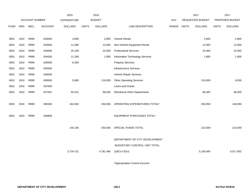|             |      |                |                | 2015               |              | 2016           |                                    |       |              | 2017                    |              | 2017            |
|-------------|------|----------------|----------------|--------------------|--------------|----------------|------------------------------------|-------|--------------|-------------------------|--------------|-----------------|
|             |      | ACCOUNT NUMBER |                | <b>EXPENDITURE</b> |              | <b>BUDGET</b>  |                                    | PAY   |              | <b>REQUESTED BUDGET</b> |              | PROPOSED BUDGET |
| <b>FUND</b> | ORG  | <b>SBCL</b>    | <b>ACCOUNT</b> | <b>DOLLARS</b>     | <b>UNITS</b> | <b>DOLLARS</b> | LINE DESCRIPTION                   | RANGE | <b>UNITS</b> | <b>DOLLARS</b>          | <b>UNITS</b> | <b>DOLLARS</b>  |
|             |      |                |                |                    |              |                |                                    |       |              |                         |              |                 |
| 0001        | 1910 | R999           | 633000         | 2,669              |              | 2,800          | <b>Vehicle Rental</b>              |       |              | 2,800                   |              | 2,800           |
| 0001        | 1910 | R999           | 633500         | 11,398             |              | 12,000         | Non-Vehicle Equipment Rental       |       |              | 12,000                  |              | 12,000          |
| 0001        | 1910 | R999           | 634000         | 25,159             |              | 22,000         | <b>Professional Services</b>       |       |              | 22,000                  |              | 22,000          |
| 0001        | 1910 | R999           | 634500         | 11,358             |              | 1,800          | Information Technology Services    |       |              | 1,800                   |              | 1,800           |
| 0001        | 1910 | R999           | 635000         | 6,359              |              |                | <b>Property Services</b>           |       |              |                         |              |                 |
| 0001        | 1910 | R999           | 635500         |                    |              |                | Infrastructure Services            |       |              |                         |              |                 |
| 0001        | 1910 | R999           | 636000         |                    |              |                | Vehicle Repair Services            |       |              |                         |              |                 |
| 0001        | 1910 | R999           | 636500         | 5,685              |              | 116,000        | <b>Other Operating Services</b>    |       |              | 116,000                 |              | 8,000           |
| 0001        | 1910 | R999           | 637000         |                    |              |                | Loans and Grants                   |       |              |                         |              |                 |
| 0001        | 1910 | R999           | 637501         | 65,522             |              | 66,500         | <b>Reimburse Other Departments</b> |       |              | 66,500                  |              | 66,500          |
|             |      |                |                |                    |              |                |                                    |       |              |                         |              |                 |
| 0001        | 1910 | R999           | 006300         | 162,582            |              | 256,950        | OPERATING EXPENDITURES TOTAL*      |       |              | 256,950                 |              | 148,950         |
|             |      |                |                |                    |              |                |                                    |       |              |                         |              |                 |
| 0001        | 1910 | R999           | 006800         |                    |              |                | EQUIPMENT PURCHASES TOTAL*         |       |              |                         |              |                 |
|             |      |                |                |                    |              |                |                                    |       |              |                         |              |                 |
|             |      |                |                | 145,156            |              | 250,000        | SPECIAL FUNDS TOTAL                |       |              | 210,000                 |              | 210,000         |
|             |      |                |                |                    |              |                |                                    |       |              |                         |              |                 |
|             |      |                |                |                    |              |                | DEPARTMENT OF CITY DEVELOPMENT     |       |              |                         |              |                 |
|             |      |                |                |                    |              |                | BUDGETARY CONTROL UNIT TOTAL       |       |              |                         |              |                 |
|             |      |                |                | 3,734,731          |              | 4,781,490      | $(1BCU=2DU)$                       |       |              | 5,108,484               |              | 5,017,952       |
|             |      |                |                |                    |              |                |                                    |       |              |                         |              |                 |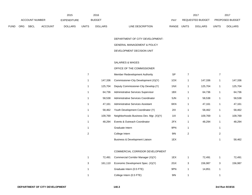|             |            |                       |         | 2015           |              | 2016           |                           | 2017                           |       | 201                    |
|-------------|------------|-----------------------|---------|----------------|--------------|----------------|---------------------------|--------------------------------|-------|------------------------|
|             |            | <b>ACCOUNT NUMBER</b> |         | EXPENDITURE    |              | <b>BUDGET</b>  | PAY                       | REQUESTED BUDGET               |       | <b>PROPOSED BUDGET</b> |
| <b>FUND</b> | <b>ORG</b> | <b>SBCL</b>           | ACCOUNT | <b>DOLLARS</b> | <b>UNITS</b> | <b>DOLLARS</b> | LINE DESCRIPTION<br>RANGE | <b>UNITS</b><br><b>DOLLARS</b> | UNITS | <b>DOLLARS</b>         |

DEPARTMENT OF CITY DEVELOPMENT-

### GENERAL MANAGEMENT & POLICY

### DEVELOPMENT DECISION UNIT

### SALARIES & WAGES

### OFFICE OF THE COMMISSIONER

| 7 |         | Member Redevelopment Authority          | <b>SP</b> |   |         |   |         |
|---|---------|-----------------------------------------|-----------|---|---------|---|---------|
| 1 | 147.336 | Commissioner-City Development (X)(Y)    | 10X       |   | 147,336 | 1 | 147,336 |
| 1 | 125,704 | Deputy Commissioner-City Develop. (Y)   | 1NX       |   | 125,704 |   | 125,704 |
| 1 | 64,736  | Administrative Services Supervisor      | 1BX       |   | 64,736  |   | 64,736  |
| 1 | 58,538  | Administrative Services Coordinator     | 5JN       |   | 58,538  |   | 58,538  |
| 1 | 47,161  | Administrative Services Assistant       | 6KN       |   | 47,161  | 1 | 47,161  |
| 1 | 58,462  | Youth Development Coordinator (Y)       | 2IX       |   | 58,462  | 1 | 58,462  |
| 1 | 109,769 | Neighborhoods Business Dev. Mgr. (X)(Y) | 11X       |   | 109,769 |   | 109,769 |
| 1 | 48,294  | Events & Outreach Coordinator           | 2FX       |   | 48,294  |   | 48,294  |
| 1 |         | Graduate Intern                         | 9PN       |   |         |   |         |
| 2 |         | College Intern                          | 9IN       | 2 |         | 2 |         |
|   |         | Business & Development Liaison          | 1EX       |   |         |   | 58,462  |

### COMMERCIAL CORRIDOR DEVELOPMENT

|   | 72.491  | Commercial Corridor Manager (X)(Y) | 1EX | 72.491  |   | 72.491  |
|---|---------|------------------------------------|-----|---------|---|---------|
| 3 | 161.110 | Economic Development Spec. (X)(Y)  | 2GX | 156.987 | ر | 156,987 |
|   |         | Graduate Intern (0.5 FTE)          | 9PN | 14.851  |   |         |
|   |         | College Intern (0.5 FTE)           | 91N |         |   |         |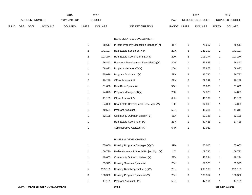|             |     |                |                | 2015               |                | 2016           |                                          |             |                         | 2017                    |                | 2017            |
|-------------|-----|----------------|----------------|--------------------|----------------|----------------|------------------------------------------|-------------|-------------------------|-------------------------|----------------|-----------------|
|             |     | ACCOUNT NUMBER |                | <b>EXPENDITURE</b> |                | <b>BUDGET</b>  |                                          | PAY         |                         | <b>REQUESTED BUDGET</b> |                | PROPOSED BUDGET |
| <b>FUND</b> | ORG | SBCL           | <b>ACCOUNT</b> | <b>DOLLARS</b>     | <b>UNITS</b>   | <b>DOLLARS</b> | LINE DESCRIPTION                         | RANGE UNITS |                         | <b>DOLLARS</b>          | <b>UNITS</b>   | <b>DOLLARS</b>  |
|             |     |                |                |                    |                |                |                                          |             |                         |                         |                |                 |
|             |     |                |                |                    |                |                | REAL ESTATE & DEVELOPMENT                |             |                         |                         |                |                 |
|             |     |                |                |                    | $\mathbf{1}$   | 78,617         | In Rem Property Disposition Manager (Y)  | 1FX         | 1                       | 78,617                  | 1              | 78,617          |
|             |     |                |                |                    | $\overline{2}$ | 141,107        | Real Estate Specialist (X)(Y)            | 2GX         | 2                       | 141,107                 | $\overline{a}$ | 141,107         |
|             |     |                |                |                    | $\overline{c}$ | 103,274        | Real Estate Coordinator II (X)(Y)        | 2DN         | $\overline{\mathbf{c}}$ | 103,274                 | $\overline{2}$ | 103,274         |
|             |     |                |                |                    | $\mathbf{1}$   | 56,843         | Economic Development Specialist (X)(Y)   | 2GX         | $\mathbf{1}$            | 56,843                  | $\mathbf{1}$   | 56,843          |
|             |     |                |                |                    | $\mathbf{1}$   | 58,873         | Property Manager (X)(Y)                  | 2DN         | 1                       | 58,873                  | 1              | 58,873          |
|             |     |                |                |                    | $\overline{2}$ | 85,078         | Program Assistant II (X)                 | 5FN         | $\overline{2}$          | 86,780                  | $\overline{a}$ | 86,780          |
|             |     |                |                |                    | $\overline{c}$ | 79,249         | Office Assistant III                     | 6FN         | $\overline{\mathbf{c}}$ | 79,249                  | $\overline{a}$ | 79,249          |
|             |     |                |                |                    | $\mathbf{1}$   | 51,660         | Data Base Specialist                     | 5GN         | $\mathbf{1}$            | 51,660                  | 1              | 51,660          |
|             |     |                |                |                    | 1              | 74,873         | Program Manager (X)(Y)                   | 2GX         | 1                       | 74,873                  | $\mathbf{1}$   | 74,873          |
|             |     |                |                |                    | $\mathbf{1}$   | 41,109         | Office Assistant IV                      | 6HN         | $\mathbf{1}$            | 41,109                  | $\mathbf{1}$   | 41,109          |
|             |     |                |                |                    | 1              | 84,000         | Real Estate Development Serv. Mgr. (Y)   | 1HX         | 1                       | 84,000                  | $\mathbf{1}$   | 84,000          |
|             |     |                |                |                    | $\mathbf{1}$   | 40,501         | Program Assistant I                      | 5EN         | $\mathbf{1}$            | 41,311                  | $\mathbf{1}$   | 41,311          |
|             |     |                |                |                    | $\mathbf{1}$   | 52,125         | Community Outreach Liaison (Y)           | 2EX         | 1                       | 52,125                  | $\mathbf{1}$   | 52,125          |
|             |     |                |                |                    | $\mathbf{1}$   |                | Real Estate Coordinator (A)              | 2BN         | 1                       | 37,425                  | $\mathbf{1}$   | 37,425          |
|             |     |                |                |                    | $\mathbf 1$    |                | Administrative Assistant (A)             | 6HN         | 1                       | 37,080                  |                |                 |
|             |     |                |                |                    |                |                |                                          |             |                         |                         |                |                 |
|             |     |                |                |                    |                |                | HOUSING DEVELOPMENT                      |             |                         |                         |                |                 |
|             |     |                |                |                    | $\mathbf{1}$   | 65,000         | Housing Programs Manager (X)(Y)          | 1FX         | 1                       | 65,000                  | 1              | 65,000          |
|             |     |                |                |                    | 1              | 109.790        | Redevelopment & Special Project Mgr. (Y) | 11X         | 1                       | 109.790                 |                | 109.790         |

| 11X<br>Redevelopment & Special Project Mgr. (Y)<br>109.790<br>109.790       | 109,790 |
|-----------------------------------------------------------------------------|---------|
| 2EX<br>Community Outreach Liaison (Y)<br>48.294<br>49.653                   | 48,294  |
| 2DN<br><b>Housing Services Specialist</b><br>59,373<br>59.373               | 59,373  |
| 5<br>Housing Rehab Specialist (X)(Y)<br>2EN<br>5<br>5<br>299.189<br>299,189 | 299,189 |
| 3<br>2DN<br>Housing Program Specialist (Y)<br>3<br>3<br>108.352<br>108.352  | 108,352 |
| Program Assistant I (Y)<br>5EN<br>47,161<br>47,161                          | 47,161  |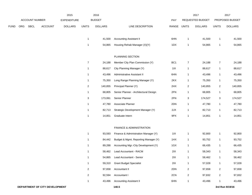|      |     |                |                | 2015               |                | 2016           |                                       |                 |                         | 2017             |                         | 2017            |
|------|-----|----------------|----------------|--------------------|----------------|----------------|---------------------------------------|-----------------|-------------------------|------------------|-------------------------|-----------------|
|      |     | ACCOUNT NUMBER |                | <b>EXPENDITURE</b> |                | <b>BUDGET</b>  |                                       | PAY             |                         | REQUESTED BUDGET |                         | PROPOSED BUDGET |
| FUND | ORG | <b>SBCL</b>    | <b>ACCOUNT</b> | <b>DOLLARS</b>     | <b>UNITS</b>   | <b>DOLLARS</b> | LINE DESCRIPTION                      | RANGE           | <b>UNITS</b>            | <b>DOLLARS</b>   | <b>UNITS</b>            | <b>DOLLARS</b>  |
|      |     |                |                |                    |                |                |                                       |                 |                         |                  |                         |                 |
|      |     |                |                |                    | $\mathbf{1}$   | 41,500         | <b>Accounting Assistant II</b>        | 6HN             | $\overline{1}$          | 41,500           | $\mathbf{1}$            | 41,500          |
|      |     |                |                |                    | $\mathbf{1}$   | 54,865         | Housing Rehab Manager (X)(Y)          | 1DX             | $\overline{1}$          | 54,865           | $\mathbf{1}$            | 54,865          |
|      |     |                |                |                    |                |                | PLANNING SECTION                      |                 |                         |                  |                         |                 |
|      |     |                |                |                    | $\overline{7}$ | 24,188         | Member City Plan Commission (Y)       | BC <sub>1</sub> | $\overline{7}$          | 24,188           | $\overline{7}$          | 24,188          |
|      |     |                |                |                    | $\mathbf{1}$   | 88,617         | City Planning Manager (Y)             | 11X             | $\mathbf{1}$            | 88,617           | $\mathbf{1}$            | 88,617          |
|      |     |                |                |                    | 1              | 43,496         | Administrative Assistant II           | 6HN             | $\mathbf{1}$            | 43,496           | $\mathbf{1}$            | 43,496          |
|      |     |                |                |                    | $\mathbf{1}$   | 75,350         | Long Range Planning Manager (Y)       | 2KX             | $\mathbf{1}$            | 75,350           | $\mathbf{1}$            | 75,350          |
|      |     |                |                |                    | $\overline{a}$ | 140,855        | Principal Planner (Y)                 | 2HX             | $\overline{c}$          | 140,855          | $\overline{2}$          | 140,855         |
|      |     |                |                |                    | $\mathbf{1}$   | 68,805         | Senior Planner - Architectural Design | 2FN             | $\mathbf{1}$            | 68,805           | $\mathbf{1}$            | 68,805          |
|      |     |                |                |                    | 3              | 173,061        | Senior Planner                        | 2FN             | 3                       | 174,527          | 3                       | 174,527         |
|      |     |                |                |                    | $\mathbf{1}$   | 47,780         | Associate Planner                     | 2DN             | $\mathbf{1}$            | 47,780           | $\mathbf{1}$            | 47,780          |
|      |     |                |                |                    | $\mathbf{1}$   | 82,713         | Strategic Development Manager (Y)     | 2JX             | $\overline{1}$          | 82,713           | $\mathbf{1}$            | 82,713          |
|      |     |                |                |                    | $\mathbf{1}$   | 14,851         | Graduate Intern                       | 9PX             | $\mathbf{1}$            | 14,851           | $\mathbf{1}$            | 14,851          |
|      |     |                |                |                    |                |                |                                       |                 |                         |                  |                         |                 |
|      |     |                |                |                    |                |                | FINANCE & ADMINISTRATION              |                 |                         |                  |                         |                 |
|      |     |                |                |                    | 1              | 93,593         | Finance & Administration Manager (Y)  | 11X             | 1                       | 92,800           | $\mathbf{1}$            | 92,800          |
|      |     |                |                |                    | $\mathbf{1}$   | 84,442         | Budget & Mgmt. Reporting Manager (Y)  | 1HX             | $\overline{1}$          | 93,752           | $\mathbf{1}$            | 93,752          |
|      |     |                |                |                    | $\mathbf{1}$   | 89,288         | Accounting Mgr.-City Development (Y)  | 1GX             | $\overline{1}$          | 66,435           | $\mathbf{1}$            | 66,435          |
|      |     |                |                |                    | $\mathbf 1$    | 58,462         | Lead Accountant - RACM                | 2IX             | $\mathbf{1}$            | 58,343           | $\mathbf{1}$            | 58,343          |
|      |     |                |                |                    | $\mathbf{1}$   | 54,865         | Lead Accountant - Senior              | 2IX             | $\mathbf{1}$            | 58,462           | $\mathbf{1}$            | 58,462          |
|      |     |                |                |                    | $\mathbf{1}$   | 59,310         | <b>Grant Budget Specialist</b>        | 2IX             | $\mathbf{1}$            | 57,028           | $\mathbf{1}$            | 57,028          |
|      |     |                |                |                    | $\overline{a}$ | 97,658         | Accountant II                         | 2DN             | $\overline{2}$          | 97,658           | $\overline{\mathbf{c}}$ | 97,658          |
|      |     |                |                |                    | $\overline{a}$ | 92,594         | Accountant I                          | 2CN             | $\overline{\mathbf{c}}$ | 97,832           | $\overline{2}$          | 97,832          |
|      |     |                |                |                    | $\mathbf{1}$   | 43,496         | <b>Accounting Assistant II</b>        | 6HN             | $\mathbf{1}$            | 43,496           | $\mathbf{1}$            | 43,496          |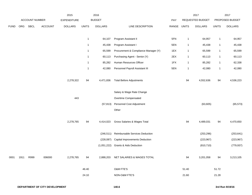|             |      |                |                | 2015               |              | 2016           |                                       |             |              | 2017             |              | 2017            |
|-------------|------|----------------|----------------|--------------------|--------------|----------------|---------------------------------------|-------------|--------------|------------------|--------------|-----------------|
|             |      | ACCOUNT NUMBER |                | <b>EXPENDITURE</b> |              | <b>BUDGET</b>  |                                       | PAY         |              | REQUESTED BUDGET |              | PROPOSED BUDGET |
| <b>FUND</b> | ORG  | <b>SBCL</b>    | <b>ACCOUNT</b> | <b>DOLLARS</b>     | <b>UNITS</b> | <b>DOLLARS</b> | LINE DESCRIPTION                      | RANGE UNITS |              | <b>DOLLARS</b>   | <b>UNITS</b> | <b>DOLLARS</b>  |
|             |      |                |                |                    |              |                |                                       |             |              |                  |              |                 |
|             |      |                |                |                    | $\mathbf{1}$ | 64,107         | Program Assistant II                  | 5FN         | $\mathbf{1}$ | 64,957           | $\mathbf{1}$ | 64,957          |
|             |      |                |                |                    | $\mathbf{1}$ | 45,438         | Program Assistant I                   | 5EN         | $\mathbf{1}$ | 45,438           | $\mathbf{1}$ | 45,438          |
|             |      |                |                |                    | $\mathbf{1}$ | 65,599         | Procurement & Compliance Manager (Y)  | 1EX         | $\mathbf{1}$ | 65,599           | $\mathbf{1}$ | 65,599          |
|             |      |                |                |                    | $\mathbf{1}$ | 60,113         | Purchasing Agent - Senior (Y)         | 2EX         | $\mathbf{1}$ | 60,113           | $\mathbf{1}$ | 60,113          |
|             |      |                |                |                    | $\mathbf{1}$ | 85,282         | Human Resources Officer               | 1FX         | $\mathbf{1}$ | 85,282           | $\mathbf{1}$ | 62,338          |
|             |      |                |                |                    | $\mathbf{1}$ | 42,080         | Personnel Payroll Assistant III       | 5EN         | $\mathbf{1}$ | 42,080           | $\mathbf{1}$ | 42,080          |
|             |      |                |                | 2,278,322          | 94           | 4,471,836      | <b>Total Before Adjustments</b>       |             | 94           | 4,552,636        | 94           | 4,536,223       |
|             |      |                |                |                    |              |                | Salary & Wage Rate Change             |             |              |                  |              |                 |
|             |      |                |                | 443                |              |                | Overtime Compensated                  |             |              |                  |              |                 |
|             |      |                |                |                    |              | (57, 813)      | Personnel Cost Adjustment             |             |              | (63, 605)        |              | (65, 573)       |
|             |      |                |                |                    |              |                | Other                                 |             |              |                  |              |                 |
|             |      |                |                | 2,278,765          | 94           | 4,414,023      | Gross Salaries & Wages Total          |             | 94           | 4,489,031        | 94           | 4,470,650       |
|             |      |                |                |                    |              | (246, 511)     | Reimbursable Services Deduction       |             |              | (253, 296)       |              | (253, 641)      |
|             |      |                |                |                    |              | (228, 087)     | <b>Capital Improvements Deduction</b> |             |              | (223, 967)       |              | (223, 967)      |
|             |      |                |                |                    |              | (1,051,222)    | <b>Grants &amp; Aids Deduction</b>    |             |              | (810, 710)       |              | (779, 937)      |
| 0001        | 1911 | R999           | 006000         | 2,278,765          | 94           | 2,888,203      | NET SALARIES & WAGES TOTAL            |             | 94           | 3,201,058        | 94           | 3,213,105       |
|             |      |                |                |                    | 46.40        |                | O&M FTE'S                             |             | 51.40        |                  | 51.72        |                 |
|             |      |                |                |                    | 24.10        |                | NON-O&M FTE'S                         |             | 21.60        |                  | 21.28        |                 |
|             |      |                |                |                    |              |                |                                       |             |              |                  |              |                 |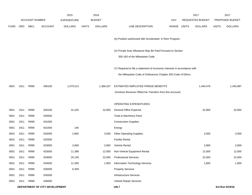|             |            |                       |                                | 2015               |              | 2016           |                                                                                                                                           |            |              | 2017             |              | 2017            |
|-------------|------------|-----------------------|--------------------------------|--------------------|--------------|----------------|-------------------------------------------------------------------------------------------------------------------------------------------|------------|--------------|------------------|--------------|-----------------|
|             |            | <b>ACCOUNT NUMBER</b> |                                | <b>EXPENDITURE</b> |              | <b>BUDGET</b>  |                                                                                                                                           | <b>PAY</b> |              | REQUESTED BUDGET |              | PROPOSED BUDGET |
| <b>FUND</b> | <b>ORG</b> | SBCL                  | <b>ACCOUNT</b>                 | <b>DOLLARS</b>     | <b>UNITS</b> | <b>DOLLARS</b> | LINE DESCRIPTION                                                                                                                          | RANGE      | <b>UNITS</b> | <b>DOLLARS</b>   | <b>UNITS</b> | <b>DOLLARS</b>  |
|             |            |                       |                                |                    |              |                | (A) Position authorized with Accelerated In Rem Program.                                                                                  |            |              |                  |              |                 |
|             |            |                       |                                |                    |              |                | (X) Private Auto Allowance May Be Paid Pursuant to Section<br>350-183 of the Milwaukee Code.                                              |            |              |                  |              |                 |
|             |            |                       |                                |                    |              |                | (Y) Required to file a statement of economic interests in accordance with<br>the Milwaukee Code of Ordinances Chapter 303-Code of Ethics. |            |              |                  |              |                 |
| 0001        | 1911       | R999                  | 006100                         | 1,075,513          |              | 1,386,337      | ESTIMATED EMPLOYEE FRINGE BENEFITS<br>(Involves Revenue Offset-No Transfers from this Account)                                            |            |              | 1,440,476        |              | 1,445,897       |
|             |            |                       |                                |                    |              |                | OPERATING EXPENDITURES                                                                                                                    |            |              |                  |              |                 |
| 0001        | 1911       | R999                  | 630100                         | 31,426             |              | 32,850         | General Office Expense                                                                                                                    |            |              | 32,850           |              | 32,850          |
| 0001        | 1911       | R999                  | 630500                         |                    |              |                | Tools & Machinery Parts                                                                                                                   |            |              |                  |              |                 |
| 0001        | 1911       | R999                  | 631000                         |                    |              |                | <b>Construction Supplies</b>                                                                                                              |            |              |                  |              |                 |
| 0001        | 1911       | R999                  | 631500                         | 146                |              |                | Energy                                                                                                                                    |            |              |                  |              |                 |
| 0001        | 1911       | R999                  | 632000                         | 2,860              |              | 3,000          | <b>Other Operating Supplies</b>                                                                                                           |            |              | 3,000            |              | 3,000           |
| 0001        | 1911       | R999                  | 632500                         |                    |              |                | <b>Facility Rental</b>                                                                                                                    |            |              |                  |              |                 |
| 0001        | 1911       | R999                  | 633000                         | 2,669              |              | 2,800          | Vehicle Rental                                                                                                                            |            |              | 2,800            |              | 2,800           |
| 0001        | 1911       | R999                  | 633500                         | 11,398             |              | 12,000         | Non-Vehicle Equipment Rental                                                                                                              |            |              | 12,000           |              | 12,000          |
| 0001        | 1911       | R999                  | 634000                         | 25,159             |              | 22,000         | <b>Professional Services</b>                                                                                                              |            |              | 22,000           |              | 22,000          |
| 0001        | 1911       | R999                  | 634500                         | 11,358             |              | 1,800          | Information Technology Services                                                                                                           |            |              | 1,800            |              | 1,800           |
| 0001        | 1911       | R999                  | 635000                         | 6,359              |              |                | <b>Property Services</b>                                                                                                                  |            |              |                  |              |                 |
| 0001        | 1911       | R999                  | 635500                         |                    |              |                | Infrastructure Services                                                                                                                   |            |              |                  |              |                 |
| 0001        | 1911       | R999                  | 636000                         |                    |              |                | Vehicle Repair Services                                                                                                                   |            |              |                  |              |                 |
|             |            |                       | DEPARTMENT OF CITY DEVELOPMENT |                    |              |                | 140.7                                                                                                                                     |            |              |                  |              | 3rd Run 9/19/16 |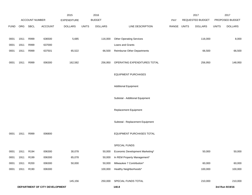|             |      | ACCOUNT NUMBER   |                                | 2015                                 |              | 2016<br><b>BUDGET</b> |                                  |                           | 2017<br>REQUESTED BUDGET |              | 2017<br>PROPOSED BUDGET |
|-------------|------|------------------|--------------------------------|--------------------------------------|--------------|-----------------------|----------------------------------|---------------------------|--------------------------|--------------|-------------------------|
| <b>FUND</b> | ORG  | <b>SBCL</b>      | ACCOUNT                        | <b>EXPENDITURE</b><br><b>DOLLARS</b> | <b>UNITS</b> | <b>DOLLARS</b>        | LINE DESCRIPTION                 | <b>PAY</b><br>RANGE UNITS | <b>DOLLARS</b>           | <b>UNITS</b> | <b>DOLLARS</b>          |
|             |      |                  |                                |                                      |              |                       |                                  |                           |                          |              |                         |
| 0001        | 1911 | R999             | 636500                         | 5,685                                |              | 116,000               | <b>Other Operating Services</b>  |                           | 116,000                  |              | 8,000                   |
| 0001        | 1911 | R999             | 637000                         |                                      |              |                       | Loans and Grants                 |                           |                          |              |                         |
| 0001        | 1911 | R999             | 637501                         | 65,522                               |              | 66,500                | Reimburse Other Departments      |                           | 66,500                   |              | 66,500                  |
| 0001        | 1911 | R999             | 006300                         | 162,582                              |              | 256,950               | OPERATING EXPENDITURES TOTAL     |                           | 256,950                  |              | 148,950                 |
|             |      |                  |                                |                                      |              |                       | <b>EQUIPMENT PURCHASES</b>       |                           |                          |              |                         |
|             |      |                  |                                |                                      |              |                       | <b>Additional Equipment</b>      |                           |                          |              |                         |
|             |      |                  |                                |                                      |              |                       | Subtotal - Additional Equipment  |                           |                          |              |                         |
|             |      |                  |                                |                                      |              |                       | Replacement Equipment            |                           |                          |              |                         |
|             |      |                  |                                |                                      |              |                       | Subtotal - Replacement Equipment |                           |                          |              |                         |
| 0001        | 1911 | R999             | 006800                         |                                      |              |                       | EQUIPMENT PURCHASES TOTAL        |                           |                          |              |                         |
|             |      |                  |                                |                                      |              |                       | SPECIAL FUNDS                    |                           |                          |              |                         |
| 0001        | 1911 | R <sub>194</sub> | 006300                         | 30,078                               |              | 50,000                | Economic Development Marketing*  |                           | 50,000                   |              | 50,000                  |
| 0001        | 1911 | R199             | 006300                         | 65,078                               |              | 50,000                | In REM Property Management*      |                           |                          |              |                         |
| 0001        | 1911 | R200             | 006300                         | 50,000                               |              | 50,000                | Milwaukee 7 Contribution*        |                           | 60,000                   |              | 60,000                  |
| 0001        | 1911 | R190             | 006300                         |                                      |              | 100,000               | Healthy Neighborhoods*           |                           | 100,000                  |              | 100,000                 |
|             |      |                  |                                | 145,156                              |              | 250,000               | SPECIAL FUNDS TOTAL              |                           | 210,000                  |              | 210,000                 |
|             |      |                  | DEPARTMENT OF CITY DEVELOPMENT |                                      |              |                       | 140.8                            |                           |                          |              | 3rd Run 9/19/16         |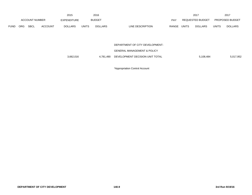|             |                       |             |                | 2015               |              | 2016           |                           |              | 2017             |              | 2017                   |
|-------------|-----------------------|-------------|----------------|--------------------|--------------|----------------|---------------------------|--------------|------------------|--------------|------------------------|
|             | <b>ACCOUNT NUMBER</b> |             |                | <b>EXPENDITURE</b> |              | <b>BUDGET</b>  | PAY                       |              | REQUESTED BUDGET |              | <b>PROPOSED BUDGET</b> |
| <b>FUND</b> | <b>ORG</b>            | <b>SBCL</b> | <b>ACCOUNT</b> | <b>DOLLARS</b>     | <b>UNITS</b> | <b>DOLLARS</b> | LINE DESCRIPTION<br>RANGE | <b>UNITS</b> | <b>DOLLARS</b>   | <b>UNITS</b> | <b>DOLLARS</b>         |

DEPARTMENT OF CITY DEVELOPMENT-

GENERAL MANAGEMENT & POLICY

3,662,016 4,781,490 DEVELOPMENT DECISION UNIT TOTAL 5,108,484 5,108,484 5,017,952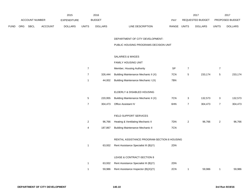|      |     |                |         | 2015           |                  | 2016           |                                             |                            |                | 2017             |                  | 2017            |
|------|-----|----------------|---------|----------------|------------------|----------------|---------------------------------------------|----------------------------|----------------|------------------|------------------|-----------------|
|      |     | ACCOUNT NUMBER |         | EXPENDITURE    |                  | <b>BUDGET</b>  |                                             | PAY                        |                | REQUESTED BUDGET |                  | PROPOSED BUDGET |
| FUND | ORG | SBCL           | ACCOUNT | <b>DOLLARS</b> | <b>UNITS</b>     | <b>DOLLARS</b> | LINE DESCRIPTION                            | RANGE UNITS                |                | <b>DOLLARS</b>   | <b>UNITS</b>     | <b>DOLLARS</b>  |
|      |     |                |         |                |                  |                | DEPARTMENT OF CITY DEVELOPMENT-             |                            |                |                  |                  |                 |
|      |     |                |         |                |                  |                | PUBLIC HOUSING PROGRAMS DECISION UNIT       |                            |                |                  |                  |                 |
|      |     |                |         |                |                  |                | <b>SALARIES &amp; WAGES</b>                 |                            |                |                  |                  |                 |
|      |     |                |         |                |                  |                | FAMILY HOUSING UNIT                         |                            |                |                  |                  |                 |
|      |     |                |         |                | $\boldsymbol{7}$ |                | Member, Housing Authority                   | $\ensuremath{\mathsf{SP}}$ | $\overline{7}$ |                  | $\overline{7}$   |                 |
|      |     |                |         |                | $\overline{7}$   | 326,444        | Building Maintenance Mechanic II (X)        | 7CN                        | 5              | 233,174          | $\,$ 5 $\,$      | 233,174         |
|      |     |                |         |                | $\mathbf{1}$     | 44,002         | Building Maintenance Mechanic I (X)         | 7BN                        |                |                  |                  |                 |
|      |     |                |         |                |                  |                | ELDERLY & DISABLED HOUSING                  |                            |                |                  |                  |                 |
|      |     |                |         |                | $\,$ 5 $\,$      | 220,955        | Building Maintenance Mechanic II (X)        | 7CN                        | 3              | 132,573          | 3                | 132,573         |
|      |     |                |         |                | $\overline{7}$   | 304,473        | Office Assistant IV                         | 6HN                        | $\overline{7}$ | 304,473          | $\boldsymbol{7}$ | 304,473         |
|      |     |                |         |                |                  |                | FIELD SUPPORT SERVICES                      |                            |                |                  |                  |                 |
|      |     |                |         |                | $\overline{c}$   | 96,766         | Heating & Ventilating Mechanic II           | 7DN                        | $\overline{c}$ | 96,766           | $\overline{a}$   | 96,766          |
|      |     |                |         |                | 4                | 187,867        | <b>Building Maintenance Mechanic II</b>     | 7CN                        |                |                  |                  |                 |
|      |     |                |         |                |                  |                | RENTAL ASSISTANCE PROGRAM-SECTION 8 HOUSING |                            |                |                  |                  |                 |
|      |     |                |         |                | $\mathbf{1}$     | 63,932         | Rent Assistance Specialist III (B)(Y)       | 2DN                        |                |                  |                  |                 |
|      |     |                |         |                |                  |                | LEASE & CONTRACT-SECTION 8                  |                            |                |                  |                  |                 |
|      |     |                |         |                | $\mathbf{1}$     | 63,932         | Rent Assistance Specialist III (B)(Y)       | 2DN                        |                |                  |                  |                 |
|      |     |                |         |                | $\mathbf{1}$     | 59,986         | Rent Assistance Inspector (B)(X)(Y)         | 2CN                        | $\mathbf{1}$   | 59,986           | $\mathbf{1}$     | 59,986          |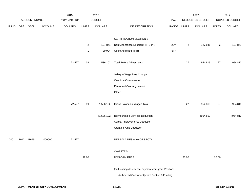|             |      |                       |         | 2015               |                | 2016           |                                                                                                      |             |                  | 2017             |                  | 2017            |
|-------------|------|-----------------------|---------|--------------------|----------------|----------------|------------------------------------------------------------------------------------------------------|-------------|------------------|------------------|------------------|-----------------|
|             |      | <b>ACCOUNT NUMBER</b> |         | <b>EXPENDITURE</b> |                | <b>BUDGET</b>  |                                                                                                      | PAY         |                  | REQUESTED BUDGET |                  | PROPOSED BUDGET |
| <b>FUND</b> |      | ORG SBCL              | ACCOUNT | <b>DOLLARS</b>     | <b>UNITS</b>   | <b>DOLLARS</b> | LINE DESCRIPTION                                                                                     | RANGE UNITS |                  | <b>DOLLARS</b>   | <b>UNITS</b>     | <b>DOLLARS</b>  |
|             |      |                       |         |                    |                |                |                                                                                                      |             |                  |                  |                  |                 |
|             |      |                       |         |                    |                |                | CERTIFICATION-SECTION 8                                                                              |             |                  |                  |                  |                 |
|             |      |                       |         |                    | $\overline{a}$ | 127,841        | Rent Assistance Specialist III (B)(Y)                                                                | 2DN         | $\boldsymbol{2}$ | 127,841          | $\boldsymbol{2}$ | 127,841         |
|             |      |                       |         |                    | $\mathbf{1}$   | 39,904         | Office Assistant III (B)                                                                             | 6FN         |                  |                  |                  |                 |
|             |      |                       |         | 72,527             | 39             | 1,536,102      | <b>Total Before Adjustments</b>                                                                      |             | $27\,$           | 954,813          | 27               | 954,813         |
|             |      |                       |         |                    |                |                | Salary & Wage Rate Change                                                                            |             |                  |                  |                  |                 |
|             |      |                       |         |                    |                |                | Overtime Compensated                                                                                 |             |                  |                  |                  |                 |
|             |      |                       |         |                    |                |                | Personnel Cost Adjustment                                                                            |             |                  |                  |                  |                 |
|             |      |                       |         |                    |                |                | Other                                                                                                |             |                  |                  |                  |                 |
|             |      |                       |         |                    |                |                |                                                                                                      |             |                  |                  |                  |                 |
|             |      |                       |         | 72,527             | 39             | 1,536,102      | Gross Salaries & Wages Total                                                                         |             | $27\,$           | 954,813          | 27               | 954,813         |
|             |      |                       |         |                    |                | (1,536,102)    | Reimbursable Services Deduction                                                                      |             |                  | (954, 813)       |                  | (954, 813)      |
|             |      |                       |         |                    |                |                | Capital Improvements Deduction                                                                       |             |                  |                  |                  |                 |
|             |      |                       |         |                    |                |                | <b>Grants &amp; Aids Deduction</b>                                                                   |             |                  |                  |                  |                 |
|             |      |                       |         |                    |                |                |                                                                                                      |             |                  |                  |                  |                 |
| 0001        | 1912 | R999                  | 006000  | 72,527             |                |                | NET SALARIES & WAGES TOTAL                                                                           |             |                  |                  |                  |                 |
|             |      |                       |         |                    |                |                | O&M FTE'S                                                                                            |             |                  |                  |                  |                 |
|             |      |                       |         |                    | 32.00          |                | NON-O&M FTE'S                                                                                        |             | 20.00            |                  | 20.00            |                 |
|             |      |                       |         |                    |                |                | (B) Housing Assistance Payments Program Positions<br>Authorized Concurrently with Section 8 Funding. |             |                  |                  |                  |                 |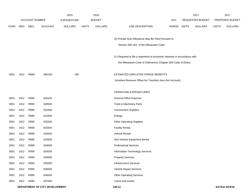|             |      |                       |                                | 2015               |              | 2016           |                                                                           |             | 2017             |              | 2017            |
|-------------|------|-----------------------|--------------------------------|--------------------|--------------|----------------|---------------------------------------------------------------------------|-------------|------------------|--------------|-----------------|
|             |      | <b>ACCOUNT NUMBER</b> |                                | <b>EXPENDITURE</b> |              | <b>BUDGET</b>  |                                                                           | PAY         | REQUESTED BUDGET |              | PROPOSED BUDGET |
| <b>FUND</b> | ORG  | <b>SBCL</b>           | <b>ACCOUNT</b>                 | <b>DOLLARS</b>     | <b>UNITS</b> | <b>DOLLARS</b> | LINE DESCRIPTION                                                          | RANGE UNITS | <b>DOLLARS</b>   | <b>UNITS</b> | <b>DOLLARS</b>  |
|             |      |                       |                                |                    |              |                |                                                                           |             |                  |              |                 |
|             |      |                       |                                |                    |              |                | (X) Private Auto Allowance May Be Paid Pursuant to                        |             |                  |              |                 |
|             |      |                       |                                |                    |              |                | Section 350-183 of the Milwaukee Code.                                    |             |                  |              |                 |
|             |      |                       |                                |                    |              |                |                                                                           |             |                  |              |                 |
|             |      |                       |                                |                    |              |                | (Y) Required to file a statement of economic interests in accordance with |             |                  |              |                 |
|             |      |                       |                                |                    |              |                | the Milwaukee Code of Ordinances Chapter 303-Code of Ethics.              |             |                  |              |                 |
| 0001        | 1912 | R999                  | 006100                         | 188                |              |                | ESTIMATED EMPLOYEE FRINGE BENEFITS                                        |             |                  |              |                 |
|             |      |                       |                                |                    |              |                | (Involves Revenue Offset-No Transfers from this Account)                  |             |                  |              |                 |
|             |      |                       |                                |                    |              |                |                                                                           |             |                  |              |                 |
|             |      |                       |                                |                    |              |                | <b>OPERATING EXPENDITURES</b>                                             |             |                  |              |                 |
| 0001        | 1912 | R999                  | 630100                         |                    |              |                | <b>General Office Expense</b>                                             |             |                  |              |                 |
| 0001        | 1912 | R999                  | 630500                         |                    |              |                | Tools & Machinery Parts                                                   |             |                  |              |                 |
| 0001        | 1912 | R999                  | 631000                         |                    |              |                | <b>Construction Supplies</b>                                              |             |                  |              |                 |
| 0001        | 1912 | R999                  | 631500                         |                    |              |                | Energy                                                                    |             |                  |              |                 |
| 0001        | 1912 | R999                  | 632000                         |                    |              |                | <b>Other Operating Supplies</b>                                           |             |                  |              |                 |
| 0001        | 1912 | R999                  | 632500                         |                    |              |                | <b>Facility Rental</b>                                                    |             |                  |              |                 |
| 0001        | 1912 | R999                  | 633000                         |                    |              |                | Vehicle Rental                                                            |             |                  |              |                 |
| 0001        | 1912 | R999                  | 633500                         |                    |              |                | Non-Vehicle Equipment Rental                                              |             |                  |              |                 |
| 0001        | 1912 | R999                  | 634000                         |                    |              |                | <b>Professional Services</b>                                              |             |                  |              |                 |
| 0001        | 1912 | R999                  | 634500                         |                    |              |                | Information Technology Services                                           |             |                  |              |                 |
| 0001        | 1912 | R999                  | 635000                         |                    |              |                | <b>Property Services</b>                                                  |             |                  |              |                 |
| 0001        | 1912 | R999                  | 635500                         |                    |              |                | <b>Infrastructure Services</b>                                            |             |                  |              |                 |
| 0001        | 1912 | R999                  | 636000                         |                    |              |                | Vehicle Repair Services                                                   |             |                  |              |                 |
| 0001        | 1912 | R999                  | 636500                         |                    |              |                | <b>Other Operating Services</b>                                           |             |                  |              |                 |
| 0001        | 1912 | R999                  | 637000                         |                    |              |                | Loans and Grants                                                          |             |                  |              |                 |
|             |      |                       | DEPARTMENT OF CITY DEVELOPMENT |                    |              |                | 140.12                                                                    |             |                  |              | 3rd Run 9/19/16 |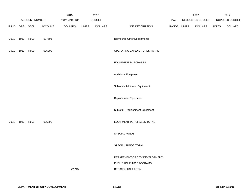|               |           |                       |         | 2015               |              | 2016           |                                    |             | 2017             |              | 2017            |
|---------------|-----------|-----------------------|---------|--------------------|--------------|----------------|------------------------------------|-------------|------------------|--------------|-----------------|
|               |           | <b>ACCOUNT NUMBER</b> |         | <b>EXPENDITURE</b> |              | <b>BUDGET</b>  |                                    | PAY         | REQUESTED BUDGET |              | PROPOSED BUDGET |
| FUND ORG SBCL |           |                       | ACCOUNT | <b>DOLLARS</b>     | <b>UNITS</b> | <b>DOLLARS</b> | LINE DESCRIPTION                   | RANGE UNITS | <b>DOLLARS</b>   | <b>UNITS</b> | <b>DOLLARS</b>  |
| 0001          | 1912 R999 |                       | 637501  |                    |              |                | <b>Reimburse Other Departments</b> |             |                  |              |                 |
| 0001          | 1912      | R999                  | 006300  |                    |              |                | OPERATING EXPENDITURES TOTAL       |             |                  |              |                 |
|               |           |                       |         |                    |              |                | <b>EQUIPMENT PURCHASES</b>         |             |                  |              |                 |
|               |           |                       |         |                    |              |                | <b>Additional Equipment</b>        |             |                  |              |                 |
|               |           |                       |         |                    |              |                | Subtotal - Additional Equipment    |             |                  |              |                 |
|               |           |                       |         |                    |              |                | <b>Replacement Equipment</b>       |             |                  |              |                 |
|               |           |                       |         |                    |              |                | Subtotal - Replacement Equipment   |             |                  |              |                 |
| 0001          | 1912 R999 |                       | 006800  |                    |              |                | EQUIPMENT PURCHASES TOTAL          |             |                  |              |                 |
|               |           |                       |         |                    |              |                | SPECIAL FUNDS                      |             |                  |              |                 |
|               |           |                       |         |                    |              |                | SPECIAL FUNDS TOTAL                |             |                  |              |                 |
|               |           |                       |         |                    |              |                | DEPARTMENT OF CITY DEVELOPMENT-    |             |                  |              |                 |
|               |           |                       |         |                    |              |                | PUBLIC HOUSING PROGRAMS            |             |                  |              |                 |
|               |           |                       |         | 72,715             |              |                | DECISION UNIT TOTAL                |             |                  |              |                 |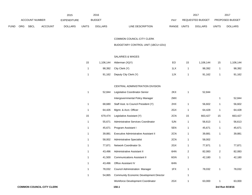|             |     |                       |                | 2015               |              | 2016           |                                  | 2017                           |       | 2017                   |
|-------------|-----|-----------------------|----------------|--------------------|--------------|----------------|----------------------------------|--------------------------------|-------|------------------------|
|             |     | <b>ACCOUNT NUMBER</b> |                | <b>EXPENDITURE</b> |              | <b>BUDGET</b>  | PAY                              | <b>REQUESTED BUDGET</b>        |       | <b>PROPOSED BUDGET</b> |
| <b>FUND</b> | ORG | <b>SBCL</b>           | <b>ACCOUNT</b> | <b>DOLLARS</b>     | <b>UNITS</b> | <b>DOLLARS</b> | LINE DESCRIPTION<br><b>RANGE</b> | <b>UNITS</b><br><b>DOLLARS</b> | UNITS | <b>DOLLARS</b>         |

COMMON COUNCIL-CITY CLERK

BUDGETARY CONTROL UNIT (1BCU=1DU)

## SALARIES & WAGES

| 15 | 1,106,144 | Alderman (X)(Y)       | EO  | 15 | 1,106,144 | 15 | 1,106,144 |
|----|-----------|-----------------------|-----|----|-----------|----|-----------|
|    |           | 98,392 City Clerk (Y) | 1LX |    | 98.392    |    | 98,392    |
|    | 91,162    | Deputy City Clerk (Y) | 1JX |    | 91.162    |    | 91,162    |

## CENTRAL ADMINISTRATION DIVISION

| $\mathbf{1}$ | 52,844  | Legislative Coordinator-Senior                 | 2KX | 1              | 52,844  |                |         |
|--------------|---------|------------------------------------------------|-----|----------------|---------|----------------|---------|
|              |         | Intergovernmental Policy Manager               | 2MX |                |         | 1              | 52,844  |
| 1            | 68,680  | Staff Asst. to Council President (Y)           | 2HX | 1              | 56,602  | 1              | 56,602  |
| 1            | 64,426  | Mgmt. & Acct. Officer                          | 2GX | 1              | 64,428  | 1              | 64,428  |
| 15           | 679,474 | Legislative Assistant (Y)                      | 2CN | 15             | 663,427 | 15             | 663,427 |
| 1            | 55,671  | Administrative Services Coordinator            | 5JN | 1              | 56,613  | 1              | 56,613  |
| 1            | 45,671  | Program Assistant I                            | 5EN | 1              | 45,671  | 1              | 45,671  |
| 1            | 39,881  | Executive Administrative Assistant II          | 2CN | 1              | 39,881  | 1              | 39,881  |
| 1            | 58,002  | Administrative Specialist                      | 2CN | 1              | 58,002  |                |         |
| 1            | 77,871  | Network Coordinator Sr.                        | 2GX | 1              | 77,871  | 1              | 77,871  |
| 1            | 43,496  | Administrative Assistant II                    | 6HN | $\overline{2}$ | 82,083  | $\overline{2}$ | 82,083  |
| 1            | 41,500  | <b>Communications Assistant II</b>             | 6GN | 1              | 42,180  | 1              | 42,180  |
| 1            | 43,496  | Office Assistant IV                            | 6HN |                |         |                |         |
| 1            | 78,032  | Council Administration Manager                 | 1FX | 1              | 78,032  | 1              | 78,032  |
| 1            | 54,865  | <b>Community Economic Development Director</b> |     | 1              |         |                |         |
|              |         | Workforce Development Coordinator              | 2GX | 1              | 63,000  | 1              | 63,000  |
|              |         |                                                |     |                |         |                |         |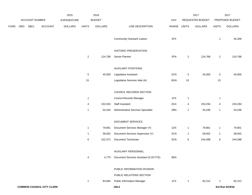|      |     |                |                                  | 2015               |                | 2016           |                                              |       |                | 2017             |                | 2017            |
|------|-----|----------------|----------------------------------|--------------------|----------------|----------------|----------------------------------------------|-------|----------------|------------------|----------------|-----------------|
|      |     | ACCOUNT NUMBER |                                  | <b>EXPENDITURE</b> |                | <b>BUDGET</b>  |                                              | PAY   |                | REQUESTED BUDGET |                | PROPOSED BUDGET |
| FUND | ORG | SBCL           | ACCOUNT                          | <b>DOLLARS</b>     | <b>UNITS</b>   | <b>DOLLARS</b> | LINE DESCRIPTION                             | RANGE | <b>UNITS</b>   | <b>DOLLARS</b>   | <b>UNITS</b>   | <b>DOLLARS</b>  |
|      |     |                |                                  |                    |                |                | Community Outreach Liaison                   | 2FX   |                |                  | $\mathbf{1}$   | 45,306          |
|      |     |                |                                  |                    |                |                | HISTORIC PRESERVATION                        |       |                |                  |                |                 |
|      |     |                |                                  |                    | $\overline{c}$ | 124,768        | Senior Planner                               | 2FN   | $\overline{2}$ | 124,768          | $\overline{2}$ | 124,768         |
|      |     |                |                                  |                    |                |                | <b>AUXILIARY POSITIONS</b>                   |       |                |                  |                |                 |
|      |     |                |                                  |                    | $\sqrt{5}$     | 45,000         | Legislative Assistant                        | 2CN   | $\sqrt{5}$     | 45,000           | 5              | 45,000          |
|      |     |                |                                  |                    | $15\,$         |                | Legislative Services Aide (A)                | 9GN   | 15             |                  | 15             |                 |
|      |     |                |                                  |                    |                |                | COUNCIL RECORDS SECTION                      |       |                |                  |                |                 |
|      |     |                |                                  |                    | $\mathbf{1}$   |                | Council Records Manager                      | 1FX   | $\overline{1}$ |                  | $\mathbf{1}$   |                 |
|      |     |                |                                  |                    | 4              | 232,033        | <b>Staff Assistant</b>                       | 2GX   | 4              | 233,294          | 4              | 233,294         |
|      |     |                |                                  |                    | $\mathbf{1}$   | 54,434         | Administrative Services Specialist           | 2BN   | $\overline{1}$ | 54,436           | $\mathbf{1}$   | 54,436          |
|      |     |                |                                  |                    |                |                | DOCUMENT SERVICES                            |       |                |                  |                |                 |
|      |     |                |                                  |                    | $\mathbf{1}$   | 79,801         | Document Services Manager (Y)                | 1DX   | $\overline{1}$ | 79,801           | $\mathbf{1}$   | 79,801          |
|      |     |                |                                  |                    | $\mathbf{1}$   | 58,002         | Document Services Supervisor (Y)             | 2CN   | $\overline{1}$ | 58,002           | $\mathbf{1}$   | 58,002          |
|      |     |                |                                  |                    | 6              | 222,372        | Document Technician                          | 3CN   | 6              | 244,098          | 6              | 244,098         |
|      |     |                |                                  |                    |                |                | AUXILIARY PERSONNEL                          |       |                |                  |                |                 |
|      |     |                |                                  |                    | 4              |                | 4,775 Document Services Assistant (0.25 FTE) | 9EN   |                |                  |                |                 |
|      |     |                |                                  |                    |                |                | PUBLIC INFORMATION DIVISION                  |       |                |                  |                |                 |
|      |     |                |                                  |                    |                |                | PUBLIC RELATIONS SECTION                     |       |                |                  |                |                 |
|      |     |                |                                  |                    | $\mathbf{1}$   | 83,084         | <b>Public Information Manager</b>            | 1FX   | $\mathbf{1}$   | 82,212           | 1              | 82,212          |
|      |     |                | <b>COMMON COUNCIL-CITY CLERK</b> |                    |                |                | 150.2                                        |       |                |                  |                | 3rd Run 9/19/16 |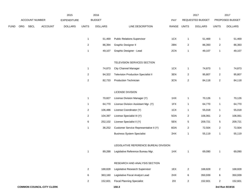|             |     |                |                                  | 2015               |                         | 2016           |                                            |       |                         | 2017                    |                | 2017            |
|-------------|-----|----------------|----------------------------------|--------------------|-------------------------|----------------|--------------------------------------------|-------|-------------------------|-------------------------|----------------|-----------------|
|             |     | ACCOUNT NUMBER |                                  | <b>EXPENDITURE</b> |                         | <b>BUDGET</b>  |                                            | PAY   |                         | <b>REQUESTED BUDGET</b> |                | PROPOSED BUDGET |
| <b>FUND</b> | ORG | <b>SBCL</b>    | <b>ACCOUNT</b>                   | <b>DOLLARS</b>     | <b>UNITS</b>            | <b>DOLLARS</b> | LINE DESCRIPTION                           | RANGE | <b>UNITS</b>            | <b>DOLLARS</b>          | <b>UNITS</b>   | <b>DOLLARS</b>  |
|             |     |                |                                  |                    | $\mathbf{1}$            | 51,469         | <b>Public Relations Supervisor</b>         | 1CX   | $\mathbf{1}$            | 51,469                  | 1              | 51,469          |
|             |     |                |                                  |                    | $\sqrt{2}$              | 86,394         | <b>Graphic Designer II</b>                 | 2BN   | $\overline{\mathbf{c}}$ | 86,393                  | $\overline{a}$ | 86,393          |
|             |     |                |                                  |                    | $\mathbf{1}$            | 49,107         | Graphic Designer - Lead                    | 2CN   | $\mathbf{1}$            | 49,107                  | $\mathbf{1}$   | 49,107          |
|             |     |                |                                  |                    |                         |                | TELEVISION SERVICES SECTION                |       |                         |                         |                |                 |
|             |     |                |                                  |                    | $\mathbf{1}$            | 74,873         | <b>City Channel Manager</b>                | 1CX   | $\mathbf{1}$            | 74,873                  | 1              | 74,873          |
|             |     |                |                                  |                    | $\sqrt{2}$              | 94,322         | <b>Television Production Specialist II</b> | 3EN   | $\overline{\mathbf{c}}$ | 95,807                  | $\overline{a}$ | 95,807          |
|             |     |                |                                  |                    | $\overline{c}$          | 82,733         | Production Technician                      | 3CN   | $\overline{2}$          | 84,118                  | $\overline{a}$ | 84,118          |
|             |     |                |                                  |                    |                         |                | LICENSE DIVISION                           |       |                         |                         |                |                 |
|             |     |                |                                  |                    | $\mathbf{1}$            | 70,827         | License Division Manager (Y)               | 1HX   | $\mathbf{1}$            | 70,126                  | $\mathbf{1}$   | 70,126          |
|             |     |                |                                  |                    | $\mathbf{1}$            | 64,770         | License Division Assistant Mgr. (Y)        | 1FX   | $\mathbf{1}$            | 64,770                  | $\mathbf{1}$   | 64,770          |
|             |     |                |                                  |                    | $\overline{\mathbf{c}}$ | 106,486        | License Coordinator (Y)                    | 1CX   | $\mathbf{1}$            | 55,018                  | $\mathbf{1}$   | 55,018          |
|             |     |                |                                  |                    | $\overline{\mathbf{c}}$ | 104,397        | License Specialist III (Y)                 | 5GN   | $\overline{2}$          | 106,061                 | $\overline{c}$ | 106,061         |
|             |     |                |                                  |                    | 6                       | 252,102        | License Specialist II (Y)                  | 5EN   | 5                       | 209,721                 | 5              | 209,721         |
|             |     |                |                                  |                    | $\mathbf{1}$            | 36,252         | Customer Service Representative II (Y)     | 6GN   | $\overline{2}$          | 72,504                  | $\overline{a}$ | 72,504          |
|             |     |                |                                  |                    |                         |                | <b>Business System Specialist</b>          | 2HX   | $\mathbf{1}$            | 55,119                  | $\mathbf{1}$   | 55,119          |
|             |     |                |                                  |                    |                         |                | LEGISLATIVE REFERENCE BUREAU DIVISION      |       |                         |                         |                |                 |
|             |     |                |                                  |                    | $\mathbf{1}$            | 89,288         | Legislative Reference Bureau Mgr.          | 1HX   | $\mathbf{1}$            | 69,090                  | 1              | 69,090          |
|             |     |                |                                  |                    |                         |                | RESEARCH AND ANALYSIS SECTION              |       |                         |                         |                |                 |
|             |     |                |                                  |                    | $\overline{c}$          | 168,828        | Legislative Research Supervisor            | 1EX   | $\overline{2}$          | 168,828                 | $\overline{a}$ | 168,828         |
|             |     |                |                                  |                    | 6                       | 363,160        | Legislative Fiscal Analyst Lead            | 2HX   | 6                       | 350,939                 | 6              | 350,939         |
|             |     |                |                                  |                    | 2                       | 152,601        | <b>Fiscal Planning Specialist</b>          | 2IX   | $\overline{2}$          | 152,601                 | $\overline{a}$ | 152,601         |
|             |     |                | <b>COMMON COUNCIL-CITY CLERK</b> |                    |                         |                | 150.3                                      |       |                         |                         |                | 3rd Run 9/19/16 |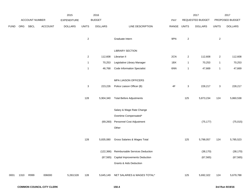|             |      |                |                | 2015           |                | 2016           |                                         |               |                           | 2017             |                  | 2017            |
|-------------|------|----------------|----------------|----------------|----------------|----------------|-----------------------------------------|---------------|---------------------------|------------------|------------------|-----------------|
|             |      | ACCOUNT NUMBER |                | EXPENDITURE    |                | <b>BUDGET</b>  |                                         | PAY           |                           | REQUESTED BUDGET |                  | PROPOSED BUDGET |
| <b>FUND</b> | ORG  | SBCL           | <b>ACCOUNT</b> | <b>DOLLARS</b> | <b>UNITS</b>   | <b>DOLLARS</b> | LINE DESCRIPTION                        | RANGE         | <b>UNITS</b>              | <b>DOLLARS</b>   | <b>UNITS</b>     | <b>DOLLARS</b>  |
|             |      |                |                |                |                |                |                                         |               |                           |                  |                  |                 |
|             |      |                |                |                | $\overline{2}$ |                | Graduate Intern                         | 9PN           | $\sqrt{2}$                |                  | $\sqrt{2}$       |                 |
|             |      |                |                |                |                |                | <b>LIBRARY SECTION</b>                  |               |                           |                  |                  |                 |
|             |      |                |                |                | $\overline{2}$ | 112,608        | Librarian II                            | 2CN           | $\boldsymbol{2}$          | 112,608          | $\boldsymbol{2}$ | 112,608         |
|             |      |                |                |                |                |                |                                         |               |                           |                  |                  |                 |
|             |      |                |                |                | $\mathbf{1}$   | 70,253         | Legislative Library Manager             | 1BX           | $\mathbf{1}$              | 70,253           | $\mathbf{1}$     | 70,253          |
|             |      |                |                |                | $\mathbf{1}$   | 46,768         | <b>Code Information Specialist</b>      | 6NN           | $\mathbf{1}$              | 47,669           | $\mathbf{1}$     | 47,669          |
|             |      |                |                |                |                |                | MPA LIAISON OFFICERS                    |               |                           |                  |                  |                 |
|             |      |                |                |                | $\mathbf{3}$   | 223,226        | Police Liaison Officer (B)              | $4\mathsf{F}$ | $\ensuremath{\mathsf{3}}$ | 228,217          | 3                | 228,217         |
|             |      |                |                |                |                |                |                                         |               |                           |                  |                  |                 |
|             |      |                |                |                | 128            | 5,904,340      | <b>Total Before Adjustments</b>         |               | 125                       | 5,873,234        | 124              | 5,860,538       |
|             |      |                |                |                |                |                |                                         |               |                           |                  |                  |                 |
|             |      |                |                |                |                |                | Salary & Wage Rate Change               |               |                           |                  |                  |                 |
|             |      |                |                |                |                |                | Overtime Compensated*                   |               |                           |                  |                  |                 |
|             |      |                |                |                |                | (69, 260)      | Personnel Cost Adjustment               |               |                           | (75, 177)        |                  | (75, 015)       |
|             |      |                |                |                |                |                | Other                                   |               |                           |                  |                  |                 |
|             |      |                |                |                |                |                |                                         |               |                           |                  |                  |                 |
|             |      |                |                |                | 128            | 5,835,080      | Gross Salaries & Wages Total            |               | 125                       | 5,798,057        | 124              | 5,785,523       |
|             |      |                |                |                |                |                |                                         |               |                           |                  |                  |                 |
|             |      |                |                |                |                | (122, 366)     | Reimbursable Services Deduction         |               |                           | (38, 170)        |                  | (38, 170)       |
|             |      |                |                |                |                |                | (67,565) Capital Improvements Deduction |               |                           | (67, 565)        |                  | (67, 565)       |
|             |      |                |                |                |                |                | <b>Grants &amp; Aids Deduction</b>      |               |                           |                  |                  |                 |
|             |      |                |                |                |                |                |                                         |               |                           |                  |                  |                 |
| 0001        | 1310 | R999           | 006000         | 5,263,528      | 128            | 5,645,149      | NET SALARIES & WAGES TOTAL*             |               | 125                       | 5,692,322        | 124              | 5,679,788       |
|             |      |                |                |                |                |                |                                         |               |                           |                  |                  |                 |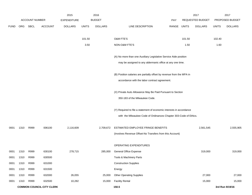|             |      |                       |                                  | 2015               |              | 2016           |                                                                       |             |        | 2017             |              | 2017            |
|-------------|------|-----------------------|----------------------------------|--------------------|--------------|----------------|-----------------------------------------------------------------------|-------------|--------|------------------|--------------|-----------------|
|             |      | <b>ACCOUNT NUMBER</b> |                                  | <b>EXPENDITURE</b> |              | <b>BUDGET</b>  |                                                                       | <b>PAY</b>  |        | REQUESTED BUDGET |              | PROPOSED BUDGET |
| <b>FUND</b> |      | ORG SBCL              | <b>ACCOUNT</b>                   | <b>DOLLARS</b>     | <b>UNITS</b> | <b>DOLLARS</b> | LINE DESCRIPTION                                                      | RANGE UNITS |        | <b>DOLLARS</b>   | <b>UNITS</b> | <b>DOLLARS</b>  |
|             |      |                       |                                  |                    |              |                |                                                                       |             |        |                  |              |                 |
|             |      |                       |                                  |                    | 101.50       |                | O&M FTE'S                                                             |             | 101.50 |                  | 102.40       |                 |
|             |      |                       |                                  |                    | 3.50         |                | NON-O&M FTE'S                                                         |             | 1.50   |                  | 1.60         |                 |
|             |      |                       |                                  |                    |              |                | (A) No more than one Auxiliary Legislative Service Aide position      |             |        |                  |              |                 |
|             |      |                       |                                  |                    |              |                | may be assigned to any aldermanic office at any one time.             |             |        |                  |              |                 |
|             |      |                       |                                  |                    |              |                |                                                                       |             |        |                  |              |                 |
|             |      |                       |                                  |                    |              |                | (B) Position salaries are partially offset by revenue from the MPA in |             |        |                  |              |                 |
|             |      |                       |                                  |                    |              |                | accordance with the labor contract agreement.                         |             |        |                  |              |                 |
|             |      |                       |                                  |                    |              |                | (X) Private Auto Allowance May Be Paid Pursuant to Section            |             |        |                  |              |                 |
|             |      |                       |                                  |                    |              |                | 350-183 of the Milwaukee Code.                                        |             |        |                  |              |                 |
|             |      |                       |                                  |                    |              |                | (Y) Required to file a statement of economic interests in accordance  |             |        |                  |              |                 |
|             |      |                       |                                  |                    |              |                | with the Milwaukee Code of Ordinances Chapter 303-Code of Ethics.     |             |        |                  |              |                 |
| 0001        | 1310 | R999                  | 006100                           | 2,116,609          |              | 2,709,672      | ESTIMATED EMPLOYEE FRINGE BENEFITS                                    |             |        | 2,561,545        |              | 2,555,905       |
|             |      |                       |                                  |                    |              |                | (Involves Revenue Offset-No Transfers from this Account)              |             |        |                  |              |                 |
|             |      |                       |                                  |                    |              |                |                                                                       |             |        |                  |              |                 |
|             |      |                       |                                  |                    |              |                | OPERATING EXPENDITURES                                                |             |        |                  |              |                 |
| 0001        | 1310 | R999                  | 630100                           | 278,715            |              | 285,000        | <b>General Office Expense</b>                                         |             |        | 319,000          |              | 319,000         |
| 0001        | 1310 | R999                  | 630500                           |                    |              |                | Tools & Machinery Parts                                               |             |        |                  |              |                 |
| 0001        | 1310 | R999                  | 631000                           |                    |              |                | <b>Construction Supplies</b>                                          |             |        |                  |              |                 |
| 0001        | 1310 | R999                  | 631500                           |                    |              |                | Energy                                                                |             |        |                  |              |                 |
| 0001        | 1310 | R999                  | 632000                           | 26,055             |              | 25,000         | <b>Other Operating Supplies</b>                                       |             |        | 27,000           |              | 27,000          |
| 0001        | 1310 | R999                  | 632500                           | 10,282             |              | 15,000         | <b>Facility Rental</b>                                                |             |        | 15,000           |              | 15,000          |
|             |      |                       | <b>COMMON COUNCIL-CITY CLERK</b> |                    |              |                | 150.5                                                                 |             |        |                  |              | 3rd Run 9/19/16 |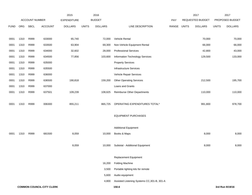|             |      |                |                                  | 2015               |              | 2016           |                                             |       |              | 2017             |              | 2017            |
|-------------|------|----------------|----------------------------------|--------------------|--------------|----------------|---------------------------------------------|-------|--------------|------------------|--------------|-----------------|
|             |      | ACCOUNT NUMBER |                                  | <b>EXPENDITURE</b> |              | <b>BUDGET</b>  |                                             | PAY   |              | REQUESTED BUDGET |              | PROPOSED BUDGET |
| <b>FUND</b> | ORG  | SBCL           | ACCOUNT                          | <b>DOLLARS</b>     | <b>UNITS</b> | <b>DOLLARS</b> | LINE DESCRIPTION                            | RANGE | <b>UNITS</b> | <b>DOLLARS</b>   | <b>UNITS</b> | <b>DOLLARS</b>  |
|             |      |                |                                  |                    |              |                |                                             |       |              |                  |              |                 |
| 0001        | 1310 | R999           | 633000                           | 65,740             |              | 72,000         | Vehicle Rental                              |       |              | 70,000           |              | 70,000          |
| 0001        | 1310 | R999           | 633500                           | 63,904             |              | 69,300         | Non-Vehicle Equipment Rental                |       |              | 66,000           |              | 66,000          |
| 0001        | 1310 | R999           | 634000                           | 32,602             |              | 28,000         | <b>Professional Services</b>                |       |              | 42,800           |              | 43,000          |
| 0001        | 1310 | R999           | 634500                           | 77,856             |              | 103,600        | Information Technology Services             |       |              | 129,500          |              | 133,000         |
| 0001        | 1310 | R999           | 635000                           |                    |              |                | <b>Property Services</b>                    |       |              |                  |              |                 |
| 0001        | 1310 | R999           | 635500                           |                    |              |                | <b>Infrastructure Services</b>              |       |              |                  |              |                 |
| 0001        | 1310 | R999           | 636000                           |                    |              |                | Vehicle Repair Services                     |       |              |                  |              |                 |
| 0001        | 1310 | R999           | 636500                           | 190,818            |              | 159,200        | <b>Other Operating Services</b>             |       |              | 212,500          |              | 195,700         |
| 0001        | 1310 | R999           | 637000                           |                    |              |                | Loans and Grants                            |       |              |                  |              |                 |
| 0001        | 1310 | R999           | 637501                           | 109,239            |              | 108,625        | Reimburse Other Departments                 |       |              | 110,000          |              | 110,000         |
|             |      |                |                                  |                    |              |                |                                             |       |              |                  |              |                 |
| 0001        | 1310 | R999           | 006300                           | 855,211            |              | 865,725        | OPERATING EXPENDITURES TOTAL*               |       |              | 991,800          |              | 978,700         |
|             |      |                |                                  |                    |              |                |                                             |       |              |                  |              |                 |
|             |      |                |                                  |                    |              |                | <b>EQUIPMENT PURCHASES</b>                  |       |              |                  |              |                 |
|             |      |                |                                  |                    |              |                |                                             |       |              |                  |              |                 |
|             |      |                |                                  |                    |              |                | <b>Additional Equipment</b>                 |       |              |                  |              |                 |
| 0001        | 1310 | R999           | 681500                           | 8,059              |              | 10,000         | Books & Maps                                |       |              | 8,000            |              | 8,000           |
|             |      |                |                                  |                    |              |                |                                             |       |              |                  |              |                 |
|             |      |                |                                  | 8,059              |              | 10,000         | Subtotal - Additional Equipment             |       |              | 8,000            |              | 8,000           |
|             |      |                |                                  |                    |              |                |                                             |       |              |                  |              |                 |
|             |      |                |                                  |                    |              |                | Replacement Equipment                       |       |              |                  |              |                 |
|             |      |                |                                  |                    |              | 16,200         | <b>Folding Machine</b>                      |       |              |                  |              |                 |
|             |      |                |                                  |                    |              | 3,500          | Portable lighting kits for remote           |       |              |                  |              |                 |
|             |      |                |                                  |                    |              | 5,600          | Audio equipment                             |       |              |                  |              |                 |
|             |      |                |                                  |                    |              | 4,800          | Assisted Listening Systems CC, 301-B, 301-A |       |              |                  |              |                 |
|             |      |                | <b>COMMON COUNCIL-CITY CLERK</b> |                    |              |                | 150.6                                       |       |              |                  |              | 3rd Run 9/19/16 |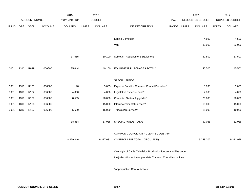|             |            |                  |                | 2015               |              | 2016           |                                                                  |            |              | 2017             |              | 2017            |
|-------------|------------|------------------|----------------|--------------------|--------------|----------------|------------------------------------------------------------------|------------|--------------|------------------|--------------|-----------------|
|             |            | ACCOUNT NUMBER   |                | <b>EXPENDITURE</b> |              | <b>BUDGET</b>  |                                                                  | <b>PAY</b> |              | REQUESTED BUDGET |              | PROPOSED BUDGET |
| <b>FUND</b> | <b>ORG</b> | <b>SBCL</b>      | <b>ACCOUNT</b> | <b>DOLLARS</b>     | <b>UNITS</b> | <b>DOLLARS</b> | LINE DESCRIPTION                                                 | RANGE      | <b>UNITS</b> | <b>DOLLARS</b>   | <b>UNITS</b> | <b>DOLLARS</b>  |
|             |            |                  |                |                    |              |                |                                                                  |            |              |                  |              |                 |
|             |            |                  |                |                    |              |                | <b>Editing Computer</b>                                          |            |              | 4,500            |              | 4,500           |
|             |            |                  |                |                    |              |                | Van                                                              |            |              | 33,000           |              | 33,000          |
|             |            |                  |                |                    |              |                |                                                                  |            |              |                  |              |                 |
|             |            |                  |                | 17,585             |              | 30,100         | Subtotal - Replacement Equipment                                 |            |              | 37,500           |              | 37,500          |
|             |            |                  |                |                    |              |                |                                                                  |            |              |                  |              |                 |
| 0001        | 1310       | R999             | 006800         | 25,644             |              | 40,100         | EQUIPMENT PURCHASES TOTAL*                                       |            |              | 45,500           |              | 45,500          |
|             |            |                  |                |                    |              |                |                                                                  |            |              |                  |              |                 |
|             |            |                  |                |                    |              |                | SPECIAL FUNDS                                                    |            |              |                  |              |                 |
| 0001        | 1310       | R121             | 006300         | 90                 |              | 3,035          | Expense Fund for Common Council President*                       |            |              | 3,035            |              | 3,035           |
| 0001        | 1310       | R <sub>122</sub> | 006300         | 4,000              |              | 4,000          | Legislative Expense Fund*                                        |            |              | 4,000            |              | 4,000           |
| 0001        | 1310       | R129             | 006800         | 8,565              |              | 20,000         | Computer System Upgrades*                                        |            |              | 20,000           |              | 20,000          |
| 0001        | 1310       | R136             | 006300         |                    |              | 15,000         | Intergovernmental Services*                                      |            |              | 15,000           |              | 15,000          |
| 0001        | 1310       | R137             | 006300         | 5,699              |              | 15,000         | Translation Services*                                            |            |              | 15,000           |              | 10,000          |
|             |            |                  |                |                    |              |                |                                                                  |            |              |                  |              |                 |
|             |            |                  |                | 18,354             |              | 57,035         | SPECIAL FUNDS TOTAL                                              |            |              | 57,035           |              | 52,035          |
|             |            |                  |                |                    |              |                |                                                                  |            |              |                  |              |                 |
|             |            |                  |                |                    |              |                | COMMON COUNCIL-CITY CLERK BUDGETARY                              |            |              |                  |              |                 |
|             |            |                  |                | 8,279,346          |              | 9,317,681      | CONTROL UNIT TOTAL (1BCU=1DU)                                    |            |              | 9,348,202        |              | 9,311,928       |
|             |            |                  |                |                    |              |                | Oversight of Cable Television Production functions will be under |            |              |                  |              |                 |
|             |            |                  |                |                    |              |                | the jurisdiction of the appropriate Common Council committee.    |            |              |                  |              |                 |
|             |            |                  |                |                    |              |                |                                                                  |            |              |                  |              |                 |
|             |            |                  |                |                    |              |                | *Appropriation Control Account                                   |            |              |                  |              |                 |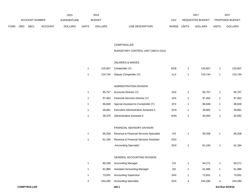|             |     |                       |                | 2015               |              | 2016           |                                  | 2017                    |              | 2017                   |
|-------------|-----|-----------------------|----------------|--------------------|--------------|----------------|----------------------------------|-------------------------|--------------|------------------------|
|             |     | <b>ACCOUNT NUMBER</b> |                | <b>EXPENDITURE</b> |              | <b>BUDGET</b>  | PAY                              | REQUESTED BUDGET        |              | <b>PROPOSED BUDGET</b> |
| <b>FUND</b> | ORG | <b>SBCL</b>           | <b>ACCOUNT</b> | <b>DOLLARS</b>     | <b>UNITS</b> | <b>DOLLARS</b> | <b>RANGE</b><br>LINE DESCRIPTION | UNITS<br><b>DOLLARS</b> | <b>UNITS</b> | <b>DOLLARS</b>         |

#### COMPTROLLER

## BUDGETARY CONTROL UNIT (1BCU=1DU)

#### SALARIES & WAGES

|  | 125,607 Comptroller (Y)        | EOE | 125.607 | 125,607 |
|--|--------------------------------|-----|---------|---------|
|  | 115,744 Deputy Comptroller (Y) | 1LX | 115.744 | 115,744 |

### ADMINISTRATION DIVISION

| 85.757 | Accounts Director (Y)                        | 1KX | 85.757 | 85,757 |
|--------|----------------------------------------------|-----|--------|--------|
| 97.462 | Financial Services Director (Y)              | 1KX | 97.462 | 97,462 |
| 86.848 | Special Assistant to Comptroller (Y)         | 1FX | 86.848 | 86,848 |
| 39.881 | <b>Executive Administrative Assistant II</b> | 2CN | 39.881 | 39,881 |
| 38.379 | Administrative Assistant II                  | 6HN | 40.092 | 40,092 |

#### FINANCIAL ADVISORY DIVISION

| 95.208 | Revenue & Financial Services Specialist | 1IX | 95.208 | 95,208 |
|--------|-----------------------------------------|-----|--------|--------|
| 61.184 | Revenue & Financial Services Assistant  | 2GX |        |        |
|        | <b>Accounting Specialist</b>            | 2GX | 61.184 | 61,184 |

#### GENERAL ACCOUNTING DIVISION

|   | 80,258  | <b>Accounting Manager</b>           | 11X |   | 84.271  |   | 84,271  |
|---|---------|-------------------------------------|-----|---|---------|---|---------|
|   | 61.986  | <b>Assistant Accounting Manager</b> | 2IX |   | 61.986  |   | 61,986  |
|   | 73.931  | <b>Accounting Supervisor</b>        | 2HX |   | 73.931  |   | 73,931  |
| 4 | 244.280 | <b>Accounting Specialist</b>        | 2GX | 4 | 244.280 | 4 | 244,280 |
|   |         |                                     |     |   |         |   |         |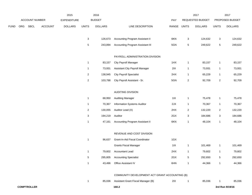|      |     |                |                | 2015               |                           | 2016           |                                                |             |                | 2017             |                           | 2017            |
|------|-----|----------------|----------------|--------------------|---------------------------|----------------|------------------------------------------------|-------------|----------------|------------------|---------------------------|-----------------|
|      |     | ACCOUNT NUMBER |                | <b>EXPENDITURE</b> |                           | <b>BUDGET</b>  |                                                | PAY         |                | REQUESTED BUDGET |                           | PROPOSED BUDGET |
| FUND | ORG | <b>SBCL</b>    | <b>ACCOUNT</b> | <b>DOLLARS</b>     | <b>UNITS</b>              | <b>DOLLARS</b> | LINE DESCRIPTION                               | RANGE UNITS |                | <b>DOLLARS</b>   | <b>UNITS</b>              | <b>DOLLARS</b>  |
|      |     |                |                |                    |                           |                |                                                |             |                |                  |                           |                 |
|      |     |                |                |                    | $\mathbf{3}$              | 126,673        | Accounting Program Assistant II                | 6KN         | $\mathbf 3$    | 124,632          | $\ensuremath{\mathsf{3}}$ | 124,632         |
|      |     |                |                |                    | 5                         | 243,894        | Accounting Program Assistant III               | 5GN         | 5              | 249,622          | $\,$ 5 $\,$               | 249,622         |
|      |     |                |                |                    |                           |                | PAYROLL ADMINISTRATION DIVISION                |             |                |                  |                           |                 |
|      |     |                |                |                    |                           |                |                                                |             |                |                  |                           |                 |
|      |     |                |                |                    | $\mathbf 1$               | 83,157         | City Payroll Manager                           | 1HX         | $\mathbf{1}$   | 83,157           | $\mathbf{1}$              | 83,157          |
|      |     |                |                |                    | $\mathbf{1}$              | 73,931         | Assistant City Payroll Manager                 | 2IX         | $\mathbf{1}$   | 73,931           | $\mathbf{1}$              | 73,931          |
|      |     |                |                |                    | $\overline{\mathbf{c}}$   | 138,945        | <b>City Payroll Specialist</b>                 | 2HX         | $\mathbf{1}$   | 65,229           | $\mathbf{1}$              | 65,229          |
|      |     |                |                |                    | $\overline{c}$            | 103,788        | City Payroll Assistant - Sr.                   | 5GN         | $\sqrt{2}$     | 92,709           | $\sqrt{2}$                | 92,709          |
|      |     |                |                |                    |                           |                |                                                |             |                |                  |                           |                 |
|      |     |                |                |                    |                           |                | <b>AUDITING DIVISION</b>                       |             |                |                  |                           |                 |
|      |     |                |                |                    | $\mathbf 1$               | 68,950         | <b>Auditing Manager</b>                        | 11X         | $\mathbf{1}$   | 75,478           | $\mathbf{1}$              | 75,478          |
|      |     |                |                |                    | $\mathbf 1$               | 70,367         | Information Systems Auditor                    | 2JX         | $\mathbf{1}$   | 70,367           | $\mathbf{1}$              | 70,367          |
|      |     |                |                |                    | $\overline{c}$            | 130,055        | Auditor Lead (X)                               | 2HX         | $\overline{c}$ | 132,220          | $\sqrt{2}$                | 132,220         |
|      |     |                |                |                    | $\ensuremath{\mathsf{3}}$ | 194,219        | Auditor                                        | 2GX         | 3              | 184,686          | 3                         | 184,686         |
|      |     |                |                |                    | $\mathbf{1}$              | 47,161         | <b>Accounting Program Assistant II</b>         | 6KN         | $\mathbf{1}$   | 48,104           | $\mathbf{1}$              | 48,104          |
|      |     |                |                |                    |                           |                |                                                |             |                |                  |                           |                 |
|      |     |                |                |                    |                           |                | REVENUE AND COST DIVISION                      |             |                |                  |                           |                 |
|      |     |                |                |                    | $\mathbf{1}$              | 96,637         | Grant-In-Aid Fiscal Coordinator                | 1GX         |                |                  |                           |                 |
|      |     |                |                |                    |                           |                | <b>Grants Fiscal Manager</b>                   | 11X         | $\mathbf{1}$   | 101,469          | $\mathbf{1}$              | 101,469         |
|      |     |                |                |                    | $\mathbf{1}$              | 79,602         | Accountant Lead                                | 2HX         | $\mathbf{1}$   | 79,602           | $\mathbf{1}$              | 79,602          |
|      |     |                |                |                    | $\mathbf 5$               | 295,805        | <b>Accounting Specialist</b>                   | 2GX         | 5              | 292,650          | 5                         | 292,650         |
|      |     |                |                |                    | $\mathbf{1}$              | 43,496         | Office Assistant IV                            | 6HN         | $\mathbf{1}$   | 44,366           | $\mathbf{1}$              | 44,366          |
|      |     |                |                |                    |                           |                |                                                |             |                |                  |                           |                 |
|      |     |                |                |                    |                           |                | COMMUNITY DEVELOPMENT ACT GRANT ACCOUNTING (B) |             |                |                  |                           |                 |

| 85.036 | Assistant Grant Fiscal Manager (B) | 21X | 85.036 | 85,036 |
|--------|------------------------------------|-----|--------|--------|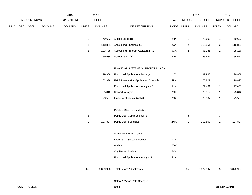|      |     |                |                | 2015               |              | 2016           |                                          |              |                | 2017             |                           | 2017            |
|------|-----|----------------|----------------|--------------------|--------------|----------------|------------------------------------------|--------------|----------------|------------------|---------------------------|-----------------|
|      |     | ACCOUNT NUMBER |                | <b>EXPENDITURE</b> |              | <b>BUDGET</b>  |                                          | PAY          |                | REQUESTED BUDGET |                           | PROPOSED BUDGET |
| FUND | ORG | <b>SBCL</b>    | <b>ACCOUNT</b> | <b>DOLLARS</b>     | <b>UNITS</b> | <b>DOLLARS</b> | LINE DESCRIPTION                         | RANGE UNITS  |                | <b>DOLLARS</b>   | <b>UNITS</b>              | <b>DOLLARS</b>  |
|      |     |                |                |                    |              |                |                                          |              |                |                  |                           |                 |
|      |     |                |                |                    | $\mathbf{1}$ | 79,602         | Auditor Lead (B)                         | 2HX          | $\mathbf{1}$   | 79,602           | $\mathbf{1}$              | 79,602          |
|      |     |                |                |                    | $\mathbf{2}$ | 118,851        | Accounting Specialist (B)                | 2GX          | $\overline{2}$ | 118,851          | $\sqrt{2}$                | 118,851         |
|      |     |                |                |                    | $\mathbf{2}$ | 103,788        | Accounting Program Assistant III (B)     | 5GX          | $\overline{2}$ | 98,186           | $\mathbf 2$               | 98,186          |
|      |     |                |                |                    | $\mathbf{1}$ | 59,986         | Accountant II (B)                        | 2DN          | $\mathbf{1}$   | 55,527           | $\mathbf{1}$              | 55,527          |
|      |     |                |                |                    |              |                |                                          |              |                |                  |                           |                 |
|      |     |                |                |                    |              |                | FINANCIAL SYSTEMS SUPPORT DIVISION       |              |                |                  |                           |                 |
|      |     |                |                |                    | $\mathbf{1}$ | 99,968         | <b>Functional Applications Manager</b>   | 11X          | $\mathbf{1}$   | 99,968           | $\mathbf{1}$              | 99,968          |
|      |     |                |                |                    | $\mathbf{1}$ | 62,338         | FMIS Project Mgr.-Application Specialist | 2LX          | $\mathbf{1}$   | 70,827           | $\mathbf{1}$              | 70,827          |
|      |     |                |                |                    |              |                | Functional Applications Analyst - Sr     | 2JX          | $\mathbf{1}$   | 77,401           | $\mathbf{1}$              | 77,401          |
|      |     |                |                |                    | $\mathbf{1}$ | 75,812         | Network Analyst                          | 2GX          | $\mathbf{1}$   | 75,812           | $\mathbf{1}$              | 75,812          |
|      |     |                |                |                    | $\mathbf{1}$ | 73,507         | <b>Financial Systems Analyst</b>         | 2GX          | $\mathbf{1}$   | 73,507           | $\mathbf{1}$              | 73,507          |
|      |     |                |                |                    |              |                |                                          |              |                |                  |                           |                 |
|      |     |                |                |                    |              |                | PUBLIC DEBT COMMISSION                   |              |                |                  |                           |                 |
|      |     |                |                |                    | $\sqrt{3}$   |                | Public Debt Commissioner (Y)             |              | 3              |                  | $\ensuremath{\mathsf{3}}$ |                 |
|      |     |                |                |                    | $\mathbf{1}$ | 107,807        | <b>Public Debt Specialist</b>            | $2\text{MX}$ | $\mathbf{1}$   | 107,807          | $\mathbf{1}$              | 107,807         |
|      |     |                |                |                    |              |                |                                          |              |                |                  |                           |                 |
|      |     |                |                |                    |              |                | <b>AUXILIARY POSITIONS</b>               |              |                |                  |                           |                 |
|      |     |                |                |                    | $\mathbf{1}$ |                | Information Systems Auditor              | 2JX          | $\mathbf{1}$   |                  | $\mathbf{1}$              |                 |
|      |     |                |                |                    | $\mathbf{1}$ |                | Auditor                                  | 2GX          | $\mathbf{1}$   |                  | $\mathbf{1}$              |                 |
|      |     |                |                |                    | $\mathbf{1}$ |                | <b>City Payroll Assistant</b>            | 6KN          | $\mathbf{1}$   |                  | $\mathbf{1}$              |                 |
|      |     |                |                |                    | $\mathbf{1}$ |                | Functional Applications Analyst Sr.      | 2JX          | $\mathbf{1}$   |                  | $\mathbf{1}$              |                 |
|      |     |                |                |                    |              |                |                                          |              |                |                  |                           |                 |
|      |     |                |                |                    | 65           | 3,869,900      | <b>Total Before Adjustments</b>          |              | 65             | 3,872,997        | 65                        | 3,872,997       |

Salary & Wage Rate Changes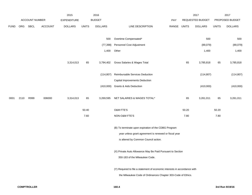|             |      |                       |         | 2015               |              | 2016           |                                                                           |             |       | 2017             |              | 2017            |
|-------------|------|-----------------------|---------|--------------------|--------------|----------------|---------------------------------------------------------------------------|-------------|-------|------------------|--------------|-----------------|
|             |      | <b>ACCOUNT NUMBER</b> |         | <b>EXPENDITURE</b> |              | <b>BUDGET</b>  |                                                                           | <b>PAY</b>  |       | REQUESTED BUDGET |              | PROPOSED BUDGET |
| <b>FUND</b> | ORG  | SBCL                  | ACCOUNT | <b>DOLLARS</b>     | <b>UNITS</b> | <b>DOLLARS</b> | LINE DESCRIPTION                                                          | RANGE UNITS |       | <b>DOLLARS</b>   | <b>UNITS</b> | <b>DOLLARS</b>  |
|             |      |                       |         |                    |              |                |                                                                           |             |       |                  |              |                 |
|             |      |                       |         |                    |              | 500            | Overtime Compensated*                                                     |             |       | 500              |              | 500             |
|             |      |                       |         |                    |              | (77, 398)      | Personnel Cost Adjustment                                                 |             |       | (89,079)         |              | (89,079)        |
|             |      |                       |         |                    |              | 1,400          | Other                                                                     |             |       | 1,400            |              | 1,400           |
|             |      |                       |         |                    |              |                |                                                                           |             |       |                  |              |                 |
|             |      |                       |         | 3,314,013          | 65           | 3,794,402      | Gross Salaries & Wages Total                                              |             | 65    | 3,785,818        | 65           | 3,785,818       |
|             |      |                       |         |                    |              |                |                                                                           |             |       |                  |              |                 |
|             |      |                       |         |                    |              | (114, 807)     | Reimbursable Services Deduction                                           |             |       | (114, 807)       |              | (114, 807)      |
|             |      |                       |         |                    |              |                | Capital Improvements Deduction                                            |             |       |                  |              |                 |
|             |      |                       |         |                    |              |                | (410,000) Grants & Aids Deduction                                         |             |       | (410,000)        |              | (410,000)       |
|             |      |                       |         |                    |              |                |                                                                           |             |       |                  |              |                 |
| 0001        | 2110 | R999                  | 006000  | 3,314,013          | 65           | 3,269,595      | NET SALARIES & WAGES TOTAL*                                               |             | 65    | 3,261,011        | 65           | 3,261,011       |
|             |      |                       |         |                    |              |                |                                                                           |             |       |                  |              |                 |
|             |      |                       |         |                    | 50.40        |                | O&M FTE'S                                                                 |             | 50.20 |                  | 50.20        |                 |
|             |      |                       |         |                    | 7.60         |                | NON-O&M FTE'S                                                             |             | 7.80  |                  | 7.80         |                 |
|             |      |                       |         |                    |              |                | (B) To terminate upon expiration of the CDBG Program                      |             |       |                  |              |                 |
|             |      |                       |         |                    |              |                | year unless grant agreement is renewed or fiscal year                     |             |       |                  |              |                 |
|             |      |                       |         |                    |              |                | is altered by Common Council action.                                      |             |       |                  |              |                 |
|             |      |                       |         |                    |              |                |                                                                           |             |       |                  |              |                 |
|             |      |                       |         |                    |              |                | (X) Private Auto Allowance May Be Paid Pursuant to Section                |             |       |                  |              |                 |
|             |      |                       |         |                    |              |                | 350-183 of the Milwaukee Code.                                            |             |       |                  |              |                 |
|             |      |                       |         |                    |              |                |                                                                           |             |       |                  |              |                 |
|             |      |                       |         |                    |              |                | (Y) Required to file a statement of economic interests in accordance with |             |       |                  |              |                 |
|             |      |                       |         |                    |              |                | the Milwaukee Code of Ordinances Chapter 303-Code of Ethics.              |             |       |                  |              |                 |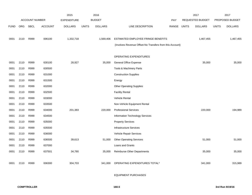|             |      |                       |                | 2015               |              | 2016           |                                                          |       |              | 2017                    |              | 2017            |
|-------------|------|-----------------------|----------------|--------------------|--------------|----------------|----------------------------------------------------------|-------|--------------|-------------------------|--------------|-----------------|
|             |      | <b>ACCOUNT NUMBER</b> |                | <b>EXPENDITURE</b> |              | <b>BUDGET</b>  |                                                          | PAY   |              | <b>REQUESTED BUDGET</b> |              | PROPOSED BUDGET |
| <b>FUND</b> | ORG  | <b>SBCL</b>           | <b>ACCOUNT</b> | <b>DOLLARS</b>     | <b>UNITS</b> | <b>DOLLARS</b> | LINE DESCRIPTION                                         | RANGE | <b>UNITS</b> | <b>DOLLARS</b>          | <b>UNITS</b> | <b>DOLLARS</b>  |
|             |      |                       |                |                    |              |                |                                                          |       |              |                         |              |                 |
| 0001        | 2110 | R999                  | 006100         | 1,332,718          |              | 1,569,406      | ESTIMATED EMPLOYEE FRINGE BENEFITS                       |       |              | 1,467,455               |              | 1,467,455       |
|             |      |                       |                |                    |              |                | (Involves Revenue Offset-No Transfers from this Account) |       |              |                         |              |                 |
|             |      |                       |                |                    |              |                |                                                          |       |              |                         |              |                 |
|             |      |                       |                |                    |              |                | OPERATING EXPENDITURES                                   |       |              |                         |              |                 |
| 0001        | 2110 | R999                  | 630100         | 28,927             |              | 35,000         | <b>General Office Expense</b>                            |       |              | 35,000                  |              | 35,000          |
| 0001        | 2110 | R999                  | 630500         |                    |              |                | Tools & Machinery Parts                                  |       |              |                         |              |                 |
| 0001        | 2110 | R999                  | 631000         |                    |              |                | <b>Construction Supplies</b>                             |       |              |                         |              |                 |
| 0001        | 2110 | R999                  | 631500         |                    |              |                | Energy                                                   |       |              |                         |              |                 |
| 0001        | 2110 | R999                  | 632000         |                    |              |                | <b>Other Operating Supplies</b>                          |       |              |                         |              |                 |
| 0001        | 2110 | R999                  | 632500         |                    |              |                | <b>Facility Rental</b>                                   |       |              |                         |              |                 |
| 0001        | 2110 | R999                  | 633000         |                    |              |                | Vehicle Rental                                           |       |              |                         |              |                 |
| 0001        | 2110 | R999                  | 633500         |                    |              |                | Non-Vehicle Equipment Rental                             |       |              |                         |              |                 |
| 0001        | 2110 | R999                  | 634000         | 201,383            |              | 220,000        | <b>Professional Services</b>                             |       |              | 220,000                 |              | 194,989         |
| 0001        | 2110 | R999                  | 634500         |                    |              |                | Information Technology Services                          |       |              |                         |              |                 |
| 0001        | 2110 | R999                  | 635000         |                    |              |                | <b>Property Services</b>                                 |       |              |                         |              |                 |
| 0001        | 2110 | R999                  | 635500         |                    |              |                | <b>Infrastructure Services</b>                           |       |              |                         |              |                 |
| 0001        | 2110 | R999                  | 636000         |                    |              |                | Vehicle Repair Services                                  |       |              |                         |              |                 |
| 0001        | 2110 | R999                  | 636500         | 39,613             |              | 51,000         | <b>Other Operating Services</b>                          |       |              | 51,000                  |              | 51,000          |
| 0001        | 2110 | R999                  | 637000         |                    |              |                | Loans and Grants                                         |       |              |                         |              |                 |
| 0001        | 2110 | R999                  | 637501         | 34,780             |              | 35,000         | <b>Reimburse Other Departments</b>                       |       |              | 35,000                  |              | 35,000          |
|             |      |                       |                |                    |              |                |                                                          |       |              |                         |              |                 |
| 0001        | 2110 | R999                  | 006300         | 304,703            |              | 341,000        | OPERATING EXPENDITURES TOTAL*                            |       |              | 341,000                 |              | 315,989         |
|             |      |                       |                |                    |              |                |                                                          |       |              |                         |              |                 |
|             |      |                       |                |                    |              |                |                                                          |       |              |                         |              |                 |

EQUIPMENT PURCHASES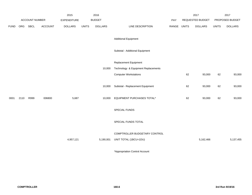|             |      |                       |         | 2015               |              | 2016           |                                     |             |    | 2017             |              | 2017            |
|-------------|------|-----------------------|---------|--------------------|--------------|----------------|-------------------------------------|-------------|----|------------------|--------------|-----------------|
|             |      | <b>ACCOUNT NUMBER</b> |         | <b>EXPENDITURE</b> |              | <b>BUDGET</b>  |                                     | PAY         |    | REQUESTED BUDGET |              | PROPOSED BUDGET |
| <b>FUND</b> | ORG  | <b>SBCL</b>           | ACCOUNT | <b>DOLLARS</b>     | <b>UNITS</b> | <b>DOLLARS</b> | LINE DESCRIPTION                    | RANGE UNITS |    | <b>DOLLARS</b>   | <b>UNITS</b> | <b>DOLLARS</b>  |
|             |      |                       |         |                    |              |                | <b>Additional Equipment</b>         |             |    |                  |              |                 |
|             |      |                       |         |                    |              |                | Subtotal - Additional Equipment     |             |    |                  |              |                 |
|             |      |                       |         |                    |              |                | Replacement Equipment               |             |    |                  |              |                 |
|             |      |                       |         |                    |              | 10,000         | Technology & Equipment Replacements |             |    |                  |              |                 |
|             |      |                       |         |                    |              |                | <b>Computer Workstations</b>        |             | 62 | 93,000           | 62           | 93,000          |
|             |      |                       |         |                    |              |                |                                     |             |    |                  |              |                 |
|             |      |                       |         |                    |              | 10,000         | Subtotal - Replacement Equipment    |             | 62 | 93,000           | 62           | 93,000          |
| 0001        | 2110 | R999                  | 006800  | 5,687              |              | 10,000         | EQUIPMENT PURCHASES TOTAL*          |             | 62 | 93,000           | 62           | 93,000          |
|             |      |                       |         |                    |              |                | SPECIAL FUNDS                       |             |    |                  |              |                 |
|             |      |                       |         |                    |              |                | SPECIAL FUNDS TOTAL                 |             |    |                  |              |                 |
|             |      |                       |         |                    |              |                | COMPTROLLER BUDGETARY CONTROL       |             |    |                  |              |                 |
|             |      |                       |         | 4,957,121          |              | 5,190,001      | UNIT TOTAL (1BCU=1DU)               |             |    | 5,162,466        |              | 5,137,455       |
|             |      |                       |         |                    |              |                |                                     |             |    |                  |              |                 |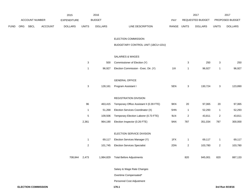|             |  |                | 2015    |                    | 2016         |                |                                          |             | 2017           |                  | 2017           |                 |
|-------------|--|----------------|---------|--------------------|--------------|----------------|------------------------------------------|-------------|----------------|------------------|----------------|-----------------|
|             |  | ACCOUNT NUMBER |         | <b>EXPENDITURE</b> |              | <b>BUDGET</b>  |                                          | PAY         |                | REQUESTED BUDGET |                | PROPOSED BUDGET |
| <b>FUND</b> |  | ORG SBCL       | ACCOUNT | <b>DOLLARS</b>     | <b>UNITS</b> | <b>DOLLARS</b> | LINE DESCRIPTION                         | RANGE UNITS |                | <b>DOLLARS</b>   | <b>UNITS</b>   | <b>DOLLARS</b>  |
|             |  |                |         |                    |              |                | ELECTION COMMISSION                      |             |                |                  |                |                 |
|             |  |                |         |                    |              |                | BUDGETARY CONTROL UNIT (1BCU=1DU)        |             |                |                  |                |                 |
|             |  |                |         |                    |              |                | SALARIES & WAGES                         |             |                |                  |                |                 |
|             |  |                |         |                    | $\mathbf{3}$ | 500            | Commissioner of Election (Y)             |             | 3              | 250              | $\mathbf{3}$   | 250             |
|             |  |                |         |                    | $\mathbf{1}$ | 96,927         | Election Commission - Exec. Dir. (Y)     | 11X         | 1              | 96,927           | $\mathbf{1}$   | 96,927          |
|             |  |                |         |                    |              |                | <b>GENERAL OFFICE</b>                    |             |                |                  |                |                 |
|             |  |                |         |                    | $\mathbf{3}$ | 128,161        | Program Assistant I                      | 5EN         | 3              | 130,724          | $\mathbf{3}$   | 123,890         |
|             |  |                |         |                    |              |                | REGISTRATION DIVISION                    |             |                |                  |                |                 |
|             |  |                |         |                    | 96           | 463,415        | Temporary Office Assistant II (0.39 FTE) | 9KN         | 20             | 97,065           | 20             | 97,065          |
|             |  |                |         |                    | $\mathbf{1}$ | 51,268         | Election Services Coordinator (X)        | 5HN         | $\overline{1}$ | 52,293           | $\mathbf{1}$   | 52,293          |
|             |  |                |         |                    | $\mathbf 5$  | 109,506        | Temporary Election Laborer (0.73 FTE)    | 9LN         | $\sqrt{2}$     | 43,811           | $\overline{c}$ | 43,811          |
|             |  |                |         |                    | 2,361        | 964,190        | Election Inspector (0.26 FTE)            | 9AN         | 787            | 351,034          | 787            | 300,000         |
|             |  |                |         |                    |              |                | ELECTION SERVICE DIVISION                |             |                |                  |                |                 |
|             |  |                |         |                    | $\mathbf{1}$ | 69,117         | Election Services Manager (Y)            | 1FX         | 1              | 69,117           | $\mathbf{1}$   | 69,117          |
|             |  |                |         |                    | $\mathbf{2}$ | 101,745        | <b>Election Services Specialist</b>      | 2DN         | 2              | 103,780          | $\overline{a}$ | 103,780         |
|             |  |                |         | 708,844            | 2,473        | 1,984,829      | <b>Total Before Adjustments</b>          |             | 820            | 945,001          | 820            | 887,133         |
|             |  |                |         |                    |              |                | Salary & Wage Rate Changes               |             |                |                  |                |                 |
|             |  |                |         |                    |              |                | Overtime Compensated*                    |             |                |                  |                |                 |

Personnel Cost Adjustment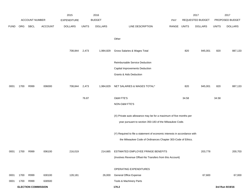|             |      |                            |                | 2015               |              | 2016           |                                                                           |            |       | 2017             |              | 2017            |
|-------------|------|----------------------------|----------------|--------------------|--------------|----------------|---------------------------------------------------------------------------|------------|-------|------------------|--------------|-----------------|
|             |      | ACCOUNT NUMBER             |                | <b>EXPENDITURE</b> |              | <b>BUDGET</b>  |                                                                           | <b>PAY</b> |       | REQUESTED BUDGET |              | PROPOSED BUDGET |
| <b>FUND</b> | ORG  | SBCL                       | <b>ACCOUNT</b> | <b>DOLLARS</b>     | <b>UNITS</b> | <b>DOLLARS</b> | LINE DESCRIPTION                                                          | RANGE      | UNITS | <b>DOLLARS</b>   | <b>UNITS</b> | <b>DOLLARS</b>  |
|             |      |                            |                |                    |              |                |                                                                           |            |       |                  |              |                 |
|             |      |                            |                |                    |              |                | Other                                                                     |            |       |                  |              |                 |
|             |      |                            |                |                    |              |                |                                                                           |            |       |                  |              |                 |
|             |      |                            |                | 708,844            | 2,473        | 1,984,829      | Gross Salaries & Wages Total                                              |            | 820   | 945,001          | 820          | 887,133         |
|             |      |                            |                |                    |              |                | Reimbursable Service Deduction                                            |            |       |                  |              |                 |
|             |      |                            |                |                    |              |                | Capital Improvements Deduction                                            |            |       |                  |              |                 |
|             |      |                            |                |                    |              |                | <b>Grants &amp; Aids Deduction</b>                                        |            |       |                  |              |                 |
|             |      |                            |                |                    |              |                |                                                                           |            |       |                  |              |                 |
| 0001        | 1700 | R999                       | 006000         | 708,844            | 2,473        | 1,984,829      | NET SALARIES & WAGES TOTAL*                                               |            | 820   | 945,001          | 820          | 887,133         |
|             |      |                            |                |                    |              |                |                                                                           |            |       |                  |              |                 |
|             |      |                            |                |                    | 76.87        |                | O&M FTE'S                                                                 |            | 34.58 |                  | 34.58        |                 |
|             |      |                            |                |                    |              |                | NON-O&M FTE'S                                                             |            |       |                  |              |                 |
|             |      |                            |                |                    |              |                |                                                                           |            |       |                  |              |                 |
|             |      |                            |                |                    |              |                | (X) Private auto allowance may be for a maximum of five months per        |            |       |                  |              |                 |
|             |      |                            |                |                    |              |                | year pursuant to section 350-183 of the Milwaukee Code.                   |            |       |                  |              |                 |
|             |      |                            |                |                    |              |                | (Y) Required to file a statement of economic interests in accordance with |            |       |                  |              |                 |
|             |      |                            |                |                    |              |                | the Milwaukee Code of Ordinances Chapter 303-Code of Ethics.              |            |       |                  |              |                 |
|             |      |                            |                |                    |              |                |                                                                           |            |       |                  |              |                 |
| 0001        | 1700 | R999                       | 006100         | 216,019            |              | 214,665        | ESTIMATED EMPLOYEE FRINGE BENEFITS                                        |            |       | 203,778          |              | 200,703         |
|             |      |                            |                |                    |              |                | (Involves Revenue Offset-No Transfers from this Account)                  |            |       |                  |              |                 |
|             |      |                            |                |                    |              |                | OPERATING EXPENDITURES                                                    |            |       |                  |              |                 |
| 0001        | 1700 | R999                       | 630100         | 128,181            |              | 26,000         | <b>General Office Expense</b>                                             |            |       | 67,600           |              | 67,000          |
| 0001        | 1700 | R999                       | 630500         |                    |              |                | Tools & Machinery Parts                                                   |            |       |                  |              |                 |
|             |      | <b>ELECTION COMMISSION</b> |                |                    |              |                | 170.2                                                                     |            |       |                  |              | 3rd Run 9/19/16 |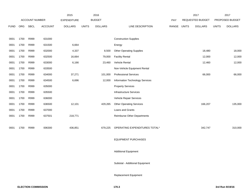|             |      |                       |                | 2015               |              | 2016           |                                    |       |              | 2017             |              | 2017            |
|-------------|------|-----------------------|----------------|--------------------|--------------|----------------|------------------------------------|-------|--------------|------------------|--------------|-----------------|
|             |      | <b>ACCOUNT NUMBER</b> |                | <b>EXPENDITURE</b> |              | <b>BUDGET</b>  |                                    | PAY   |              | REQUESTED BUDGET |              | PROPOSED BUDGET |
| <b>FUND</b> | ORG  | <b>SBCL</b>           | <b>ACCOUNT</b> | <b>DOLLARS</b>     | <b>UNITS</b> | <b>DOLLARS</b> | LINE DESCRIPTION                   | RANGE | <b>UNITS</b> | <b>DOLLARS</b>   | <b>UNITS</b> | <b>DOLLARS</b>  |
|             |      |                       |                |                    |              |                |                                    |       |              |                  |              |                 |
| 0001        | 1700 | R999                  | 631000         |                    |              |                | <b>Construction Supplies</b>       |       |              |                  |              |                 |
| 0001        | 1700 | R999                  | 631500         | 6,664              |              |                | Energy                             |       |              |                  |              |                 |
| 0001        | 1700 | R999                  | 632000         | 4,337              |              | 8,500          | <b>Other Operating Supplies</b>    |       |              | 18,480           |              | 18,000          |
| 0001        | 1700 | R999                  | 632500         | 16,664             |              | 79,000         | <b>Facility Rental</b>             |       |              | 12,000           |              | 12,000          |
| 0001        | 1700 | R999                  | 633000         | 6,166              |              | 23,460         | Vehicle Rental                     |       |              | 12,460           |              | 12,000          |
| 0001        | 1700 | R999                  | 633500         |                    |              |                | Non-Vehicle Equipment Rental       |       |              |                  |              |                 |
| 0001        | 1700 | R999                  | 634000         | 37,271             |              | 101,000        | <b>Professional Services</b>       |       |              | 66,000           |              | 66,000          |
| 0001        | 1700 | R999                  | 634500         | 6,696              |              | 12,000         | Information Technology Services    |       |              |                  |              |                 |
| 0001        | 1700 | R999                  | 635000         |                    |              |                | <b>Property Services</b>           |       |              |                  |              |                 |
| 0001        | 1700 | R999                  | 635500         |                    |              |                | <b>Infrastructure Services</b>     |       |              |                  |              |                 |
| 0001        | 1700 | R999                  | 636000         |                    |              |                | Vehicle Repair Services            |       |              |                  |              |                 |
| 0001        | 1700 | R999                  | 636500         | 12,101             |              | 429,265        | <b>Other Operating Services</b>    |       |              | 166,207          |              | 135,000         |
| 0001        | 1700 | R999                  | 637000         |                    |              |                | Loans and Grants                   |       |              |                  |              |                 |
| 0001        | 1700 | R999                  | 637501         | 218,771            |              |                | <b>Reimburse Other Departments</b> |       |              |                  |              |                 |
|             |      |                       |                |                    |              |                |                                    |       |              |                  |              |                 |
| 0001        | 1700 | R999                  | 006300         | 436,851            |              | 679,225        | OPERATING EXPENDITURES TOTAL*      |       |              | 342,747          |              | 310,000         |
|             |      |                       |                |                    |              |                |                                    |       |              |                  |              |                 |
|             |      |                       |                |                    |              |                | <b>EQUIPMENT PURCHASES</b>         |       |              |                  |              |                 |
|             |      |                       |                |                    |              |                |                                    |       |              |                  |              |                 |
|             |      |                       |                |                    |              |                | <b>Additional Equipment</b>        |       |              |                  |              |                 |
|             |      |                       |                |                    |              |                |                                    |       |              |                  |              |                 |
|             |      |                       |                |                    |              |                | Subtotal - Additional Equipment    |       |              |                  |              |                 |
|             |      |                       |                |                    |              |                |                                    |       |              |                  |              |                 |

Replacement Equipment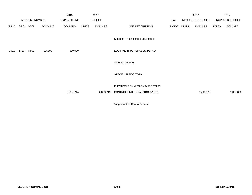|             |      |                       |                | 2015               |              | 2016           |                                  |             | 2017             |              | 2017            |
|-------------|------|-----------------------|----------------|--------------------|--------------|----------------|----------------------------------|-------------|------------------|--------------|-----------------|
|             |      | <b>ACCOUNT NUMBER</b> |                | <b>EXPENDITURE</b> |              | <b>BUDGET</b>  |                                  | PAY         | REQUESTED BUDGET |              | PROPOSED BUDGET |
| <b>FUND</b> | ORG  | SBCL                  | <b>ACCOUNT</b> | <b>DOLLARS</b>     | <b>UNITS</b> | <b>DOLLARS</b> | LINE DESCRIPTION                 | RANGE UNITS | <b>DOLLARS</b>   | <b>UNITS</b> | <b>DOLLARS</b>  |
|             |      |                       |                |                    |              |                | Subtotal - Replacement Equipment |             |                  |              |                 |
| 0001        | 1700 | R999                  | 006800         | 500,000            |              |                | EQUIPMENT PURCHASES TOTAL*       |             |                  |              |                 |
|             |      |                       |                |                    |              |                | <b>SPECIAL FUNDS</b>             |             |                  |              |                 |
|             |      |                       |                |                    |              |                | SPECIAL FUNDS TOTAL              |             |                  |              |                 |
|             |      |                       |                |                    |              |                | ELECTION COMMISSION BUDGETARY    |             |                  |              |                 |
|             |      |                       |                | 1,861,714          |              | 2,878,719      | CONTROL UNIT TOTAL (1BCU=1DU)    |             | 1,491,526        |              | 1,397,836       |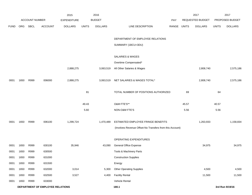|                                  |                       |      |                    | 2015           | 2016          |                |                                                          |             | 2017<br><b>REQUESTED BUDGET</b> |                | 2017<br>PROPOSED BUDGET |                 |
|----------------------------------|-----------------------|------|--------------------|----------------|---------------|----------------|----------------------------------------------------------|-------------|---------------------------------|----------------|-------------------------|-----------------|
|                                  | <b>ACCOUNT NUMBER</b> |      | <b>EXPENDITURE</b> |                | <b>BUDGET</b> | PAY            |                                                          |             |                                 |                |                         |                 |
| <b>FUND</b>                      | ORG                   | SBCL | <b>ACCOUNT</b>     | <b>DOLLARS</b> | <b>UNITS</b>  | <b>DOLLARS</b> | LINE DESCRIPTION                                         | RANGE UNITS |                                 | <b>DOLLARS</b> | <b>UNITS</b>            | <b>DOLLARS</b>  |
|                                  |                       |      |                    |                |               |                | DEPARTMENT OF EMPLOYEE RELATIONS                         |             |                                 |                |                         |                 |
|                                  |                       |      |                    |                |               |                | SUMMARY (1BCU=3DU)                                       |             |                                 |                |                         |                 |
|                                  |                       |      |                    |                |               |                | SALARIES & WAGES                                         |             |                                 |                |                         |                 |
|                                  |                       |      |                    |                |               |                | Overtime Compensated*                                    |             |                                 |                |                         |                 |
|                                  |                       |      |                    | 2,888,275      |               | 3,063,519      | All Other Salaries & Wages                               |             |                                 | 2,808,740      |                         | 2,575,186       |
| 0001                             | 1650                  | R999 | 006000             | 2,888,275      |               | 3,063,519      | NET SALARIES & WAGES TOTAL*                              |             |                                 | 2,808,740      |                         | 2,575,186       |
|                                  |                       |      |                    |                | 81            |                | TOTAL NUMBER OF POSITIONS AUTHORIZED                     |             | 69                              |                | 64                      |                 |
|                                  |                       |      |                    |                | 49.43         |                | O&M FTE'S**                                              |             | 45.57                           |                | 40.57                   |                 |
|                                  |                       |      |                    |                | 5.60          |                | NON-O&M FTE'S                                            |             | 5.56                            |                | 5.56                    |                 |
| 0001                             | 1650                  | R999 | 006100             | 1,299,724      |               | 1,470,489      | ESTIMATED EMPLOYEE FRINGE BENEFITS                       |             |                                 | 1,263,933      |                         | 1,158,834       |
|                                  |                       |      |                    |                |               |                | (Involves Revenue Offset-No Transfers from this Account) |             |                                 |                |                         |                 |
|                                  |                       |      |                    |                |               |                | OPERATING EXPENDITURES                                   |             |                                 |                |                         |                 |
| 0001                             | 1650                  | R999 | 630100             | 35,946         |               | 43,090         | <b>General Office Expense</b>                            |             |                                 | 34,975         |                         | 34,975          |
| 0001                             | 1650                  | R999 | 630500             |                |               |                | Tools & Machinery Parts                                  |             |                                 |                |                         |                 |
| 0001                             | 1650                  | R999 | 631000             |                |               |                | <b>Construction Supplies</b>                             |             |                                 |                |                         |                 |
| 0001                             | 1650                  | R999 | 631500             |                |               |                | Energy                                                   |             |                                 |                |                         |                 |
| 0001                             | 1650                  | R999 | 632000             | 3,014          |               | 5,300          | <b>Other Operating Supplies</b>                          |             |                                 | 4,500          |                         | 4,500           |
| 0001                             | 1650                  | R999 | 632500             | 3,527          |               | 4,400          | <b>Facility Rental</b>                                   |             |                                 | 11,500         |                         | 11,500          |
| 0001                             | 1650                  | R999 | 633000             |                |               |                | Vehicle Rental                                           |             |                                 |                |                         |                 |
| DEPARTMENT OF EMPLOYEE RELATIONS |                       |      |                    |                |               |                | 180.1                                                    |             |                                 |                |                         | 3rd Run 9/19/16 |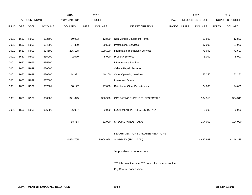|             |      |                |                | 2015               |              | 2016           |                                                       |             | 2017             |              | 2017            |
|-------------|------|----------------|----------------|--------------------|--------------|----------------|-------------------------------------------------------|-------------|------------------|--------------|-----------------|
|             |      | ACCOUNT NUMBER |                | <b>EXPENDITURE</b> |              | <b>BUDGET</b>  |                                                       | <b>PAY</b>  | REQUESTED BUDGET |              | PROPOSED BUDGET |
| <b>FUND</b> | ORG  | <b>SBCL</b>    | <b>ACCOUNT</b> | <b>DOLLARS</b>     | <b>UNITS</b> | <b>DOLLARS</b> | LINE DESCRIPTION                                      | RANGE UNITS | <b>DOLLARS</b>   | <b>UNITS</b> | <b>DOLLARS</b>  |
|             |      |                |                |                    |              |                |                                                       |             |                  |              |                 |
| 0001        | 1650 | R999           | 633500         | 10,903             |              | 12,800         | Non-Vehicle Equipment Rental                          |             | 12,800           |              | 12,800          |
| 0001        | 1650 | R999           | 634000         | 27,390             |              | 29,500         | <b>Professional Services</b>                          |             | 87,000           |              | 87,000          |
| 0001        | 1650 | R999           | 634500         | 205,128            |              | 199,100        | Information Technology Services                       |             | 71,690           |              | 71,690          |
| 0001        | 1650 | R999           | 635000         | 2,079              |              | 5,000          | <b>Property Services</b>                              |             | 5,000            |              | 5,000           |
| 0001        | 1650 | R999           | 635500         |                    |              |                | <b>Infrastructure Services</b>                        |             |                  |              |                 |
| 0001        | 1650 | R999           | 636000         |                    |              |                | Vehicle Repair Services                               |             |                  |              |                 |
| 0001        | 1650 | R999           | 636500         | 14,931             |              | 40,200         | <b>Other Operating Services</b>                       |             | 52,250           |              | 52,250          |
| 0001        | 1650 | R999           | 637000         |                    |              |                | Loans and Grants                                      |             |                  |              |                 |
| 0001        | 1650 | R999           | 637501         | 68,127             |              | 47,600         | <b>Reimburse Other Departments</b>                    |             | 24,600           |              | 24,600          |
|             |      |                |                |                    |              |                |                                                       |             |                  |              |                 |
| 0001        | 1650 | R999           | 006300         | 371,045            |              | 386,990        | OPERATING EXPENDITURES TOTAL*                         |             | 304,315          |              | 304,315         |
|             |      |                |                |                    |              |                |                                                       |             |                  |              |                 |
| 0001        | 1650 | R999           | 006800         | 26,907             |              | 2,000          | EQUIPMENT PURCHASES TOTAL*                            |             | 2,000            |              | 2,000           |
|             |      |                |                |                    |              |                |                                                       |             |                  |              |                 |
|             |      |                |                | 88,754             |              | 82,000         | SPECIAL FUNDS TOTAL                                   |             | 104,000          |              | 104,000         |
|             |      |                |                |                    |              |                |                                                       |             |                  |              |                 |
|             |      |                |                |                    |              |                | DEPARTMENT OF EMPLOYEE RELATIONS                      |             |                  |              |                 |
|             |      |                |                | 4,674,705          |              | 5,004,998      | SUMMARY (1BCU=3DU)                                    |             | 4,482,988        |              | 4,144,335       |
|             |      |                |                |                    |              |                |                                                       |             |                  |              |                 |
|             |      |                |                |                    |              |                | *Appropriation Control Account                        |             |                  |              |                 |
|             |      |                |                |                    |              |                |                                                       |             |                  |              |                 |
|             |      |                |                |                    |              |                | **Totals do not include FTE counts for members of the |             |                  |              |                 |
|             |      |                |                |                    |              |                | City Service Commission.                              |             |                  |              |                 |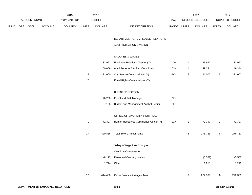|             |                |             |                | 2015               |       | 2016           |                                  | 2017                           |              | 2017                   |
|-------------|----------------|-------------|----------------|--------------------|-------|----------------|----------------------------------|--------------------------------|--------------|------------------------|
|             | ACCOUNT NUMBER |             |                | <b>EXPENDITURE</b> |       | <b>BUDGET</b>  | PAY                              | REQUESTED BUDGET               |              | <b>PROPOSED BUDGET</b> |
| <b>FUND</b> | <b>ORG</b>     | <b>SBCL</b> | <b>ACCOUNT</b> | <b>DOLLARS</b>     | UNITS | <b>DOLLARS</b> | <b>RANGE</b><br>LINE DESCRIPTION | <b>UNITS</b><br><b>DOLLARS</b> | <b>UNITS</b> | <b>DOLLARS</b>         |

## DEPARTMENT OF EMPLOYEE RELATIONS

### ADMINISTRATION DIVISION

## SALARIES & WAGES

|   | 133.992 | Employee Relations Director (Y)     | 1OX             | 133.992 |   | 133,992 |
|---|---------|-------------------------------------|-----------------|---------|---|---------|
|   | 50.059  | Administrative Services Coordinator | 5JN             | 49.344  |   | 49,344  |
| 5 | 21.000  | City Service Commissioner (Y)       | BC <sub>1</sub> | 21.000  | 5 | 21,000  |
|   |         | Equal Rights Commissioner (Y)       |                 |         |   |         |

### BUSINESS SECTION

| 76.280 | Fiscal and Risk Manager                     | 2KX |
|--------|---------------------------------------------|-----|
| 67.128 | <b>Budget and Management Analyst Senior</b> | 2FX |

## OFFICE OF DIVERSITY & OUTREACH

|    | 72,397   | Human Resources Compliance Officer (Y) | 2JX |   | 72,397   |   | 72,397   |
|----|----------|----------------------------------------|-----|---|----------|---|----------|
| 17 | 420,856  | <b>Total Before Adjustments</b>        |     | 8 | 276,733  | 8 | 276,733  |
|    |          | Salary & Wage Rate Changes             |     |   |          |   |          |
|    |          | Overtime Compensated                   |     |   |          |   |          |
|    | (8, 112) | Personnel Cost Adjustment              |     |   | (5, 562) |   | (5, 562) |
|    | 1,744    | Other                                  |     |   | 1,218    |   | 1,218    |
|    |          |                                        |     |   |          |   |          |
| 17 | 414,488  | Gross Salaries & Wages Total           |     | 8 | 272,389  | 8 | 272,389  |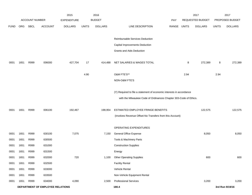|             |            |                       |                                  | 2015               |              | 2016           |                                                                      |             |      | 2017             |              | 2017            |
|-------------|------------|-----------------------|----------------------------------|--------------------|--------------|----------------|----------------------------------------------------------------------|-------------|------|------------------|--------------|-----------------|
|             |            | <b>ACCOUNT NUMBER</b> |                                  | <b>EXPENDITURE</b> |              | <b>BUDGET</b>  |                                                                      | PAY         |      | REQUESTED BUDGET |              | PROPOSED BUDGET |
| <b>FUND</b> | <b>ORG</b> | SBCL                  | <b>ACCOUNT</b>                   | <b>DOLLARS</b>     | <b>UNITS</b> | <b>DOLLARS</b> | LINE DESCRIPTION                                                     | RANGE UNITS |      | <b>DOLLARS</b>   | <b>UNITS</b> | <b>DOLLARS</b>  |
|             |            |                       |                                  |                    |              |                |                                                                      |             |      |                  |              |                 |
|             |            |                       |                                  |                    |              |                | Reimbursable Services Deduction                                      |             |      |                  |              |                 |
|             |            |                       |                                  |                    |              |                | Capital Improvements Deduction                                       |             |      |                  |              |                 |
|             |            |                       |                                  |                    |              |                | <b>Grants and Aids Deduction</b>                                     |             |      |                  |              |                 |
| 0001        | 1651       | R999                  | 006000                           | 427,704            | 17           | 414,488        | NET SALARIES & WAGES TOTAL                                           |             | 8    | 272,389          | 8            | 272,389         |
|             |            |                       |                                  |                    | 4.90         |                | O&M FTE'S**                                                          |             | 2.94 |                  | 2.94         |                 |
|             |            |                       |                                  |                    |              |                | NON-O&M FTE'S                                                        |             |      |                  |              |                 |
|             |            |                       |                                  |                    |              |                |                                                                      |             |      |                  |              |                 |
|             |            |                       |                                  |                    |              |                | (Y) Required to file a statement of economic interests in accordance |             |      |                  |              |                 |
|             |            |                       |                                  |                    |              |                | with the Milwaukee Code of Ordinances Chapter 303-Code of Ethics.    |             |      |                  |              |                 |
| 0001        | 1651       | R999                  | 006100                           | 192,467            |              | 198,954        | ESTIMATED EMPLOYEE FRINGE BENEFITS                                   |             |      | 122,575          |              | 122,575         |
|             |            |                       |                                  |                    |              |                | (Involves Revenue Offset-No Transfers from this Account)             |             |      |                  |              |                 |
|             |            |                       |                                  |                    |              |                |                                                                      |             |      |                  |              |                 |
|             |            |                       |                                  |                    |              |                | OPERATING EXPENDITURES                                               |             |      |                  |              |                 |
| 0001        | 1651       | R999                  | 630100                           | 7,075              |              | 7,150          | General Office Expense                                               |             |      | 8,050            |              | 8,050           |
| 0001        | 1651       | R999                  | 630500                           |                    |              |                | Tools & Machinery Parts                                              |             |      |                  |              |                 |
| 0001        | 1651       | R999                  | 631000                           |                    |              |                | <b>Construction Supplies</b>                                         |             |      |                  |              |                 |
| 0001        | 1651       | R999                  | 631500                           |                    |              |                | Energy                                                               |             |      |                  |              |                 |
| 0001        | 1651       | R999                  | 632000                           | 720                |              | 1,100          | <b>Other Operating Supplies</b>                                      |             |      | 600              |              | 600             |
| 0001        | 1651       | R999                  | 632500                           |                    |              |                | <b>Facility Rental</b>                                               |             |      |                  |              |                 |
| 0001        | 1651       | R999                  | 633000                           |                    |              |                | Vehicle Rental                                                       |             |      |                  |              |                 |
| 0001        | 1651       | R999                  | 633500                           |                    |              |                | Non-Vehicle Equipment Rental                                         |             |      |                  |              |                 |
| 0001        | 1651       | R999                  | 634000                           | 4,090              |              | 2,500          | <b>Professional Services</b>                                         |             |      | 3,200            |              | 3,200           |
|             |            |                       | DEPARTMENT OF EMPLOYEE RELATIONS |                    |              |                | 180.4                                                                |             |      |                  |              | 3rd Run 9/19/16 |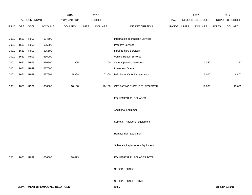|             |      |                       |                                  | 2015               |              | 2016           |                                     |             | 2017             |              | 2017            |
|-------------|------|-----------------------|----------------------------------|--------------------|--------------|----------------|-------------------------------------|-------------|------------------|--------------|-----------------|
|             |      | <b>ACCOUNT NUMBER</b> |                                  | <b>EXPENDITURE</b> |              | <b>BUDGET</b>  |                                     | PAY         | REQUESTED BUDGET |              | PROPOSED BUDGET |
| <b>FUND</b> | ORG  | <b>SBCL</b>           | <b>ACCOUNT</b>                   | <b>DOLLARS</b>     | <b>UNITS</b> | <b>DOLLARS</b> | LINE DESCRIPTION                    | RANGE UNITS | <b>DOLLARS</b>   | <b>UNITS</b> | <b>DOLLARS</b>  |
|             |      |                       |                                  |                    |              |                |                                     |             |                  |              |                 |
| 0001        | 1651 | R999                  | 634500                           |                    |              |                | Information Technology Services     |             |                  |              |                 |
| 0001        | 1651 | R999                  | 635000                           |                    |              |                | <b>Property Services</b>            |             |                  |              |                 |
| 0001        | 1651 | R999                  | 635500                           |                    |              |                | <b>Infrastructure Services</b>      |             |                  |              |                 |
| 0001        | 1651 | R999                  | 636000                           |                    |              |                | Vehicle Repair Services             |             |                  |              |                 |
| 0001        | 1651 | R999                  | 636500                           | 905                |              | 2,100          | <b>Other Operating Services</b>     |             | 1,350            |              | 1,350           |
| 0001        | 1651 | R999                  | 637000                           |                    |              |                | Loans and Grants                    |             |                  |              |                 |
| 0001        | 1651 | R999                  | 637501                           | 5,368              |              | 7,300          | <b>Reimburse Other Departments</b>  |             | 6,400            |              | 6,400           |
|             |      |                       |                                  |                    |              |                |                                     |             |                  |              |                 |
| 0001        | 1651 | R999                  | 006300                           | 18,158             |              |                | 20,150 OPERATING EXPENDITURES TOTAL |             | 19,600           |              | 19,600          |
|             |      |                       |                                  |                    |              |                |                                     |             |                  |              |                 |
|             |      |                       |                                  |                    |              |                | <b>EQUIPMENT PURCHASES</b>          |             |                  |              |                 |
|             |      |                       |                                  |                    |              |                |                                     |             |                  |              |                 |
|             |      |                       |                                  |                    |              |                | <b>Additional Equipment</b>         |             |                  |              |                 |
|             |      |                       |                                  |                    |              |                |                                     |             |                  |              |                 |
|             |      |                       |                                  |                    |              |                | Subtotal - Additional Equipment     |             |                  |              |                 |
|             |      |                       |                                  |                    |              |                |                                     |             |                  |              |                 |
|             |      |                       |                                  |                    |              |                | Replacement Equipment               |             |                  |              |                 |
|             |      |                       |                                  |                    |              |                |                                     |             |                  |              |                 |
|             |      |                       |                                  |                    |              |                | Subtotal - Replacement Equipment    |             |                  |              |                 |
|             |      | R999                  |                                  |                    |              |                | EQUIPMENT PURCHASES TOTAL           |             |                  |              |                 |
| 0001        | 1651 |                       | 006800                           | 18,473             |              |                |                                     |             |                  |              |                 |
|             |      |                       |                                  |                    |              |                | SPECIAL FUNDS                       |             |                  |              |                 |
|             |      |                       |                                  |                    |              |                |                                     |             |                  |              |                 |
|             |      |                       |                                  |                    |              |                | SPECIAL FUNDS TOTAL                 |             |                  |              |                 |
|             |      |                       | DEPARTMENT OF EMPLOYEE RELATIONS |                    |              |                | 180.5                               |             |                  |              | 3rd Run 9/19/16 |
|             |      |                       |                                  |                    |              |                |                                     |             |                  |              |                 |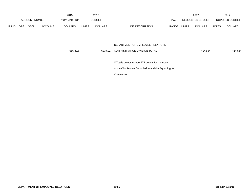|             |            |                       |                | 2015               |              | 2016           |                                                     |            |       | 2017                    |              | 2017            |
|-------------|------------|-----------------------|----------------|--------------------|--------------|----------------|-----------------------------------------------------|------------|-------|-------------------------|--------------|-----------------|
|             |            | <b>ACCOUNT NUMBER</b> |                | <b>EXPENDITURE</b> |              | <b>BUDGET</b>  |                                                     | <b>PAY</b> |       | <b>REQUESTED BUDGET</b> |              | PROPOSED BUDGET |
| <b>FUND</b> | <b>ORG</b> | SBCL                  | <b>ACCOUNT</b> | <b>DOLLARS</b>     | <b>UNITS</b> | <b>DOLLARS</b> | LINE DESCRIPTION                                    | RANGE      | UNITS | <b>DOLLARS</b>          | <b>UNITS</b> | <b>DOLLARS</b>  |
|             |            |                       |                |                    |              |                |                                                     |            |       |                         |              |                 |
|             |            |                       |                |                    |              |                |                                                     |            |       |                         |              |                 |
|             |            |                       |                |                    |              |                | DEPARTMENT OF EMPLOYEE RELATIONS -                  |            |       |                         |              |                 |
|             |            |                       |                | 656,802            |              | 633,592        | ADMINISTRATION DIVISION TOTAL                       |            |       | 414,564                 |              | 414,564         |
|             |            |                       |                |                    |              |                |                                                     |            |       |                         |              |                 |
|             |            |                       |                |                    |              |                | **Totals do not include FTE counts for members      |            |       |                         |              |                 |
|             |            |                       |                |                    |              |                | of the City Service Commission and the Equal Rights |            |       |                         |              |                 |
|             |            |                       |                |                    |              |                | Commission.                                         |            |       |                         |              |                 |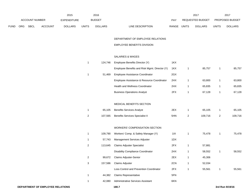|             |     | <b>ACCOUNT NUMBER</b> |                | 2015<br><b>EXPENDITURE</b> |                | 2016<br><b>BUDGET</b> |                                               | PAY   |                | 2017<br>REQUESTED BUDGET |                | 2017<br>PROPOSED BUDGET |
|-------------|-----|-----------------------|----------------|----------------------------|----------------|-----------------------|-----------------------------------------------|-------|----------------|--------------------------|----------------|-------------------------|
| <b>FUND</b> | ORG | SBCL                  | <b>ACCOUNT</b> | <b>DOLLARS</b>             | <b>UNITS</b>   | <b>DOLLARS</b>        | LINE DESCRIPTION                              | RANGE | <b>UNITS</b>   | <b>DOLLARS</b>           | <b>UNITS</b>   | <b>DOLLARS</b>          |
|             |     |                       |                |                            |                |                       |                                               |       |                |                          |                |                         |
|             |     |                       |                |                            |                |                       | DEPARTMENT OF EMPLOYEE RELATIONS              |       |                |                          |                |                         |
|             |     |                       |                |                            |                |                       | EMPLOYEE BENEFITS DIVISION                    |       |                |                          |                |                         |
|             |     |                       |                |                            |                |                       | SALARIES & WAGES                              |       |                |                          |                |                         |
|             |     |                       |                |                            | $\mathbf{1}$   | 124,746               | Employee Benefits Director (Y)                | 1KX   |                |                          |                |                         |
|             |     |                       |                |                            |                |                       | Employee Benefits and Risk Mgmt. Director (Y) | 1KX   | 1              | 85,757                   | $\mathbf{1}$   | 85,757                  |
|             |     |                       |                |                            | $\mathbf{1}$   | 51,469                | Employee Assistance Coordinator               | 2GX   |                |                          |                |                         |
|             |     |                       |                |                            |                |                       | Employee Assistance & Resource Coordinator    | 2HX   | 1              | 63,800                   | $\mathbf{1}$   | 63,800                  |
|             |     |                       |                |                            |                |                       | Health and Wellness Coordinator               | 2HX   | 1              | 65,835                   | $\mathbf{1}$   | 65,835                  |
|             |     |                       |                |                            |                |                       | <b>Business Operations Analyst</b>            | 2FX   | 1              | 67,128                   | $\mathbf{1}$   | 67,128                  |
|             |     |                       |                |                            |                |                       | MEDICAL BENEFITS SECTION                      |       |                |                          |                |                         |
|             |     |                       |                |                            | $\mathbf{1}$   | 65,105                | <b>Benefits Services Analyst</b>              | 2EX   | 1              | 65,105                   | $\mathbf{1}$   | 65,105                  |
|             |     |                       |                |                            | $\overline{a}$ | 107,565               | <b>Benefits Services Specialist II</b>        | 5HN   | $\overline{2}$ | 109,716                  | $\overline{a}$ | 109,716                 |
|             |     |                       |                |                            |                |                       | WORKERS' COMPENSATION SECTION                 |       |                |                          |                |                         |
|             |     |                       |                |                            | $\mathbf{1}$   | 109,790               | Workers' Comp. & Safety Manager (Y)           | 11X   | $\mathbf{1}$   | 75,478                   | $\mathbf{1}$   | 75,478                  |
|             |     |                       |                |                            | 1              | 57,743                | Management Services Adjuster                  | 1DX   |                |                          |                |                         |
|             |     |                       |                |                            | $\overline{a}$ | 113,645               | <b>Claims Adjuster Specialist</b>             | 2FX   | $\mathbf{1}$   | 57,881                   |                |                         |
|             |     |                       |                |                            |                |                       | Disability Compliance Coordinator             | 2HX   | 1              | 58,552                   | 1              | 58,552                  |
|             |     |                       |                |                            | $\overline{c}$ |                       | 99,672 Claims Adjuster-Senior                 | 2EX   | $\mathbf{1}$   | 45,306                   |                |                         |
|             |     |                       |                |                            | $\mathbf{3}$   | 157,586               | Claims Adjuster                               | 2CN   | 1              | 52,034                   |                |                         |
|             |     |                       |                |                            |                |                       | Loss Control and Prevention Coordinator       | 2FX   | $\mathbf{1}$   | 55,561                   | $\mathbf{1}$   | 55,561                  |
|             |     |                       |                |                            | $\mathbf{1}$   | 44,382                | <b>Claims Representative</b>                  | 5FN   |                |                          |                |                         |
|             |     |                       |                |                            | $\mathbf{1}$   | 42,080                | Administrative Services Assistant             | 6KN   |                |                          |                |                         |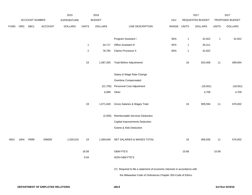|             |      |                |         | 2015               |                         | 2016           |                                                                           |             |              | 2017             |              | 2017            |
|-------------|------|----------------|---------|--------------------|-------------------------|----------------|---------------------------------------------------------------------------|-------------|--------------|------------------|--------------|-----------------|
|             |      | ACCOUNT NUMBER |         | <b>EXPENDITURE</b> |                         | <b>BUDGET</b>  |                                                                           | PAY         |              | REQUESTED BUDGET |              | PROPOSED BUDGET |
| <b>FUND</b> |      | ORG SBCL       | ACCOUNT | <b>DOLLARS</b>     | <b>UNITS</b>            | <b>DOLLARS</b> | LINE DESCRIPTION                                                          | RANGE UNITS |              | <b>DOLLARS</b>   | <b>UNITS</b> | <b>DOLLARS</b>  |
|             |      |                |         |                    |                         |                |                                                                           |             |              |                  |              |                 |
|             |      |                |         |                    |                         |                | Program Assistant I                                                       | 5EN         | $\mathbf{1}$ | 42,922           | $\mathbf{1}$ | 42,922          |
|             |      |                |         |                    | $\mathbf{1}$            | 34,717         | Office Assistant III                                                      | 6FN         | $\mathbf{1}$ | 35,411           |              |                 |
|             |      |                |         |                    | $\overline{\mathbf{c}}$ | 78,765         | Claims Processor II                                                       | 6KN         | $\mathbf{1}$ | 42,922           |              |                 |
|             |      |                |         |                    |                         |                |                                                                           |             |              |                  |              |                 |
|             |      |                |         |                    | 19                      | 1,087,265      | <b>Total Before Adjustments</b>                                           |             | 16           | 923,408          | 11           | 689,854         |
|             |      |                |         |                    |                         |                | Salary & Wage Rate Change                                                 |             |              |                  |              |                 |
|             |      |                |         |                    |                         |                | Overtime Compensated                                                      |             |              |                  |              |                 |
|             |      |                |         |                    |                         | (21, 705)      | Personnel Cost Adjustment                                                 |             |              | (18, 561)        |              | (18, 561)       |
|             |      |                |         |                    |                         | 6,089          | Other                                                                     |             |              | 4,709            |              | 4,709           |
|             |      |                |         |                    |                         |                |                                                                           |             |              |                  |              |                 |
|             |      |                |         |                    | 19                      | 1,071,649      | Gross Salaries & Wages Total                                              |             | 16           | 909,556          | 11           | 676,002         |
|             |      |                |         |                    |                         |                |                                                                           |             |              |                  |              |                 |
|             |      |                |         |                    |                         | (2,000)        | Reimbursable Services Deduction                                           |             |              |                  |              |                 |
|             |      |                |         |                    |                         |                | Capital Improvements Deduction                                            |             |              |                  |              |                 |
|             |      |                |         |                    |                         |                | <b>Grants &amp; Aids Deduction</b>                                        |             |              |                  |              |                 |
| 0001        | 1654 | R999           | 006000  | 1,020,515          | 19                      | 1,069,649      | NET SALARIES & WAGES TOTAL                                                |             | 16           | 909,556          | 11           | 676,002         |
|             |      |                |         |                    |                         |                |                                                                           |             |              |                  |              |                 |
|             |      |                |         |                    | 18.58                   |                | O&M FTE'S                                                                 |             | 15.68        |                  | 10.68        |                 |
|             |      |                |         |                    | 0.04                    |                | NON-O&M FTE'S                                                             |             |              |                  |              |                 |
|             |      |                |         |                    |                         |                | (Y) Required to file a statement of economic interests in accordance with |             |              |                  |              |                 |
|             |      |                |         |                    |                         |                | the Milwaukee Code of Ordinances Chapter 303-Code of Ethics.              |             |              |                  |              |                 |
|             |      |                |         |                    |                         |                |                                                                           |             |              |                  |              |                 |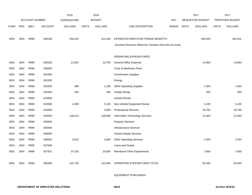|             |            |                       |                | 2015               |              | 2016           |                                                          |            |              | 2017             |              | 2017            |
|-------------|------------|-----------------------|----------------|--------------------|--------------|----------------|----------------------------------------------------------|------------|--------------|------------------|--------------|-----------------|
|             |            | <b>ACCOUNT NUMBER</b> |                | <b>EXPENDITURE</b> |              | <b>BUDGET</b>  |                                                          | <b>PAY</b> |              | REQUESTED BUDGET |              | PROPOSED BUDGET |
| <b>FUND</b> | <b>ORG</b> | <b>SBCL</b>           | <b>ACCOUNT</b> | <b>DOLLARS</b>     | <b>UNITS</b> | <b>DOLLARS</b> | <b>LINE DESCRIPTION</b>                                  | RANGE      | <b>UNITS</b> | <b>DOLLARS</b>   | <b>UNITS</b> | <b>DOLLARS</b>  |
|             |            |                       |                |                    |              |                |                                                          |            |              |                  |              |                 |
| 0001        | 1654       | R999                  | 006100         | 459,232            |              | 513,432        | ESTIMATED EMPLOYEE FRINGE BENEFITS                       |            |              | 409,300          |              | 304,201         |
|             |            |                       |                |                    |              |                | (Involves Revenue Offset-No Transfers from this Account) |            |              |                  |              |                 |
|             |            |                       |                |                    |              |                |                                                          |            |              |                  |              |                 |
|             |            |                       |                |                    |              |                | OPERATING EXPENDITURES                                   |            |              |                  |              |                 |
| 0001        | 1654       | R999                  | 630100         | 21,561             |              | 22,700         | <b>General Office Expense</b>                            |            |              | 14,900           |              | 14,900          |
| 0001        | 1654       | R999                  | 630500         |                    |              |                | Tools & Machinery Parts                                  |            |              |                  |              |                 |
| 0001        | 1654       | R999                  | 631000         |                    |              |                | <b>Construction Supplies</b>                             |            |              |                  |              |                 |
| 0001        | 1654       | R999                  | 631500         |                    |              |                | Energy                                                   |            |              |                  |              |                 |
| 0001        | 1654       | R999                  | 632000         | 396                |              | 1,100          | <b>Other Operating Supplies</b>                          |            |              | 1,300            |              | 1,300           |
| 0001        | 1654       | R999                  | 632500         | 400                |              | 400            | <b>Facility Rental</b>                                   |            |              | 400              |              | 400             |
| 0001        | 1654       | R999                  | 633000         |                    |              |                | Vehicle Rental                                           |            |              |                  |              |                 |
| 0001        | 1654       | R999                  | 633500         | 4,000              |              | 5,100          | Non-Vehicle Equipment Rental                             |            |              | 5,100            |              | 5,100           |
| 0001        | 1654       | R999                  | 634000         |                    |              | 5,000          | <b>Professional Services</b>                             |            |              | 29,700           |              | 29,700          |
| 0001        | 1654       | R999                  | 634500         | 148,513            |              | 148,900        | <b>Information Technology Services</b>                   |            |              | 21,000           |              | 21,000          |
| 0001        | 1654       | R999                  | 635000         |                    |              |                | <b>Property Services</b>                                 |            |              |                  |              |                 |
| 0001        | 1654       | R999                  | 635500         |                    |              |                | <b>Infrastructure Services</b>                           |            |              |                  |              |                 |
| 0001        | 1654       | R999                  | 636000         |                    |              |                | Vehicle Repair Services                                  |            |              |                  |              |                 |
| 0001        | 1654       | R999                  | 636500         | 3,612              |              | 3,600          | <b>Other Operating Services</b>                          |            |              | 2,300            |              | 2,300           |
| 0001        | 1654       | R999                  | 637000         |                    |              |                | Loans and Grants                                         |            |              |                  |              |                 |
| 0001        | 1654       | R999                  | 637501         | 37,253             |              | 25,800         | <b>Reimburse Other Departments</b>                       |            |              | 7,800            |              | 7,800           |
|             |            |                       |                |                    |              |                |                                                          |            |              |                  |              |                 |
| 0001        | 1654       | R999                  | 006300         | 215,735            |              | 212,600        | OPERATING EXPENDITURES TOTAL                             |            |              | 82,500           |              | 82,500          |
|             |            |                       |                |                    |              |                |                                                          |            |              |                  |              |                 |
|             |            |                       |                |                    |              |                |                                                          |            |              |                  |              |                 |

EQUIPMENT PURCHASES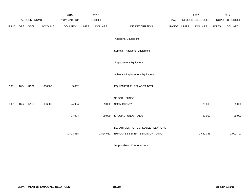|             |      |                       |                | 2015               |              | 2016           |                                   |             | 2017             |              | 2017            |
|-------------|------|-----------------------|----------------|--------------------|--------------|----------------|-----------------------------------|-------------|------------------|--------------|-----------------|
|             |      | <b>ACCOUNT NUMBER</b> |                | <b>EXPENDITURE</b> |              | <b>BUDGET</b>  |                                   | PAY         | REQUESTED BUDGET |              | PROPOSED BUDGET |
| <b>FUND</b> | ORG  | SBCL                  | <b>ACCOUNT</b> | <b>DOLLARS</b>     | <b>UNITS</b> | <b>DOLLARS</b> | LINE DESCRIPTION                  | RANGE UNITS | <b>DOLLARS</b>   | <b>UNITS</b> | <b>DOLLARS</b>  |
|             |      |                       |                |                    |              |                | <b>Additional Equipment</b>       |             |                  |              |                 |
|             |      |                       |                |                    |              |                | Subtotal - Additional Equipment   |             |                  |              |                 |
|             |      |                       |                |                    |              |                | Replacement Equipment             |             |                  |              |                 |
|             |      |                       |                |                    |              |                | Subtotal - Replacement Equipment  |             |                  |              |                 |
| 0001        | 1654 | R999                  | 006800         | 3,052              |              |                | EQUIPMENT PURCHASES TOTAL         |             |                  |              |                 |
|             |      |                       |                |                    |              |                | SPECIAL FUNDS                     |             |                  |              |                 |
| 0001        | 1654 | R <sub>163</sub>      | 006300         | 24,904             |              | 29,000         | Safety Glasses*                   |             | 29,000           |              | 29,000          |
|             |      |                       |                | 24,904             |              | 29,000         | SPECIAL FUNDS TOTAL               |             | 29,000           |              | 29,000          |
|             |      |                       |                |                    |              |                | DEPARTMENT OF EMPLOYEE RELATIONS- |             |                  |              |                 |
|             |      |                       |                | 1,723,438          |              | 1,824,681      | EMPLOYEE BENEFITS DIVISION TOTAL  |             | 1,430,356        |              | 1,091,703       |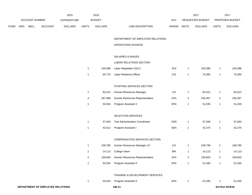|      |     |                |                                  | 2015               |                         | 2016           |                                        |             |                  | 2017             |                         | 2017            |
|------|-----|----------------|----------------------------------|--------------------|-------------------------|----------------|----------------------------------------|-------------|------------------|------------------|-------------------------|-----------------|
|      |     | ACCOUNT NUMBER |                                  | <b>EXPENDITURE</b> |                         | <b>BUDGET</b>  |                                        | PAY         |                  | REQUESTED BUDGET |                         | PROPOSED BUDGET |
| FUND | ORG | <b>SBCL</b>    | <b>ACCOUNT</b>                   | <b>DOLLARS</b>     | <b>UNITS</b>            | <b>DOLLARS</b> | LINE DESCRIPTION                       | RANGE UNITS |                  | <b>DOLLARS</b>   | <b>UNITS</b>            | <b>DOLLARS</b>  |
|      |     |                |                                  |                    |                         |                | DEPARTMENT OF EMPLOYEE RELATIONS       |             |                  |                  |                         |                 |
|      |     |                |                                  |                    |                         |                | OPERATIONS DIVISION                    |             |                  |                  |                         |                 |
|      |     |                |                                  |                    |                         |                | SALARIES & WAGES                       |             |                  |                  |                         |                 |
|      |     |                |                                  |                    |                         |                | LABOR RELATIONS SECTION                |             |                  |                  |                         |                 |
|      |     |                |                                  |                    | $\mathbf{1}$            | 100,386        | Labor Negotiator (X)(Y)                | 1KX         | $\mathbf{1}$     | 100,386          | $\overline{1}$          | 100,386         |
|      |     |                |                                  |                    | $\mathbf{1}$            | 64,770         | Labor Relations Officer                | 2JX         | $\mathbf{1}$     | 75,000           | $\overline{1}$          | 75,000          |
|      |     |                |                                  |                    |                         |                | STAFFING SERVICES SECTION              |             |                  |                  |                         |                 |
|      |     |                |                                  |                    | $\mathbf{1}$            | 82,012         | Human Resources Manager                | 11X         | $\mathbf{1}$     | 82,012           | $\overline{1}$          | 82,012          |
|      |     |                |                                  |                    | 4                       | 267,668        | Human Resources Representative         | 2HX         | 4                | 256,467          | 4                       | 256,467         |
|      |     |                |                                  |                    | $\mathbf{1}$            | 50,034         | Program Assistant II                   | 5FN         | $\mathbf{1}$     | 51,035           | $\overline{1}$          | 51,035          |
|      |     |                |                                  |                    |                         |                | SELECTION SERVICES                     |             |                  |                  |                         |                 |
|      |     |                |                                  |                    | $\mathbf{1}$            | 57,940         | <b>Test Administration Coordinator</b> | 2DN         | $\mathbf{1}$     | 57,940           | $\overline{1}$          | 57,940          |
|      |     |                |                                  |                    | $\mathbf{1}$            | 43,612         | Program Assistant I                    | 5EN         | $\mathbf{1}$     | 42,375           | $\overline{1}$          | 42,375          |
|      |     |                |                                  |                    |                         |                | COMPENSATION SERVICES SECTION          |             |                  |                  |                         |                 |
|      |     |                |                                  |                    | $\mathbf{1}$            | 109,790        | Human Resources Manager (Y)            | 11X         | $\mathbf{1}$     | 109,790          | $\mathbf{1}$            | 109,790         |
|      |     |                |                                  |                    | $\mathbf{1}$            | 14,113         | College Intern                         | 9IN         | $\mathbf{1}$     | 14,113           | $\overline{1}$          | 14,113          |
|      |     |                |                                  |                    | $\overline{\mathbf{c}}$ | 159,603        | Human Resources Representative         | 2HX         | $\boldsymbol{2}$ | 159,603          | $\overline{\mathbf{c}}$ | 159,603         |
|      |     |                |                                  |                    | $\mathbf{1}$            | 50,034         | Program Assistant II                   | 5FN         | $\mathbf{1}$     | 51,035           | $\overline{1}$          | 51,035          |
|      |     |                |                                  |                    |                         |                | TRAINING & DEVELOPMENT SERVICES        |             |                  |                  |                         |                 |
|      |     |                |                                  |                    | $\mathbf{1}$            | 50,034         | Program Assistant II                   | 5FN         | $\mathbf{1}$     | 51,035           | -1                      | 51,035          |
|      |     |                | DEPARTMENT OF EMPLOYEE RELATIONS |                    |                         |                | 180.11                                 |             |                  |                  |                         | 3rd Run 9/19/16 |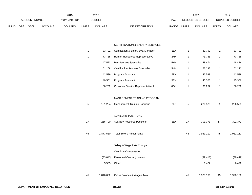|             |     |                       |                | 2015           |              | 2016           |                           | 2017                    |              | 201                    |
|-------------|-----|-----------------------|----------------|----------------|--------------|----------------|---------------------------|-------------------------|--------------|------------------------|
|             |     | <b>ACCOUNT NUMBER</b> |                | EXPENDITURE    |              | BUDGET         | PAY                       | REQUESTED BUDGET        |              | <b>PROPOSED BUDGET</b> |
| <b>FUND</b> | ORG | <b>SBCL</b>           | <b>ACCOUNT</b> | <b>DOLLARS</b> | <b>UNITS</b> | <b>DOLLARS</b> | RANGE<br>LINE DESCRIPTION | UNITS<br><b>DOLLARS</b> | <b>UNITS</b> | <b>DOLLARS</b>         |

#### CERTIFICATION & SALARY SERVICES

| 83.792 | Certification & Salary Sys. Manager      | 1EX | 83,792 | 83,792 |
|--------|------------------------------------------|-----|--------|--------|
| 73.765 | Human Resources Representative           | 2HX | 73.765 | 73,765 |
| 47.523 | Pay Services Specialist                  | 5HN | 48.474 | 48,474 |
| 51.268 | <b>Certification Services Specialist</b> | 5HN | 52.293 | 52,293 |
| 42.539 | Program Assistant II                     | 5FN | 42.539 | 42,539 |
| 40.501 | Program Assistant I                      | 5EN | 45.306 | 45,306 |
| 36.252 | Customer Service Representative II       | 6GN | 36,252 | 36,252 |

### MANAGEMENT TRAINING PROGRAM

| 5  | 181,224   | <b>Management Training Positions</b> | 2EX | 5  | 226,529   | 5  | 226,529   |
|----|-----------|--------------------------------------|-----|----|-----------|----|-----------|
|    |           | <b>AUXILIARY POSITIONS</b>           |     |    |           |    |           |
| 17 | 266,700   | <b>Auxiliary Resource Positions</b>  | 2EX | 17 | 301,371   | 17 | 301,371   |
| 45 | 1,873,560 | <b>Total Before Adjustments</b>      |     | 45 | 1,961,112 | 45 | 1,961,112 |
|    |           | Salary & Wage Rate Change            |     |    |           |    |           |
|    |           | Overtime Compensated                 |     |    |           |    |           |
|    | (33,043)  | Personnel Cost Adjustment            |     |    | (39, 418) |    | (39, 418) |
|    | 5,565     | Other                                |     |    | 6,472     |    | 6,472     |
| 45 | 1,846,082 | Gross Salaries & Wages Total         |     | 45 | 1,928,166 | 45 | 1,928,166 |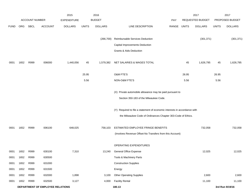|              |              |                       |                                  | 2015               |              | 2016           |                                                                           |            |              | 2017             |              | 2017            |
|--------------|--------------|-----------------------|----------------------------------|--------------------|--------------|----------------|---------------------------------------------------------------------------|------------|--------------|------------------|--------------|-----------------|
|              |              | <b>ACCOUNT NUMBER</b> |                                  | <b>EXPENDITURE</b> |              | <b>BUDGET</b>  |                                                                           | <b>PAY</b> |              | REQUESTED BUDGET |              | PROPOSED BUDGET |
| <b>FUND</b>  | <b>ORG</b>   | SBCL                  | <b>ACCOUNT</b>                   | <b>DOLLARS</b>     | <b>UNITS</b> | <b>DOLLARS</b> | LINE DESCRIPTION                                                          | RANGE      | <b>UNITS</b> | <b>DOLLARS</b>   | <b>UNITS</b> | <b>DOLLARS</b>  |
|              |              |                       |                                  |                    |              |                |                                                                           |            |              |                  |              |                 |
|              |              |                       |                                  |                    |              | (266, 700)     | Reimbursable Services Deduction                                           |            |              | (301, 371)       |              | (301, 371)      |
|              |              |                       |                                  |                    |              |                | Capital Improvements Deduction                                            |            |              |                  |              |                 |
|              |              |                       |                                  |                    |              |                | Grants & Aids Deduction                                                   |            |              |                  |              |                 |
| 0001         | 1652         | R999                  | 006000                           | 1,440,056          | 45           | 1,579,382      | NET SALARIES & WAGES TOTAL                                                |            | 45           | 1,626,795        | 45           | 1,626,795       |
|              |              |                       |                                  |                    | 25.95        |                | O&M FTE'S                                                                 |            | 26.95        |                  | 26.95        |                 |
|              |              |                       |                                  |                    | 5.56         |                | NON-O&M FTE'S                                                             |            | 5.56         |                  | 5.56         |                 |
|              |              |                       |                                  |                    |              |                |                                                                           |            |              |                  |              |                 |
|              |              |                       |                                  |                    |              |                | (X) Private automobile allowance may be paid pursuant to                  |            |              |                  |              |                 |
|              |              |                       |                                  |                    |              |                | Section 350-183 of the Milwaukee Code.                                    |            |              |                  |              |                 |
|              |              |                       |                                  |                    |              |                | (Y) Required to file a statement of economic interests in accordance with |            |              |                  |              |                 |
|              |              |                       |                                  |                    |              |                | the Milwaukee Code of Ordinances Chapter 303-Code of Ethics.              |            |              |                  |              |                 |
|              |              |                       |                                  |                    |              |                |                                                                           |            |              |                  |              |                 |
| 0001         | 1652         | R999                  | 006100                           | 648,025            |              | 758,103        | ESTIMATED EMPLOYEE FRINGE BENEFITS                                        |            |              | 732,058          |              | 732,058         |
|              |              |                       |                                  |                    |              |                | (Involves Revenue Offset-No Transfers from this Account)                  |            |              |                  |              |                 |
|              |              |                       |                                  |                    |              |                |                                                                           |            |              |                  |              |                 |
|              |              |                       |                                  |                    |              |                | OPERATING EXPENDITURES                                                    |            |              |                  |              |                 |
| 0001<br>0001 | 1652<br>1652 | R999<br>R999          | 630100<br>630500                 | 7,310              |              | 13,240         | General Office Expense<br>Tools & Machinery Parts                         |            |              | 12,025           |              | 12,025          |
| 0001         | 1652         | R999                  | 631000                           |                    |              |                | <b>Construction Supplies</b>                                              |            |              |                  |              |                 |
| 0001         | 1652         | R999                  | 631500                           |                    |              |                | Energy                                                                    |            |              |                  |              |                 |
| 0001         | 1652         | R999                  | 632000                           | 1,898              |              | 3,100          | <b>Other Operating Supplies</b>                                           |            |              | 2,600            |              | 2,600           |
| 0001         | 1652         | R999                  | 632500                           | 3,127              |              | 4,000          | <b>Facility Rental</b>                                                    |            |              | 11,100           |              | 11,100          |
|              |              |                       | DEPARTMENT OF EMPLOYEE RELATIONS |                    |              |                | 180.13                                                                    |            |              |                  |              | 3rd Run 9/19/16 |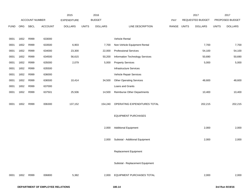|             |      |                |                                  | 2015               |              | 2016           |                                  |             | 2017             |              | 2017            |
|-------------|------|----------------|----------------------------------|--------------------|--------------|----------------|----------------------------------|-------------|------------------|--------------|-----------------|
|             |      | ACCOUNT NUMBER |                                  | <b>EXPENDITURE</b> |              | <b>BUDGET</b>  |                                  | PAY         | REQUESTED BUDGET |              | PROPOSED BUDGET |
| <b>FUND</b> | ORG  | <b>SBCL</b>    | <b>ACCOUNT</b>                   | <b>DOLLARS</b>     | <b>UNITS</b> | <b>DOLLARS</b> | LINE DESCRIPTION                 | RANGE UNITS | <b>DOLLARS</b>   | <b>UNITS</b> | <b>DOLLARS</b>  |
|             |      |                |                                  |                    |              |                |                                  |             |                  |              |                 |
| 0001        | 1652 | R999           | 633000                           |                    |              |                | Vehicle Rental                   |             |                  |              |                 |
| 0001        | 1652 | R999           | 633500                           | 6,903              |              | 7,700          | Non-Vehicle Equipment Rental     |             | 7,700            |              | 7,700           |
| 0001        | 1652 | R999           | 634000                           | 23,300             |              | 22,000         | <b>Professional Services</b>     |             | 54,100           |              | 54,100          |
| 0001        | 1652 | R999           | 634500                           | 56,615             |              | 50,200         | Information Technology Services  |             | 50,690           |              | 50,690          |
| 0001        | 1652 | R999           | 635000                           | 2,079              |              | 5,000          | <b>Property Services</b>         |             | 5,000            |              | 5,000           |
| 0001        | 1652 | R999           | 635500                           |                    |              |                | Infrastructure Services          |             |                  |              |                 |
| 0001        | 1652 | R999           | 636000                           |                    |              |                | Vehicle Repair Services          |             |                  |              |                 |
| 0001        | 1652 | R999           | 636500                           | 10,414             |              | 34,500         | <b>Other Operating Services</b>  |             | 48,600           |              | 48,600          |
| 0001        | 1652 | R999           | 637000                           |                    |              |                | Loans and Grants                 |             |                  |              |                 |
| 0001        | 1652 | R999           | 637501                           | 25,506             |              | 14,500         | Reimburse Other Departments      |             | 10,400           |              | 10,400          |
|             |      |                |                                  |                    |              |                |                                  |             |                  |              |                 |
| 0001        | 1652 | R999           | 006300                           | 137,152            |              | 154,240        | OPERATING EXPENDITURES TOTAL     |             | 202,215          |              | 202,215         |
|             |      |                |                                  |                    |              |                |                                  |             |                  |              |                 |
|             |      |                |                                  |                    |              |                | <b>EQUIPMENT PURCHASES</b>       |             |                  |              |                 |
|             |      |                |                                  |                    |              |                |                                  |             |                  |              |                 |
|             |      |                |                                  |                    |              | 2,000          | <b>Additional Equipment</b>      |             | 2,000            |              | 2,000           |
|             |      |                |                                  |                    |              |                |                                  |             |                  |              |                 |
|             |      |                |                                  |                    |              | 2,000          | Subtotal - Additional Equipment  |             | 2,000            |              | 2,000           |
|             |      |                |                                  |                    |              |                |                                  |             |                  |              |                 |
|             |      |                |                                  |                    |              |                | <b>Replacement Equipment</b>     |             |                  |              |                 |
|             |      |                |                                  |                    |              |                |                                  |             |                  |              |                 |
|             |      |                |                                  |                    |              |                | Subtotal - Replacement Equipment |             |                  |              |                 |
|             |      |                |                                  |                    |              |                |                                  |             |                  |              |                 |
| 0001        | 1652 | R999           | 006800                           | 5,382              |              |                | 2,000 EQUIPMENT PURCHASES TOTAL  |             | 2,000            |              | 2,000           |
|             |      |                |                                  |                    |              |                |                                  |             |                  |              |                 |
|             |      |                | DEPARTMENT OF EMPLOYEE RELATIONS |                    |              |                | 180.14                           |             |                  |              | 3rd Run 9/19/16 |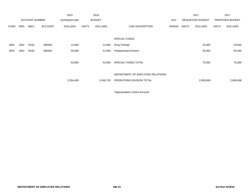|             |            |                       |                | 2015               |              | 2016           |                                   |            |       | 2017                    |              | 2017            |
|-------------|------------|-----------------------|----------------|--------------------|--------------|----------------|-----------------------------------|------------|-------|-------------------------|--------------|-----------------|
|             |            | <b>ACCOUNT NUMBER</b> |                | <b>EXPENDITURE</b> |              | <b>BUDGET</b>  |                                   | <b>PAY</b> |       | <b>REQUESTED BUDGET</b> |              | PROPOSED BUDGET |
| <b>FUND</b> | <b>ORG</b> | <b>SBCL</b>           | <b>ACCOUNT</b> | <b>DOLLARS</b>     | <b>UNITS</b> | <b>DOLLARS</b> | LINE DESCRIPTION                  | RANGE      | UNITS | <b>DOLLARS</b>          | <b>UNITS</b> | <b>DOLLARS</b>  |
|             |            |                       |                |                    |              |                |                                   |            |       |                         |              |                 |
|             |            |                       |                |                    |              |                | <b>SPECIAL FUNDS</b>              |            |       |                         |              |                 |
| 0001        | 1652       | R <sub>164</sub>      | 006300         | 13,850             |              | 12,000         | Drug Testing*                     |            |       | 20,000                  |              | 20,000          |
| 0001        | 1652       | R <sub>165</sub>      | 006300         | 50,000             |              | 41,000         | Preplacement Exams*               |            |       | 55,000                  |              | 55,000          |
|             |            |                       |                |                    |              |                |                                   |            |       |                         |              |                 |
|             |            |                       |                | 63,850             |              | 53,000         | SPECIAL FUNDS TOTAL               |            |       | 75,000                  |              | 75,000          |
|             |            |                       |                |                    |              |                |                                   |            |       |                         |              |                 |
|             |            |                       |                |                    |              |                | DEPARTMENT OF EMPLOYEE RELATIONS- |            |       |                         |              |                 |
|             |            |                       |                | 2,294,465          |              | 2,546,725      | OPERATIONS DIVISION TOTAL         |            |       | 2,638,068               |              | 2,638,068       |
|             |            |                       |                |                    |              |                |                                   |            |       |                         |              |                 |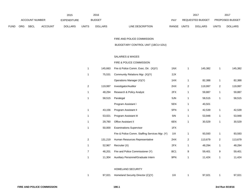|             |     |                       |                | 2015               |              | 2016           |                           | 2017             |                | 2017                   |                |
|-------------|-----|-----------------------|----------------|--------------------|--------------|----------------|---------------------------|------------------|----------------|------------------------|----------------|
|             |     | <b>ACCOUNT NUMBER</b> |                | <b>EXPENDITURE</b> |              | <b>BUDGET</b>  | PAY                       | REQUESTED BUDGET |                | <b>PROPOSED BUDGET</b> |                |
| <b>FUND</b> | ORG | <b>SBCL</b>           | <b>ACCOUNT</b> | <b>DOLLARS</b>     | <b>UNITS</b> | <b>DOLLARS</b> | LINE DESCRIPTION<br>RANGE | <b>UNITS</b>     | <b>DOLLARS</b> | <b>UNITS</b>           | <b>DOLLARS</b> |

FIRE AND POLICE COMMISSION

BUDGETARY CONTROL UNIT (1BCU=1DU)

#### SALARIES & WAGES

## FIRE & POLICE COMMISSION

| 1 | 145,663 | Fire & Police Comm. Exec. Dir. (X)(Y)          | 1NX             | 1              | 145,382 | 1              | 145,382 |
|---|---------|------------------------------------------------|-----------------|----------------|---------|----------------|---------|
| 1 | 75,531  | Community Relations Mgr. (X)(Y)                | 2JX             |                |         |                |         |
|   |         | Operations Manager (X)(Y)                      | 1HX             | 1              | 82,388  | 1              | 82,388  |
| 2 | 119,997 | Investigator/Auditor                           | 2HX             | $\overline{2}$ | 119,997 | $\overline{c}$ | 119,997 |
| 1 | 48,294  | Research & Policy Analyst                      | 2FX             | 1              | 59,887  | 1              | 59,887  |
| 1 | 58,515  | Paralegal                                      | 5JN             | 1              | 58,515  | 1              | 58,515  |
|   |         | Program Assistant I                            | 5EN             | 1              | 40,501  |                |         |
| 1 | 43,156  | Program Assistant II                           | 5FN             | 1              | 42,539  | 1              | 42,539  |
| 1 | 53,021  | Program Assistant III                          | 5IN             | 1              | 53,948  | 1              | 53,948  |
| 1 | 29,780  | Office Assistant II                            | 6EN             | 1              | 30,529  | 1              | 30,529  |
| 1 | 50,000  | <b>Examinations Supervisor</b>                 | 1FX             |                |         |                |         |
|   |         | Fire & Police Comm. Staffing Services Mgr. (Y) | 11X             | 1              | 93,593  | 1              | 93,593  |
| 2 | 131,219 | Human Resources Representative                 | 2HX             | 2              | 113,679 | $\sqrt{2}$     | 113,679 |
| 1 | 52,967  | Recruiter (X)                                  | 2FX             | 1              | 48,294  | 1              | 48,294  |
| 7 | 46,201  | Fire and Police Commissioner (Y)               | BC <sub>1</sub> | 9              | 59,401  | 9              | 59,401  |
| 1 | 11,304  | Auxiliary Personnel/Graduate Intern            | 9PN             | 1              | 11,424  | 1              | 11,424  |
|   |         |                                                |                 |                |         |                |         |
|   |         | HOMEL AND SECURITY                             |                 |                |         |                |         |

#### HOMELAND SECURITY

| 97.021 | Homeland Security Director (C)(Y) | שו | 97.021 | 97,021 |
|--------|-----------------------------------|----|--------|--------|
|        |                                   |    |        |        |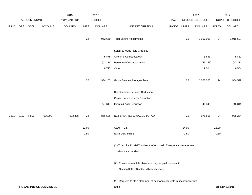|             |      |                |                            | 2015           |              | 2016           |                                                                           |       |              | 2017             |              | 2017            |
|-------------|------|----------------|----------------------------|----------------|--------------|----------------|---------------------------------------------------------------------------|-------|--------------|------------------|--------------|-----------------|
|             |      | ACCOUNT NUMBER |                            | EXPENDITURE    |              | <b>BUDGET</b>  |                                                                           | PAY   |              | REQUESTED BUDGET |              | PROPOSED BUDGET |
| <b>FUND</b> | ORG  | <b>SBCL</b>    | <b>ACCOUNT</b>             | <b>DOLLARS</b> | <b>UNITS</b> | <b>DOLLARS</b> | LINE DESCRIPTION                                                          | RANGE | <b>UNITS</b> | <b>DOLLARS</b>   | <b>UNITS</b> | <b>DOLLARS</b>  |
|             |      |                |                            |                | $22\,$       | 962,669        | <b>Total Before Adjustments</b>                                           |       | 25           | 1,057,098        | 24           | 1,016,597       |
|             |      |                |                            |                |              |                | Salary & Wage Rate Changes                                                |       |              |                  |              |                 |
|             |      |                |                            |                |              | 5,875          | Overtime Compensated*                                                     |       |              | 5,851            |              | 5,851           |
|             |      |                |                            |                |              | (43, 118)      | Personnel Cost Adjustment                                                 |       |              | (49, 253)        |              | (47, 373)       |
|             |      |                |                            |                |              | 8,727          | Other                                                                     |       |              | 9,504            |              | 9,504           |
|             |      |                |                            |                | 22           | 934,153        | Gross Salaries & Wages Total                                              |       | 25           | 1,023,200        | 24           | 984,579         |
|             |      |                |                            |                |              |                | Reimbursable Services Deduction                                           |       |              |                  |              |                 |
|             |      |                |                            |                |              |                | Capital Improvements Deduction                                            |       |              |                  |              |                 |
|             |      |                |                            |                |              |                | (77,617) Grants & Aids Deduction                                          |       |              | (46, 345)        |              | (46, 345)       |
| 0001        | 3100 | R999           | 006000                     | 693,385        | 22           | 856,536        | NET SALARIES & WAGES TOTAL*                                               |       | 25           | 976,855          | 24           | 938,234         |
|             |      |                |                            |                | 13.60        |                | O&M FTE'S                                                                 |       | 14.90        |                  | 13.90        |                 |
|             |      |                |                            |                | 0.80         |                | NON-O&M FTE'S                                                             |       | 0.50         |                  | $0.50\,$     |                 |
|             |      |                |                            |                |              |                | (C) To expire 12/31/17, unless the Wisconsin Emergency Management         |       |              |                  |              |                 |
|             |      |                |                            |                |              |                | Grant is extended.                                                        |       |              |                  |              |                 |
|             |      |                |                            |                |              |                | (X) Private automobile allowance may be paid pursuant to                  |       |              |                  |              |                 |
|             |      |                |                            |                |              |                | Section 350-183 of the Milwaukee Code.                                    |       |              |                  |              |                 |
|             |      |                |                            |                |              |                | (Y) Required to file a statement of economic interests in accordance with |       |              |                  |              |                 |
|             |      |                | FIRE AND POLICE COMMISSION |                |              |                | 190.2                                                                     |       |              |                  |              | 3rd Run 9/19/16 |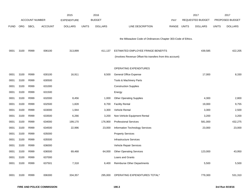|             |            |                       |                | 2015               |              | 2016           |                                                              |            |              | 2017             |              | 2017            |
|-------------|------------|-----------------------|----------------|--------------------|--------------|----------------|--------------------------------------------------------------|------------|--------------|------------------|--------------|-----------------|
|             |            | <b>ACCOUNT NUMBER</b> |                | <b>EXPENDITURE</b> |              | <b>BUDGET</b>  |                                                              | <b>PAY</b> |              | REQUESTED BUDGET |              | PROPOSED BUDGET |
| <b>FUND</b> | <b>ORG</b> | <b>SBCL</b>           | <b>ACCOUNT</b> | <b>DOLLARS</b>     | <b>UNITS</b> | <b>DOLLARS</b> | LINE DESCRIPTION                                             | RANGE      | <b>UNITS</b> | <b>DOLLARS</b>   | <b>UNITS</b> | <b>DOLLARS</b>  |
|             |            |                       |                |                    |              |                |                                                              |            |              |                  |              |                 |
|             |            |                       |                |                    |              |                | the Milwaukee Code of Ordinances Chapter 303-Code of Ethics. |            |              |                  |              |                 |
|             |            |                       |                |                    |              |                |                                                              |            |              |                  |              |                 |
| 0001        | 3100       | R999                  | 006100         | 313,899            |              | 411,137        | ESTIMATED EMPLOYEE FRINGE BENEFITS                           |            |              | 439,585          |              | 422,205         |
|             |            |                       |                |                    |              |                | (Involves Revenue Offset-No transfers from this account)     |            |              |                  |              |                 |
|             |            |                       |                |                    |              |                |                                                              |            |              |                  |              |                 |
|             |            |                       |                |                    |              |                | <b>OPERATING EXPENDITURES</b>                                |            |              |                  |              |                 |
| 0001        | 3100       | R999                  | 630100         | 16,911             |              | 8,500          | General Office Expense                                       |            |              | 17,000           |              | 8,330           |
| 0001        | 3100       | R999                  | 630500         |                    |              |                | Tools & Machinery Parts                                      |            |              |                  |              |                 |
| 0001        | 3100       | R999                  | 631000         |                    |              |                | <b>Construction Supplies</b>                                 |            |              |                  |              |                 |
| 0001        | 3100       | R999                  | 631500         |                    |              |                | Energy                                                       |            |              |                  |              |                 |
| 0001        | 3100       | R999                  | 632000         | 8,456              |              | 1,000          | <b>Other Operating Supplies</b>                              |            |              | 4,300            |              | 2,800           |
| 0001        | 3100       | R999                  | 632500         | 1,828              |              | 8,700          | <b>Facility Rental</b>                                       |            |              | 19,000           |              | 9,755           |
| 0001        | 3100       | R999                  | 633000         | 1,944              |              | 3,300          | Vehicle Rental                                               |            |              | 3,300            |              | 2,500           |
| 0001        | 3100       | R999                  | 633500         | 6,266              |              | 3,200          | Non-Vehicle Equipment Rental                                 |            |              | 3,200            |              | 3,200           |
| 0001        | 3100       | R999                  | 634000         | 199,170            |              | 176,900        | <b>Professional Services</b>                                 |            |              | 581,000          |              | 432,275         |
| 0001        | 3100       | R999                  | 634500         | 22,996             |              | 23,000         | Information Technology Services                              |            |              | 23,000           |              | 23,000          |
| 0001        | 3100       | R999                  | 635000         |                    |              |                | <b>Property Services</b>                                     |            |              |                  |              |                 |
| 0001        | 3100       | R999                  | 635500         |                    |              |                | <b>Infrastructure Services</b>                               |            |              |                  |              |                 |
| 0001        | 3100       | R999                  | 636000         |                    |              |                | Vehicle Repair Services                                      |            |              |                  |              |                 |
| 0001        | 3100       | R999                  | 636500         | 69,468             |              | 64,000         | <b>Other Operating Services</b>                              |            |              | 123,000          |              | 43,950          |
| 0001        | 3100       | R999                  | 637000         |                    |              |                | Loans and Grants                                             |            |              |                  |              |                 |
| 0001        | 3100       | R999                  | 637501         | 7,318              |              | 6,400          | Reimburse Other Departments                                  |            |              | 5,500            |              | 5,500           |
|             |            |                       |                |                    |              |                |                                                              |            |              |                  |              |                 |
| 0001        | 3100       | R999                  | 006300         | 334,357            |              | 295,000        | OPERATING EXPENDITURES TOTAL*                                |            |              | 779,300          |              | 531,310         |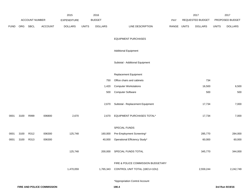|             |      |                |                            | 2015               |              | 2016           |                                    |             |        | 2017             |              | 2017            |
|-------------|------|----------------|----------------------------|--------------------|--------------|----------------|------------------------------------|-------------|--------|------------------|--------------|-----------------|
|             |      | ACCOUNT NUMBER |                            | <b>EXPENDITURE</b> |              | <b>BUDGET</b>  |                                    | PAY         |        | REQUESTED BUDGET |              | PROPOSED BUDGET |
| <b>FUND</b> | ORG  | SBCL           | <b>ACCOUNT</b>             | <b>DOLLARS</b>     | <b>UNITS</b> | <b>DOLLARS</b> | LINE DESCRIPTION                   | RANGE UNITS |        | <b>DOLLARS</b>   | <b>UNITS</b> | <b>DOLLARS</b>  |
|             |      |                |                            |                    |              |                | <b>EQUIPMENT PURCHASES</b>         |             |        |                  |              |                 |
|             |      |                |                            |                    |              |                | <b>Additional Equipment</b>        |             |        |                  |              |                 |
|             |      |                |                            |                    |              |                | Subtotal - Additional Equipment    |             |        |                  |              |                 |
|             |      |                |                            |                    |              |                | Replacement Equipment              |             |        |                  |              |                 |
|             |      |                |                            |                    |              | 750            | Office chairs and cabinets         |             |        | 734              |              |                 |
|             |      |                |                            |                    |              | 1,420          | <b>Computer Workstations</b>       |             | 16,500 |                  |              | 6,500           |
|             |      |                |                            |                    |              | 500            | <b>Computer Software</b>           |             | 500    |                  |              | 500             |
|             |      |                |                            |                    |              | 2,670          | Subtotal - Replacement Equipment   |             | 17,734 |                  |              | 7,000           |
| 0001        | 3100 | R999           | 006800                     | 2,670              |              | 2,670          | EQUIPMENT PURCHASES TOTAL*         |             |        | 17,734           |              | 7,000           |
|             |      |                |                            |                    |              |                | SPECIAL FUNDS                      |             |        |                  |              |                 |
| 0001        | 3100 | R312           | 006300                     | 125,748            |              | 160,000        | Pre-Employment Screening*          |             |        | 285,770          |              | 284,000         |
| 0001        | 3100 | R313           | 006300                     |                    |              | 40,000         | Operational Efficiency Study*      |             |        | 60,000           |              | 60,000          |
|             |      |                |                            | 125,748            |              | 200,000        | SPECIAL FUNDS TOTAL                |             |        | 345,770          |              | 344,000         |
|             |      |                |                            |                    |              |                | FIRE & POLICE COMMISSION BUDGETARY |             |        |                  |              |                 |
|             |      |                |                            | 1,470,059          |              | 1,765,343      | CONTROL UNIT TOTAL (1BCU=1DU)      |             |        | 2,559,244        |              | 2,242,749       |
|             |      |                |                            |                    |              |                | *Appropriation Control Account     |             |        |                  |              |                 |
|             |      |                | FIRE AND POLICE COMMISSION |                    |              |                | 190.4                              |             |        |                  |              | 3rd Run 9/19/16 |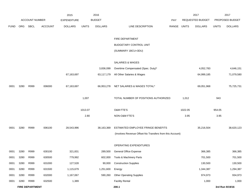|             |      |                        |                | 2015               |              | 2016           |                                                          |       |         | 2017             |              | 2017            |
|-------------|------|------------------------|----------------|--------------------|--------------|----------------|----------------------------------------------------------|-------|---------|------------------|--------------|-----------------|
|             |      | <b>ACCOUNT NUMBER</b>  |                | <b>EXPENDITURE</b> |              | <b>BUDGET</b>  |                                                          | PAY   |         | REQUESTED BUDGET |              | PROPOSED BUDGET |
| <b>FUND</b> | ORG  | SBCL                   | <b>ACCOUNT</b> | <b>DOLLARS</b>     | <b>UNITS</b> | <b>DOLLARS</b> | LINE DESCRIPTION                                         | RANGE | UNITS   | <b>DOLLARS</b>   | <b>UNITS</b> | <b>DOLLARS</b>  |
|             |      |                        |                |                    |              |                |                                                          |       |         |                  |              |                 |
|             |      |                        |                |                    |              |                | FIRE DEPARTMENT                                          |       |         |                  |              |                 |
|             |      |                        |                |                    |              |                | <b>BUDGETARY CONTROL UNIT</b>                            |       |         |                  |              |                 |
|             |      |                        |                |                    |              |                | (SUMMARY 1BCU=3DU)                                       |       |         |                  |              |                 |
|             |      |                        |                |                    |              |                |                                                          |       |         |                  |              |                 |
|             |      |                        |                |                    |              |                | SALARIES & WAGES                                         |       |         |                  |              |                 |
|             |      |                        |                |                    |              | 3,836,099      | Overtime Compensated (Spec. Duty)*                       |       |         | 4,052,783        |              | 4,646,151       |
|             |      |                        |                | 67,163,697         |              | 63,117,179     | All Other Salaries & Wages                               |       |         | 64,999,185       |              | 71,079,580      |
|             |      |                        |                |                    |              |                |                                                          |       |         |                  |              |                 |
| 0001        | 3280 | R999                   | 006000         | 67,163,697         |              | 66,953,278     | NET SALARIES & WAGES TOTAL*                              |       |         | 69,051,968       |              | 75,725,731      |
|             |      |                        |                |                    |              |                |                                                          |       |         |                  |              |                 |
|             |      |                        |                |                    | 1,007        |                | TOTAL NUMBER OF POSITIONS AUTHORIZED                     |       | 1,012   |                  | 943          |                 |
|             |      |                        |                |                    | 1013.07      |                | O&M FTE'S                                                |       | 1022.05 |                  | 954.05       |                 |
|             |      |                        |                |                    | 2.80         |                | NON-O&M FTE'S                                            |       | 3.95    |                  | 3.95         |                 |
|             |      |                        |                |                    |              |                |                                                          |       |         |                  |              |                 |
| 0001        | 3280 | R999                   | 006100         | 28,543,996         |              | 38,163,369     | ESTIMATED EMPLOYEE FRINGE BENEFITS                       |       |         | 35,216,504       |              | 38,620,123      |
|             |      |                        |                |                    |              |                | (Involves Revenue Offset-No Transfers from this Account) |       |         |                  |              |                 |
|             |      |                        |                |                    |              |                |                                                          |       |         |                  |              |                 |
|             |      |                        |                |                    |              |                | OPERATING EXPENDITURES                                   |       |         |                  |              |                 |
| 0001        | 3280 | R999                   | 630100         | 321,831            |              | 289,500        | <b>General Office Expense</b>                            |       |         | 366,385          |              | 366,385         |
| 0001        | 3280 | R999                   | 630500         | 779,992            |              | 602,000        | Tools & Machinery Parts                                  |       |         | 701,500          |              | 701,500         |
| 0001        | 3280 | R999                   | 631000         | 127,528            |              | 90,000         | <b>Construction Supplies</b>                             |       |         | 130,500          |              | 130,500         |
| 0001        | 3280 | R999                   | 631500         | 1,115,679          |              | 1,251,600      | Energy                                                   |       |         | 1,344,387        |              | 1,294,387       |
| 0001        | 3280 | R999                   | 632000         | 1,167,067          |              | 590,260        | <b>Other Operating Supplies</b>                          |       |         | 974,973          |              | 934,973         |
| 0001        | 3280 | R999                   | 632500         | 1,389              |              |                | <b>Facility Rental</b>                                   |       |         | 1,000            |              | 1,000           |
|             |      | <b>FIRE DEPARTMENT</b> |                |                    |              |                | 200.1                                                    |       |         |                  |              | 3rd Run 9/19/16 |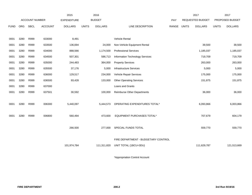|             |      |                       |                | 2015               |              | 2016           |                                     |       |              | 2017                    |              | 2017            |  |
|-------------|------|-----------------------|----------------|--------------------|--------------|----------------|-------------------------------------|-------|--------------|-------------------------|--------------|-----------------|--|
|             |      | <b>ACCOUNT NUMBER</b> |                | <b>EXPENDITURE</b> |              | <b>BUDGET</b>  |                                     | PAY   |              | <b>REQUESTED BUDGET</b> |              | PROPOSED BUDGET |  |
| <b>FUND</b> | ORG  | <b>SBCL</b>           | <b>ACCOUNT</b> | <b>DOLLARS</b>     | <b>UNITS</b> | <b>DOLLARS</b> | LINE DESCRIPTION                    | RANGE | <b>UNITS</b> | <b>DOLLARS</b>          | <b>UNITS</b> | <b>DOLLARS</b>  |  |
|             |      |                       |                |                    |              |                |                                     |       |              |                         |              |                 |  |
| 0001        | 3280 | R999                  | 633000         | 8,491              |              |                | Vehicle Rental                      |       |              |                         |              |                 |  |
| 0001        | 3280 | R999                  | 633500         | 136,694            | 24,000       |                | Non-Vehicle Equipment Rental        |       |              | 39,500                  |              | 39,500          |  |
| 0001        | 3280 | R999                  | 634000         | 888,566            | 1,174,500    |                | <b>Professional Services</b>        |       |              | 1,185,037               | 1,185,037    |                 |  |
| 0001        | 3280 | R999                  | 634500         | 507,301            |              | 586,713        | Information Technology Services     |       |              | 719,709                 | 719,709      |                 |  |
| 0001        | 3280 | R999                  | 635000         | 244,483            | 364,000      |                | <b>Property Services</b>            |       |              | 263,000                 | 263,000      |                 |  |
| 0001        | 3280 | R999                  | 635500         | 37,176             | 5,000        |                | <b>Infrastructure Services</b>      |       | 5,000        |                         |              | 5,000           |  |
| 0001        | 3280 | R999                  | 636000         | 129,517            | 234,000      |                | Vehicle Repair Services             |       | 175,000      |                         |              | 175,000         |  |
| 0001        | 3280 | R999                  | 636500         | 93,428             |              | 133,000        | <b>Other Operating Services</b>     |       |              | 151,875                 |              | 151,875         |  |
| 0001        | 3280 | R999                  | 637000         |                    |              |                | Loans and Grants                    |       |              |                         |              |                 |  |
| 0001        | 3280 | R999                  | 637501         | 30,592             |              | 100,000        | <b>Reimburse Other Departments</b>  |       |              | 36,000                  |              | 36,000          |  |
|             |      |                       |                |                    |              |                |                                     |       |              |                         |              |                 |  |
| 0001        | 3280 | R999                  | 006300         | 5,440,097          |              | 5,444,573      | OPERATING EXPENDITURES TOTAL*       |       |              | 6,093,866               |              | 6,003,866       |  |
|             |      |                       |                |                    |              |                |                                     |       |              |                         |              |                 |  |
| 0001        | 3280 | R999                  | 006800         | 560,494            |              | 473,600        | EQUIPMENT PURCHASES TOTAL*          |       |              | 707,679                 |              | 604,179         |  |
|             |      |                       |                |                    |              |                |                                     |       |              |                         |              |                 |  |
|             |      |                       |                | 266,500            |              | 277,000        | SPECIAL FUNDS TOTAL                 |       |              | 559,770                 |              | 559,770         |  |
|             |      |                       |                |                    |              |                |                                     |       |              |                         |              |                 |  |
|             |      |                       |                |                    |              |                | FIRE DEPARTMENT - BUDGETARY CONTROL |       |              |                         |              |                 |  |
|             |      |                       |                | 101,974,784        |              | 111,311,820    | UNIT TOTAL (1BCU=3DU)               |       |              | 111,629,787             |              | 121,513,669     |  |
|             |      |                       |                |                    |              |                |                                     |       |              |                         |              |                 |  |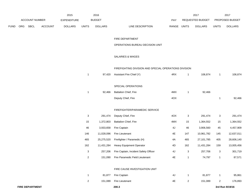|             |     |                        |                | 2015               |                | 2016           |                                                       |       |                | 2017             |                | 2017            |
|-------------|-----|------------------------|----------------|--------------------|----------------|----------------|-------------------------------------------------------|-------|----------------|------------------|----------------|-----------------|
|             |     | <b>ACCOUNT NUMBER</b>  |                | <b>EXPENDITURE</b> |                | <b>BUDGET</b>  |                                                       | PAY   |                | REQUESTED BUDGET |                | PROPOSED BUDGET |
| <b>FUND</b> | ORG | SBCL                   | <b>ACCOUNT</b> | <b>DOLLARS</b>     | <b>UNITS</b>   | <b>DOLLARS</b> | LINE DESCRIPTION                                      | RANGE | <b>UNITS</b>   | <b>DOLLARS</b>   | <b>UNITS</b>   | <b>DOLLARS</b>  |
|             |     |                        |                |                    |                |                | FIRE DEPARTMENT                                       |       |                |                  |                |                 |
|             |     |                        |                |                    |                |                | OPERATIONS BUREAU DECISION UNIT                       |       |                |                  |                |                 |
|             |     |                        |                |                    |                |                | SALARIES & WAGES                                      |       |                |                  |                |                 |
|             |     |                        |                |                    |                |                | FIREFIGHTING DIVISION AND SPECIAL OPERATIONS DIVISION |       |                |                  |                |                 |
|             |     |                        |                |                    | $\mathbf{1}$   | 97,420         | Assistant Fire Chief (Y)                              | 4RX   | $\mathbf{1}$   | 106,874          | $\mathbf{1}$   | 106,874         |
|             |     |                        |                |                    |                |                | SPECIAL OPERATIONS                                    |       |                |                  |                |                 |
|             |     |                        |                |                    | $\mathbf{1}$   | 92,466         | Battalion Chief, Fire                                 | 4MX   | $\mathbf{1}$   | 92,466           |                |                 |
|             |     |                        |                |                    |                |                | Deputy Chief, Fire                                    | 4OX   |                |                  | $\mathbf{1}$   | 92,466          |
|             |     |                        |                |                    |                |                | FIREFIGHTER/PARAMEDIC SERVICE                         |       |                |                  |                |                 |
|             |     |                        |                |                    | 3              | 291,474        | Deputy Chief, Fire                                    | 4OX   | 3              | 291,474          | 3              | 291,474         |
|             |     |                        |                |                    | 15             | 1,372,803      | Battalion Chief, Fire                                 | 4MX   | 15             | 1,364,552        | 15             | 1,364,552       |
|             |     |                        |                |                    | 46             | 3,933,658      | Fire Captain                                          | 4J    | 46             | 3,906,560        | 45             | 4,457,909       |
|             |     |                        |                |                    | 146            | 11,028,096     | Fire Lieutenant                                       | 4E    | 147            | 10,961,782       | 145            | 12,637,011      |
|             |     |                        |                |                    | 465            | 25,275,520     | Firefighter / Paramedic (H)                           | 4A    | 465            | 27,101,785       | 405            | 28,606,140      |
|             |     |                        |                |                    | 162            | 11,431,284     | Heavy Equipment Operator                              | 4D    | 162            | 11,431,284       | 159            | 13,005,456      |
|             |     |                        |                |                    | 3              | 257,206        | Fire Captain, Incident Safety Officer                 | 4J    | 3              | 257,706          | 3              | 301,719         |
|             |     |                        |                |                    | 2              |                | 151,090 Fire Paramedic Field Lieutenant               | 4E    | 1              | 74,797           | $\mathbf{1}$   | 87,571          |
|             |     |                        |                |                    |                |                | FIRE CAUSE INVESTIGATION UNIT                         |       |                |                  |                |                 |
|             |     |                        |                |                    | $\mathbf{1}$   | 81,877         | Fire Captain                                          | 4J    | $\mathbf{1}$   | 81,877           | $\mathbf{1}$   | 95,861          |
|             |     |                        |                |                    | $\overline{a}$ | 151,089        | Fire Lieutenant                                       | 4E    | $\overline{2}$ | 151,089          | $\overline{a}$ | 176,893         |
|             |     | <b>FIRE DEPARTMENT</b> |                |                    |                |                | 200.3                                                 |       |                |                  |                | 3rd Run 9/19/16 |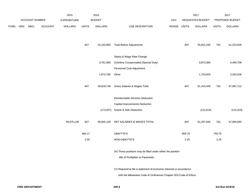|             |     |                       |                | 2015               |              | 2016                      |                                                                      |             |        | 2017             |              | 2017            |
|-------------|-----|-----------------------|----------------|--------------------|--------------|---------------------------|----------------------------------------------------------------------|-------------|--------|------------------|--------------|-----------------|
|             |     | <b>ACCOUNT NUMBER</b> |                | <b>EXPENDITURE</b> |              | <b>BUDGET</b>             |                                                                      | PAY         |        | REQUESTED BUDGET |              | PROPOSED BUDGET |
| <b>FUND</b> | ORG | SBCL                  | <b>ACCOUNT</b> | <b>DOLLARS</b>     | <b>UNITS</b> | <b>DOLLARS</b>            | LINE DESCRIPTION                                                     | RANGE UNITS |        | <b>DOLLARS</b>   | <b>UNITS</b> | <b>DOLLARS</b>  |
|             |     |                       |                |                    |              |                           |                                                                      |             |        |                  |              |                 |
|             |     |                       |                |                    |              |                           |                                                                      |             |        |                  |              |                 |
|             |     |                       |                |                    | 847          | 54,163,983                | <b>Total Before Adjustments</b>                                      |             | 847    | 55,822,246       | 781          | 61,223,926      |
|             |     |                       |                |                    |              |                           |                                                                      |             |        |                  |              |                 |
|             |     |                       |                |                    |              |                           | Salary & Wage Rate Change                                            |             |        |                  |              |                 |
|             |     |                       |                |                    |              | 3,781,983                 | Overtime Compensated (Special Duty)                                  |             |        | 3,873,383        |              | 4,460,758       |
|             |     |                       |                |                    |              | Personnel Cost Adjustment |                                                                      |             |        |                  |              |                 |
|             |     |                       |                |                    |              | 1,872,780                 | Other                                                                |             |        | 1,723,820        |              | 2,303,028       |
|             |     |                       |                |                    |              |                           |                                                                      |             |        |                  |              |                 |
|             |     |                       |                |                    | 847          | 59,818,746                | Gross Salaries & Wages Total                                         |             | 847    | 61,419,449       | 781          | 67,987,712      |
|             |     |                       |                |                    |              |                           | Reimbursable Services Deduction                                      |             |        |                  |              |                 |
|             |     |                       |                |                    |              |                           | Capital Improvements Deduction                                       |             |        |                  |              |                 |
|             |     |                       |                |                    |              |                           | (173,607) Grants & Aids Deduction                                    |             |        | (131, 619)       |              | (131, 619)      |
|             |     |                       |                |                    |              |                           |                                                                      |             |        |                  |              |                 |
|             |     |                       |                | 59,975,138         | 847          | 59,645,139                | NET SALARIES & WAGES TOTAL                                           |             | 847    | 61,287,830       | 781          | 67,856,093      |
|             |     |                       |                |                    |              |                           |                                                                      |             |        |                  |              |                 |
|             |     |                       |                |                    | 860.17       |                           | O&M FTE'S                                                            |             | 859.75 |                  | 793.75       |                 |
|             |     |                       |                |                    | 2.50         |                           | NON-O&M FTE'S                                                        |             | 2.25   |                  | 2.25         |                 |
|             |     |                       |                |                    |              |                           |                                                                      |             |        |                  |              |                 |
|             |     |                       |                |                    |              |                           | (H) These positions may be filled under either the position          |             |        |                  |              |                 |
|             |     |                       |                |                    |              |                           | title of Firefighter or Paramedic.                                   |             |        |                  |              |                 |
|             |     |                       |                |                    |              |                           |                                                                      |             |        |                  |              |                 |
|             |     |                       |                |                    |              |                           | (Y) Required to file a statement of economic interests in accordance |             |        |                  |              |                 |
|             |     |                       |                |                    |              |                           | with the Milwaukee Code of Ordinances Chapter 303-Code of Ethics.    |             |        |                  |              |                 |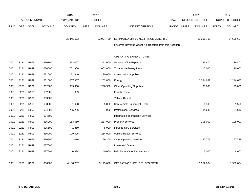|             |            |                |                | 2015               |              | 2016           |                                                          |            |              | 2017             |              | 2017            |
|-------------|------------|----------------|----------------|--------------------|--------------|----------------|----------------------------------------------------------|------------|--------------|------------------|--------------|-----------------|
|             |            | ACCOUNT NUMBER |                | <b>EXPENDITURE</b> |              | <b>BUDGET</b>  |                                                          | <b>PAY</b> |              | REQUESTED BUDGET |              | PROPOSED BUDGET |
| <b>FUND</b> | <b>ORG</b> | <b>SBCL</b>    | <b>ACCOUNT</b> | <b>DOLLARS</b>     | <b>UNITS</b> | <b>DOLLARS</b> | LINE DESCRIPTION                                         | RANGE      | <b>UNITS</b> | <b>DOLLARS</b>   | <b>UNITS</b> | <b>DOLLARS</b>  |
|             |            |                |                |                    |              |                |                                                          |            |              |                  |              |                 |
|             |            |                |                | 25,445,603         |              | 33,997,730     | ESTIMATED EMPLOYEE FRINGE BENEFITS                       |            |              | 31,256,793       |              | 34,606,607      |
|             |            |                |                |                    |              |                | (Involves Revenue Offset-No Transfers from this Account) |            |              |                  |              |                 |
|             |            |                |                |                    |              |                |                                                          |            |              |                  |              |                 |
|             |            |                |                |                    |              |                | OPERATING EXPENDITURES                                   |            |              |                  |              |                 |
| 0001        | 3281       | R999           | 630100         | 263,007            |              | 251,000        | General Office Expense                                   |            |              | 289,400          |              | 289,400         |
| 0001        | 3281       | R999           | 630500         | 701,806            |              | 602,000        | Tools & Machinery Parts                                  |            |              | 10,000           |              | 10,000          |
| 0001        | 3281       | R999           | 631000         | 71,940             |              | 90,000         | <b>Construction Supplies</b>                             |            |              |                  |              |                 |
| 0001        | 3281       | R999           | 631500         | 1,067,967          |              | 1,202,800      | Energy                                                   |            |              | 1,294,687        |              | 1,244,687       |
| 0001        | 3281       | R999           | 632000         | 983,350            |              | 296,500        | <b>Other Operating Supplies</b>                          |            |              | 93,000           |              | 93,000          |
| 0001        | 3281       | R999           | 632500         | 609                |              |                | <b>Facility Rental</b>                                   |            |              |                  |              |                 |
| 0001        | 3281       | R999           | 633000         |                    |              |                | Vehicle Rental                                           |            |              |                  |              |                 |
| 0001        | 3281       | R999           | 633500         | 1,668              |              | 5,000          | Non-Vehicle Equipment Rental                             |            |              | 1,500            |              | 1,500           |
| 0001        | 3281       | R999           | 634000         | 755,296            |              | 37,000         | <b>Professional Services</b>                             |            |              | 84,642           |              | 84,642          |
| 0001        | 3281       | R999           | 634500         |                    |              |                | Information Technology Services                          |            |              |                  |              |                 |
| 0001        | 3281       | R999           | 635000         | 163,569            |              | 287,000        | <b>Property Services</b>                                 |            |              | 105,000          |              | 105,000         |
| 0001        | 3281       | R999           | 635500         | 1,850              |              | 5,000          | <b>Infrastructure Services</b>                           |            |              |                  |              |                 |
| 0001        | 3281       | R999           | 636000         | 129,305            |              | 234,000        | Vehicle Repair Services                                  |            |              |                  |              |                 |
| 0001        | 3281       | R999           | 636500         | 42,016             |              | 99,300         | <b>Other Operating Services</b>                          |            |              | 67,775           |              | 67,775          |
| 0001        | 3281       | R999           | 637000         |                    |              |                | Loans and Grants                                         |            |              |                  |              |                 |
| 0001        | 3281       | R999           | 637501         | 6,324              |              | 40,000         | <b>Reimburse Other Departments</b>                       |            |              | 6,000            |              | 6,000           |
|             |            |                |                |                    |              |                |                                                          |            |              |                  |              |                 |
| 0001        | 3281       | R999           | 006300         | 4,188,707          |              | 3,149,600      | OPERATING EXPENDITURES TOTAL                             |            |              | 1,952,004        |              | 1,902,004       |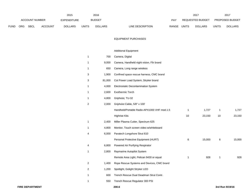|             |                |             |                    | 2015           | 2016          |                |                                  | 2017                           |                        | 201            |
|-------------|----------------|-------------|--------------------|----------------|---------------|----------------|----------------------------------|--------------------------------|------------------------|----------------|
|             | ACCOUNT NUMBER |             | <b>EXPENDITURE</b> |                | <b>BUDGET</b> | PAY            | REQUESTED BUDGET                 |                                | <b>PROPOSED BUDGET</b> |                |
| <b>FUND</b> | ORG            | <b>SBCL</b> | <b>ACCOUNT</b>     | <b>DOLLARS</b> | UNITS         | <b>DOLLARS</b> | <b>RANGE</b><br>LINE DESCRIPTION | <b>UNITS</b><br><b>DOLLARS</b> | <b>UNITS</b>           | <b>DOLLARS</b> |

#### EQUIPMENT PURCHASES

# Additional Equipment

| 1 | 700    | Camera, Digital                             |    |        |    |        |
|---|--------|---------------------------------------------|----|--------|----|--------|
| 1 | 9,000  | Camera, Handheld night vision, Flir brand   |    |        |    |        |
| 1 | 650    | Camera, Long range wireless                 |    |        |    |        |
| 3 | 1,900  | Confined space rescue harness, CMC brand    |    |        |    |        |
| 3 | 81,000 | Cot Power Load System, Stryker brand        |    |        |    |        |
| 1 | 4,000  | Electrostatic Decontamination System        |    |        |    |        |
| 1 | 2,600  | Exothermic Torch                            |    |        |    |        |
| 1 | 4,800  | Griphoist, TU-32                            |    |        |    |        |
| 2 | 2,000  | Griphoist Cable, 5/8" x 100'                |    |        |    |        |
|   |        | Handheld/Portable Radio-APX1000 VHF mod.1.5 | 1  | 1,727  | 1  | 1,727  |
|   |        | <b>Highrise Kits</b>                        | 10 | 23,150 | 10 | 23,150 |
| 1 | 2,400  | Miller Plasma Cutter, Spectrum 625          |    |        |    |        |
| 1 | 4,800  | Monitor, Touch screen video w/whiteboard    |    |        |    |        |
| 4 | 6,000  | Paratech Longshore Strut 610                |    |        |    |        |
|   |        | Personal Protective Equipment (HURT)        | 6  | 15,000 | 6  | 15,000 |
| 4 | 6,800  | Powered Air Purifying Respirator            |    |        |    |        |
| 1 | 2,800  | Raymarine Autopilot System                  |    |        |    |        |
|   |        | Remote Area Light, Pelican 9430 or equal    | 1  | 928    | 1  | 928    |
| 2 | 1,400  | Rope Rescue Systems and Devices, CMC brand  |    |        |    |        |
| 2 | 1,200  | Spotlight, Golight Stryker LED              |    |        |    |        |
| 1 | 600    | Trench Rescue Dual Deadman Strut Contr.     |    |        |    |        |
| 1 | 550    | Trench Rescue Regulator 300 PSI             |    |        |    |        |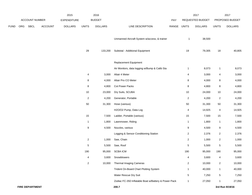|      |     |                        |                | 2015               |                | 2016           |                                                      |             |                         | 2017             |                | 2017            |
|------|-----|------------------------|----------------|--------------------|----------------|----------------|------------------------------------------------------|-------------|-------------------------|------------------|----------------|-----------------|
|      |     | ACCOUNT NUMBER         |                | <b>EXPENDITURE</b> |                | <b>BUDGET</b>  |                                                      | PAY         |                         | REQUESTED BUDGET |                | PROPOSED BUDGET |
| FUND | ORG | SBCL                   | <b>ACCOUNT</b> | <b>DOLLARS</b>     | <b>UNITS</b>   | <b>DOLLARS</b> | LINE DESCRIPTION                                     | RANGE UNITS |                         | <b>DOLLARS</b>   | <b>UNITS</b>   | <b>DOLLARS</b>  |
|      |     |                        |                |                    |                |                | Unmanned Aircraft System w/access, & trainer         |             | 1                       | 38,500           |                |                 |
|      |     |                        |                |                    | 29             | 133,200        | Subtotal - Additional Equipment                      |             | 19                      | 79,305           | 18             | 40,805          |
|      |     |                        |                |                    |                |                | <b>Replacement Equipment</b>                         |             |                         |                  |                |                 |
|      |     |                        |                |                    |                |                | Air Monitors, data logging w/Bump & Calib Sta        |             | 1                       | 8,073            | $\mathbf{1}$   | 8,073           |
|      |     |                        |                |                    | 4              | 3,000          | Altair 4 Meter                                       |             | 4                       | 3,000            | 4              | 3,000           |
|      |     |                        |                |                    | 8              | 4,000          | Altair Pro CO Meter                                  |             | 8                       | 4,000            | 8              | 4,000           |
|      |     |                        |                |                    | 8              | 4,800          | Cot Power Packs                                      |             | 8                       | 4,800            | 8              | 4,800           |
|      |     |                        |                |                    | $10$           | 23,000         | Dry Suits, SCUBA                                     |             | 10                      | 24,000           | 10             | 24,000          |
|      |     |                        |                |                    | 2              | 4,200          | Generator, Portable                                  |             | $\overline{2}$          | 4,200            | $\overline{c}$ | 4,200           |
|      |     |                        |                |                    | 50             | 31,300         | Hose (various)                                       |             | 50                      | 31,300           | 50             | 31,300          |
|      |     |                        |                |                    |                |                | H2O/O2 Pump, Data Log                                |             | 4                       | 14,925           | 4              | 14,925          |
|      |     |                        |                |                    | 15             | 7,500          | Ladder, Portable (various)                           |             | 15                      | 7,500            | 15             | 7,500           |
|      |     |                        |                |                    | $\mathbf{1}$   | 1,800          | Lawnmower, Riding                                    |             | 1                       | 1,800            | $\mathbf{1}$   | 1,800           |
|      |     |                        |                |                    | 9              | 4,500          | Nozzles, various                                     |             | 9                       | 4,500            | 9              | 4,500           |
|      |     |                        |                |                    |                |                | Logging & Sensor Conditioning Station                |             | $\overline{\mathbf{c}}$ | 2,376            | $\overline{c}$ | 2,376           |
|      |     |                        |                |                    | $\overline{c}$ | 1,000          | Saw, Chain                                           |             | $\overline{a}$          | 1,000            | $\overline{c}$ | 1,000           |
|      |     |                        |                |                    | 5              | 5,500          | Saw, Roof                                            |             | 5                       | 5,500            | 5              | 5,500           |
|      |     |                        |                |                    | 190            | 95,000         | <b>SCBA ICM</b>                                      |             | 190                     | 95,000           | 190            | 95,000          |
|      |     |                        |                |                    | 4              | 3,600          | Snowblowers                                          |             | 4                       | 3,600            | 4              | 3,600           |
|      |     |                        |                |                    | $\overline{2}$ | 10,000         | <b>Thermal Imaging Cameras</b>                       |             | $\overline{2}$          | 10,000           | $\overline{c}$ | 10,000          |
|      |     |                        |                |                    |                |                | Trident On-Board Chart Plotting System               |             | 1                       | 40,000           | $\mathbf{1}$   | 40,000          |
|      |     |                        |                |                    |                |                | Water Rescue Dry Suit                                |             | 5                       | 7,250            | 5              | 7,250           |
|      |     |                        |                |                    |                |                | Zodiac FC-350 Inflatable Boat w/Battery & Power Pack |             | 1                       | 27,050           | $\mathbf{1}$   | 27,050          |
|      |     | <b>FIRE DEPARTMENT</b> |                |                    |                |                | 200.7                                                |             |                         |                  |                | 3rd Run 9/19/16 |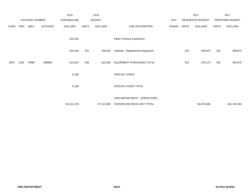|             |      |                       |                | 2015               |              | 2016           |                                  |       |              | 2017             |              | 2017            |
|-------------|------|-----------------------|----------------|--------------------|--------------|----------------|----------------------------------|-------|--------------|------------------|--------------|-----------------|
|             |      | <b>ACCOUNT NUMBER</b> |                | <b>EXPENDITURE</b> |              | <b>BUDGET</b>  |                                  | PAY   |              | REQUESTED BUDGET |              | PROPOSED BUDGET |
| <b>FUND</b> | ORG  | SBCL                  | <b>ACCOUNT</b> | <b>DOLLARS</b>     | <b>UNITS</b> | <b>DOLLARS</b> | LINE DESCRIPTION                 | RANGE | <b>UNITS</b> | <b>DOLLARS</b>   | <b>UNITS</b> | <b>DOLLARS</b>  |
|             |      |                       |                | 515,442            |              |                | Other Previous Experience        |       |              |                  |              |                 |
|             |      |                       |                | 515,442<br>310     |              | 199,200        | Subtotal - Replacement Equipment |       | 324          | 299,874          | 324          | 299,874         |
| 0001        | 3281 | R999                  | 006800         | 339<br>515,442     |              | 332,400        | <b>EQUIPMENT PURCHASES TOTAL</b> |       | 343          | 379,179          | 342          | 340,679         |
|             |      |                       |                | 6,186              |              |                | SPECIAL FUNDS                    |       |              |                  |              |                 |
|             |      |                       |                | 6,186              |              |                | SPECIAL FUNDS TOTAL              |       |              |                  |              |                 |
|             |      |                       |                |                    |              |                | FIRE DEPARTMENT - OPERATIONS     |       |              |                  |              |                 |
|             |      |                       |                | 90,131,076         |              | 97,124,869     | DIVISION DECISION UNIT TOTAL     |       |              | 94,875,806       |              | 104,705,383     |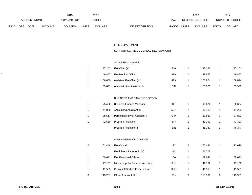|      |                |      |                    | 2015           | 2016          |                |                           | 2017  |                |                        | 2017           |
|------|----------------|------|--------------------|----------------|---------------|----------------|---------------------------|-------|----------------|------------------------|----------------|
|      | ACCOUNT NUMBER |      | <b>EXPENDITURE</b> |                | <b>BUDGET</b> | PAY            | <b>REQUESTED BUDGET</b>   |       |                | <b>PROPOSED BUDGET</b> |                |
| FUND | <b>ORG</b>     | SBCL | <b>ACCOUNT</b>     | <b>DOLLARS</b> | <b>UNITS</b>  | <b>DOLLARS</b> | RANGE<br>LINE DESCRIPTION | UNITS | <b>DOLLARS</b> | <b>UNITS</b>           | <b>DOLLARS</b> |

#### FIRE DEPARTMENT

# SUPPORT SERVICES BUREAU DECISION UNIT

#### SALARIES & WAGES

|  |        | 137,252 Fire Chief (Y)           | 4SX | 137,252 | 137,252 |
|--|--------|----------------------------------|-----|---------|---------|
|  | 49,867 | <b>Fire Medical Officer</b>      | 9RX | 49,867  | 49,867  |
|  |        | 106,050 Assistant Fire Chief (Y) | 4RX | 106,874 | 106,874 |
|  | 53,021 | Administrative Assistant IV      | 5IN | 53,976  | 53,976  |

#### BUSINESS AND FINANCE SECTION

| 75.462 | <b>Business Finance Manager</b> | 1FX |   | 90.674 | 90,674 |
|--------|---------------------------------|-----|---|--------|--------|
| 41.088 | <b>Accounting Assistant III</b> | 5EN | 2 | 82.410 | 41,205 |
| 38.617 | Personnel Payroll Assistant II  | 6HN |   | 37.830 | 37,830 |
| 42.539 | Program Assistant II            | 5FN |   | 43.390 | 43,390 |
|        | Program Assistant III           | 5IN |   | 46,347 | 46.347 |

### ADMINISTRATION DIVISION

| 2 | 161.446 | Fire Captain                     | 4J  | 2 | 165.441 | 2 | 193,696 |
|---|---------|----------------------------------|-----|---|---------|---|---------|
|   |         | Firefighter / Paramedic (H)      | 4A  |   | 66,708  |   |         |
|   | 59.641  | Fire Personnel Officer           | 1DX |   | 59.641  |   | 59,641  |
|   | 47.161  | Microcomputer Services Assistant | 6KN |   | 47.162  |   | 47,162  |
|   | 41.565  | Custodial Worker II/City Laborer | 8DN |   | 41.565  |   | 41,565  |
| 3 | 113.207 | <b>Office Assistant III</b>      | 6FN | 3 | 113.901 | 3 | 113,901 |

 $\lambda$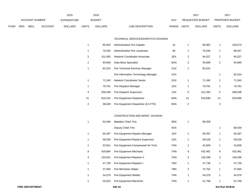|             |                       |             |                    | 2015           |               | 2016           |                                  |                  | 2017           |                        | 2017           |
|-------------|-----------------------|-------------|--------------------|----------------|---------------|----------------|----------------------------------|------------------|----------------|------------------------|----------------|
|             | <b>ACCOUNT NUMBER</b> |             | <b>EXPENDITURE</b> |                | <b>BUDGET</b> | PAY            |                                  | REQUESTED BUDGET |                | <b>PROPOSED BUDGET</b> |                |
| <b>FUND</b> | ORG                   | <b>SBCL</b> | <b>ACCOUNT</b>     | <b>DOLLARS</b> | <b>UNITS</b>  | <b>DOLLARS</b> | <b>RANGE</b><br>LINE DESCRIPTION | UNITS            | <b>DOLLARS</b> | <b>UNITS</b>           | <b>DOLLARS</b> |

#### TECHNICAL SERVICES/DISPATCH DIVISION

|    | 85,902  | Administrative Fire Captain         | 4J  |                | 85,902  |    | 100,573 |
|----|---------|-------------------------------------|-----|----------------|---------|----|---------|
| 1  | 75,545  | Administrative Fire Lieutenant      | 4E  | 1              | 75,545  | 1  | 88,447  |
| 2  | 101,565 | Network Coordinator-Associate       | 2EX | 2              | 94,527  | 2  | 94,527  |
| 2  | 93.846  | Data Base Specialist                | 5GN | $\overline{2}$ | 94,689  | 2  | 94,689  |
|    | 82,524  | Fire Technical Services Manager     | 1GX | 1              | 82,524  |    |         |
|    |         | Fire Information Technology Manager | 1GX |                |         |    | 82,524  |
|    | 71,340  | Network Coordinator Senior          | 2GX | 1              | 71,340  | 1  | 71,340  |
|    | 79,791  | Fire Dispatch Manager               | 1DX | 1              | 79,791  |    | 79,791  |
| 4  | 256.048 | Fire Dispatch Supervisor            | 1AX | 5              | 312,283 | 5  | 296,048 |
| 21 | 916.242 | Fire Equipment Dispatcher           | 6NN | 21             | 919,696 | 21 | 919,696 |
| 2  | 38,628  | Fire Equipment Dispatcher (0.5 FTE) | 6NN | 2              |         | 2  |         |

## CONSTRUCTION AND MAINT. DIVISION

| 1            | 92,466  | <b>Battalion Chief, Fire</b>        | 4MX |                | 88,559  |   |         |
|--------------|---------|-------------------------------------|-----|----------------|---------|---|---------|
|              |         | Deputy Chief, Fire                  | 4OX |                |         | 1 | 88,559  |
| 1            | 65,397  | Fire Equipment Repairs Manager      | 1EX | 1              | 65,397  | 1 | 65,397  |
| 1            | 58,528  | Fire Equipment Repairs Supervisor   | 1DX | 1              | 58,528  |   | 58,528  |
| 1            | 53,551  | Fire Equipment Compressed Air Tech. | 7HN | 1              | 42,609  |   | 42,609  |
| 9            | 429.864 | Fire Equipment Mechanic             | 7HN | 9              | 432,481 | 9 | 432,481 |
| 3            | 133,831 | Fire Equipment Repairer II          | 7GN | 3              | 136,296 | 3 | 136,296 |
| $\mathbf{1}$ | 47,739  | Fire Equipment Repairer I           | 7DN | 1              | 47,739  | 1 | 47,739  |
| 1            | 37,830  | Fire Mechanic Helper                | 7BN | $\overline{2}$ | 70,752  | 1 | 37,830  |
| 1            | 54,079  | Fire Equipment Welder               | 7HN | 1              | 54,079  | 1 | 54,079  |
|              | 50,923  | <b>Fire Equipment Machinist</b>     | 7HN |                | 51,758  |   | 51,758  |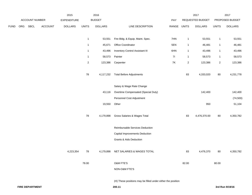|      |     |                |                | 2015               |                | 2016           |                                                             |             |                | 2017             |                | 2017            |
|------|-----|----------------|----------------|--------------------|----------------|----------------|-------------------------------------------------------------|-------------|----------------|------------------|----------------|-----------------|
|      |     | ACCOUNT NUMBER |                | <b>EXPENDITURE</b> |                | <b>BUDGET</b>  |                                                             | PAY         |                | REQUESTED BUDGET |                | PROPOSED BUDGET |
| FUND | ORG | SBCL           | <b>ACCOUNT</b> | <b>DOLLARS</b>     | <b>UNITS</b>   | <b>DOLLARS</b> | LINE DESCRIPTION                                            | RANGE UNITS |                | <b>DOLLARS</b>   | <b>UNITS</b>   | <b>DOLLARS</b>  |
|      |     |                |                |                    |                |                |                                                             |             |                |                  |                |                 |
|      |     |                |                |                    | $\mathbf{1}$   | 53,551         | Fire Bldg. & Equip. Maint. Spec.                            | 7HN         | $\mathbf{1}$   | 53,551           | $\mathbf{1}$   | 53,551          |
|      |     |                |                |                    | $\mathbf{1}$   | 45,671         | Office Coordinator                                          | 5EN         | $\mathbf{1}$   | 46,481           | $\mathbf{1}$   | 46,481          |
|      |     |                |                |                    | $\mathbf{1}$   | 43,496         | <b>Inventory Control Assistant III</b>                      | 6HN         | $\overline{1}$ | 43,496           | $\mathbf{1}$   | 43,496          |
|      |     |                |                |                    | $\mathbf{1}$   | 58,573         | Painter                                                     | 71          | $\overline{1}$ | 58,573           | $\mathbf{1}$   | 58,573          |
|      |     |                |                |                    | $\overline{2}$ | 123,386        | Carpenter                                                   | <b>7K</b>   | $\sqrt{2}$     | 123,386          | $\overline{2}$ | 123,386         |
|      |     |                |                |                    |                |                |                                                             |             |                |                  |                |                 |
|      |     |                |                |                    | 78             | 4,117,232      | <b>Total Before Adjustments</b>                             |             | 83             | 4,333,020        | 80             | 4,231,778       |
|      |     |                |                |                    |                |                |                                                             |             |                |                  |                |                 |
|      |     |                |                |                    |                |                | Salary & Wage Rate Change                                   |             |                |                  |                |                 |
|      |     |                |                |                    |                | 43,116         | Overtime Compensated (Special Duty)                         |             |                | 142,400          |                | 142,400         |
|      |     |                |                |                    |                |                | Personnel Cost Adjustment                                   |             |                |                  |                | (74, 500)       |
|      |     |                |                |                    |                | 19,550         | Other                                                       |             |                | 950              |                | 51,104          |
|      |     |                |                |                    |                |                |                                                             |             |                |                  |                |                 |
|      |     |                |                |                    | 78             | 4,179,898      | Gross Salaries & Wages Total                                |             | 83             | 4,476,370.00     | 80             | 4,350,782       |
|      |     |                |                |                    |                |                |                                                             |             |                |                  |                |                 |
|      |     |                |                |                    |                |                | Reimbursable Services Deduction                             |             |                |                  |                |                 |
|      |     |                |                |                    |                |                | <b>Capital Improvements Deduction</b>                       |             |                |                  |                |                 |
|      |     |                |                |                    |                |                | <b>Grants &amp; Aids Deduction</b>                          |             |                |                  |                |                 |
|      |     |                |                |                    |                |                |                                                             |             |                |                  |                |                 |
|      |     |                |                | 4,223,354          | 78             | 4,179,898      | NET SALARIES & WAGES TOTAL                                  |             | 83             | 4,476,370        | 80             | 4,350,782       |
|      |     |                |                |                    | 78.00          |                | O&M FTE'S                                                   |             | 82.00          |                  | 80.00          |                 |
|      |     |                |                |                    |                |                |                                                             |             |                |                  |                |                 |
|      |     |                |                |                    |                |                | NON-O&M FTE'S                                               |             |                |                  |                |                 |
|      |     |                |                |                    |                |                | (H) These positions may be filled under either the position |             |                |                  |                |                 |
|      |     |                |                |                    |                |                |                                                             |             |                |                  |                |                 |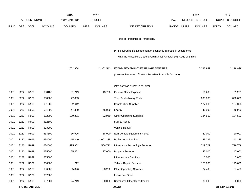|             |      |                        |                | 2015               |              | 2016           |                                                                      |       |              | 2017                    |              | 2017            |
|-------------|------|------------------------|----------------|--------------------|--------------|----------------|----------------------------------------------------------------------|-------|--------------|-------------------------|--------------|-----------------|
|             |      | <b>ACCOUNT NUMBER</b>  |                | <b>EXPENDITURE</b> |              | <b>BUDGET</b>  |                                                                      | PAY   |              | <b>REQUESTED BUDGET</b> |              | PROPOSED BUDGET |
| <b>FUND</b> | ORG  | <b>SBCL</b>            | <b>ACCOUNT</b> | <b>DOLLARS</b>     | <b>UNITS</b> | <b>DOLLARS</b> | LINE DESCRIPTION                                                     | RANGE | <b>UNITS</b> | <b>DOLLARS</b>          | <b>UNITS</b> | <b>DOLLARS</b>  |
|             |      |                        |                |                    |              |                | title of Firefighter or Paramedic.                                   |       |              |                         |              |                 |
|             |      |                        |                |                    |              |                | (Y) Required to file a statement of economic interests in accordance |       |              |                         |              |                 |
|             |      |                        |                |                    |              |                | with the Milwaukee Code of Ordinances Chapter 303-Code of Ethics.    |       |              |                         |              |                 |
|             |      |                        |                | 1,761,864          |              | 2,382,542      | ESTIMATED EMPLOYEE FRINGE BENEFITS                                   |       |              | 2,282,949               |              | 2,218,899       |
|             |      |                        |                |                    |              |                | (Involves Revenue Offset-No Transfers from this Account)             |       |              |                         |              |                 |
|             |      |                        |                |                    |              |                | OPERATING EXPENDITURES                                               |       |              |                         |              |                 |
| 0001        | 3282 | R999                   | 630100         | 51,719             |              | 13,700         | General Office Expense                                               |       |              | 51,285                  |              | 51,285          |
| 0001        | 3282 | R999                   | 630500         | 77,833             |              |                | Tools & Machinery Parts                                              |       |              | 690,000                 |              | 690,000         |
| 0001        | 3282 | R999                   | 631000         | 52,612             |              |                | <b>Construction Supplies</b>                                         |       |              | 127,000                 |              | 127,000         |
| 0001        | 3282 | R999                   | 631500         | 47,359             |              | 46,000         | Energy                                                               |       |              | 46,900                  |              | 46,900          |
| 0001        | 3282 | R999                   | 632000         | 109,291            |              | 22,960         | <b>Other Operating Supplies</b>                                      |       |              | 184,500                 |              | 184,500         |
| 0001        | 3282 | R999                   | 632500         |                    |              |                | <b>Facility Rental</b>                                               |       |              |                         |              |                 |
| 0001        | 3282 | R999                   | 633000         |                    |              |                | Vehicle Rental                                                       |       |              |                         |              |                 |
| 0001        | 3282 | R999                   | 633500         | 16,996             |              | 18,000         | Non-Vehicle Equipment Rental                                         |       |              | 20,000                  |              | 20,000          |
| 0001        | 3282 | R999                   | 634000         | 15,240             |              | 1,003,335      | <b>Professional Services</b>                                         |       |              | 43,335                  |              | 43,335          |
| 0001        | 3282 | R999                   | 634500         | 495,301            |              | 586,713        | Information Technology Services                                      |       |              | 719,709                 |              | 719,709         |
| 0001        | 3282 | R999                   | 635000         | 55,461             |              | 77,000         | <b>Property Services</b>                                             |       |              | 147,000                 |              | 147,000         |
| 0001        | 3282 | R999                   | 635500         |                    |              |                | <b>Infrastructure Services</b>                                       |       |              | 5,000                   |              | 5,000           |
| 0001        | 3282 | R999                   | 636000         | 212                |              |                | Vehicle Repair Services                                              |       |              | 175,000                 |              | 175,000         |
| 0001        | 3282 | R999                   | 636500         | 35,326             |              | 28,200         | <b>Other Operating Services</b>                                      |       |              | 37,400                  |              | 37,400          |
| 0001        | 3282 | R999                   | 637000         |                    |              |                | Loans and Grants                                                     |       |              |                         |              |                 |
| 0001        | 3282 | R999                   | 637501         | 24,219             |              | 60,000         | Reimburse Other Departments                                          |       |              | 30,000                  |              | 30,000          |
|             |      | <b>FIRE DEPARTMENT</b> |                |                    |              |                | 200.12                                                               |       |              |                         |              | 3rd Run 9/19/16 |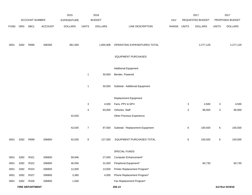|             |      |                        |                | 2015               |                  | 2016           |                                  |             |   | 2017             |              | 2017            |
|-------------|------|------------------------|----------------|--------------------|------------------|----------------|----------------------------------|-------------|---|------------------|--------------|-----------------|
|             |      | ACCOUNT NUMBER         |                | <b>EXPENDITURE</b> |                  | <b>BUDGET</b>  |                                  | PAY         |   | REQUESTED BUDGET |              | PROPOSED BUDGET |
| <b>FUND</b> | ORG  | SBCL                   | <b>ACCOUNT</b> | <b>DOLLARS</b>     | <b>UNITS</b>     | <b>DOLLARS</b> | LINE DESCRIPTION                 | RANGE UNITS |   | <b>DOLLARS</b>   | <b>UNITS</b> | <b>DOLLARS</b>  |
|             |      |                        |                |                    |                  |                |                                  |             |   |                  |              |                 |
| 0001        | 3282 | R999                   | 006300         | 981,569            |                  | 1,855,908      | OPERATING EXPENDITURES TOTAL     |             |   | 2,277,129        |              | 2,277,129       |
|             |      |                        |                |                    |                  |                | <b>EQUIPMENT PURCHASES</b>       |             |   |                  |              |                 |
|             |      |                        |                |                    |                  |                |                                  |             |   |                  |              |                 |
|             |      |                        |                |                    |                  |                | <b>Additional Equipment</b>      |             |   |                  |              |                 |
|             |      |                        |                |                    | $\overline{1}$   | 30,000         | Bender, Powered                  |             |   |                  |              |                 |
|             |      |                        |                |                    | $\overline{1}$   | 30,000         | Subtotal - Additional Equipment  |             |   |                  |              |                 |
|             |      |                        |                |                    |                  |                |                                  |             |   |                  |              |                 |
|             |      |                        |                |                    |                  |                | Replacement Equipment            |             |   |                  |              |                 |
|             |      |                        |                |                    | $\sqrt{3}$       | 4,500          | Fans, PPV & NPV                  |             | 3 | 4,500            | 3            | 4,500           |
|             |      |                        |                |                    | 4                | 93,000         | Vehicles, Staff                  |             | 3 | 96,000           | 3            | 96,000          |
|             |      |                        |                | 42,635             |                  |                | Other Previous Experience        |             |   |                  |              |                 |
|             |      |                        |                | 42,635             | $\boldsymbol{7}$ | 97,500         | Subtotal - Replacement Equipment |             | 6 | 100,500          | 6            | 100,500         |
|             |      |                        |                |                    |                  |                |                                  |             |   |                  |              |                 |
| 0001        | 3282 | R999                   | 006800         | 42,635             | 8                | 127,500        | EQUIPMENT PURCHASES TOTAL        |             | 6 | 100,500          | 6            | 100,500         |
|             |      |                        |                |                    |                  |                | SPECIAL FUNDS                    |             |   |                  |              |                 |
| 0001        | 3282 | R321                   | 006800         | 59,946             |                  | 27,500         | Computer Enhancement*            |             |   |                  |              |                 |
| 0001        | 3282 | R322                   | 006800         | 46,056             |                  | 31,000         | Peripheral Equipment*            |             |   | 60,730           |              | 60,730          |
| 0001        | 3282 | R324                   | 006800         | 12,000             |                  | 13,500         | Printer Replacement Program*     |             |   |                  |              |                 |
| 0001        | 3282 | R327                   | 006800         | 3,360              |                  | 4,000          | Phone Replacement Program*       |             |   |                  |              |                 |
| 0001        | 3282 | R328                   | 006800         | 1,500              |                  |                | Fax Replacement Program*         |             |   |                  |              |                 |
|             |      | <b>FIRE DEPARTMENT</b> |                |                    |                  |                | 200.13                           |             |   |                  |              | 3rd Run 9/19/16 |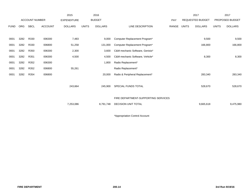|             |            |                       |                | 2015               |              | 2016           |                                     |       |              | 2017                    |              | 2017            |
|-------------|------------|-----------------------|----------------|--------------------|--------------|----------------|-------------------------------------|-------|--------------|-------------------------|--------------|-----------------|
|             |            | <b>ACCOUNT NUMBER</b> |                | <b>EXPENDITURE</b> |              | <b>BUDGET</b>  |                                     | PAY   |              | <b>REQUESTED BUDGET</b> |              | PROPOSED BUDGET |
| <b>FUND</b> | <b>ORG</b> | SBCL                  | <b>ACCOUNT</b> | <b>DOLLARS</b>     | <b>UNITS</b> | <b>DOLLARS</b> | <b>LINE DESCRIPTION</b>             | RANGE | <b>UNITS</b> | <b>DOLLARS</b>          | <b>UNITS</b> | <b>DOLLARS</b>  |
|             |            |                       |                |                    |              |                |                                     |       |              |                         |              |                 |
| 0001        | 3282       | R330                  | 006300         | 7,483              |              | 9,000          | Computer Replacement Program*       |       |              | 9,500                   |              | 9,500           |
| 0001        | 3282       | R330                  | 006800         | 51,258             |              | 131,000        | Computer Replacement Program*       |       |              | 166,800                 |              | 166,800         |
| 0001        | 3282       | R350                  | 006300         | 2,300              |              | 3,600          | C&M mechanic Software, Genisis*     |       |              |                         |              |                 |
| 0001        | 3282       | R351                  | 006300         | 4,500              |              | 4,500          | C&M mechanic Software, Vehicle*     |       |              | 8,300                   |              | 8,300           |
| 0001        | 3282       | R352                  | 006300         |                    |              | 1,800          | Radio Replacement*                  |       |              |                         |              |                 |
| 0001        | 3282       | R352                  | 006800         | 55,261             |              |                | Radio Replacement*                  |       |              |                         |              |                 |
| 0001        | 3282       | R354                  | 006800         |                    |              | 20,000         | Radio & Peripheral Replacement*     |       |              | 283,340                 |              | 283,340         |
|             |            |                       |                |                    |              |                |                                     |       |              |                         |              |                 |
|             |            |                       |                | 243,664            |              | 245,900        | SPECIAL FUNDS TOTAL                 |       |              | 528,670                 |              | 528,670         |
|             |            |                       |                |                    |              |                |                                     |       |              |                         |              |                 |
|             |            |                       |                |                    |              |                | FIRE DEPARTMENT-SUPPORTING SERVICES |       |              |                         |              |                 |
|             |            |                       |                | 7,253,086          |              | 8,791,748      | <b>DECISION UNIT TOTAL</b>          |       |              | 9,665,618               |              | 9,475,980       |
|             |            |                       |                |                    |              |                |                                     |       |              |                         |              |                 |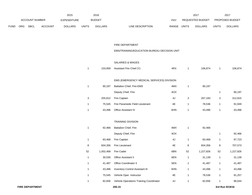|      |     |                |                | 2015               |                | 2016           |                                             |               |              | 2017             |              | 2017            |
|------|-----|----------------|----------------|--------------------|----------------|----------------|---------------------------------------------|---------------|--------------|------------------|--------------|-----------------|
|      |     | ACCOUNT NUMBER |                | <b>EXPENDITURE</b> |                | <b>BUDGET</b>  |                                             | PAY           |              | REQUESTED BUDGET |              | PROPOSED BUDGET |
| FUND | ORG | <b>SBCL</b>    | <b>ACCOUNT</b> | <b>DOLLARS</b>     | <b>UNITS</b>   | <b>DOLLARS</b> | LINE DESCRIPTION                            | RANGE UNITS   |              | <b>DOLLARS</b>   | <b>UNITS</b> | <b>DOLLARS</b>  |
|      |     |                |                |                    |                |                |                                             |               |              |                  |              |                 |
|      |     |                |                |                    |                |                |                                             |               |              |                  |              |                 |
|      |     |                |                |                    |                |                | FIRE DEPARTMENT                             |               |              |                  |              |                 |
|      |     |                |                |                    |                |                | EMS/TRAINING/EDUCATION BUREAU DECISION UNIT |               |              |                  |              |                 |
|      |     |                |                |                    |                |                |                                             |               |              |                  |              |                 |
|      |     |                |                |                    |                |                | SALARIES & WAGES                            |               |              |                  |              |                 |
|      |     |                |                |                    | $\overline{1}$ | 103,959        | Assistant Fire Chief (Y)                    | 4RX           | $\mathbf{1}$ | 106,874          | $\mathbf{1}$ | 106,874         |
|      |     |                |                |                    |                |                |                                             |               |              |                  |              |                 |
|      |     |                |                |                    |                |                | EMS (EMERGENCY MEDICAL SERVICES) DIVISION   |               |              |                  |              |                 |
|      |     |                |                |                    | $\overline{1}$ | 90,197         | Battalion Chief, Fire-EMS                   | 4MX           | $\mathbf{1}$ | 90,197           |              |                 |
|      |     |                |                |                    |                |                | Deputy Chief, Fire                          | 4OX           |              |                  | 1            | 90,197          |
|      |     |                |                |                    | 3              | 255,812        | Fire Captain                                | 4J            | 3            | 267,183          | 3            | 312,815         |
|      |     |                |                |                    | $\mathbf{1}$   | 75,545         | Fire Paramedic Field Lieutenant             | 4E            | $\mathbf{1}$ | 78,536           | $\mathbf{1}$ | 91,949          |
|      |     |                |                |                    | $\overline{1}$ | 43,496         | Office Assistant IV                         | 6HN           | $\mathbf{1}$ | 43,496           | $\mathbf{1}$ | 43,496          |
|      |     |                |                |                    |                |                |                                             |               |              |                  |              |                 |
|      |     |                |                |                    |                |                | <b>TRAINING DIVISION</b>                    |               |              |                  |              |                 |
|      |     |                |                |                    | $\mathbf{1}$   | 92,466         | Battalion Chief, Fire                       | 4MX           | $\mathbf{1}$ | 92,466           |              |                 |
|      |     |                |                |                    |                |                | Deputy Chief, Fire                          | 4OX           |              |                  | 1            | 92,466          |
|      |     |                |                |                    | $\mathbf{1}$   | 83,468         | Fire Captain                                | 4J            | $\mathbf{1}$ | 83,468           | $\mathbf{1}$ | 97,723          |
|      |     |                |                |                    | 8              | 604,356        | Fire Lieutenant                             | 4E            | 8            | 604,356          | 8            | 707,573         |
|      |     |                |                |                    | 52             | 1,002,468      | Fire Cadet                                  | 6BN           | 52           | 1,227,826        | 52           | 1,227,826       |
|      |     |                |                |                    | $\mathbf 1$    | 30,530         | Office Assistant II                         | 6EN           | 1            | 31,139           | 1            | 31,139          |
|      |     |                |                |                    | $\mathbf{1}$   | 41,487         | Office Coordinator II                       | 5EN           | $\mathbf{1}$ | 41,487           | $\mathbf{1}$ | 41,487          |
|      |     |                |                |                    | $\mathbf{1}$   | 43,496         | <b>Inventory Control Assistant III</b>      | 6HN           | $\mathbf{1}$ | 43,496           | $\mathbf{1}$ | 43,496          |
|      |     |                |                |                    | $\mathbf{1}$   | 75,545         | Vehicle Oper. Instructor                    | $4\mathsf{E}$ | $\mathbf{1}$ | 78,536           | $\mathbf{1}$ | 91,257          |
|      |     |                |                |                    | $\mathbf{1}$   | 82,656         | Vehicle Operations Training Coordinator     | 4J            | $\mathbf{1}$ | 82,656           | $\mathbf{1}$ | 96,044          |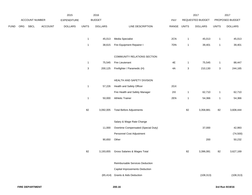|             |     |                |         | 2015               |                           | 2016           |                                     |       |                           | 2017             |                           | 2017            |
|-------------|-----|----------------|---------|--------------------|---------------------------|----------------|-------------------------------------|-------|---------------------------|------------------|---------------------------|-----------------|
|             |     | ACCOUNT NUMBER |         | <b>EXPENDITURE</b> |                           | <b>BUDGET</b>  |                                     | PAY   |                           | REQUESTED BUDGET |                           | PROPOSED BUDGET |
| <b>FUND</b> | ORG | SBCL           | ACCOUNT | <b>DOLLARS</b>     | <b>UNITS</b>              | <b>DOLLARS</b> | LINE DESCRIPTION                    | RANGE | <b>UNITS</b>              | <b>DOLLARS</b>   | <b>UNITS</b>              | <b>DOLLARS</b>  |
|             |     |                |         |                    | $\mathbf{1}$              | 45,013         | Media Specialist                    | 2CN   | $\mathbf{1}$              | 45,013           | $\overline{1}$            | 45,013          |
|             |     |                |         |                    | $\mathbf{1}$              | 38,615         | Fire Equipment Repairer I           | 7DN   | $\mathbf{1}$              | 39,401           | $\overline{1}$            | 39,401          |
|             |     |                |         |                    |                           |                | COMMUNITY RELATIONS SECTION         |       |                           |                  |                           |                 |
|             |     |                |         |                    | $\mathbf{1}$              | 75,545         | Fire Lieutenant                     | 4E    | $\mathbf{1}$              | 75,545           | $\mathbf{1}$              | 88,447          |
|             |     |                |         |                    | $\ensuremath{\mathsf{3}}$ | 200,125        | Firefighter / Paramedic (H)         | 4A    | $\ensuremath{\mathsf{3}}$ | 210,130          | $\ensuremath{\mathsf{3}}$ | 244,165         |
|             |     |                |         |                    |                           |                | HEALTH AND SAFETY DIVISION          |       |                           |                  |                           |                 |
|             |     |                |         |                    | $\mathbf{1}$              | 57,226         | Health and Safety Officer           | 2GX   |                           |                  |                           |                 |
|             |     |                |         |                    |                           |                | Fire Health and Safety Manager      | $2IX$ | $\mathbf{1}$              | 62,710           | $\mathbf{1}$              | 62,710          |
|             |     |                |         |                    | $\mathbf{1}$              | 50,000         | <b>Athletic Trainer</b>             | 2EN   | $\mathbf{1}$              | 54,366           | $\mathbf{1}$              | 54,366          |
|             |     |                |         |                    | 82                        | 3,092,005      | <b>Total Before Adjustments</b>     |       | 82                        | 3,358,881        | 82                        | 3,608,444       |
|             |     |                |         |                    |                           |                | Salary & Wage Rate Change           |       |                           |                  |                           |                 |
|             |     |                |         |                    |                           | 11,000         | Overtime Compensated (Special Duty) |       |                           | 37,000           |                           | 42,993          |
|             |     |                |         |                    |                           |                | Personnel Cost Adjustment           |       |                           |                  |                           | (74, 500)       |
|             |     |                |         |                    |                           | 90,650         | Other                               |       |                           | 200              |                           | 50,232          |
|             |     |                |         |                    | 82                        | 3,193,655      | Gross Salaries & Wages Total        |       | 82                        | 3,396,081        | 82                        | 3,627,169       |
|             |     |                |         |                    |                           |                | Reimbursable Services Deduction     |       |                           |                  |                           |                 |
|             |     |                |         |                    |                           |                | Capital Improvements Deduction      |       |                           |                  |                           |                 |
|             |     |                |         |                    |                           |                | (65,414) Grants & Aids Deduction    |       |                           | (108, 313)       |                           | (108, 313)      |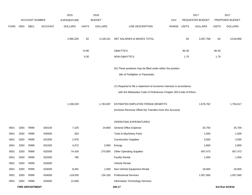|             |      |                        |                | 2015               |              | 2016           |                                                                                                                                           |       |              | 2017             |              | 2017            |
|-------------|------|------------------------|----------------|--------------------|--------------|----------------|-------------------------------------------------------------------------------------------------------------------------------------------|-------|--------------|------------------|--------------|-----------------|
|             |      | <b>ACCOUNT NUMBER</b>  |                | <b>EXPENDITURE</b> |              | <b>BUDGET</b>  |                                                                                                                                           | PAY   |              | REQUESTED BUDGET |              | PROPOSED BUDGET |
| <b>FUND</b> | ORG  | SBCL                   | <b>ACCOUNT</b> | <b>DOLLARS</b>     | <b>UNITS</b> | <b>DOLLARS</b> | LINE DESCRIPTION                                                                                                                          | RANGE | <b>UNITS</b> | <b>DOLLARS</b>   | <b>UNITS</b> | <b>DOLLARS</b>  |
|             |      |                        |                | 2,965,205          | 82           | 3,128,241      | NET SALARIES & WAGES TOTAL                                                                                                                |       | 82           | 3,287,768        | 82           | 3,518,856       |
|             |      |                        |                |                    | 74.90        |                | O&M FTE'S                                                                                                                                 |       | 80.30        |                  | 80.30        |                 |
|             |      |                        |                |                    | 0.30         |                | NON-O&M FTE'S                                                                                                                             |       | 1.70         |                  | 1.70         |                 |
|             |      |                        |                |                    |              |                | (H) These positions may be filled under either the position<br>title of Firefighter or Paramedic.                                         |       |              |                  |              |                 |
|             |      |                        |                |                    |              |                |                                                                                                                                           |       |              |                  |              |                 |
|             |      |                        |                |                    |              |                | (Y) Required to file a statement of economic interests in accordance<br>with the Milwaukee Code of Ordinances Chapter 303-Code of Ethics. |       |              |                  |              |                 |
|             |      |                        |                | 1,336,529          |              | 1,783,097      | ESTIMATED EMPLOYEE FRINGE BENEFITS                                                                                                        |       |              | 1,676,762        |              | 1,794,617       |
|             |      |                        |                |                    |              |                | (Involves Revenue Offset-No Transfers from this Account)                                                                                  |       |              |                  |              |                 |
|             |      |                        |                |                    |              |                | OPERATING EXPENDITURES                                                                                                                    |       |              |                  |              |                 |
| 0001        | 3283 | R999                   | 630100         | 7,105              |              | 24,800         | General Office Expense                                                                                                                    |       |              | 25,700           |              | 25,700          |
| 0001        | 3283 | R999                   | 630500         | 353                |              |                | Tools & Machinery Parts                                                                                                                   |       |              | 1,500            |              | 1,500           |
| 0001        | 3283 | R999                   | 631000         | 2,976              |              |                | <b>Construction Supplies</b>                                                                                                              |       |              | 3,500            |              | 3,500           |
| 0001        | 3283 | R999                   | 631500         | 4,072              |              | 2,800          | Energy                                                                                                                                    |       |              | 2,800            |              | 2,800           |
| 0001        | 3283 | R999                   | 632000         | 74,426             |              | 270,800        | <b>Other Operating Supplies</b>                                                                                                           |       |              | 697,473          |              | 657,473         |
| 0001        | 3283 | R999                   | 632500         | 780                |              |                | <b>Facility Rental</b>                                                                                                                    |       |              | 1,000            |              | 1,000           |
| 0001        | 3283 | R999                   | 633000         |                    |              |                | Vehicle Rental                                                                                                                            |       |              |                  |              |                 |
| 0001        | 3283 | R999                   | 633500         | 8,491              |              | 1,000          | Non-Vehicle Equipment Rental                                                                                                              |       |              | 18,000           |              | 18,000          |
| 0001        | 3283 | R999                   | 634000         | 118,030            |              | 134,165        | <b>Professional Services</b>                                                                                                              |       |              | 1,057,060        |              | 1,057,060       |
| 0001        | 3283 | R999                   | 634500         | 12,000             |              |                | Information Technology Services                                                                                                           |       |              |                  |              |                 |
|             |      | <b>FIRE DEPARTMENT</b> |                |                    |              |                | 200.17                                                                                                                                    |       |              |                  |              | 3rd Run 9/19/16 |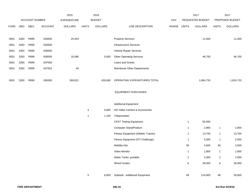|             |      | ACCOUNT NUMBER |         | 2015               | 2016         |                |                                      |       | 2017             |                | 2017            |                |
|-------------|------|----------------|---------|--------------------|--------------|----------------|--------------------------------------|-------|------------------|----------------|-----------------|----------------|
|             |      |                |         | <b>EXPENDITURE</b> |              | <b>BUDGET</b>  |                                      | PAY   | REQUESTED BUDGET |                | PROPOSED BUDGET |                |
| <b>FUND</b> | ORG  | SBCL           | ACCOUNT | <b>DOLLARS</b>     | <b>UNITS</b> | <b>DOLLARS</b> | LINE DESCRIPTION                     | RANGE | <b>UNITS</b>     | <b>DOLLARS</b> | <b>UNITS</b>    | <b>DOLLARS</b> |
|             |      |                |         |                    |              |                |                                      |       |                  |                |                 |                |
| 0001        | 3283 | R999           | 635000  | 25,453             |              |                | <b>Property Services</b>             |       |                  | 11,000         |                 | 11,000         |
| 0001        | 3283 | R999           | 635500  |                    |              |                | Infrastructure Services              |       |                  |                |                 |                |
| 0001        | 3283 | R999           | 636000  |                    |              |                | Vehicle Repair Services              |       |                  |                |                 |                |
| 0001        | 3283 | R999           | 636500  | 16,086             |              | 5,500          | <b>Other Operating Services</b>      |       |                  | 46,700         |                 | 46,700         |
| 0001        | 3283 | R999           | 637000  |                    |              |                | Loans and Grants                     |       |                  |                |                 |                |
| 0001        | 3283 | R999           | 637501  | 49                 |              |                | <b>Reimburse Other Departments</b>   |       |                  |                |                 |                |
|             |      |                |         |                    |              |                |                                      |       |                  |                |                 |                |
| 0001        | 3283 | R999           | 006300  | 269,821            |              | 439,065        | OPERATING EXPENDITURES TOTAL         |       |                  | 1,864,733      |                 | 1,824,733      |
|             |      |                |         |                    |              |                |                                      |       |                  |                |                 |                |
|             |      |                |         |                    |              |                | <b>EQUIPMENT PURCHASES</b>           |       |                  |                |                 |                |
|             |      |                |         |                    |              |                |                                      |       |                  |                |                 |                |
|             |      |                |         |                    |              |                | <b>Additional Equipment</b>          |       |                  |                |                 |                |
|             |      |                |         |                    | 4            | 5,800          | HD Video Camera & Accessories        |       |                  |                |                 |                |
|             |      |                |         |                    | $\mathbf{1}$ | 1,100          | Teleprompter                         |       |                  |                |                 |                |
|             |      |                |         |                    |              |                | <b>CPAT Testing Equipment</b>        |       | $\mathbf{1}$     | 65,000         |                 |                |
|             |      |                |         |                    |              |                | <b>Computer Stand/Podium</b>         |       | $\mathbf{1}$     | 2,900          | $\mathbf{1}$    | 2,900          |
|             |      |                |         |                    |              |                | Fitness Equipment (Athletic Trainer) |       | 1                | 13,700         | $\mathbf{1}$    | 13,700         |
|             |      |                |         |                    |              |                | Fitness Equipment (FIT Challenge)    |       | $\mathbf{1}$     | 5,000          | $\mathbf{1}$    | 5,000          |
|             |      |                |         |                    |              |                | <b>Mobility Kits</b>                 |       | 36               | 4,500          | 36              | 4,500          |
|             |      |                |         |                    |              |                | Video Monitor                        |       | $\mathbf{1}$     | 1,800          | $\mathbf{1}$    | 1,800          |
|             |      |                |         |                    |              |                | Water Tanks, portable                |       | $\overline{2}$   | 2,000          | $\overline{2}$  | 2,000          |
|             |      |                |         |                    |              |                | <b>Wheel Scales</b>                  |       | 6                | 30,000         | 6               | 30,000         |
|             |      |                |         |                    |              |                |                                      |       |                  |                |                 |                |
|             |      |                |         |                    | 5            | 6,900          | Subtotal - Additional Equipment      |       | 49               | 124,900        | 48              | 59,900         |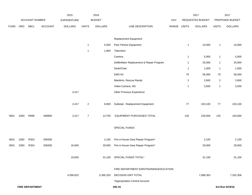|             |      | <b>ACCOUNT NUMBER</b>  |                | 2015                                 |                | 2016<br><b>BUDGET</b> |                                            |              |                | 2017<br>REQUESTED BUDGET |                | 2017<br>PROPOSED BUDGET |
|-------------|------|------------------------|----------------|--------------------------------------|----------------|-----------------------|--------------------------------------------|--------------|----------------|--------------------------|----------------|-------------------------|
| <b>FUND</b> | ORG  | <b>SBCL</b>            | <b>ACCOUNT</b> | <b>EXPENDITURE</b><br><b>DOLLARS</b> | <b>UNITS</b>   | <b>DOLLARS</b>        | LINE DESCRIPTION                           | PAY<br>RANGE | <b>UNITS</b>   | <b>DOLLARS</b>           | <b>UNITS</b>   | <b>DOLLARS</b>          |
|             |      |                        |                |                                      |                |                       |                                            |              |                |                          |                |                         |
|             |      |                        |                |                                      |                |                       | Replacement Equipment                      |              |                |                          |                |                         |
|             |      |                        |                |                                      | $\mathbf{1}$   | 5,000                 | Peer Fitness Equipment                     |              | $\mathbf{1}$   | 10,000                   | $\mathbf{1}$   | 10,000                  |
|             |      |                        |                |                                      | $\mathbf{1}$   | 1,800                 | Television                                 |              |                |                          |                |                         |
|             |      |                        |                |                                      |                |                       | Camera                                     |              | $\mathbf{1}$   | 5,000                    | $\mathbf{1}$   | 5,000                   |
|             |      |                        |                |                                      |                |                       | Defibrillator Replacement & Repair Program |              | $\mathbf{1}$   | 25,000                   | $\mathbf{1}$   | 25,000                  |
|             |      |                        |                |                                      |                |                       | Desk/Chair                                 |              | $\mathbf{1}$   | 1,000                    | $\mathbf{1}$   | 1,000                   |
|             |      |                        |                |                                      |                |                       | <b>EMS Kit</b>                             |              | 70             | 56,000                   | 70             | 56,000                  |
|             |      |                        |                |                                      |                |                       | Manikins, Rescue Randy                     |              | $\overline{a}$ | 2,600                    | $\overline{c}$ | 2,600                   |
|             |      |                        |                |                                      |                |                       | Video Camera, HD                           |              | $\mathbf{1}$   | 3,500                    | $\mathbf{1}$   | 3,500                   |
|             |      |                        |                | 2,417                                |                |                       | Other Previous Experience                  |              |                |                          |                |                         |
|             |      |                        |                | 2,417                                | $\overline{c}$ | 6,800                 | Subtotal - Replacement Equipment           |              | 77             | 103,100                  | $77\,$         | 103,100                 |
| 0001        | 3283 | R999                   | 006800         | 2,417                                | $\overline{7}$ | 13,700                | EQUIPMENT PURCHASES TOTAL                  |              | 126            | 228,000                  | 125            | 163,000                 |
|             |      |                        |                |                                      |                |                       | SPECIAL FUNDS                              |              |                |                          |                |                         |
| 0001        | 3282 | R353                   | 006300         |                                      |                | 2,100                 | Fire in-house Gear Repair Program*         |              |                | 2,100                    |                | 2,100                   |
| 0001        | 3283 | R353                   | 006300         | 16,650                               |                | 29,000                | Fire in-house Gear Repair Program*         |              |                | 29,000                   |                | 29,000                  |
|             |      |                        |                | 16,650                               |                |                       | 31,100 SPECIAL FUNDS TOTAL*                |              |                | 31,100                   |                | 31,100                  |
|             |      |                        |                |                                      |                |                       | FIRE DEPARTMENT-EMS/TRAINING/EDUCATION     |              |                |                          |                |                         |
|             |      |                        |                | 4,590,622                            |                | 5,395,203             | DECISION UNIT TOTAL                        |              |                | 7,088,363                |                | 7,332,306               |
|             |      |                        |                |                                      |                |                       | *Appropriation Control Account             |              |                |                          |                |                         |
|             |      | <b>FIRE DEPARTMENT</b> |                |                                      |                |                       | 200.19                                     |              |                |                          |                | 3rd Run 9/19/16         |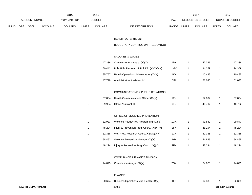|             |                       |             |                | 2015               |              | 2016           |                                  | 2017                    |              | 2017                   |
|-------------|-----------------------|-------------|----------------|--------------------|--------------|----------------|----------------------------------|-------------------------|--------------|------------------------|
|             | <b>ACCOUNT NUMBER</b> |             |                | <b>EXPENDITURE</b> |              | <b>BUDGET</b>  | PAY                              | <b>REQUESTED BUDGET</b> |              | <b>PROPOSED BUDGET</b> |
| <b>FUND</b> | ORG                   | <b>SBCL</b> | <b>ACCOUNT</b> | <b>DOLLARS</b>     | <b>UNITS</b> | <b>DOLLARS</b> | <b>RANGE</b><br>LINE DESCRIPTION | UNITS<br><b>DOLLARS</b> | <b>UNITS</b> | <b>DOLLARS</b>         |

#### HEALTH DEPARTMENT

# BUDGETARY CONTROL UNIT (1BCU=1DU)

## SALARIES & WAGES

| 147.336 | Commissioner - Health (X)(Y)               | 1PX | 147.336 | 147.336 |
|---------|--------------------------------------------|-----|---------|---------|
| 80.442  | Pub. Hith. Research & Pol. Dir. (X)(Y)(NN) | 1MX | 94.359  | 94,359  |
| 85.757  | Health Operations Administrator (X)(Y)     | 1KX | 110.485 | 110,485 |
| 47.779  | Administrative Assistant IV                | 5IN | 51.035  | 51,035  |

#### COMMUNICATIONS & PUBLIC RELATIONS

|  | 57,884 Health Communications Officer (X)(Y) | 1EX | 57.884 | 57,884 |
|--|---------------------------------------------|-----|--------|--------|
|  | 39,904 Office Assistant III                 | 6FN | 40.702 | 40,702 |

### OFFICE OF VIOLENCE PREVENTION

| 1 | 82.923 | Violence Reduc/Prev Program Mgr. (X) (Y)   | 1GX | 99.840 | 99.840 |
|---|--------|--------------------------------------------|-----|--------|--------|
|   | 48.294 | Injury & Prevention Prog. Coord. (X)(Y)(V) | 2FX | 48.294 | 48,294 |
|   | 62.338 | Viol. Prev. Research Coord.(X)(OO)(NN)     | 2JX | 62.338 | 62,338 |
|   | 58.462 | Violence Prevention Manager (X)(Y)         | 2HX | 54.865 | 54,865 |
|   | 48.294 | Injury & Prevention Prog. Coord. (X)(Y)    | 2FX | 48.294 | 48.294 |

#### COMPLIANCE & FINANCE DIVISION

| <b>HEALTH DEPARTMENT</b> |        | 210.1                                  |     |        | 3rd Run 9/19/16 |        |
|--------------------------|--------|----------------------------------------|-----|--------|-----------------|--------|
|                          | 90,674 | Business Operations Mgr.-Health (X)(Y) | 1FX | 62,338 |                 | 62,338 |
|                          |        | <b>FINANCE</b>                         |     |        |                 |        |
|                          | 74,873 | Compliance Analyst (X)(Y)              | 2GX | 74,873 |                 | 74,873 |
|                          |        |                                        |     |        |                 |        |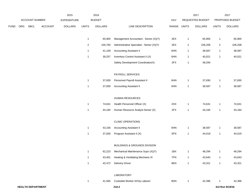|      |     |                          |                | 2015               |                | 2016           |                                           |       |                | 2017             |                | 2017            |
|------|-----|--------------------------|----------------|--------------------|----------------|----------------|-------------------------------------------|-------|----------------|------------------|----------------|-----------------|
|      |     | ACCOUNT NUMBER           |                | <b>EXPENDITURE</b> |                | <b>BUDGET</b>  |                                           | PAY   |                | REQUESTED BUDGET |                | PROPOSED BUDGET |
| FUND | ORG | <b>SBCL</b>              | <b>ACCOUNT</b> | <b>DOLLARS</b>     | <b>UNITS</b>   | <b>DOLLARS</b> | LINE DESCRIPTION                          | RANGE | <b>UNITS</b>   | <b>DOLLARS</b>   | <b>UNITS</b>   | <b>DOLLARS</b>  |
|      |     |                          |                |                    | $\mathbf{1}$   | 65,900         | Management Accountant - Senior (X)(Y)     | 2EX   | $\mathbf{1}$   | 65,900           | $\mathbf{1}$   | 65,900          |
|      |     |                          |                |                    | $\overline{c}$ | 100,783        | Administrative Specialist - Senior (X)(Y) | 2EX   | $\overline{2}$ | 106,208          | $\overline{a}$ | 106,208         |
|      |     |                          |                |                    | $\mathbf{1}$   | 41,109         | <b>Accounting Assistant II</b>            | 6HN   | $\mathbf{1}$   | 38,587           | $\mathbf{1}$   | 38,587          |
|      |     |                          |                |                    | $\mathbf{1}$   | 39,257         | Inventory Control Assistant II (X)        | 6HN   | $\mathbf{1}$   | 40,021           | $\mathbf{1}$   | 40,021          |
|      |     |                          |                |                    |                |                | Safety Development Coordinator(X)         | 2FX   | $\mathbf{1}$   | 48,294           |                |                 |
|      |     |                          |                |                    |                |                | PAYROLL SERVICES                          |       |                |                  |                |                 |
|      |     |                          |                |                    | $\mathbf{1}$   | 37,830         | Personnel Payroll Assistant II            | 6HN   | $\mathbf{1}$   | 37,830           | $\mathbf{1}$   | 37,830          |
|      |     |                          |                |                    | $\mathbf{1}$   | 37,830         | <b>Accounting Assistant II</b>            | 6HN   | $\mathbf{1}$   | 38,587           | $\mathbf{1}$   | 38,587          |
|      |     |                          |                |                    |                |                | HUMAN RESOURCES                           |       |                |                  |                |                 |
|      |     |                          |                |                    | $\mathbf{1}$   | 74,631         | Health Personnel Officer (X)              | 2HX   | $\mathbf{1}$   | 74,631           | $\mathbf{1}$   | 74,631          |
|      |     |                          |                |                    | $\mathbf{1}$   | 44,184         | Human Resource Analyst-Senior (X)         | 2FX   | $\mathbf{1}$   | 44,184           | $\mathbf{1}$   | 44,184          |
|      |     |                          |                |                    |                |                | <b>CLINIC OPERATIONS</b>                  |       |                |                  |                |                 |
|      |     |                          |                |                    | $\mathbf{1}$   | 43,156         | <b>Accounting Assistant II</b>            | 6HN   | $\mathbf{1}$   | 38,587           | 1              | 38,587          |
|      |     |                          |                |                    | $\mathbf{1}$   | 37,830         | Program Assistant II (X)                  | 5FN   | $\mathbf{1}$   | 44,019           | $\mathbf{1}$   | 44,019          |
|      |     |                          |                |                    |                |                | <b>BUILDINGS &amp; GROUNDS DIVISION</b>   |       |                |                  |                |                 |
|      |     |                          |                |                    | $\mathbf{1}$   | 62,223         | Mechanical Maintenance Supv (X)(Y)        | 1BX   | $\mathbf{1}$   | 48,294           | $\mathbf{1}$   | 48,294          |
|      |     |                          |                |                    | $\mathbf{1}$   |                | 43,401 Heating & Ventilating Mechanic III | 7FN   | $\mathbf{1}$   | 43,643           | $\mathbf{1}$   | 43,643          |
|      |     |                          |                |                    | $\mathbf{1}$   |                | 42,472 Delivery Driver                    | 8EN   | $\mathbf{1}$   | 43,321           | $\mathbf{1}$   | 43,321          |
|      |     |                          |                |                    |                |                | LABORATORY                                |       |                |                  |                |                 |
|      |     |                          |                |                    | $\mathbf{1}$   | 41,565         | Custodial Worker II/City Laborer          | 8DN   | $\mathbf{1}$   | 42,396           | 1              | 42,396          |
|      |     | <b>HEALTH DEPARTMENT</b> |                |                    |                |                | 210.2                                     |       |                |                  |                | 3rd Run 9/19/16 |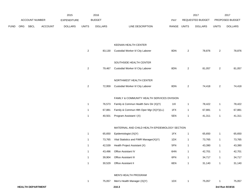|             |     |                          |                | 2015               |                  | 2016           |                                                |             |                | 2017             |                | 2017            |
|-------------|-----|--------------------------|----------------|--------------------|------------------|----------------|------------------------------------------------|-------------|----------------|------------------|----------------|-----------------|
|             |     | <b>ACCOUNT NUMBER</b>    |                | <b>EXPENDITURE</b> |                  | <b>BUDGET</b>  |                                                | PAY         |                | REQUESTED BUDGET |                | PROPOSED BUDGET |
| <b>FUND</b> | ORG | SBCL                     | <b>ACCOUNT</b> | <b>DOLLARS</b>     | <b>UNITS</b>     | <b>DOLLARS</b> | LINE DESCRIPTION                               | RANGE UNITS |                | <b>DOLLARS</b>   | <b>UNITS</b>   | <b>DOLLARS</b>  |
|             |     |                          |                |                    |                  |                |                                                |             |                |                  |                |                 |
|             |     |                          |                |                    |                  |                | KEENAN HEALTH CENTER                           |             |                |                  |                |                 |
|             |     |                          |                |                    | $\overline{c}$   | 83,130         | Custodial Worker II/ City Laborer              | 8DN         | $\overline{2}$ | 78,876           | $\overline{2}$ | 78,876          |
|             |     |                          |                |                    |                  |                |                                                |             |                |                  |                |                 |
|             |     |                          |                |                    |                  |                | SOUTHSIDE HEALTH CENTER                        |             |                |                  |                |                 |
|             |     |                          |                |                    | $\overline{a}$   | 79,467         | Custodial Worker II/ City Laborer              | 8DN         | $\overline{2}$ | 81,057           | $\overline{2}$ | 81,057          |
|             |     |                          |                |                    |                  |                | NORTHWEST HEALTH CENTER                        |             |                |                  |                |                 |
|             |     |                          |                |                    | $\boldsymbol{2}$ |                | Custodial Worker II/ City Laborer              | 8DN         | $\overline{2}$ | 74,418           | $\overline{a}$ |                 |
|             |     |                          |                |                    |                  | 72,959         |                                                |             |                |                  |                | 74,418          |
|             |     |                          |                |                    |                  |                | FAMILY & COMMUNITY HEALTH SERVICES DIVISION    |             |                |                  |                |                 |
|             |     |                          |                |                    | $\mathbf{1}$     | 76,573         | Family & Commun Health Serv Dir (X)(Y)         | 11X         | $\mathbf{1}$   | 78,422           | $\mathbf{1}$   | 78,422          |
|             |     |                          |                |                    | $\mathbf{1}$     | 67,881         | Family & Commun Hlth Oper Mgr (X)(Y)(LL)       | 1FX         | $\mathbf{1}$   | 67,881           | $\mathbf{1}$   | 67,881          |
|             |     |                          |                |                    | $\mathbf{1}$     | 40,501         | Program Assistant I (X)                        | 5EN         | $\mathbf{1}$   | 41,311           | $\mathbf{1}$   | 41,311          |
|             |     |                          |                |                    |                  |                | MATERNAL AND CHILD HEALTH EPIDEMIOLOGY SECTION |             |                |                  |                |                 |
|             |     |                          |                |                    | $\mathbf{1}$     | 65,650         | Epidemiologist (X)(Y)                          | 1FX         | $\mathbf{1}$   | 65,650           | $\mathbf{1}$   | 65,650          |
|             |     |                          |                |                    | $\mathbf{1}$     | 73,765         | Vital Statistics and FIMR Manager(X)(Y)        | 1DX         | $\mathbf{1}$   | 73,765           | $\mathbf{1}$   | 73,765          |
|             |     |                          |                |                    | $\mathbf{1}$     | 42,539         | Health Project Assistant (X)                   | 5FN         | $\mathbf{1}$   | 43,390           | $\mathbf{1}$   | 43,390          |
|             |     |                          |                |                    | $\mathbf{1}$     | 43,496         | Office Assistant IV                            | 6HN         | $\mathbf{1}$   | 42,701           | $\mathbf{1}$   | 42,701          |
|             |     |                          |                |                    | $\mathbf{1}$     | 39,904         | Office Assistant III                           | 6FN         | $\mathbf{1}$   | 34,717           | $\mathbf{1}$   | 34,717          |
|             |     |                          |                |                    | $\mathbf{1}$     | 30,529         | Office Assistant II                            | 6EN         | $\mathbf{1}$   | 31,140           | $\mathbf{1}$   | 31,140          |
|             |     |                          |                |                    |                  |                | MEN'S HEALTH PROGRAM                           |             |                |                  |                |                 |
|             |     |                          |                |                    | $\mathbf{1}$     | 75,057         | Men's Health Manager (X)(Y)                    | 1DX         | $\mathbf{1}$   | 75,057           | $\mathbf{1}$   | 75,057          |
|             |     | <b>HEALTH DEPARTMENT</b> |                |                    |                  |                | 210.3                                          |             |                |                  |                | 3rd Run 9/19/16 |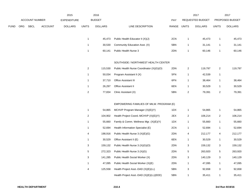|      |     |                       |                | 2015               |                         | 2016           |                                            |             |                           | 2017             |                           | 2017            |
|------|-----|-----------------------|----------------|--------------------|-------------------------|----------------|--------------------------------------------|-------------|---------------------------|------------------|---------------------------|-----------------|
|      |     | <b>ACCOUNT NUMBER</b> |                | <b>EXPENDITURE</b> |                         | <b>BUDGET</b>  |                                            | PAY         |                           | REQUESTED BUDGET |                           | PROPOSED BUDGET |
| FUND | ORG | SBCL                  | <b>ACCOUNT</b> | <b>DOLLARS</b>     | <b>UNITS</b>            | <b>DOLLARS</b> | LINE DESCRIPTION                           | RANGE UNITS |                           | <b>DOLLARS</b>   | <b>UNITS</b>              | <b>DOLLARS</b>  |
|      |     |                       |                |                    |                         |                |                                            |             |                           |                  |                           |                 |
|      |     |                       |                |                    | $\mathbf{1}$            | 45,473         | Public Health Educator II (X)(J)           | 2CN         | $\mathbf{1}$              | 45,473           | $\mathbf{1}$              | 45,473          |
|      |     |                       |                |                    | $\mathbf{1}$            | 30,530         | Community Education Asst. (X)              | 5BN         | $\mathbf{1}$              | 31,141           | $\mathbf{1}$              | 31,141          |
|      |     |                       |                |                    | $\mathbf{1}$            | 60,141         | Public Health Nurse 3                      | 2DN         | $\mathbf{1}$              | 60,146           | $\mathbf{1}$              | 60,146          |
|      |     |                       |                |                    |                         |                |                                            |             |                           |                  |                           |                 |
|      |     |                       |                |                    |                         |                | SOUTHSIDE / NORTHWEST HEALTH CENTER        |             |                           |                  |                           |                 |
|      |     |                       |                |                    | $\overline{c}$          | 115,530        | Public Health Nurse Coordinator (X)(G)(O)  | 2DN         | $\overline{2}$            | 119,797          | $\sqrt{2}$                | 119,797         |
|      |     |                       |                |                    | $\mathbf{1}$            | 50,034         | Program Assistant II (X)                   | 5FN         | $\mathbf{1}$              | 42,539           | $\mathbf{1}$              |                 |
|      |     |                       |                |                    | $\mathbf{1}$            | 37,710         | <b>Office Assistant III</b>                | 6FN         | $\mathbf{1}$              | 38,464           | $\mathbf{1}$              | 38,464          |
|      |     |                       |                |                    | $\mathbf{1}$            | 26,297         | Office Assistant II                        | 6EN         | $\mathbf{1}$              | 30,529           | $\mathbf{1}$              | 30,529          |
|      |     |                       |                |                    | $\sqrt{2}$              | 77,834         | Clinic Assistant (X)                       | 5BN         | $\sqrt{2}$                | 79,391           | $\sqrt{2}$                | 79,391          |
|      |     |                       |                |                    |                         |                |                                            |             |                           |                  |                           |                 |
|      |     |                       |                |                    |                         |                | EMPOWERING FAMILIES OF MILW. PROGRAM (E)   |             |                           |                  |                           |                 |
|      |     |                       |                |                    | $\mathbf{1}$            | 54,865         | MCHVP Program Manager (X)(E)(Y)            | 1DX         | $\mathbf{1}$              | 54,865           | $\mathbf{1}$              | 54,865          |
|      |     |                       |                |                    | $\sqrt{2}$              | 104,902        | Health Project Coord.-MCHVP (X)(E)(Y)      | 2EX         | $\overline{\mathbf{c}}$   | 106,214          | $\overline{2}$            | 106,214         |
|      |     |                       |                |                    | $\mathbf{1}$            | 55,660         | Family & Comm. Wellness Mgr. (X)(E)(Y)     | 1DX         | $\mathbf{1}$              | 55,660           | $\mathbf{1}$              | 55,660          |
|      |     |                       |                |                    | $\mathbf{1}$            | 52,694         | Health Information Specialist (E)          | 2CN         | $\mathbf{1}$              | 52,694           | $\mathbf{1}$              | 52,694          |
|      |     |                       |                |                    | 4                       | 198,916        | Public Health Nurse 3 (X)(E)(G)            | 2DN         | 4                         | 212,177          | 4                         | 212,177         |
|      |     |                       |                |                    | $\mathbf{1}$            | 30,529         | Office Assistant II (E)                    | 6EN         | $\mathbf{1}$              | 30,529           | $\mathbf{1}$              | 30,529          |
|      |     |                       |                |                    | 3                       | 159,132        | Public Health Nurse 3 (X)(G)(O)            | 2DN         | 3                         | 159,132          | $\sqrt{3}$                | 159,132         |
|      |     |                       |                |                    | 5                       | 272,323        | Public Health Nurse 3 (X)(G)               | 2DN         | 5                         | 263,920          | 5                         | 263,920         |
|      |     |                       |                |                    | 3                       | 141,285        | Public Health Social Worker (X)            | 2DN         | 3                         | 140,129          | $\ensuremath{\mathsf{3}}$ | 140,129         |
|      |     |                       |                |                    | $\mathbf{1}$            | 47,095         | Public Health Social Worker (X)(E)         | 2DN         | $\mathbf{1}$              | 47,095           | $\mathbf{1}$              | 47,095          |
|      |     |                       |                |                    | $\overline{\mathbf{4}}$ | 125,558        | Health Project Asst.-DAD (X)(E)(LL)        | 5BN         | $\ensuremath{\mathsf{3}}$ | 92,658           | 3                         | 92,658          |
|      |     |                       |                |                    |                         |                | Health Project Asst.-DAD $(X)(E)(LL)(EEE)$ | 5BN         | $\mathbf{1}$              | 35,411           | $\mathbf{1}$              | 35,411          |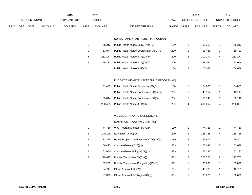|      |     |                       |                | 2015               |                           | 2016           |                                           |             |                         | 2017                    |                         | 2017            |
|------|-----|-----------------------|----------------|--------------------|---------------------------|----------------|-------------------------------------------|-------------|-------------------------|-------------------------|-------------------------|-----------------|
|      |     | <b>ACCOUNT NUMBER</b> |                | <b>EXPENDITURE</b> |                           | <b>BUDGET</b>  |                                           | PAY         |                         | <b>REQUESTED BUDGET</b> |                         | PROPOSED BUDGET |
| FUND | ORG | <b>SBCL</b>           | <b>ACCOUNT</b> | <b>DOLLARS</b>     | <b>UNITS</b>              | <b>DOLLARS</b> | LINE DESCRIPTION                          | RANGE UNITS |                         | <b>DOLLARS</b>          | <b>UNITS</b>            | <b>DOLLARS</b>  |
|      |     |                       |                |                    |                           |                |                                           |             |                         |                         |                         |                 |
|      |     |                       |                |                    |                           |                | NURSE FAMILY PARTNERSHIP PROGRAM          |             |                         |                         |                         |                 |
|      |     |                       |                |                    | $\mathbf{1}$              | 68,212         | Public Health Nurse Supv. (X)(Y)(J)       | 1DX         | 1                       | 68,212                  | $\mathbf{1}$            | 68,212          |
|      |     |                       |                |                    | $\mathbf{1}$              | 53,044         | Public Health Nurse Coordinator (X)(G)(O) | 2DN         | $\mathbf{1}$            | 58,481                  | $\mathbf{1}$            | 58,481          |
|      |     |                       |                |                    | 4                         | 212,177        | Public Health Nurse 3 (X)(G)(J)           | 2DN         | $\overline{\mathbf{4}}$ | 212,177                 | 4                       | 212,177         |
|      |     |                       |                |                    | $\ensuremath{\mathsf{3}}$ | 159,132        | Public Health Nurse 3 (X)(G)(O)           | 2DN         | $\mathbf{1}$            | 53,044                  | $\mathbf{1}$            | 53,044          |
|      |     |                       |                |                    |                           |                | Public Health Nurse 3 (G)(X)              | 2DN         | $\mathbf{2}$            | 106,088                 | $\overline{2}$          | 106,088         |
|      |     |                       |                |                    |                           |                |                                           |             |                         |                         |                         |                 |
|      |     |                       |                |                    |                           |                | PNCC/CCC/NEWBORN SCREENING PROGRAM (O)    |             |                         |                         |                         |                 |
|      |     |                       |                |                    | $\mathbf{1}$              | 51,469         | Public Health Nurse Supervisor (X)(O)     | 1DX         | $\mathbf{1}$            | 54,865                  | $\mathbf{1}$            | 54,865          |
|      |     |                       |                |                    |                           |                | Public Health Nurse Coordinator (X)(G)(N) | 2DN         | $\mathbf{1}$            | 48,117                  | $\mathbf{1}$            | 48,117          |
|      |     |                       |                |                    | $\mathbf{1}$              | 53,044         | Public Health Nurse Coordinator (X)(G)    | 2DN         | $\mathbf{1}$            | 60,146                  | $\mathbf{1}$            | 60,146          |
|      |     |                       |                |                    | $\mathbf 5$               | 250,439        | Public Health Nurse 3 (X)(G)(O)           | 2DN         | $\overline{\mathbf{4}}$ | 206,067                 | $\overline{\mathbf{4}}$ | 206,067         |
|      |     |                       |                |                    |                           |                |                                           |             |                         |                         |                         |                 |
|      |     |                       |                |                    |                           |                | WOMEN'S, INFANT'S & CHILDREN'S            |             |                         |                         |                         |                 |
|      |     |                       |                |                    |                           |                | NUTRITION PROGRAM GRANT (C)               |             |                         |                         |                         |                 |
|      |     |                       |                |                    | $\mathbf{1}$              | 74,766         | WIC Program Manager (X)(C)(Y)             | 1DX         | $\mathbf{1}$            | 74,766                  | $\mathbf{1}$            | 74,766          |
|      |     |                       |                |                    | 3                         | 140,129        | Nutritionist $(X)(C)(Q)$                  | 2DN         | 4                       | 186,758                 | 4                       | 186,758         |
|      |     |                       |                |                    | $\mathbf 2$               | 113,324        | Health Project Coordinator-WIC (X)(C)(Q)  | 1AX         | $\mathbf{2}$            | 96,801                  | $\overline{2}$          | 96,801          |
|      |     |                       |                |                    | $\mathbf 5$               | 169,425        | Clinic Assistant (X)(C)(Q)                | 5BN         | 5                       | 163,038                 | 5                       | 163,038         |
|      |     |                       |                |                    | $\overline{\mathbf{c}}$   | 61,060         | Clinic Assistant-Bilingual (X)(C)         | 5BN         | $\overline{c}$          | 62,282                  | $\overline{c}$          | 62,282          |
|      |     |                       |                |                    | 6                         | 229,025        | Dietetic Technician (X)(C)(Q)             | 5CN         | 6                       | 223,700                 | 6                       | 223,700         |
|      |     |                       |                |                    | $\mathbf{1}$              | 33,232         | Dietetic Technician -Bilingual (X)(C)(Q)  | 5CN         | $\mathbf{1}$            | 33,896                  | $\mathbf{1}$            | 33,896          |
|      |     |                       |                |                    | $\mathbf{1}$              | 34,717         | Office Assistant III (C)(X)               | 6FN         | $\mathbf{1}$            | 48,735                  | $\mathbf{1}$            | 48,735          |
|      |     |                       |                |                    | $\mathbf{1}$              | 37,323         | Office Assistant II-Bilingual (C)(X)      | 6EN         | $\mathbf{1}$            | 38,070                  | $\mathbf{1}$            | 38,070          |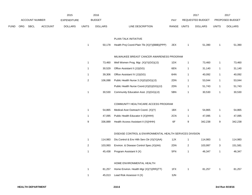|             |     |                       |                | 2015               |                  | 2016           |                                                          |             |                | 2017             |                | 2017            |
|-------------|-----|-----------------------|----------------|--------------------|------------------|----------------|----------------------------------------------------------|-------------|----------------|------------------|----------------|-----------------|
|             |     | <b>ACCOUNT NUMBER</b> |                | <b>EXPENDITURE</b> |                  | <b>BUDGET</b>  |                                                          | <b>PAY</b>  |                | REQUESTED BUDGET |                | PROPOSED BUDGET |
| <b>FUND</b> | ORG | <b>SBCL</b>           | <b>ACCOUNT</b> | <b>DOLLARS</b>     | <b>UNITS</b>     | <b>DOLLARS</b> | LINE DESCRIPTION                                         | RANGE UNITS |                | <b>DOLLARS</b>   | <b>UNITS</b>   | <b>DOLLARS</b>  |
|             |     |                       |                |                    |                  |                | PLAIN TALK INITIATIVE                                    |             |                |                  |                |                 |
|             |     |                       |                |                    | $\mathbf{1}$     | 50,178         | Health Proj Coord-Plain Tlk (X)(Y)(BBB)(PPP)             | 2EX         | 1              | 51,390           | $\mathbf{1}$   | 51,390          |
|             |     |                       |                |                    |                  |                | MILWAUKEE BREAST CANCER AWARENESS PROGRAM                |             |                |                  |                |                 |
|             |     |                       |                |                    | $\mathbf{1}$     | 73,460         | Well Women Prog. Mgr. (X)(Y)(GG)(JJ)                     | 1DX         | $\mathbf{1}$   | 73,460           | $\mathbf{1}$   | 73,460          |
|             |     |                       |                |                    | $\mathbf{1}$     | 30,529         | Office Assistant II (JJ)(GG)                             | 6EN         | $\mathbf{1}$   | 31,140           | $\overline{1}$ | 31,140          |
|             |     |                       |                |                    | $\mathbf{1}$     | 39,306         | Office Assistant IV (JJ)(GG)                             | 6HN         | 1              | 40,092           | $\mathbf{1}$   | 40,092          |
|             |     |                       |                |                    | $\boldsymbol{2}$ | 106,088        | Public Health Nurse 3 (X)(G)(GG)(JJ)                     | 2DN         | $\mathbf{1}$   | 53,044           | $\overline{1}$ | 53,044          |
|             |     |                       |                |                    |                  |                | Public Health Nurse Coord.(X)(G)(GG)(JJ)                 | 2DN         | $\mathbf{1}$   | 51,743           | $\overline{1}$ | 51,743          |
|             |     |                       |                |                    | $\mathbf{1}$     | 30,530         | Community Education Asst. (X)(GG)(JJ)                    | 5BN         | $\mathbf{1}$   | 30,530           | $\mathbf{1}$   | 30,530          |
|             |     |                       |                |                    |                  |                | COMMUNITY HEALTHCARE ACCESS PROGRAM                      |             |                |                  |                |                 |
|             |     |                       |                |                    | $\mathbf{1}$     | 54,865         | Medical Asst Outreach Coord. (X)(Y)                      | 1BX         | $\mathbf{1}$   | 54,865           | $\mathbf{1}$   | 54,865          |
|             |     |                       |                |                    | $\mathbf{1}$     | 47,095         | Public Health Educator II (X)(HHH)                       | 2CN         | $\mathbf{1}$   | 47,095           | $\mathbf{1}$   | 47,095          |
|             |     |                       |                |                    | 9                | 336,889        | Health Access Assistant II (X)(HHH)                      | 6F          | 9              | 342,238          | 9              | 342,238         |
|             |     |                       |                |                    |                  |                | DISEASE CONTROL & ENVIRONMENTAL HEALTH SERVICES DIVISION |             |                |                  |                |                 |
|             |     |                       |                |                    | $\mathbf{1}$     | 114,983        | Dis.Control & Env Hlth Serv Dir (X)(Y)(AA)               | 1JX         | $\mathbf{1}$   | 114,983          | $\mathbf{1}$   | 114,983         |
|             |     |                       |                |                    | $\overline{c}$   | 103,993        | Environ. & Disease Control Spec.(X)(AA)                  | 2DN         | $\overline{2}$ | 103,997          | 3              | 151,581         |
|             |     |                       |                |                    | $\mathbf{1}$     | 45,438         | Program Assistant II (X)                                 | 5FN         | $\mathbf{1}$   | 46,347           | $\mathbf{1}$   | 46,347          |
|             |     |                       |                |                    |                  |                | HOME ENVIRONMENTAL HEALTH                                |             |                |                  |                |                 |
|             |     |                       |                |                    | $\mathbf{1}$     | 81,257         | Home Environ. Health Mgr (X)(Y)(RR)(TT)                  | 1FX         | 1              | 81,257           | $\mathbf{1}$   | 81,257          |
|             |     |                       |                |                    | $\mathbf{1}$     | 45,013         | Lead Risk Assessor II (X)                                | 3JN         |                |                  |                |                 |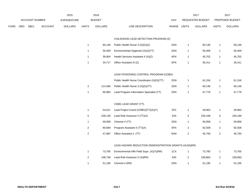|             |     |                |                | 2015               |                | 2016           |                                                      |       |                | 2017             |                  | 2017            |
|-------------|-----|----------------|----------------|--------------------|----------------|----------------|------------------------------------------------------|-------|----------------|------------------|------------------|-----------------|
|             |     | ACCOUNT NUMBER |                | <b>EXPENDITURE</b> |                | <b>BUDGET</b>  |                                                      | PAY   |                | REQUESTED BUDGET |                  | PROPOSED BUDGET |
| <b>FUND</b> | ORG | <b>SBCL</b>    | <b>ACCOUNT</b> | <b>DOLLARS</b>     | <b>UNITS</b>   | <b>DOLLARS</b> | LINE DESCRIPTION                                     | RANGE | <b>UNITS</b>   | <b>DOLLARS</b>   | <b>UNITS</b>     | <b>DOLLARS</b>  |
|             |     |                |                |                    |                |                |                                                      |       |                |                  |                  |                 |
|             |     |                |                |                    |                |                | CHILDHOOD LEAD DETECTION PROGRAM (Z)                 |       |                |                  |                  |                 |
|             |     |                |                |                    | $\mathbf{1}$   | 60,146         | Public Health Nurse 3 (X)(G)(Z)                      | 2DN   | $\mathbf{1}$   | 60,146           | $\overline{1}$   | 60,146          |
|             |     |                |                |                    | $\mathbf{1}$   | 56,409         | Environmental Hygienist (X)(Z)(TT)                   | 2DN   | $\mathbf{1}$   | 56,409           | $\mathbf{1}$     | 56,409          |
|             |     |                |                |                    | $\mathbf{1}$   | 39,904         | Health Services Assistant II (X)(Z)                  | 6FN   | $\mathbf{1}$   | 40,702           | $\overline{1}$   | 40,702          |
|             |     |                |                |                    | $\mathbf{1}$   | 34,717         | Office Assistant III (Z)                             | 6FN   | $\mathbf{1}$   | 35,411           | $\overline{1}$   | 35,411          |
|             |     |                |                |                    |                |                | LEAD POISONING CONTROL PROGRAM (CDBG)                |       |                |                  |                  |                 |
|             |     |                |                |                    |                |                | Public Health Nurse Coordinator (X)(G)(TT)           | 2DN   | $\mathbf{1}$   | 61,316           | $\overline{1}$   | 61,316          |
|             |     |                |                |                    | $\overline{c}$ | 114,360        | Public Health Nurse 3 (X)(G)(TT)                     | 2DN   | $\mathbf{1}$   | 60,146           | $\overline{1}$   | 60,146          |
|             |     |                |                |                    | $\mathbf{1}$   | 60,983         | Lead Program Information Specialist (TT)             | 2DN   | $\mathbf{1}$   | 47,779           | $\overline{1}$   | 47,779          |
|             |     |                |                |                    |                |                | CDBG LEAD GRANT (TT)                                 |       |                |                  |                  |                 |
|             |     |                |                |                    | $\mathbf{1}$   | 54,611         | Lead Project Coord (CDBG)(TT)(X)(Y)                  | 2FX   | $\mathbf{1}$   | 49,963           | $\overline{1}$   | 49,963          |
|             |     |                |                |                    | $\,$ 5 $\,$    | 236,130        | Lead Risk Assessor II (TT)(X)                        | 3JN   | 5              | 235,169          | 5                | 235,169         |
|             |     |                |                |                    | $\mathbf{1}$   | 59,958         | Chemist II (TT)                                      | 2DN   | $\mathbf{1}$   | 59,958           | $\mathbf{1}$     | 59,958          |
|             |     |                |                |                    | $\overline{c}$ | 90,694         | Program Assistant II (TT)(X)                         | 5FN   | $\sqrt{2}$     | 92,508           | $\boldsymbol{2}$ | 92,508          |
|             |     |                |                |                    | $\overline{c}$ | 47,887         | Office Assistant II (TT)                             | 6HN   | $\overline{2}$ | 45,793           | $\overline{2}$   | 45,793          |
|             |     |                |                |                    |                |                | LEAD HAZARD REDUCTION DEMONSTRATION GRANTS (HUD)(RR) |       |                |                  |                  |                 |
|             |     |                |                |                    | $\mathbf{1}$   | 73,765         | Environmental Hlth Field Supv. (X)(Y)(RR)            | 1CX   | $\mathbf{1}$   | 73,765           | $\mathbf{1}$     | 73,765          |
|             |     |                |                |                    | $\overline{c}$ | 106,728        | Lead Risk Assessor II (X)(RR)                        | 3JN   | 2              | 108,863          | $\overline{2}$   | 108,863         |
|             |     |                |                |                    | $\mathbf{1}$   | 51,195         | Chemist II (RR)                                      | 2DN   | $\mathbf{1}$   | 51,195           | $\overline{1}$   | 51,195          |
|             |     |                |                |                    |                |                |                                                      |       |                |                  |                  |                 |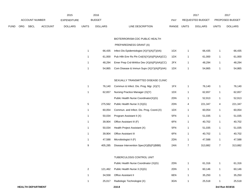|      |     |                          |                | 2015               |                | 2016           |                                             |       |                | 2017             |                | 2017            |
|------|-----|--------------------------|----------------|--------------------|----------------|----------------|---------------------------------------------|-------|----------------|------------------|----------------|-----------------|
|      |     | ACCOUNT NUMBER           |                | <b>EXPENDITURE</b> |                | <b>BUDGET</b>  |                                             | PAY   |                | REQUESTED BUDGET |                | PROPOSED BUDGET |
| FUND | ORG | <b>SBCL</b>              | <b>ACCOUNT</b> | <b>DOLLARS</b>     | <b>UNITS</b>   | <b>DOLLARS</b> | LINE DESCRIPTION                            | RANGE | <b>UNITS</b>   | <b>DOLLARS</b>   | <b>UNITS</b>   | <b>DOLLARS</b>  |
|      |     |                          |                |                    |                |                | BIOTERRORISM-CDC PUBLIC HEALTH              |       |                |                  |                |                 |
|      |     |                          |                |                    |                |                | PREPAREDNESS GRANT (A)                      |       |                |                  |                |                 |
|      |     |                          |                |                    | $\mathbf{1}$   | 66,435         | Infect Dis Epidemiologist (X)(Y)(A)(T)(AA)  | 1GX   | $\mathbf{1}$   | 66,435           | 1              | 66,435          |
|      |     |                          |                |                    | $\mathbf{1}$   | 61,000         | Pub Hith Emr Rs Pin Crd(X)(Y)(A)(P)(AA)(CC) | 1DX   | $\mathbf{1}$   | 61,000           | $\mathbf{1}$   | 61,000          |
|      |     |                          |                |                    | $\mathbf{1}$   | 48,294         | Emer Prep Crd-Wrkfce Dev (X)(A)(P)(AA)(CC)  | 2FX   | $\mathbf{1}$   | 48,294           | 1              | 48,294          |
|      |     |                          |                |                    | $\mathbf{1}$   | 54,865         | Com Disease & Immun Supv (X)(Y)(A)(P)(AA)   | 1DX   | $\mathbf{1}$   | 54,865           | 1              | 54,865          |
|      |     |                          |                |                    |                |                | SEXUALLY TRANSMITTED DISEASE CLINIC         |       |                |                  |                |                 |
|      |     |                          |                |                    | $\mathbf{1}$   | 76,140         | Commun & Infect. Dis. Prog. Mgr. (X)(Y)     | 1FX   | $\mathbf{1}$   | 76,140           | 1              | 76,140          |
|      |     |                          |                |                    | $\mathbf{1}$   | 62,657         | Nursing Practice Manager (X)(Y)             | 1DX   | $\mathbf{1}$   | 62,657           | 1              | 62,657          |
|      |     |                          |                |                    |                |                | Public Health Nurse Coordinator(X)(G)       | 2DN   | $\mathbf{1}$   | 52,913           | $\mathbf{1}$   | 52,913          |
|      |     |                          |                |                    | 5              | 275,562        | Public Health Nurse 3 (X)(G)                | 2DN   | 4              | 221,347          | 4              | 221,347         |
|      |     |                          |                |                    | $\mathbf{1}$   | 60,054         | Commun. and Infect. Dis. Prog. Coord.(X)    | 1DX   | $\mathbf{1}$   | 60,054           | $\mathbf{1}$   | 60,054          |
|      |     |                          |                |                    | $\mathbf{1}$   | 50,034         | Program Assistant II (X)                    | 5FN   | $\mathbf{1}$   | 51,035           | $\mathbf{1}$   | 51,035          |
|      |     |                          |                |                    | 1              | 39,904         | Office Assistant III (F)                    | 6FN   | $\mathbf{1}$   | 40,702           | 1              | 40,702          |
|      |     |                          |                |                    | $\mathbf{1}$   | 50,034         | Health Project Assistant (X)                | 5FN   | $\mathbf{1}$   | 51,035           | 1              | 51,035          |
|      |     |                          |                |                    | 1              | 39,904         | Office Assistant III                        | 6FN   | $\mathbf{1}$   | 40,702           | $\mathbf{1}$   | 40,702          |
|      |     |                          |                |                    | $\mathbf{1}$   | 47,588         | Microbiologist II (F)                       | 2DN   | $\mathbf{1}$   | 47,588           | $\mathbf{1}$   | 47,588          |
|      |     |                          |                |                    | 9              | 405,285        | Disease Intervention Spec(X)(B)(F)(BBB)     | 2AN   | $\overline{7}$ | 313,882          | $\overline{7}$ | 313,882         |
|      |     |                          |                |                    |                |                | TUBERCULOSIS CONTROL UNIT                   |       |                |                  |                |                 |
|      |     |                          |                |                    |                |                | Public Health Nurse Coordinator (X)(G)      | 2DN   | $\mathbf{1}$   | 61,316           | $\mathbf{1}$   | 61,316          |
|      |     |                          |                |                    | $\overline{c}$ | 121,462        | Public Health Nurse 3 (X)(G)                | 2DN   | $\mathbf{1}$   | 60,146           | $\mathbf{1}$   | 60,146          |
|      |     |                          |                |                    | $\mathbf{1}$   | 34,558         | Office Assistant II                         | 6EN   | $\mathbf{1}$   | 35,250           | $\mathbf{1}$   | 35,250          |
|      |     |                          |                |                    | $\mathbf{1}$   | 25,017         | Radiologic Technologist (X)                 | 3GN   | $\mathbf{1}$   | 25,518           | 1              | 25,518          |
|      |     | <b>HEALTH DEPARTMENT</b> |                |                    |                |                | 210.8                                       |       |                |                  |                | 3rd Run 9/19/16 |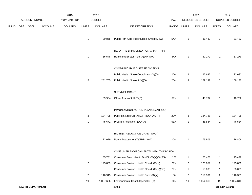|             |     |                          |                | 2015               |                           | 2016           |                                             |             |                         | 2017             |                | 2017            |
|-------------|-----|--------------------------|----------------|--------------------|---------------------------|----------------|---------------------------------------------|-------------|-------------------------|------------------|----------------|-----------------|
|             |     | <b>ACCOUNT NUMBER</b>    |                | <b>EXPENDITURE</b> |                           | <b>BUDGET</b>  |                                             | PAY         |                         | REQUESTED BUDGET |                | PROPOSED BUDGET |
| <b>FUND</b> | ORG | SBCL                     | <b>ACCOUNT</b> | <b>DOLLARS</b>     | <b>UNITS</b>              | <b>DOLLARS</b> | LINE DESCRIPTION                            | RANGE UNITS |                         | <b>DOLLARS</b>   | <b>UNITS</b>   | <b>DOLLARS</b>  |
|             |     |                          |                |                    | $\mathbf{1}$              | 30,865         | Public Hlth Aide Tuberculosis Cntl (MM)(X)  | 5AN         | $\overline{1}$          | 31,482           | $\mathbf{1}$   | 31,482          |
|             |     |                          |                |                    |                           |                | HEPATITIS B IMMUNIZATION GRANT (HH)         |             |                         |                  |                |                 |
|             |     |                          |                |                    | $\mathbf{1}$              | 36,548         | Health Interpreter Aide (X)(HH)(AA)         | 5AX         | $\overline{1}$          | 37,279           | $\mathbf{1}$   | 37,279          |
|             |     |                          |                |                    |                           |                | COMMUNICABLE DISEASE DIVISION               |             |                         |                  |                |                 |
|             |     |                          |                |                    |                           |                | Public Health Nurse Coordinator (X)(G)      | 2DN         | $\overline{2}$          | 122,632          | $\overline{2}$ | 122,632         |
|             |     |                          |                |                    | $\mathbf{5}$              | 281,765        | Public Health Nurse 3 (X)(G)                | 2DN         | 3                       | 159,132          | 3              | 159,132         |
|             |     |                          |                |                    |                           |                | SURVNET GRANT                               |             |                         |                  |                |                 |
|             |     |                          |                |                    | $\mathbf{1}$              | 39,904         | Office Assistant III (T)(P)                 | 6FN         | $\overline{1}$          | 40,702           | $\mathbf{1}$   | 40,702          |
|             |     |                          |                |                    |                           |                | IMMUNIZATION ACTION PLAN GRANT (DD)         |             |                         |                  |                |                 |
|             |     |                          |                |                    | $\ensuremath{\mathsf{3}}$ | 184,728        | Pub Hlth. Nrse Crd(X)(G)(P)(DD)(AA)(FF)     | 2DN         | 3                       | 184,728          | 3              | 184,728         |
|             |     |                          |                |                    | $\mathbf{1}$              | 45,671         | Program Assistant I (DD)(X)                 | 5EN         | $\overline{1}$          | 46,584           | $\mathbf{1}$   | 46,584          |
|             |     |                          |                |                    |                           |                | HIV RISK REDUCTION GRANT (AAA)              |             |                         |                  |                |                 |
|             |     |                          |                |                    | $\mathbf{1}$              | 72,029         | Nurse Practitioner (X)(BBB)(AAA)            | 2GN         | $\overline{1}$          | 76,806           | $\mathbf{1}$   | 76,806          |
|             |     |                          |                |                    |                           |                | CONSUMER ENVIRONMENTAL HEALTH DIVISION      |             |                         |                  |                |                 |
|             |     |                          |                |                    | $\mathbf{1}$              | 85,781         | Consumer Envn. Health Div.Dir.(X)(Y)(S)(SS) | 11X         | $\mathbf{1}$            | 75,478           | $\mathbf{1}$   | 75,478          |
|             |     |                          |                |                    | $\mathbf{2}$              | 125,859        | Consumer Environ. Health Coord. (X)(Y)      | 2FN         | $\overline{c}$          | 125,859          | $\overline{2}$ | 125,859         |
|             |     |                          |                |                    |                           |                | Consumer Environ. Health Coord. (X)(Y)(SS)  | 2FN         | $\mathbf{1}$            | 53,035           | $\mathbf{1}$   | 53,035          |
|             |     |                          |                |                    | $\overline{a}$            | 116,915        | Consumer Environ. Health Supv.(X)(Y)        | 1DX         | $\overline{\mathbf{c}}$ | 116,301          | $\overline{2}$ | 116,301         |
|             |     |                          |                |                    | 19                        | 1,037,636      | Environmental Health Specialist (X)         | 3LN         | 19                      | 1,054,310        | 19             | 1,054,310       |
|             |     | <b>HEALTH DEPARTMENT</b> |                |                    |                           |                | 210.9                                       |             |                         |                  |                | 3rd Run 9/19/16 |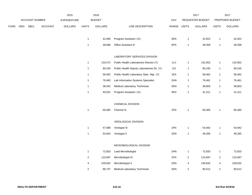|      |     |                |                | 2015               |                | 2016           |                                            |             |                         | 2017             |                         | 2017            |
|------|-----|----------------|----------------|--------------------|----------------|----------------|--------------------------------------------|-------------|-------------------------|------------------|-------------------------|-----------------|
|      |     | ACCOUNT NUMBER |                | <b>EXPENDITURE</b> |                | <b>BUDGET</b>  |                                            | PAY         |                         | REQUESTED BUDGET |                         | PROPOSED BUDGET |
| FUND | ORG | SBCL           | <b>ACCOUNT</b> | <b>DOLLARS</b>     | <b>UNITS</b>   | <b>DOLLARS</b> | LINE DESCRIPTION                           | RANGE UNITS |                         | <b>DOLLARS</b>   | <b>UNITS</b>            | <b>DOLLARS</b>  |
|      |     |                |                |                    | $\mathbf{1}$   | 42,080         | Program Assistant I (X)                    | 5EN         | $\mathbf{1}$            | 42,922           | $\overline{1}$          | 42,922          |
|      |     |                |                |                    | $\mathbf{1}$   | 38,586         | Office Assistant III                       | 6FN         | $\mathbf{1}$            | 39,358           | $\mathbf{1}$            | 39,358          |
|      |     |                |                |                    |                |                | LABORATORY SERVICES DIVISION               |             |                         |                  |                         |                 |
|      |     |                |                |                    | $\mathbf{1}$   | 133,472        | Public Health Laboratories Director (Y)    | 1LX         | $\mathbf{1}$            | 132,952          | $\mathbf{1}$            | 132,952         |
|      |     |                |                |                    | $\mathbf{1}$   | 90,245         | Public Health Deputy Laboratories Dir. (Y) | 11X         | $\mathbf{1}$            | 90,245           | 1                       | 90,245          |
|      |     |                |                |                    | $\mathbf{1}$   | 58,462         | Public Health Laboratory Oper. Mgr. (Y)    | 1EX         | $\mathbf{1}$            | 58,462           | 1                       | 58,462          |
|      |     |                |                |                    | $\mathbf{1}$   | 76,460         | Lab Information Systems Specialist         | 2HN         | $\mathbf{1}$            | 76,461           | $\mathbf{1}$            | 76,461          |
|      |     |                |                |                    | $\mathbf{1}$   | 38,042         | Medical Laboratory Technician              | 3DN         | $\mathbf{1}$            | 38,803           | $\mathbf{1}$            | 38,803          |
|      |     |                |                |                    | $\mathbf{1}$   | 40,501         | Program Assistant I (X)                    | 5EN         | $\mathbf{1}$            | 41,311           | $\mathbf{1}$            | 41,311          |
|      |     |                |                |                    |                |                | CHEMICAL DIVISION                          |             |                         |                  |                         |                 |
|      |     |                |                |                    | $\mathbf{1}$   | 69,365         | Chemist III                                | 2FN         | $\mathbf{1}$            | 69,365           | $\mathbf{1}$            | 69,365          |
|      |     |                |                |                    |                |                | VIROLOGICAL DIVISION                       |             |                         |                  |                         |                 |
|      |     |                |                |                    | $\mathbf{1}$   | 47,588         | Virologist III                             | 2FN         | $\mathbf{1}$            | 54,942           | 1                       | 54,942          |
|      |     |                |                |                    | $\mathbf{1}$   | 54,942         | Virologist II                              | 2DN         | $\mathbf{1}$            | 49,265           | $\mathbf{1}$            | 49,265          |
|      |     |                |                |                    |                |                | MICROBIOLOGICAL DIVISION                   |             |                         |                  |                         |                 |
|      |     |                |                |                    | $\mathbf{1}$   | 72,833         | Lead Microbiologist                        | 2HN         | $\mathbf{1}$            | 72,833           | -1                      | 72,833          |
|      |     |                |                |                    | $\overline{2}$ | 115,697        | Microbiologist III                         | 2FN         | $\overline{\mathbf{c}}$ | 115,697          | $\overline{\mathbf{c}}$ | 115,697         |
|      |     |                |                |                    | 4              | 239,832        | Microbiologist II                          | 2DN         | 4                       | 239,832          | 4                       | 239,832         |
|      |     |                |                |                    | 2              | 88,737         | Medical Laboratory Technician              | 3DN         | 2                       | 90,512           | 2                       | 90,512          |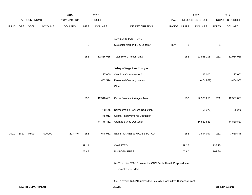|             |      |                |                | 2015               |              | 2016           |                                                                                       |       |              | 2017             |              | 2017            |
|-------------|------|----------------|----------------|--------------------|--------------|----------------|---------------------------------------------------------------------------------------|-------|--------------|------------------|--------------|-----------------|
|             |      | ACCOUNT NUMBER |                | <b>EXPENDITURE</b> |              | <b>BUDGET</b>  |                                                                                       | PAY   |              | REQUESTED BUDGET |              | PROPOSED BUDGET |
| <b>FUND</b> | ORG  | SBCL           | <b>ACCOUNT</b> | <b>DOLLARS</b>     | <b>UNITS</b> | <b>DOLLARS</b> | LINE DESCRIPTION                                                                      | RANGE | <b>UNITS</b> | <b>DOLLARS</b>   | <b>UNITS</b> | <b>DOLLARS</b>  |
|             |      |                |                |                    |              |                | <b>AUXILIARY POSITIONS</b>                                                            |       |              |                  |              |                 |
|             |      |                |                |                    | $\mathbf{1}$ |                | Custodial Worker II/City Laborer                                                      | 8DN   | $\mathbf{1}$ |                  | $\mathbf{1}$ |                 |
|             |      |                |                |                    | 252          | 12,886,055     | <b>Total Before Adjustments</b>                                                       |       | 252          | 12,958,208       | 252          | 12,914,959      |
|             |      |                |                |                    |              |                | Salary & Wage Rate Changes                                                            |       |              |                  |              |                 |
|             |      |                |                |                    |              | 27,000         | Overtime Compensated*                                                                 |       |              | 27,000           |              | 27,000          |
|             |      |                |                |                    |              | (402, 574)     | Personnel Cost Adjustment                                                             |       |              | (404, 952)       |              | (404, 952)      |
|             |      |                |                |                    |              |                | Other                                                                                 |       |              |                  |              |                 |
|             |      |                |                |                    | 252          | 12,510,481     | Gross Salaries & Wages Total                                                          |       | 252          | 12,580,256       | 252          | 12,537,007      |
|             |      |                |                |                    |              | (38, 146)      | Reimbursable Services Deduction                                                       |       |              | (55, 276)        |              | (55, 276)       |
|             |      |                |                |                    |              | (45, 013)      | <b>Capital Improvements Deduction</b>                                                 |       |              |                  |              |                 |
|             |      |                |                |                    |              |                | (4,778,411) Grant and Aids Deduction                                                  |       |              | (4,830,883)      |              | (4,830,883)     |
| 0001        | 3810 | R999           | 006000         | 7,203,746          | 252          | 7,648,911      | NET SALARIES & WAGES TOTAL*                                                           |       | 252          | 7,694,097        | 252          | 7,650,848       |
|             |      |                |                |                    | 139.18       |                | O&M FTE'S                                                                             |       | 139.25       |                  | 138.25       |                 |
|             |      |                |                |                    | 102.65       |                | NON-O&M FTE'S                                                                         |       | 102.80       |                  | 102.80       |                 |
|             |      |                |                |                    |              |                | (A) To expire 6/30/16 unless the CDC Public Health Preparedness<br>Grant is extended. |       |              |                  |              |                 |
|             |      |                |                |                    |              |                | (B) To expire 12/31/16 unless the Sexually Transmitted Diseases Grant-                |       |              |                  |              |                 |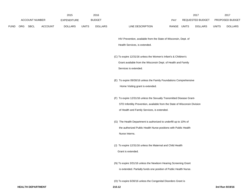|             |                       |                | 2015               |              | 2016           |                                                                            |             | 2017             |              | 2017            |
|-------------|-----------------------|----------------|--------------------|--------------|----------------|----------------------------------------------------------------------------|-------------|------------------|--------------|-----------------|
|             | <b>ACCOUNT NUMBER</b> |                | <b>EXPENDITURE</b> |              | <b>BUDGET</b>  |                                                                            | PAY         | REQUESTED BUDGET |              | PROPOSED BUDGET |
| <b>FUND</b> | ORG SBCL              | <b>ACCOUNT</b> | <b>DOLLARS</b>     | <b>UNITS</b> | <b>DOLLARS</b> | LINE DESCRIPTION                                                           | RANGE UNITS | <b>DOLLARS</b>   | <b>UNITS</b> | <b>DOLLARS</b>  |
|             |                       |                |                    |              |                | HIV Prevention, available from the State of Wisconsin, Dept. of            |             |                  |              |                 |
|             |                       |                |                    |              |                | Health Services, is extended.                                              |             |                  |              |                 |
|             |                       |                |                    |              |                | (C) To expire 12/31/16 unless the Women's Infant's & Children's            |             |                  |              |                 |
|             |                       |                |                    |              |                | Grant available from the Wisconsin Dept. of Health and Family              |             |                  |              |                 |
|             |                       |                |                    |              |                | Services is extended.                                                      |             |                  |              |                 |
|             |                       |                |                    |              |                | (E) To expire 09/30/16 unless the Family Foundations Comprehensive         |             |                  |              |                 |
|             |                       |                |                    |              |                | Home Visiting grant is extended.                                           |             |                  |              |                 |
|             |                       |                |                    |              |                | (F) To expire 12/31/16 unless the Sexually Transmitted Disease Grant-      |             |                  |              |                 |
|             |                       |                |                    |              |                | STD Infertility Prevention, available from the State of Wisconsin Division |             |                  |              |                 |
|             |                       |                |                    |              |                | of Health and Family Services, is extended.                                |             |                  |              |                 |
|             |                       |                |                    |              |                | (G) The Health Department is authorized to underfill up to 10% of          |             |                  |              |                 |
|             |                       |                |                    |              |                | the authorized Public Health Nurse positions with Public Health            |             |                  |              |                 |
|             |                       |                |                    |              |                | Nurse Interns.                                                             |             |                  |              |                 |
|             |                       |                |                    |              |                | (J) To expire 12/31/16 unless the Maternal and Child Health                |             |                  |              |                 |
|             |                       |                |                    |              |                | Grant is extended.                                                         |             |                  |              |                 |
|             |                       |                |                    |              |                | (N) To expire 3/31/16 unless the Newborn Hearing Screening Grant           |             |                  |              |                 |
|             |                       |                |                    |              |                | is extended. Partially funds one position of Public Health Nurse.          |             |                  |              |                 |
|             |                       |                |                    |              |                |                                                                            |             |                  |              |                 |

(O) To expire 6/30/16 unless the Congenital Disorders Grant is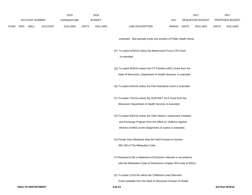|             |     |                       |                | 2015               |              | 2016           |                                                                                                                                                                                           |       |              | 2017             |              | 2017            |
|-------------|-----|-----------------------|----------------|--------------------|--------------|----------------|-------------------------------------------------------------------------------------------------------------------------------------------------------------------------------------------|-------|--------------|------------------|--------------|-----------------|
|             |     | <b>ACCOUNT NUMBER</b> |                | <b>EXPENDITURE</b> |              | <b>BUDGET</b>  |                                                                                                                                                                                           | PAY   |              | REQUESTED BUDGET |              | PROPOSED BUDGET |
| <b>FUND</b> | ORG | <b>SBCL</b>           | <b>ACCOUNT</b> | <b>DOLLARS</b>     | <b>UNITS</b> | <b>DOLLARS</b> | LINE DESCRIPTION                                                                                                                                                                          | RANGE | <b>UNITS</b> | <b>DOLLARS</b>   | <b>UNITS</b> | <b>DOLLARS</b>  |
|             |     |                       |                |                    |              |                | extended. Also partially funds one position of Public Health Nurse.                                                                                                                       |       |              |                  |              |                 |
|             |     |                       |                |                    |              |                | (P) To expire 6/30/16 unless the Bioterrorism-Focus CRI Grant<br>is extended.                                                                                                             |       |              |                  |              |                 |
|             |     |                       |                |                    |              |                | (Q) To expire 9/30/16 unless the FIT Families (WIC) Grant from the<br>State of Wisconsin, Department of Health Services, is extended.                                                     |       |              |                  |              |                 |
|             |     |                       |                |                    |              |                | (S) To expire 6/30/16 unless the FDA Standards Grant is extended.                                                                                                                         |       |              |                  |              |                 |
|             |     |                       |                |                    |              |                | (T) To expire 7/31/16 unless the SURVNET ACA Grant from the<br>Wisconsin Department of Health Services is extended.                                                                       |       |              |                  |              |                 |
|             |     |                       |                |                    |              |                | (V) To expire 9/30/16 unless the Safe Havens: Supervised Visitation<br>and Exchange Program from the Office on Violence Against<br>Women (VAWA) at the Department of Justice is extended. |       |              |                  |              |                 |
|             |     |                       |                |                    |              |                | (X) Private Auto Allowance May Be Paid Pursuant to Section<br>350-183 of The Milwaukee Code.                                                                                              |       |              |                  |              |                 |
|             |     |                       |                |                    |              |                | (Y) Required to file a Statement of Economic Interests in accordance<br>with the Milwaukee Code of Ordinances Chapter 303-Code of Ethics.                                                 |       |              |                  |              |                 |
|             |     |                       |                |                    |              |                | (Z) To expire 12/31/16 unless the Childhood Lead Detection<br>Grant available from the State of Wisconsin Division of Health                                                              |       |              |                  |              |                 |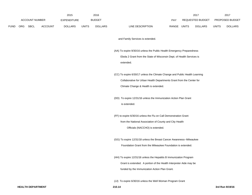|             |     | <b>ACCOUNT NUMBER</b> |                | 2015<br>EXPENDITURE |              | 2016<br><b>BUDGET</b> |                                                                             | PAY   |              | 2017<br>REQUESTED BUDGET |              | 2017<br>PROPOSED BUDGET |
|-------------|-----|-----------------------|----------------|---------------------|--------------|-----------------------|-----------------------------------------------------------------------------|-------|--------------|--------------------------|--------------|-------------------------|
| <b>FUND</b> | ORG | <b>SBCL</b>           | <b>ACCOUNT</b> | <b>DOLLARS</b>      | <b>UNITS</b> | <b>DOLLARS</b>        | LINE DESCRIPTION                                                            | RANGE | <b>UNITS</b> | <b>DOLLARS</b>           | <b>UNITS</b> | <b>DOLLARS</b>          |
|             |     |                       |                |                     |              |                       | and Family Services is extended.                                            |       |              |                          |              |                         |
|             |     |                       |                |                     |              |                       | (AA) To expire 9/30/16 unless the Public Health Emergency Preparedness      |       |              |                          |              |                         |
|             |     |                       |                |                     |              |                       | Ebola 2 Grant from the State of Wisconsin Dept. of Health Services is       |       |              |                          |              |                         |
|             |     |                       |                |                     |              |                       | extended.                                                                   |       |              |                          |              |                         |
|             |     |                       |                |                     |              |                       | (CC) To expire 6/30/17 unless the Climate Change and Public Health Learning |       |              |                          |              |                         |
|             |     |                       |                |                     |              |                       | Collaborative for Urban Health Departments Grant from the Center for        |       |              |                          |              |                         |
|             |     |                       |                |                     |              |                       | Climate Change & Health is extended.                                        |       |              |                          |              |                         |
|             |     |                       |                |                     |              |                       | (DD) To expire 12/31/16 unless the Immunization Action Plan Grant           |       |              |                          |              |                         |
|             |     |                       |                |                     |              |                       | is extended.                                                                |       |              |                          |              |                         |
|             |     |                       |                |                     |              |                       | (FF) to expire 6/30/16 unless the Flu on Call Demonstration Grant           |       |              |                          |              |                         |
|             |     |                       |                |                     |              |                       | from the National Association of County and City Health                     |       |              |                          |              |                         |
|             |     |                       |                |                     |              |                       | Officials (NACCHO) is extended.                                             |       |              |                          |              |                         |
|             |     |                       |                |                     |              |                       | (GG) To expire 12/31/18 unless the Breast Cancer Awareness--Milwaukee       |       |              |                          |              |                         |
|             |     |                       |                |                     |              |                       | Foundation Grant from the Milwaukee Foundation is extended.                 |       |              |                          |              |                         |
|             |     |                       |                |                     |              |                       | (HH) To expire 12/31/16 unless the Hepatitis B Immunization Program         |       |              |                          |              |                         |
|             |     |                       |                |                     |              |                       | Grant is extended. A portion of the Health Interpreter Aide may be          |       |              |                          |              |                         |
|             |     |                       |                |                     |              |                       | funded by the Immunization Action Plan Grant.                               |       |              |                          |              |                         |
|             |     |                       |                |                     |              |                       | (JJ) To expire 6/30/16 unless the Well Woman Program Grant                  |       |              |                          |              |                         |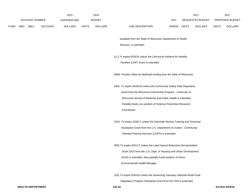|             |                       |                | 2015           |              | 2016           |                                                                            |             | 2017             |              | 2017            |
|-------------|-----------------------|----------------|----------------|--------------|----------------|----------------------------------------------------------------------------|-------------|------------------|--------------|-----------------|
|             | <b>ACCOUNT NUMBER</b> |                | EXPENDITURE    |              | <b>BUDGET</b>  |                                                                            | PAY         | REQUESTED BUDGET |              | PROPOSED BUDGET |
| <b>FUND</b> | ORG SBCL              | <b>ACCOUNT</b> | <b>DOLLARS</b> | <b>UNITS</b> | <b>DOLLARS</b> | LINE DESCRIPTION                                                           | RANGE UNITS | <b>DOLLARS</b>   | <b>UNITS</b> | <b>DOLLARS</b>  |
|             |                       |                |                |              |                | available from the State of Wisconsin Department of Health                 |             |                  |              |                 |
|             |                       |                |                |              |                | Services, is extended.                                                     |             |                  |              |                 |
|             |                       |                |                |              |                | (LL) To expire 6/30/16 unless the Lifecourse Initiative for Healthy        |             |                  |              |                 |
|             |                       |                |                |              |                | Families (LIHF) Grant is extended.                                         |             |                  |              |                 |
|             |                       |                |                |              |                | (MM) Position offset by Medicaid funding from the State of Wisconsin.      |             |                  |              |                 |
|             |                       |                |                |              |                | (NN) To expire 06/30/16 unless the Community Safety Data Repository        |             |                  |              |                 |
|             |                       |                |                |              |                | Grant from the Wisconsin Partnership Program - University of               |             |                  |              |                 |
|             |                       |                |                |              |                | Wisconsin-School of Medicine and Public Health is extended.                |             |                  |              |                 |
|             |                       |                |                |              |                | Partially funds one position of Violence Prevention Research               |             |                  |              |                 |
|             |                       |                |                |              |                | Coordinator.                                                               |             |                  |              |                 |
|             |                       |                |                |              |                | (OO) To expire 2/28/17 unless the Homicide Review Training and Technical   |             |                  |              |                 |
|             |                       |                |                |              |                | Assistance Grant from the U.S. Department of Justice - Community           |             |                  |              |                 |
|             |                       |                |                |              |                | Oriented Policing Services (COPS) is extended.                             |             |                  |              |                 |
|             |                       |                |                |              |                | (RR) To expire 8/31/17 unless the Lead Hazard Reduction Demonstration      |             |                  |              |                 |
|             |                       |                |                |              |                | Grant 2010 from the U.S. Dept. of Housing and Urban Development            |             |                  |              |                 |
|             |                       |                |                |              |                | (HUD) is extended. Also partially funds position of Home                   |             |                  |              |                 |
|             |                       |                |                |              |                | Environmental Health Manager.                                              |             |                  |              |                 |
|             |                       |                |                |              |                | (SS) To expire 6/30/20 unless the Advancing Voluntary National Retail Food |             |                  |              |                 |

Regulatory Program Standards Grant from the FDA is extended.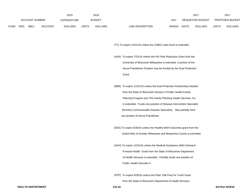|             |                |             |                | 2015           |       | 2016           |                           | 2017                    |              | 201                    |
|-------------|----------------|-------------|----------------|----------------|-------|----------------|---------------------------|-------------------------|--------------|------------------------|
|             | ACCOUNT NUMBER |             |                | EXPENDITURE    |       | <b>BUDGET</b>  | PAY                       | REQUESTED BUDGET        |              | <b>PROPOSED BUDGET</b> |
| <b>FUND</b> | ORG            | <b>SBCL</b> | <b>ACCOUNT</b> | <b>DOLLARS</b> | UNITS | <b>DOLLARS</b> | LINE DESCRIPTION<br>RANGE | UNITS<br><b>DOLLARS</b> | <b>UNITS</b> | <b>DOLLARS</b>         |

(TT) To expire 12/31/16 unless the CDBG Lead Grant is extended.

- (AAA) To expire 7/31/16 unless the HIV Risk Reduction Grant from the University of Wisconsin-Milwaukee is extended. A portion of the Nurse Practitioner Position may be funded by the Dual Protection Grant.
- (BBB) To expire 12/31/16 unless the Dual Protection Partnership Initiative from the State of Wisconsin Division of Public Health-Family Planning Program and The Family Planning Health Services, Inc. is extended. Funds one position of Disease Intervention Specialist (formerly Communicable Disease Specialist). May partially fund one position of Nurse Practitioner.
- (EEE) To expire 6/30/16 unless the Healthy Birth Outcomes grant from the United Way of Greater Milwaukee and Waukesha County is extended.
- (HHH) To expire 12/31/16 unless the Medical Assistance (MA) Outreach Forward Health Grant from the State of Wisconsin Department of Health Services is extended. Partially funds one position of Public Health Educator II.
- (PPP) To expire 9/30/16 unless the Plain Talk Prep for Youth Grant from the State of Wisconsin Department of Health Services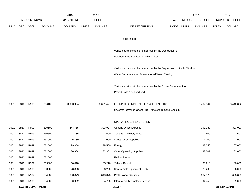|             |      |                          |                | 2015               |              | 2016           |                                                                       |       |              | 2017             |              | 2017            |
|-------------|------|--------------------------|----------------|--------------------|--------------|----------------|-----------------------------------------------------------------------|-------|--------------|------------------|--------------|-----------------|
|             |      | <b>ACCOUNT NUMBER</b>    |                | <b>EXPENDITURE</b> |              | <b>BUDGET</b>  |                                                                       | PAY   |              | REQUESTED BUDGET |              | PROPOSED BUDGET |
| <b>FUND</b> | ORG  | SBCL                     | <b>ACCOUNT</b> | <b>DOLLARS</b>     | <b>UNITS</b> | <b>DOLLARS</b> | LINE DESCRIPTION                                                      | RANGE | <b>UNITS</b> | <b>DOLLARS</b>   | <b>UNITS</b> | <b>DOLLARS</b>  |
|             |      |                          |                |                    |              |                |                                                                       |       |              |                  |              |                 |
|             |      |                          |                |                    |              |                | is extended.                                                          |       |              |                  |              |                 |
|             |      |                          |                |                    |              |                | Various positions to be reimbursed by the Department of               |       |              |                  |              |                 |
|             |      |                          |                |                    |              |                | Neighborhood Services for lab services.                               |       |              |                  |              |                 |
|             |      |                          |                |                    |              |                |                                                                       |       |              |                  |              |                 |
|             |      |                          |                |                    |              |                | Various positions to be reimbursed by the Department of Public Works- |       |              |                  |              |                 |
|             |      |                          |                |                    |              |                | Water Department for Environmental Water Testing.                     |       |              |                  |              |                 |
|             |      |                          |                |                    |              |                | Various positions to be reimbursed by the Police Department for       |       |              |                  |              |                 |
|             |      |                          |                |                    |              |                | Project Safe Neighborhood                                             |       |              |                  |              |                 |
|             |      |                          |                |                    |              |                |                                                                       |       |              |                  |              |                 |
| 0001        | 3810 | R999                     | 006100         | 3,053,984          |              | 3,671,477      | ESTIMATED EMPLOYEE FRINGE BENEFITS                                    |       |              | 3,462,344        |              | 3,442,882       |
|             |      |                          |                |                    |              |                | (Involves Revenue Offset - No Transfers from this Account)            |       |              |                  |              |                 |
|             |      |                          |                |                    |              |                |                                                                       |       |              |                  |              |                 |
|             |      |                          |                |                    |              |                | OPERATING EXPENDITURES                                                |       |              |                  |              |                 |
| 0001        | 3810 | R999                     | 630100         | 444,715            |              | 393,937        | General Office Expense                                                |       |              | 393,937          |              | 393,000         |
| 0001        | 3810 | R999                     | 630500         | 85                 |              | 500            | Tools & Machinery Parts                                               |       |              | 500              |              | 500             |
| 0001        | 3810 | R999                     | 631000         | 6,789              |              | 1,000          | <b>Construction Supplies</b>                                          |       |              | 1,000            |              | 1,000           |
| 0001        | 3810 | R999                     | 631500         | 99,958             |              | 78,500         | Energy                                                                |       |              | 92,250           |              | 67,000          |
| 0001        | 3810 | R999                     | 632000         | 86,864             |              | 82,301         | <b>Other Operating Supplies</b>                                       |       |              | 82,301           |              | 82,000          |
| 0001        | 3810 | R999                     | 632500         |                    |              |                | <b>Facility Rental</b>                                                |       |              |                  |              |                 |
| 0001        | 3810 | R999                     | 633000         | 60,018             |              | 65,216         | Vehicle Rental                                                        |       |              | 65,216           |              | 60,000          |
| 0001        | 3810 | R999                     | 633500         | 28,353             |              | 26,200         | Non-Vehicle Equipment Rental                                          |       |              | 26,200           |              | 26,000          |
| 0001        | 3810 | R999                     | 634000         | 638,823            |              | 649,878        | <b>Professional Services</b>                                          |       |              | 662,876          |              | 660,000         |
| 0001        | 3810 | R999                     | 634500         | 80,932             |              | 94,750         | Information Technology Services                                       |       |              | 94,750           |              | 89,000          |
|             |      | <b>HEALTH DEPARTMENT</b> |                |                    |              |                | 210.17                                                                |       |              |                  |              | 3rd Run 9/19/16 |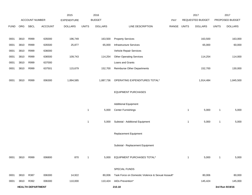|             |      |                          |         | 2015               |              | 2016           |                                                   |             |                | 2017             |              | 2017            |
|-------------|------|--------------------------|---------|--------------------|--------------|----------------|---------------------------------------------------|-------------|----------------|------------------|--------------|-----------------|
|             |      | <b>ACCOUNT NUMBER</b>    |         | <b>EXPENDITURE</b> |              | <b>BUDGET</b>  |                                                   | PAY         |                | REQUESTED BUDGET |              | PROPOSED BUDGET |
| <b>FUND</b> | ORG  | SBCL                     | ACCOUNT | <b>DOLLARS</b>     | <b>UNITS</b> | <b>DOLLARS</b> | LINE DESCRIPTION                                  | RANGE UNITS |                | <b>DOLLARS</b>   | <b>UNITS</b> | <b>DOLLARS</b>  |
|             |      |                          |         |                    |              |                |                                                   |             |                |                  |              |                 |
| 0001        | 3810 | R999                     | 635000  | 196,749            |              | 163,500        | <b>Property Services</b>                          |             |                | 163,500          |              | 163,000         |
| 0001        | 3810 | R999                     | 635500  | 25,877             |              | 65,000         | Infrastructure Services                           |             |                | 65,000           |              | 60,000          |
| 0001        | 3810 | R999                     | 636000  |                    |              |                | Vehicle Repair Services                           |             |                |                  |              |                 |
| 0001        | 3810 | R999                     | 636500  | 109,743            |              | 114,254        | <b>Other Operating Services</b>                   |             |                | 114,254          |              | 114,000         |
| 0001        | 3810 | R999                     | 637000  |                    |              |                | Loans and Grants                                  |             |                |                  |              |                 |
| 0001        | 3810 | R999                     | 637501  | 115,679            |              | 152,700        | <b>Reimburse Other Departments</b>                |             |                | 152,700          |              | 130,000         |
|             |      |                          |         |                    |              |                |                                                   |             |                |                  |              |                 |
| 0001        | 3810 | R999                     | 006300  | 1,894,585          |              | 1,887,736      | OPERATING EXPENDITURES TOTAL*                     |             |                | 1,914,484        |              | 1,845,500       |
|             |      |                          |         |                    |              |                |                                                   |             |                |                  |              |                 |
|             |      |                          |         |                    |              |                | <b>EQUIPMENT PURCHASES</b>                        |             |                |                  |              |                 |
|             |      |                          |         |                    |              |                |                                                   |             |                |                  |              |                 |
|             |      |                          |         |                    |              |                | <b>Additional Equipment</b>                       |             |                |                  |              |                 |
|             |      |                          |         |                    | $\mathbf{1}$ | 5,000          | <b>Center Furnishings</b>                         |             | $\overline{1}$ | 5,000            | 1            | 5,000           |
|             |      |                          |         |                    |              |                |                                                   |             |                |                  |              |                 |
|             |      |                          |         |                    | $\mathbf{1}$ | 5,000          | Subtotal - Additional Equipment                   |             | $\mathbf{1}$   | 5,000            | $\mathbf{1}$ | 5,000           |
|             |      |                          |         |                    |              |                |                                                   |             |                |                  |              |                 |
|             |      |                          |         |                    |              |                | Replacement Equipment                             |             |                |                  |              |                 |
|             |      |                          |         |                    |              |                |                                                   |             |                |                  |              |                 |
|             |      |                          |         |                    |              |                | Subtotal - Replacement Equipment                  |             |                |                  |              |                 |
|             |      |                          |         |                    |              |                |                                                   |             |                |                  |              |                 |
| 0001        | 3810 | R999                     | 006800  | 870                | $\mathbf{1}$ | 5,000          | EQUIPMENT PURCHASES TOTAL*                        |             | $\mathbf{1}$   | 5,000            | $\mathbf{1}$ | 5,000           |
|             |      |                          |         |                    |              |                |                                                   |             |                |                  |              |                 |
|             |      |                          |         |                    |              |                | SPECIAL FUNDS                                     |             |                |                  |              |                 |
| 0001        | 3810 | R387                     | 006300  | 14,922             |              | 80,006         | Task Force on Domestic Violence & Sexual Assault* |             |                | 80,006           |              | 80,000          |
| 0001        | 3810 | R392                     | 006300  | 110,000            |              | 110,424        | AIDs Prevention*                                  |             |                | 145,424          |              | 145,000         |
|             |      | <b>HEALTH DEPARTMENT</b> |         |                    |              |                | 210.18                                            |             |                |                  |              | 3rd Run 9/19/16 |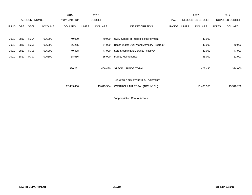|             |            |                       |                | 2015               |              | 2016           |                                           |       |       | 2017                    |              | 2017            |
|-------------|------------|-----------------------|----------------|--------------------|--------------|----------------|-------------------------------------------|-------|-------|-------------------------|--------------|-----------------|
|             |            | <b>ACCOUNT NUMBER</b> |                | <b>EXPENDITURE</b> |              | <b>BUDGET</b>  |                                           | PAY   |       | <b>REQUESTED BUDGET</b> |              | PROPOSED BUDGET |
| <b>FUND</b> | <b>ORG</b> | <b>SBCL</b>           | <b>ACCOUNT</b> | <b>DOLLARS</b>     | <b>UNITS</b> | <b>DOLLARS</b> | LINE DESCRIPTION                          | RANGE | UNITS | <b>DOLLARS</b>          | <b>UNITS</b> | <b>DOLLARS</b>  |
|             |            |                       |                |                    |              |                |                                           |       |       |                         |              |                 |
| 0001        | 3810       | R394                  | 006300         | 40,000             |              | 40,000         | UWM School of Public Health Payment*      |       |       | 40,000                  |              |                 |
| 0001        | 3810       | R395                  | 006300         | 56,265             |              | 74,000         | Beach Water Quality and Advisory Program* |       |       | 40,000                  |              | 40,000          |
| 0001        | 3810       | R396                  | 006300         | 40,408             |              | 47,000         | Safe Sleep/Infant Mortality Initiative*   |       |       | 47,000                  |              | 47,000          |
| 0001        | 3810       | R397                  | 006300         | 68,686             |              | 55,000         | Facility Maintenance*                     |       |       | 55,000                  |              | 62,000          |
|             |            |                       |                |                    |              |                |                                           |       |       |                         |              |                 |
|             |            |                       |                | 330,281            |              | 406,430        | SPECIAL FUNDS TOTAL                       |       |       | 407,430                 |              | 374,000         |
|             |            |                       |                |                    |              |                | <b>HEALTH DEPARTMENT BUDGETARY</b>        |       |       |                         |              |                 |
|             |            |                       |                | 12,483,466         |              | 13,619,554     | CONTROL UNIT TOTAL (1BCU=1DU)             |       |       | 13,483,355              |              | 13,318,230      |
|             |            |                       |                |                    |              |                |                                           |       |       |                         |              |                 |

\*Appropriation Control Account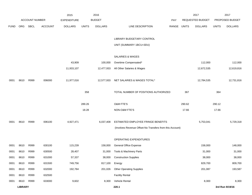|             |                |                       |                | 2015               |              | 2016           |                                                          |       |        | 2017             |              | 2017            |
|-------------|----------------|-----------------------|----------------|--------------------|--------------|----------------|----------------------------------------------------------|-------|--------|------------------|--------------|-----------------|
|             |                | <b>ACCOUNT NUMBER</b> |                | <b>EXPENDITURE</b> |              | <b>BUDGET</b>  |                                                          | PAY   |        | REQUESTED BUDGET |              | PROPOSED BUDGET |
| <b>FUND</b> | ORG            | <b>SBCL</b>           | <b>ACCOUNT</b> | <b>DOLLARS</b>     | <b>UNITS</b> | <b>DOLLARS</b> | LINE DESCRIPTION                                         | RANGE | UNITS  | <b>DOLLARS</b>   | <b>UNITS</b> | <b>DOLLARS</b>  |
|             |                |                       |                |                    |              |                |                                                          |       |        |                  |              |                 |
|             |                |                       |                |                    |              |                | LIBRARY BUDGETARY CONTROL                                |       |        |                  |              |                 |
|             |                |                       |                |                    |              |                | UNIT (SUMMARY 1BCU=3DU)                                  |       |        |                  |              |                 |
|             |                |                       |                |                    |              |                | SALARIES & WAGES                                         |       |        |                  |              |                 |
|             |                |                       |                | 43,909             |              | 100,000        | Overtime Compensated*                                    |       |        | 112,000          |              | 112,000         |
|             |                |                       |                | 11,933,107         |              | 12,477,933     | All Other Salaries & Wages                               |       |        | 12,672,535       |              | 12,619,816      |
|             |                |                       |                |                    |              |                |                                                          |       |        |                  |              |                 |
| 0001        | 8610           | R999                  | 006000         | 11,977,016         |              | 12,577,933     | NET SALARIES & WAGES TOTAL*                              |       |        | 12,784,535       |              | 12,731,816      |
|             |                |                       |                |                    |              |                |                                                          |       |        |                  |              |                 |
|             |                |                       |                |                    | 358          |                | TOTAL NUMBER OF POSITIONS AUTHORIZED                     |       | 367    |                  | 364          |                 |
|             |                |                       |                |                    |              |                |                                                          |       |        |                  |              |                 |
|             |                |                       |                |                    | 289.26       |                | O&M FTE'S                                                |       | 290.62 |                  | 290.12       |                 |
|             |                |                       |                |                    | 18.28        |                | NON-O&M FTE'S                                            |       | 17.66  |                  | 17.66        |                 |
|             |                |                       |                |                    |              |                |                                                          |       |        |                  |              |                 |
| 0001        | 8610           | R999                  | 006100         | 4,927,471          |              | 6,037,408      | ESTIMATED EMPLOYEE FRINGE BENEFITS                       |       |        | 5,753,041        |              | 5,729,318       |
|             |                |                       |                |                    |              |                | (Involves Revenue Offset-No Transfers from this Account) |       |        |                  |              |                 |
|             |                |                       |                |                    |              |                | OPERATING EXPENDITURES                                   |       |        |                  |              |                 |
| 0001        | 8610           | R999                  | 630100         | 115,239            |              | 158,000        | <b>General Office Expense</b>                            |       |        | 158,000          |              | 148,000         |
| 0001        | 8610           | R999                  | 630500         | 28,407             |              | 31,000         | Tools & Machinery Parts                                  |       |        | 31,000           |              | 31,000          |
| 0001        | 8610           | R999                  | 631000         | 57,337             |              | 38,000         | <b>Construction Supplies</b>                             |       |        | 38,000           |              | 38,000          |
| 0001        | 8610           | R999                  | 631500         | 749,756            |              | 817,100        | Energy                                                   |       |        | 829,700          |              | 809,700         |
| 0001        | 8610           | R999                  | 632000         | 192,784            |              | 201,026        | <b>Other Operating Supplies</b>                          |       |        | 201,087          |              | 193,587         |
| 0001        | 8610           | R999                  | 632500         |                    |              |                | <b>Facility Rental</b>                                   |       |        |                  |              |                 |
| 0001        | 8610           | R999                  | 633000         | 9,602              |              | 8,300          | Vehicle Rental                                           |       |        | 8,300            |              | 8,300           |
|             | <b>LIBRARY</b> |                       |                |                    |              |                | 220.1                                                    |       |        |                  |              | 3rd Run 9/19/16 |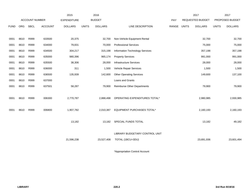|             |      |                |                | 2015               |              | 2016           |                                    |       |              | 2017                    |              | 2017            |
|-------------|------|----------------|----------------|--------------------|--------------|----------------|------------------------------------|-------|--------------|-------------------------|--------------|-----------------|
|             |      | ACCOUNT NUMBER |                | <b>EXPENDITURE</b> |              | <b>BUDGET</b>  |                                    | PAY   |              | <b>REQUESTED BUDGET</b> |              | PROPOSED BUDGET |
| <b>FUND</b> | ORG  | <b>SBCL</b>    | <b>ACCOUNT</b> | <b>DOLLARS</b>     | <b>UNITS</b> | <b>DOLLARS</b> | LINE DESCRIPTION                   | RANGE | <b>UNITS</b> | <b>DOLLARS</b>          | <b>UNITS</b> | <b>DOLLARS</b>  |
|             |      |                |                |                    |              |                |                                    |       |              |                         |              |                 |
| 0001        | 8610 | R999           | 633500         | 20,375             |              | 32,700         | Non-Vehicle Equipment Rental       |       |              | 32,700                  |              | 32,700          |
| 0001        | 8610 | R999           | 634000         | 79,831             |              | 70,000         | <b>Professional Services</b>       |       |              | 75,000                  |              | 75,000          |
| 0001        | 8610 | R999           | 634500         | 304,217            |              | 315,198        | Information Technology Services    |       |              | 357,198                 |              | 357,198         |
| 0001        | 8610 | R999           | 635000         | 980,396            |              | 965,174        | <b>Property Services</b>           |       |              | 991,000                 |              | 991,000         |
| 0001        | 8610 | R999           | 635500         | 38,306             |              | 28,000         | <b>Infrastructure Services</b>     |       |              | 28,000                  |              | 28,000          |
| 0001        | 8610 | R999           | 636000         | 311                |              | 1,500          | Vehicle Repair Services            |       |              | 1,500                   |              | 1,500           |
| 0001        | 8610 | R999           | 636500         | 135,939            |              | 142,600        | <b>Other Operating Services</b>    |       |              | 149,600                 |              | 137,100         |
| 0001        | 8610 | R999           | 637000         |                    |              |                | Loans and Grants                   |       |              |                         |              |                 |
| 0001        | 8610 | R999           | 637501         | 58,287             |              | 79,900         | <b>Reimburse Other Departments</b> |       |              | 79,900                  |              | 79,900          |
|             |      |                |                |                    |              |                |                                    |       |              |                         |              |                 |
| 0001        | 8610 | R999           | 006300         | 2,770,787          |              | 2,888,498      | OPERATING EXPENDITURES TOTAL*      |       |              | 2,980,985               |              | 2,930,985       |
|             |      |                |                |                    |              |                |                                    |       |              |                         |              |                 |
| 0001        | 8610 | R999           | 006800         | 1,907,782          |              | 2,010,387      | EQUIPMENT PURCHASES TOTAL*         |       |              | 2,160,193               |              | 2,160,193       |
|             |      |                |                |                    |              |                |                                    |       |              |                         |              |                 |
|             |      |                |                | 13,182             |              | 13,182         | SPECIAL FUNDS TOTAL                |       |              | 13,182                  |              | 49,182          |
|             |      |                |                |                    |              |                |                                    |       |              |                         |              |                 |
|             |      |                |                |                    |              |                | LIBRARY BUDGETARY CONTROL UNIT     |       |              |                         |              |                 |
|             |      |                |                | 21,596,238         |              | 23,527,408     | TOTAL (1BCU=3DU)                   |       |              | 23,691,936              |              | 23,601,494      |
|             |      |                |                |                    |              |                |                                    |       |              |                         |              |                 |

\*Appropriation Control Account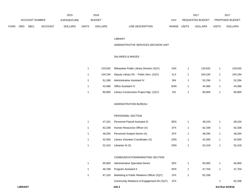|      |                |      |                    | 2015           |               | 2016           |                           | 2017                           |                        | 201            |
|------|----------------|------|--------------------|----------------|---------------|----------------|---------------------------|--------------------------------|------------------------|----------------|
|      | ACCOUNT NUMBER |      | <b>EXPENDITURE</b> |                | <b>BUDGET</b> | PAY            | REQUESTED BUDGET          |                                | <b>PROPOSED BUDGET</b> |                |
| FUND | <b>ORG</b>     | SBCL | <b>ACCOUNT</b>     | <b>DOLLARS</b> | UNITS         | <b>DOLLARS</b> | RANGE<br>LINE DESCRIPTION | <b>UNITS</b><br><b>DOLLARS</b> | <b>UNITS</b>           | <b>DOLLARS</b> |

#### LIBRARY

#### ADMINISTRATIVE SERVICES DECISION UNIT

## SALARIES & WAGES

| 133.632 | Milwaukee Public Library Director (X)(Y)  | 1NX | 133.632 | 133,632 |
|---------|-------------------------------------------|-----|---------|---------|
| 104.194 | Deputy Library Dir. - Public Serv. (X)(Y) | 1LX | 104.194 | 104,194 |
| 51.268  | Administrative Assistant IV               | 5IN | 52.294  | 52,294  |
| 43.496  | <b>Office Assistant IV</b>                | 6HN | 44.366  | 44,366  |
| 80.800  | Library Construction Project Mgr. (X)(Y)  | 21X | 80.800  | 80,800  |

#### ADMINISTRATION BUREAU

### PERSONNEL SECTION

| 47.161 | Personnel Payroll Assistant III   | 5EN | 48.104 | 48,104 |
|--------|-----------------------------------|-----|--------|--------|
| 62.338 | Human Resources Officer (X)       | 1FX | 62.338 | 62,338 |
| 48.294 | Personnel Analyst-Senior (X)      | 2FX | 48.294 | 48,294 |
| 42.500 | Library Volunteer Coordinator (X) | 2DN | 42.500 | 42,500 |
| 52,419 | Librarian III (X)                 | 2DN | 52.419 | 52,419 |

#### COMMUNICATION/MARKETING SECTION

| 65.900 | Administrative Specialist-Senior              | 2EX | 65.900 | 65.900 |
|--------|-----------------------------------------------|-----|--------|--------|
| 46.768 | Program Assistant II                          | 5FN | 47.704 | 47.704 |
| 67.103 | Marketing & Public Relations Officer (X)(Y)   | 1FX | 62.338 |        |
|        | Community Relations & Engagement Dir. (X) (Y) | 1FX |        | 62.338 |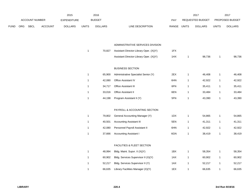|             |     |                |                | 2015               |              | 2016           |                                         |       |              | 2017             |              | 2017            |
|-------------|-----|----------------|----------------|--------------------|--------------|----------------|-----------------------------------------|-------|--------------|------------------|--------------|-----------------|
|             |     | ACCOUNT NUMBER |                | <b>EXPENDITURE</b> |              | <b>BUDGET</b>  |                                         | PAY   |              | REQUESTED BUDGET |              | PROPOSED BUDGET |
| <b>FUND</b> | ORG | SBCL           | <b>ACCOUNT</b> | <b>DOLLARS</b>     | <b>UNITS</b> | <b>DOLLARS</b> | LINE DESCRIPTION                        | RANGE | <b>UNITS</b> | <b>DOLLARS</b>   | <b>UNITS</b> | <b>DOLLARS</b>  |
|             |     |                |                |                    |              |                |                                         |       |              |                  |              |                 |
|             |     |                |                |                    |              |                | ADMINISTRATIVE SERVICES DIVISION        |       |              |                  |              |                 |
|             |     |                |                |                    | $\mathbf{1}$ | 70,827         | Assistant Director-Library Oper. (X)(Y) | 1FX   |              |                  |              |                 |
|             |     |                |                |                    |              |                | Assistant Director-Library Oper. (X)(Y) | 1HX   | $\mathbf{1}$ | 98,736           | $\mathbf{1}$ | 98,736          |
|             |     |                |                |                    |              |                |                                         |       |              |                  |              |                 |
|             |     |                |                |                    |              |                | <b>BUSINESS SECTION</b>                 |       |              |                  |              |                 |
|             |     |                |                |                    | $\mathbf{1}$ | 65,900         | Administrative Specialist Senior (Y)    | 2EX   | $\mathbf{1}$ | 46,408           | $\mathbf{1}$ | 46,408          |
|             |     |                |                |                    | $\mathbf{1}$ | 42,080         | Office Assistant IV                     | 6HN   | $\mathbf{1}$ | 42,922           | $\mathbf{1}$ | 42,922          |
|             |     |                |                |                    | $\mathbf{1}$ | 34,717         | Office Assistant III                    | 6FN   | $\mathbf{1}$ | 35,411           | $\mathbf{1}$ | 35,411          |
|             |     |                |                |                    | $\mathbf{1}$ | 33,016         | Office Assistant II                     | 6EN   | $\mathbf{1}$ | 33,484           | $\mathbf{1}$ | 33,484          |
|             |     |                |                |                    | $\mathbf{1}$ | 44,198         | Program Assistant II (Y)                | 5FN   | $\mathbf{1}$ | 43,390           | $\mathbf{1}$ | 43,390          |
|             |     |                |                |                    |              |                | PAYROLL & ACCOUNTING SECTION            |       |              |                  |              |                 |
|             |     |                |                |                    | $\mathbf{1}$ | 79,802         | General Accounting Manager (Y)          | 1DX   | $\mathbf{1}$ | 54,865           | $\mathbf{1}$ | 54,865          |
|             |     |                |                |                    | $\mathbf{1}$ | 40,501         | <b>Accounting Assistant III</b>         | 5EN   | $\mathbf{1}$ | 41,311           | $\mathbf{1}$ | 41,311          |
|             |     |                |                |                    | $\mathbf{1}$ | 42,080         | Personnel Payroll Assistant II          | 6HN   | $\mathbf{1}$ | 42,922           | $\mathbf{1}$ | 42,922          |
|             |     |                |                |                    | $\mathbf{1}$ | 37,666         | <b>Accounting Assistant I</b>           | 6GN   | $\mathbf{1}$ | 38,419           | $\mathbf{1}$ | 38,419          |
|             |     |                |                |                    |              |                |                                         |       |              |                  |              |                 |
|             |     |                |                |                    |              |                | <b>FACILITIES &amp; FLEET SECTION</b>   |       |              |                  |              |                 |
|             |     |                |                |                    | $\mathbf{1}$ | 48,994         | Bldg. Maint. Supvr. II (X)(Y)           | 1BX   | $\mathbf{1}$ | 58,354           | $\mathbf{1}$ | 58,354          |
|             |     |                |                |                    | $\mathbf{1}$ | 60,902         | Bldg. Services Supervisor II (X)(Y)     | 1AX   | $\mathbf{1}$ | 60,902           | $\mathbf{1}$ | 60,902          |
|             |     |                |                |                    | $\mathbf{1}$ | 52,217         | Bldg. Services Supervisor II (Y)        | 1AX   | $\mathbf{1}$ | 52,217           | $\mathbf{1}$ | 52,217          |
|             |     |                |                |                    | $\mathbf{1}$ | 66,635         | Library Facilities Manager (X)(Y)       | 1EX   | $\mathbf{1}$ | 66,635           | $\mathbf{1}$ | 66,635          |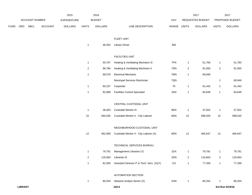|             |                |                |                | 2015               |                         | 2016           |                                            |       |                         | 2017             |                | 2017            |
|-------------|----------------|----------------|----------------|--------------------|-------------------------|----------------|--------------------------------------------|-------|-------------------------|------------------|----------------|-----------------|
|             |                | ACCOUNT NUMBER |                | <b>EXPENDITURE</b> |                         | <b>BUDGET</b>  |                                            | PAY   |                         | REQUESTED BUDGET |                | PROPOSED BUDGET |
| <b>FUND</b> | ORG            | SBCL           | <b>ACCOUNT</b> | <b>DOLLARS</b>     | <b>UNITS</b>            | <b>DOLLARS</b> | LINE DESCRIPTION                           | RANGE | <b>UNITS</b>            | <b>DOLLARS</b>   | <b>UNITS</b>   | <b>DOLLARS</b>  |
|             |                |                |                |                    |                         |                | FLEET UNIT                                 |       |                         |                  |                |                 |
|             |                |                |                |                    | $\mathbf{1}$            | 48,353         | <b>Library Driver</b>                      | 8IN   |                         |                  |                |                 |
|             |                |                |                |                    |                         |                | <b>FACILITIES UNIT</b>                     |       |                         |                  |                |                 |
|             |                |                |                |                    | $\mathbf{1}$            | 50,767         | Heating & Ventilating Mechanic III         | 7FN   | $\mathbf{1}$            | 51,783           | $\mathbf{1}$   | 51,783          |
|             |                |                |                |                    | $\overline{\mathbf{c}}$ | 96,766         | Heating & Ventilating Mechanic II          | 7DN   | $\overline{2}$          | 91,050           | $\overline{a}$ | 91,050          |
|             |                |                |                |                    | $\mathbf 1$             | 68,578         | <b>Electrical Mechanic</b>                 | 7MN   | $\mathbf{1}$            | 69,949           |                |                 |
|             |                |                |                |                    |                         |                | Municipal Services Electrician             | 7QN   |                         |                  | $\mathbf{1}$   | 69,949          |
|             |                |                |                |                    | $\mathbf{1}$            | 60,237         | Carpenter                                  | 7K    | $\mathbf{1}$            | 61,442           | 1              | 61,442          |
|             |                |                |                |                    | $\mathbf 1$             | 82,989         | <b>Facilities Control Specialist</b>       | 3SN   | $\mathbf{1}$            | 84,649           | $\mathbf{1}$   | 84,649          |
|             |                |                |                |                    |                         |                | CENTRAL CUSTODIAL UNIT                     |       |                         |                  |                |                 |
|             |                |                |                |                    | $\mathbf{1}$            | 38,303         | Custodial Worker III                       | 8EN   | $\overline{1}$          | 37,502           | $\mathbf{1}$   | 37,502          |
|             |                |                |                |                    | 15                      | 565,635        | Custodial Worker II - City Laborer         | 8DN   | 15                      | 588,020          | 15             | 588,020         |
|             |                |                |                |                    |                         |                | NEIGHBORHOOD CUSTODIAL UNIT                |       |                         |                  |                |                 |
|             |                |                |                |                    | 12                      | 462,909        | Custodial Worker II - City Laborer (X)     | 8DN   | 12                      | 465,647          | 12             | 465,647         |
|             |                |                |                |                    |                         |                | TECHNICAL SERVICES BUREAU                  |       |                         |                  |                |                 |
|             |                |                |                |                    | $\mathbf{1}$            | 79,791         | Management Librarian (Y)                   | 1DX   | $\mathbf{1}$            | 79,791           | 1              | 79,791          |
|             |                |                |                |                    | $\overline{\mathbf{c}}$ | 116,663        | Librarian III                              | 2DN   | $\overline{\mathbf{c}}$ | 116,663          | $\overline{a}$ | 116,663         |
|             |                |                |                |                    | $\mathbf 1$             | 81,000         | Assistant Director-IT & Tech. Serv. (X)(Y) | $11X$ | $\mathbf{1}$            | 77,269           | $\mathbf{1}$   | 77,269          |
|             |                |                |                |                    |                         |                | <b>AUTOMATION SECTION</b>                  |       |                         |                  |                |                 |
|             |                |                |                |                    | $\mathbf{1}$            | 80,254         | Network Analyst Senior (X)                 | 2HN   | $\mathbf{1}$            | 80,254           | -1             | 80,254          |
|             | <b>LIBRARY</b> |                |                |                    |                         |                | 220.5                                      |       |                         |                  |                | 3rd Run 9/19/16 |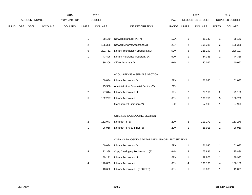|             |     |                |                | 2015               |                | 2016           |                                               |             |                         | 2017             |                         | 2017            |
|-------------|-----|----------------|----------------|--------------------|----------------|----------------|-----------------------------------------------|-------------|-------------------------|------------------|-------------------------|-----------------|
|             |     | ACCOUNT NUMBER |                | <b>EXPENDITURE</b> |                | <b>BUDGET</b>  |                                               | PAY         |                         | REQUESTED BUDGET |                         | PROPOSED BUDGET |
| <b>FUND</b> | ORG | <b>SBCL</b>    | <b>ACCOUNT</b> | <b>DOLLARS</b>     | <b>UNITS</b>   | <b>DOLLARS</b> | LINE DESCRIPTION                              | RANGE UNITS |                         | <b>DOLLARS</b>   | <b>UNITS</b>            | <b>DOLLARS</b>  |
|             |     |                |                |                    |                |                |                                               |             |                         |                  |                         |                 |
|             |     |                |                |                    | $\mathbf{1}$   | 88,149         | Network Manager (X)(Y)                        | 1GX         | $\mathbf{1}$            | 88,149           | $\mathbf{1}$            | 88,149          |
|             |     |                |                |                    | $\overline{c}$ | 105,388        | Network Analyst Assistant (X)                 | 2EN         | $\overline{2}$          | 105,388          | $\sqrt{2}$              | 105,388         |
|             |     |                |                |                    | 6              | 221,761        | Library Technology Specialist (X)             | 5DN         | $\,6\,$                 | 226,197          | $\,6$                   | 226,197         |
|             |     |                |                |                    | $\mathbf{1}$   | 43,496         | Library Reference Assistant (X)               | 5DN         | $\mathbf{1}$            | 44,366           | $\mathbf{1}$            | 44,366          |
|             |     |                |                |                    | $\mathbf{1}$   | 39,306         | Office Assistant IV                           | 6HN         | $\mathbf{1}$            | 40,092           | $\mathbf{1}$            | 40,092          |
|             |     |                |                |                    |                |                |                                               |             |                         |                  |                         |                 |
|             |     |                |                |                    |                |                | ACQUISITIONS & SERIALS SECTION                |             |                         |                  |                         |                 |
|             |     |                |                |                    | $\mathbf{1}$   | 50,034         | Library Technician IV                         | 5FN         | $\mathbf{1}$            | 51,035           | 1                       | 51,035          |
|             |     |                |                |                    | $\mathbf{1}$   | 45,306         | Administrative Specialist Senior (Y)          | 2EX         |                         |                  |                         |                 |
|             |     |                |                |                    | $\overline{a}$ | 77,614         | Library Technician III                        | 6FN         | $\sqrt{2}$              | 79,166           | $\sqrt{2}$              | 79,166          |
|             |     |                |                |                    | $\mathbf 5$    | 182,297        | Library Technician II                         | 6EN         | $\,$ 5 $\,$             | 186,756          | 5                       | 186,756         |
|             |     |                |                |                    |                |                | Management Librarian (Y)                      | 1DX         | $\mathbf{1}$            | 57,990           | $\mathbf{1}$            | 57,990          |
|             |     |                |                |                    |                |                |                                               |             |                         |                  |                         |                 |
|             |     |                |                |                    |                |                | ORIGINAL CATALOGING SECTION                   |             |                         |                  |                         |                 |
|             |     |                |                |                    | $\overline{c}$ | 112,043        | Librarian III (B)                             | 2DN         | $\sqrt{2}$              | 113,279          | $\sqrt{2}$              | 113,279         |
|             |     |                |                |                    | $\mathbf{1}$   | 26,916         | Librarian III (0.50 FTE) (B)                  | 2DN         | $\mathbf{1}$            | 26,916           | $\mathbf{1}$            | 26,916          |
|             |     |                |                |                    |                |                |                                               |             |                         |                  |                         |                 |
|             |     |                |                |                    |                |                | COPY CATALOGING & DATABASE MANAGEMENT SECTION |             |                         |                  |                         |                 |
|             |     |                |                |                    | $\mathbf{1}$   | 50,034         | Library Technician IV                         | 5FN         | $\mathbf{1}$            | 51,035           | $\mathbf{1}$            | 51,035          |
|             |     |                |                |                    | 4              | 172,388        | Copy Cataloging Technician II (B)             | 6HN         | $\overline{\mathbf{4}}$ | 175,836          | 4                       | 175,836         |
|             |     |                |                |                    | $\mathbf{1}$   | 39,191         | Library Technician III                        | 6FN         | $\mathbf{1}$            | 39,973           | $\mathbf{1}$            | 39,973          |
|             |     |                |                |                    | 4              | 140,889        | Library Technician II                         | 6EN         | 4                       | 136,166          | $\overline{\mathbf{4}}$ | 136,166         |
|             |     |                |                |                    | $\mathbf{1}$   | 18,662         | Library Technician II (0.50 FTE)              | 6EN         | $\mathbf{1}$            | 19,035           | $\mathbf{1}$            | 19,035          |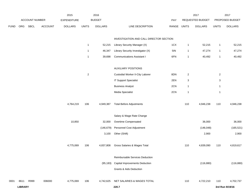|             |                |                |                | 2015               |                | 2016           |                                         |       |                           | 2017             |                | 2017            |
|-------------|----------------|----------------|----------------|--------------------|----------------|----------------|-----------------------------------------|-------|---------------------------|------------------|----------------|-----------------|
|             |                | ACCOUNT NUMBER |                | <b>EXPENDITURE</b> |                | <b>BUDGET</b>  |                                         | PAY   |                           | REQUESTED BUDGET |                | PROPOSED BUDGET |
| <b>FUND</b> | ORG            | <b>SBCL</b>    | <b>ACCOUNT</b> | <b>DOLLARS</b>     | <b>UNITS</b>   | <b>DOLLARS</b> | LINE DESCRIPTION                        | RANGE | <b>UNITS</b>              | <b>DOLLARS</b>   | <b>UNITS</b>   | <b>DOLLARS</b>  |
|             |                |                |                |                    |                |                | INVESTIGATION AND CALL DIRECTOR SECTION |       |                           |                  |                |                 |
|             |                |                |                |                    | $\mathbf{1}$   | 52,215         | Library Security Manager (X)            | 1CX   | $\mathbf{1}$              | 52,215           | $\mathbf{1}$   | 52,215          |
|             |                |                |                |                    | $\mathbf{1}$   | 46,347         | Library Security Investigator (X)       | 5IN   | $\mathbf{1}$              | 47,274           | $\mathbf{1}$   | 47,274          |
|             |                |                |                |                    | $\mathbf{1}$   | 39,698         | <b>Communications Assistant I</b>       | 6FN   | $\mathbf{1}$              | 40,492           | $\mathbf{1}$   | 40,492          |
|             |                |                |                |                    |                |                | <b>AUXILIARY POSITIONS</b>              |       |                           |                  |                |                 |
|             |                |                |                |                    | $\overline{c}$ |                | Custodial Worker II-City Laborer        | 8DN   | $\overline{\mathbf{c}}$   |                  | $\overline{2}$ |                 |
|             |                |                |                |                    |                |                | <b>IT Support Specialist</b>            | 2EN   | $\ensuremath{\mathsf{3}}$ |                  | $\sqrt{3}$     |                 |
|             |                |                |                |                    |                |                | <b>Business Analyst</b>                 | 2CN   | $\mathbf{1}$              |                  | $\mathbf{1}$   |                 |
|             |                |                |                |                    |                |                | Media Specialist                        | 2CN   | $\mathbf{1}$              |                  | $\mathbf{1}$   |                 |
|             |                |                |                | 4,764,219          | 106            | 4,949,387      | <b>Total Before Adjustments</b>         |       | 110                       | 4,946,238        | 110            | 4,946,238       |
|             |                |                |                |                    |                |                | Salary & Wage Rate Change               |       |                           |                  |                |                 |
|             |                |                |                | 10,850             |                | 32,000         | Overtime Compensated                    |       |                           | 36,000           |                | 36,000          |
|             |                |                |                |                    |                | (146, 679)     | Personnel Cost Adjustment               |       |                           | (146, 048)       |                | (165, 521)      |
|             |                |                |                |                    |                | 3,100          | Other (Shift)                           |       |                           | 2,900            |                | 2,900           |
|             |                |                |                | 4,775,069          | 106            | 4,837,808      | Gross Salaries & Wages Total            |       | 110                       | 4,839,090        | 110            | 4,819,617       |
|             |                |                |                |                    |                |                | Reimbursable Services Deduction         |       |                           |                  |                |                 |
|             |                |                |                |                    |                |                | (95,183) Capital Improvements Deduction |       |                           | (116, 880)       |                | (116, 880)      |
|             |                |                |                |                    |                |                | Grants & Aids Deduction                 |       |                           |                  |                |                 |
| 0001        | 8611           | R999           | 006000         | 4,775,069          | 106            | 4,742,625      | NET SALARIES & WAGES TOTAL              |       | 110                       | 4,722,210        | 110            | 4,702,737       |
|             | <b>LIBRARY</b> |                |                |                    |                |                | 220.7                                   |       |                           |                  |                | 3rd Run 9/19/16 |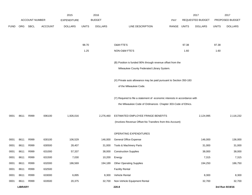|             |                |                       |                | 2015               |              | 2016           |                                                                           |       |              | 2017             |              | 2017            |
|-------------|----------------|-----------------------|----------------|--------------------|--------------|----------------|---------------------------------------------------------------------------|-------|--------------|------------------|--------------|-----------------|
|             |                | <b>ACCOUNT NUMBER</b> |                | <b>EXPENDITURE</b> |              | <b>BUDGET</b>  |                                                                           | PAY   |              | REQUESTED BUDGET |              | PROPOSED BUDGET |
| <b>FUND</b> | ORG            | <b>SBCL</b>           | <b>ACCOUNT</b> | <b>DOLLARS</b>     | <b>UNITS</b> | <b>DOLLARS</b> | LINE DESCRIPTION                                                          | RANGE | <b>UNITS</b> | <b>DOLLARS</b>   | <b>UNITS</b> | <b>DOLLARS</b>  |
|             |                |                       |                |                    |              |                |                                                                           |       |              |                  |              |                 |
|             |                |                       |                |                    |              |                |                                                                           |       |              |                  |              |                 |
|             |                |                       |                |                    | 98.70        |                | O&M FTE'S                                                                 |       | 97.38        |                  | 97.38        |                 |
|             |                |                       |                |                    | 1.25         |                | NON-O&M FTE'S                                                             |       | 1.60         |                  | 1.60         |                 |
|             |                |                       |                |                    |              |                |                                                                           |       |              |                  |              |                 |
|             |                |                       |                |                    |              |                | (B) Position is funded 90% through revenue offset from the                |       |              |                  |              |                 |
|             |                |                       |                |                    |              |                | Milwaukee County Federated Library System.                                |       |              |                  |              |                 |
|             |                |                       |                |                    |              |                | (X) Private auto allowance may be paid pursuant to Section 350-183        |       |              |                  |              |                 |
|             |                |                       |                |                    |              |                | of the Milwaukee Code.                                                    |       |              |                  |              |                 |
|             |                |                       |                |                    |              |                |                                                                           |       |              |                  |              |                 |
|             |                |                       |                |                    |              |                | (Y) Required to file a statement of economic interests in accordance with |       |              |                  |              |                 |
|             |                |                       |                |                    |              |                | the Milwaukee Code of Ordinances Chapter 303-Code of Ethics.              |       |              |                  |              |                 |
|             |                |                       |                |                    |              |                |                                                                           |       |              |                  |              |                 |
| 0001        | 8611           | R999                  | 006100         | 1,926,016          |              | 2,276,460      | ESTIMATED EMPLOYEE FRINGE BENEFITS                                        |       |              | 2,124,995        |              | 2,116,232       |
|             |                |                       |                |                    |              |                | (Involves Revenue Offset-No Transfers from this Account)                  |       |              |                  |              |                 |
|             |                |                       |                |                    |              |                | OPERATING EXPENDITURES                                                    |       |              |                  |              |                 |
| 0001        | 8611           | R999                  | 630100         | 106,529            |              | 146,000        | <b>General Office Expense</b>                                             |       |              | 146,000          |              | 136,000         |
| 0001        | 8611           | R999                  | 630500         | 28,407             |              | 31,000         | Tools & Machinery Parts                                                   |       |              | 31,000           |              | 31,000          |
| 0001        | 8611           | R999                  | 631000         | 57,337             |              | 38,000         | <b>Construction Supplies</b>                                              |       |              | 38,000           |              | 38,000          |
| 0001        | 8611           | R999                  | 631500         | 7,030              |              | 10,200         | Energy                                                                    |       |              | 7,315            |              | 7,315           |
| 0001        | 8611           | R999                  | 632000         | 186,569            |              | 194,189        | <b>Other Operating Supplies</b>                                           |       |              | 194,250          |              | 186,750         |
| 0001        | 8611           | R999                  | 632500         |                    |              |                | <b>Facility Rental</b>                                                    |       |              |                  |              |                 |
| 0001        | 8611           | R999                  | 633000         | 6,895              |              | 8,300          | Vehicle Rental                                                            |       |              | 8,300            |              | 8,300           |
| 0001        | 8611           | R999                  | 633500         | 20,375             |              | 32,700         | Non-Vehicle Equipment Rental                                              |       |              | 32,700           |              | 32,700          |
|             | <b>LIBRARY</b> |                       |                |                    |              |                | 220.8                                                                     |       |              |                  |              | 3rd Run 9/19/16 |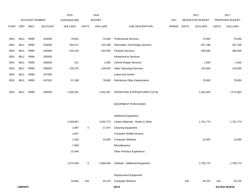|             |                |                       |                | 2015               |                 | 2016           |                                    |       |              | 2017             |              | 2017            |
|-------------|----------------|-----------------------|----------------|--------------------|-----------------|----------------|------------------------------------|-------|--------------|------------------|--------------|-----------------|
|             |                | <b>ACCOUNT NUMBER</b> |                | <b>EXPENDITURE</b> |                 | <b>BUDGET</b>  |                                    | PAY   |              | REQUESTED BUDGET |              | PROPOSED BUDGET |
| <b>FUND</b> | ORG            | <b>SBCL</b>           | <b>ACCOUNT</b> | <b>DOLLARS</b>     | <b>UNITS</b>    | <b>DOLLARS</b> | LINE DESCRIPTION                   | RANGE | <b>UNITS</b> | <b>DOLLARS</b>   | <b>UNITS</b> | <b>DOLLARS</b>  |
|             |                |                       |                |                    |                 |                |                                    |       |              |                  |              |                 |
| 0001        | 8611           | R999                  | 634000         | 79,831             |                 | 70,000         | <b>Professional Services</b>       |       |              | 75,000           |              | 75,000          |
| 0001        | 8611           | R999                  | 634500         | 304,217            |                 | 315,198        | Information Technology Services    |       |              | 357,198          |              | 357,198         |
| 0001        | 8611           | R999                  | 635000         | 510,104            |                 | 440,500        | <b>Property Services</b>           |       |              | 489,500          |              | 489,500         |
| 0001        | 8611           | R999                  | 635500         |                    |                 |                | <b>Infrastructure Services</b>     |       |              |                  |              |                 |
| 0001        | 8611           | R999                  | 636000         | 311                |                 | 1,500          | Vehicle Repair Services            |       |              | 1,500            |              | 1,500           |
| 0001        | 8611           | R999                  | 636500         | 130,370            |                 | 136,000        | <b>Other Operating Services</b>    |       |              | 143,000          |              | 130,500         |
| 0001        | 8611           | R999                  | 637000         |                    |                 |                | Loans and Grants                   |       |              |                  |              |                 |
| 0001        | 8611           | R999                  | 637501         | 57,286             |                 | 78,900         | <b>Reimburse Other Departments</b> |       |              | 78,900           |              | 78,900          |
|             |                |                       |                |                    |                 |                |                                    |       |              |                  |              |                 |
| 0001        | 8611           | R999                  | 006300         | 1,495,261          |                 | 1,502,487      | OPERATING EXPENDITURES TOTAL       |       |              | 1,602,663        |              | 1,572,663       |
|             |                |                       |                |                    |                 |                |                                    |       |              |                  |              |                 |
|             |                |                       |                |                    |                 |                | <b>EQUIPMENT PURCHASES</b>         |       |              |                  |              |                 |
|             |                |                       |                |                    |                 |                |                                    |       |              |                  |              |                 |
|             |                |                       |                |                    |                 |                | <b>Additional Equipment</b>        |       |              |                  |              |                 |
|             |                |                       |                | 1,549,861          |                 | 1,653,774      | Library Materials - Books & Other  |       |              | 1,751,774        |              | 1,751,774       |
|             |                |                       |                | 2,997              | 5               | 17,874         | <b>Cleaning Equipment</b>          |       |              |                  |              |                 |
|             |                |                       |                | 1,847              |                 |                | <b>Computer Mobile Devices</b>     |       |              |                  |              |                 |
|             |                |                       |                | 1,402              |                 | 15,000         | <b>Computer Software</b>           |       |              | 15,000           |              | 15,000          |
|             |                |                       |                | 7,993              |                 |                | Miscellaneous                      |       |              |                  |              |                 |
|             |                |                       |                | 10,446             |                 |                | Other Previous Experience          |       |              |                  |              |                 |
|             |                |                       |                |                    |                 |                |                                    |       |              |                  |              |                 |
|             |                |                       |                | 1,574,546          | $5\phantom{.0}$ | 1,686,648      | Subtotal - Additional Equipment    |       |              | 1,766,774        |              | 1,766,774       |
|             |                |                       |                |                    |                 |                |                                    |       |              |                  |              |                 |
|             |                |                       |                |                    |                 |                | <b>Replacement Equipment</b>       |       |              |                  |              |                 |
|             |                |                       |                | 10,883             | 145             | 25,375         | <b>Computer Monitors</b>           |       | 145          | 25,375           | 145          | 25,375          |
|             | <b>LIBRARY</b> |                       |                |                    |                 |                | 220.9                              |       |              |                  |              | 3rd Run 9/19/16 |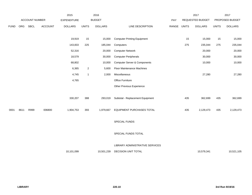|             |      |                |                | 2015               |                | 2016           |                                         |       |              | 2017                    |              | 2017            |
|-------------|------|----------------|----------------|--------------------|----------------|----------------|-----------------------------------------|-------|--------------|-------------------------|--------------|-----------------|
|             |      | ACCOUNT NUMBER |                | <b>EXPENDITURE</b> |                | <b>BUDGET</b>  |                                         | PAY   |              | <b>REQUESTED BUDGET</b> |              | PROPOSED BUDGET |
| <b>FUND</b> | ORG  | SBCL           | <b>ACCOUNT</b> | <b>DOLLARS</b>     | <b>UNITS</b>   | <b>DOLLARS</b> | LINE DESCRIPTION                        | RANGE | <b>UNITS</b> | <b>DOLLARS</b>          | <b>UNITS</b> | <b>DOLLARS</b>  |
|             |      |                |                |                    |                |                |                                         |       |              |                         |              |                 |
|             |      |                |                | 19,919             | 15             | 15,000         | <b>Computer Printing Equipment</b>      |       | 15           | 15,000                  | 15           | 15,000          |
|             |      |                |                | 143,833            | 225            | 185,044        | Computers                               |       | 275          | 235,044                 | 275          | 235,044         |
|             |      |                |                | 52,316             |                | 20,000         | <b>Computer Network</b>                 |       |              | 20,000                  |              | 20,000          |
|             |      |                |                | 18,579             |                | 30,000         | <b>Computer Peripherals</b>             |       |              | 30,000                  |              | 30,000          |
|             |      |                |                | 68,802             |                | 10,000         | <b>Computer Server &amp; Components</b> |       |              | 10,000                  |              | 10,000          |
|             |      |                |                | 6,365              | $\overline{2}$ | 5,600          | Floor Maintenance Machines              |       |              |                         |              |                 |
|             |      |                |                | 4,745              | $\overline{1}$ | 2,000          | Miscellaneous                           |       |              | 27,280                  |              | 27,280          |
|             |      |                |                | 4,765              |                |                | Office Furniture                        |       |              |                         |              |                 |
|             |      |                |                |                    |                |                | Other Previous Experience               |       |              |                         |              |                 |
|             |      |                |                |                    |                |                |                                         |       |              |                         |              |                 |
|             |      |                |                | 330,207            | 388            | 293,019        | Subtotal - Replacement Equipment        |       | 435          | 362,699                 | 435          | 362,699         |
|             |      |                |                |                    |                |                |                                         |       |              |                         |              |                 |
| 0001        | 8611 | R999           | 006800         | 1,904,753          | 393            | 1,979,667      | EQUIPMENT PURCHASES TOTAL               |       | 435          | 2,129,473               | 435          | 2,129,473       |
|             |      |                |                |                    |                |                |                                         |       |              |                         |              |                 |
|             |      |                |                |                    |                |                | SPECIAL FUNDS                           |       |              |                         |              |                 |
|             |      |                |                |                    |                |                |                                         |       |              |                         |              |                 |
|             |      |                |                |                    |                |                | SPECIAL FUNDS TOTAL                     |       |              |                         |              |                 |
|             |      |                |                |                    |                |                |                                         |       |              |                         |              |                 |
|             |      |                |                |                    |                |                | LIBRARY ADMINISTRATIVE SERVICES         |       |              |                         |              |                 |
|             |      |                |                | 10,101,099         |                | 10,501,239     | DECISION UNIT TOTAL                     |       |              | 10,579,341              |              | 10,521,105      |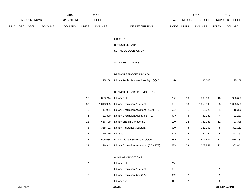|             |            |                       |                | 2015               |       | 2016           |                                  | $201^-$                        |              | 2017                   |
|-------------|------------|-----------------------|----------------|--------------------|-------|----------------|----------------------------------|--------------------------------|--------------|------------------------|
|             |            | <b>ACCOUNT NUMBER</b> |                | <b>EXPENDITURE</b> |       | <b>BUDGET</b>  | PAY                              | REQUESTED BUDGET               |              | <b>PROPOSED BUDGET</b> |
| <b>FUND</b> | <b>ORG</b> | <b>SBCL</b>           | <b>ACCOUNT</b> | <b>DOLLARS</b>     | UNITS | <b>DOLLARS</b> | LINE DESCRIPTION<br><b>RANGE</b> | <b>UNITS</b><br><b>DOLLARS</b> | <b>UNITS</b> | <b>DOLLARS</b>         |

#### LIBRARY

#### BRANCH LIBRARY

# SERVICES DECISION UNIT

#### SALARIES & WAGES

#### BRANCH SERVICES DIVISION

| 95.208 | Library Public Services Area Mgr. (X)(Y) | 1HX | 95.208 | 95,208 |
|--------|------------------------------------------|-----|--------|--------|
|        |                                          |     |        |        |

# BRANCH LIBRARY SERVICES POOL

| 18 | 883.744   | Librarian III                              | 2DN | 18 | 938.688   | 18 | 938,688   |
|----|-----------|--------------------------------------------|-----|----|-----------|----|-----------|
| 33 | 1.043.925 | Library Circulation Assistant I            | 6EN | 33 | 1.053.598 | 33 | 1,053,598 |
| 1  | 17.961    | Library Circulation Assistant I (0.50 FTE) | 6EN |    | 18.320    |    | 18,320    |
| 4  | 31.800    | Library Circulation Aide (0.56 FTE)        | 9CN | 4  | 32,280    | 4  | 32,280    |
| 12 | 666.739   | Library Branch Manager (X)                 | 1DX | 12 | 733,388   | 12 | 733,388   |
| 8  | 318.721   | Library Reference Assistant                | 5DN | 8  | 322,162   | 8  | 322,162   |
| 5  | 219.179   | Librarian II                               | 2CN | 5  | 222.762   | 5  | 222,762   |
| 12 | 505.536   | <b>Branch Library Services Assistant</b>   | 5EN | 12 | 514.837   | 12 | 514,837   |
| 23 | 296.942   | Library Circulation Assistant I (0.53 FTE) | 6EN | 23 | 302.841   | 23 | 302,841   |

#### AUXILIARY POSITIONS

| 2 | Librarian III                       | 2DN |  |
|---|-------------------------------------|-----|--|
|   | Library Circulation Assistant I     | 6EN |  |
| 2 | Library Circulation Aide (0.56 FTE) | 9CN |  |
|   | Librarian V                         | 1FX |  |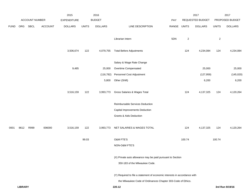|             |                |                |                | 2015               |              | 2016           |                                                                           |       |              | 2017             |              | 2017            |
|-------------|----------------|----------------|----------------|--------------------|--------------|----------------|---------------------------------------------------------------------------|-------|--------------|------------------|--------------|-----------------|
|             |                | ACCOUNT NUMBER |                | <b>EXPENDITURE</b> |              | <b>BUDGET</b>  |                                                                           | PAY   |              | REQUESTED BUDGET |              | PROPOSED BUDGET |
| <b>FUND</b> | ORG            | SBCL           | <b>ACCOUNT</b> | <b>DOLLARS</b>     | <b>UNITS</b> | <b>DOLLARS</b> | LINE DESCRIPTION                                                          | RANGE | <b>UNITS</b> | <b>DOLLARS</b>   | <b>UNITS</b> | <b>DOLLARS</b>  |
|             |                |                |                |                    |              |                | Librarian Intern                                                          | 5DN   | $\sqrt{2}$   |                  | $\sqrt{2}$   |                 |
|             |                |                |                | 3,506,674          | 122          | 4,079,755      | <b>Total Before Adjustments</b>                                           |       | 124          | 4,234,084        | 124          | 4,234,084       |
|             |                |                |                |                    |              |                | Salary & Wage Rate Change                                                 |       |              |                  |              |                 |
|             |                |                |                | 9,485              |              | 25,000         | Overtime Compensated                                                      |       |              | 25,000           |              | 25,000          |
|             |                |                |                |                    |              | (116, 782)     | Personnel Cost Adjustment                                                 |       |              | (127, 959)       |              | (145, 020)      |
|             |                |                |                |                    |              | 5,800          | Other (Shift)                                                             |       |              | 6,200            |              | 6,200           |
|             |                |                |                | 3,516,159          | 122          | 3,993,773      | Gross Salaries & Wages Total                                              |       | 124          | 4,137,325        | 124          | 4,120,264       |
|             |                |                |                |                    |              |                | Reimbursable Services Deduction                                           |       |              |                  |              |                 |
|             |                |                |                |                    |              |                | Capital Improvements Deduction                                            |       |              |                  |              |                 |
|             |                |                |                |                    |              |                | <b>Grants &amp; Aids Deduction</b>                                        |       |              |                  |              |                 |
| 0001        | 8612           | R999           | 006000         | 3,516,159          | 122          | 3,993,773      | NET SALARIES & WAGES TOTAL                                                |       | 124          | 4,137,325        | 124          | 4,120,264       |
|             |                |                |                |                    | 99.03        |                | O&M FTE'S                                                                 |       | 100.74       |                  | 100.74       |                 |
|             |                |                |                |                    |              |                | NON-O&M FTE'S                                                             |       |              |                  |              |                 |
|             |                |                |                |                    |              |                | (X) Private auto allowance may be paid pursuant to Section                |       |              |                  |              |                 |
|             |                |                |                |                    |              |                | 350-183 of the Milwaukee Code.                                            |       |              |                  |              |                 |
|             |                |                |                |                    |              |                | (Y) Required to file a statement of economic interests in accordance with |       |              |                  |              |                 |
|             |                |                |                |                    |              |                | the Milwaukee Code of Ordinances Chapter 303-Code of Ethics.              |       |              |                  |              |                 |
|             | <b>LIBRARY</b> |                |                |                    |              |                | 220.12                                                                    |       |              |                  |              | 3rd Run 9/19/16 |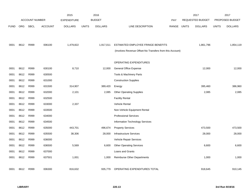|             |            |                       |                | 2015               |              | 2016           |                                                          |            |              | 2017             |              | 2017            |
|-------------|------------|-----------------------|----------------|--------------------|--------------|----------------|----------------------------------------------------------|------------|--------------|------------------|--------------|-----------------|
|             |            | <b>ACCOUNT NUMBER</b> |                | <b>EXPENDITURE</b> |              | <b>BUDGET</b>  |                                                          | <b>PAY</b> |              | REQUESTED BUDGET |              | PROPOSED BUDGET |
| <b>FUND</b> | <b>ORG</b> | <b>SBCL</b>           | <b>ACCOUNT</b> | <b>DOLLARS</b>     | <b>UNITS</b> | <b>DOLLARS</b> | LINE DESCRIPTION                                         | RANGE      | <b>UNITS</b> | <b>DOLLARS</b>   | <b>UNITS</b> | <b>DOLLARS</b>  |
|             |            |                       |                |                    |              |                |                                                          |            |              |                  |              |                 |
|             |            |                       |                |                    |              |                |                                                          |            |              |                  |              |                 |
| 0001        | 8612       | R999                  | 006100         | 1,479,822          |              | 1,917,011      | ESTIMATED EMPLOYEE FRINGE BENEFITS                       |            |              | 1,861,796        |              | 1,854,119       |
|             |            |                       |                |                    |              |                | (Involves Revenue Offset-No Transfers from this Account) |            |              |                  |              |                 |
|             |            |                       |                |                    |              |                |                                                          |            |              |                  |              |                 |
|             |            |                       |                |                    |              |                | <b>OPERATING EXPENDITURES</b>                            |            |              |                  |              |                 |
| 0001        | 8612       | R999                  | 630100         | 8,710              |              | 12,000         | <b>General Office Expense</b>                            |            |              | 12,000           |              | 12,000          |
| 0001        | 8612       | R999                  | 630500         |                    |              |                | Tools & Machinery Parts                                  |            |              |                  |              |                 |
| 0001        | 8612       | R999                  | 631000         |                    |              |                | <b>Construction Supplies</b>                             |            |              |                  |              |                 |
| 0001        | 8612       | R999                  | 631500         | 314,907            |              | 389,420        | Energy                                                   |            |              | 395,460          |              | 386,960         |
| 0001        | 8612       | R999                  | 632000         | 2,101              |              | 2,085          | <b>Other Operating Supplies</b>                          |            |              | 2,085            |              | 2,085           |
| 0001        | 8612       | R999                  | 632500         |                    |              |                | <b>Facility Rental</b>                                   |            |              |                  |              |                 |
| 0001        | 8612       | R999                  | 633000         | 2,337              |              |                | Vehicle Rental                                           |            |              |                  |              |                 |
| 0001        | 8612       | R999                  | 633500         |                    |              |                | Non-Vehicle Equipment Rental                             |            |              |                  |              |                 |
| 0001        | 8612       | R999                  | 634000         |                    |              |                | <b>Professional Services</b>                             |            |              |                  |              |                 |
| 0001        | 8612       | R999                  | 634500         |                    |              |                | Information Technology Services                          |            |              |                  |              |                 |
| 0001        | 8612       | R999                  | 635000         | 443,701            |              | 496,674        | <b>Property Services</b>                                 |            |              | 473,500          |              | 473,500         |
| 0001        | 8612       | R999                  | 635500         | 38,306             |              | 28,000         | <b>Infrastructure Services</b>                           |            |              | 28,000           |              | 28,000          |
| 0001        | 8612       | R999                  | 636000         |                    |              |                | Vehicle Repair Services                                  |            |              |                  |              |                 |
| 0001        | 8612       | R999                  | 636500         | 5,569              |              | 6,600          | <b>Other Operating Services</b>                          |            |              | 6,600            |              | 6,600           |
| 0001        | 8612       | R999                  | 637000         |                    |              |                | Loans and Grants                                         |            |              |                  |              |                 |
| 0001        | 8612       | R999                  | 637501         | 1,001              |              | 1,000          | Reimburse Other Departments                              |            |              | 1,000            |              | 1,000           |
|             |            |                       |                |                    |              |                |                                                          |            |              |                  |              |                 |
| 0001        | 8612       | R999                  | 006300         | 816,632            |              | 935,779        | OPERATING EXPENDITURES TOTAL                             |            |              | 918,645          |              | 910,145         |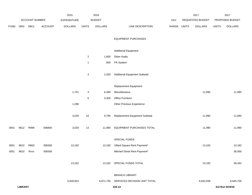|             |                |                       |                | 2015           |                | 2016           |                                        |             | 2017             |              | 2017            |
|-------------|----------------|-----------------------|----------------|----------------|----------------|----------------|----------------------------------------|-------------|------------------|--------------|-----------------|
|             |                | <b>ACCOUNT NUMBER</b> |                | EXPENDITURE    |                | <b>BUDGET</b>  |                                        | PAY         | REQUESTED BUDGET |              | PROPOSED BUDGET |
| <b>FUND</b> | ORG            | <b>SBCL</b>           | <b>ACCOUNT</b> | <b>DOLLARS</b> | <b>UNITS</b>   | <b>DOLLARS</b> | LINE DESCRIPTION                       | RANGE UNITS | <b>DOLLARS</b>   | <b>UNITS</b> | <b>DOLLARS</b>  |
|             |                |                       |                |                |                |                |                                        |             |                  |              |                 |
|             |                |                       |                |                |                |                | <b>EQUIPMENT PURCHASES</b>             |             |                  |              |                 |
|             |                |                       |                |                |                |                |                                        |             |                  |              |                 |
|             |                |                       |                |                |                |                | <b>Additional Equipment</b>            |             |                  |              |                 |
|             |                |                       |                |                | $\overline{a}$ | 1,600          | Other Audio                            |             |                  |              |                 |
|             |                |                       |                |                | $\mathbf{1}$   | 600            | PA System                              |             |                  |              |                 |
|             |                |                       |                |                |                |                |                                        |             |                  |              |                 |
|             |                |                       |                |                | 3              | 2,200          | <b>Additional Equipment Subtotal</b>   |             |                  |              |                 |
|             |                |                       |                |                |                |                |                                        |             |                  |              |                 |
|             |                |                       |                |                |                |                | Replacement Equipment                  |             |                  |              |                 |
|             |                |                       |                | 1,741          | 4              | 6,490          | Miscellaneous                          |             | 11,990           |              | 11,990          |
|             |                |                       |                |                | 6              | 3,300          | Office Furniture                       |             |                  |              |                 |
|             |                |                       |                | 1,288          |                |                | Other Previous Experience              |             |                  |              |                 |
|             |                |                       |                |                |                |                |                                        |             |                  |              |                 |
|             |                |                       |                | 3,029          | 10             | 9,790          | Replacement Equipment Subtotal         |             | 11,990           |              | 11,990          |
| 0001        | 8612           | R999                  | 006800         | 3,029          | $13$           | 11,990         | EQUIPMENT PURCHASES TOTAL              |             | 11,990           |              | 11,990          |
|             |                |                       |                |                |                |                |                                        |             |                  |              |                 |
|             |                |                       |                |                |                |                | SPECIAL FUNDS                          |             |                  |              |                 |
| 0001        | 8610           | R863                  | 006300         | 13,182         |                | 13,182         | Villard Square Rent Payment*           |             | 13,182           |              | 13,182          |
| 0001        | 8610           | Rxxx                  | 006300         |                |                |                | Mitchell Street Rent Payment*          |             |                  |              | 36,000          |
|             |                |                       |                |                |                |                |                                        |             |                  |              |                 |
|             |                |                       |                | 13,182         |                |                | 13,182 SPECIAL FUNDS TOTAL             |             | 13,182           |              | 49,182          |
|             |                |                       |                |                |                |                |                                        |             |                  |              |                 |
|             |                |                       |                |                |                |                | <b>BRANCH LIBRARY</b>                  |             |                  |              |                 |
|             |                |                       |                | 5,828,824      |                |                | 6,871,735 SERVICES DECISION UNIT TOTAL |             | 6,942,938        |              | 6,945,700       |
|             | <b>LIBRARY</b> |                       |                |                |                |                | 220.14                                 |             |                  |              | 3rd Run 9/19/16 |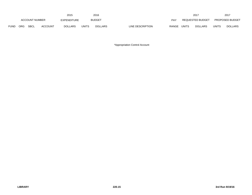|             |     |                |                | 2015               |       | 2016           |                  |              |              | $201^{-}$               |              | 2017                   |
|-------------|-----|----------------|----------------|--------------------|-------|----------------|------------------|--------------|--------------|-------------------------|--------------|------------------------|
|             |     | ACCOUNT NUMBER |                | <b>EXPENDITURE</b> |       | <b>BUDGET</b>  |                  | PAY          |              | <b>REQUESTED BUDGET</b> |              | <b>PROPOSED BUDGET</b> |
| <b>FUND</b> | ORG | <b>SBCL</b>    | <b>ACCOUNT</b> | <b>DOLLARS</b>     | UNITS | <b>DOLLARS</b> | LINE DESCRIPTION | <b>RANGE</b> | <b>UNITS</b> | <b>DOLLARS</b>          | <b>UNITS</b> | <b>DOLLARS</b>         |

\*Appropriation Control Account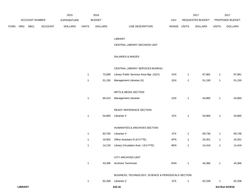|             |            |                |                | 2015               |       | 2016           |                           |       | 2017             |       | 201                    |
|-------------|------------|----------------|----------------|--------------------|-------|----------------|---------------------------|-------|------------------|-------|------------------------|
|             |            | ACCOUNT NUMBER |                | <b>EXPENDITURE</b> |       | <b>BUDGET</b>  | PAY                       |       | REQUESTED BUDGET |       | <b>PROPOSED BUDGET</b> |
| <b>FUND</b> | <b>ORG</b> | <b>SBCL</b>    | <b>ACCOUNT</b> | <b>DOLLARS</b>     | UNITS | <b>DOLLARS</b> | RANGE<br>LINE DESCRIPTION | UNITS | <b>DOLLARS</b>   | UNITS | <b>DOLLARS</b>         |

#### LIBRARY

#### CENTRAL LIBRARY DECISION UNIT

# SALARIES & WAGES

#### CENTRAL LIBRARY SERVICES BUREAU

| 1 | 73,589 | Library Public Services Area Mgr. (X)(Y)            | 1HX | $\mathbf{1}$ | 87,981 | 1 | 87,981 |
|---|--------|-----------------------------------------------------|-----|--------------|--------|---|--------|
| 1 | 51,150 | Management Librarian (X)                            | 1DX | $\mathbf{1}$ | 51,150 | 1 | 51,150 |
|   |        |                                                     |     |              |        |   |        |
|   |        | ARTS & MEDIA SECTION                                |     |              |        |   |        |
| 1 | 66,415 | Management Librarian                                | 1DX | 1            | 54,865 | 1 | 54,865 |
|   |        |                                                     |     |              |        |   |        |
|   |        | READY REFERENCE SECTION                             |     |              |        |   |        |
| 1 | 54,865 | Librarian V                                         | 1FX | $\mathbf{1}$ | 54,865 | 1 | 54,865 |
|   |        |                                                     |     |              |        |   |        |
|   |        | HUMANITIES & ARCHIVES SECTION                       |     |              |        |   |        |
| 1 | 83,792 | Librarian V                                         | 1FX | $\mathbf{1}$ | 69,736 | 1 | 69,736 |
| 1 | 19,952 | Office Assistant III (0.5 FTE)                      | 6FN | $\mathbf{1}$ | 20,351 | 1 | 20,351 |
| 1 | 14,133 | Library Circulation Asst. I (0.5 FTE)               | 6EN | $\mathbf{1}$ | 14,416 | 1 | 14,416 |
|   |        |                                                     |     |              |        |   |        |
|   |        | <b>CITY ARCHIVES UNIT</b>                           |     |              |        |   |        |
| 1 | 43,496 | Archives Technician                                 | 6HN | 1            | 44,366 | 1 | 44,366 |
|   |        |                                                     |     |              |        |   |        |
|   |        | BUSINESS, TECHNOLOGY, SCIENCE & PERIODICALS SECTION |     |              |        |   |        |
| 1 | 62,338 | Librarian V                                         | 1FX | 1            | 62,338 | 1 | 62,338 |
|   |        |                                                     |     |              |        |   |        |

**LIBRARY 220.16 3rd Run 9/19/16**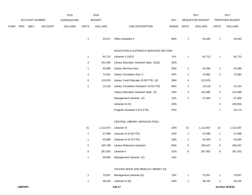|             |     |                |                | 2015               |                | 2016           |                                            |             |                | 2017             |                | 2017            |
|-------------|-----|----------------|----------------|--------------------|----------------|----------------|--------------------------------------------|-------------|----------------|------------------|----------------|-----------------|
|             |     | ACCOUNT NUMBER |                | <b>EXPENDITURE</b> |                | <b>BUDGET</b>  |                                            | PAY         |                | REQUESTED BUDGET |                | PROPOSED BUDGET |
| <b>FUND</b> | ORG | <b>SBCL</b>    | <b>ACCOUNT</b> | <b>DOLLARS</b>     | <b>UNITS</b>   | <b>DOLLARS</b> | LINE DESCRIPTION                           | RANGE UNITS |                | <b>DOLLARS</b>   | <b>UNITS</b>   | <b>DOLLARS</b>  |
|             |     |                |                |                    | $\mathbf{1}$   | 32,971         | Office Assistant II                        | 6EN         | $\mathbf{1}$   | 34,445           | 1              | 34,445          |
|             |     |                |                |                    |                |                | EDUCATION & OUTREACH SERVICES SECTION      |             |                |                  |                |                 |
|             |     |                |                |                    | $\mathbf{1}$   | 82,713         | Librarian $V(X)(Y)$                        | 1FX         | $\mathbf{1}$   | 82,713           | $\mathbf{1}$   | 82,713          |
|             |     |                |                |                    | 3              | 101,635        | Library Education Outreach Spec. (X)(Z)    | 2DN         |                |                  |                |                 |
|             |     |                |                |                    | $\mathbf{1}$   | 43,496         | Library Services Asst.                     | 5DN         | $\mathbf{1}$   | 44,366           | $\mathbf{1}$   | 44,366          |
|             |     |                |                |                    | $\overline{2}$ | 71,551         | Library Circulation Asst. II               | 6FN         | $\overline{2}$ | 72,982           | $\overline{a}$ | 72,982          |
|             |     |                |                |                    | 6              | 123,076        | Library Youth Educator (0.50 FTE) (X)      | 2BN         | $\,6\,$        | 123,076          |                |                 |
|             |     |                |                |                    | $\mathbf{1}$   | 14,133         | Library Circulation Assistant I (0.50 FTE) | 6EN         | $\mathbf{1}$   | 14,133           | $\mathbf{1}$   | 14,133          |
|             |     |                |                |                    |                |                | Library Education Outreach Spec. (X)       | 2DN         | $\sqrt{3}$     | 152,086          | 3              | 152,086         |
|             |     |                |                |                    |                |                | Management Librarian (X)                   | 1DX         | $\mathbf{1}$   | 57,005           | $\mathbf{1}$   | 57,005          |
|             |     |                |                |                    |                |                | Librarian III (X)                          | 2DN         |                |                  | $\overline{2}$ | 100,903         |
|             |     |                |                |                    |                |                | Program Assistant II (0.5 FTE)             | 5FN         |                |                  | 1              | 22,173          |
|             |     |                |                |                    |                |                | CENTRAL LIBRARY SERVICES POOL              |             |                |                  |                |                 |
|             |     |                |                |                    | 21             | 1,112,072      | Librarian III                              | 2DN         | $21$           | 1,113,307        | 21             | 1,113,307       |
|             |     |                |                |                    | $\mathbf{1}$   | 27,098         | Librarian III (0.50 FTE)                   | 2DN         | $\overline{1}$ | 27,098           | $\mathbf{1}$   | 27,098          |
|             |     |                |                |                    | $\mathbf{1}$   | 43,099         | Librarian III (0.75 FTE)                   | 2DN         | $\mathbf{1}$   | 43,405           | $\mathbf{1}$   | 43,405          |
|             |     |                |                |                    | 5              | 185,798        | Library Reference Assistant                | 5DN         | $\sqrt{5}$     | 190,447          | 5              | 190,447         |
|             |     |                |                |                    | 6              | 267,302        | Librarian II                               | 2CN         | 6              | 267,302          | 6              | 267,302         |
|             |     |                |                |                    | $\mathbf{1}$   | 55,660         | Management Librarian (X)                   | 1DX         |                |                  |                |                 |
|             |     |                |                |                    |                |                | TALKING BOOK AND BRAILLE LIBRARY (D)       |             |                |                  |                |                 |
|             |     |                |                |                    | $\mathbf{1}$   | 75,057         | Management Librarian (D)                   | 1DX         | $\mathbf{1}$   | 75,057           | 1              | 75,057          |
|             |     |                |                |                    | $\mathbf{1}$   | 48,155         | Librarian III (D)                          | 2DN         | $\mathbf{1}$   | 48,155           | $\mathbf{1}$   | 48,155          |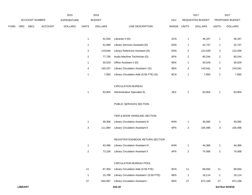|      |                |                |                | 2015               |                | 2016           |                                            |       |                         | 2017             |                         | 2017            |
|------|----------------|----------------|----------------|--------------------|----------------|----------------|--------------------------------------------|-------|-------------------------|------------------|-------------------------|-----------------|
|      |                | ACCOUNT NUMBER |                | <b>EXPENDITURE</b> |                | <b>BUDGET</b>  |                                            | PAY   |                         | REQUESTED BUDGET |                         | PROPOSED BUDGET |
| FUND | ORG            | <b>SBCL</b>    | <b>ACCOUNT</b> | <b>DOLLARS</b>     | <b>UNITS</b>   | <b>DOLLARS</b> | LINE DESCRIPTION                           | RANGE | <b>UNITS</b>            | <b>DOLLARS</b>   | <b>UNITS</b>            | <b>DOLLARS</b>  |
|      |                |                |                |                    | $\mathbf{1}$   | 42,526         | Librarian II (D)                           | 2CN   | $\mathbf{1}$            | 46,347           | $\mathbf{1}$            | 46,347          |
|      |                |                |                |                    | $\mathbf{1}$   | 41,899         | Library Services Assistant (D)             | 5DN   | $\mathbf{1}$            | 42,737           | -1                      | 42,737          |
|      |                |                |                |                    | $\mathsf 3$    | 119,646        | Library Reference Assistant (D)            | 5DN   | 3                       | 122,039          | 3                       | 122,039         |
|      |                |                |                |                    | $\overline{2}$ | 77,756         | Audio Machine Technician (D)               | 6FN   | $\overline{\mathbf{c}}$ | 80,244           | $\overline{\mathbf{c}}$ | 80,244          |
|      |                |                |                |                    | $\mathbf{1}$   | 30,529         | Office Assistant II (D)                    | 6EN   | $\mathbf{1}$            | 30,529           | $\mathbf{1}$            | 30,529          |
|      |                |                |                |                    | 4              | 140,237        | Library Circulation Assistant I (D)        | 6EN   | 4                       | 143,041          | 4                       | 143,041         |
|      |                |                |                |                    | $\mathbf{1}$   | 7,950          | Library Circulation Aide (0.56 FTE) (D)    | 9CN   | $\mathbf{1}$            | 7,950            | -1                      | 7,950           |
|      |                |                |                |                    |                |                | <b>CIRCULATION BUREAU</b>                  |       |                         |                  |                         |                 |
|      |                |                |                |                    | $\mathbf{1}$   | 63,904         | Administrative Specialist Sr.              | 2EX   | 1                       | 63,904           | 1                       | 63,904          |
|      |                |                |                |                    |                |                | PUBLIC SERVICES SECTION                    |       |                         |                  |                         |                 |
|      |                |                |                |                    |                |                | TIER & BOOK HANDLING SECTION               |       |                         |                  |                         |                 |
|      |                |                |                |                    | $\mathbf{1}$   | 39,306         | Library Circulation Assistant III          | 6HN   | $\mathbf{1}$            | 40,092           | $\mathbf{1}$            | 40,092          |
|      |                |                |                |                    | $\sqrt{3}$     | 111,884        | Library Circulation Assistant II           | 6FN   | 3                       | 105,496          | 3                       | 105,496         |
|      |                |                |                |                    |                |                | REGISTRATION/BOOK RETURN SECTION           |       |                         |                  |                         |                 |
|      |                |                |                |                    | $\mathbf{1}$   | 43,496         | Library Circulation Assistant III          | 6HN   | $\mathbf{1}$            | 44,366           | 1                       | 44,366          |
|      |                |                |                |                    | $\overline{2}$ | 73,106         | <b>Library Circulation Assistant II</b>    | 6FN   | $\overline{2}$          | 74,568           | 2                       | 74,568          |
|      |                |                |                |                    |                |                | CIRCULATION BUREAU POOL                    |       |                         |                  |                         |                 |
|      |                |                |                |                    | 11             | 87,450         | Library Circulation Aide (0.56 FTE)        | 9CN   | $11$                    | 89,050           | 11                      | 89,050          |
|      |                |                |                |                    | $\mathbf{1}$   | 15,798         | Library Circulation Assistant I (0.50 FTE) | 6EN   | $\overline{1}$          | 16,114           | $\mathbf{1}$            | 16,114          |
|      |                |                |                |                    | 27             | 844,967        | <b>Library Circulation Assistant I</b>     | 6EN   | 27                      | 872,169          | 27                      | 872,169         |
|      | <b>LIBRARY</b> |                |                |                    |                |                | 220.18                                     |       |                         |                  |                         | 3rd Run 9/19/16 |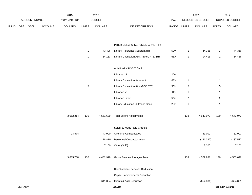|             |                |                |                | 2015               |              | 2016           |                                            |             |                | 2017             |                | 2017            |
|-------------|----------------|----------------|----------------|--------------------|--------------|----------------|--------------------------------------------|-------------|----------------|------------------|----------------|-----------------|
|             |                | ACCOUNT NUMBER |                | <b>EXPENDITURE</b> |              | <b>BUDGET</b>  |                                            | PAY         |                | REQUESTED BUDGET |                | PROPOSED BUDGET |
| <b>FUND</b> | ORG            | SBCL           | <b>ACCOUNT</b> | <b>DOLLARS</b>     | <b>UNITS</b> | <b>DOLLARS</b> | LINE DESCRIPTION                           | RANGE UNITS |                | <b>DOLLARS</b>   | <b>UNITS</b>   | <b>DOLLARS</b>  |
|             |                |                |                |                    |              |                | INTER LIBRARY SERVICES GRANT (H)           |             |                |                  |                |                 |
|             |                |                |                |                    | $\mathbf{1}$ | 43,496         | Library Reference Assistant (H)            | 5DN         | $\mathbf{1}$   | 44,366           | $\mathbf{1}$   | 44,366          |
|             |                |                |                |                    | $\mathbf{1}$ | 14,133         | Library Circulation Asst. I (0.50 FTE) (H) | 6EN         | $\mathbf{1}$   | 14,416           | $\mathbf{1}$   | 14,416          |
|             |                |                |                |                    |              |                |                                            |             |                |                  |                |                 |
|             |                |                |                |                    |              |                | <b>AUXILIARY POSITIONS</b>                 |             |                |                  |                |                 |
|             |                |                |                |                    | $\mathbf{1}$ |                | Librarian III                              | 2DN         |                |                  |                |                 |
|             |                |                |                |                    | $\mathbf{1}$ |                | <b>Library Circulation Assistant I</b>     | 6EN         | $\mathbf{1}$   |                  | $\mathbf{1}$   |                 |
|             |                |                |                |                    | $\sqrt{5}$   |                | Library Circulation Aide (0.56 FTE)        | 9CN         | 5              |                  | $\overline{5}$ |                 |
|             |                |                |                |                    |              |                | Librarian V                                | 1FX         | $\mathbf{1}$   |                  | $\mathbf{1}$   |                 |
|             |                |                |                |                    |              |                | Librarian Intern                           | 5DN         | $\overline{2}$ |                  | $\overline{2}$ |                 |
|             |                |                |                |                    |              |                | Library Education Outreach Spec.           | 2DN         | $\mathbf{1}$   |                  | $\mathbf{1}$   |                 |
|             |                |                |                | 3,662,214          | 130          | 4,551,629      | <b>Total Before Adjustments</b>            |             | 133            | 4,643,073        | 130            | 4,643,073       |
|             |                |                |                |                    |              |                | Salary & Wage Rate Change                  |             |                |                  |                |                 |
|             |                |                |                | 23,574             |              | 43,000         | Overtime Compensated                       |             |                | 51,000           |                | 51,000          |
|             |                |                |                |                    |              | (118, 810)     | Personnel Cost Adjustment                  |             |                | (121, 392)       |                | (137, 577)      |
|             |                |                |                |                    |              | 7,100          | Other (Shift)                              |             |                | 7,200            |                | 7,200           |
|             |                |                |                | 3,685,788          | 130          | 4,482,919      | Gross Salaries & Wages Total               |             | 133            | 4,579,881        | 130            | 4,563,696       |
|             |                |                |                |                    |              |                | Reimbursable Services Deduction            |             |                |                  |                |                 |
|             |                |                |                |                    |              |                | Capital Improvements Deduction             |             |                |                  |                |                 |
|             |                |                |                |                    |              | (641, 384)     | <b>Grants &amp; Aids Deduction</b>         |             |                | (654, 881)       |                | (654, 881)      |
|             | <b>LIBRARY</b> |                |                |                    |              |                | 220.19                                     |             |                |                  |                | 3rd Run 9/19/16 |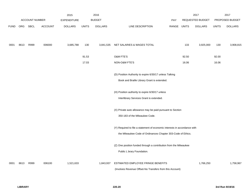|             |      |                       |                | 2015               |              | 2016           |                                                                           |             |       | 2017                    |              | 2017            |
|-------------|------|-----------------------|----------------|--------------------|--------------|----------------|---------------------------------------------------------------------------|-------------|-------|-------------------------|--------------|-----------------|
|             |      | <b>ACCOUNT NUMBER</b> |                | <b>EXPENDITURE</b> |              | <b>BUDGET</b>  |                                                                           | PAY         |       | <b>REQUESTED BUDGET</b> |              | PROPOSED BUDGET |
| <b>FUND</b> | ORG  | <b>SBCL</b>           | <b>ACCOUNT</b> | <b>DOLLARS</b>     | <b>UNITS</b> | <b>DOLLARS</b> | LINE DESCRIPTION                                                          | RANGE UNITS |       | <b>DOLLARS</b>          | <b>UNITS</b> | <b>DOLLARS</b>  |
| 0001        | 8613 | R999                  | 006000         | 3,685,788          | 130          | 3,841,535      | NET SALARIES & WAGES TOTAL                                                |             | 133   | 3,925,000               | 130          | 3,908,815       |
|             |      |                       |                |                    | 91.53        |                | O&M FTE'S                                                                 |             | 92.50 |                         | 92.00        |                 |
|             |      |                       |                |                    | 17.03        |                | NON-O&M FTE'S                                                             |             | 16.06 |                         | 16.06        |                 |
|             |      |                       |                |                    |              |                | (D) Position Authority to expire 6/30/17 unless Talking                   |             |       |                         |              |                 |
|             |      |                       |                |                    |              |                | Book and Braille Library Grant is extended.                               |             |       |                         |              |                 |
|             |      |                       |                |                    |              |                | (H) Position authority to expire 6/30/17 unless                           |             |       |                         |              |                 |
|             |      |                       |                |                    |              |                | Interlibrary Services Grant is extended.                                  |             |       |                         |              |                 |
|             |      |                       |                |                    |              |                | (X) Private auto allowance may be paid pursuant to Section                |             |       |                         |              |                 |
|             |      |                       |                |                    |              |                | 350-183 of the Milwaukee Code.                                            |             |       |                         |              |                 |
|             |      |                       |                |                    |              |                | (Y) Required to file a statement of economic interests in accordance with |             |       |                         |              |                 |
|             |      |                       |                |                    |              |                | the Milwaukee Code of Ordinances Chapter 303-Code of Ethics.              |             |       |                         |              |                 |
|             |      |                       |                |                    |              |                | (Z) One position funded through a contribution from the Milwaukee         |             |       |                         |              |                 |
|             |      |                       |                |                    |              |                | Public L brary Foundation.                                                |             |       |                         |              |                 |
| 0001        | 8613 | R999                  | 006100         | 1,521,633          |              | 1,843,937      | ESTIMATED EMPLOYEE FRINGE BENEFITS                                        |             |       | 1,766,250               |              | 1,758,967       |
|             |      |                       |                |                    |              |                | (Involves Revenue Offset-No Transfers from this Account)                  |             |       |                         |              |                 |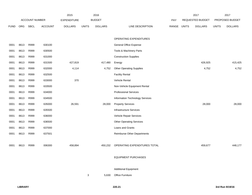|             |            |                       |                | 2015               |              | 2016           |                                    |       |              | 2017             |              | 2017            |
|-------------|------------|-----------------------|----------------|--------------------|--------------|----------------|------------------------------------|-------|--------------|------------------|--------------|-----------------|
|             |            | <b>ACCOUNT NUMBER</b> |                | <b>EXPENDITURE</b> |              | <b>BUDGET</b>  |                                    | PAY   |              | REQUESTED BUDGET |              | PROPOSED BUDGET |
| <b>FUND</b> | <b>ORG</b> | <b>SBCL</b>           | <b>ACCOUNT</b> | <b>DOLLARS</b>     | <b>UNITS</b> | <b>DOLLARS</b> | LINE DESCRIPTION                   | RANGE | <b>UNITS</b> | <b>DOLLARS</b>   | <b>UNITS</b> | <b>DOLLARS</b>  |
|             |            |                       |                |                    |              |                |                                    |       |              |                  |              |                 |
|             |            |                       |                |                    |              |                | OPERATING EXPENDITURES             |       |              |                  |              |                 |
| 0001        | 8613       | R999                  | 630100         |                    |              |                | General Office Expense             |       |              |                  |              |                 |
| 0001        | 8613       | R999                  | 630500         |                    |              |                | Tools & Machinery Parts            |       |              |                  |              |                 |
| 0001        | 8613       | R999                  | 631000         |                    |              |                | <b>Construction Supplies</b>       |       |              |                  |              |                 |
| 0001        | 8613       | R999                  | 631500         | 427,819            |              | 417,480        | Energy                             |       |              | 426,925          |              | 415,425         |
| 0001        | 8613       | R999                  | 632000         | 4,114              |              | 4,752          | <b>Other Operating Supplies</b>    |       |              | 4,752            |              | 4,752           |
| 0001        | 8613       | R999                  | 632500         |                    |              |                | <b>Facility Rental</b>             |       |              |                  |              |                 |
| 0001        | 8613       | R999                  | 633000         | 370                |              |                | Vehicle Rental                     |       |              |                  |              |                 |
| 0001        | 8613       | R999                  | 633500         |                    |              |                | Non-Vehicle Equipment Rental       |       |              |                  |              |                 |
| 0001        | 8613       | R999                  | 634000         |                    |              |                | <b>Professional Services</b>       |       |              |                  |              |                 |
| 0001        | 8613       | R999                  | 634500         |                    |              |                | Information Technology Services    |       |              |                  |              |                 |
| 0001        | 8613       | R999                  | 635000         | 26,591             |              | 28,000         | <b>Property Services</b>           |       |              | 28,000           |              | 28,000          |
| 0001        | 8613       | R999                  | 635500         |                    |              |                | <b>Infrastructure Services</b>     |       |              |                  |              |                 |
| 0001        | 8613       | R999                  | 636000         |                    |              |                | Vehicle Repair Services            |       |              |                  |              |                 |
| 0001        | 8613       | R999                  | 636500         |                    |              |                | <b>Other Operating Services</b>    |       |              |                  |              |                 |
| 0001        | 8613       | R999                  | 637000         |                    |              |                | Loans and Grants                   |       |              |                  |              |                 |
| 0001        | 8613       | R999                  | 637501         |                    |              |                | <b>Reimburse Other Departments</b> |       |              |                  |              |                 |
|             |            |                       |                |                    |              |                |                                    |       |              |                  |              |                 |
| 0001        | 8613       | R999                  | 006300         | 458,894            |              | 450,232        | OPERATING EXPENDITURES TOTAL       |       |              | 459,677          |              | 448,177         |
|             |            |                       |                |                    |              |                |                                    |       |              |                  |              |                 |
|             |            |                       |                |                    |              |                | <b>EQUIPMENT PURCHASES</b>         |       |              |                  |              |                 |
|             |            |                       |                |                    |              |                |                                    |       |              |                  |              |                 |
|             |            |                       |                |                    |              |                | <b>Additional Equipment</b>        |       |              |                  |              |                 |
|             |            |                       |                |                    | 3            | 5,630          | Office Furniture                   |       |              |                  |              |                 |
|             |            |                       |                |                    |              |                |                                    |       |              |                  |              |                 |
|             |            |                       |                |                    |              |                |                                    |       |              |                  |              |                 |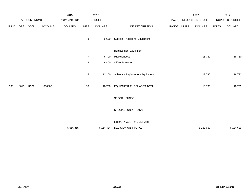|             |      |                |                | 2015               |                | 2016           |                                  |       |              | 2017             |              | 2017            |
|-------------|------|----------------|----------------|--------------------|----------------|----------------|----------------------------------|-------|--------------|------------------|--------------|-----------------|
|             |      | ACCOUNT NUMBER |                | <b>EXPENDITURE</b> |                | <b>BUDGET</b>  |                                  | PAY   |              | REQUESTED BUDGET |              | PROPOSED BUDGET |
| <b>FUND</b> | ORG  | <b>SBCL</b>    | <b>ACCOUNT</b> | <b>DOLLARS</b>     | <b>UNITS</b>   | <b>DOLLARS</b> | LINE DESCRIPTION                 | RANGE | <b>UNITS</b> | <b>DOLLARS</b>   | <b>UNITS</b> | <b>DOLLARS</b>  |
|             |      |                |                |                    | 3              | 5,630          | Subtotal - Additional Equipment  |       |              |                  |              |                 |
|             |      |                |                |                    |                |                | Replacement Equipment            |       |              |                  |              |                 |
|             |      |                |                |                    | $\overline{7}$ | 6,700          | Miscellaneous                    |       |              | 18,730           |              | 18,730          |
|             |      |                |                |                    | 8              | 6,400          | Office Furniture                 |       |              |                  |              |                 |
|             |      |                |                |                    |                |                |                                  |       |              |                  |              |                 |
|             |      |                |                |                    | 15             | 13,100         | Subtotal - Replacement Equipment |       |              | 18,730           |              | 18,730          |
| 0001        | 8613 | R999           | 006800         |                    | 18             | 18,730         | EQUIPMENT PURCHASES TOTAL        |       |              | 18,730           |              | 18,730          |
|             |      |                |                |                    |                |                | SPECIAL FUNDS                    |       |              |                  |              |                 |
|             |      |                |                |                    |                |                | SPECIAL FUNDS TOTAL              |       |              |                  |              |                 |
|             |      |                |                |                    |                |                | LIBRARY-CENTRAL LIBRARY          |       |              |                  |              |                 |
|             |      |                |                | 5,666,315          |                | 6,154,434      | DECISION UNIT TOTAL              |       |              | 6,169,657        |              | 6,134,689       |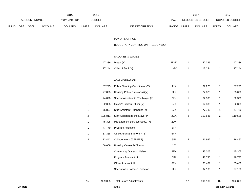|             |              | ACCOUNT NUMBER |                | 2015<br><b>EXPENDITURE</b> |                         | 2016<br><b>BUDGET</b> |                                     | PAY         |                | 2017<br>REQUESTED BUDGET |                | 2017<br>PROPOSED BUDGET |
|-------------|--------------|----------------|----------------|----------------------------|-------------------------|-----------------------|-------------------------------------|-------------|----------------|--------------------------|----------------|-------------------------|
| <b>FUND</b> | ORG          | SBCL           | <b>ACCOUNT</b> | <b>DOLLARS</b>             | <b>UNITS</b>            | <b>DOLLARS</b>        | LINE DESCRIPTION                    | RANGE UNITS |                | <b>DOLLARS</b>           | <b>UNITS</b>   | <b>DOLLARS</b>          |
|             |              |                |                |                            |                         |                       |                                     |             |                |                          |                |                         |
|             |              |                |                |                            |                         |                       | <b>MAYOR'S OFFICE</b>               |             |                |                          |                |                         |
|             |              |                |                |                            |                         |                       | BUDGETARY CONTROL UNIT (1BCU = 1DU) |             |                |                          |                |                         |
|             |              |                |                |                            |                         |                       | <b>SALARIES &amp; WAGES</b>         |             |                |                          |                |                         |
|             |              |                |                |                            | $\overline{1}$          | 147,336               | Mayor (Y)                           | EOE         | $\mathbf{1}$   | 147,336                  | $\mathbf{1}$   | 147,336                 |
|             |              |                |                |                            | $\mathbf{1}$            | 117,244               | Chief of Staff (Y)                  | 1MX         | $\mathbf{1}$   | 117,244                  | $\mathbf{1}$   | 117,244                 |
|             |              |                |                |                            |                         |                       |                                     |             |                |                          |                |                         |
|             |              |                |                |                            |                         |                       | ADMINISTRATION                      |             |                |                          |                |                         |
|             |              |                |                |                            | $\overline{1}$          | 87,225                | Policy Planning Coordinator (Y)     | 1JX         | $\mathbf{1}$   | 87,225                   | $\mathbf{1}$   | 87,225                  |
|             |              |                |                |                            | $\overline{1}$          | 77,823                | Housing Policy Director (A)(Y)      | 2LX         | $\mathbf{1}$   | 77,823                   | $\mathbf{1}$   | 85,000                  |
|             |              |                |                |                            | $\mathbf{1}$            | 74,898                | Special Assistant to The Mayor (Y)  | 2KX         | $\mathbf{1}$   | 62,338                   | $\mathbf{1}$   | 62,338                  |
|             |              |                |                |                            | $\overline{1}$          | 62,338                | Mayor's Liaison Officer (Y)         | 2JX         | $\mathbf{1}$   | 62,338                   | $\mathbf{1}$   | 62,338                  |
|             |              |                |                |                            | $\overline{1}$          | 75,897                | Staff Assistant - Manager (Y)       | 2JX         | $\mathbf{1}$   | 77,730                   | $\mathbf{1}$   | 77,730                  |
|             |              |                |                |                            | $\overline{\mathbf{c}}$ | 105,811               | Staff Assistant to the Mayor (Y)    | 2GX         | $\overline{c}$ | 110,586                  | $\overline{2}$ | 110,586                 |
|             |              |                |                |                            | $\mathbf{1}$            | 45,305                | Management Services Spec. (Y)       | 2DN         |                |                          |                |                         |
|             |              |                |                |                            | $\mathbf{1}$            | 47,779                | Program Assistant II                | 5FN         |                |                          |                |                         |
|             |              |                |                |                            | $\mathbf{1}$            | 17,358                | Office Assistant III (0.5 FTE)      | 6FN         |                |                          |                |                         |
|             |              |                |                |                            | $\overline{\mathbf{c}}$ | 13,442                | College Intern (0.25 FTE)           | 9I          | 4              | 21,937                   | 3              | 16,453                  |
|             |              |                |                |                            | $\overline{1}$          | 56,609                | Housing Outreach Director           | 11X         |                |                          |                |                         |
|             |              |                |                |                            |                         |                       | Community Outreach Liaison          | 2EX         | 1              | 45,305                   | 1              | 45,305                  |
|             |              |                |                |                            |                         |                       | Program Assistant III               | 5IN         | $\mathbf{1}$   | 48,735                   | $\mathbf{1}$   | 48,735                  |
|             |              |                |                |                            |                         |                       | Office Assistant III                | 6FN         | $\mathbf{1}$   | 35,409                   | $\mathbf{1}$   | 35,409                  |
|             |              |                |                |                            |                         |                       | Special Asst. to Exec. Director     | 2LX         | $\mathbf{1}$   | 97,130                   | $\mathbf{1}$   | 97,130                  |
|             |              |                |                |                            | 15                      | 929,065               | <b>Total Before Adjustments</b>     |             | 17             | 991,136                  | 16             | 992,829                 |
|             | <b>MAYOR</b> |                |                |                            |                         |                       | 230.1                               |             |                |                          |                | 3rd Run 9/19/16         |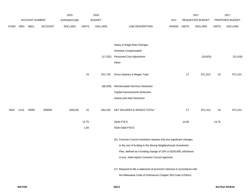|             |      |                       |                | 2015               |              | 2016           |                                                                           |             |       | 2017                    |              | 2017            |
|-------------|------|-----------------------|----------------|--------------------|--------------|----------------|---------------------------------------------------------------------------|-------------|-------|-------------------------|--------------|-----------------|
|             |      | <b>ACCOUNT NUMBER</b> |                | <b>EXPENDITURE</b> |              | <b>BUDGET</b>  |                                                                           | PAY         |       | <b>REQUESTED BUDGET</b> |              | PROPOSED BUDGET |
| <b>FUND</b> | ORG  | SBCL                  | <b>ACCOUNT</b> | <b>DOLLARS</b>     | <b>UNITS</b> | <b>DOLLARS</b> | LINE DESCRIPTION                                                          | RANGE UNITS |       | <b>DOLLARS</b>          | <b>UNITS</b> | <b>DOLLARS</b>  |
|             |      |                       |                |                    |              |                |                                                                           |             |       |                         |              |                 |
|             |      |                       |                |                    |              |                | Salary & Wage Rate Changes                                                |             |       |                         |              |                 |
|             |      |                       |                |                    |              |                | Overtime Compensated*                                                     |             |       |                         |              |                 |
|             |      |                       |                |                    |              | (17, 332)      | Personnel Cost Adjustment                                                 |             |       | (19, 823)               |              | (21, 516)       |
|             |      |                       |                |                    |              |                | Other                                                                     |             |       |                         |              |                 |
|             |      |                       |                |                    | 15           | 911,733        | Gross Salaries & Wages Total                                              |             | 17    | 971,313                 | 16           | 971,313         |
|             |      |                       |                |                    |              | (68, 300)      | Reimbursable Services Deduction                                           |             |       |                         |              |                 |
|             |      |                       |                |                    |              |                | Capital Improvements Deduction                                            |             |       |                         |              |                 |
|             |      |                       |                |                    |              |                | Grants and Aids Deduction                                                 |             |       |                         |              |                 |
| 0001        | 1110 | R999                  | 006000         | 828,026            | 15           | 843,433        | NET SALARIES & WAGES TOTAL*                                               |             | 17    | 971,313                 | 16           | 971,313         |
|             |      |                       |                |                    | 11.75        |                | O&M FTE'S                                                                 |             | 14.00 |                         | 13.75        |                 |
|             |      |                       |                |                    | 1.00         |                | NON-O&M FTE'S                                                             |             |       |                         |              |                 |
|             |      |                       |                |                    |              |                | (A) Common Council resolution requires that any significant changes       |             |       |                         |              |                 |
|             |      |                       |                |                    |              |                | in the use of funding in the Strong Neighborhoods Investment              |             |       |                         |              |                 |
|             |      |                       |                |                    |              |                | Plan, defined as a funding change of 10% or \$100,000, whichever          |             |       |                         |              |                 |
|             |      |                       |                |                    |              |                | is less, shall require Common Council approval.                           |             |       |                         |              |                 |
|             |      |                       |                |                    |              |                | (Y) Required to file a statement of economic interests in accordance with |             |       |                         |              |                 |
|             |      |                       |                |                    |              |                | the Milwaukee Code of Ordinances Chapter 303-Code of Ethics.              |             |       |                         |              |                 |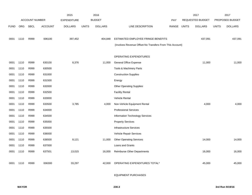|             |      |                       |                | 2015               |              | 2016           |                                                          |            |              | 2017             |              | 2017            |
|-------------|------|-----------------------|----------------|--------------------|--------------|----------------|----------------------------------------------------------|------------|--------------|------------------|--------------|-----------------|
|             |      | <b>ACCOUNT NUMBER</b> |                | <b>EXPENDITURE</b> |              | <b>BUDGET</b>  |                                                          | <b>PAY</b> |              | REQUESTED BUDGET |              | PROPOSED BUDGET |
| <b>FUND</b> | ORG  | <b>SBCL</b>           | <b>ACCOUNT</b> | <b>DOLLARS</b>     | <b>UNITS</b> | <b>DOLLARS</b> | LINE DESCRIPTION                                         | RANGE      | <b>UNITS</b> | <b>DOLLARS</b>   | <b>UNITS</b> | <b>DOLLARS</b>  |
|             |      |                       |                |                    |              |                |                                                          |            |              |                  |              |                 |
| 0001        | 1110 | R999                  | 006100         | 397,452            |              | 404,848        | ESTIMATED EMPLOYEE FRINGE BENEFITS                       |            |              | 437,091          |              | 437,091         |
|             |      |                       |                |                    |              |                | (Involves Revenue Offset-No Transfers From This Account) |            |              |                  |              |                 |
|             |      |                       |                |                    |              |                |                                                          |            |              |                  |              |                 |
|             |      |                       |                |                    |              |                | OPERATING EXPENDITURES                                   |            |              |                  |              |                 |
| 0001        | 1110 | R999                  | 630100         | 8,376              |              | 11,000         | <b>General Office Expense</b>                            |            |              | 11,000           |              | 11,000          |
| 0001        | 1110 | R999                  | 630500         |                    |              |                | Tools & Machinery Parts                                  |            |              |                  |              |                 |
| 0001        | 1110 | R999                  | 631000         |                    |              |                | <b>Construction Supplies</b>                             |            |              |                  |              |                 |
| 0001        | 1110 | R999                  | 631500         |                    |              |                | Energy                                                   |            |              |                  |              |                 |
| 0001        | 1110 | R999                  | 632000         |                    |              |                | <b>Other Operating Supplies</b>                          |            |              |                  |              |                 |
| 0001        | 1110 | R999                  | 632500         |                    |              |                | <b>Facility Rental</b>                                   |            |              |                  |              |                 |
| 0001        | 1110 | R999                  | 633000         |                    |              |                | Vehicle Rental                                           |            |              |                  |              |                 |
| 0001        | 1110 | R999                  | 633500         | 3,785              |              | 4,000          | Non-Vehicle Equipment Rental                             |            |              | 4,000            |              | 4,000           |
| 0001        | 1110 | R999                  | 634000         |                    |              |                | <b>Professional Services</b>                             |            |              |                  |              |                 |
| 0001        | 1110 | R999                  | 634500         |                    |              |                | Information Technology Services                          |            |              |                  |              |                 |
| 0001        | 1110 | R999                  | 635000         |                    |              |                | <b>Property Services</b>                                 |            |              |                  |              |                 |
| 0001        | 1110 | R999                  | 635500         |                    |              |                | <b>Infrastructure Services</b>                           |            |              |                  |              |                 |
| 0001        | 1110 | R999                  | 636000         |                    |              |                | Vehicle Repair Services                                  |            |              |                  |              |                 |
| 0001        | 1110 | R999                  | 636500         | 8,121              |              | 11,000         | <b>Other Operating Services</b>                          |            |              | 14,000           |              | 14,000          |
| 0001        | 1110 | R999                  | 637000         |                    |              |                | Loans and Grants                                         |            |              |                  |              |                 |
| 0001        | 1110 | R999                  | 637501         | 13,015             |              | 16,000         | Reimburse Other Departments                              |            |              | 16,000           |              | 16,000          |
|             |      |                       |                |                    |              |                |                                                          |            |              |                  |              |                 |
| 0001        | 1110 | R999                  | 006300         | 33,297             |              | 42,000         | OPERATING EXPENDITURES TOTAL*                            |            |              | 45,000           |              | 45,000          |
|             |      |                       |                |                    |              |                |                                                          |            |              |                  |              |                 |

EQUIPMENT PURCHASES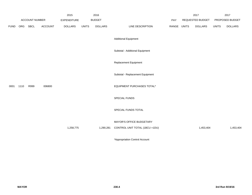|             |      |                       |                | 2015               |              | 2016           |                                  |             | 2017             |              | 2017            |
|-------------|------|-----------------------|----------------|--------------------|--------------|----------------|----------------------------------|-------------|------------------|--------------|-----------------|
|             |      | <b>ACCOUNT NUMBER</b> |                | <b>EXPENDITURE</b> |              | <b>BUDGET</b>  |                                  | PAY         | REQUESTED BUDGET |              | PROPOSED BUDGET |
| <b>FUND</b> | ORG  | SBCL                  | <b>ACCOUNT</b> | <b>DOLLARS</b>     | <b>UNITS</b> | <b>DOLLARS</b> | LINE DESCRIPTION                 | RANGE UNITS | <b>DOLLARS</b>   | <b>UNITS</b> | <b>DOLLARS</b>  |
|             |      |                       |                |                    |              |                | <b>Additional Equipment</b>      |             |                  |              |                 |
|             |      |                       |                |                    |              |                | Subtotal - Additional Equipment  |             |                  |              |                 |
|             |      |                       |                |                    |              |                | Replacement Equipment            |             |                  |              |                 |
|             |      |                       |                |                    |              |                | Subtotal - Replacement Equipment |             |                  |              |                 |
| 0001        | 1110 | R999                  | 006800         |                    |              |                | EQUIPMENT PURCHASES TOTAL*       |             |                  |              |                 |
|             |      |                       |                |                    |              |                | SPECIAL FUNDS                    |             |                  |              |                 |
|             |      |                       |                |                    |              |                | SPECIAL FUNDS TOTAL              |             |                  |              |                 |
|             |      |                       |                |                    |              |                | MAYOR'S OFFICE BUDGETARY         |             |                  |              |                 |
|             |      |                       |                | 1,258,775          |              | 1,290,281      | CONTROL UNIT TOTAL (1BCU =1DU)   |             | 1,453,404        |              | 1,453,404       |

\*Appropriation Control Account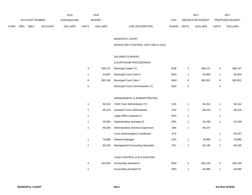|             |                       |      |                    | 2015           |               | 2016           |                           |                  | 2017           |                        | 201            |
|-------------|-----------------------|------|--------------------|----------------|---------------|----------------|---------------------------|------------------|----------------|------------------------|----------------|
|             | <b>ACCOUNT NUMBER</b> |      | <b>EXPENDITURE</b> |                | <b>BUDGET</b> | PAY            |                           | REQUESTED BUDGET |                | <b>PROPOSED BUDGET</b> |                |
| <b>FUND</b> | ORG                   | SBCL | <b>ACCOUNT</b>     | <b>DOLLARS</b> | <b>UNITS</b>  | <b>DOLLARS</b> | LINE DESCRIPTION<br>RANGE | <b>UNITS</b>     | <b>DOLLARS</b> | <b>UNITS</b>           | <b>DOLLARS</b> |

#### MUNICIPAL COURT

### BUDGETARY CONTROL UNIT (1BCU=1DU)

### SALARIES & WAGES

#### COURTROOM PROCEEDINGS

| 3  | 399.147 | Municipal Judge (Y)              | <b>EOE</b> | 399.147 |   | 399,147 |
|----|---------|----------------------------------|------------|---------|---|---------|
|    | 54.807  | Municipal Court Clerk II         | 6ON        | 55.903  |   | 55,903  |
| 8  | 392.340 | <b>Municipal Court Clerk I</b>   | 6NN        | 383.051 | 8 | 383,051 |
| -5 |         | Municipal Court Commissioner (Y) | 9QX        |         | 5 |         |

#### MANAGEMENT & ADMINISTRATION

| 1 | 94.314 | Chief Court Administrator (Y)           | 1KX | 94.314 |   | 94,314 |
|---|--------|-----------------------------------------|-----|--------|---|--------|
| 1 | 96.519 | Assistant Court Administrator           | 1GX | 96,519 | 1 | 96,519 |
| 1 |        | Legal Office Assistant IV               | 6FN |        | 1 |        |
| 1 | 45.665 | Administrative Assistant III            | 5FN | 42,539 |   | 42,539 |
| 1 | 48.294 | Administrative Services Supervisor      | 1BX | 49,107 |   |        |
|   |        | <b>Court Administrative Coordinator</b> | 1CX |        | 1 | 49,107 |
| 1 | 78.989 | Network Manager                         | 1GX | 78.989 | 1 | 78,989 |
| 1 | 69.195 | <b>Management Accounting Specialist</b> | 2FX | 69.195 |   | 69,195 |

#### CASH CONTROL & ACCOUNTING

|  | 162,650 Accounting Assistant II | 6HN | 160.126 | 160,126 |
|--|---------------------------------|-----|---------|---------|
|  | <b>Accounting Assistant III</b> | 5EN | 46.585  | 46,585  |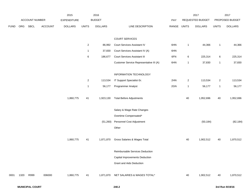|             |      |                |         | 2015               |                | 2016           |                                         |             |                | 2017             |              | 2017            |
|-------------|------|----------------|---------|--------------------|----------------|----------------|-----------------------------------------|-------------|----------------|------------------|--------------|-----------------|
|             |      | ACCOUNT NUMBER |         | <b>EXPENDITURE</b> |                | <b>BUDGET</b>  |                                         | PAY         |                | REQUESTED BUDGET |              | PROPOSED BUDGET |
| <b>FUND</b> | ORG  | SBCL           | ACCOUNT | <b>DOLLARS</b>     | <b>UNITS</b>   | <b>DOLLARS</b> | LINE DESCRIPTION                        | RANGE UNITS |                | <b>DOLLARS</b>   | <b>UNITS</b> | <b>DOLLARS</b>  |
|             |      |                |         |                    |                |                | <b>COURT SERVICES</b>                   |             |                |                  |              |                 |
|             |      |                |         |                    | $\overline{a}$ | 86,992         | Court Services Assistant IV             | 6HN         | $\mathbf{1}$   | 44,366           | $\mathbf{1}$ | 44,366          |
|             |      |                |         |                    | $\mathbf{1}$   | 37,830         | Court Services Assistant IV (A)         | 6HN         |                |                  |              |                 |
|             |      |                |         |                    | 6              | 186,677        | Court Services Assistant III            | 6FN         | $\,6\,$        | 225,314          | $\,6\,$      | 225,314         |
|             |      |                |         |                    |                |                | Customer Service Representative III (A) | 6HN         | $\mathbf{1}$   | 37,830           | $\mathbf{1}$ | 37,830          |
|             |      |                |         |                    |                |                | INFORMATION TECHNOLOGY                  |             |                |                  |              |                 |
|             |      |                |         |                    | $\overline{a}$ | 113,534        | IT Support Specialist-Sr.               | 2HN         | $\overline{c}$ | 113,534          | $\sqrt{2}$   | 113,534         |
|             |      |                |         |                    | $\mathbf{1}$   | 56,177         | Programmer Analyst                      | 2GN         | $\mathbf{1}$   | 56,177           | $\mathbf{1}$ | 56,177          |
|             |      |                |         | 1,860,775          | 41             | 1,923,130      | <b>Total Before Adjustments</b>         |             | 40             | 1,952,696        | 40           | 1,952,696       |
|             |      |                |         |                    |                |                | Salary & Wage Rate Changes              |             |                |                  |              |                 |
|             |      |                |         |                    |                |                | Overtime Compensated*                   |             |                |                  |              |                 |
|             |      |                |         |                    |                | (51,260)       | Personnel Cost Adjustment               |             |                | (50, 184)        |              | (82, 184)       |
|             |      |                |         |                    |                |                | Other                                   |             |                |                  |              |                 |
|             |      |                |         | 1,860,775          | 41             | 1,871,870      | Gross Salaries & Wages Total            |             | 40             | 1,902,512        | 40           | 1,870,512       |
|             |      |                |         |                    |                |                | Reimbursable Services Deduction         |             |                |                  |              |                 |
|             |      |                |         |                    |                |                | <b>Capital Improvements Deduction</b>   |             |                |                  |              |                 |
|             |      |                |         |                    |                |                | <b>Grant and Aids Deduction</b>         |             |                |                  |              |                 |
| 0001        | 1320 | R999           | 006000  | 1,860,775          | 41             |                | 1,871,870 NET SALARIES & WAGES TOTAL*   |             | 40             | 1,902,512        | 40           | 1,870,512       |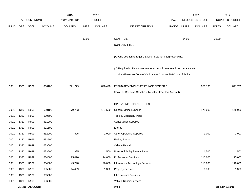|             |      |                        |                | 2015               |              | 2016           |                                                                           |             |       | 2017             |              | 2017            |
|-------------|------|------------------------|----------------|--------------------|--------------|----------------|---------------------------------------------------------------------------|-------------|-------|------------------|--------------|-----------------|
|             |      | ACCOUNT NUMBER         |                | <b>EXPENDITURE</b> |              | <b>BUDGET</b>  |                                                                           | PAY         |       | REQUESTED BUDGET |              | PROPOSED BUDGET |
| <b>FUND</b> | ORG  | SBCL                   | <b>ACCOUNT</b> | <b>DOLLARS</b>     | <b>UNITS</b> | <b>DOLLARS</b> | LINE DESCRIPTION                                                          | RANGE UNITS |       | <b>DOLLARS</b>   | <b>UNITS</b> | <b>DOLLARS</b>  |
|             |      |                        |                |                    |              |                |                                                                           |             |       |                  |              |                 |
|             |      |                        |                |                    | 32.00        |                | O&M FTE'S                                                                 |             | 34.00 |                  | 33.20        |                 |
|             |      |                        |                |                    |              |                | NON-O&M FTE'S                                                             |             |       |                  |              |                 |
|             |      |                        |                |                    |              |                | (A) One position to require English-Spanish Interpreter skills.           |             |       |                  |              |                 |
|             |      |                        |                |                    |              |                | (Y) Required to file a statement of economic interests in accordance with |             |       |                  |              |                 |
|             |      |                        |                |                    |              |                | the Milwaukee Code of Ordinances Chapter 303-Code of Ethics.              |             |       |                  |              |                 |
| 0001        | 1320 | R999                   | 006100         | 771,279            |              | 898,498        | ESTIMATED EMPLOYEE FRINGE BENEFITS                                        |             |       | 856,130          |              | 841,730         |
|             |      |                        |                |                    |              |                | (Involves Revenue Offset-No Transfers from this Account)                  |             |       |                  |              |                 |
|             |      |                        |                |                    |              |                | OPERATING EXPENDITURES                                                    |             |       |                  |              |                 |
| 0001        | 1320 | R999                   | 630100         | 179,793            |              | 164,500        | General Office Expense                                                    |             |       | 175,000          |              | 175,000         |
| 0001        | 1320 | R999                   | 630500         |                    |              |                | Tools & Machinery Parts                                                   |             |       |                  |              |                 |
| 0001        | 1320 | R999                   | 631000         |                    |              |                | <b>Construction Supplies</b>                                              |             |       |                  |              |                 |
| 0001        | 1320 | R999                   | 631500         |                    |              |                | Energy                                                                    |             |       |                  |              |                 |
| 0001        | 1320 | R999                   | 632000         | 525                |              | 1,000          | <b>Other Operating Supplies</b>                                           |             |       | 1,000            |              | 1,000           |
| 0001        | 1320 | R999                   | 632500         |                    |              |                | <b>Facility Rental</b>                                                    |             |       |                  |              |                 |
| 0001        | 1320 | R999                   | 633000         |                    |              |                | Vehicle Rental                                                            |             |       |                  |              |                 |
| 0001        | 1320 | R999                   | 633500         | 985                |              | 1,500          | Non-Vehicle Equipment Rental                                              |             |       | 1,500            |              | 1,500           |
| 0001        | 1320 | R999                   | 634000         | 125,020            |              | 114,000        | <b>Professional Services</b>                                              |             |       | 115,000          |              | 115,000         |
| 0001        | 1320 | R999                   | 634500         | 143,798            |              | 90,000         | <b>Information Technology Services</b>                                    |             |       | 110,000          |              | 110,000         |
| 0001        | 1320 | R999                   | 635000         | 14,409             |              | 1,300          | <b>Property Services</b>                                                  |             |       | 1,300            |              | 1,300           |
| 0001        | 1320 | R999                   | 635500         |                    |              |                | <b>Infrastructure Services</b>                                            |             |       |                  |              |                 |
| 0001        | 1320 | R999                   | 636000         |                    |              |                | Vehicle Repair Services                                                   |             |       |                  |              |                 |
|             |      | <b>MUNICIPAL COURT</b> |                |                    |              |                | 240.3                                                                     |             |       |                  |              | 3rd Run 9/19/16 |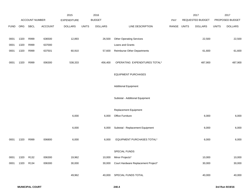|             |      |                |         | 2015               |              | 2016           |                                     |             | 2017             |              | 2017            |
|-------------|------|----------------|---------|--------------------|--------------|----------------|-------------------------------------|-------------|------------------|--------------|-----------------|
|             |      | ACCOUNT NUMBER |         | <b>EXPENDITURE</b> |              | <b>BUDGET</b>  |                                     | PAY         | REQUESTED BUDGET |              | PROPOSED BUDGET |
| <b>FUND</b> |      | ORG SBCL       | ACCOUNT | <b>DOLLARS</b>     | <b>UNITS</b> | <b>DOLLARS</b> | LINE DESCRIPTION                    | RANGE UNITS | <b>DOLLARS</b>   | <b>UNITS</b> | <b>DOLLARS</b>  |
|             |      |                |         |                    |              |                |                                     |             |                  |              |                 |
| 0001        | 1320 | R999           | 636500  | 12,893             |              | 26,500         | <b>Other Operating Services</b>     |             | 22,500           |              | 22,500          |
| 0001        | 1320 | R999           | 637000  |                    |              |                | Loans and Grants                    |             |                  |              |                 |
| 0001        | 1320 | R999           | 637501  | 60,910             |              | 57,600         | <b>Reimburse Other Departments</b>  |             | 61,600           |              | 61,600          |
|             |      |                |         |                    |              |                |                                     |             |                  |              |                 |
| 0001        | 1320 | R999           | 006300  | 538,333            |              | 456,400        | OPERATING EXPENDITURES TOTAL*       |             | 487,900          |              | 487,900         |
|             |      |                |         |                    |              |                |                                     |             |                  |              |                 |
|             |      |                |         |                    |              |                | <b>EQUIPMENT PURCHASES</b>          |             |                  |              |                 |
|             |      |                |         |                    |              |                |                                     |             |                  |              |                 |
|             |      |                |         |                    |              |                | <b>Additional Equipment</b>         |             |                  |              |                 |
|             |      |                |         |                    |              |                |                                     |             |                  |              |                 |
|             |      |                |         |                    |              |                | Subtotal - Additional Equipment     |             |                  |              |                 |
|             |      |                |         |                    |              |                |                                     |             |                  |              |                 |
|             |      |                |         |                    |              |                | Replacement Equipment               |             |                  |              |                 |
|             |      |                |         | 6,000              |              | 6,000          | Office Furniture                    |             | 6,000            |              | 6,000           |
|             |      |                |         | 6,000              |              | 6,000          | Subtotal - Replacement Equipment    |             | 6,000            |              | 6,000           |
|             |      |                |         |                    |              |                |                                     |             |                  |              |                 |
| 0001        | 1320 | R999           | 006800  | 6,000              |              | 6,000          | EQUIPMENT PURCHASES TOTAL*          |             | 6,000            |              | 6,000           |
|             |      |                |         |                    |              |                |                                     |             |                  |              |                 |
|             |      |                |         |                    |              |                | SPECIAL FUNDS                       |             |                  |              |                 |
| 0001        | 1320 | R132           | 006300  | 19,962             |              | 10,000         | Minor Projects*                     |             | 10,000           |              | 10,000          |
| 0001        | 1320 | R134           | 006300  | 30,000             |              | 30,000         | Court Hardware Replacement Project* |             | 30,000           |              | 30,000          |
|             |      |                |         |                    |              |                |                                     |             |                  |              |                 |
|             |      |                |         | 49,962             |              | 40,000         | SPECIAL FUNDS TOTAL                 |             | 40,000           |              | 40,000          |
|             |      |                |         |                    |              |                |                                     |             |                  |              |                 |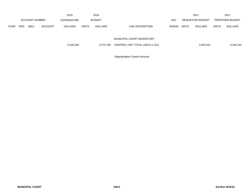|             |            |                       |                | 2015           |              | 2016           |                                |       |              | 2017             |              | 2017                   |
|-------------|------------|-----------------------|----------------|----------------|--------------|----------------|--------------------------------|-------|--------------|------------------|--------------|------------------------|
|             |            | <b>ACCOUNT NUMBER</b> |                | EXPENDITURE    |              | <b>BUDGET</b>  |                                | PAY   |              | REQUESTED BUDGET |              | <b>PROPOSED BUDGET</b> |
| <b>FUND</b> | <b>ORG</b> | <b>SBCL</b>           | <b>ACCOUNT</b> | <b>DOLLARS</b> | <b>UNITS</b> | <b>DOLLARS</b> | LINE DESCRIPTION               | RANGE | <b>UNITS</b> | <b>DOLLARS</b>   | <b>UNITS</b> | <b>DOLLARS</b>         |
|             |            |                       |                |                |              |                |                                |       |              |                  |              |                        |
|             |            |                       |                |                |              |                | MUNICIPAL COURT BUDGETARY      |       |              |                  |              |                        |
|             |            |                       |                | 3,226,349      |              | 3,272,768      | CONTROL UNIT TOTAL (1BCU=1 DU) |       |              | 3,292,542        |              | 3,246,142              |
|             |            |                       |                |                |              |                |                                |       |              |                  |              |                        |

\*Appropriation Control Account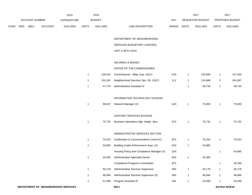|      |     |                       |                | 2015                                |              | 2016           |                                           |             |              | 2017             |                         | 2017            |
|------|-----|-----------------------|----------------|-------------------------------------|--------------|----------------|-------------------------------------------|-------------|--------------|------------------|-------------------------|-----------------|
|      |     | <b>ACCOUNT NUMBER</b> |                | <b>EXPENDITURE</b>                  |              | <b>BUDGET</b>  |                                           | PAY         |              | REQUESTED BUDGET |                         | PROPOSED BUDGET |
| FUND | ORG | SBCL                  | <b>ACCOUNT</b> | <b>DOLLARS</b>                      | <b>UNITS</b> | <b>DOLLARS</b> | LINE DESCRIPTION                          | RANGE UNITS |              | <b>DOLLARS</b>   | <b>UNITS</b>            | <b>DOLLARS</b>  |
|      |     |                       |                |                                     |              |                |                                           |             |              |                  |                         |                 |
|      |     |                       |                |                                     |              |                | DEPARTMENT OF NEIGHBORHOOD                |             |              |                  |                         |                 |
|      |     |                       |                |                                     |              |                | SERVICES BUDGETARY CONTROL                |             |              |                  |                         |                 |
|      |     |                       |                |                                     |              |                | UNIT (1 BCU=1DU)                          |             |              |                  |                         |                 |
|      |     |                       |                |                                     |              |                | SALARIES & WAGES                          |             |              |                  |                         |                 |
|      |     |                       |                |                                     |              |                | OFFICE OF THE COMMISSIONER                |             |              |                  |                         |                 |
|      |     |                       |                |                                     | $\mathbf{1}$ | 139,242        | Commissioner - Bldg. Insp. (X)(Y)         | 1OX         | $\mathbf{1}$ | 135,000          | 1                       | 147,335         |
|      |     |                       |                |                                     | $\mathbf{1}$ | 101,341        | Neighborhood Services Ops. Dir. (X)(Y)    | 1LX         | $\mathbf{1}$ | 110,689          | $\overline{\mathbf{c}}$ | 204,397         |
|      |     |                       |                |                                     | $\mathbf{1}$ | 47,779         | Administrative Assistant IV               |             | $\mathbf{1}$ | 48,735           | 1                       | 48,735          |
|      |     |                       |                |                                     |              |                |                                           |             |              |                  |                         |                 |
|      |     |                       |                |                                     |              |                | INFORMATION TECHNOLOGY DIVISION           |             |              |                  |                         |                 |
|      |     |                       |                |                                     | $\mathbf{1}$ | 96,637         | Network Manager (X)                       | 1GX         | $\mathbf{1}$ | 75,000           | 1                       | 75,000          |
|      |     |                       |                |                                     |              |                |                                           |             |              |                  |                         |                 |
|      |     |                       |                |                                     |              |                | SUPPORT SERVICES DIVISION                 |             |              |                  |                         |                 |
|      |     |                       |                |                                     | $\mathbf{1}$ | 75,732         | Business Operations Mgr.-Neigh. Serv.     | 1FX         | $\mathbf{1}$ | 75,732           | 1                       | 75,732          |
|      |     |                       |                |                                     |              |                |                                           |             |              |                  |                         |                 |
|      |     |                       |                |                                     |              |                | ADMINISTRATIVE SERVICES SECTION           |             |              |                  |                         |                 |
|      |     |                       |                |                                     | $\mathbf{1}$ | 70,253         | Certification & Communications Coord.(X)  | 2FX         | $\mathbf{1}$ | 70,253           | 1                       | 70,253          |
|      |     |                       |                |                                     | $\mathbf{1}$ | 54,865         | Building Codes Enforcement Supv. (X)      | 1DX         | $\mathbf{1}$ | 54,865           |                         |                 |
|      |     |                       |                |                                     |              |                | Housing Policy and Compliance Manager (X) | 1DX         |              |                  | 1                       | 54,865          |
|      |     |                       |                |                                     | $\mathbf{1}$ | 45,305         | Administrative Specialist Senior          | 2EX         | $\mathbf{1}$ | 45,305           |                         |                 |
|      |     |                       |                |                                     |              |                | Compliance Programs Coordinator           | 2FX         |              |                  | $\mathbf{1}$            | 45,305          |
|      |     |                       |                |                                     | $\mathbf{1}$ | 50,178         | Administrative Services Supervisor        | 1BX         | $\mathbf{1}$ | 50,178           | $\mathbf{1}$            | 50,178          |
|      |     |                       |                |                                     | $\mathbf{1}$ | 48,994         | Administrative Services Supervisor (X)    | 1BX         | $\mathbf{1}$ | 48,994           | $\mathbf{1}$            | 48,994          |
|      |     |                       |                |                                     | $\mathbf{1}$ | 51,268         | Program Assistant III                     | 5IN         | $\mathbf{1}$ | 53,268           | 1                       | 53,268          |
|      |     |                       |                | DEPARTMENT OF NEIGHBORHOOD SERVICES |              |                | 250.1                                     |             |              |                  |                         | 3rd Run 9/19/16 |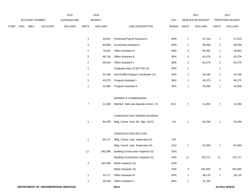|             |     |                       |                | 2015                                |                         | 2016           |                                       |                 |                         | 2017             |                | 2017            |
|-------------|-----|-----------------------|----------------|-------------------------------------|-------------------------|----------------|---------------------------------------|-----------------|-------------------------|------------------|----------------|-----------------|
|             |     | <b>ACCOUNT NUMBER</b> |                | EXPENDITURE                         |                         | <b>BUDGET</b>  |                                       | PAY             |                         | REQUESTED BUDGET |                | PROPOSED BUDGET |
| <b>FUND</b> | ORG | <b>SBCL</b>           | <b>ACCOUNT</b> | <b>DOLLARS</b>                      | <b>UNITS</b>            | <b>DOLLARS</b> | LINE DESCRIPTION                      | RANGE           | <b>UNITS</b>            | <b>DOLLARS</b>   | <b>UNITS</b>   | <b>DOLLARS</b>  |
|             |     |                       |                |                                     | $\mathbf{1}$            | 45,831         | Personnel Payroll Assistant II        | 6HN             | $\mathbf{1}$            | 47,519           | $\mathbf{1}$   | 47,519          |
|             |     |                       |                |                                     | $\overline{c}$          | 83,680         | <b>Accounting Assistant II</b>        | 6HN             | $\overline{c}$          | 80,559           | $\overline{2}$ | 80,559          |
|             |     |                       |                |                                     | $\overline{c}$          | 79,632         | Office Assistant IV                   | 6HN             | $\overline{c}$          | 80,955           | $\mathbf{1}$   | 40,864          |
|             |     |                       |                |                                     | $\overline{2}$          | 69,718         | Office Assistant III                  | 6FN             | $\overline{c}$          | 62,279           | $\overline{2}$ | 62,279          |
|             |     |                       |                |                                     | $\overline{\mathbf{c}}$ | 69,434         | Office Assistant II                   | 6EN             | $\overline{\mathbf{c}}$ | 62,279           | $\overline{2}$ | 62,279          |
|             |     |                       |                |                                     | $\mathbf{1}$            |                | Graduate Intern (0.58 FTE) (X)        | 9PN             | $\mathbf{1}$            |                  | $\mathbf{1}$   |                 |
|             |     |                       |                |                                     | $\mathbf{1}$            | 44,158         | Anti-Graffiti Program Coordinator (X) | 2DN             | $\overline{1}$          | 44,158           | $\mathbf{1}$   | 44,158          |
|             |     |                       |                |                                     | $\mathbf{1}$            | 43,575         | Program Assistant I                   | 5EN             | $\overline{1}$          | 45,273           | $\mathbf{1}$   | 45,273          |
|             |     |                       |                |                                     | $\mathbf{1}$            | 42,080         | Program Assistant II                  | 5FN             | $\overline{1}$          | 45,936           | $\mathbf{1}$   | 45,936          |
|             |     |                       |                |                                     |                         |                | <b>BOARDS &amp; COMMISSIONS</b>       |                 |                         |                  |                |                 |
|             |     |                       |                |                                     | $\overline{7}$          | 21,000         | Member, Stds and Appeals Comm. (Y)    | BC <sub>1</sub> | $\overline{7}$          | 21,000           | $\overline{7}$ | 21,000          |
|             |     |                       |                |                                     |                         |                | CONSTRUCTION TRADES DIVISION          |                 |                         |                  |                |                 |
|             |     |                       |                |                                     | $\mathbf{1}$            | 94,206         | Bldg. Constr. Insp. Div. Mgr. (X)(Y)  | 11X             | $\overline{1}$          | 94,206           | $\mathbf{1}$   | 94,206          |
|             |     |                       |                |                                     |                         |                | CONSTRUCTION SECTION                  |                 |                         |                  |                |                 |
|             |     |                       |                |                                     | $\mathbf{1}$            | 69,727         | Bldg. Constr. Insp. Supervisor (X)    | 1FX             |                         |                  |                |                 |
|             |     |                       |                |                                     |                         |                | Bldg. Constr. Insp. Supervisor (X)    | 1GX             | $\overline{1}$          | 87,000           | 1              | 87,000          |
|             |     |                       |                |                                     | 11                      | 642,588        | Building Construction Inspector (X)   | 2GN             |                         |                  |                |                 |
|             |     |                       |                |                                     |                         |                | Building Construction Inspector (X)   | 2HN             | 11                      | 720,717          | 11             | 720,717         |
|             |     |                       |                |                                     | $\mathbf{3}$            | 183,490        | Boiler Inspector (X)                  | 2GN             |                         |                  |                |                 |
|             |     |                       |                |                                     |                         |                | Boiler Inspector (X)                  | 2HN             | $\mathbf{3}$            | 202,665          | $\mathbf{3}$   | 202,665         |
|             |     |                       |                |                                     | $\mathbf{1}$            | 34,717         | Office Assistant III                  | 6FN             | $\mathbf{1}$            | 36,119           | $\mathbf{1}$   | 36,119          |
|             |     |                       |                |                                     | $\mathbf{1}$            | 30,529         | Office Assistant II                   | 6EN             | $\mathbf{1}$            | 31,762           |                |                 |
|             |     |                       |                | DEPARTMENT OF NEIGHBORHOOD SERVICES |                         |                | 250.2                                 |                 |                         |                  |                | 3rd Run 9/19/16 |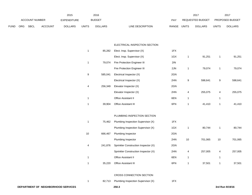|             |                       |             |                | 2015               |       | 2016           |                           | 2017             |                |       | 201                    |
|-------------|-----------------------|-------------|----------------|--------------------|-------|----------------|---------------------------|------------------|----------------|-------|------------------------|
|             | <b>ACCOUNT NUMBER</b> |             |                | <b>EXPENDITURE</b> |       | <b>BUDGET</b>  | PAY                       | REQUESTED BUDGET |                |       | <b>PROPOSED BUDGET</b> |
| <b>FUND</b> | ORG                   | <b>SBCL</b> | <b>ACCOUNT</b> | <b>DOLLARS</b>     | UNITS | <b>DOLLARS</b> | LINE DESCRIPTION<br>RANGE | <b>UNITS</b>     | <b>DOLLARS</b> | UNITS | <b>DOLLARS</b>         |

#### ELECTRICAL INSPECTION SECTION

| 1            | 85,282  | Elect. Insp. Supervisor (X)          | 1FX |    |         |    |         |
|--------------|---------|--------------------------------------|-----|----|---------|----|---------|
|              |         | Elect. Insp. Supervisor (X)          | 1GX | 1  | 91,251  | 1  | 91,251  |
| $\mathbf{1}$ | 79,074  | Fire Protection Engineer III         | 2IN |    |         |    |         |
|              |         | Fire Protection Engineer III         | 2JN | 1  | 79,074  | 1  | 79,074  |
| 9            | 585,041 | Electrical Inspector (X)             | 2GN |    |         |    |         |
|              |         | Electrical Inspector (X)             | 2HN | 9  | 598,641 | 9  | 598,641 |
| 4            | 256,349 | Elevator Inspector (X)               | 2GN |    |         |    |         |
|              |         | Elevator Inspector (X)               | 2HN | 4  | 255,075 | 4  | 255,075 |
| 1            |         | Office Assistant II                  | 6EN | 1  |         | 1  |         |
| 1            | 39,904  | Office Assistant III                 | 6FN | 1  | 41,410  | 1  | 41,410  |
|              |         |                                      |     |    |         |    |         |
|              |         | PLUMBING INSPECTION SECTION          |     |    |         |    |         |
| 1            | 75,462  | Plumbing Inspection Supervisor (X)   | 1FX |    |         |    |         |
|              |         | Plumbing Inspection Supervisor (X)   | 1GX | 1  | 80,744  | 1  | 80,744  |
| 10           | 666,467 | Plumbing Inspector                   | 2GN |    |         |    |         |
|              |         | Plumbing Inspector                   | 2HN | 10 | 701,065 | 10 | 701,065 |
| 4            | 241,876 | Sprinkler Construction Inspector (X) | 2GN |    |         |    |         |
|              |         | Sprinkler Construction Inspector (X) | 2HN | 4  | 257,005 | 4  | 257,005 |
| 1            |         | Office Assistant II                  | 6EN | 1  |         | 1  |         |
| 1            | 35,220  | Office Assistant III                 | 6FN | 1  | 37,501  | 1  | 37,501  |
|              |         |                                      |     |    |         |    |         |

#### CROSS CONNECTION SECTION

1 82,713 Plumbing Inspection Supervisor (X) 1FX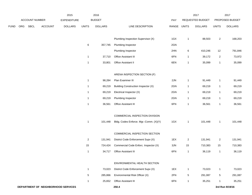|      |     |                |                | 2015                                |                | 2016           |                                        |       |                | 2017             |                | 2017            |
|------|-----|----------------|----------------|-------------------------------------|----------------|----------------|----------------------------------------|-------|----------------|------------------|----------------|-----------------|
|      |     | ACCOUNT NUMBER |                | <b>EXPENDITURE</b>                  |                | <b>BUDGET</b>  |                                        | PAY   |                | REQUESTED BUDGET |                | PROPOSED BUDGET |
| FUND | ORG | <b>SBCL</b>    | <b>ACCOUNT</b> | <b>DOLLARS</b>                      | <b>UNITS</b>   | <b>DOLLARS</b> | LINE DESCRIPTION                       | RANGE | <b>UNITS</b>   | <b>DOLLARS</b>   | <b>UNITS</b>   | <b>DOLLARS</b>  |
|      |     |                |                |                                     |                |                | Plumbing Inspection Supervisor (X)     | 1GX   | $\mathbf{1}$   | 88,503           | $\overline{a}$ | 168,203         |
|      |     |                |                |                                     | $\,6\,$        | 357,745        | Plumbing Inspector                     | 2GN   |                |                  |                |                 |
|      |     |                |                |                                     |                |                | Plumbing Inspector                     | 2HN   | 6              | 410,246          | 12             | 791,846         |
|      |     |                |                |                                     | $\mathbf{1}$   | 37,710         | Office Assistant III                   | 6FN   | $\mathbf{1}$   | 39,172           | $\overline{a}$ | 73,972          |
|      |     |                |                |                                     | $\mathbf 1$    | 33,801         | Office Assistant II                    | 6EN   | $\mathbf{1}$   | 35,099           | $\mathbf{1}$   | 35,099          |
|      |     |                |                |                                     |                |                | ARENA INSPECTION SECTION (F)           |       |                |                  |                |                 |
|      |     |                |                |                                     | $\mathbf{1}$   | 98,284         | Plan Examiner III                      | 2JN   | $\mathbf{1}$   | 91,449           | $\mathbf{1}$   | 91,449          |
|      |     |                |                |                                     | $\mathbf{1}$   | 69,219         | Building Construction Inspector (X)    | 2GN   | $\mathbf{1}$   | 69,219           | $\mathbf{1}$   | 69,219          |
|      |     |                |                |                                     | $\mathbf{1}$   | 69,219         | Electrical Inspector (X)               | 2GN   | $\mathbf{1}$   | 69,219           | $\mathbf{1}$   | 69,219          |
|      |     |                |                |                                     | $\mathbf{1}$   | 69,219         | Plumbing Inspector                     | 2GN   | $\mathbf{1}$   | 69,219           | $\mathbf{1}$   | 69,219          |
|      |     |                |                |                                     | $\mathbf{1}$   | 36,561         | Office Assistant III                   | 6FN   | $\mathbf{1}$   | 36,561           | $\mathbf{1}$   | 36,561          |
|      |     |                |                |                                     |                |                | COMMERCIAL INSPECTION DIVISION         |       |                |                  |                |                 |
|      |     |                |                |                                     | $\mathbf{1}$   | 101,448        | Bldg. Codes Enforce. Mgr.-Comm. (X)(Y) | 1GX   | $\mathbf{1}$   | 101,448          | $\mathbf{1}$   | 101,448         |
|      |     |                |                |                                     |                |                | COMMERCIAL INSPECTION SECTION          |       |                |                  |                |                 |
|      |     |                |                |                                     | $\overline{c}$ | 131,941        | District Code Enforcement Supv (X)     | 1EX   | $\overline{2}$ | 131,941          | $\overline{a}$ | 131,941         |
|      |     |                |                |                                     | 15             | 724,424        | Commercial Code Enforc. Inspector (X)  | 3JN   | 15             | 710,383          | 15             | 710,383         |
|      |     |                |                |                                     | $\mathbf{1}$   | 34,717         | Office Assistant III                   | 6FN   | $\mathbf{1}$   | 36,119           | $\mathbf{1}$   | 36,119          |
|      |     |                |                |                                     |                |                | ENVIRONMENTAL HEALTH SECTION           |       |                |                  |                |                 |
|      |     |                |                |                                     | $\mathbf{1}$   | 73,023         | District Code Enforcement Supv (X)     | 1EX   | $\mathbf{1}$   | 73,023           | $\mathbf{1}$   | 73,023          |
|      |     |                |                |                                     | $\,$ 5 $\,$    | 285,866        | Environmental Risk Officer (X)         | 2FN   | $\sqrt{5}$     | 291,087          | $\overline{5}$ | 291,087         |
|      |     |                |                |                                     | $\mathbf{1}$   | 25,652         | Office Assistant III                   | 6FN   | $\mathbf{1}$   | 35,251           | $\mathbf{1}$   | 35,251          |
|      |     |                |                | DEPARTMENT OF NEIGHBORHOOD SERVICES |                |                | 250.4                                  |       |                |                  |                | 3rd Run 9/19/16 |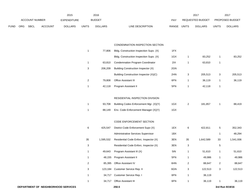|      |                |      |                | 2015               |              | 2016           |                                  | 2017                    |              | 2017                   |
|------|----------------|------|----------------|--------------------|--------------|----------------|----------------------------------|-------------------------|--------------|------------------------|
|      | ACCOUNT NUMBER |      |                | <b>EXPENDITURE</b> |              | <b>BUDGET</b>  | PAY                              | REQUESTED BUDGET        |              | <b>PROPOSED BUDGET</b> |
| FUND | <b>ORG</b>     | SBCL | <b>ACCOUNT</b> | <b>DOLLARS</b>     | <b>UNITS</b> | <b>DOLLARS</b> | LINE DESCRIPTION<br><b>RANGE</b> | UNITS<br><b>DOLLARS</b> | <b>UNITS</b> | <b>DOLLARS</b>         |

#### CONDEMNATION INSPECTION SECTION

|   | 77.806  | Bldg. Construction Inspection Supv. (X) | 1FX |   |         |   |         |
|---|---------|-----------------------------------------|-----|---|---------|---|---------|
|   |         | Bldg. Construction Inspection Supv. (X) | 1GX |   | 83,252  |   | 83,252  |
|   | 63.810  | <b>Condemnation Program Coordinator</b> | 2IX |   | 63,810  |   |         |
| 3 | 206.209 | Building Construction Inspector (X)     | 2GN |   |         |   |         |
|   |         | Building Construction Inspector (X)(C)  | 2HN | 3 | 205.513 | 3 | 205,513 |
| 2 | 79.808  | <b>Office Assistant III</b>             | 6FN |   | 36.119  |   | 36,119  |
|   | 42.118  | Program Assistant II                    | 5FN |   | 42.118  |   |         |

#### RESIDENTIAL INSPECTION DIVISION

| 93.708 | Building Codes Enforcement Mgr. (X)(Y)      | 1GX | 181.857 | 88.419 |
|--------|---------------------------------------------|-----|---------|--------|
|        | 88,149 Env. Code Enforcement Manager (X)(Y) | 1GX |         |        |

#### CODE ENFORCEMENT SECTION

| 6  | 425.547   | District Code Enforcement Supy (X)        | 1EX | 6  | 422.811   | 5  | 352,343   |
|----|-----------|-------------------------------------------|-----|----|-----------|----|-----------|
|    |           | <b>Administrative Services Supervisor</b> | 1BX |    |           | 1  | 48,294    |
| 35 | 1,595,532 | Residential Code Enforc. Inspector (X)    | 3EN | 35 | 1,642,589 | 33 | 1,541,936 |
| 3  |           | Residential Code Enforc. Inspector (X)    | 3EN | 3  |           | 5  |           |
| 1  | 49.643    | Program Assistant III (X)                 | 5IN |    | 51,610    | 1  | 51,610    |
| 1  | 48,155    | Program Assistant II                      | 5FN | 1  | 49,986    | 1  | 49,986    |
| 2  | 85.395    | <b>Office Assistant IV</b>                | 6HN | 2  | 88,647    | 2  | 88,647    |
| 3  | 123.184   | Customer Service Rep. II                  | 6GN | 3  | 122,513   | 3  | 122,513   |
| 1  | 34,717    | Customer Service Rep. I                   | 6FN | 1  | 36,119    |    |           |
| 1  | 34.717    | <b>Office Assistant III</b>               | 6FN |    | 36,119    |    | 36,119    |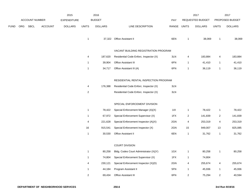|      |     |                       |                | 2015               |                              | 2016           |                                                                                                                           |             |                  | 2017             |                         | 2017            |
|------|-----|-----------------------|----------------|--------------------|------------------------------|----------------|---------------------------------------------------------------------------------------------------------------------------|-------------|------------------|------------------|-------------------------|-----------------|
|      |     | <b>ACCOUNT NUMBER</b> |                | <b>EXPENDITURE</b> |                              | <b>BUDGET</b>  |                                                                                                                           | PAY         |                  | REQUESTED BUDGET |                         | PROPOSED BUDGET |
| FUND | ORG | SBCL                  | <b>ACCOUNT</b> | <b>DOLLARS</b>     | <b>UNITS</b>                 | <b>DOLLARS</b> | LINE DESCRIPTION                                                                                                          | RANGE UNITS |                  | <b>DOLLARS</b>   | <b>UNITS</b>            | <b>DOLLARS</b>  |
|      |     |                       |                |                    | $\mathbf{1}$                 |                | 37,322 Office Assistant II                                                                                                | 6EN         | $\overline{1}$   | 38,069           | $\mathbf{1}$            | 38,069          |
|      |     |                       |                |                    |                              |                | VACANT BUILDING REGISTRATION PROGRAM                                                                                      |             |                  |                  |                         |                 |
|      |     |                       |                |                    | 4                            | 187,620        | Residential Code Enforc. Inspector (X)                                                                                    | 3LN         | 4                | 183,884          | 4                       | 183,884         |
|      |     |                       |                |                    | $\mathbf{1}$                 | 39,904         | Office Assistant III                                                                                                      | 6FN         | $\mathbf{1}$     | 41,410           | $\mathbf{1}$            | 41,410          |
|      |     |                       |                |                    | $\mathbf{1}$                 | 34,717         | Office Assistant III (A)                                                                                                  | 6FN         | $\mathbf{1}$     | 36,119           | $\mathbf{1}$            | 36,119          |
|      |     |                       |                |                    | 4<br>$\overline{\mathbf{c}}$ | 176,388        | RESIDENTIAL RENTAL INSPECTION PROGRAM<br>Residential Code Enforc. Inspector (X)<br>Residential Code Enforc. Inspector (X) | 3LN<br>3LN  |                  |                  |                         |                 |
|      |     |                       |                |                    |                              |                | SPECIAL ENFORCEMENT DIVISION                                                                                              |             |                  |                  |                         |                 |
|      |     |                       |                |                    | $\mathbf{1}$                 | 78,422         | Special Enforcement Manager (A)(X)                                                                                        | 11X         | $\mathbf{1}$     | 78,422           | $\mathbf{1}$            | 78,422          |
|      |     |                       |                |                    | $\mathbf{1}$                 | 67,972         | Special Enforcement Supervisor (X)                                                                                        | 1FX         | $\overline{c}$   | 141,839          | $\overline{2}$          | 141,839         |
|      |     |                       |                |                    | 4                            | 221,628        | Special Enforcement Inspector (A)(X)                                                                                      | 2GN         | 4                | 253,319          | 4                       | 253,319         |
|      |     |                       |                |                    | 16                           | 915,541        | Special Enforcement Inspector (X)                                                                                         | 2GN         | 15               | 949,007          | 13                      | 825,085         |
|      |     |                       |                |                    | $\mathbf{1}$                 | 30,530         | Office Assistant II                                                                                                       | 6EN         | $\mathbf{1}$     | 31,762           | $\mathbf{1}$            | 31,762          |
|      |     |                       |                |                    |                              |                | <b>COURT DIVISION</b>                                                                                                     |             |                  |                  |                         |                 |
|      |     |                       |                |                    | $\mathbf{1}$                 | 80,258         | Bldg. Codes Court Administrator (X)(Y)                                                                                    | 1GX         | $\mathbf{1}$     | 80,258           | $\mathbf{1}$            | 80,258          |
|      |     |                       |                |                    | $\mathbf{1}$                 | 74,804         | Special Enforcement Supervisor (X)                                                                                        | 1FX         | $\mathbf{1}$     | 74,804           |                         |                 |
|      |     |                       |                |                    | 4                            | 230,121        | Special Enforcement Inspector (X)(D)                                                                                      | 2GN         | 4                | 255,674          | $\overline{\mathbf{4}}$ | 255,674         |
|      |     |                       |                |                    | $\mathbf{1}$                 | 44,184         | Program Assistant II                                                                                                      | 5FN         | $\mathbf{1}$     | 45,936           | $\mathbf{1}$            | 45,936          |
|      |     |                       |                |                    | $\overline{\mathbf{c}}$      | 69,434         | Office Assistant III                                                                                                      | 6FN         | $\boldsymbol{2}$ | 75,294           | $\overline{2}$          | 40,594          |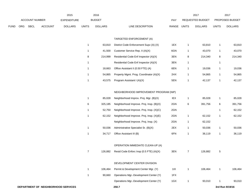|      |     |                |                | 2015           |              | 2016           |                  |       |       | 2017             |              | 2017                   |
|------|-----|----------------|----------------|----------------|--------------|----------------|------------------|-------|-------|------------------|--------------|------------------------|
|      |     | ACCOUNT NUMBER |                | EXPENDITURE    |              | <b>BUDGET</b>  |                  | PAY   |       | REQUESTED BUDGET |              | <b>PROPOSED BUDGET</b> |
| FUND | ORG | SBCL           | <b>ACCOUNT</b> | <b>DOLLARS</b> | <b>UNITS</b> | <b>DOLLARS</b> | LINE DESCRIPTION | RANGE | UNITS | <b>DOLLARS</b>   | <b>UNITS</b> | <b>DOLLARS</b>         |

## TARGETED ENFORCEMENT (A)

|   | 63.810  | District Code Enforcement Supy (A) (X)  | 1EX |   | 63,810  |   | 63,810  |
|---|---------|-----------------------------------------|-----|---|---------|---|---------|
|   | 41.500  | Customer Service Rep. II (A)(X)         | 6GN |   | 43,070  |   | 43,070  |
| 8 | 214.999 | Residential Code Enf Inspector (A)(X)   | 3EN | 8 | 214.340 | 8 | 214,340 |
|   |         | Residential Code Enf Inspector (A)(X)   | 3EN |   |         |   |         |
|   | 18.663  | Office Assistant II (0.50 FTE) (A)      | 6EN |   | 19.036  |   | 19,036  |
|   | 54.865  | Property Mgmt. Prog. Coordinator (A)(X) | 2HX |   | 54.865  |   | 54,865  |
|   | 43.575  | Program Assistant I (A)(X)              | 5EN |   | 42.137  |   | 42.137  |

## NEIGHBORHOOD IMPROVEMENT PROGRAM (NIP)

| 1 | 85.028  | Neighborhood Improv. Proj. Mgr. (B)(X)   | IEX |   | 85,028  | 1 | 85,028  |
|---|---------|------------------------------------------|-----|---|---------|---|---------|
| 6 | 325.185 | Neighborhood Improve. Proj. Insp. (B)(X) | 2GN | 6 | 391.756 | 6 | 391,756 |
| 1 | 52.750  | Neighborhood Improve. Proj. Insp. (X)(C) | 2GN |   |         | 1 | 62,152  |
| 1 | 62.152  | Neighborhood Improve. Proj. Insp. (X)(E) | 2GN |   | 62,152  | 1 | 62,152  |
|   |         | Neighborhood Improve. Proj. Insp. (X)    | 2GN |   | 62,152  |   |         |
| 1 | 50.036  | Administrative Specialist Sr. (B)(X)     | 2EX |   | 50,036  | 1 | 50,036  |
| 1 | 34.717  | Office Assistant III (B)                 | 6FN |   | 36.119  | 1 | 36,119  |
|   |         |                                          |     |   |         |   |         |

# OPERATION IMMEDIATE CLEAN-UP (A)

|  |  | 126,882 Resid Code Enforc Insp (0.5 FTE) (A)(X) | 3EN |  | 126.882 |  |  |
|--|--|-------------------------------------------------|-----|--|---------|--|--|
|--|--|-------------------------------------------------|-----|--|---------|--|--|

#### DEVELOPMENT CENTER DIVISION

| 106.464 | Permit & Development Center Mgr. (Y)   | 11X | 106.464 | 106.464 |
|---------|----------------------------------------|-----|---------|---------|
| 90.660  | Operations Mgr.-Development Center (Y) | 1FX |         |         |
|         | Operations Mgr.-Development Center (Y) | 1GX | 93.010  | 93.010  |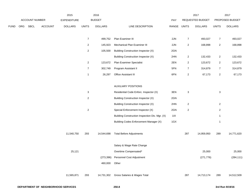|             |     |                | 2015    |                    | 2016                      |                |                                                |             | 2017                      |                  | 2017                      |                 |
|-------------|-----|----------------|---------|--------------------|---------------------------|----------------|------------------------------------------------|-------------|---------------------------|------------------|---------------------------|-----------------|
|             |     | ACCOUNT NUMBER |         | <b>EXPENDITURE</b> |                           | <b>BUDGET</b>  |                                                | PAY         |                           | REQUESTED BUDGET |                           | PROPOSED BUDGET |
| <b>FUND</b> | ORG | SBCL           | ACCOUNT | <b>DOLLARS</b>     | <b>UNITS</b>              | <b>DOLLARS</b> | LINE DESCRIPTION                               | RANGE UNITS |                           | <b>DOLLARS</b>   | <b>UNITS</b>              | <b>DOLLARS</b>  |
|             |     |                |         |                    |                           |                |                                                |             |                           |                  |                           |                 |
|             |     |                |         |                    | $\overline{7}$            | 499,752        | Plan Examiner III                              | 2JN         | $\boldsymbol{7}$          | 493,027          | $\boldsymbol{7}$          | 493,027         |
|             |     |                |         |                    | $\overline{c}$            | 145,923        | Mechanical Plan Examiner III                   | 2JN         | $\overline{\mathbf{c}}$   | 168,898          | $\overline{\mathbf{c}}$   | 168,898         |
|             |     |                |         |                    | $\mathbf{2}$              | 105,500        | Building Construction Inspector (X)            | 2GN         |                           |                  |                           |                 |
|             |     |                |         |                    |                           |                | Building Construction Inspector (X)            | 2HN         | $\overline{\mathbf{c}}$   | 132,433          | $\overline{\mathbf{c}}$   | 132,433         |
|             |     |                |         |                    | $\overline{a}$            | 123,672        | Plan Examiner Specialist                       | 2EN         | $\overline{\mathbf{c}}$   | 123,672          | $\overline{\mathbf{c}}$   | 123,672         |
|             |     |                |         |                    | $\overline{7}$            | 302,749        | Program Assistant II                           | 5FN         | $\boldsymbol{7}$          | 314,879          | $\overline{7}$            | 314,879         |
|             |     |                |         |                    | $\mathbf{1}$              | 26,297         | Office Assistant III                           | 6FN         | $\overline{\mathbf{c}}$   | 67,173           | $\boldsymbol{2}$          | 67,173          |
|             |     |                |         |                    |                           |                |                                                |             |                           |                  |                           |                 |
|             |     |                |         |                    |                           |                | <b>AUXILIARY POSITIONS</b>                     |             |                           |                  |                           |                 |
|             |     |                |         |                    | $\ensuremath{\mathsf{3}}$ |                | Residential Code Enforc. Inspector (X)         | 3EN         | $\ensuremath{\mathsf{3}}$ |                  | $\ensuremath{\mathsf{3}}$ |                 |
|             |     |                |         |                    | $\sqrt{2}$                |                | <b>Building Construction Inspector (X)</b>     | 2GN         |                           |                  |                           |                 |
|             |     |                |         |                    |                           |                | <b>Building Construction Inspector (X)</b>     | 2HN         | $\overline{2}$            |                  | $\overline{2}$            |                 |
|             |     |                |         |                    | $\sqrt{2}$                |                | Special Enforcement Inspector (X)              | 2GN         | $\sqrt{2}$                |                  | $\sqrt{2}$                |                 |
|             |     |                |         |                    |                           |                | Building Construction Inspection Div. Mgr. (X) | 11X         |                           |                  | $\mathbf{1}$              |                 |
|             |     |                |         |                    |                           |                | Building Codes Enforcement Manager (X)         | 1GX         |                           |                  | $\mathbf{1}$              |                 |
|             |     |                |         |                    |                           |                |                                                |             |                           |                  |                           |                 |
|             |     |                |         | 11,540,750         | 293                       | 14,544,698     | <b>Total Before Adjustments</b>                |             | 287                       | 14,959,950       | 289                       | 14,771,620      |
|             |     |                |         |                    |                           |                | Salary & Wage Rate Change                      |             |                           |                  |                           |                 |
|             |     |                |         | 25,121             |                           |                | Overtime Compensated*                          |             |                           | 25,000           |                           | 25,000          |
|             |     |                |         |                    |                           |                |                                                |             |                           |                  |                           |                 |
|             |     |                |         |                    |                           |                | (273,396) Personnel Cost Adjustment            |             |                           | (271, 776)       |                           | (284, 111)      |
|             |     |                |         |                    |                           | 460,000        | Other                                          |             |                           |                  |                           |                 |
|             |     |                |         | 11,565,871         | 293                       | 14,731,302     | Gross Salaries & Wages Total                   |             | 287                       | 14,713,174       | 289                       | 14,512,509      |
|             |     |                |         |                    |                           |                |                                                |             |                           |                  |                           |                 |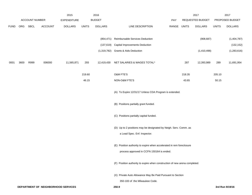|             |      |                |                                     | 2015               |              | 2016           |                                                                                                                   |             |        | 2017             |              | 2017            |
|-------------|------|----------------|-------------------------------------|--------------------|--------------|----------------|-------------------------------------------------------------------------------------------------------------------|-------------|--------|------------------|--------------|-----------------|
|             |      | ACCOUNT NUMBER |                                     | <b>EXPENDITURE</b> |              | <b>BUDGET</b>  |                                                                                                                   | PAY         |        | REQUESTED BUDGET |              | PROPOSED BUDGET |
| <b>FUND</b> | ORG  | SBCL           | <b>ACCOUNT</b>                      | <b>DOLLARS</b>     | <b>UNITS</b> | <b>DOLLARS</b> | LINE DESCRIPTION                                                                                                  | RANGE UNITS |        | <b>DOLLARS</b>   | <b>UNITS</b> | <b>DOLLARS</b>  |
|             |      |                |                                     |                    |              |                |                                                                                                                   |             |        |                  |              |                 |
|             |      |                |                                     |                    |              |                | (854,471) Reimbursable Services Deduction                                                                         |             |        | (908, 687)       |              | (1,404,787)     |
|             |      |                |                                     |                    |              |                | (137,619) Capital Improvements Deduction                                                                          |             |        |                  |              | (132, 152)      |
|             |      |                |                                     |                    |              |                | (1,319,782) Grants & Aids Deduction                                                                               |             |        | (1,410,498)      |              | (1, 283, 616)   |
| 0001        | 3600 | R999           | 006000                              | 11,565,871         | 293          | 12,419,430     | NET SALARIES & WAGES TOTAL*                                                                                       |             | 287    | 12,393,989       | 289          | 11,691,954      |
|             |      |                |                                     |                    | 219.60       |                | O&M FTE'S                                                                                                         |             | 218.35 |                  | 205.10       |                 |
|             |      |                |                                     |                    | 46.15        |                | NON-O&M FTE'S                                                                                                     |             | 43.65  |                  | 50.15        |                 |
|             |      |                |                                     |                    |              |                | (A) To Expire 12/31/17 Unless CDA Program is extended.                                                            |             |        |                  |              |                 |
|             |      |                |                                     |                    |              |                | (B) Positions partially grant funded.                                                                             |             |        |                  |              |                 |
|             |      |                |                                     |                    |              |                | (C) Positions partially capital funded.                                                                           |             |        |                  |              |                 |
|             |      |                |                                     |                    |              |                | (D) Up to 2 positions may be designated by Neigh. Serv. Comm. as                                                  |             |        |                  |              |                 |
|             |      |                |                                     |                    |              |                | a Lead Spec. Enf. Inspector.                                                                                      |             |        |                  |              |                 |
|             |      |                |                                     |                    |              |                | (E) Position authority to expire when accelerated in rem foreclosure<br>process approved in CCFN 150164 is ended. |             |        |                  |              |                 |
|             |      |                |                                     |                    |              |                | (F) Position authority to expire when construction of new arena completed.                                        |             |        |                  |              |                 |
|             |      |                |                                     |                    |              |                | (X) Private Auto Allowance May Be Paid Pursuant to Section                                                        |             |        |                  |              |                 |
|             |      |                |                                     |                    |              |                | 350-183 of the Milwaukee Code.                                                                                    |             |        |                  |              |                 |
|             |      |                | DEPARTMENT OF NEIGHBORHOOD SERVICES |                    |              |                | 250.9                                                                                                             |             |        |                  |              | 3rd Run 9/19/16 |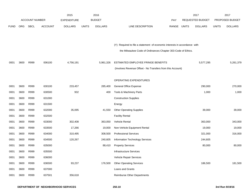|             |            |                       |                | 2015               |              | 2016           |                                                                           |            |              | 2017             |              | 2017            |
|-------------|------------|-----------------------|----------------|--------------------|--------------|----------------|---------------------------------------------------------------------------|------------|--------------|------------------|--------------|-----------------|
|             |            | <b>ACCOUNT NUMBER</b> |                | <b>EXPENDITURE</b> |              | <b>BUDGET</b>  |                                                                           | <b>PAY</b> |              | REQUESTED BUDGET |              | PROPOSED BUDGET |
| <b>FUND</b> | <b>ORG</b> | <b>SBCL</b>           | <b>ACCOUNT</b> | <b>DOLLARS</b>     | <b>UNITS</b> | <b>DOLLARS</b> | LINE DESCRIPTION                                                          | RANGE      | <b>UNITS</b> | <b>DOLLARS</b>   | <b>UNITS</b> | <b>DOLLARS</b>  |
|             |            |                       |                |                    |              |                |                                                                           |            |              |                  |              |                 |
|             |            |                       |                |                    |              |                |                                                                           |            |              |                  |              |                 |
|             |            |                       |                |                    |              |                | (Y) Required to file a statement of economic interests in accordance with |            |              |                  |              |                 |
|             |            |                       |                |                    |              |                | the Milwaukee Code of Ordinances Chapter 303-Code of Ethics.              |            |              |                  |              |                 |
|             |            |                       |                |                    |              |                |                                                                           |            |              |                  |              |                 |
| 0001        | 3600       | R999                  | 006100         | 4,756,191          |              | 5,961,326      | ESTIMATED EMPLOYEE FRINGE BENEFITS                                        |            |              | 5,577,295        |              | 5,261,379       |
|             |            |                       |                |                    |              |                | (Involves Revenue Offset - No Transfers from this Account)                |            |              |                  |              |                 |
|             |            |                       |                |                    |              |                |                                                                           |            |              |                  |              |                 |
|             |            |                       |                |                    |              |                | OPERATING EXPENDITURES                                                    |            |              |                  |              |                 |
| 0001        | 3600       | R999                  | 630100         | 233,457            |              | 285,400        | <b>General Office Expense</b>                                             |            |              | 290,000          |              | 270,000         |
| 0001        | 3600       | R999                  | 630500         | 932                |              | 400            | Tools & Machinery Parts                                                   |            |              | 1,000            |              | 1,000           |
| 0001        | 3600       | R999                  | 631000         |                    |              |                | <b>Construction Supplies</b>                                              |            |              |                  |              |                 |
| 0001        | 3600       | R999                  | 631500         |                    |              |                | Energy                                                                    |            |              |                  |              |                 |
| 0001        | 3600       | R999                  | 632000         | 35,095             |              | 41,550         | <b>Other Operating Supplies</b>                                           |            |              | 39,000           |              | 39,000          |
| 0001        | 3600       | R999                  | 632500         |                    |              |                | <b>Facility Rental</b>                                                    |            |              |                  |              |                 |
| 0001        | 3600       | R999                  | 633000         | 302,408            |              | 363,050        | Vehicle Rental                                                            |            |              | 363,000          |              | 343,000         |
| 0001        | 3600       | R999                  | 633500         | 17,266             |              | 19,000         | Non-Vehicle Equipment Rental                                              |            |              | 19,000           |              | 19,000          |
| 0001        | 3600       | R999                  | 634000         | 310,495            |              | 308,500        | <b>Professional Services</b>                                              |            |              | 321,000          |              | 316,000         |
| 0001        | 3600       | R999                  | 634500         | 120,267            |              | 240,605        | <b>Information Technology Services</b>                                    |            |              | 244,605          |              |                 |
| 0001        | 3600       | R999                  | 635000         |                    |              | 88,410         | <b>Property Services</b>                                                  |            |              | 80,000           |              | 80,000          |
| 0001        | 3600       | R999                  | 635500         |                    |              |                | <b>Infrastructure Services</b>                                            |            |              |                  |              |                 |
| 0001        | 3600       | R999                  | 636000         |                    |              |                | Vehicle Repair Services                                                   |            |              |                  |              |                 |
| 0001        | 3600       | R999                  | 636500         | 93,237             |              | 176,500        | <b>Other Operating Services</b>                                           |            |              | 186,500          |              | 181,500         |
| 0001        | 3600       | R999                  | 637000         |                    |              |                | Loans and Grants                                                          |            |              |                  |              |                 |
| 0001        | 3600       | R999                  | 637501         | 356,618            |              |                | <b>Reimburse Other Departments</b>                                        |            |              |                  |              |                 |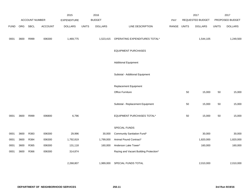|             |      |                |                | 2015               |              | 2016           |                                        |       |              | 2017             |              | 2017            |
|-------------|------|----------------|----------------|--------------------|--------------|----------------|----------------------------------------|-------|--------------|------------------|--------------|-----------------|
|             |      | ACCOUNT NUMBER |                | <b>EXPENDITURE</b> |              | <b>BUDGET</b>  |                                        | PAY   |              | REQUESTED BUDGET |              | PROPOSED BUDGET |
| <b>FUND</b> | ORG  | SBCL           | <b>ACCOUNT</b> | <b>DOLLARS</b>     | <b>UNITS</b> | <b>DOLLARS</b> | LINE DESCRIPTION                       | RANGE | <b>UNITS</b> | <b>DOLLARS</b>   | <b>UNITS</b> | <b>DOLLARS</b>  |
| 0001        | 3600 | R999           | 006300         | 1,469,775          |              | 1,523,415      | OPERATING EXPENDITURES TOTAL*          |       |              | 1,544,105        |              | 1,249,500       |
|             |      |                |                |                    |              |                | <b>EQUIPMENT PURCHASES</b>             |       |              |                  |              |                 |
|             |      |                |                |                    |              |                | <b>Additional Equipment</b>            |       |              |                  |              |                 |
|             |      |                |                |                    |              |                | Subtotal - Additional Equipment        |       |              |                  |              |                 |
|             |      |                |                |                    |              |                | <b>Replacement Equipment</b>           |       |              |                  |              |                 |
|             |      |                |                |                    |              |                | Office Furniture                       |       | 50           | 15,000           | 50           | 15,000          |
|             |      |                |                |                    |              |                | Subtotal - Replacement Equipment       |       | 50           | 15,000           | 50           | 15,000          |
| 0001        | 3600 | R999           | 006800         | 6,796              |              |                | EQUIPMENT PURCHASES TOTAL*             |       | 50           | 15,000           | 50           | 15,000          |
|             |      |                |                |                    |              |                | SPECIAL FUNDS                          |       |              |                  |              |                 |
| 0001        | 3600 | R383           | 006300         | 29,996             |              | 30,000         | Community Sanitation Fund*             |       |              | 30,000           |              | 30,000          |
| 0001        | 3600 | R384           | 006300         | 1,792,819          |              | 1,799,000      | Animal Pound Contract*                 |       |              | 1,820,000        |              | 1,820,000       |
| 0001        | 3600 | R365           | 006300         | 131,118            |              | 160,000        | Anderson Lake Tower*                   |       |              | 160,000          |              | 160,000         |
| 0001        | 3600 | R366           | 006300         | 314,874            |              |                | Razing and Vacant Building Protection* |       |              |                  |              |                 |
|             |      |                |                | 2,268,807          |              | 1,989,000      | SPECIAL FUNDS TOTAL                    |       |              | 2,010,000        |              | 2,010,000       |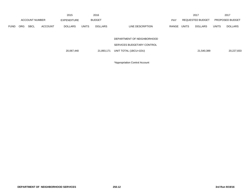|             |                       |             |                    | 2015           |               | 2016           |                            |       |                         | 2017           |                        | 2017           |
|-------------|-----------------------|-------------|--------------------|----------------|---------------|----------------|----------------------------|-------|-------------------------|----------------|------------------------|----------------|
|             | <b>ACCOUNT NUMBER</b> |             | <b>EXPENDITURE</b> |                | <b>BUDGET</b> |                | PAY                        |       | <b>REQUESTED BUDGET</b> |                | <b>PROPOSED BUDGET</b> |                |
| <b>FUND</b> | <b>ORG</b>            | <b>SBCL</b> | <b>ACCOUNT</b>     | <b>DOLLARS</b> | <b>UNITS</b>  | <b>DOLLARS</b> | LINE DESCRIPTION           | RANGE | <b>UNITS</b>            | <b>DOLLARS</b> | <b>UNITS</b>           | <b>DOLLARS</b> |
|             |                       |             |                    |                |               |                |                            |       |                         |                |                        |                |
|             |                       |             |                    |                |               |                | DEPARTMENT OF NEIGHBORHOOD |       |                         |                |                        |                |
|             |                       |             |                    |                |               |                | SERVICES BUDGETARY CONTROL |       |                         |                |                        |                |
|             |                       |             |                    | 20,067,440     |               | 21,893,171     | UNIT TOTAL (1BCU=1DU)      |       |                         | 21,540,389     |                        | 20,227,833     |
|             |                       |             |                    |                |               |                |                            |       |                         |                |                        |                |

\*Appropriation Control Account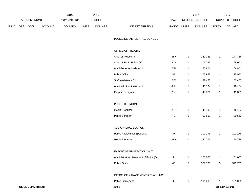|             |     |                          | 2015           |                    | 2016         |                |                                         |               | 2017           |                  | 2017         |                 |
|-------------|-----|--------------------------|----------------|--------------------|--------------|----------------|-----------------------------------------|---------------|----------------|------------------|--------------|-----------------|
|             |     | ACCOUNT NUMBER           |                | <b>EXPENDITURE</b> |              | <b>BUDGET</b>  |                                         | PAY           |                | REQUESTED BUDGET |              | PROPOSED BUDGET |
| <b>FUND</b> | ORG | <b>SBCL</b>              | <b>ACCOUNT</b> | <b>DOLLARS</b>     | <b>UNITS</b> | <b>DOLLARS</b> | LINE DESCRIPTION                        | RANGE UNITS   |                | <b>DOLLARS</b>   | <b>UNITS</b> | <b>DOLLARS</b>  |
|             |     |                          |                |                    |              |                | POLICE DEPARTMENT (1BCU = 1DU)          |               |                |                  |              |                 |
|             |     |                          |                |                    |              |                | OFFICE OF THE CHIEF                     |               |                |                  |              |                 |
|             |     |                          |                |                    |              |                | Chief of Police (Y)                     | 4SX           | $\mathbf{1}$   | 147,336          | $\mathbf{1}$ | 147,336         |
|             |     |                          |                |                    |              |                | Chief of Staff - Police (Y)             | 1JX           | $\mathbf{1}$   | 109,729          | $\mathbf{1}$ | 95,000          |
|             |     |                          |                |                    |              |                | Administrative Assistant IV             | 5IN           | $\mathbf{1}$   | 56,801           | $\mathbf{1}$ | 56,801          |
|             |     |                          |                |                    |              |                | Police Officer                          | 4B            | $\mathbf{1}$   | 75,953           | $\mathbf{1}$ | 75,953          |
|             |     |                          |                |                    |              |                | Staff Assistant - Sr.                   | 2IX           | $\mathbf{1}$   | 82,463           | $\mathbf{1}$ | 82,463          |
|             |     |                          |                |                    |              |                | Administrative Assistant II             | 6HN           | $\mathbf{1}$   | 40,184           | $\mathbf{1}$ | 40,184          |
|             |     |                          |                |                    |              |                | Graphic Designer II                     | 2BN           | $\mathbf{1}$   | 49,371           | $\mathbf{1}$ | 49,371          |
|             |     |                          |                |                    |              |                | PUBLIC RELATIONS                        |               |                |                  |              |                 |
|             |     |                          |                |                    |              |                | Media Producer                          | 2EN           | $\mathbf{1}$   | 48,133           | $\mathbf{1}$ | 48,133          |
|             |     |                          |                |                    |              |                | Police Sergeant                         | $4\mathsf{G}$ | $\mathbf{1}$   | 90,569           | $\mathbf{1}$ | 90,569          |
|             |     |                          |                |                    |              |                | AUDIO VISUAL SECTION                    |               |                |                  |              |                 |
|             |     |                          |                |                    |              |                | <b>Police Audiovisual Specialist</b>    | $4\mathsf{K}$ | $\mathbf{1}$   | 101,276          | $\mathbf{1}$ | 101,276         |
|             |     |                          |                |                    |              |                | Media Producer                          | 2EN           | $\mathbf{1}$   | 50,779           | $\mathbf{1}$ | 50,779          |
|             |     |                          |                |                    |              |                | EXECUTIVE PROTECTION UNIT               |               |                |                  |              |                 |
|             |     |                          |                |                    |              |                | Administrative Lieutenant of Police (D) | 4L            | -1             | 101,005          | $\mathbf{1}$ | 101,005         |
|             |     |                          |                |                    |              |                | Police Officer                          | $4\mathsf{B}$ | $\overline{5}$ | 379,765          | $5\,$        | 379,765         |
|             |     |                          |                |                    |              |                | OFFICE OF MANAGEMENT & PLANNING         |               |                |                  |              |                 |
|             |     |                          |                |                    |              |                | Police Lieutenant                       | 4L            | $\mathbf{1}$   | 101,005          | $\mathbf{1}$ | 101,005         |
|             |     | <b>POLICE DEPARTMENT</b> |                |                    |              |                | 260.1                                   |               |                |                  |              | 3rd Run 9/19/16 |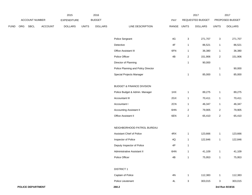|             |     |                          | 2015    |                    | 2016         |                |                                      |               | 2017           |                  | 2017           |                 |
|-------------|-----|--------------------------|---------|--------------------|--------------|----------------|--------------------------------------|---------------|----------------|------------------|----------------|-----------------|
|             |     | <b>ACCOUNT NUMBER</b>    |         | <b>EXPENDITURE</b> |              | <b>BUDGET</b>  |                                      | PAY           |                | REQUESTED BUDGET |                | PROPOSED BUDGET |
| <b>FUND</b> | ORG | <b>SBCL</b>              | ACCOUNT | <b>DOLLARS</b>     | <b>UNITS</b> | <b>DOLLARS</b> | LINE DESCRIPTION                     | RANGE UNITS   |                | <b>DOLLARS</b>   | <b>UNITS</b>   | <b>DOLLARS</b>  |
|             |     |                          |         |                    |              |                | Police Sergeant                      | $4\mathsf{G}$ | $\mathbf{3}$   | 271,707          | 3              | 271,707         |
|             |     |                          |         |                    |              |                | Detective                            | $4\mathsf{F}$ | $\mathbf{1}$   | 86,521           | $\mathbf{1}$   | 86,521          |
|             |     |                          |         |                    |              |                | Office Assistant III                 | 6FN           | $\mathbf{1}$   | 36,380           | $\mathbf{1}$   | 36,380          |
|             |     |                          |         |                    |              |                | Police Officer                       | 4B            | $\overline{2}$ | 151,906          | $\overline{a}$ | 151,906         |
|             |     |                          |         |                    |              |                | Director of Planning                 |               | $\mathbf{1}$   | 90,000           |                |                 |
|             |     |                          |         |                    |              |                | Police Planning and Policy Director  |               |                |                  | -1             | 90,000          |
|             |     |                          |         |                    |              |                | Special Projects Manager             |               | $\mathbf{1}$   | 85,000           | 1              | 85,000          |
|             |     |                          |         |                    |              |                | <b>BUDGET &amp; FINANCE DIVISION</b> |               |                |                  |                |                 |
|             |     |                          |         |                    |              |                | Police Budget & Admin. Manager       | 1HX           | $\mathbf{1}$   | 89,275           | $\mathbf{1}$   | 89,275          |
|             |     |                          |         |                    |              |                | Accountant III                       | 2GX           | $\mathbf{1}$   | 70,411           | $\mathbf{1}$   | 70,411          |
|             |     |                          |         |                    |              |                | Accountant I                         | 2CN           | $\mathbf{1}$   | 46,347           | $\mathbf{1}$   | 46,347          |
|             |     |                          |         |                    |              |                | <b>Accounting Assistant II</b>       | 6HN           | $\overline{2}$ | 79,905           | $\overline{a}$ | 79,905          |
|             |     |                          |         |                    |              |                | Office Assistant II                  | 6EN           | $\overline{2}$ | 65,410           | $\overline{a}$ | 65,410          |
|             |     |                          |         |                    |              |                | NEIGHBORHOOD PATROL BUREAU           |               |                |                  |                |                 |
|             |     |                          |         |                    |              |                | Assistant Chief of Police            | 4RX           | $\mathbf{1}$   | 123,666          | $\mathbf{1}$   | 123,666         |
|             |     |                          |         |                    |              |                | Inspector of Police                  | $4{\sf Q}$    | $\mathbf{1}$   | 122,846          | $\mathbf{1}$   | 122,846         |
|             |     |                          |         |                    |              |                | Deputy Inspector of Police           | 4P            | $\mathbf{1}$   |                  |                |                 |
|             |     |                          |         |                    |              |                | Administrative Assistant II          | 6HN           | $\mathbf{1}$   | 41,109           | -1             | 41,109          |
|             |     |                          |         |                    |              |                | Police Officer                       | $4\mathsf{B}$ | $\mathbf{1}$   | 75,953           | $\mathbf{1}$   | 75,953          |
|             |     |                          |         |                    |              |                | <b>DISTRICT 1</b>                    |               |                |                  |                |                 |
|             |     |                          |         |                    |              |                | Captain of Police                    | 4N            | $\mathbf{1}$   | 112,383          | $\mathbf{1}$   | 112,383         |
|             |     |                          |         |                    |              |                | Police Lieutenant                    | 4L            | $\mathbf{3}$   | 303,015          | $\mathbf{3}$   | 303,015         |
|             |     | <b>POLICE DEPARTMENT</b> |         |                    |              |                | 260.2                                |               |                |                  |                | 3rd Run 9/19/16 |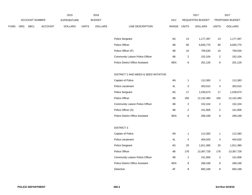|             |  |                | 2015           |                | 2016         |                |                                       |               | 2017           |                  | 2017           |                 |
|-------------|--|----------------|----------------|----------------|--------------|----------------|---------------------------------------|---------------|----------------|------------------|----------------|-----------------|
|             |  | ACCOUNT NUMBER |                | EXPENDITURE    |              | <b>BUDGET</b>  |                                       | <b>PAY</b>    |                | REQUESTED BUDGET |                | PROPOSED BUDGET |
| <b>FUND</b> |  | ORG SBCL       | <b>ACCOUNT</b> | <b>DOLLARS</b> | <b>UNITS</b> | <b>DOLLARS</b> | LINE DESCRIPTION                      | RANGE UNITS   |                | <b>DOLLARS</b>   | <b>UNITS</b>   | <b>DOLLARS</b>  |
|             |  |                |                |                |              |                |                                       |               |                |                  |                |                 |
|             |  |                |                |                |              |                | Police Sergeant                       | 4G            | 13             | 1,177,397        | 13             | 1,177,397       |
|             |  |                |                |                |              |                | Police Officer                        | 4B            | 90             | 6,835,770        | 90             | 6,835,770       |
|             |  |                |                |                |              |                | Police Officer (P)                    | 4B            | 10             | 759,530          | 10             | 759,530         |
|             |  |                |                |                |              |                | Community Liaison Police Officer      | 4B            | $\sqrt{2}$     | 152,104          | $\sqrt{2}$     | 152,104         |
|             |  |                |                |                |              |                | Police District Office Assistant      | 6EN           | $\,6\,$        | 201,126          | 6              | 201,126         |
|             |  |                |                |                |              |                |                                       |               |                |                  |                |                 |
|             |  |                |                |                |              |                | DISTRICT 2 AND WEED & SEED INITIATIVE |               |                |                  |                |                 |
|             |  |                |                |                |              |                | Captain of Police                     | 4N            | $\mathbf{1}$   | 112,383          | $\mathbf{1}$   | 112,383         |
|             |  |                |                |                |              |                | Police Lieutenant                     | 4L            | 3              | 303,015          | $\mathbf{3}$   | 303,015         |
|             |  |                |                |                |              |                | Police Sergeant                       | 4G            | 17             | 1,539,673        | 17             | 1,539,673       |
|             |  |                |                |                |              |                | Police Officer                        | 4B            | 160            | 12,152,480       | 160            | 12,152,480      |
|             |  |                |                |                |              |                | Community Liaison Police Officer      | 4B            | $\overline{2}$ | 152,104          | $\overline{2}$ | 152,104         |
|             |  |                |                |                |              |                | Police Officer (S)                    | 4B            | $\sqrt{2}$     | 151,906          | $\overline{2}$ | 151,906         |
|             |  |                |                |                |              |                | Police District Office Assistant      | 6EN           | 8              | 268,168          | 8              | 268,168         |
|             |  |                |                |                |              |                |                                       |               |                |                  |                |                 |
|             |  |                |                |                |              |                | <b>DISTRICT 3</b>                     |               |                |                  |                |                 |
|             |  |                |                |                |              |                | Captain of Police                     | $4\mathrm{N}$ | $\mathbf{1}$   | 112,383          | $\mathbf{1}$   | 112,383         |
|             |  |                |                |                |              |                | Police Lieutenant                     | 4L            | $\overline{4}$ | 404,020          | $\overline{4}$ | 404,020         |
|             |  |                |                |                |              |                | Police Sergeant                       | 4G            | 20             | 1,811,380        | 20             | 1,811,380       |
|             |  |                |                |                |              |                | Police Officer                        | 4B            | 176            | 13,367,728       | 176            | 13,367,728      |
|             |  |                |                |                |              |                | Community Liaison Police Officer      | 4B            | $\overline{2}$ | 151,906          | $\overline{2}$ | 151,906         |
|             |  |                |                |                |              |                | Police District Office Assistant      | 6EN           | 8              | 268,168          | 8              | 268,168         |
|             |  |                |                |                |              |                | Detective                             | $4\mathsf{F}$ | 8              | 692,168          | 8              | 692,168         |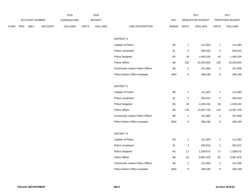|             |                |                | 2015           |              | 2016           |                                         |               |                | 2017             |                | 2017            |
|-------------|----------------|----------------|----------------|--------------|----------------|-----------------------------------------|---------------|----------------|------------------|----------------|-----------------|
|             | ACCOUNT NUMBER |                | EXPENDITURE    |              | <b>BUDGET</b>  |                                         | <b>PAY</b>    |                | REQUESTED BUDGET |                | PROPOSED BUDGET |
| <b>FUND</b> | ORG SBCL       | <b>ACCOUNT</b> | <b>DOLLARS</b> | <b>UNITS</b> | <b>DOLLARS</b> | LINE DESCRIPTION                        | RANGE UNITS   |                | <b>DOLLARS</b>   | <b>UNITS</b>   | <b>DOLLARS</b>  |
|             |                |                |                |              |                |                                         |               |                |                  |                |                 |
|             |                |                |                |              |                | <b>DISTRICT 4</b>                       |               |                |                  |                |                 |
|             |                |                |                |              |                | Captain of Police                       | 4N            | $\overline{1}$ | 112,383          | $\mathbf{1}$   | 112,383         |
|             |                |                |                |              |                | Police Lieutenant                       | 4L            | 3              | 303,015          | 3              | 303,015         |
|             |                |                |                |              |                | Police Sergeant                         | 4G            | 16             | 1,449,104        | 16             | 1,449,104       |
|             |                |                |                |              |                | Police Officer                          | 4B            | 135            | 10,253,655       | 135            | 10,253,655      |
|             |                |                |                |              |                | Community Liaison Police Officer        | 4B            | $\overline{2}$ | 151,906          | $\overline{2}$ | 151,906         |
|             |                |                |                |              |                | Police District Office Assistant        | 6EN           | 8              | 268,168          | 8              | 268,168         |
|             |                |                |                |              |                | <b>DISTRICT 5</b>                       |               |                |                  |                |                 |
|             |                |                |                |              |                | Captain of Police                       | $4\mathrm{N}$ | $\overline{1}$ | 112,383          | $\mathbf{1}$   | 112,383         |
|             |                |                |                |              |                | Police Lieutenant                       | 4L            | 3              | 303,015          | 3              | 303,015         |
|             |                |                |                |              |                | Police Sergeant                         | 4G            | 18             | 1,630,242        | 18             | 1,630,242       |
|             |                |                |                |              |                | Police Officer                          | 4B            | 176            | 13,367,728       | 176            | 13,367,728      |
|             |                |                |                |              |                | Community Liaison Police Officer        | 4B            | $\overline{2}$ | 151,906          | $\overline{c}$ | 151,906         |
|             |                |                |                |              |                | Police District Office Assistant        | 6EN           | 8              | 268,168          | 8              | 268,168         |
|             |                |                |                |              |                | <b>DISTRICT 6</b>                       |               |                |                  |                |                 |
|             |                |                |                |              |                | Captain of Police                       | $4\mathrm{N}$ | $\overline{1}$ | 112,383          | $\mathbf{1}$   | 112,383         |
|             |                |                |                |              |                | Police Lieutenant                       | 4L            | 3              | 303,015          | $\mathbf{3}$   | 303,015         |
|             |                |                |                |              |                | Police Sergeant                         | 4G            | 17             | 1,539,673        | 17             | 1,539,673       |
|             |                |                |                |              |                | Police Officer                          | 4B            | 92             | 6,987,676        | 92             | 6,987,676       |
|             |                |                |                |              |                | Community Liaison Police Officer        | $4\mathsf{B}$ | $\sqrt{2}$     | 151,906          | $\mathbf 2$    | 151,906         |
|             |                |                |                |              |                | <b>Police District Office Assistant</b> | 6EN           | 8              | 268,168          | 8              | 268,168         |
|             |                |                |                |              |                |                                         |               |                |                  |                |                 |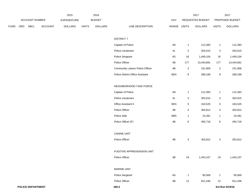|             |     |                          |         | 2015               |              | 2016           |                                  |               |                | 2017             |                | 2017            |
|-------------|-----|--------------------------|---------|--------------------|--------------|----------------|----------------------------------|---------------|----------------|------------------|----------------|-----------------|
|             |     | ACCOUNT NUMBER           |         | <b>EXPENDITURE</b> |              | <b>BUDGET</b>  |                                  | PAY           |                | REQUESTED BUDGET |                | PROPOSED BUDGET |
| <b>FUND</b> | ORG | <b>SBCL</b>              | ACCOUNT | <b>DOLLARS</b>     | <b>UNITS</b> | <b>DOLLARS</b> | LINE DESCRIPTION                 | RANGE UNITS   |                | <b>DOLLARS</b>   | <b>UNITS</b>   | <b>DOLLARS</b>  |
|             |     |                          |         |                    |              |                | <b>DISTRICT 7</b>                |               |                |                  |                |                 |
|             |     |                          |         |                    |              |                | Captain of Police                | $4N$          | $\overline{1}$ | 112,383          | $\mathbf{1}$   | 112,383         |
|             |     |                          |         |                    |              |                | Police Lieutenant                | 4L            | 3              | 303,015          | 3              | 303,015         |
|             |     |                          |         |                    |              |                | Police Sergeant                  | 4G            | 16             | 1,449,104        | 16             | 1,449,104       |
|             |     |                          |         |                    |              |                | Police Officer                   | 4B            | 177            | 13,443,681       | 177            | 13,443,681      |
|             |     |                          |         |                    |              |                | Community Liaison Police Officer | 4B            | $\overline{2}$ | 151,906          | $\overline{a}$ | 151,906         |
|             |     |                          |         |                    |              |                | Police District Office Assistant | 6EN           | 8              | 268,168          | 8              | 268,168         |
|             |     |                          |         |                    |              |                | NEIGHBORHOOD TASK FORCE          |               |                |                  |                |                 |
|             |     |                          |         |                    |              |                | Captain of Police                | 4N            | $\mathbf{1}$   | 112,383          | $\mathbf{1}$   | 112,383         |
|             |     |                          |         |                    |              |                | Police Lieutenant                | 4L            | 3              | 303,015          | 3              | 303,015         |
|             |     |                          |         |                    |              |                | Office Assistant II              | 6EN           | $\,$ 5 $\,$    | 163,525          | 5              | 163,525         |
|             |     |                          |         |                    |              |                | Police Officer                   | 4B            | 4              | 303,812          | 4              | 303,812         |
|             |     |                          |         |                    |              |                | Police Aide                      | 6BN           | $\overline{1}$ | 23,281           | $\mathbf{1}$   | 23,281          |
|             |     |                          |         |                    |              |                | Police Officer (F)               | 4B            | 6              | 455,718          | 6              | 455,718         |
|             |     |                          |         |                    |              |                | <b>CANINE UNIT</b>               |               |                |                  |                |                 |
|             |     |                          |         |                    |              |                | Police Officer                   | 4B            | 4              | 303,812          | 4              | 303,812         |
|             |     |                          |         |                    |              |                | FUGITIVE APPREHENSION UNIT       |               |                |                  |                |                 |
|             |     |                          |         |                    |              |                | Police Officer                   | 4B            | 19             |                  | 19             |                 |
|             |     |                          |         |                    |              |                |                                  |               |                | 1,443,107        |                | 1,443,107       |
|             |     |                          |         |                    |              |                | MARINE UNIT                      |               |                |                  |                |                 |
|             |     |                          |         |                    |              |                | Police Sergeant                  | $4\mathsf{G}$ | $\mathbf{1}$   | 90,569           | $\mathbf{1}$   | 90,569          |
|             |     |                          |         |                    |              |                | Police Officer                   | 4B            | 12             | 911,436          | 12             | 911,436         |
|             |     | <b>POLICE DEPARTMENT</b> |         |                    |              |                | 260.5                            |               |                |                  |                | 3rd Run 9/19/16 |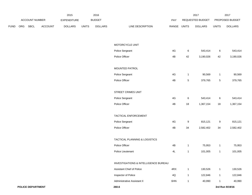|             |     |                | 2015           |                    | 2016         |                |                                      |               | 2017         |                  | 2017             |                 |
|-------------|-----|----------------|----------------|--------------------|--------------|----------------|--------------------------------------|---------------|--------------|------------------|------------------|-----------------|
|             |     | ACCOUNT NUMBER |                | <b>EXPENDITURE</b> |              | <b>BUDGET</b>  |                                      | PAY           |              | REQUESTED BUDGET |                  | PROPOSED BUDGET |
| <b>FUND</b> | ORG | SBCL           | <b>ACCOUNT</b> | <b>DOLLARS</b>     | <b>UNITS</b> | <b>DOLLARS</b> | LINE DESCRIPTION                     | RANGE UNITS   |              | <b>DOLLARS</b>   | <b>UNITS</b>     | <b>DOLLARS</b>  |
|             |     |                |                |                    |              |                |                                      |               |              |                  |                  |                 |
|             |     |                |                |                    |              |                | MOTORCYCLE UNIT                      |               |              |                  |                  |                 |
|             |     |                |                |                    |              |                | Police Sergeant                      | $4\mathsf{G}$ | 6            | 543,414          | $\,6\,$          | 543,414         |
|             |     |                |                |                    |              |                | Police Officer                       | 4B            | 42           | 3,190,026        | 42               | 3,190,026       |
|             |     |                |                |                    |              |                | MOUNTED PATROL                       |               |              |                  |                  |                 |
|             |     |                |                |                    |              |                | Police Sergeant                      | $4\mathsf{G}$ | $\mathbf{1}$ | 90,569           | $\mathbf{1}$     | 90,569          |
|             |     |                |                |                    |              |                | Police Officer                       | 4B            | $\sqrt{5}$   | 379,765          | $\sqrt{5}$       | 379,765         |
|             |     |                |                |                    |              |                | STREET CRIMES UNIT                   |               |              |                  |                  |                 |
|             |     |                |                |                    |              |                | Police Sergeant                      | $4\mathsf{G}$ | 6            | 543,414          | $\,6\,$          | 543,414         |
|             |     |                |                |                    |              |                | Police Officer                       | 4B            | 18           | 1,367,154        | 18               | 1,367,154       |
|             |     |                |                |                    |              |                | TACTICAL ENFORCEMENT                 |               |              |                  |                  |                 |
|             |     |                |                |                    |              |                | Police Sergeant                      | 4G            | 9            | 815,121          | $\boldsymbol{9}$ | 815,121         |
|             |     |                |                |                    |              |                | Police Officer                       | 4B            | 34           | 2,582,402        | 34               | 2,582,402       |
|             |     |                |                |                    |              |                |                                      |               |              |                  |                  |                 |
|             |     |                |                |                    |              |                | TACTICAL PLANNING & LOGISTICS        |               |              |                  |                  |                 |
|             |     |                |                |                    |              |                | Police Officer                       | 4B            | $\mathbf{1}$ | 75,953           | $\mathbf{1}$     | 75,953          |
|             |     |                |                |                    |              |                | Police Lieutenant                    | $4\mathsf{L}$ | $\mathbf{1}$ | 101,005          | $\mathbf{1}$     | 101,005         |
|             |     |                |                |                    |              |                | INVESTIGATIONS & INTELLIGENCE BUREAU |               |              |                  |                  |                 |
|             |     |                |                |                    |              |                | <b>Assistant Chief of Police</b>     | 4RX           | $\mathbf{1}$ | 130,526          | $\mathbf{1}$     | 130,526         |
|             |     |                |                |                    |              |                | Inspector of Police                  | $4{\sf Q}$    | $\mathbf{1}$ | 122,846          | $\mathbf{1}$     | 122,846         |
|             |     |                |                |                    |              |                | Administrative Assistant II          | 6HN           | $\mathbf{1}$ | 40,990           | $\mathbf{1}$     | 40,990          |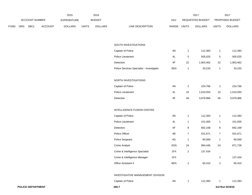|             |     |                | 2015    |                    | 2016         |                |                                           |               | 2017            |                  | 2017           |                 |
|-------------|-----|----------------|---------|--------------------|--------------|----------------|-------------------------------------------|---------------|-----------------|------------------|----------------|-----------------|
|             |     | ACCOUNT NUMBER |         | <b>EXPENDITURE</b> |              | <b>BUDGET</b>  |                                           | PAY           |                 | REQUESTED BUDGET |                | PROPOSED BUDGET |
| <b>FUND</b> | ORG | <b>SBCL</b>    | ACCOUNT | <b>DOLLARS</b>     | <b>UNITS</b> | <b>DOLLARS</b> | LINE DESCRIPTION                          | RANGE UNITS   |                 | <b>DOLLARS</b>   | <b>UNITS</b>   | <b>DOLLARS</b>  |
|             |     |                |         |                    |              |                |                                           |               |                 |                  |                |                 |
|             |     |                |         |                    |              |                | SOUTH INVESTIGATIONS                      |               |                 |                  |                |                 |
|             |     |                |         |                    |              |                | Captain of Police                         | $4\mathrm{N}$ | $\mathbf{1}$    | 112,383          | $\mathbf{1}$   | 112,383         |
|             |     |                |         |                    |              |                | Police Lieutenant                         | $4\mathsf{L}$ | $5\phantom{.0}$ | 505,025          | $\overline{5}$ | 505,025         |
|             |     |                |         |                    |              |                | Detective                                 | $4\mathsf{F}$ | 22              | 1,903,462        | 22             | 1,903,462       |
|             |     |                |         |                    |              |                | Police Services Specialist - Investigator | 5EN           | $\mathbf{1}$    | 33,233           | $\mathbf{1}$   | 33,233          |
|             |     |                |         |                    |              |                | NORTH INVESTIGATIONS                      |               |                 |                  |                |                 |
|             |     |                |         |                    |              |                | Captain of Police                         | $4\mathrm{N}$ | $\overline{2}$  | 224,766          | $\overline{a}$ | 224,766         |
|             |     |                |         |                    |              |                | Police Lieutenant                         | 4L            | 10              | 1,010,050        | 10             | 1,010,050       |
|             |     |                |         |                    |              |                | Detective                                 | $4\mathsf{F}$ | 46              | 3,979,966        | 46             | 3,979,966       |
|             |     |                |         |                    |              |                | INTELLIGENCE FUSION CENTER                |               |                 |                  |                |                 |
|             |     |                |         |                    |              |                | Captain of Police                         | $4\mathrm{N}$ | $\mathbf{1}$    | 112,383          | $\mathbf{1}$   | 112,383         |
|             |     |                |         |                    |              |                | Police Lieutenant                         | 4L            | $\mathbf{1}$    | 101,005          | $\mathbf{1}$   | 101,005         |
|             |     |                |         |                    |              |                | Detective                                 | $4\mathsf{F}$ | $\bf8$          | 692,168          | 8              | 692,168         |
|             |     |                |         |                    |              |                | Police Officer                            | 4B            | $\overline{7}$  | 531,671          | $\overline{7}$ | 531,671         |
|             |     |                |         |                    |              |                | Police Sergeant                           | 4G            | $\mathbf{1}$    | 90,569           | $\mathbf{1}$   | 90,569          |
|             |     |                |         |                    |              |                | <b>Crime Analyst</b>                      | 2GN           | 24              | 994,446          | 24             | 871,728         |
|             |     |                |         |                    |              |                | Crime & Intelligence Specialist           | 1FX           | $\overline{2}$  | 137,434          |                |                 |
|             |     |                |         |                    |              |                | Crime & Intelligence Manager              | 1FX           |                 |                  | $\overline{2}$ | 137,434         |
|             |     |                |         |                    |              |                | Office Assistant II                       | 6EN           | $\overline{2}$  | 65,410           | $\overline{a}$ | 65,410          |
|             |     |                |         |                    |              |                | INVESTIGATIVE MANAGEMENT DIVISION         |               |                 |                  |                |                 |
|             |     |                |         |                    |              |                | Captain of Police                         | $4\mathrm{N}$ | $\mathbf{1}$    | 112,383          | $\mathbf{1}$   | 112,383         |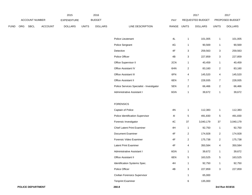|             |     |                       |                | 2015               |              | 2016           |                                           |                |                | 2017             |                         | 2017            |
|-------------|-----|-----------------------|----------------|--------------------|--------------|----------------|-------------------------------------------|----------------|----------------|------------------|-------------------------|-----------------|
|             |     | <b>ACCOUNT NUMBER</b> |                | <b>EXPENDITURE</b> |              | <b>BUDGET</b>  |                                           | PAY            |                | REQUESTED BUDGET |                         | PROPOSED BUDGET |
| <b>FUND</b> | ORG | <b>SBCL</b>           | <b>ACCOUNT</b> | <b>DOLLARS</b>     | <b>UNITS</b> | <b>DOLLARS</b> | LINE DESCRIPTION                          | RANGE          | <b>UNITS</b>   | <b>DOLLARS</b>   | <b>UNITS</b>            | <b>DOLLARS</b>  |
|             |     |                       |                |                    |              |                |                                           |                |                |                  |                         |                 |
|             |     |                       |                |                    |              |                | Police Lieutenant                         | $4\mathsf{L}$  | $\mathbf{1}$   | 101,005          | $\mathbf{1}$            | 101,005         |
|             |     |                       |                |                    |              |                | Police Sergeant                           | 4G             | 1              | 90,569           | $\mathbf{1}$            | 90,569          |
|             |     |                       |                |                    |              |                | Detective                                 | $4\mathsf{F}$  | 3              | 259,563          | $\mathbf{3}$            | 259,563         |
|             |     |                       |                |                    |              |                | Police Officer                            | 4B             | 3              | 227,859          | $\mathbf{3}$            | 227,859         |
|             |     |                       |                |                    |              |                | Office Supervisor II                      | 2CN            | $\mathbf{1}$   | 40,459           | $\mathbf{1}$            | 40,459          |
|             |     |                       |                |                    |              |                | Office Assistant IV                       | 6HN            | $\overline{a}$ | 83,160           | $\overline{a}$          | 83,160          |
|             |     |                       |                |                    |              |                | Office Assistant III                      | 6FN            | 4              | 145,520          | 4                       | 145,520         |
|             |     |                       |                |                    |              |                | Office Assistant II                       | 6EN            | $7^{\circ}$    | 228,935          | $\overline{7}$          | 228,935         |
|             |     |                       |                |                    |              |                | Police Services Specialist - Investigator | 5EN            | $\overline{a}$ | 66,466           | $\overline{2}$          | 66,466          |
|             |     |                       |                |                    |              |                | Administrative Assistant I                | 6GN            | $\mathbf{1}$   | 39,672           | $\mathbf{1}$            | 39,672          |
|             |     |                       |                |                    |              |                |                                           |                |                |                  |                         |                 |
|             |     |                       |                |                    |              |                | <b>FORENSICS</b>                          |                |                |                  |                         |                 |
|             |     |                       |                |                    |              |                | Captain of Police                         | $4N$           | $\mathbf{1}$   | 112,383          | $\mathbf{1}$            | 112,383         |
|             |     |                       |                |                    |              |                | Police Identification Supervisor          | 4 <sub>l</sub> | 5              | 491,830          | 5                       | 491,830         |
|             |     |                       |                |                    |              |                | Forensic Investigator                     | 4C             | 37             | 3,040,179        | 37                      | 3,040,179       |
|             |     |                       |                |                    |              |                | <b>Chief Latent Print Examiner</b>        | 4H             | $\mathbf{1}$   | 92,750           | $\mathbf{1}$            | 92,750          |
|             |     |                       |                |                    |              |                | Document Examiner                         | $4\mathsf{F}$  | $\overline{a}$ | 174,928          | $\overline{\mathbf{c}}$ | 174,928         |
|             |     |                       |                |                    |              |                | Forensic Video Examiner                   | $4\mathsf{F}$  | $\overline{a}$ | 175,738          | $\overline{2}$          | 175,738         |
|             |     |                       |                |                    |              |                | Latent Print Examiner                     | $4\mathsf{F}$  | 4              | 350,584          | 4                       | 350,584         |
|             |     |                       |                |                    |              |                | Administrative Assistant I                | 6GN            | 1              | 39,672           | $\mathbf{1}$            | 39,672          |
|             |     |                       |                |                    |              |                | Office Assistant II                       | 6EN            | 5              | 163,525          | 5                       | 163,525         |
|             |     |                       |                |                    |              |                | Identification Systems Spec.              | $4H$           | $\mathbf{1}$   | 92,750           | $\mathbf{1}$            | 92,750          |
|             |     |                       |                |                    |              |                | Police Officer                            | 4B             | $\mathbf{3}$   | 227,859          | $\mathbf{3}$            | 227,859         |
|             |     |                       |                |                    |              |                | Civilian Forensics Supervisor             |                | 1              | 65,000           |                         |                 |
|             |     |                       |                |                    |              |                | <b>Tenprint Examiner</b>                  |                | 6              | 135,000          |                         |                 |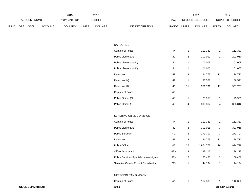|             |                       |             |                    | 2015           |               | 2016    |                           | 2017                    |                        | 2017           |
|-------------|-----------------------|-------------|--------------------|----------------|---------------|---------|---------------------------|-------------------------|------------------------|----------------|
|             | <b>ACCOUNT NUMBER</b> |             | <b>EXPENDITURE</b> |                | <b>BUDGET</b> | PAY     | REQUESTED BUDGET          |                         | <b>PROPOSED BUDGET</b> |                |
| <b>FUND</b> | ORG                   | <b>SBCL</b> | <b>ACCOUNT</b>     | <b>DOLLARS</b> | <b>UNITS</b>  | DOLLARS | LINE DESCRIPTION<br>RANGE | UNITS<br><b>DOLLARS</b> | UNITS                  | <b>DOLLARS</b> |

| 260.9                                     |                                                                                                                                                                                                                                 |                                                                                                                            |                                                                                                              | 3rd Run 9/19/16                                                                                   |                                                                                                           |
|-------------------------------------------|---------------------------------------------------------------------------------------------------------------------------------------------------------------------------------------------------------------------------------|----------------------------------------------------------------------------------------------------------------------------|--------------------------------------------------------------------------------------------------------------|---------------------------------------------------------------------------------------------------|-----------------------------------------------------------------------------------------------------------|
| Captain of Police                         | $4\mathrm{N}$                                                                                                                                                                                                                   | $\mathbf{1}$                                                                                                               | 112,383                                                                                                      | $\mathbf{1}$                                                                                      | 112,383                                                                                                   |
| METROPOLITAN DIVISION                     |                                                                                                                                                                                                                                 |                                                                                                                            |                                                                                                              |                                                                                                   |                                                                                                           |
|                                           |                                                                                                                                                                                                                                 |                                                                                                                            |                                                                                                              |                                                                                                   |                                                                                                           |
| Sensitive Crimes Project Coordinator      | 2EX                                                                                                                                                                                                                             | $\mathbf{1}$                                                                                                               | 44,194                                                                                                       | $\mathbf{1}$                                                                                      | 44,194                                                                                                    |
| Police Services Specialist - Investigator | 5EN                                                                                                                                                                                                                             | $\mathbf{2}$                                                                                                               | 66,466                                                                                                       | $\overline{c}$                                                                                    | 66,466                                                                                                    |
| Office Assistant II                       | 6EN                                                                                                                                                                                                                             | 3                                                                                                                          | 98,115                                                                                                       | 3                                                                                                 | 98,115                                                                                                    |
| Police Officer                            | 4B                                                                                                                                                                                                                              | 26                                                                                                                         | 1,974,778                                                                                                    | 26                                                                                                | 1,974,778                                                                                                 |
| Detective                                 |                                                                                                                                                                                                                                 |                                                                                                                            |                                                                                                              |                                                                                                   | 1,124,773                                                                                                 |
|                                           |                                                                                                                                                                                                                                 |                                                                                                                            |                                                                                                              |                                                                                                   | 271,707                                                                                                   |
|                                           |                                                                                                                                                                                                                                 |                                                                                                                            |                                                                                                              |                                                                                                   | 303,015                                                                                                   |
|                                           |                                                                                                                                                                                                                                 |                                                                                                                            |                                                                                                              |                                                                                                   | 112,383                                                                                                   |
|                                           |                                                                                                                                                                                                                                 |                                                                                                                            |                                                                                                              |                                                                                                   |                                                                                                           |
|                                           |                                                                                                                                                                                                                                 |                                                                                                                            |                                                                                                              |                                                                                                   | 303,812                                                                                                   |
|                                           |                                                                                                                                                                                                                                 |                                                                                                                            |                                                                                                              |                                                                                                   | 75,953                                                                                                    |
|                                           |                                                                                                                                                                                                                                 |                                                                                                                            |                                                                                                              |                                                                                                   |                                                                                                           |
|                                           |                                                                                                                                                                                                                                 |                                                                                                                            |                                                                                                              |                                                                                                   | 951,731                                                                                                   |
|                                           |                                                                                                                                                                                                                                 |                                                                                                                            |                                                                                                              |                                                                                                   | 86,521                                                                                                    |
|                                           |                                                                                                                                                                                                                                 | 13                                                                                                                         |                                                                                                              | 13                                                                                                | 1,124,773                                                                                                 |
|                                           | 4L                                                                                                                                                                                                                              | $\mathbf{1}$                                                                                                               | 101,005                                                                                                      | $\mathbf{1}$                                                                                      | 101,005                                                                                                   |
| Police Lieutenant (N)                     | $4\mathsf{L}$                                                                                                                                                                                                                   | $\mathbf{1}$                                                                                                               | 101,005                                                                                                      | $\mathbf{1}$                                                                                      | 101,005                                                                                                   |
| Police Lieutenant                         | 4L                                                                                                                                                                                                                              | $\sqrt{2}$                                                                                                                 | 202,010                                                                                                      | $\overline{c}$                                                                                    | 202,010                                                                                                   |
| Captain of Police                         | 4N                                                                                                                                                                                                                              | $\mathbf{1}$                                                                                                               | 112,383                                                                                                      | $\mathbf{1}$                                                                                      | 112,383                                                                                                   |
| <b>NARCOTICS</b>                          |                                                                                                                                                                                                                                 |                                                                                                                            |                                                                                                              |                                                                                                   |                                                                                                           |
|                                           | Police Lieutenant (K)<br>Detective<br>Detective (N)<br>Detective (K)<br>Captain of Police<br>Police Officer (N)<br>Police Officer (K)<br>SENSITIVE CRIMES DIVISION<br>Captain of Police<br>Police Lieutenant<br>Police Sergeant | $4\mathsf{F}$<br>$4\mathsf{F}$<br>$4\mathsf{F}$<br>$4\mathrm{N}$<br>4B<br>4B<br>4N<br>4L<br>$4\mathsf{G}$<br>$4\mathsf{F}$ | $\mathbf{1}$<br>11<br>$\mathbf{1}$<br>$\overline{4}$<br>$\mathbf{1}$<br>3<br>$\ensuremath{\mathsf{3}}$<br>13 | 1,124,773<br>86,521<br>951,731<br>75,953<br>303,812<br>112,383<br>303,015<br>271,707<br>1,124,773 | $\mathbf{1}$<br>11<br>$\mathbf{1}$<br>$\overline{4}$<br>$\mathbf{1}$<br>$\mathbf{3}$<br>$\mathbf 3$<br>13 |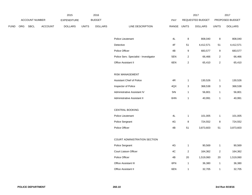|             |                |         | 2015           |              | 2016           |                                        |               |              | 2017             |                         | 2017            |
|-------------|----------------|---------|----------------|--------------|----------------|----------------------------------------|---------------|--------------|------------------|-------------------------|-----------------|
|             | ACCOUNT NUMBER |         | EXPENDITURE    |              | <b>BUDGET</b>  |                                        | PAY           |              | REQUESTED BUDGET |                         | PROPOSED BUDGET |
| <b>FUND</b> | ORG SBCL       | ACCOUNT | <b>DOLLARS</b> | <b>UNITS</b> | <b>DOLLARS</b> | LINE DESCRIPTION                       | RANGE UNITS   |              | <b>DOLLARS</b>   | <b>UNITS</b>            | <b>DOLLARS</b>  |
|             |                |         |                |              |                |                                        |               |              |                  |                         |                 |
|             |                |         |                |              |                | Police Lieutenant                      | 4L            | $\bf 8$      | 808,040          | $\bf 8$                 | 808,040         |
|             |                |         |                |              |                | Detective                              | 4F            | 51           | 4,412,571        | 51                      | 4,412,571       |
|             |                |         |                |              |                | Police Officer                         | 4B            | 9            | 683,577          | $\boldsymbol{9}$        | 683,577         |
|             |                |         |                |              |                | Police Serv. Specialist - Investigator | 5EN           | $\sqrt{2}$   | 66,466           | $\overline{2}$          | 66,466          |
|             |                |         |                |              |                | Office Assistant II                    | 6EN           | $\sqrt{2}$   | 65,410           | $\overline{c}$          | 65,410          |
|             |                |         |                |              |                |                                        |               |              |                  |                         |                 |
|             |                |         |                |              |                | <b>RISK MANAGEMENT</b>                 |               |              |                  |                         |                 |
|             |                |         |                |              |                | Assistant Chief of Police              | 4R            | $\mathbf{1}$ | 130,526          | $\mathbf{1}$            | 130,526         |
|             |                |         |                |              |                | Inspector of Police                    | 4QX           | $\mathbf 3$  | 368,538          | 3                       | 368,538         |
|             |                |         |                |              |                | Administrative Assistant IV            | 5IN           | $\mathbf{1}$ | 56,801           | $\mathbf{1}$            | 56,801          |
|             |                |         |                |              |                | Administrative Assistant II            | 6HN           | $\mathbf{1}$ | 40,991           | $\mathbf{1}$            | 40,991          |
|             |                |         |                |              |                |                                        |               |              |                  |                         |                 |
|             |                |         |                |              |                | CENTRAL BOOKING                        |               |              |                  |                         |                 |
|             |                |         |                |              |                | Police Lieutenant                      | 4L            | $\mathbf{1}$ | 101,005          | $\mathbf{1}$            | 101,005         |
|             |                |         |                |              |                | Police Sergeant                        | 4G            | $\bf8$       | 724,552          | $\,8\,$                 | 724,552         |
|             |                |         |                |              |                | Police Officer                         | 4B            | $51\,$       | 3,873,603        | 51                      | 3,873,603       |
|             |                |         |                |              |                |                                        |               |              |                  |                         |                 |
|             |                |         |                |              |                | COURT ADMINISTRATION SECTION           |               |              |                  |                         |                 |
|             |                |         |                |              |                | Police Sergeant                        | $4\mathsf{G}$ | $\mathbf{1}$ | 90,569           | $\mathbf{1}$            | 90,569          |
|             |                |         |                |              |                | Court Liaison Officer                  | 4C            | $\sqrt{2}$   | 164,362          | $\overline{\mathbf{c}}$ | 164,362         |
|             |                |         |                |              |                | Police Officer                         | 4B            | $20\,$       | 1,519,060        | 20                      | 1,519,060       |
|             |                |         |                |              |                | Office Assistant III                   | 6FN           | $\mathbf{1}$ | 36,380           | $\mathbf{1}$            | 36,380          |
|             |                |         |                |              |                | Office Assistant II                    | 6EN           | $\mathbf{1}$ | 32,705           | $\mathbf{1}$            | 32,705          |
|             |                |         |                |              |                |                                        |               |              |                  |                         |                 |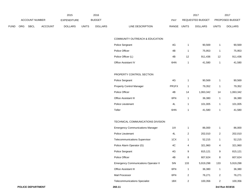|             |     |                |         | 2015           |              | 2016           |                                             |             |                | 2017             |                | 2017            |
|-------------|-----|----------------|---------|----------------|--------------|----------------|---------------------------------------------|-------------|----------------|------------------|----------------|-----------------|
|             |     | ACCOUNT NUMBER |         | EXPENDITURE    |              | <b>BUDGET</b>  |                                             | PAY         |                | REQUESTED BUDGET |                | PROPOSED BUDGET |
| <b>FUND</b> | ORG | SBCL           | ACCOUNT | <b>DOLLARS</b> | <b>UNITS</b> | <b>DOLLARS</b> | LINE DESCRIPTION                            | RANGE UNITS |                | <b>DOLLARS</b>   | <b>UNITS</b>   | <b>DOLLARS</b>  |
|             |     |                |         |                |              |                | COMMUNITY OUTREACH & EDUCATION              |             |                |                  |                |                 |
|             |     |                |         |                |              |                | Police Sergeant                             | 4G          | $\mathbf{1}$   | 90,569           | $\mathbf{1}$   | 90,569          |
|             |     |                |         |                |              |                | Police Officer                              | 4B          | $\mathbf{1}$   | 75,953           | $\mathbf{1}$   | 75,953          |
|             |     |                |         |                |              |                | Police Officer (L)                          | 4B          | 12             | 911,436          | 12             | 911,436         |
|             |     |                |         |                |              |                | Office Assistant IV                         | 6HN         | $\mathbf{1}$   | 41,580           | $\mathbf{1}$   | 41,580          |
|             |     |                |         |                |              |                | PROPERTY CONTROL SECTION                    |             |                |                  |                |                 |
|             |     |                |         |                |              |                | Police Sergeant                             | 4G          | 1              | 90,569           | $\mathbf{1}$   | 90,569          |
|             |     |                |         |                |              |                | Property Control Manager                    | PR1FX       | $\mathbf{1}$   | 79,352           | $\mathbf{1}$   | 79,352          |
|             |     |                |         |                |              |                | Police Officer                              | 4B          | 14             | 1,063,342        | 14             | 1,063,342       |
|             |     |                |         |                |              |                | Office Assistant III                        | 6FN         | $\mathbf{1}$   | 36,380           | $\mathbf{1}$   | 36,380          |
|             |     |                |         |                |              |                | Police Lieutenant                           | 4L          | $\mathbf{1}$   | 101,005          | 1              | 101,005         |
|             |     |                |         |                |              |                | Teller                                      | 6HN         | 1              | 41,580           | $\mathbf{1}$   | 41,580          |
|             |     |                |         |                |              |                | TECHNICAL COMMUNICATIONS DIVISION           |             |                |                  |                |                 |
|             |     |                |         |                |              |                | <b>Emergency Communications Manager</b>     | 11X         | $\mathbf{1}$   | 86,000           | $\mathbf{1}$   | 86,000          |
|             |     |                |         |                |              |                | Police Lieutenant                           | 4L          | $\overline{2}$ | 202,010          | $\overline{2}$ | 202,010         |
|             |     |                |         |                |              |                | <b>Telecommunications Supervisor</b>        | 1CX         | $\mathbf{1}$   | 52,215           | $\mathbf{1}$   | 52,215          |
|             |     |                |         |                |              |                | Police Alarm Operator (G)                   | 4C          | 4              | 321,960          | 4              | 321,960         |
|             |     |                |         |                |              |                | Police Sergeant                             | 4G          | 9              | 815,121          | 9              | 815,121         |
|             |     |                |         |                |              |                | Police Officer                              | 4B          | $\bf 8$        | 607,624          | 8              | 607,624         |
|             |     |                |         |                |              |                | <b>Emergency Communications Operator II</b> | 5IN         | 133            | 5,919,298        | 133            | 5,919,298       |
|             |     |                |         |                |              |                | Office Assistant III                        | 6FN         | $\mathbf{1}$   | 36,380           | $\mathbf{1}$   | 36,380          |
|             |     |                |         |                |              |                | Mail Processor                              | 6FN         | $\overline{2}$ | 76,271           | $\overline{2}$ | 76,271          |
|             |     |                |         |                |              |                | <b>Telecommunications Specialist</b>        | 1BX         | $\overline{2}$ | 100,356          | $\overline{2}$ | 100,356         |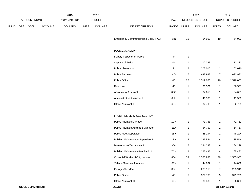|             |     |                |         | 2015               |              | 2016           |                                              |               |                | 2017             |                 | 2017            |
|-------------|-----|----------------|---------|--------------------|--------------|----------------|----------------------------------------------|---------------|----------------|------------------|-----------------|-----------------|
|             |     | ACCOUNT NUMBER |         | <b>EXPENDITURE</b> |              | <b>BUDGET</b>  |                                              | PAY           |                | REQUESTED BUDGET |                 | PROPOSED BUDGET |
| <b>FUND</b> | ORG | <b>SBCL</b>    | ACCOUNT | <b>DOLLARS</b>     | <b>UNITS</b> | <b>DOLLARS</b> | LINE DESCRIPTION                             | RANGE         | <b>UNITS</b>   | <b>DOLLARS</b>   | <b>UNITS</b>    | <b>DOLLARS</b>  |
|             |     |                |         |                    |              |                | <b>Emergency Communications Oper. II-Aux</b> | 5IN           | 10             | 54,000           | 10              | 54,000          |
|             |     |                |         |                    |              |                | POLICE ACADEMY                               |               |                |                  |                 |                 |
|             |     |                |         |                    |              |                | Deputy Inspector of Police                   | 4P            | $\mathbf{1}$   |                  |                 |                 |
|             |     |                |         |                    |              |                | Captain of Police                            | 4N            | 1              | 112,383          | $\mathbf{1}$    | 112,383         |
|             |     |                |         |                    |              |                | Police Lieutenant                            | 4L            | 2              | 202,010          | $\overline{2}$  | 202,010         |
|             |     |                |         |                    |              |                | Police Sergeant                              | 4G            | $\overline{7}$ | 633,983          | $\overline{7}$  | 633,983         |
|             |     |                |         |                    |              |                | Police Officer                               | 4B            | $20\,$         | 1,519,060        | 20              | 1,519,060       |
|             |     |                |         |                    |              |                | Detective                                    | $4\mathsf{F}$ | $\mathbf{1}$   | 86,521           | $\mathbf{1}$    | 86,521          |
|             |     |                |         |                    |              |                | Accounting Assistant I                       | 6GN           | 1              | 34,655           | $\mathbf{1}$    | 34,655          |
|             |     |                |         |                    |              |                | Administrative Assistant II                  | 6HN           | 1              | 41,580           | $\mathbf{1}$    | 41,580          |
|             |     |                |         |                    |              |                | Office Assistant II                          | 6EN           | 1              | 32,705           | 1               | 32,705          |
|             |     |                |         |                    |              |                | FACILITIES SERVICES SECTION                  |               |                |                  |                 |                 |
|             |     |                |         |                    |              |                | Police Facilities Manager                    | 1GN           | 1              | 71,761           | $\mathbf{1}$    | 71,761          |
|             |     |                |         |                    |              |                | Police Facilities Assistant Manager          | 1EX           | 1              | 64,757           | $\mathbf{1}$    | 64,757          |
|             |     |                |         |                    |              |                | Police Fleet Supervisor                      | 1BX           | 1              | 48,294           | $\mathbf{1}$    | 48,294          |
|             |     |                |         |                    |              |                | <b>Building Maintenance Supervisor II</b>    | 1BN           | 4              | 235,544          | 4               | 235,544         |
|             |     |                |         |                    |              |                | Maintenance Technician II                    | 3GN           | 6              | 284,298          | 6               | 284,298         |
|             |     |                |         |                    |              |                | <b>Building Maintenance Mechanic II</b>      | 7CN           | 6              | 265,482          | 6               | 265,482         |
|             |     |                |         |                    |              |                | Custodial Worker II-City Laborer             | 8DN           | $39\,$         | 1,555,983        | 39              | 1,555,983       |
|             |     |                |         |                    |              |                | Vehicle Services Assistant                   | 8FN           | $\mathbf{1}$   | 44,002           | $\mathbf{1}$    | 44,002          |
|             |     |                |         |                    |              |                | Garage Attendant                             | 8DN           | $\overline{7}$ | 285,915          | $\overline{7}$  | 285,915         |
|             |     |                |         |                    |              |                | Police Officer                               | 4B            | 5 <sub>5</sub> | 379,765          | $5\overline{)}$ | 379,765         |
|             |     |                |         |                    |              |                | Office Assistant III                         | 6FN           | $\mathbf{1}$   | 36,380           | $\mathbf{1}$    | 36,380          |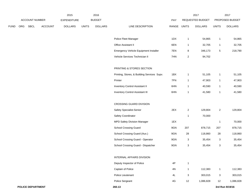|             |     |                |         | 2015               |              | 2016           |                                             |               |                | 2017             |                 | 2017            |
|-------------|-----|----------------|---------|--------------------|--------------|----------------|---------------------------------------------|---------------|----------------|------------------|-----------------|-----------------|
|             |     | ACCOUNT NUMBER |         | <b>EXPENDITURE</b> |              | <b>BUDGET</b>  |                                             | PAY           |                | REQUESTED BUDGET |                 | PROPOSED BUDGET |
| <b>FUND</b> | ORG | <b>SBCL</b>    | ACCOUNT | <b>DOLLARS</b>     | <b>UNITS</b> | <b>DOLLARS</b> | LINE DESCRIPTION                            | RANGE UNITS   |                | <b>DOLLARS</b>   | <b>UNITS</b>    | <b>DOLLARS</b>  |
|             |     |                |         |                    |              |                |                                             |               |                |                  |                 |                 |
|             |     |                |         |                    |              |                | Police Fleet Manager                        | 1DX           | $\mathbf{1}$   | 54,865           | $\mathbf{1}$    | 54,865          |
|             |     |                |         |                    |              |                | Office Assistant II                         | 6EN           | $\mathbf{1}$   | 32,705           | $\mathbf{1}$    | 32,705          |
|             |     |                |         |                    |              |                | Emergency Vehicle Equipment Installer       | 7EN           | 8              | 346,173          | $5\phantom{.0}$ | 218,790         |
|             |     |                |         |                    |              |                | Vehicle Services Technician II              | 7HN           | 2              | 94,702           |                 |                 |
|             |     |                |         |                    |              |                | PRINTING & STORES SECTION                   |               |                |                  |                 |                 |
|             |     |                |         |                    |              |                |                                             |               |                |                  |                 |                 |
|             |     |                |         |                    |              |                | Printing, Stores, & Building Services Supv. | 1BX           | $\mathbf{1}$   | 51,105           | 1               | 51,105          |
|             |     |                |         |                    |              |                | Printer                                     | 7FN           | $\mathbf{1}$   | 47,903           | $\mathbf{1}$    | 47,903          |
|             |     |                |         |                    |              |                | Inventory Control Assistant II              | 6HN           | $\mathbf{1}$   | 40,590           | $\mathbf{1}$    | 40,590          |
|             |     |                |         |                    |              |                | <b>Inventory Control Assistant III</b>      | 6HN           | $\mathbf{1}$   | 41,580           | $\mathbf{1}$    | 41,580          |
|             |     |                |         |                    |              |                | CROSSING GUARD DIVISION                     |               |                |                  |                 |                 |
|             |     |                |         |                    |              |                | Safety Specialist-Senior                    | 2EX           | $\overline{2}$ | 129,804          | $\overline{a}$  | 129,804         |
|             |     |                |         |                    |              |                | Safety Coordinator                          |               | 1              | 70,000           |                 |                 |
|             |     |                |         |                    |              |                | MPD Safety Division Manager                 | 1EX           |                |                  | -1              | 70,000          |
|             |     |                |         |                    |              |                | <b>School Crossing Guard</b>                | 9GN           | 207            | 878,715          | 207             | 878,715         |
|             |     |                |         |                    |              |                | School Crossing Guard (Aux.)                | 9GN           | 28             | 118,860          | 28              | 118,860         |
|             |     |                |         |                    |              |                | School Crossing Guard - Operator            | 9GN           | 3              | 35,454           | $\mathbf{3}$    | 35,454          |
|             |     |                |         |                    |              |                | School Crossing Guard - Dispatcher          | 9GN           | 3              | 35,454           | $\mathbf{3}$    | 35,454          |
|             |     |                |         |                    |              |                |                                             |               |                |                  |                 |                 |
|             |     |                |         |                    |              |                | INTERNAL AFFAIRS DIVISION                   |               |                |                  |                 |                 |
|             |     |                |         |                    |              |                | Deputy Inspector of Police                  | $4\mathsf{P}$ | $\mathbf{1}$   |                  |                 |                 |
|             |     |                |         |                    |              |                | Captain of Police                           | 4N            | $\mathbf{1}$   | 112,383          | $\mathbf{1}$    | 112,383         |
|             |     |                |         |                    |              |                | Police Lieutenant                           | 4L            | 3              | 303,015          | $\mathbf{3}$    | 303,015         |
|             |     |                |         |                    |              |                | Police Sergeant                             | 4G            | 12             | 1,086,828        | 12              | 1,086,828       |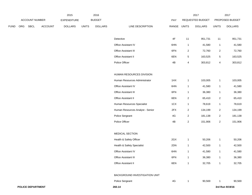|             |     |                          |                | 2015               |              | 2016           |                                  |             |                | 2017             |                | 2017            |
|-------------|-----|--------------------------|----------------|--------------------|--------------|----------------|----------------------------------|-------------|----------------|------------------|----------------|-----------------|
|             |     | ACCOUNT NUMBER           |                | <b>EXPENDITURE</b> |              | <b>BUDGET</b>  |                                  | PAY         |                | REQUESTED BUDGET |                | PROPOSED BUDGET |
| <b>FUND</b> | ORG | SBCL                     | <b>ACCOUNT</b> | <b>DOLLARS</b>     | <b>UNITS</b> | <b>DOLLARS</b> | LINE DESCRIPTION                 | RANGE UNITS |                | <b>DOLLARS</b>   | <b>UNITS</b>   | <b>DOLLARS</b>  |
|             |     |                          |                |                    |              |                | Detective                        | 4F          | 11             | 951,731          | 11             | 951,731         |
|             |     |                          |                |                    |              |                | Office Assistant IV              | 6HN         | $\mathbf{1}$   | 41,580           | $\mathbf{1}$   | 41,580          |
|             |     |                          |                |                    |              |                | Office Assistant III             | 6FN         | $\overline{2}$ | 72,760           | $\overline{a}$ | 72,760          |
|             |     |                          |                |                    |              |                | Office Assistant II              | 6EN         | 5              | 163,525          | $\overline{5}$ | 163,525         |
|             |     |                          |                |                    |              |                | Police Officer                   | 4B          | 4              | 303,812          | 4              | 303,812         |
|             |     |                          |                |                    |              |                | HUMAN RESOURCES DIVISION         |             |                |                  |                |                 |
|             |     |                          |                |                    |              |                | Human Resources Administrator    | 1HX         | $\mathbf{1}$   | 103,005          | $\mathbf{1}$   | 103,005         |
|             |     |                          |                |                    |              |                | Office Assistant IV              | 6HN         | $\mathbf{1}$   | 41,580           | $\mathbf{1}$   | 41,580          |
|             |     |                          |                |                    |              |                | Office Assistant III             | 6FN         | $\mathbf{1}$   | 36,380           | $\mathbf{1}$   | 36,380          |
|             |     |                          |                |                    |              |                | Office Assistant II              | 6EN         | $\sqrt{2}$     | 65,410           | $\sqrt{2}$     | 65,410          |
|             |     |                          |                |                    |              |                | Human Resources Specialist       | 1CX         | $\mathbf{1}$   | 78,619           | $\mathbf{1}$   | 78,619          |
|             |     |                          |                |                    |              |                | Human Resources Analyst - Senior | 2FX         | $\overline{2}$ | 134,199          | $\sqrt{2}$     | 134,199         |
|             |     |                          |                |                    |              |                | Police Sergeant                  | 4G          | $\overline{2}$ | 181,138          | $\overline{2}$ | 181,138         |
|             |     |                          |                |                    |              |                | Police Officer                   | 4B          | $\sqrt{2}$     | 151,906          | $\sqrt{2}$     | 151,906         |
|             |     |                          |                |                    |              |                | MEDICAL SECTION                  |             |                |                  |                |                 |
|             |     |                          |                |                    |              |                | Health & Safety Officer          | 2GX         | $\mathbf{1}$   | 50,206           | $\mathbf{1}$   | 50,206          |
|             |     |                          |                |                    |              |                | Health & Safety Specialist       | 2DN         | $\mathbf{1}$   | 42,500           | $\mathbf{1}$   | 42,500          |
|             |     |                          |                |                    |              |                | Office Assistant IV              | 6HN         | $\mathbf{1}$   | 41,580           | $\mathbf{1}$   | 41,580          |
|             |     |                          |                |                    |              |                | Office Assistant III             | 6FN         | $\mathbf{1}$   | 36,380           | $\overline{1}$ | 36,380          |
|             |     |                          |                |                    |              |                | Office Assistant II              | 6EN         | $\mathbf{1}$   | 32,705           | $\mathbf{1}$   | 32,705          |
|             |     |                          |                |                    |              |                | BACKGROUND INVESTIGATION UNIT    |             |                |                  |                |                 |
|             |     |                          |                |                    |              |                | Police Sergeant                  | 4G          | $\mathbf{1}$   | 90,569           | $\mathbf{1}$   | 90,569          |
|             |     | <b>POLICE DEPARTMENT</b> |                |                    |              |                | 260.14                           |             |                |                  |                | 3rd Run 9/19/16 |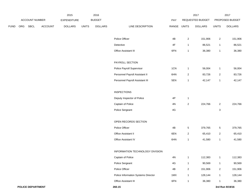|             |     |                |                | 2015               |              | 2016           |                                      |               |                         | 2017             |                         | 2017            |
|-------------|-----|----------------|----------------|--------------------|--------------|----------------|--------------------------------------|---------------|-------------------------|------------------|-------------------------|-----------------|
|             |     | ACCOUNT NUMBER |                | <b>EXPENDITURE</b> |              | <b>BUDGET</b>  |                                      | PAY           |                         | REQUESTED BUDGET |                         | PROPOSED BUDGET |
| <b>FUND</b> | ORG | SBCL           | <b>ACCOUNT</b> | <b>DOLLARS</b>     | <b>UNITS</b> | <b>DOLLARS</b> | LINE DESCRIPTION                     | RANGE UNITS   |                         | <b>DOLLARS</b>   | <b>UNITS</b>            | <b>DOLLARS</b>  |
|             |     |                |                |                    |              |                |                                      |               |                         |                  |                         |                 |
|             |     |                |                |                    |              |                | Police Officer                       | 4B            | $\overline{2}$          | 151,906          | $\overline{a}$          | 151,906         |
|             |     |                |                |                    |              |                | Detective                            | $4\mathsf{F}$ | $\mathbf{1}$            | 86,521           | $\mathbf{1}$            | 86,521          |
|             |     |                |                |                    |              |                | Office Assistant III                 | 6FN           | $\mathbf{1}$            | 36,380           | $\mathbf{1}$            | 36,380          |
|             |     |                |                |                    |              |                | PAYROLL SECTION                      |               |                         |                  |                         |                 |
|             |     |                |                |                    |              |                | Police Payroll Supervisor            | 1CN           | $\mathbf{1}$            | 56,004           | $\mathbf{1}$            | 56,004          |
|             |     |                |                |                    |              |                | Personnel Payroll Assistant II       | 6HN           | $\overline{2}$          | 83,726           | $\overline{\mathbf{c}}$ | 83,726          |
|             |     |                |                |                    |              |                | Personnel Payroll Assistant III      | 5EN           | $\mathbf{1}$            | 42,147           | $\mathbf{1}$            | 42,147          |
|             |     |                |                |                    |              |                | <b>INSPECTIONS</b>                   |               |                         |                  |                         |                 |
|             |     |                |                |                    |              |                | Deputy Inspector of Police           | 4P            | $\mathbf{1}$            |                  |                         |                 |
|             |     |                |                |                    |              |                | Captain of Police                    | 4N            | $\overline{\mathbf{c}}$ | 224,766          | $\overline{a}$          | 224,766         |
|             |     |                |                |                    |              |                | Police Sergeant                      | 4G            |                         |                  | 3                       |                 |
|             |     |                |                |                    |              |                | OPEN RECORDS SECTION                 |               |                         |                  |                         |                 |
|             |     |                |                |                    |              |                | Police Officer                       | 4B            | $\,$ 5 $\,$             | 379,765          | $5\phantom{.0}$         | 379,765         |
|             |     |                |                |                    |              |                | Office Assistant II                  | 6EN           | $\overline{2}$          | 65,410           | $\overline{2}$          | 65,410          |
|             |     |                |                |                    |              |                | Office Assistant IV                  | 6HN           | $\mathbf{1}$            | 41,580           | $\mathbf{1}$            | 41,580          |
|             |     |                |                |                    |              |                |                                      |               |                         |                  |                         |                 |
|             |     |                |                |                    |              |                | INFORMATION TECHNOLOGY DIVISION      |               |                         |                  |                         |                 |
|             |     |                |                |                    |              |                | Captain of Police<br>Police Sergeant | 4N            | $\mathbf{1}$            | 112,383          | $\mathbf{1}$            | 112,383         |
|             |     |                |                |                    |              |                |                                      | $4\mathsf{G}$ | $\mathbf{1}$            | 90,569           | $\mathbf{1}$            | 90,569          |
|             |     |                |                |                    |              |                | Police Officer                       | 4B            | $\overline{2}$          | 151,906          | $\overline{a}$          | 151,906         |
|             |     |                |                |                    |              |                | Police Information Systems Director  | 1MX           | $\mathbf{1}$            | 128,144          | $\mathbf{1}$            | 128,144         |
|             |     |                |                |                    |              |                | Office Assistant III                 | 6FN           | $\mathbf{1}$            | 36,380           | $\mathbf{1}$            | 36,380          |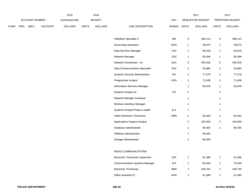|             |     |                |                | 2015               |              | 2016           |                                       |                |                | 2017             |                | 2017            |
|-------------|-----|----------------|----------------|--------------------|--------------|----------------|---------------------------------------|----------------|----------------|------------------|----------------|-----------------|
|             |     | ACCOUNT NUMBER |                | <b>EXPENDITURE</b> |              | <b>BUDGET</b>  |                                       | PAY            |                | REQUESTED BUDGET |                | PROPOSED BUDGET |
| <b>FUND</b> | ORG | SBCL           | <b>ACCOUNT</b> | <b>DOLLARS</b>     | <b>UNITS</b> | <b>DOLLARS</b> | LINE DESCRIPTION                      | RANGE          | <b>UNITS</b>   | <b>DOLLARS</b>   | <b>UNITS</b>   | <b>DOLLARS</b>  |
|             |     |                |                |                    |              |                |                                       |                |                |                  |                |                 |
|             |     |                |                |                    |              |                | Helpdesk Specialist II                | $3\mathsf{IN}$ | 9              | 408,114          | 9              | 408,114         |
|             |     |                |                |                    |              |                | Accounting Assistant I                | 6GN            | 1              | 39,672           | $\mathbf{1}$   | 39,672          |
|             |     |                |                |                    |              |                | Data Services Manager                 | 1GX            | 1              | 82,918           | $\mathbf{1}$   | 82,918          |
|             |     |                |                |                    |              |                | Network Manager                       | 1GX            | 1              | 85,494           | $\mathbf{1}$   | 85,494          |
|             |     |                |                |                    |              |                | Network Coordinator - Sr.             | 2GX            | 5              | 295,918          | $\overline{5}$ | 295,918         |
|             |     |                |                |                    |              |                | Data Communications Specialist        | 2HX            | 1              | 54,865           | $\mathbf{1}$   | 54,865          |
|             |     |                |                |                    |              |                | <b>Systems Security Administrator</b> | 2IX            | 1              | 77,570           | 1              | 77,570          |
|             |     |                |                |                    |              |                | Programmer Analyst                    | 2GN            | 1              | 71,638           | $\mathbf{1}$   | 71,638          |
|             |     |                |                |                    |              |                | <b>Information Services Manager</b>   |                | 1              | 93,976           | $\mathbf{1}$   | 93,976          |
|             |     |                |                |                    |              |                | Systems Analyst-Sr.                   | 2IX            | 1              |                  | $\mathbf{1}$   |                 |
|             |     |                |                |                    |              |                | Network Manager Assistant             |                | 1              |                  | $\mathbf{1}$   |                 |
|             |     |                |                |                    |              |                | Wireless Interface Manager            |                | 1              |                  | 1              |                 |
|             |     |                |                |                    |              |                | Systems Analyst-Project Leader        | 2LX            | $\mathbf{1}$   |                  | $\mathbf{1}$   |                 |
|             |     |                |                |                    |              |                | Video Electronic Technician           | 3MN            | 1              | 63,403           | $\mathbf{1}$   | 63,403          |
|             |     |                |                |                    |              |                | <b>Applications Support Analyst</b>   |                | $\overline{c}$ | 150,000          | $\overline{a}$ | 150,000         |
|             |     |                |                |                    |              |                | Database Administrator                |                | 1              | 80,000           | $\mathbf{1}$   | 80,000          |
|             |     |                |                |                    |              |                | VMWare Administrator                  |                | 1              | 84,000           |                |                 |
|             |     |                |                |                    |              |                | Storage Administrator                 |                | 1              | 84,000           |                |                 |
|             |     |                |                |                    |              |                |                                       |                |                |                  |                |                 |
|             |     |                |                |                    |              |                | RADIO COMMUNICATIONS                  |                |                |                  |                |                 |
|             |     |                |                |                    |              |                | Electronic Technician Supervisor      | 1DX            | $\mathbf{1}$   | 61,386           | $\mathbf{1}$   | 61,386          |
|             |     |                |                |                    |              |                | <b>Communications Systems Manager</b> | 1FX            | $\mathbf{1}$   | 84,000           | $\mathbf{1}$   | 75,000          |
|             |     |                |                |                    |              |                | Electronic Technician                 | 3MN            | $\overline{7}$ | 439,754          | $\overline{7}$ | 439,754         |
|             |     |                |                |                    |              |                | Office Assistant IV                   | 6HN            | $\mathbf{1}$   | 41,580           | $\mathbf{1}$   | 41,580          |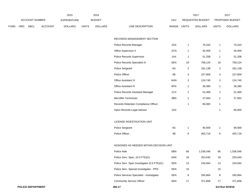|             |     |                |                | 2015               |              | 2016           |                                             |       |                | 2017             |                | 2017            |
|-------------|-----|----------------|----------------|--------------------|--------------|----------------|---------------------------------------------|-------|----------------|------------------|----------------|-----------------|
|             |     | ACCOUNT NUMBER |                | <b>EXPENDITURE</b> |              | <b>BUDGET</b>  |                                             | PAY   |                | REQUESTED BUDGET |                | PROPOSED BUDGET |
| <b>FUND</b> | ORG | SBCL           | <b>ACCOUNT</b> | <b>DOLLARS</b>     | <b>UNITS</b> | <b>DOLLARS</b> | LINE DESCRIPTION                            | RANGE | <b>UNITS</b>   | <b>DOLLARS</b>   | <b>UNITS</b>   | <b>DOLLARS</b>  |
|             |     |                |                |                    |              |                |                                             |       |                |                  |                |                 |
|             |     |                |                |                    |              |                | RECORDS MANAGEMENT SECTION                  |       |                |                  |                |                 |
|             |     |                |                |                    |              |                | Police Records Manager                      | 1DX   | $\mathbf{1}$   | 70,310           | $\mathbf{1}$   | 70,310          |
|             |     |                |                |                    |              |                | Office Supervisor II                        | 2CN   | $\mathbf{1}$   | 40,459           | $\mathbf{1}$   | 40,459          |
|             |     |                |                |                    |              |                | Police Records Supervisor                   | 1AX   | $\mathbf{1}$   | 51,208           | $\mathbf{1}$   | 51,208          |
|             |     |                |                |                    |              |                | Police Records Specialist III               | 5EN   | 18             | 758,124          | 18             | 758,124         |
|             |     |                |                |                    |              |                | Police Sergeant                             | 4G    | $\overline{2}$ | 181,138          | $\overline{2}$ | 181,138         |
|             |     |                |                |                    |              |                | Police Officer                              | 4B    | 3              | 227,859          | $\sqrt{3}$     | 227,859         |
|             |     |                |                |                    |              |                | Office Assistant IV                         | 6HN   | 3              | 124,740          | $\mathsf 3$    | 124,740         |
|             |     |                |                |                    |              |                | Office Assistant III                        | 6FN   | $\mathbf{1}$   | 36,380           | $\mathbf{1}$   | 36,380          |
|             |     |                |                |                    |              |                | Police Records Assistant Manager            | 1CX   | $\mathbf{1}$   | 51,469           | $\mathbf{1}$   | 51,469          |
|             |     |                |                |                    |              |                | Microfilm Technician                        | 3BN   | $\mathbf{1}$   | 37,564           | $\mathbf{1}$   | 37,564          |
|             |     |                |                |                    |              |                | Records Retention Compliance Officer        |       | $\mathbf{1}$   | 80,000           | $\mathbf{1}$   |                 |
|             |     |                |                |                    |              |                | Open Records Legal Advisor                  | 1DX   |                |                  | $\mathbf{1}$   | 80,000          |
|             |     |                |                |                    |              |                |                                             |       |                |                  |                |                 |
|             |     |                |                |                    |              |                | LICENSE INVESTIGATION UNIT                  |       |                |                  |                |                 |
|             |     |                |                |                    |              |                | Police Sergeant                             | 4G    | $\mathbf{1}$   | 90,569           | $\mathbf{1}$   | 90,569          |
|             |     |                |                |                    |              |                | Police Officer                              | 4B    | 6              | 455,718          | 6              | 455,718         |
|             |     |                |                |                    |              |                |                                             |       |                |                  |                |                 |
|             |     |                |                |                    |              |                | ASSIGNED AS NEEDED WITHIN DECISION UNIT     |       |                |                  |                |                 |
|             |     |                |                |                    |              |                | Police Aide                                 | 6BN   | 66             | 1,536,546        | 66             | 1,536,546       |
|             |     |                |                |                    |              |                | Police Serv. Spec. (0.5 FTE)(C)             | 6AN   | 18             | 253,540          | 18             | 253,540         |
|             |     |                |                |                    |              |                | Police Serv. Spec Investigator (0.5 FTE)(C) | 5EN   | 13             | 234,564          | 13             | 234,564         |
|             |     |                |                |                    |              |                | Police Serv. Special Investigator - PPD     | 5EN   | 10             |                  | 10             |                 |
|             |     |                |                |                    |              |                | Police Services Specialist - Investigator   | 5EN   | 8              | 265,864          | 8              | 265,864         |
|             |     |                |                |                    |              |                | <b>Community Service Officer</b>            | 5EN   | 17             | 371,808          | 17             | 371,808         |
|             |     |                |                |                    |              |                |                                             |       |                |                  |                |                 |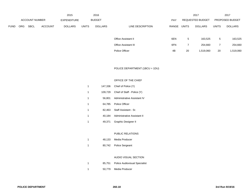|             |                       |             |                    | 2015           |               | 2016           |                             |       |                         | 2017           |                 | 2017           |
|-------------|-----------------------|-------------|--------------------|----------------|---------------|----------------|-----------------------------|-------|-------------------------|----------------|-----------------|----------------|
|             | <b>ACCOUNT NUMBER</b> |             | <b>EXPENDITURE</b> |                | <b>BUDGET</b> |                | PAY                         |       | <b>REQUESTED BUDGET</b> |                | PROPOSED BUDGET |                |
| <b>FUND</b> | <b>ORG</b>            | <b>SBCL</b> | <b>ACCOUNT</b>     | <b>DOLLARS</b> | <b>UNITS</b>  | <b>DOLLARS</b> | LINE DESCRIPTION            | RANGE | <b>UNITS</b>            | <b>DOLLARS</b> | <b>UNITS</b>    | <b>DOLLARS</b> |
|             |                       |             |                    |                |               |                |                             |       |                         |                |                 |                |
|             |                       |             |                    |                |               |                | Office Assistant II         | 6EN   | 5                       | 163,525        | 5               | 163,525        |
|             |                       |             |                    |                |               |                | <b>Office Assistant III</b> | 6FN   |                         | 254,660        | 7               | 254,660        |
|             |                       |             |                    |                |               |                | Police Officer              | 4B    | 20                      | 1,519,060      | 20              | 1,519,060      |

## POLICE DEPARTMENT (1BCU = 1DU)

### OFFICE OF THE CHIEF

| 1            |        | 147,336 Chief of Police (Y)         |
|--------------|--------|-------------------------------------|
| 1            |        | 109,729 Chief of Staff - Police (Y) |
| 1            |        | 56.801 Administrative Assistant IV  |
| $\mathbf{1}$ |        | 64,785 Police Officer               |
| $\mathbf 1$  |        | 82.463 Staff Assistant - Sr.        |
| $\mathbf 1$  |        | 40.184 Administrative Assistant II  |
| 1            | 49.371 | Graphic Designer II                 |

### PUBLIC RELATIONS

| Media Producer |
|----------------|
|                |

1 80,742 Police Sergeant

### AUDIO VISUAL SECTION

- 1 85,751 Police Audiovisual Specialist
- 1 50,779 Media Producer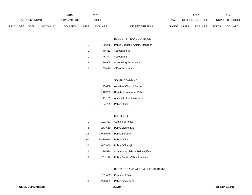|             |                       |             |                | 2015           |               | 2016           |                           | 2017                    |                        | 2017           |
|-------------|-----------------------|-------------|----------------|----------------|---------------|----------------|---------------------------|-------------------------|------------------------|----------------|
|             | <b>ACCOUNT NUMBER</b> |             | EXPENDITURE    |                | <b>BUDGET</b> | PAY            | REQUESTED BUDGET          |                         | <b>PROPOSED BUDGET</b> |                |
| <b>FUND</b> | ORG                   | <b>SBCL</b> | <b>ACCOUNT</b> | <b>DOLLARS</b> | <b>UNITS</b>  | <b>DOLLARS</b> | RANGE<br>LINE DESCRIPTION | UNITS<br><b>DOLLARS</b> | UNITS                  | <b>DOLLARS</b> |

### BUDGET & FINANCE DIVISION

| 1 | 89,275 Police Budget & Admin. Manager |
|---|---------------------------------------|
| 1 | 70,411 Accountant III                 |
| 1 | 46.347 Accountant I                   |
| 2 | 79,905 Accounting Assistant II        |
| 2 | 65,410 Office Assistant II            |

#### SOUTH COMMAND

|    | 123,666 Assistant Chief of Police  |
|----|------------------------------------|
| -1 | 110,253 Deputy Inspector of Police |
| -1 | 41.109 Administrative Assistant II |
|    | 64,785 Police Officer              |

#### DISTRICT 1

| 1              |           | 101,483 Captain of Police                |
|----------------|-----------|------------------------------------------|
| -3             | 273.669   | Police Lieutenant                        |
| 13             |           | 1,049,646 Police Sergeant                |
| 90             | 5,830,650 | <b>Police Officer</b>                    |
| 10             |           | 647,850 Police Officer (P)               |
| $\overline{2}$ | 129.570   | Community Liaison Police Officer         |
| 6              |           | 201.126 Police District Office Assistant |

## DISTRICT 2 AND WEED & SEED INITIATIVE

|  | 101,483 Captain of Police |
|--|---------------------------|
|  |                           |

273,669 Police Lieutenant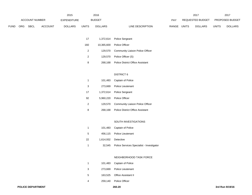|        |     |                |                | 2015               |       | 2016           |                  |            |       | 2017                    |       | 2017                   |
|--------|-----|----------------|----------------|--------------------|-------|----------------|------------------|------------|-------|-------------------------|-------|------------------------|
|        |     | ACCOUNT NUMBER |                | <b>EXPENDITURE</b> |       | <b>BUDGET</b>  |                  | <b>PAY</b> |       | <b>REQUESTED BUDGET</b> |       | <b>PROPOSED BUDGET</b> |
| FUND - | ORG | <b>SBCL</b>    | <b>ACCOUNT</b> | <b>DOLLARS</b>     | UNITS | <b>DOLLARS</b> | LINE DESCRIPTION | RANGE      | UNITS | <b>DOLLARS</b>          | UNITS | <b>DOLLARS</b>         |

| 17  |            | 1,372,614 Police Sergeant                |
|-----|------------|------------------------------------------|
| 160 | 10,365,600 | Police Officer                           |
| -2  |            | 129,570 Community Liaison Police Officer |
| 2   |            | 129,570 Police Officer (S)               |
| 8   | 268,168    | <b>Police District Office Assistant</b>  |

### DISTRICT 6

|    |           | 101,483 Captain of Police               |
|----|-----------|-----------------------------------------|
| -3 | 273.669   | Police Lieutenant                       |
| 17 |           | 1,372,614 Police Sergeant               |
| 92 | 5,960,220 | Police Officer                          |
| -2 | 129,570   | Community Liaison Police Officer        |
| 8  | 268.168   | <b>Police District Office Assistant</b> |

### SOUTH INVESTIGATIONS

|     |                     | 101,483 Captain of Police                        |
|-----|---------------------|--------------------------------------------------|
| - 5 |                     | 456,115 Police Lieutenant                        |
| 22  | 1.614.932 Detective |                                                  |
|     |                     | 32,545 Police Services Specialist - Investigator |

### NEIGHBORHOOD TASK FORCE

| 1 | 101,483 Captain of Police   |
|---|-----------------------------|
| 3 | 273,669 Police Lieutenant   |
| 5 | 163,525 Office Assistant II |
| 4 | 259,140 Police Officer      |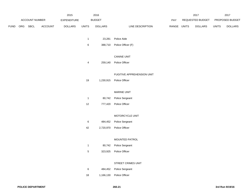|      |            |                |                | 2015               |       | 2016           |                           | 2017                           |              | 201                    |
|------|------------|----------------|----------------|--------------------|-------|----------------|---------------------------|--------------------------------|--------------|------------------------|
|      |            | ACCOUNT NUMBER |                | <b>EXPENDITURE</b> |       | <b>BUDGET</b>  | PAY                       | REQUESTED BUDGET               |              | <b>PROPOSED BUDGET</b> |
| FUND | <b>ORG</b> | SBCL           | <b>ACCOUNT</b> | <b>DOLLARS</b>     | UNITS | <b>DOLLARS</b> | RANGE<br>LINE DESCRIPTION | <b>UNITS</b><br><b>DOLLARS</b> | <b>UNITS</b> | <b>DOLLARS</b>         |

- 1 23,281 Police Aide
- 6 388,710 Police Officer (F)

## CANINE UNIT

4 259,140 Police Officer

#### FUGITIVE APPREHENSION UNIT

19 1,230,915 Police Officer

### MARINE UNIT

| <b>Police Sergeant</b> |
|------------------------|
|                        |

12 777,420 Police Officer

## MOTORCYCLE UNIT

- 6 484,452 Police Sergeant
- 42 2,720,970 Police Officer

### MOUNTED PATROL

- 1 80,742 Police Sergeant
- 5 323,925 Police Officer

### STREET CRIMES UNIT

| - 6 |           | 484,452 Police Sergeant |  |
|-----|-----------|-------------------------|--|
| 18  | 1,166,130 | Police Officer          |  |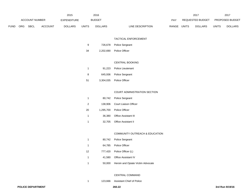|             | 2015 |                |                |                    | 2016         |                | 2017                             |       |                  | 2017         |                        |
|-------------|------|----------------|----------------|--------------------|--------------|----------------|----------------------------------|-------|------------------|--------------|------------------------|
|             |      | ACCOUNT NUMBER |                | <b>EXPENDITURE</b> |              | <b>BUDGET</b>  | PAY                              |       | REQUESTED BUDGET |              | <b>PROPOSED BUDGET</b> |
| <b>FUND</b> | ORG  | <b>SBCL</b>    | <b>ACCOUNT</b> | <b>DOLLARS</b>     | <b>UNITS</b> | <b>DOLLARS</b> | <b>RANGE</b><br>LINE DESCRIPTION | UNITS | <b>DOLLARS</b>   | <b>UNITS</b> | <b>DOLLARS</b>         |

### TACTICAL ENFORCEMENT

- 726,678 Police Sergeant
- 2,202,690 Police Officer

## CENTRAL BOOKING

|   | 91.223  | <b>Police Lieutenant</b> |
|---|---------|--------------------------|
| 8 | 645.936 | Police Sergeant          |

3,304,035 Police Officer

### COURT ADMINISTRATION SECTION

|                | 80,742 Police Sergeant        |
|----------------|-------------------------------|
| $\overline{2}$ | 138.906 Court Liaison Officer |
| 20             | 1.295.700 Police Officer      |
| -1             | 36.380 Office Assistant III   |
|                | 32,705 Office Assistant II    |

#### COMMUNITY OUTREACH & EDUCATION

|    | 80,742 Police Sergeant                   |
|----|------------------------------------------|
| -1 | 64.785 Police Officer                    |
| 12 | 777,420 Police Officer (L)               |
| 1  | 41.580 Office Assistant IV               |
|    | 50,000 Heroin and Opiate Victim Advocate |

#### CENTRAL COMMAND

123,666 Assistant Chief of Police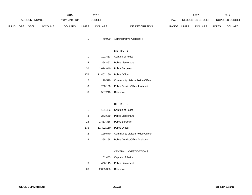|             | 2015       |                |                |                    |              | 2016           |                                  | 2017         |                  |              | 2017                   |  |
|-------------|------------|----------------|----------------|--------------------|--------------|----------------|----------------------------------|--------------|------------------|--------------|------------------------|--|
|             |            | ACCOUNT NUMBER |                | <b>EXPENDITURE</b> |              | <b>BUDGET</b>  | PAY                              |              | REQUESTED BUDGET |              | <b>PROPOSED BUDGET</b> |  |
| <b>FUND</b> | <b>ORG</b> | SBCL           | <b>ACCOUNT</b> | <b>DOLLARS</b>     | <b>UNITS</b> | <b>DOLLARS</b> | <b>RANGE</b><br>LINE DESCRIPTION | <b>UNITS</b> | <b>DOLLARS</b>   | <b>UNITS</b> | <b>DOLLARS</b>         |  |

40,990 Administrative Assistant II

### DISTRICT 3

| 1              | 101.483    | Captain of Police                |
|----------------|------------|----------------------------------|
| $\overline{4}$ | 364.892    | <b>Police Lieutenant</b>         |
| 20             | 1,614,840  | <b>Police Sergeant</b>           |
| 176            | 11.402.160 | Police Officer                   |
| 2              | 129.570    | Community Liaison Police Officer |
| 8              | 268,168    | Police District Office Assistant |
| 8              | 587,248    | Detective                        |

### DISTRICT 5

| 1              | 101.483    | Captain of Police                       |
|----------------|------------|-----------------------------------------|
| 3              | 273.669    | Police Lieutenant                       |
| 18             | 1,453,356  | <b>Police Sergeant</b>                  |
| 176            | 11.402.160 | Police Officer                          |
| $\overline{2}$ | 129.570    | <b>Community Liaison Police Officer</b> |
| 8              | 268.168    | <b>Police District Office Assistant</b> |

### CENTRAL INVESTIGATIONS

| -1 |                     | 101,483 Captain of Police |  |
|----|---------------------|---------------------------|--|
| -5 |                     | 456.115 Police Lieutenant |  |
| 28 | 2,055,368 Detective |                           |  |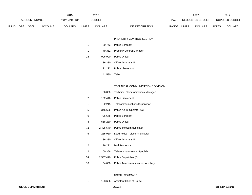|          |                |      |                | 2015           |               | 2016           |                  |              |                  | 2017           |                        | 2017           |
|----------|----------------|------|----------------|----------------|---------------|----------------|------------------|--------------|------------------|----------------|------------------------|----------------|
|          | ACCOUNT NUMBER |      | EXPENDITURE    |                | <b>BUDGET</b> |                | PAY              |              | REQUESTED BUDGET |                | <b>PROPOSED BUDGET</b> |                |
| FUND ORG |                | SBCL | <b>ACCOUNT</b> | <b>DOLLARS</b> | <b>UNITS</b>  | <b>DOLLARS</b> | LINE DESCRIPTION | <b>RANGE</b> | <b>UNITS</b>     | <b>DOLLARS</b> | <b>UNITS</b>           | <b>DOLLARS</b> |

### PROPERTY CONTROL SECTION

|    |               | 80,742 Police Sergeant          |
|----|---------------|---------------------------------|
| -1 | 79.352        | <b>Property Control Manager</b> |
| 14 |               | 906.990 Police Officer          |
| 1  |               | 36.380 Office Assistant III     |
| 1  | 91.223        | <b>Police Lieutenant</b>        |
|    | 41,580 Teller |                                 |

## TECHNICAL COMMUNICATIONS DIVISION

| 1  | 86,000    | <b>Technical Communications Manager</b> |
|----|-----------|-----------------------------------------|
| 2  | 182,446   | Police Lieutenant                       |
| 1  |           | 52,215 Telecommunications Supervisor    |
| 5  | 346,696   | Police Alarm Operator (G)               |
| 9  | 726,678   | Police Sergeant                         |
| 8  | 518,280   | <b>Police Officer</b>                   |
| 72 | 2,425,540 | Police Telecommunicator                 |
| 6  | 255,960   | Lead Police Telecommunicator            |
| 1  | 36,380    | <b>Office Assistant III</b>             |
| 2  | 76,271    | Mail Processor                          |
| 2  | 100,356   | <b>Telecommunications Specialist</b>    |
| 54 | 2,587,410 | Police Dispatcher (G)                   |
| 10 | 54,000    | Police Telecommunicator - Auxiliary     |

### NORTH COMMAND

123,666 Assistant Chief of Police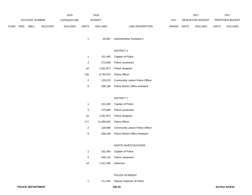|             |            |                | 2015           |                    | 2016  |                |                  |              | 2017  | 2017             |              |                        |
|-------------|------------|----------------|----------------|--------------------|-------|----------------|------------------|--------------|-------|------------------|--------------|------------------------|
|             |            | ACCOUNT NUMBER |                | <b>EXPENDITURE</b> |       | <b>BUDGET</b>  |                  | PAY          |       | REQUESTED BUDGET |              | <b>PROPOSED BUDGET</b> |
| <b>FUND</b> | <b>ORG</b> | <b>SBCL</b>    | <b>ACCOUNT</b> | <b>DOLLARS</b>     | UNITS | <b>DOLLARS</b> | LINE DESCRIPTION | <b>RANGE</b> | UNITS | <b>DOLLARS</b>   | <b>UNITS</b> | <b>DOLLARS</b>         |

40,991 Administrative Assistant II

### DISTRICT 4

| 1   | 101.483 | Captain of Police                       |
|-----|---------|-----------------------------------------|
| 3   | 273.669 | Police Lieutenant                       |
| 16  |         | 1,291,872 Police Sergeant               |
| 135 |         | 8.745.975 Police Officer                |
| 2   | 129.570 | Community Liaison Police Officer        |
| 8   | 268.168 | <b>Police District Office Assistant</b> |

### DISTRICT 7

| 1              | 101.483 | Captain of Police                       |
|----------------|---------|-----------------------------------------|
| 3              | 273.669 | Police Lieutenant                       |
| 16             |         | 1,291,872 Police Sergeant               |
| 177            |         | 11.466.945 Police Officer               |
| $\overline{2}$ | 128.686 | <b>Community Liaison Police Officer</b> |
| 8              | 268.168 | <b>Police District Office Assistant</b> |

# NORTH INVESTIGATIONS

| 1  |                     | 101,483 Captain of Police |
|----|---------------------|---------------------------|
| 5  |                     | 456.115 Police Lieutenant |
| 18 | 1.321.308 Detective |                           |

### POLICE ACADEMY

111,440 Deputy Inspector of Police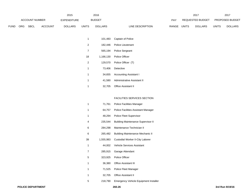|      |                       |             | 2015               |                | 2016          |                |                  |              | 2017             |                | 2017                   |                |
|------|-----------------------|-------------|--------------------|----------------|---------------|----------------|------------------|--------------|------------------|----------------|------------------------|----------------|
|      | <b>ACCOUNT NUMBER</b> |             | <b>EXPENDITURE</b> |                | <b>BUDGET</b> |                | <b>PAY</b>       |              | REQUESTED BUDGET |                | <b>PROPOSED BUDGET</b> |                |
| ™UND | ORG                   | <b>SBCL</b> | <b>ACCOUNT</b>     | <b>DOLLARS</b> | <b>UNITS</b>  | <b>DOLLARS</b> | LINE DESCRIPTION | <b>RANGE</b> | UNITS            | <b>DOLLARS</b> | <b>UNITS</b>           | <b>DOLLARS</b> |

| 1              | 101,483 | Captain of Police                  |
|----------------|---------|------------------------------------|
| $\overline{2}$ |         | 182,446 Police Lieutenant          |
| $\overline{7}$ | 565,194 | <b>Police Sergeant</b>             |
| 18             |         | 1,166,130 Police Officer           |
| $\overline{2}$ | 129,570 | Police Officer (T)                 |
| 1              |         | 73.406 Detective                   |
| 1              | 34.655  | <b>Accounting Assistant I</b>      |
| 1              |         | 41,580 Administrative Assistant II |
| 1              |         | 32.705 Office Assistant II         |

### FACILITIES SERVICES SECTION

| 1  | 71,761    | <b>Police Facilities Manager</b>             |
|----|-----------|----------------------------------------------|
| 1  | 64,757    | Police Facilities Assistant Manager          |
| 1  | 48,294    | Police Fleet Supervisor                      |
| 4  | 235,544   | <b>Building Maintenance Supervisor II</b>    |
| 6  | 284,298   | Maintenance Technician II                    |
| 6  | 265,482   | <b>Building Maintenance Mechanic II</b>      |
| 39 | 1,555,983 | Custodial Worker II-City Laborer             |
| 1  | 44,002    | <b>Vehicle Services Assistant</b>            |
| 7  | 285,915   | Garage Attendant                             |
| 5  | 323,925   | Police Officer                               |
| 1  | 36,380    | <b>Office Assistant III</b>                  |
| 1  | 71,525    | Police Fleet Manager                         |
| 1  | 32,705    | <b>Office Assistant II</b>                   |
| 5  | 218,790   | <b>Emergency Vehicle Equipment Installer</b> |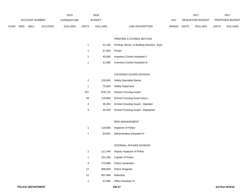|      | 2015           |      |                | 2016           |               |                |                  | 2017  |                  | 2017           |                        |                |
|------|----------------|------|----------------|----------------|---------------|----------------|------------------|-------|------------------|----------------|------------------------|----------------|
|      | ACCOUNT NUMBER |      | EXPENDITURE    |                | <b>BUDGET</b> |                | <b>PAY</b>       |       | REQUESTED BUDGET |                | <b>PROPOSED BUDGET</b> |                |
| FUND | <b>ORG</b>     | SBCL | <b>ACCOUNT</b> | <b>DOLLARS</b> | <b>UNITS</b>  | <b>DOLLARS</b> | LINE DESCRIPTION | RANGE | UNITS            | <b>DOLLARS</b> | <b>UNITS</b>           | <b>DOLLARS</b> |

## PRINTING & STORES SECTION

| -1           |                | 51,105 Printing, Stores, & Building Services Supv. |
|--------------|----------------|----------------------------------------------------|
| -1           | 47.903 Printer |                                                    |
| -1           |                | 40,590 Inventory Control Assistant II              |
| $\mathbf{1}$ | 41,580         | <b>Inventory Control Assistant III</b>             |

### CROSSING GUARD DIVISION

| 2   | 129.804 | Safety Specialist-Senior           |
|-----|---------|------------------------------------|
| 1   | 70.000  | <b>Safety Supervisor</b>           |
| 207 | 878,715 | <b>School Crossing Guard</b>       |
| 28  | 118.860 | School Crossing Guard (Aux.)       |
| 3   | 35.454  | School Crossing Guard - Operator   |
| 3   | 35.454  | School Crossing Guard - Dispatcher |

### RISK MANAGEMENT

| -1 | 118.660 | Inspector of Police         |
|----|---------|-----------------------------|
| -1 | 56.801  | Administrative Assistant IV |

## INTERNAL AFFAIRS DIVISION

|  | 111,440 Deputy Inspector of Police |
|--|------------------------------------|
|  | 101,483 Captain of Police          |
|  | 273,669 Police Lieutenant          |

- 968,904 Police Sergeant
- 807,466 Detective
- 41,580 Office Assistant IV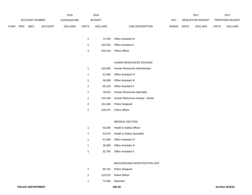|             |                       |             |                | 2015               |                | 2016           |                                  |             | 2017             |              | 2017            |
|-------------|-----------------------|-------------|----------------|--------------------|----------------|----------------|----------------------------------|-------------|------------------|--------------|-----------------|
|             | <b>ACCOUNT NUMBER</b> |             |                | <b>EXPENDITURE</b> |                | <b>BUDGET</b>  |                                  | PAY         | REQUESTED BUDGET |              | PROPOSED BUDGET |
| <b>FUND</b> | ORG                   | <b>SBCL</b> | <b>ACCOUNT</b> | <b>DOLLARS</b>     | <b>UNITS</b>   | <b>DOLLARS</b> | LINE DESCRIPTION                 | RANGE UNITS | <b>DOLLARS</b>   | <b>UNITS</b> | <b>DOLLARS</b>  |
|             |                       |             |                |                    |                |                |                                  |             |                  |              |                 |
|             |                       |             |                |                    | $\overline{a}$ | 72,760         | Office Assistant III             |             |                  |              |                 |
|             |                       |             |                |                    | 5              | 163,525        | Office Assistant II              |             |                  |              |                 |
|             |                       |             |                |                    | 4              | 259,140        | Police Officer                   |             |                  |              |                 |
|             |                       |             |                |                    |                |                |                                  |             |                  |              |                 |
|             |                       |             |                |                    |                |                | HUMAN RESOURCES DIVISION         |             |                  |              |                 |
|             |                       |             |                |                    | 1              | 103,005        | Human Resources Administrator    |             |                  |              |                 |
|             |                       |             |                |                    | $\mathbf{1}$   | 41,580         | Office Assistant IV              |             |                  |              |                 |
|             |                       |             |                |                    | $\mathbf{1}$   | 36,380         | Office Assistant III             |             |                  |              |                 |
|             |                       |             |                |                    | $\overline{c}$ | 65,410         | Office Assistant II              |             |                  |              |                 |
|             |                       |             |                |                    | $\mathbf{1}$   | 78,619         | Human Resources Specialist       |             |                  |              |                 |
|             |                       |             |                |                    | $\overline{a}$ | 134,199        | Human Resources Analyst - Senior |             |                  |              |                 |
|             |                       |             |                |                    | $\overline{a}$ | 161,484        | Police Sergeant                  |             |                  |              |                 |
|             |                       |             |                |                    | $\mathbf{2}$   | 129,570        | Police Officer                   |             |                  |              |                 |
|             |                       |             |                |                    |                |                |                                  |             |                  |              |                 |
|             |                       |             |                |                    |                |                | MEDICAL SECTION                  |             |                  |              |                 |
|             |                       |             |                |                    | $\mathbf{1}$   | 50,206         | Health & Safety Officer          |             |                  |              |                 |
|             |                       |             |                |                    | $\mathbf{1}$   | 42,079         | Health & Safety Specialist       |             |                  |              |                 |
|             |                       |             |                |                    | -1             | 41,580         | Office Assistant IV              |             |                  |              |                 |

- 36,380 Office Assistant III
- 32,705 Office Assistant II

### BACKGROUND INVESTIGATION UNIT

| 1 | 80,742 Police Sergeant |
|---|------------------------|
| 2 | 129.570 Police Officer |
| 1 | 73,406 Detective       |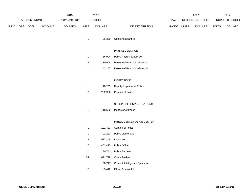|             | 2015<br>ACCOUNT NUMBER<br><b>EXPENDITURE</b> |             |                | 2016<br><b>BUDGET</b> |                | PAY            |                                 | 2017<br>REQUESTED BUDGET |              | 2017<br>PROPOSED BUDGET |              |                |
|-------------|----------------------------------------------|-------------|----------------|-----------------------|----------------|----------------|---------------------------------|--------------------------|--------------|-------------------------|--------------|----------------|
| <b>FUND</b> | ORG                                          | <b>SBCL</b> | <b>ACCOUNT</b> | <b>DOLLARS</b>        | <b>UNITS</b>   | <b>DOLLARS</b> | LINE DESCRIPTION                | RANGE                    | <b>UNITS</b> | <b>DOLLARS</b>          | <b>UNITS</b> | <b>DOLLARS</b> |
|             |                                              |             |                |                       | $\mathbf{1}$   | 36,380         | Office Assistant III            |                          |              |                         |              |                |
|             |                                              |             |                |                       |                |                | PAYROLL SECTION                 |                          |              |                         |              |                |
|             |                                              |             |                |                       | $\mathbf{1}$   | 56,004         | Police Payroll Supervisor       |                          |              |                         |              |                |
|             |                                              |             |                |                       | $\overline{c}$ | 80,904         | Personnel Payroll Assistant II  |                          |              |                         |              |                |
|             |                                              |             |                |                       | $\mathbf{1}$   | 42,147         | Personnel Payroll Assistant III |                          |              |                         |              |                |
|             |                                              |             |                |                       |                |                | <b>INSPECTIONS</b>              |                          |              |                         |              |                |
|             |                                              |             |                |                       | $\mathbf{1}$   | 110,253        | Deputy Inspector of Police      |                          |              |                         |              |                |
|             |                                              |             |                |                       | $\overline{c}$ | 202,966        | Captain of Police               |                          |              |                         |              |                |
|             |                                              |             |                |                       |                |                |                                 |                          |              |                         |              |                |
|             |                                              |             |                |                       |                |                | SPECIALIZED INVESTIGATIONS      |                          |              |                         |              |                |
|             |                                              |             |                |                       | $\mathbf{1}$   | 118,660        | Inspector of Police             |                          |              |                         |              |                |
|             |                                              |             |                |                       |                |                |                                 |                          |              |                         |              |                |
|             |                                              |             |                |                       |                |                | INTELLIGENCE FUSION CENTER      |                          |              |                         |              |                |
|             |                                              |             |                |                       | $\mathbf{1}$   | 101,483        | Captain of Police               |                          |              |                         |              |                |
|             |                                              |             |                |                       | $\mathbf{1}$   | 91,223         | Police Lieutenant               |                          |              |                         |              |                |
|             |                                              |             |                |                       | 8              | 587,248        | Detective                       |                          |              |                         |              |                |

- 453,495 Police Officer
- 80,742 Police Sergeant
- 871,728 Crime Analyst
- 68,717 Crime & Intelligence Specialist
- 65,410 Office Assistant II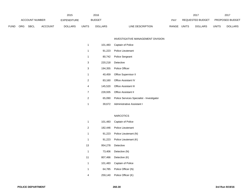|        |            |                       |         | 2015           |              | 2016           |                  |       |       | 2017             |              | 2017                   |
|--------|------------|-----------------------|---------|----------------|--------------|----------------|------------------|-------|-------|------------------|--------------|------------------------|
|        |            | <b>ACCOUNT NUMBER</b> |         | EXPENDITURE    |              | <b>BUDGET</b>  |                  | PAY   |       | REQUESTED BUDGET |              | <b>PROPOSED BUDGET</b> |
| =UND - | <b>ORG</b> | SBCL                  | ACCOUNT | <b>DOLLARS</b> | <b>UNITS</b> | <b>DOLLARS</b> | LINE DESCRIPTION | RANGE | UNITS | <b>DOLLARS</b>   | <b>UNITS</b> | <b>DOLLARS</b>         |
|        |            |                       |         |                |              |                |                  |       |       |                  |              |                        |

### INVESTIGATIVE MANAGEMENT DIVISION

| 1 | 101,483 | Captain of Police                                |
|---|---------|--------------------------------------------------|
| 1 |         | 91,223 Police Lieutenant                         |
| 1 |         | 80,742 Police Sergeant                           |
| 3 |         | 220,218 Detective                                |
| 3 |         | 194,355 Police Officer                           |
| 1 |         | 40,459 Office Supervisor II                      |
| 2 | 83,160  | <b>Office Assistant IV</b>                       |
| 4 |         | 145,520 Office Assistant III                     |
| 7 |         | 228,935 Office Assistant II                      |
| 2 |         | 65,090 Police Services Specialist - Investigator |
| 1 |         | 39.672 Administrative Assistant I                |

## NARCOTICS

| 1              | 101,483 | Captain of Police     |
|----------------|---------|-----------------------|
| $\overline{2}$ | 182,446 | Police Lieutenant     |
| 1              | 91,223  | Police Lieutenant (N) |
| 1              | 91,223  | Police Lieutenant (K) |
| 13             | 954,278 | Detective             |
| 1              | 73,406  | Detective (N)         |
| 11             | 807,466 | Detective (K)         |
|                |         |                       |
| 1              | 101,483 | Captain of Police     |
| 1              | 64,785  | Police Officer (N)    |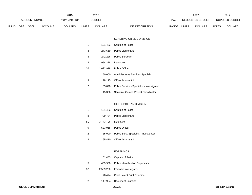|      |            |                |                | 2015           |              | 2016           |                           | 2017             |                | 2017                           |
|------|------------|----------------|----------------|----------------|--------------|----------------|---------------------------|------------------|----------------|--------------------------------|
|      |            | ACCOUNT NUMBER |                | EXPENDITURE    |              | <b>BUDGET</b>  | PAY                       | REQUESTED BUDGET |                | <b>PROPOSED BUDGET</b>         |
| FUND | <b>ORG</b> | SBCL           | <b>ACCOUNT</b> | <b>DOLLARS</b> | <b>UNITS</b> | <b>DOLLARS</b> | RANGE<br>LINE DESCRIPTION | <b>UNITS</b>     | <b>DOLLARS</b> | <b>UNITS</b><br><b>DOLLARS</b> |

### SENSITIVE CRIMES DIVISION

| 1  | 101,483   | Captain of Police                         |
|----|-----------|-------------------------------------------|
| 3  | 273,669   | Police Lieutenant                         |
| 3  | 242,226   | <b>Police Sergeant</b>                    |
| 13 | 954,278   | Detective                                 |
| 26 | 1,672,918 | Police Officer                            |
| 1  | 50.000    | Administrative Services Specialist        |
| 3  | 98.115    | <b>Office Assistant II</b>                |
| 2  | 65,090    | Police Services Specialist - Investigator |
| 1  | 45.306    | Sensitive Crimes Project Coordinator      |

#### METROPOLITAN DIVISION

|    |                     | 101,483 Captain of Police              |
|----|---------------------|----------------------------------------|
| -8 | 729,784             | <b>Police Lieutenant</b>               |
| 51 | 3.743.706 Detective |                                        |
| 9  |                     | 583.065 Police Officer                 |
| 2  | 65,090              | Police Serv. Specialist - Investigator |
| 2  |                     | 65,410 Office Assistant II             |

#### FORENSICS

|     | 101,483 Captain of Police                |
|-----|------------------------------------------|
| - 5 | 439,930 Police Identification Supervisor |
| 37  | 2,569,280 Forensic Investigator          |
| -1  | 78,474 Chief Latent Print Examiner       |
| -2  | 147,924 Document Examiner                |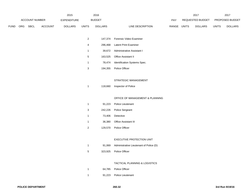|             |                               |         | 2015           |                | 2016           |                                         |             | 2017            |              | 2017           |
|-------------|-------------------------------|---------|----------------|----------------|----------------|-----------------------------------------|-------------|-----------------|--------------|----------------|
|             | ACCOUNT NUMBER<br>EXPENDITURE |         | <b>BUDGET</b>  |                |                | REQUESTED BUDGET                        |             | PROPOSED BUDGET |              |                |
| <b>FUND</b> | ORG SBCL                      | ACCOUNT | <b>DOLLARS</b> | <b>UNITS</b>   | <b>DOLLARS</b> | LINE DESCRIPTION                        | RANGE UNITS | <b>DOLLARS</b>  | <b>UNITS</b> | <b>DOLLARS</b> |
|             |                               |         |                |                |                |                                         |             |                 |              |                |
|             |                               |         |                | $\overline{2}$ | 147,374        | Forensic Video Examiner                 |             |                 |              |                |
|             |                               |         |                | $\sqrt{4}$     | 296,468        | Latent Print Examiner                   |             |                 |              |                |
|             |                               |         |                | $\mathbf{1}$   | 39,672         | Administrative Assistant I              |             |                 |              |                |
|             |                               |         |                | $\overline{5}$ | 163,525        | Office Assistant II                     |             |                 |              |                |
|             |                               |         |                | $\mathbf{1}$   | 78,474         | Identification Systems Spec.            |             |                 |              |                |
|             |                               |         |                | $\mathbf{3}$   | 194,355        | Police Officer                          |             |                 |              |                |
|             |                               |         |                |                |                |                                         |             |                 |              |                |
|             |                               |         |                |                |                | STRATEGIC MANAGEMENT                    |             |                 |              |                |
|             |                               |         |                | $\mathbf{1}$   | 118,660        | Inspector of Police                     |             |                 |              |                |
|             |                               |         |                |                |                |                                         |             |                 |              |                |
|             |                               |         |                |                |                | OFFICE OF MANAGEMENT & PLANNING         |             |                 |              |                |
|             |                               |         |                | $\mathbf{1}$   | 91,223         | Police Lieutenant                       |             |                 |              |                |
|             |                               |         |                | $\mathbf{3}$   | 242,226        | Police Sergeant                         |             |                 |              |                |
|             |                               |         |                | $\mathbf{1}$   | 73,406         | Detective                               |             |                 |              |                |
|             |                               |         |                | $\mathbf{1}$   | 36,380         | Office Assistant III                    |             |                 |              |                |
|             |                               |         |                | $\overline{2}$ | 129,570        | Police Officer                          |             |                 |              |                |
|             |                               |         |                |                |                |                                         |             |                 |              |                |
|             |                               |         |                |                |                | EXECUTIVE PROTECTION UNIT               |             |                 |              |                |
|             |                               |         |                | $\mathbf{1}$   | 91,069         | Administrative Lieutenant of Police (D) |             |                 |              |                |
|             |                               |         |                | $\sqrt{5}$     | 323,925        | Police Officer                          |             |                 |              |                |
|             |                               |         |                |                |                |                                         |             |                 |              |                |
|             |                               |         |                |                |                | TACTICAL PLANNING & LOGISTICS           |             |                 |              |                |
|             |                               |         |                | $\mathbf{1}$   | 64,785         | Police Officer                          |             |                 |              |                |
|             |                               |         |                | $\mathbf{1}$   | 91,223         | Police Lieutenant                       |             |                 |              |                |
|             |                               |         |                |                |                |                                         |             |                 |              |                |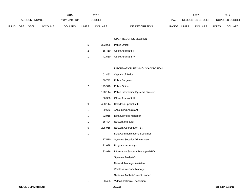|             |            |                       |                | 2015               |              | 2016           |                           |              | 2017             |       | 2017                   |
|-------------|------------|-----------------------|----------------|--------------------|--------------|----------------|---------------------------|--------------|------------------|-------|------------------------|
|             |            | <b>ACCOUNT NUMBER</b> |                | <b>EXPENDITURE</b> |              | <b>BUDGET</b>  | PAY                       |              | REQUESTED BUDGET |       | <b>PROPOSED BUDGET</b> |
| <b>FUND</b> | <b>ORG</b> | <b>SBCL</b>           | <b>ACCOUNT</b> | <b>DOLLARS</b>     | <b>UNITS</b> | <b>DOLLARS</b> | RANGE<br>LINE DESCRIPTION | <b>UNITS</b> | <b>DOLLARS</b>   | UNITS | <b>DOLLARS</b>         |

### OPEN RECORDS SECTION

| -5  | 323.925 Police Officer     |
|-----|----------------------------|
| - 2 | 65,410 Office Assistant II |
|     | 41,580 Office Assistant IV |

### INFORMATION TECHNOLOGY DIVISION

| 1 | 101,483 | Captain of Police                      |
|---|---------|----------------------------------------|
| 1 | 80,742  | Police Sergeant                        |
| 2 | 129,570 | Police Officer                         |
| 1 | 128,144 | Police Information Systems Director    |
| 1 | 36,380  | <b>Office Assistant III</b>            |
| 9 | 408,114 | Helpdesk Specialist II                 |
| 1 | 39,672  | <b>Accounting Assistant I</b>          |
| 1 | 82,918  | Data Services Manager                  |
| 1 | 85,494  | Network Manager                        |
| 5 | 295,918 | Network Coordinator - Sr.              |
| 1 |         | Data Communications Specialist         |
| 1 | 77,570  | <b>Systems Security Administrator</b>  |
| 1 | 71,638  | <b>Programmer Analyst</b>              |
| 1 | 93,976  | <b>Information Systems Manager-MPD</b> |
| 1 |         | Systems Analyst-Sr.                    |
| 1 |         | Network Manager Assistant              |
| 1 |         | Wireless Interface Manager             |
| 1 |         | Systems Analyst-Project Leader         |
| 1 | 63,403  | Video Electronic Technician            |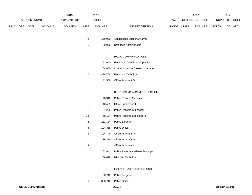|             | 2015                  |             |                |                | 2016          |                |                                  | 2017             |                | 2017                   |                |
|-------------|-----------------------|-------------|----------------|----------------|---------------|----------------|----------------------------------|------------------|----------------|------------------------|----------------|
|             | <b>ACCOUNT NUMBER</b> |             | EXPENDITURE    |                | <b>BUDGET</b> | PAY            |                                  | REQUESTED BUDGET |                | <b>PROPOSED BUDGET</b> |                |
| <b>FUND</b> | ORG                   | <b>SBCL</b> | <b>ACCOUNT</b> | <b>DOLLARS</b> | <b>UNITS</b>  | <b>DOLLARS</b> | <b>RANGE</b><br>LINE DESCRIPTION | <b>UNITS</b>     | <b>DOLLARS</b> | UNITS                  | <b>DOLLARS</b> |

- 150,000 Applications Support Analyst
- 80,000 Database Administrator

## RADIO COMMUNICATIONS

| 1 | 62,000 Electronic Technician Supervisor |
|---|-----------------------------------------|
| 1 | 84,000 Communications Systems Manager   |
| 7 | 439,754 Electronic Technician           |
| 1 | 41,580 Office Assistant IV              |

## RECORDS MANAGEMENT SECTION

| 1  | 70,310  | Police Records Manager           |
|----|---------|----------------------------------|
| 1  | 40,459  | Office Supervisor II             |
| 1  | 51,208  | <b>Police Records Supervisor</b> |
| 18 | 758,124 | Police Records Specialist III    |
| 2  | 161,484 | Police Sergeant                  |
| 3  | 194,355 | <b>Police Officer</b>            |
| 3  | 124,740 | Office Assistant IV              |
| 1  | 36,380  | <b>Office Assistant III</b>      |
| 14 |         | <b>Office Assistant II</b>       |
| 1  | 63,942  | Police Records Assistant Manager |
| 1  | 36,678  | Microfilm Technician             |

### LICENSE INVESTIGATION UNIT

- 80,742 Police Sergeant
- 388,710 Police Officer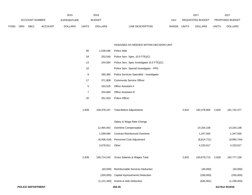|                | 2015 |                    |                | 2016           |              | 2017             |                           | 201                            |              |                |
|----------------|------|--------------------|----------------|----------------|--------------|------------------|---------------------------|--------------------------------|--------------|----------------|
| ACCOUNT NUMBER |      | <b>EXPENDITURE</b> |                | <b>BUDGET</b>  | PAY          | REQUESTED BUDGET |                           | <b>PROPOSED BUDGET</b>         |              |                |
| <b>FUND</b>    | ORG  | <b>SBCL</b>        | <b>ACCOUNT</b> | <b>DOLLARS</b> | <b>UNITS</b> | <b>DOLLARS</b>   | LINE DESCRIPTION<br>RANGE | <b>UNITS</b><br><b>DOLLARS</b> | <b>UNITS</b> | <b>DOLLARS</b> |

### ASSIGNED AS NEEDED WITHIN DECISION UNIT

| <b>POLICE DEPARTMENT</b> |               | 260.35                                      |       |             |       | 3rd Run 9/19/16 |
|--------------------------|---------------|---------------------------------------------|-------|-------------|-------|-----------------|
|                          | (1, 121, 340) | <b>Grants &amp; Aids Deduction</b>          |       | (645, 461)  |       | (1, 199, 403)   |
|                          | (330,000)     | <b>Capital Improvements Deduction</b>       |       | (330,000)   |       | (330,000)       |
|                          | (40,000)      | Reimbursable Services Deduction             |       | (40,000)    |       | (40,000)        |
| 2,839                    | 169,714,242   | Gross Salaries & Wages Total                | 2,842 | 193,679,713 | 2,828 | 192,777,158     |
|                          | 3,678,911     | Other                                       |       | 4,333,917   |       | 4,333,917       |
|                          | (6,406,418)   | Personnel Cost Adjustment                   |       | (8,814,721) |       | (8,980,744)     |
|                          | 1,599,060     | <b>Contract-Reimbursed Overtime</b>         |       | 1,347,500   |       | 1,347,500       |
|                          | 12,464,442    | Overtime Compensated                        |       | 14,334,108  |       | 14,334,108      |
|                          |               | Salary & Wage Rate Change                   |       |             |       |                 |
| 2,839                    | 158,378,247   | <b>Total Before Adjustments</b>             | 2,842 | 182,478,909 | 2,828 | 181,742,377     |
| 20                       | 351,933       | Police Officer                              |       |             |       |                 |
| $\overline{7}$           | 254,660       | Office Assistant III                        |       |             |       |                 |
| $\sqrt{5}$               | 163,525       | Office Assistant II                         |       |             |       |                 |
| 17                       | 371,808       | <b>Community Service Officer</b>            |       |             |       |                 |
| 8                        | 260,360       | Police Services Specialist - Investigator   |       |             |       |                 |
| 10                       |               | Police Serv. Special Investigator - PPD     |       |             |       |                 |
| 13                       | 234,564       | Police Serv. Spec Investigator (0.5 FTE)(C) |       |             |       |                 |
| 18                       | 253,540       | Police Serv. Spec. (0.5 FTE)(C)             |       |             |       |                 |
| 66                       | 1,536,546     | Police Aide                                 |       |             |       |                 |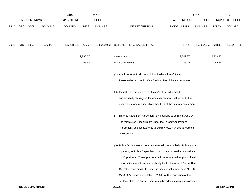|      |      |                       |                | 2015               |              | 2016           |                                                                                                                                |             |          | 2017                    |              | 2017            |
|------|------|-----------------------|----------------|--------------------|--------------|----------------|--------------------------------------------------------------------------------------------------------------------------------|-------------|----------|-------------------------|--------------|-----------------|
|      |      | <b>ACCOUNT NUMBER</b> |                | <b>EXPENDITURE</b> |              | <b>BUDGET</b>  |                                                                                                                                | PAY         |          | <b>REQUESTED BUDGET</b> |              | PROPOSED BUDGET |
| FUND | ORG  | SBCL                  | <b>ACCOUNT</b> | <b>DOLLARS</b>     | <b>UNITS</b> | <b>DOLLARS</b> | LINE DESCRIPTION                                                                                                               | RANGE UNITS |          | <b>DOLLARS</b>          | <b>UNITS</b> | <b>DOLLARS</b>  |
| 0001 | 3310 | R999                  | 006000         | 185,208,101        | 2,839        | 168,222,902    | NET SALARIES & WAGES TOTAL                                                                                                     |             | 2,842    | 192,664,252             | 2,828        | 191,207,755     |
|      |      |                       |                |                    | 2,730.27     |                | O&M FTE'S                                                                                                                      |             | 2,742.27 |                         | 2,729.27     |                 |
|      |      |                       |                |                    | 46.44        |                | NON-O&M FTE'S                                                                                                                  |             | 46.44    |                         | 46.44        |                 |
|      |      |                       |                |                    |              |                | (C) Administrative Positions to Allow Reallocation of Sworn<br>Personnel on a One For One Basis, to Patrol Related Activities. |             |          |                         |              |                 |
|      |      |                       |                |                    |              |                | (D) Incumbents assigned to the Mayor's office, who may be<br>subsequently reassigned for whatever reason, shall revert to the  |             |          |                         |              |                 |
|      |      |                       |                |                    |              |                | position title and ranking which they held at the time of appointment.                                                         |             |          |                         |              |                 |
|      |      |                       |                |                    |              |                | (F) Truancy Abatement Agreement: Six positions to be reimbursed by                                                             |             |          |                         |              |                 |
|      |      |                       |                |                    |              |                | the Milwaukee School Board under the Truancy Abatement<br>Agreement; position authority to expire 6/09/17 unless agreement     |             |          |                         |              |                 |
|      |      |                       |                |                    |              |                | is extended.                                                                                                                   |             |          |                         |              |                 |
|      |      |                       |                |                    |              |                | (G) Police Dispatchers to be administratively reclassified to Police Alarm                                                     |             |          |                         |              |                 |
|      |      |                       |                |                    |              |                | Operator, as Police Dispatcher positions are vacated, to a maximum                                                             |             |          |                         |              |                 |
|      |      |                       |                |                    |              |                | of 15 positions. These positions will be earmarked for promotional                                                             |             |          |                         |              |                 |
|      |      |                       |                |                    |              |                | opportunities for officers currently eligible for the rank of Police Alarm                                                     |             |          |                         |              |                 |
|      |      |                       |                |                    |              |                | Operator, according to the specifications of settlement case No. 98-                                                           |             |          |                         |              |                 |
|      |      |                       |                |                    |              |                | CV-009353, effective October 1, 2004. At the conclusion of the                                                                 |             |          |                         |              |                 |
|      |      |                       |                |                    |              |                | settlement, Police Alarm Operators to be administratively reclassified                                                         |             |          |                         |              |                 |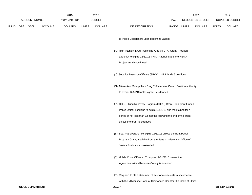|             |                       |                | 2015               |              | 2016           |                                                                                                                                                                                                                                         |             | 2017             |              | 2017            |
|-------------|-----------------------|----------------|--------------------|--------------|----------------|-----------------------------------------------------------------------------------------------------------------------------------------------------------------------------------------------------------------------------------------|-------------|------------------|--------------|-----------------|
|             | <b>ACCOUNT NUMBER</b> |                | <b>EXPENDITURE</b> |              | <b>BUDGET</b>  |                                                                                                                                                                                                                                         | <b>PAY</b>  | REQUESTED BUDGET |              | PROPOSED BUDGET |
| <b>FUND</b> | ORG SBCL              | <b>ACCOUNT</b> | <b>DOLLARS</b>     | <b>UNITS</b> | <b>DOLLARS</b> | LINE DESCRIPTION                                                                                                                                                                                                                        | RANGE UNITS | <b>DOLLARS</b>   | <b>UNITS</b> | <b>DOLLARS</b>  |
|             |                       |                |                    |              |                | to Police Dispatchers upon becoming vacant.                                                                                                                                                                                             |             |                  |              |                 |
|             |                       |                |                    |              |                | (K) High Intensity Drug Trafficking Area (HIDTA) Grant: Position<br>authority to expire 12/31/16 if HIDTA funding and the HIDTA<br>Project are discontinued.                                                                            |             |                  |              |                 |
|             |                       |                |                    |              |                | (L) Security Resource Officers (SROs). MPS funds 6 positions.                                                                                                                                                                           |             |                  |              |                 |
|             |                       |                |                    |              |                | (N) Milwaukee Metropolitan Drug Enforcement Grant. Position authority<br>to expire 12/31/16 unless grant is extended.                                                                                                                   |             |                  |              |                 |
|             |                       |                |                    |              |                | (P) COPS Hiring Recovery Program (CHRP) Grant. Ten grant funded<br>Police Officer positions to expire 12/31/16 and maintained for a<br>period of not less than 12 months following the end of the grant<br>unless the grant is extended |             |                  |              |                 |
|             |                       |                |                    |              |                | (S) Beat Patrol Grant: To expire 12/31/16 unless the Beat Patrol<br>Program Grant, available from the State of Wisconsin, Office of<br>Justice Assistance is extended.                                                                  |             |                  |              |                 |
|             |                       |                |                    |              |                | (T) Mobile Crisis Officers: To expire 12/31/2016 unless the<br>Agreement with Milwaukee County is extended.                                                                                                                             |             |                  |              |                 |
|             |                       |                |                    |              |                | (Y) Required to file a statement of economic interests in accordance                                                                                                                                                                    |             |                  |              |                 |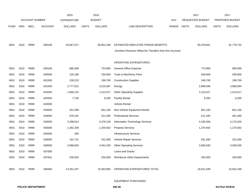|             |            |                       |                | 2015               |              | 2016           |                                                          |       |              | 2017                    |              | 2017            |
|-------------|------------|-----------------------|----------------|--------------------|--------------|----------------|----------------------------------------------------------|-------|--------------|-------------------------|--------------|-----------------|
|             |            | <b>ACCOUNT NUMBER</b> |                | <b>EXPENDITURE</b> |              | <b>BUDGET</b>  |                                                          | PAY   |              | <b>REQUESTED BUDGET</b> |              | PROPOSED BUDGET |
| <b>FUND</b> | <b>ORG</b> | <b>SBCL</b>           | <b>ACCOUNT</b> | <b>DOLLARS</b>     | <b>UNITS</b> | <b>DOLLARS</b> | LINE DESCRIPTION                                         | RANGE | <b>UNITS</b> | <b>DOLLARS</b>          | <b>UNITS</b> | <b>DOLLARS</b>  |
|             |            |                       |                |                    |              |                |                                                          |       |              |                         |              |                 |
|             |            |                       |                |                    |              |                |                                                          |       |              |                         |              |                 |
| 0001        | 3310       | R999                  | 006100         | 93,067,071         |              | 90,801,258     | ESTIMATED EMPLOYEE FRINGE BENEFITS                       |       |              | 92,478,841              |              | 91,779,722      |
|             |            |                       |                |                    |              |                | (Involves Revenue Offset-No Transfers from this Account) |       |              |                         |              |                 |
|             |            |                       |                |                    |              |                |                                                          |       |              |                         |              |                 |
|             |            |                       |                |                    |              |                | OPERATING EXPENDITURES                                   |       |              |                         |              |                 |
| 0001        | 3310       | R999                  | 630100         | 680,309            |              | 753,900        | General Office Expense                                   |       |              | 773,900                 |              | 680,000         |
| 0001        | 3310       | R999                  | 630500         | 225,189            |              | 150,600        | Tools & Machinery Parts                                  |       |              | 200,600                 |              | 200,600         |
| 0001        | 3310       | R999                  | 631000         | 228,210            |              | 199,700        | <b>Construction Supplies</b>                             |       |              | 199,700                 |              | 199,700         |
| 0001        | 3310       | R999                  | 631500         | 2,777,912          |              | 3,215,387      | Energy                                                   |       |              | 2,898,594               |              | 2,868,594       |
| 0001        | 3310       | R999                  | 632000         | 1,849,125          |              | 1,413,517      | <b>Other Operating Supplies</b>                          |       |              | 1,413,517               |              | 1,413,517       |
| 0001        | 3310       | R999                  | 632500         | 7,730              |              | 8,200          | <b>Facility Rental</b>                                   |       |              | 8,200                   |              | 8,200           |
| 0001        | 3310       | R999                  | 633000         |                    |              |                | Vehicle Rental                                           |       |              |                         |              |                 |
| 0001        | 3310       | R999                  | 633500         | 451,499            |              | 601,100        | Non-Vehicle Equipment Rental                             |       |              | 601,100                 |              | 601,100         |
| 0001        | 3310       | R999                  | 634000         | 676,191            |              | 511,440        | <b>Professional Services</b>                             |       |              | 511,440                 |              | 451,440         |
| 0001        | 3310       | R999                  | 634500         | 2,296,613          |              | 3,476,149      | Information Technology Services                          |       |              | 4,190,326               |              | 4,175,326       |
| 0001        | 3310       | R999                  | 635000         | 1,362,339          |              | 1,255,932      | <b>Property Services</b>                                 |       |              | 1,270,932               |              | 1,270,932       |
| 0001        | 3310       | R999                  | 635500         | 294                |              |                | <b>Infrastructure Services</b>                           |       |              |                         |              |                 |
| 0001        | 3310       | R999                  | 636000         | 191,731            |              | 231,500        | Vehicle Repair Services                                  |       |              | 631,500                 |              | 231,500         |
| 0001        | 3310       | R999                  | 636500         | 3,068,603          |              | 3,491,530      | <b>Other Operating Services</b>                          |       |              | 3,566,530               |              | 3,566,530       |
| 0001        | 3310       | R999                  | 637000         |                    |              |                | Loans and Grants                                         |       |              |                         |              |                 |
| 0001        | 3310       | R999                  | 637501         | 535,502            |              | 255,000        | Reimburse Other Departments                              |       |              | 255,000                 |              | 255,000         |
|             |            |                       |                |                    |              |                |                                                          |       |              |                         |              |                 |
| 0001        | 3310       | R999                  | 006300         | 14, 351, 247       |              | 15,563,955     | OPERATING EXPENDITURES TOTAL                             |       |              | 16,521,339              |              | 15,922,439      |
|             |            |                       |                |                    |              |                |                                                          |       |              |                         |              |                 |

### EQUIPMENT PURCHASES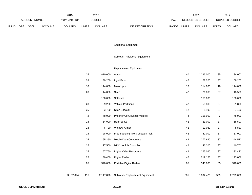|      | 2015           |      |                    |                | 2016          |                | 2017                      |                         | 2017                   |                |
|------|----------------|------|--------------------|----------------|---------------|----------------|---------------------------|-------------------------|------------------------|----------------|
|      | ACCOUNT NUMBER |      | <b>EXPENDITURE</b> |                | <b>BUDGET</b> | PAY            | REQUESTED BUDGET          |                         | <b>PROPOSED BUDGET</b> |                |
| FUND | <b>ORG</b>     | SBCL | <b>ACCOUNT</b>     | <b>DOLLARS</b> | <b>UNITS</b>  | <b>DOLLARS</b> | RANGE<br>LINE DESCRIPTION | UNITS<br><b>DOLLARS</b> | <b>UNITS</b>           | <b>DOLLARS</b> |

# Additional Equipment

# Subtotal - Additional Equipment

# Replacement Equipment

|           | 25  | 810,000   | Autos                              | 40  | 1,296,000 | 35               | 1,134,000 |
|-----------|-----|-----------|------------------------------------|-----|-----------|------------------|-----------|
|           | 28  | 39,200    | <b>Light Bars</b>                  | 42  | 67,200    | 37               | 59,200    |
|           | 10  | 114,000   | Motorcycle                         | 10  | 114,000   | 10               | 114,000   |
|           | 28  | 14,000    | Siren                              | 42  | 21,000    | 37               | 18,500    |
|           |     | 150,000   | Software                           |     | 150,000   |                  | 150,000   |
|           | 28  | 39,200    | <b>Vehicle Partitions</b>          | 42  | 58,800    | 37               | 51,800    |
|           | 25  | 3,750     | Siren Speaker                      | 42  | 8,400     | 37               | 7,400     |
|           | 2   | 78,000    | Prisoner Conveyance Vehicle        | 4   | 156,000   | $\boldsymbol{2}$ | 78,000    |
|           | 28  | 14,000    | <b>Rear Seats</b>                  | 42  | 21,000    | 37               | 18,500    |
|           | 28  | 6,720     | <b>Window Armor</b>                | 42  | 10,080    | 37               | 8,880     |
|           | 28  | 28,000    | Free-standing rifle & shotgun rack | 42  | 42,000    | 37               | 37,000    |
|           | 25  | 165,250   | Mobile Data Computers              | 42  | 277,620   | 37               | 244,570   |
|           | 25  | 27,500    | <b>MDC Vehicle Consoles</b>        | 42  | 46,200    | 37               | 40,700    |
|           | 25  | 157,750   | <b>Digital Video Recorders</b>     | 42  | 265,020   | 37               | 233,470   |
|           | 25  | 130,450   | <b>Digital Radio</b>               | 42  | 219,156   | 37               | 193,066   |
|           | 85  | 340,000   | <b>Portable Digital Radios</b>     | 85  | 340,000   | 85               | 340,000   |
| 3,182,094 | 415 | 2,117,820 | Subtotal - Replacement Equipment   | 601 | 3,092,476 | 539              | 2,729,086 |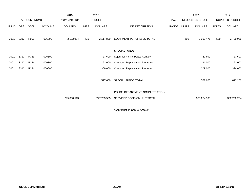|             |            |                |                | 2015               |              | 2016           |                                                                   |       |              | 2017             |              | 2017            |
|-------------|------------|----------------|----------------|--------------------|--------------|----------------|-------------------------------------------------------------------|-------|--------------|------------------|--------------|-----------------|
|             |            | ACCOUNT NUMBER |                | <b>EXPENDITURE</b> |              | <b>BUDGET</b>  |                                                                   | PAY   |              | REQUESTED BUDGET |              | PROPOSED BUDGET |
| <b>FUND</b> | <b>ORG</b> | <b>SBCL</b>    | <b>ACCOUNT</b> | <b>DOLLARS</b>     | <b>UNITS</b> | <b>DOLLARS</b> | LINE DESCRIPTION                                                  | RANGE | <b>UNITS</b> | <b>DOLLARS</b>   | <b>UNITS</b> | <b>DOLLARS</b>  |
| 0001        | 3310       | R999           | 006800         | 3,182,094          | 415          | 2,117,820      | <b>EQUIPMENT PURCHASES TOTAL</b>                                  |       | 601          | 3,092,476        | 539          | 2,729,086       |
|             |            |                |                |                    |              |                | SPECIAL FUNDS                                                     |       |              |                  |              |                 |
| 0001        | 3310       | R333           | 006300         |                    |              | 27,600         | Sojourner Family Peace Center*                                    |       |              | 27,600           |              | 27,600          |
| 0001        | 3310       | R334           | 006300         |                    |              | 191,000        | Computer Replacement Program*                                     |       |              | 191,000          |              | 191,000         |
| 0001        | 3310       | R334           | 006800         |                    |              | 309,000        | Computer Replacement Program*                                     |       |              | 309,000          |              | 394,652         |
|             |            |                |                |                    |              | 527,600        | SPECIAL FUNDS TOTAL                                               |       |              | 527,600          |              | 613,252         |
|             |            |                |                | 295,808,513        |              | 277,233,535    | POLICE DEPARTMENT ADMINISTRATION/<br>SERVICES DECISION UNIT TOTAL |       |              | 305,284,508      |              | 302,252,254     |

\*Appropriation Control Account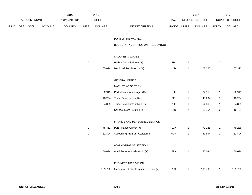|      | ACCOUNT NUMBER |      | 2015               | 2016           |                  |                |                                        | 2017                       |                |                | 2017             |                |  |
|------|----------------|------|--------------------|----------------|------------------|----------------|----------------------------------------|----------------------------|----------------|----------------|------------------|----------------|--|
|      |                |      | <b>EXPENDITURE</b> |                | <b>BUDGET</b>    |                | PAY                                    | REQUESTED BUDGET           |                |                | PROPOSED BUDGET  |                |  |
| FUND | ORG            | SBCL | <b>ACCOUNT</b>     | <b>DOLLARS</b> | <b>UNITS</b>     | <b>DOLLARS</b> | LINE DESCRIPTION                       | RANGE UNITS                |                | <b>DOLLARS</b> | <b>UNITS</b>     | <b>DOLLARS</b> |  |
|      |                |      |                    |                |                  |                |                                        |                            |                |                |                  |                |  |
|      |                |      |                    |                |                  |                | PORT OF MILWAUKEE                      |                            |                |                |                  |                |  |
|      |                |      |                    |                |                  |                | BUDGETARY CONTROL UNIT (1BCU=1DU)      |                            |                |                |                  |                |  |
|      |                |      |                    |                |                  |                | <b>SALARIES &amp; WAGES</b>            |                            |                |                |                  |                |  |
|      |                |      |                    |                | $\boldsymbol{7}$ |                | Harbor Commissioner (Y)                | $\ensuremath{\mathsf{SP}}$ | $\overline{7}$ |                | $\boldsymbol{7}$ |                |  |
|      |                |      |                    |                | $\mathbf{1}$     | 105,674        | Municipal Port Director (Y)            | 1NX                        | $\mathbf{1}$   | 107,320        | $\mathbf{1}$     | 107,320        |  |
|      |                |      |                    |                |                  |                |                                        |                            |                |                |                  |                |  |
|      |                |      |                    |                |                  |                | <b>GENERAL OFFICE</b>                  |                            |                |                |                  |                |  |
|      |                |      |                    |                |                  |                | MARKETING SECTION                      |                            |                |                |                  |                |  |
|      |                |      |                    |                | $\overline{1}$   | 82,915         | Port Marketing Manager (X)             | 1HX                        | $\mathbf{1}$   | 82,915         | $\mathbf{1}$     | 82,915         |  |
|      |                |      |                    |                | $\mathbf{1}$     | 48,294         | Trade Development Rep.                 | 2FX                        | $\mathbf{1}$   | 48,294         | $\mathbf{1}$     | 48,294         |  |
|      |                |      |                    |                | $\overline{1}$   | 54,865         | Trade Development Rep.-Sr.             | 2HX                        | $\mathbf{1}$   | 54,865         | $\mathbf{1}$     | 54,865         |  |
|      |                |      |                    |                |                  |                | College Intern (0.50 FTE)              | 9I                         | $\overline{2}$ | 10,754         | $\overline{c}$   | 10,754         |  |
|      |                |      |                    |                |                  |                |                                        |                            |                |                |                  |                |  |
|      |                |      |                    |                |                  |                | FINANCE AND PERSONNEL SECTION          |                            |                |                |                  |                |  |
|      |                |      |                    |                | $\mathbf{1}$     | 75,462         | Port Finance Officer (Y)               | 2JX                        | $\mathbf{1}$   | 79,235         | $\mathbf{1}$     | 79,235         |  |
|      |                |      |                    |                | $\overline{1}$   | 51,894         | Accounting Program Assistant III       | 5GN                        | $\mathbf{1}$   | 51,894         | $\mathbf{1}$     | 51,894         |  |
|      |                |      |                    |                |                  |                | ADMINISTRATIVE SECTION                 |                            |                |                |                  |                |  |
|      |                |      |                    |                |                  |                |                                        |                            |                |                |                  |                |  |
|      |                |      |                    |                | $\overline{1}$   | 50,034         | Administrative Assistant III (Y)       | 5FN                        | $\overline{1}$ | 50,034         | $\overline{1}$   | 50,034         |  |
|      |                |      |                    |                |                  |                | ENGINEERING DIVISION                   |                            |                |                |                  |                |  |
|      |                |      |                    |                | $\mathbf{1}$     | 109,790        | Management Civil Engineer - Senior (Y) | 11X                        | $\mathbf{1}$   | 109,790        | $\mathbf{1}$     | 109,790        |  |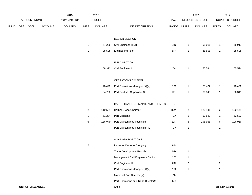|             | ACCOUNT NUMBER |             | 2016<br>2015<br><b>BUDGET</b><br><b>EXPENDITURE</b> |                |                         | PAY            |                                          | 2017<br>REQUESTED BUDGET |                | 2017            |                |                |
|-------------|----------------|-------------|-----------------------------------------------------|----------------|-------------------------|----------------|------------------------------------------|--------------------------|----------------|-----------------|----------------|----------------|
|             |                |             |                                                     |                |                         |                |                                          |                          |                | PROPOSED BUDGET |                |                |
| <b>FUND</b> | ORG            | <b>SBCL</b> | ACCOUNT                                             | <b>DOLLARS</b> | <b>UNITS</b>            | <b>DOLLARS</b> | LINE DESCRIPTION                         | RANGE                    | <b>UNITS</b>   | <b>DOLLARS</b>  | <b>UNITS</b>   | <b>DOLLARS</b> |
|             |                |             |                                                     |                |                         |                | DESIGN SECTION                           |                          |                |                 |                |                |
|             |                |             |                                                     |                | $\mathbf{1}$            | 67,286         | Civil Engineer III (X)                   | $2\mathsf{IN}$           | $\mathbf{1}$   | 68,911          | $\mathbf{1}$   | 68,911         |
|             |                |             |                                                     |                | $\mathbf{1}$            | 38,508         | Engineering Tech II                      | 3FN                      | $\mathbf{1}$   | 38,508          | $\mathbf{1}$   | 38,508         |
|             |                |             |                                                     |                |                         |                | FIELD SECTION                            |                          |                |                 |                |                |
|             |                |             |                                                     |                | $\overline{1}$          | 58,373         | Civil Engineer II                        | 2GN                      | $\mathbf{1}$   | 55,594          | $\mathbf{1}$   | 55,594         |
|             |                |             |                                                     |                |                         |                | OPERATIONS DIVISION                      |                          |                |                 |                |                |
|             |                |             |                                                     |                | $\mathbf{1}$            | 78,422         | Port Operations Manager (X)(Y)           | 11X                      | $\mathbf{1}$   | 78,422          | $\mathbf{1}$   | 78,422         |
|             |                |             |                                                     |                | $\mathbf{1}$            | 64,780         | Port Facilities Supervisor (X)           | 1EX                      | $\mathbf{1}$   | 66,345          | $\mathbf{1}$   | 66,345         |
|             |                |             |                                                     |                |                         |                | CARGO HANDLING-MAINT. AND REPAIR SECTION |                          |                |                 |                |                |
|             |                |             |                                                     |                | $\overline{c}$          | 119,581        | Harbor Crane Operator                    | 8QN                      | $\overline{2}$ | 120,141         | $\overline{c}$ | 120,141        |
|             |                |             |                                                     |                | $\mathbf{1}$            | 51,284         | Port Mechanic                            | 7GN                      | $\mathbf{1}$   | 52,523          | $\mathbf{1}$   | 52,523         |
|             |                |             |                                                     |                | 6                       | 186,049        | Port Maintenance Technician              | 8JN                      | $\,6\,$        | 196,956         | 6              | 196,956        |
|             |                |             |                                                     |                |                         |                | Port Maintenance Technician IV           | 7GN                      | $\mathbf{1}$   |                 | $\mathbf{1}$   |                |
|             |                |             |                                                     |                |                         |                | <b>AUXILIARY POSITIONS</b>               |                          |                |                 |                |                |
|             |                |             |                                                     |                | $\overline{\mathbf{c}}$ |                | Inspector Docks & Dredging               | 3HN                      |                |                 |                |                |
|             |                |             |                                                     |                | $\mathbf{1}$            |                | Trade Development Rep.-Sr.               | 2HX                      | $\mathbf{1}$   |                 | $\mathbf{1}$   |                |
|             |                |             |                                                     |                | $\mathbf{1}$            |                | Management Civil Engineer - Senior       | 11X                      | $\mathbf{1}$   |                 | $\mathbf{1}$   |                |
|             |                |             |                                                     |                | -1                      |                | Civil Engineer III                       | $2\mathsf{IN}$           | $\overline{2}$ |                 | $\overline{2}$ |                |
|             |                |             |                                                     |                |                         |                | Port Operations Manager (X)(Y)           | 11X                      | $\mathbf{1}$   |                 | $\mathbf{1}$   |                |
|             |                |             |                                                     |                | -1                      |                | Municipal Port Director (Y)              | 1NX                      |                |                 |                |                |
|             |                |             |                                                     |                |                         |                | Port Operations and Trade Director(Y)    | 1JX                      |                |                 |                |                |

 $\hat{\mathbf{x}}$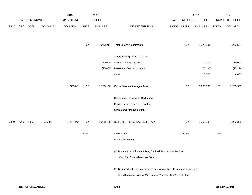|             |      |                |                | 2015           | 2016         |                |                                                                           |             | 2017   |                  | 2017         |                 |
|-------------|------|----------------|----------------|----------------|--------------|----------------|---------------------------------------------------------------------------|-------------|--------|------------------|--------------|-----------------|
|             |      | ACCOUNT NUMBER |                | EXPENDITURE    |              | <b>BUDGET</b>  |                                                                           | PAY         |        | REQUESTED BUDGET |              | PROPOSED BUDGET |
| <b>FUND</b> | ORG  | SBCL           | <b>ACCOUNT</b> | <b>DOLLARS</b> | <b>UNITS</b> | <b>DOLLARS</b> | LINE DESCRIPTION                                                          | RANGE UNITS |        | <b>DOLLARS</b>   | <b>UNITS</b> | <b>DOLLARS</b>  |
|             |      |                |                |                | $37\,$       | 1,243,211      | <b>Total Before Adjustments</b>                                           |             | $37\,$ | 1,272,501        | 37           | 1,272,501       |
|             |      |                |                |                |              |                | Salary & Wage Rate Changes                                                |             |        |                  |              |                 |
|             |      |                |                |                |              | 10,000         | Overtime Compensated*                                                     |             |        | 10,000           |              | 10,000          |
|             |      |                |                |                |              | (25,055)       | Personnel Cost Adjustment                                                 |             |        | (25, 196)        |              | (25, 196)       |
|             |      |                |                |                |              |                | Other                                                                     |             |        | 6,000            |              | 6,000           |
|             |      |                |                | 1,227,442      | $37\,$       | 1,228,156      | Gross Salaries & Wages Total                                              |             | $37\,$ | 1,263,305        | $37\,$       | 1,263,305       |
|             |      |                |                |                |              |                | Reimbursable Services Deduction                                           |             |        |                  |              |                 |
|             |      |                |                |                |              |                | Capital Improvements Deduction                                            |             |        |                  |              |                 |
|             |      |                |                |                |              |                | Grants and Aids Deduction                                                 |             |        |                  |              |                 |
| 0480        | 4280 | R999           | 006000         | 1,227,442      | $37\,$       | 1,228,156      | NET SALARIES & WAGES TOTAL*                                               |             | 37     | 1,263,305        | 37           | 1,263,305       |
|             |      |                |                |                | 20.00        |                | O&M FTE'S                                                                 |             | 20.50  |                  | 20.50        |                 |
|             |      |                |                |                |              |                | NON-O&M FTE'S                                                             |             |        |                  |              |                 |
|             |      |                |                |                |              |                | (X) Private Auto Allowance May Be Paid Pursuant to Section                |             |        |                  |              |                 |
|             |      |                |                |                |              |                | 350-183 of the Milwaukee Code.                                            |             |        |                  |              |                 |
|             |      |                |                |                |              |                | (Y) Required to file a statement of economic interests in accordance with |             |        |                  |              |                 |
|             |      |                |                |                |              |                | the Milwaukee Code of Ordinances Chapter 303-Code of Ethics.              |             |        |                  |              |                 |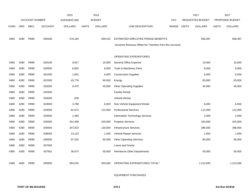|             |            |                       |                | 2015               |              | 2016           |                                                          |       |              | 2017                    |              | 2017            |
|-------------|------------|-----------------------|----------------|--------------------|--------------|----------------|----------------------------------------------------------|-------|--------------|-------------------------|--------------|-----------------|
|             |            | <b>ACCOUNT NUMBER</b> |                | <b>EXPENDITURE</b> |              | <b>BUDGET</b>  |                                                          | PAY   |              | <b>REQUESTED BUDGET</b> |              | PROPOSED BUDGET |
| <b>FUND</b> | <b>ORG</b> | <b>SBCL</b>           | <b>ACCOUNT</b> | <b>DOLLARS</b>     | <b>UNITS</b> | <b>DOLLARS</b> | LINE DESCRIPTION                                         | RANGE | <b>UNITS</b> | <b>DOLLARS</b>          | <b>UNITS</b> | <b>DOLLARS</b>  |
|             |            |                       |                |                    |              |                |                                                          |       |              |                         |              |                 |
| 0480        | 4280       | R999                  | 006180         | 576,183            |              | 589,515        | ESTIMATED EMPLOYEE FRINGE BENEFITS                       |       |              | 568,487                 |              | 568,487         |
|             |            |                       |                |                    |              |                | (Involves Revenue Offset-No Transfers from this Account) |       |              |                         |              |                 |
|             |            |                       |                |                    |              |                |                                                          |       |              |                         |              |                 |
|             |            |                       |                |                    |              |                | OPERATING EXPENDITURES                                   |       |              |                         |              |                 |
| 0480        | 4280       | R999                  | 630100         | 9,817              |              | 10,000         | <b>General Office Expense</b>                            |       |              | 10,000                  |              | 10,000          |
| 0480        | 4280       | R999                  | 630500         | 6,802              |              | 8,000          | <b>Tools &amp; Machinery Parts</b>                       |       |              | 8,000                   |              | 8,000           |
| 0480        | 4280       | R999                  | 631000         | 1,651              |              | 6,000          | <b>Construction Supplies</b>                             |       |              | 6,000                   |              | 6,000           |
| 0480        | 4280       | R999                  | 631500         | 43,776             |              | 60,000         | Energy                                                   |       |              | 83,000                  |              | 83,000          |
| 0480        | 4280       | R999                  | 632000         | 8,470              |              | 45,000         | <b>Other Operating Supplies</b>                          |       |              | 45,000                  |              | 45,000          |
| 0480        | 4280       | R999                  | 632500         |                    |              |                | <b>Facility Rental</b>                                   |       |              |                         |              |                 |
| 0480        | 4280       | R999                  | 633000         | 630                |              |                | Vehicle Rental                                           |       |              |                         |              |                 |
| 0480        | 4280       | R999                  | 633500         | 3,788              |              | 6,000          | Non-Vehicle Equipment Rental                             |       |              | 6,000                   |              | 6,000           |
| 0480        | 4280       | R999                  | 634000         | 81,672             |              | 112,000        | <b>Professional Services</b>                             |       |              | 112,000                 |              | 112,000         |
| 0480        | 4280       | R999                  | 634500         | 1,485              |              |                | Information Technology Services                          |       |              | 2,000                   |              | 2,000           |
| 0480        | 4280       | R999                  | 635000         | 341,498            |              | 420,000        | <b>Property Services</b>                                 |       |              | 420,000                 |              | 420,000         |
| 0480        | 4280       | R999                  | 635500         | 347,923            |              | 130,000        | <b>Infrastructure Services</b>                           |       |              | 386,000                 |              | 386,000         |
| 0480        | 4280       | R999                  | 636000         | 13,133             |              | 1,000          | Vehicle Repair Services                                  |       |              | 1,000                   |              | 1,000           |
| 0480        | 4280       | R999                  | 636500         | 97,202             |              | 85,000         | <b>Other Operating Services</b>                          |       |              | 85,000                  |              | 85,000          |
| 0480        | 4280       | R999                  | 637000         |                    |              |                | Loans and Grants                                         |       |              |                         |              |                 |
| 0480        | 4280       | R999                  | 637501         | 36,673             |              | 50,000         | <b>Reimburse Other Departments</b>                       |       |              | 50,000                  |              | 50,000          |
|             |            |                       |                |                    |              |                |                                                          |       |              |                         |              |                 |
| 0480        | 4280       | R999                  | 006300         | 994,520            |              | 933,000        | OPERATING EXPENDITURES TOTAL*                            |       |              | 1,214,000               |              | 1,214,000       |
|             |            |                       |                |                    |              |                |                                                          |       |              |                         |              |                 |

EQUIPMENT PURCHASES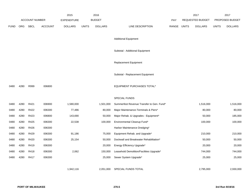|             |            |                       |                | 2015               |              | 2016           |                                           |       | 2017         |                  | 2017         |                 |
|-------------|------------|-----------------------|----------------|--------------------|--------------|----------------|-------------------------------------------|-------|--------------|------------------|--------------|-----------------|
|             |            | <b>ACCOUNT NUMBER</b> |                | <b>EXPENDITURE</b> |              | <b>BUDGET</b>  |                                           | PAY   |              | REQUESTED BUDGET |              | PROPOSED BUDGET |
| <b>FUND</b> | <b>ORG</b> | <b>SBCL</b>           | <b>ACCOUNT</b> | <b>DOLLARS</b>     | <b>UNITS</b> | <b>DOLLARS</b> | LINE DESCRIPTION                          | RANGE | <b>UNITS</b> | <b>DOLLARS</b>   | <b>UNITS</b> | <b>DOLLARS</b>  |
|             |            |                       |                |                    |              |                |                                           |       |              |                  |              |                 |
|             |            |                       |                |                    |              |                | <b>Additional Equipment</b>               |       |              |                  |              |                 |
|             |            |                       |                |                    |              |                | Subtotal - Additional Equipment           |       |              |                  |              |                 |
|             |            |                       |                |                    |              |                |                                           |       |              |                  |              |                 |
|             |            |                       |                |                    |              |                | Replacement Equipment                     |       |              |                  |              |                 |
|             |            |                       |                |                    |              |                |                                           |       |              |                  |              |                 |
|             |            |                       |                |                    |              |                | Subtotal - Replacement Equipment          |       |              |                  |              |                 |
| 0480        | 4280       | R999                  | 006800         |                    |              |                | <b>EQUIPMENT PURCHASES TOTAL*</b>         |       |              |                  |              |                 |
|             |            |                       |                |                    |              |                |                                           |       |              |                  |              |                 |
|             |            |                       |                |                    |              |                | SPECIAL FUNDS                             |       |              |                  |              |                 |
| 0480        | 4280       | R421                  | 006900         | 1,580,000          |              | 1,501,000      | Summerfest Revenue Transfer to Gen. Fund* |       |              | 1,516,000        |              | 1,516,000       |
| 0480        | 4280       | R422                  | 006300         | 77,486             |              | 80,000         | Major Maintenance-Terminals & Piers*      |       |              | 80,000           |              | 80,000          |
| 0480        | 4280       | R423                  | 006800         | 143,690            |              | 50,000         | Major Rehab. & Upgrades - Equipment*      |       |              | 50,000           |              | 185,000         |
| 0480        | 4280       | R425                  | 006300         | 22,538             |              | 100,000        | Environmental Cleanup Fund*               |       |              | 100,000          |              | 100,000         |
| 0480        | 4280       | R426                  | 006300         |                    |              |                | Harbor Maintenance Dredging*              |       |              |                  |              |                 |
| 0480        | 4280       | R429                  | 006300         | 91,186             |              | 75,000         | Equipment Rehab. and Upgrade*             |       |              | 210,000          |              | 210,000         |
| 0480        | 4280       | R420                  | 006300         | 25,154             |              | 50,000         | Dockwall and Breakwater Rehabilitation*   |       |              | 50,000           |              | 50,000          |
| 0480        | 4280       | R419                  | 006300         |                    |              | 20,000         | Energy Efficiency Upgrade*                |       |              | 20,000           |              | 20,000          |
| 0480        | 4280       | R418                  | 006300         | 2,062              |              | 150,000        | Leasehold Demolition/Facilities Upgrade*  |       |              | 744,000          |              | 744,000         |
| 0480        | 4280       | R417                  | 006300         |                    |              | 25,000         | Sewer System Upgrade*                     |       |              | 25,000           |              | 25,000          |
|             |            |                       |                |                    |              |                |                                           |       |              |                  |              |                 |
|             |            |                       |                | 1,942,116          |              | 2,051,000      | SPECIAL FUNDS TOTAL                       |       |              | 2,795,000        |              | 2,930,000       |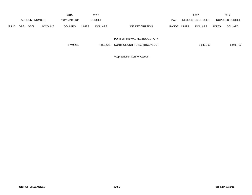|             |            |                       |                | 2015           |              | 2016           |                               |       |              | 2017             |              | 2017                   |
|-------------|------------|-----------------------|----------------|----------------|--------------|----------------|-------------------------------|-------|--------------|------------------|--------------|------------------------|
|             |            | <b>ACCOUNT NUMBER</b> |                | EXPENDITURE    |              | <b>BUDGET</b>  |                               | PAY   |              | REQUESTED BUDGET |              | <b>PROPOSED BUDGET</b> |
| <b>FUND</b> | <b>ORG</b> | <b>SBCL</b>           | <b>ACCOUNT</b> | <b>DOLLARS</b> | <b>UNITS</b> | <b>DOLLARS</b> | LINE DESCRIPTION              | RANGE | <b>UNITS</b> | DOLLARS          | <b>UNITS</b> | <b>DOLLARS</b>         |
|             |            |                       |                |                |              |                |                               |       |              |                  |              |                        |
|             |            |                       |                |                |              |                | PORT OF MILWAUKEE BUDGETARY   |       |              |                  |              |                        |
|             |            |                       |                | 4,740,261      |              | 4,801,671      | CONTROL UNIT TOTAL (1BCU=1DU) |       |              | 5,840,792        |              | 5,975,792              |
|             |            |                       |                |                |              |                |                               |       |              |                  |              |                        |

\*Appropriation Control Account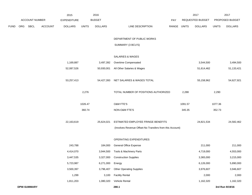|             |            |                    |                | 2015               |              | 2016           |                                                          |             |         | 2017                    |              | 2017            |
|-------------|------------|--------------------|----------------|--------------------|--------------|----------------|----------------------------------------------------------|-------------|---------|-------------------------|--------------|-----------------|
|             |            | ACCOUNT NUMBER     |                | <b>EXPENDITURE</b> |              | <b>BUDGET</b>  |                                                          | PAY         |         | <b>REQUESTED BUDGET</b> |              | PROPOSED BUDGET |
| <b>FUND</b> | <b>ORG</b> | SBCL               | <b>ACCOUNT</b> | <b>DOLLARS</b>     | <b>UNITS</b> | <b>DOLLARS</b> | LINE DESCRIPTION                                         | RANGE UNITS |         | <b>DOLLARS</b>          | <b>UNITS</b> | <b>DOLLARS</b>  |
|             |            |                    |                |                    |              |                | DEPARTMENT OF PUBLIC WORKS                               |             |         |                         |              |                 |
|             |            |                    |                |                    |              |                | SUMMARY (3 BCU'S)                                        |             |         |                         |              |                 |
|             |            |                    |                |                    |              |                | <b>SALARIES &amp; WAGES</b>                              |             |         |                         |              |                 |
|             |            |                    |                | 1,169,887          |              | 3,497,392      | Overtime Compensated                                     |             |         | 3,544,500               |              | 3,494,500       |
|             |            |                    |                | 52,087,526         |              | 50,930,001     | All Other Salaries & Wages                               |             |         | 51,614,462              |              | 51,133,421      |
|             |            |                    |                | 53,257,413         |              | 54,427,393     | NET SALARIES & WAGES TOTAL                               |             |         | 55,158,962              |              | 54,627,921      |
|             |            |                    |                |                    | 2,276        |                | TOTAL NUMBER OF POSITIONS AUTHORIZED                     |             | 2,288   |                         | 2,290        |                 |
|             |            |                    |                |                    | 1026.47      |                | <b>O&amp;M FTE'S</b>                                     |             | 1091.57 |                         | 1077.36      |                 |
|             |            |                    |                |                    | 360.74       |                | NON-O&M FTE'S                                            |             | 345.35  |                         | 352.73       |                 |
|             |            |                    |                | 22,163,619         |              | 25,624,021     | ESTIMATED EMPLOYEE FRINGE BENEFITS                       |             |         | 24,821,534              |              | 24,582,462      |
|             |            |                    |                |                    |              |                | (Involves Revenue Offset-No Transfers from this Account) |             |         |                         |              |                 |
|             |            |                    |                |                    |              |                | OPERATING EXPENDITURES                                   |             |         |                         |              |                 |
|             |            |                    |                | 243,788            |              | 184,000        | <b>General Office Expense</b>                            |             |         | 211,000                 |              | 211,000         |
|             |            |                    |                | 4,414,070          |              | 3,944,500      | Tools & Machinery Parts                                  |             |         | 4,719,000               |              | 4,553,000       |
|             |            |                    |                | 3,447,535          |              | 3,327,000      | <b>Construction Supplies</b>                             |             |         | 3,365,000               |              | 3,215,000       |
|             |            |                    |                | 5,723,987          |              | 6,271,000      | Energy                                                   |             |         | 6,126,000               |              | 5,890,000       |
|             |            |                    |                | 3,500,397          |              | 3,796,407      | <b>Other Operating Supplies</b>                          |             |         | 3,976,607               |              | 3,946,607       |
|             |            |                    |                | 1,299              |              | 3,100          | <b>Facility Rental</b>                                   |             |         | 2,000                   |              | 2,000           |
|             |            |                    |                | 1,811,203          |              | 1,080,320      | Vehicle Rental                                           |             |         | 1,162,320               |              | 1,162,320       |
|             |            | <b>DPW-SUMMARY</b> |                |                    |              |                | 280.1                                                    |             |         |                         |              | 3rd Run 9/19/16 |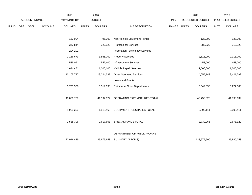|      |     |                       |                | 2015               |              | 2016           |                                    |             | 2017                    |              | 2017            |  |
|------|-----|-----------------------|----------------|--------------------|--------------|----------------|------------------------------------|-------------|-------------------------|--------------|-----------------|--|
|      |     | <b>ACCOUNT NUMBER</b> |                | <b>EXPENDITURE</b> |              | <b>BUDGET</b>  |                                    | PAY         | <b>REQUESTED BUDGET</b> |              | PROPOSED BUDGET |  |
| FUND | ORG | SBCL                  | <b>ACCOUNT</b> | <b>DOLLARS</b>     | <b>UNITS</b> | <b>DOLLARS</b> | LINE DESCRIPTION                   | RANGE UNITS | <b>DOLLARS</b>          | <b>UNITS</b> | <b>DOLLARS</b>  |  |
|      |     |                       |                |                    |              |                |                                    |             |                         |              |                 |  |
|      |     |                       |                | 150,004            |              | 96,000         | Non-Vehicle Equipment Rental       |             | 128,000                 |              | 128,000         |  |
|      |     |                       |                | 340,844            |              | 320,920        | <b>Professional Services</b>       |             | 383,920                 |              | 312,920         |  |
|      |     |                       |                | 204,292            |              |                | Information Technology Services    |             |                         |              |                 |  |
|      |     |                       |                | 2,156,673          |              | 1,868,000      | <b>Property Services</b>           |             | 2,115,000               |              | 2,115,000       |  |
|      |     |                       |                | 539,061            |              | 557,400        | <b>Infrastructure Services</b>     |             | 458,000                 |              | 458,000         |  |
|      |     |                       |                | 1,644,471          |              | 1,200,100      | Vehicle Repair Services            |             | 1,506,000               |              | 1,206,000       |  |
|      |     |                       |                | 13,105,747         |              | 13,224,337     | <b>Other Operating Services</b>    |             | 14,055,143              |              | 13,421,292      |  |
|      |     |                       |                |                    |              |                | Loans and Grants                   |             |                         |              |                 |  |
|      |     |                       |                | 5,725,368          |              | 5,319,038      | <b>Reimburse Other Departments</b> |             | 5,542,038               |              | 5,277,000       |  |
|      |     |                       |                |                    |              |                |                                    |             |                         |              |                 |  |
|      |     |                       |                | 43,008,739         |              | 41,192,122     | OPERATING EXPENDITURES TOTAL       |             | 43,750,028              |              | 41,898,139      |  |
|      |     |                       |                |                    |              |                |                                    |             |                         |              |                 |  |
|      |     |                       |                | 1,968,362          |              | 1,815,469      | EQUIPMENT PURCHASES TOTAL          |             | 2,505,111               |              | 2,093,411       |  |
|      |     |                       |                |                    |              |                |                                    |             |                         |              |                 |  |
|      |     |                       |                | 2,518,306          |              | 2,617,653      | SPECIAL FUNDS TOTAL                |             | 2,739,965               |              | 2,678,320       |  |
|      |     |                       |                |                    |              |                |                                    |             |                         |              |                 |  |
|      |     |                       |                |                    |              |                | DEPARTMENT OF PUBLIC WORKS         |             |                         |              |                 |  |
|      |     |                       |                | 122,916,439        |              | 125,676,658    | SUMMARY (3 BCU'S)                  |             | 128,975,600             |              | 125,880,253     |  |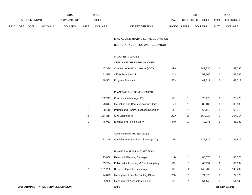|             |                       |             |                | 2015               |              | 2016           |                                  |              | 2017                    |              | 2017                   |
|-------------|-----------------------|-------------|----------------|--------------------|--------------|----------------|----------------------------------|--------------|-------------------------|--------------|------------------------|
|             | <b>ACCOUNT NUMBER</b> |             |                | <b>EXPENDITURE</b> |              | <b>BUDGET</b>  | PAY                              |              | <b>REQUESTED BUDGET</b> |              | <b>PROPOSED BUDGET</b> |
| <b>FUND</b> | <b>ORG</b>            | <b>SBCL</b> | <b>ACCOUNT</b> | <b>DOLLARS</b>     | <b>UNITS</b> | <b>DOLLARS</b> | LINE DESCRIPTION<br><b>RANGE</b> | <b>UNITS</b> | <b>DOLLARS</b>          | <b>UNITS</b> | <b>DOLLARS</b>         |

DPW-ADMINISTRATIVE SERVICES DIVISION

BUDGETARY CONTROL UNIT (1BCU=1DU)

# SALARIES & WAGES

## OFFICE OF THE COMMISSIONER

| 147.336 | Commissioner-Public Works (Y)(X) | 1PX | 147.336 | 147.336 |
|---------|----------------------------------|-----|---------|---------|
|         | 51,535 Office Supervisor II      | 2CN | 52.566  | 52,566  |
| 40,501  | Program Assistant I              | 5EN | 41.311  | 41,311  |

### PLANNING AND DEVELOPMENT

|   | 102.247 | Coordination Manager (Y)                     | 1KX | 75.478  | 75,478  |
|---|---------|----------------------------------------------|-----|---------|---------|
|   | 78.617  | Marketing and Communications Officer         | 2JX | 80.189  | 80,189  |
|   | 68.119  | <b>Permits and Communications Specialist</b> | 2FX | 68.119  | 68,119  |
| 2 | 164.314 | Civil Engineer III                           | 2GN | 164.314 | 164.314 |
|   | 48.083  | Engineering Technician IV                    | 3NN | 49.045  | 48.982  |

## ADMINISTRATIVE SERVICES

| 123.349 | Administrative Services Director (X)(Y)<br>. | 1MX | 125.816 | 125,816 |
|---------|----------------------------------------------|-----|---------|---------|
|         |                                              |     |         |         |

## FINANCE & PLANNING SECTION

|   | 73.856  | Finance & Planning Manager              | 1HX | 85.578  |   | 85,578  |
|---|---------|-----------------------------------------|-----|---------|---|---------|
|   | 65.294  | Public Wks. Inventory & Purchasing Mgr. | 1EX | 60.994  |   | 60,994  |
| 2 | 151.250 | <b>Business Operations Manager</b>      | 1EX | 143.209 | 2 | 143.209 |
|   | 74.873  | Management and Accounting Officer       | 2GX | 74.873  |   | 74,873  |
|   | 65.900  | Management Accountant-Senior            | 2EX | 54.140  |   | 54,140  |
|   |         |                                         |     |         |   |         |

**DPW-ADMINISTRATIVE SERVICES DIVISION 290.1 3rd Run 9/19/16**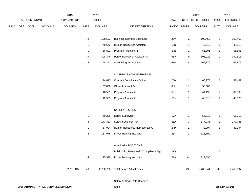|             |     |                |                | 2015               |                           | 2016           |                                         |       |                | 2017             |                | 2017            |
|-------------|-----|----------------|----------------|--------------------|---------------------------|----------------|-----------------------------------------|-------|----------------|------------------|----------------|-----------------|
|             |     | ACCOUNT NUMBER |                | <b>EXPENDITURE</b> |                           | <b>BUDGET</b>  |                                         | PAY   |                | REQUESTED BUDGET |                | PROPOSED BUDGET |
| <b>FUND</b> | ORG | SBCL           | <b>ACCOUNT</b> | <b>DOLLARS</b>     | <b>UNITS</b>              | <b>DOLLARS</b> | LINE DESCRIPTION                        | RANGE | <b>UNITS</b>   | <b>DOLLARS</b>   | <b>UNITS</b>   | <b>DOLLARS</b>  |
|             |     |                |                |                    |                           |                |                                         |       |                |                  |                |                 |
|             |     |                |                |                    | $\boldsymbol{2}$          | 108,523        | <b>Business Services Specialist</b>     | 2DN   | $\sqrt{2}$     | 109,450          | $\overline{2}$ | 109,450         |
|             |     |                |                |                    | $\mathbf{1}$              | 49,643         | Human Resources Assistant               | 5IN   | $\mathbf{1}$   | 49,519           | $\mathbf{1}$   | 49,519          |
|             |     |                |                |                    | $\mathbf{1}$              | 56,801         | Program Assistant III                   | 5IN   | $\mathbf{1}$   | 56,801           | $\mathbf{1}$   | 56,801          |
|             |     |                |                |                    | $\boldsymbol{9}$          | 408,346        | Personnel Payroll Assistant III         | 5EN   | 9              | 398,222          | 9              | 390,511         |
|             |     |                |                |                    | $\pmb{4}$                 | 164,362        | <b>Accounting Assistant II</b>          | 6HN   | 4              | 165,876          | $\overline{4}$ | 165,876         |
|             |     |                |                |                    |                           |                | CONTRACT ADMINISTRATION                 |       |                |                  |                |                 |
|             |     |                |                |                    | $\mathbf 1$               | 74,873         | <b>Contract Compliance Officer</b>      | 2GX   | $\mathbf{1}$   | 60,173           | $\mathbf{1}$   | 51,469          |
|             |     |                |                |                    | $\mathbf{1}$              | 37,830         | Office Assistant IV                     | 6HN   | $\mathbf{1}$   | 38,685           |                |                 |
|             |     |                |                |                    | $\mathbf{1}$              | 40,501         | Program Assistant I                     | 5EN   | $\mathbf{1}$   | 44,198           | $\overline{2}$ | 82,883          |
|             |     |                |                |                    | $\mathbf{1}$              | 42,539         | Program Assistant II                    | 5FN   | $\mathbf{1}$   | 40,516           | $\mathbf{1}$   | 48,575          |
|             |     |                |                |                    |                           |                |                                         |       |                |                  |                |                 |
|             |     |                |                |                    |                           |                | SAFETY SECTION                          |       |                |                  |                |                 |
|             |     |                |                |                    | $\mathbf{1}$              | 59,226         | Safety Supervisor                       | 1CX   | $\mathbf{1}$   | 55,018           | $\mathbf{1}$   | 55,018          |
|             |     |                |                |                    | $\ensuremath{\mathsf{3}}$ | 173,333        | Safety Specialist - Sr.                 | 2EX   | 3              | 177,736          | 3              | 177,736         |
|             |     |                |                |                    | $\mathbf 1$               | 57,004         | Human Resources Representative          | 2HX   | $\mathbf{1}$   | 48,294           | $\mathbf{1}$   | 48,294          |
|             |     |                |                |                    | $\boldsymbol{2}$          | 117,075        | <b>Driver Training Instructor</b>       | 3LN   | $\overline{2}$ | 118,190          |                |                 |
|             |     |                |                |                    |                           |                | <b>AUXILIARY POSITIONS</b>              |       |                |                  |                |                 |
|             |     |                |                |                    | $\mathbf 1$               |                | Public Wks. Personnel & Compliance Mgr. | 1KX   | $\overline{1}$ |                  | $\mathbf{1}$   |                 |
|             |     |                |                |                    | 4                         | 115,390        | <b>Driver Training Instructor</b>       | 3LN   | $\overline{4}$ | 117,698          |                |                 |
|             |     |                |                |                    |                           |                |                                         |       |                |                  |                |                 |
|             |     |                |                | 2,751,915          | 49                        | 2,760,720      | <b>Total Before Adjustments</b>         |       | 49             | 2,703,344        | 43             | 2,459,037       |
|             |     |                |                |                    |                           |                |                                         |       |                |                  |                |                 |

Salary & Wage Rate Changes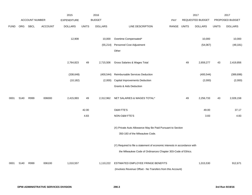|             |      |                |         | 2015               |              | 2016           |                                                                                                                                           |             |    | 2017             |              | 2017            |
|-------------|------|----------------|---------|--------------------|--------------|----------------|-------------------------------------------------------------------------------------------------------------------------------------------|-------------|----|------------------|--------------|-----------------|
|             |      | ACCOUNT NUMBER |         | <b>EXPENDITURE</b> |              | <b>BUDGET</b>  |                                                                                                                                           | <b>PAY</b>  |    | REQUESTED BUDGET |              | PROPOSED BUDGET |
| <b>FUND</b> | ORG  | <b>SBCL</b>    | ACCOUNT | <b>DOLLARS</b>     | <b>UNITS</b> | <b>DOLLARS</b> | LINE DESCRIPTION                                                                                                                          | RANGE UNITS |    | <b>DOLLARS</b>   | <b>UNITS</b> | <b>DOLLARS</b>  |
|             |      |                |         | 12,908             |              | 10,000         | Overtime Compensated*                                                                                                                     |             |    | 10,000           |              | 10,000          |
|             |      |                |         |                    |              | (55, 214)      | Personnel Cost Adjustment                                                                                                                 |             |    | (54,067)         |              | (49, 181)       |
|             |      |                |         |                    |              |                | Other                                                                                                                                     |             |    |                  |              |                 |
|             |      |                |         | 2,764,823          | 49           | 2,715,506      | Gross Salaries & Wages Total                                                                                                              |             | 49 | 2,659,277        | 43           | 2,419,856       |
|             |      |                |         | (338, 648)         |              | (400, 544)     | Reimbursable Services Deduction                                                                                                           |             |    | (400, 544)       |              | (389, 698)      |
|             |      |                |         | (10, 182)          |              | (2,000)        | <b>Capital Improvements Deduction</b>                                                                                                     |             |    | (2,000)          |              | (2,000)         |
|             |      |                |         |                    |              |                | <b>Grants &amp; Aids Deduction</b>                                                                                                        |             |    |                  |              |                 |
| 0001        | 5140 | R999           | 006000  | 2,415,993          | 49           | 2,312,962      | NET SALARIES & WAGES TOTAL*                                                                                                               |             | 49 | 2,256,733        | 43           | 2,028,158       |
|             |      |                |         |                    | 42.00        |                | <b>O&amp;M FTE'S</b>                                                                                                                      |             |    | 49.00            |              | 37.17           |
|             |      |                |         |                    | 4.83         |                | NON-O&M FTE'S                                                                                                                             |             |    | 3.83             |              | 4.83            |
|             |      |                |         |                    |              |                | (X) Private Auto Allowance May Be Paid Pursuant to Section<br>350-183 of the Milwaukee Code.                                              |             |    |                  |              |                 |
|             |      |                |         |                    |              |                | (Y) Required to file a statement of economic interests in accordance with<br>the Milwaukee Code of Ordinances Chapter 303-Code of Ethics. |             |    |                  |              |                 |
| 0001        | 5140 | R999           | 006100  | 1,010,557          |              | 1,110,222      | ESTIMATED EMPLOYEE FRINGE BENEFITS<br>(Involves Revenue Offset - No Transfers from this Account)                                          |             |    | 1,015,530        |              | 912,671         |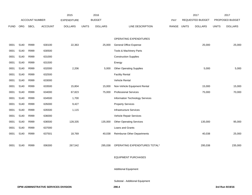|             |      |                |                | 2015               |              | 2016           |                                    |             | 2017                    |              | 2017            |
|-------------|------|----------------|----------------|--------------------|--------------|----------------|------------------------------------|-------------|-------------------------|--------------|-----------------|
|             |      | ACCOUNT NUMBER |                | <b>EXPENDITURE</b> |              | <b>BUDGET</b>  |                                    | PAY         | <b>REQUESTED BUDGET</b> |              | PROPOSED BUDGET |
| <b>FUND</b> | ORG  | <b>SBCL</b>    | <b>ACCOUNT</b> | <b>DOLLARS</b>     | <b>UNITS</b> | <b>DOLLARS</b> | LINE DESCRIPTION                   | RANGE UNITS | <b>DOLLARS</b>          | <b>UNITS</b> | <b>DOLLARS</b>  |
|             |      |                |                |                    |              |                |                                    |             |                         |              |                 |
|             |      |                |                |                    |              |                | OPERATING EXPENDITURES             |             |                         |              |                 |
| 0001        | 5140 | R999           | 630100         | 22,363             |              | 25,000         | General Office Expense             |             | 25,000                  |              | 25,000          |
| 0001        | 5140 | R999           | 630500         |                    |              |                | Tools & Machinery Parts            |             |                         |              |                 |
| 0001        | 5140 | R999           | 631000         |                    |              |                | <b>Construction Supplies</b>       |             |                         |              |                 |
| 0001        | 5140 | R999           | 631500         |                    |              |                | Energy                             |             |                         |              |                 |
| 0001        | 5140 | R999           | 632000         | 2,206              |              | 5,000          | <b>Other Operating Supplies</b>    |             | 5,000                   |              | 5,000           |
| 0001        | 5140 | R999           | 632500         |                    |              |                | <b>Facility Rental</b>             |             |                         |              |                 |
| 0001        | 5140 | R999           | 633000         |                    |              |                | Vehicle Rental                     |             |                         |              |                 |
| 0001        | 5140 | R999           | 633500         | 15,804             |              | 15,000         | Non-Vehicle Equipment Rental       |             | 15,000                  |              | 15,000          |
| 0001        | 5140 | R999           | 634000         | 67,823             |              | 75,000         | <b>Professional Services</b>       |             | 75,000                  |              | 70,000          |
| 0001        | 5140 | R999           | 634500         | 1,700              |              |                | Information Technology Services    |             |                         |              |                 |
| 0001        | 5140 | R999           | 635000         | 9,427              |              |                | <b>Property Services</b>           |             |                         |              |                 |
| 0001        | 5140 | R999           | 635500         | 1,115              |              |                | <b>Infrastructure Services</b>     |             |                         |              |                 |
| 0001        | 5140 | R999           | 636000         |                    |              |                | Vehicle Repair Services            |             |                         |              |                 |
| 0001        | 5140 | R999           | 636500         | 128,335            |              | 135,000        | <b>Other Operating Services</b>    |             | 135,000                 |              | 95,000          |
| 0001        | 5140 | R999           | 637000         |                    |              |                | Loans and Grants                   |             |                         |              |                 |
| 0001        | 5140 | R999           | 637501         | 18,769             |              | 40,038         | <b>Reimburse Other Departments</b> |             | 40,038                  |              | 25,000          |
|             |      |                |                |                    |              |                |                                    |             |                         |              |                 |
| 0001        | 5140 | R999           | 006300         | 267,542            |              | 295,038        | OPERATING EXPENDITURES TOTAL*      |             | 295,038                 |              | 235,000         |
|             |      |                |                |                    |              |                |                                    |             |                         |              |                 |

#### EQUIPMENT PURCHASES

Additional Equipment

Subtotal - Additional Equipment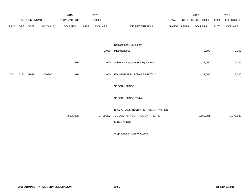|             |            |                       |                | 2015               |              | 2016           |                                      |             | 2017             |              | 2017            |
|-------------|------------|-----------------------|----------------|--------------------|--------------|----------------|--------------------------------------|-------------|------------------|--------------|-----------------|
|             |            | <b>ACCOUNT NUMBER</b> |                | <b>EXPENDITURE</b> |              | <b>BUDGET</b>  |                                      | PAY         | REQUESTED BUDGET |              | PROPOSED BUDGET |
| <b>FUND</b> | <b>ORG</b> | SBCL                  | <b>ACCOUNT</b> | <b>DOLLARS</b>     | <b>UNITS</b> | <b>DOLLARS</b> | LINE DESCRIPTION                     | RANGE UNITS | <b>DOLLARS</b>   | <b>UNITS</b> | <b>DOLLARS</b>  |
|             |            |                       |                |                    |              |                |                                      |             |                  |              |                 |
|             |            |                       |                |                    |              |                |                                      |             |                  |              |                 |
|             |            |                       |                |                    |              |                | Replacement Equipment                |             |                  |              |                 |
|             |            |                       |                |                    |              | 2,000          | Miscellaneous                        |             | 2,000            |              | 2,000           |
|             |            |                       |                |                    |              |                |                                      |             |                  |              |                 |
|             |            |                       |                | 916                |              | 2,000          | Subtotal - Replacement Equipment     |             | 2,000            |              | 2,000           |
|             |            |                       |                |                    |              |                |                                      |             |                  |              |                 |
| 0001        | 5140       | R999                  | 006800         | 916                |              | 2,000          | EQUIPMENT PURCHASES TOTAL*           |             | 2,000            |              | 2,000           |
|             |            |                       |                |                    |              |                |                                      |             |                  |              |                 |
|             |            |                       |                |                    |              |                | SPECIAL FUNDS                        |             |                  |              |                 |
|             |            |                       |                |                    |              |                |                                      |             |                  |              |                 |
|             |            |                       |                |                    |              |                | SPECIAL FUNDS TOTAL                  |             |                  |              |                 |
|             |            |                       |                |                    |              |                |                                      |             |                  |              |                 |
|             |            |                       |                |                    |              |                | DPW-ADMINISTRATIVE SERVICES DIVISION |             |                  |              |                 |
|             |            |                       |                | 3,695,008          |              | 3,720,222      | BUDGETARY CONTROL UNIT TOTAL         |             | 3,569,301        |              | 3,177,829       |
|             |            |                       |                |                    |              |                | $(1 BCU=1 DU)$                       |             |                  |              |                 |
|             |            |                       |                |                    |              |                |                                      |             |                  |              |                 |

\*Appropriation Control Account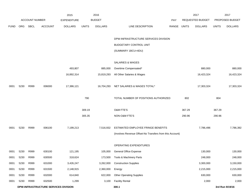|             |            |                       |                                      | 2015               |              | 2016           |                                                          |       |              | 2017                    |              | 2017            |
|-------------|------------|-----------------------|--------------------------------------|--------------------|--------------|----------------|----------------------------------------------------------|-------|--------------|-------------------------|--------------|-----------------|
|             |            | <b>ACCOUNT NUMBER</b> |                                      | <b>EXPENDITURE</b> |              | <b>BUDGET</b>  |                                                          | PAY   |              | <b>REQUESTED BUDGET</b> |              | PROPOSED BUDGET |
| <b>FUND</b> | <b>ORG</b> | <b>SBCL</b>           | <b>ACCOUNT</b>                       | <b>DOLLARS</b>     | <b>UNITS</b> | <b>DOLLARS</b> | LINE DESCRIPTION                                         | RANGE | <b>UNITS</b> | <b>DOLLARS</b>          | <b>UNITS</b> | <b>DOLLARS</b>  |
|             |            |                       |                                      |                    |              |                |                                                          |       |              |                         |              |                 |
|             |            |                       |                                      |                    |              |                | DPW-INFRASTRUCTURE SERVICES DIVISION                     |       |              |                         |              |                 |
|             |            |                       |                                      |                    |              |                | BUDGETARY CONTROL UNIT                                   |       |              |                         |              |                 |
|             |            |                       |                                      |                    |              |                | (SUMMARY 1BCU=4DU)                                       |       |              |                         |              |                 |
|             |            |                       |                                      |                    |              |                |                                                          |       |              |                         |              |                 |
|             |            |                       |                                      |                    |              |                | SALARIES & WAGES                                         |       |              |                         |              |                 |
|             |            |                       |                                      | 493,807            |              | 885,000        | Overtime Compensated*                                    |       |              | 880,000                 |              | 880,000         |
|             |            |                       |                                      | 16,892,314         |              | 15,819,293     | All Other Salaries & Wages                               |       |              | 16,423,324              |              | 16,423,324      |
|             |            |                       |                                      |                    |              |                |                                                          |       |              |                         |              |                 |
| 0001        | 5230       | R999                  | 006000                               | 17,386,121         |              | 16,704,293     | NET SALARIES & WAGES TOTAL*                              |       |              | 17,303,324              |              | 17,303,324      |
|             |            |                       |                                      |                    | 790          |                | TOTAL NUMBER OF POSITIONS AUTHORIZED                     |       | 802          |                         | 804          |                 |
|             |            |                       |                                      |                    |              |                |                                                          |       |              |                         |              |                 |
|             |            |                       |                                      |                    | 309.19       |                | O&M FTE'S                                                |       | 367.29       |                         | 367.29       |                 |
|             |            |                       |                                      |                    | 305.35       |                | NON-O&M FTE'S                                            |       | 290.96       |                         | 290.96       |                 |
|             |            |                       |                                      |                    |              |                |                                                          |       |              |                         |              |                 |
| 0001        | 5230       | R999                  | 006100                               | 7,199,213          |              | 7,516,932      | ESTIMATED EMPLOYEE FRINGE BENEFITS                       |       |              | 7,786,496               |              | 7,786,392       |
|             |            |                       |                                      |                    |              |                | (Involves Revenue Offset-No Transfers from this Account) |       |              |                         |              |                 |
|             |            |                       |                                      |                    |              |                | OPERATING EXPENDITURES                                   |       |              |                         |              |                 |
| 0001        | 5230       | R999                  | 630100                               | 121,195            |              | 105,000        | General Office Expense                                   |       |              | 130,000                 |              | 130,000         |
| 0001        | 5230       | R999                  | 630500                               | 318,624            |              | 173,500        | Tools & Machinery Parts                                  |       |              | 248,000                 |              | 248,000         |
| 0001        | 5230       | R999                  | 631000                               | 3,426,247          |              | 3,262,000      | <b>Construction Supplies</b>                             |       |              | 3,300,000               |              | 3,150,000       |
| 0001        | 5230       | R999                  | 631500                               | 2,148,915          |              | 2,360,000      | Energy                                                   |       |              | 2,215,000               |              | 2,215,000       |
| 0001        | 5230       | R999                  | 632000                               | 614,840            |              | 622,000        | <b>Other Operating Supplies</b>                          |       |              | 630,000                 |              | 630,000         |
| 0001        | 5230       | R999                  | 632500                               | 1,299              |              | 3,100          | <b>Facility Rental</b>                                   |       |              | 2,000                   |              | 2,000           |
|             |            |                       | DPW-INFRASTRUCTURE SERVICES DIVISION |                    |              |                | 300.1                                                    |       |              |                         |              | 3rd Run 9/19/16 |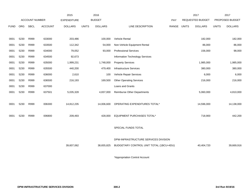|             |            |                       |                | 2015               |              | 2016           |                                         |       |       | 2017                    |              | 2017            |
|-------------|------------|-----------------------|----------------|--------------------|--------------|----------------|-----------------------------------------|-------|-------|-------------------------|--------------|-----------------|
|             |            | <b>ACCOUNT NUMBER</b> |                | <b>EXPENDITURE</b> |              | <b>BUDGET</b>  |                                         | PAY   |       | <b>REQUESTED BUDGET</b> |              | PROPOSED BUDGET |
| <b>FUND</b> | <b>ORG</b> | <b>SBCL</b>           | <b>ACCOUNT</b> | <b>DOLLARS</b>     | <b>UNITS</b> | <b>DOLLARS</b> | LINE DESCRIPTION                        | RANGE | UNITS | <b>DOLLARS</b>          | <b>UNITS</b> | <b>DOLLARS</b>  |
|             |            |                       |                |                    |              |                |                                         |       |       |                         |              |                 |
| 0001        | 5230       | R999                  | 633000         | 203,486            |              | 100,000        | <b>Vehicle Rental</b>                   |       |       | 182,000                 |              | 182,000         |
| 0001        | 5230       | R999                  | 633500         | 112,342            |              | 54,000         | Non-Vehicle Equipment Rental            |       |       | 86,000                  |              | 86,000          |
| 0001        | 5230       | R999                  | 634000         | 79,052             |              | 93,000         | <b>Professional Services</b>            |       |       | 156,000                 |              | 98,000          |
| 0001        | 5230       | R999                  | 634500         | 92,673             |              |                | Information Technology Services         |       |       |                         |              |                 |
| 0001        | 5230       | R999                  | 635000         | 1,999,231          |              | 1,748,000      | <b>Property Services</b>                |       |       | 1,985,000               |              | 1,985,000       |
| 0001        | 5230       | R999                  | 635500         | 440,200            |              | 479,400        | <b>Infrastructure Services</b>          |       |       | 380,000                 |              | 380,000         |
| 0001        | 5230       | R999                  | 636000         | 2,610              |              | 100            | Vehicle Repair Services                 |       |       | 6,000                   |              | 6,000           |
| 0001        | 5230       | R999                  | 636500         | 216,193            |              | 169,500        | <b>Other Operating Services</b>         |       |       | 216,000                 |              | 216,000         |
| 0001        | 5230       | R999                  | 637000         |                    |              |                | Loans and Grants                        |       |       |                         |              |                 |
| 0001        | 5230       | R999                  | 637501         | 5,035,328          |              | 4,837,000      | <b>Reimburse Other Departments</b>      |       |       | 5,060,000               |              | 4,810,000       |
|             |            |                       |                |                    |              |                |                                         |       |       |                         |              |                 |
| 0001        | 5230       | R999                  | 006300         | 14,812,235         |              | 14,006,600     | OPERATING EXPENDITURES TOTAL*           |       |       | 14,596,000              |              | 14,138,000      |
|             |            |                       |                |                    |              |                |                                         |       |       |                         |              |                 |
| 0001        | 5230       | R999                  | 006800         | 209,493            |              | 428,000        | EQUIPMENT PURCHASES TOTAL*              |       |       | 718,900                 |              | 442,200         |
|             |            |                       |                |                    |              |                |                                         |       |       |                         |              |                 |
|             |            |                       |                |                    |              |                | SPECIAL FUNDS TOTAL                     |       |       |                         |              |                 |
|             |            |                       |                |                    |              |                |                                         |       |       |                         |              |                 |
|             |            |                       |                |                    |              |                | DPW-INFRASTRUCTURE SERVICES DIVISION    |       |       |                         |              |                 |
|             |            |                       |                | 39,607,062         |              | 38,655,825     | BUDGETARY CONTROL UNIT TOTAL (1BCU=4DU) |       |       | 40,404,720              |              | 39,669,916      |
|             |            |                       |                |                    |              |                |                                         |       |       |                         |              |                 |

\*Appropriation Control Account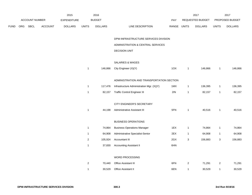|      |     |                |                | 2015               |                | 2016           |                                           |             |                         | 2017             |                         | 2017            |
|------|-----|----------------|----------------|--------------------|----------------|----------------|-------------------------------------------|-------------|-------------------------|------------------|-------------------------|-----------------|
|      |     | ACCOUNT NUMBER |                | <b>EXPENDITURE</b> |                | <b>BUDGET</b>  |                                           | <b>PAY</b>  |                         | REQUESTED BUDGET |                         | PROPOSED BUDGET |
| FUND | ORG | SBCL           | <b>ACCOUNT</b> | <b>DOLLARS</b>     | <b>UNITS</b>   | <b>DOLLARS</b> | LINE DESCRIPTION                          | RANGE UNITS |                         | <b>DOLLARS</b>   | <b>UNITS</b>            | <b>DOLLARS</b>  |
|      |     |                |                |                    |                |                | DPW-INFRASTRUCTURE SERVICES DIVISION      |             |                         |                  |                         |                 |
|      |     |                |                |                    |                |                | ADMINISTRATION & CENTRAL SERVICES         |             |                         |                  |                         |                 |
|      |     |                |                |                    |                |                | <b>DECISION UNIT</b>                      |             |                         |                  |                         |                 |
|      |     |                |                |                    |                |                | SALARIES & WAGES                          |             |                         |                  |                         |                 |
|      |     |                |                |                    | $\mathbf{1}$   | 146,866        | City Engineer (X)(Y)                      | 10X         | $\overline{1}$          | 146,866          | $\mathbf{1}$            | 146,866         |
|      |     |                |                |                    |                |                | ADMINISTRATION AND TRANSPORTATION SECTION |             |                         |                  |                         |                 |
|      |     |                |                |                    | $\mathbf{1}$   | 117,476        | Infrastructure Administration Mgr. (X)(Y) | 1MX         | $\mathbf{1}$            | 136,395          | $\mathbf{1}$            | 136,395         |
|      |     |                |                |                    | $\mathbf{1}$   | 82,157         | <b>Traffic Control Engineer III</b>       | 2IN         | $\overline{1}$          | 82,157           | $\mathbf{1}$            | 82,157          |
|      |     |                |                |                    |                |                | CITY ENGINEER'S SECRETARY                 |             |                         |                  |                         |                 |
|      |     |                |                |                    | $\mathbf{1}$   | 44,198         | Administrative Assistant III              | 5FN         | $\mathbf{1}$            | 40,516           | $\mathbf{1}$            | 40,516          |
|      |     |                |                |                    |                |                | <b>BUSINESS OPERATIONS</b>                |             |                         |                  |                         |                 |
|      |     |                |                |                    | $\mathbf{1}$   | 74,864         | <b>Business Operations Manager</b>        | 1EX         | $\overline{1}$          | 74,864           | $\mathbf{1}$            | 74,864          |
|      |     |                |                |                    | $\mathbf{1}$   | 64,908         | Administrative Specialist-Senior          | 2EX         | $\mathbf{1}$            | 64,908           | $\mathbf{1}$            | 64,908          |
|      |     |                |                |                    | $\overline{2}$ | 105,924        | Accountant III                            | 2GX         | 3                       | 156,883          | 3                       | 156,883         |
|      |     |                |                |                    | $\mathbf{1}$   | 37,830         | <b>Accounting Assistant II</b>            | 6HN         |                         |                  |                         |                 |
|      |     |                |                |                    |                |                | WORD PROCESSING                           |             |                         |                  |                         |                 |
|      |     |                |                |                    | $\overline{c}$ | 70,440         | Office Assistant III                      | 6FN         | $\overline{\mathbf{c}}$ | 71,291           | $\overline{\mathbf{c}}$ | 71,291          |
|      |     |                |                |                    | $\mathbf{1}$   | 30,529         | <b>Office Assistant II</b>                | 6EN         | 1                       | 30,529           | $\mathbf{1}$            | 30,529          |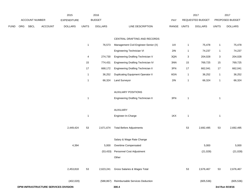|             |     |                | 2015                                        |                    | 2016           |                |                                           |             | 2017         |                  | 2017         |                 |
|-------------|-----|----------------|---------------------------------------------|--------------------|----------------|----------------|-------------------------------------------|-------------|--------------|------------------|--------------|-----------------|
|             |     | ACCOUNT NUMBER |                                             | <b>EXPENDITURE</b> |                | <b>BUDGET</b>  |                                           | PAY         |              | REQUESTED BUDGET |              | PROPOSED BUDGET |
| <b>FUND</b> | ORG | SBCL           | <b>ACCOUNT</b>                              | <b>DOLLARS</b>     | <b>UNITS</b>   | <b>DOLLARS</b> | LINE DESCRIPTION                          | RANGE UNITS |              | <b>DOLLARS</b>   | <b>UNITS</b> | <b>DOLLARS</b>  |
|             |     |                |                                             |                    |                |                | CENTRAL DRAFTING AND RECORDS              |             |              |                  |              |                 |
|             |     |                |                                             |                    | $\overline{1}$ | 76,573         | Management Civil Engineer-Senior (X)      | 11X         | $\mathbf{1}$ | 75,478           | $\mathbf{1}$ | 75,478          |
|             |     |                |                                             |                    |                |                | Engineering Technician VI                 | 2IN         |              |                  |              |                 |
|             |     |                |                                             |                    |                |                |                                           |             | $\mathbf{1}$ | 74,237           | $\mathbf{1}$ | 74,237          |
|             |     |                |                                             |                    | 4              | 274,730        | Engineering Drafting Technician V         | 3QN         | 3            | 204,028          | $\sqrt{3}$   | 204,028         |
|             |     |                |                                             |                    | 15             | 774,431        | Engineering Drafting Technician IV        | 3NN         | 15           | 769,725          | 15           | 769,725         |
|             |     |                |                                             |                    | $17\,$         | 668,172        | <b>Engineering Drafting Technician II</b> | 3FN         | 17           | 662,041          | 17           | 662,041         |
|             |     |                |                                             |                    | $\overline{1}$ | 36,252         | <b>Duplicating Equipment Operator II</b>  | 6GN         | $\mathbf{1}$ | 36,252           | $\mathbf{1}$ | 36,252          |
|             |     |                |                                             |                    | $\overline{1}$ | 66,324         | Land Surveyor                             | 2IN         | $\mathbf{1}$ | 66,324           | $\mathbf{1}$ | 66,324          |
|             |     |                |                                             |                    |                |                |                                           |             |              |                  |              |                 |
|             |     |                |                                             |                    |                |                | <b>AUXILIARY POSITIONS</b>                |             |              |                  |              |                 |
|             |     |                |                                             |                    | $\overline{1}$ |                | <b>Engineering Drafting Technician II</b> | 3FN         | $\mathbf{1}$ |                  | $\mathbf{1}$ |                 |
|             |     |                |                                             |                    |                |                | AUXILIARY                                 |             |              |                  |              |                 |
|             |     |                |                                             |                    | $\overline{1}$ |                | Engineer-In-Charge                        | 1KX         | $\mathbf{1}$ |                  | $\mathbf{1}$ |                 |
|             |     |                |                                             |                    |                |                |                                           |             |              |                  |              |                 |
|             |     |                |                                             | 2,449,424          | 53             | 2,671,674      | <b>Total Before Adjustments</b>           |             | 53           | 2,692,495        | 53           | 2,692,495       |
|             |     |                |                                             |                    |                |                | Salary & Wage Rate Change                 |             |              |                  |              |                 |
|             |     |                |                                             | 4,394              |                | 5,000          | Overtime Compensated                      |             |              | 5,000            |              | 5,000           |
|             |     |                |                                             |                    |                | (53, 433)      | Personnel Cost Adjustment                 |             |              | (21, 028)        |              | (21, 028)       |
|             |     |                |                                             |                    |                |                |                                           |             |              |                  |              |                 |
|             |     |                |                                             |                    |                |                | Other                                     |             |              |                  |              |                 |
|             |     |                |                                             | 2,453,818          | 53             | 2,623,241      | Gross Salaries & Wages Total              |             | 53           | 2,676,467        | 53           | 2,676,467       |
|             |     |                |                                             | (402, 020)         |                | (588, 867)     | Reimbursable Services Deduction           |             |              | (605, 536)       |              | (605, 536)      |
|             |     |                | <b>DPW-INFRASTRUCTURE SERVICES DIVISION</b> |                    |                |                | 300.4                                     |             |              |                  |              | 3rd Run 9/19/16 |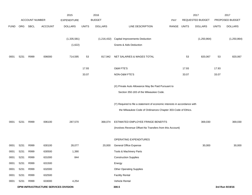|             |      | <b>ACCOUNT NUMBER</b> |                                      | 2015               |              | 2016<br><b>BUDGET</b> |                                                                           |             |       | 2017<br>REQUESTED BUDGET |              | 2017<br>PROPOSED BUDGET |
|-------------|------|-----------------------|--------------------------------------|--------------------|--------------|-----------------------|---------------------------------------------------------------------------|-------------|-------|--------------------------|--------------|-------------------------|
|             |      |                       |                                      | <b>EXPENDITURE</b> |              |                       |                                                                           | <b>PAY</b>  |       |                          |              |                         |
| <b>FUND</b> | ORG  | SBCL                  | ACCOUNT                              | <b>DOLLARS</b>     | <b>UNITS</b> | <b>DOLLARS</b>        | LINE DESCRIPTION                                                          | RANGE UNITS |       | <b>DOLLARS</b>           | <b>UNITS</b> | <b>DOLLARS</b>          |
|             |      |                       |                                      | (1, 335, 581)      |              | (1,216,432)           | <b>Capital Improvements Deduction</b>                                     |             |       | (1, 250, 864)            |              | (1, 250, 864)           |
|             |      |                       |                                      | (1,622)            |              |                       | <b>Grants &amp; Aids Deduction</b>                                        |             |       |                          |              |                         |
| 0001        | 5231 | R999                  | 006000                               | 714,595            | 53           | 817,942               | NET SALARIES & WAGES TOTAL                                                |             | 53    | 820,067                  | 53           | 820,067                 |
|             |      |                       |                                      |                    | 17.93        |                       | O&M FTE'S                                                                 |             | 17.93 |                          | 17.93        |                         |
|             |      |                       |                                      |                    | 33.07        |                       | NON-O&M FTE'S                                                             |             | 33.07 |                          | 33.07        |                         |
|             |      |                       |                                      |                    |              |                       | (X) Private Auto Allowance May Be Paid Pursuant to                        |             |       |                          |              |                         |
|             |      |                       |                                      |                    |              |                       | Section 350-183 of the Milwaukee Code.                                    |             |       |                          |              |                         |
|             |      |                       |                                      |                    |              |                       | (Y) Required to file a statement of economic interests in accordance with |             |       |                          |              |                         |
|             |      |                       |                                      |                    |              |                       | the Milwaukee Code of Ordinances Chapter 303-Code of Ethics.              |             |       |                          |              |                         |
| 0001        | 5231 | R999                  | 006100                               | 287,570            |              | 368,074               | ESTIMATED EMPLOYEE FRINGE BENEFITS                                        |             |       | 369,030                  |              | 369,030                 |
|             |      |                       |                                      |                    |              |                       | (Involves Revenue Offset-No Transfers from this Account)                  |             |       |                          |              |                         |
|             |      |                       |                                      |                    |              |                       | OPERATING EXPENDITURES                                                    |             |       |                          |              |                         |
| 0001        | 5231 | R999                  | 630100                               | 28,077             |              | 20,000                | General Office Expense                                                    |             |       | 30,000                   |              | 30,000                  |
| 0001        | 5231 | R999                  | 630500                               | 1,390              |              |                       | Tools & Machinery Parts                                                   |             |       |                          |              |                         |
| 0001        | 5231 | R999                  | 631000                               | 844                |              |                       | <b>Construction Supplies</b>                                              |             |       |                          |              |                         |
| 0001        | 5231 | R999                  | 631500                               |                    |              |                       | Energy                                                                    |             |       |                          |              |                         |
| 0001        | 5231 | R999                  | 632000                               |                    |              |                       | <b>Other Operating Supplies</b>                                           |             |       |                          |              |                         |
| 0001        | 5231 | R999                  | 632500                               |                    |              |                       | <b>Facility Rental</b>                                                    |             |       |                          |              |                         |
| 0001        | 5231 | R999                  | 633000                               | 4,254              |              |                       | Vehicle Rental                                                            |             |       |                          |              |                         |
|             |      |                       | DPW-INFRASTRUCTURE SERVICES DIVISION |                    |              |                       | 300.5                                                                     |             |       |                          |              | 3rd Run 9/19/16         |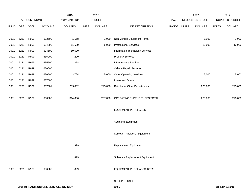|             |      |                |                                      | 2015               |              | 2016           |                                    |             | 2017             |              | 2017            |
|-------------|------|----------------|--------------------------------------|--------------------|--------------|----------------|------------------------------------|-------------|------------------|--------------|-----------------|
|             |      | ACCOUNT NUMBER |                                      | <b>EXPENDITURE</b> |              | <b>BUDGET</b>  |                                    | PAY         | REQUESTED BUDGET |              | PROPOSED BUDGET |
| <b>FUND</b> | ORG  | <b>SBCL</b>    | <b>ACCOUNT</b>                       | <b>DOLLARS</b>     | <b>UNITS</b> | <b>DOLLARS</b> | LINE DESCRIPTION                   | RANGE UNITS | <b>DOLLARS</b>   | <b>UNITS</b> | <b>DOLLARS</b>  |
|             |      |                |                                      |                    |              |                |                                    |             |                  |              |                 |
| 0001        | 5231 | R999           | 633500                               | 1,568              |              | 1,000          | Non-Vehicle Equipment Rental       |             | 1,000            |              | 1,000           |
| 0001        | 5231 | R999           | 634000                               | 11,689             |              | 6,000          | <b>Professional Services</b>       |             | 12,000           |              | 12,000          |
| 0001        | 5231 | R999           | 634500                               | 59,620             |              |                | Information Technology Services    |             |                  |              |                 |
| 0001        | 5231 | R999           | 635000                               | 290                |              |                | <b>Property Services</b>           |             |                  |              |                 |
| 0001        | 5231 | R999           | 635500                               | 278                |              |                | Infrastructure Services            |             |                  |              |                 |
| 0001        | 5231 | R999           | 636000                               |                    |              |                | Vehicle Repair Services            |             |                  |              |                 |
| 0001        | 5231 | R999           | 636500                               | 3,764              |              | 5,000          | <b>Other Operating Services</b>    |             | 5,000            |              | 5,000           |
| 0001        | 5231 | R999           | 637000                               |                    |              |                | Loans and Grants                   |             |                  |              |                 |
| 0001        | 5231 | R999           | 637501                               | 203,062            |              | 225,000        | <b>Reimburse Other Departments</b> |             | 225,000          |              | 225,000         |
|             |      |                |                                      |                    |              |                |                                    |             |                  |              |                 |
| 0001        | 5231 | R999           | 006300                               | 314,836            |              | 257,000        | OPERATING EXPENDITURES TOTAL       |             | 273,000          |              | 273,000         |
|             |      |                |                                      |                    |              |                |                                    |             |                  |              |                 |
|             |      |                |                                      |                    |              |                | <b>EQUIPMENT PURCHASES</b>         |             |                  |              |                 |
|             |      |                |                                      |                    |              |                |                                    |             |                  |              |                 |
|             |      |                |                                      |                    |              |                | <b>Additional Equipment</b>        |             |                  |              |                 |
|             |      |                |                                      |                    |              |                |                                    |             |                  |              |                 |
|             |      |                |                                      |                    |              |                | Subtotal - Additional Equipment    |             |                  |              |                 |
|             |      |                |                                      | 899                |              |                | Replacement Equipment              |             |                  |              |                 |
|             |      |                |                                      |                    |              |                |                                    |             |                  |              |                 |
|             |      |                |                                      | 899                |              |                | Subtotal - Replacement Equipment   |             |                  |              |                 |
|             |      |                |                                      |                    |              |                |                                    |             |                  |              |                 |
| 0001        | 5231 | R999           | 006800                               | 899                |              |                | <b>EQUIPMENT PURCHASES TOTAL</b>   |             |                  |              |                 |
|             |      |                |                                      |                    |              |                |                                    |             |                  |              |                 |
|             |      |                |                                      |                    |              |                | SPECIAL FUNDS                      |             |                  |              |                 |
|             |      |                | DPW-INFRASTRUCTURE SERVICES DIVISION |                    |              |                | 300.6                              |             |                  |              | 3rd Run 9/19/16 |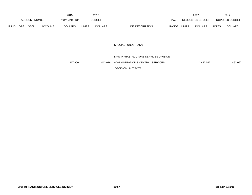|             |            |                       |                | 2015               |              | 2016           |                                  |              | 2017             |              | 2017                   |
|-------------|------------|-----------------------|----------------|--------------------|--------------|----------------|----------------------------------|--------------|------------------|--------------|------------------------|
|             |            | <b>ACCOUNT NUMBER</b> |                | <b>EXPENDITURE</b> |              | <b>BUDGET</b>  | PAY                              |              | REQUESTED BUDGET |              | <b>PROPOSED BUDGET</b> |
| <b>FUND</b> | <b>ORG</b> | <b>SBCL</b>           | <b>ACCOUNT</b> | <b>DOLLARS</b>     | <b>UNITS</b> | <b>DOLLARS</b> | LINE DESCRIPTION<br><b>RANGE</b> | <b>UNITS</b> | <b>DOLLARS</b>   | <b>UNITS</b> | <b>DOLLARS</b>         |

## SPECIAL FUNDS TOTAL

# DPW-INFRASTRUCTURE SERVICES DIVISION-1,317,900 1,443,016 ADMINISTRATION & CENTRAL SERVICES 1,462,097 1,462,097 1,462,097

DECISION UNIT TOTAL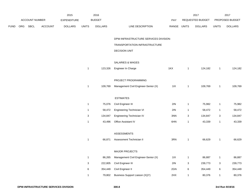|      |     |                |         | 2015               |              | 2016           |                                       |             |              | 2017             |              | 2017            |
|------|-----|----------------|---------|--------------------|--------------|----------------|---------------------------------------|-------------|--------------|------------------|--------------|-----------------|
|      |     | ACCOUNT NUMBER |         | <b>EXPENDITURE</b> |              | <b>BUDGET</b>  |                                       | PAY         |              | REQUESTED BUDGET |              | PROPOSED BUDGET |
| FUND | ORG | SBCL           | ACCOUNT | <b>DOLLARS</b>     | <b>UNITS</b> | <b>DOLLARS</b> | LINE DESCRIPTION                      | RANGE UNITS |              | <b>DOLLARS</b>   | <b>UNITS</b> | <b>DOLLARS</b>  |
|      |     |                |         |                    |              |                |                                       |             |              |                  |              |                 |
|      |     |                |         |                    |              |                | DPW-INFRASTRUCTURE SERVICES DIVISION- |             |              |                  |              |                 |
|      |     |                |         |                    |              |                | TRANSPORTATION INFRASTRUCTURE         |             |              |                  |              |                 |
|      |     |                |         |                    |              |                | <b>DECISION UNIT</b>                  |             |              |                  |              |                 |
|      |     |                |         |                    |              |                |                                       |             |              |                  |              |                 |
|      |     |                |         |                    |              |                | <b>SALARIES &amp; WAGES</b>           |             |              |                  |              |                 |
|      |     |                |         |                    | $\mathbf{1}$ | 123,326        | Engineer In Charge                    | 1KX         | $\mathbf{1}$ | 124,182          | $\mathbf{1}$ | 124,182         |
|      |     |                |         |                    |              |                |                                       |             |              |                  |              |                 |
|      |     |                |         |                    |              |                | PROJECT PROGRAMMING                   |             |              |                  |              |                 |
|      |     |                |         |                    | $\mathbf{1}$ | 109,769        | Management Civil Engineer-Senior (X)  | 11X         | $\mathbf{1}$ | 109,769          | $\mathbf{1}$ | 109,769         |
|      |     |                |         |                    |              |                |                                       |             |              |                  |              |                 |
|      |     |                |         |                    |              |                | <b>ESTIMATES</b>                      |             |              |                  |              |                 |
|      |     |                |         |                    | $\mathbf{1}$ | 75,076         | Civil Engineer III                    | 2IN         | $\mathbf{1}$ | 75,982           | $\mathbf{1}$ | 75,982          |
|      |     |                |         |                    | $\mathbf{1}$ | 58,472         | Engineering Technician VI             | 2IN         | $\mathbf{1}$ | 58,472           | $\mathbf{1}$ | 58,472          |
|      |     |                |         |                    | 3            | 134,847        | Engineering Technician IV             | 3NN         | 3            | 134,847          | 3            | 134,847         |
|      |     |                |         |                    | $\mathbf{1}$ | 43,496         | Office Assistant IV                   | 6HN         | $\mathbf{1}$ | 43,339           | $\mathbf{1}$ | 43,339          |
|      |     |                |         |                    |              |                |                                       |             |              |                  |              |                 |
|      |     |                |         |                    |              |                | <b>ASSESSMENTS</b>                    |             |              |                  |              |                 |
|      |     |                |         |                    | $\mathbf{1}$ | 66,871         | Assessment Technician II              | 3RN         | $\mathbf{1}$ | 66,629           | $\mathbf{1}$ | 66,629          |
|      |     |                |         |                    |              |                |                                       |             |              |                  |              |                 |
|      |     |                |         |                    |              |                | <b>MAJOR PROJECTS</b>                 |             |              |                  |              |                 |
|      |     |                |         |                    | $\mathbf{1}$ | 86,265         | Management Civil Engineer-Senior (X)  | 11X         | $\mathbf{1}$ | 86,887           | $\mathbf{1}$ | 86,887          |
|      |     |                |         |                    | 3            | 222,805        | Civil Engineer III                    | 2IN         | 3            | 239,773          | 3            | 239,773         |
|      |     |                |         |                    | $\,6\,$      | 354,449        | Civil Engineer II                     | 2GN         | $\,6\,$      | 354,449          | 6            | 354,449         |
|      |     |                |         |                    | $\mathbf{1}$ | 79,802         | Business Support Liaison (X)(Y)       | 2HX         | $\mathbf{1}$ | 80,376           | $\mathbf{1}$ | 80,376          |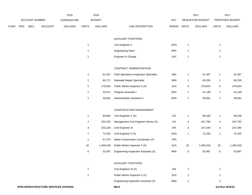|      |     |                |         | 2015               |                | 2016           |                                               |       |                | 2017             |                | 2017            |
|------|-----|----------------|---------|--------------------|----------------|----------------|-----------------------------------------------|-------|----------------|------------------|----------------|-----------------|
|      |     | ACCOUNT NUMBER |         | <b>EXPENDITURE</b> |                | <b>BUDGET</b>  |                                               | PAY   |                | REQUESTED BUDGET |                | PROPOSED BUDGET |
| FUND | ORG | <b>SBCL</b>    | ACCOUNT | <b>DOLLARS</b>     | <b>UNITS</b>   | <b>DOLLARS</b> | LINE DESCRIPTION                              | RANGE | <b>UNITS</b>   | <b>DOLLARS</b>   | <b>UNITS</b>   | <b>DOLLARS</b>  |
|      |     |                |         |                    |                |                | <b>AUXILIARY POSITIONS</b>                    |       |                |                  |                |                 |
|      |     |                |         |                    | $\mathbf{1}$   |                | Civil Engineer II                             | 2GN   | $\mathbf{1}$   |                  | $\mathbf{1}$   |                 |
|      |     |                |         |                    | $\mathbf{1}$   |                | Engineering Intern                            | 9PN   | $\overline{1}$ |                  | $\mathbf{1}$   |                 |
|      |     |                |         |                    | $\mathbf{1}$   |                | Engineer In Charge                            | 1KX   | $\overline{1}$ |                  | $\mathbf{1}$   |                 |
|      |     |                |         |                    |                |                | CONTRACT ADMINISTRATION                       |       |                |                  |                |                 |
|      |     |                |         |                    | $\mathbf{1}$   | 61,047         | <b>Field Operations Inspection Specialist</b> | 1BX   | $\mathbf{1}$   | 61,487           | 1              | 61,487          |
|      |     |                |         |                    | $\mathbf{1}$   | 60,771         | Sidewalk Repair Specialist                    | 3NN   | $\mathbf{1}$   | 65,333           | $\mathbf{1}$   | 65,333          |
|      |     |                |         |                    | 5              | 276,654        | Public Works Inspector II (X)                 | 3LN   | $\sqrt{5}$     | 276,654          | 5              | 276,654         |
|      |     |                |         |                    | $\mathbf 1$    | 45,671         | Program Assistant I                           | 5EN   | $\mathbf{1}$   | 41,148           | $\mathbf{1}$   | 41,148          |
|      |     |                |         |                    | $\mathbf{1}$   | 39,081         | Administrative Assistant II                   | 6HN   | $\mathbf{1}$   | 39,081           | $\mathbf{1}$   | 39,081          |
|      |     |                |         |                    |                |                | CONSTRUCTION MANAGEMENT                       |       |                |                  |                |                 |
|      |     |                |         |                    | $\mathbf{1}$   | 89,682         | Civil Engineer V (X)                          | 1JX   | $\mathbf{1}$   | 90,328           | $\mathbf{1}$   | 90,328          |
|      |     |                |         |                    | 4              | 343,431        | Management Civil Engineer Senior (X)          | 11X   | 4              | 347,792          | 4              | 347,792         |
|      |     |                |         |                    | 3              | 233,226        | Civil Engineer III                            | 2IN   | 3              | 237,340          | 3              | 237,340         |
|      |     |                |         |                    | $\mathbf{1}$   | 72,333         | Civil Engineer II (X)                         | 2GN   | $\mathbf{1}$   | 72,333           | $\mathbf{1}$   | 72,333          |
|      |     |                |         |                    | $\mathbf{1}$   | 67,374         | Water Construction Coordinator (X)            | 7PN   |                |                  |                |                 |
|      |     |                |         |                    | 32             | 1,400,418      | Public Works Inspector II (X)                 | 3LN   | 32             | 1,400,418        | 32             | 1,400,418       |
|      |     |                |         |                    | 6              | 53,487         | Engineering Inspection Assistant (X)          | 9NN   | 6              | 53,487           | 6              | 53,487          |
|      |     |                |         |                    |                |                | <b>AUXILIARY POSITIONS</b>                    |       |                |                  |                |                 |
|      |     |                |         |                    | $\mathbf{1}$   |                | Civil Engineer III (X)                        | 2IN   | $\mathbf{1}$   |                  | 1              |                 |
|      |     |                |         |                    | $\overline{c}$ |                | Public Works Inspector II (X)                 | 3LN   | $\overline{2}$ |                  | $\overline{a}$ |                 |
|      |     |                |         |                    |                |                | Engineering Inspection Assistant (X)          | 9NN   | $\overline{2}$ |                  | $\overline{2}$ |                 |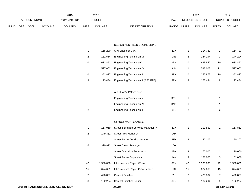|             |            |                |                | 2015               |       | 2016           |                           |       | 2017             |       | 201                    |
|-------------|------------|----------------|----------------|--------------------|-------|----------------|---------------------------|-------|------------------|-------|------------------------|
|             |            | ACCOUNT NUMBER |                | <b>EXPENDITURE</b> |       | <b>BUDGET</b>  | PAY                       |       | REQUESTED BUDGET |       | <b>PROPOSED BUDGET</b> |
| <b>FUND</b> | <b>ORG</b> | <b>SBCL</b>    | <b>ACCOUNT</b> | <b>DOLLARS</b>     | UNITS | <b>DOLLARS</b> | RANGE<br>LINE DESCRIPTION | UNITS | <b>DOLLARS</b>   | UNITS | <b>DOLLARS</b>         |

#### DESIGN AND FIELD ENGINEERING

|    | 115.280 | Civil Engineer V (X)                 | 1JX |    | 114.780 |    | 114,780 |
|----|---------|--------------------------------------|-----|----|---------|----|---------|
| 2  | 151.514 | Engineering Technician VI            | 2IN | 2  | 144.294 | 2  | 144.294 |
| 10 | 633.852 | Engineering Technician V             | 3RN | 10 | 633.852 | 10 | 633,852 |
| 11 | 597.003 | Engineering Technician IV            | 3NN | 11 | 597.003 | 11 | 597,003 |
| 10 | 352.877 | <b>Engineering Technician II</b>     | 3FN | 10 | 352.877 | 10 | 352,877 |
| 9  | 123.434 | Engineering Technician II (0.33 FTE) | 3FN | 9  | 123.434 | 9  | 123.434 |

#### AUXILIARY POSITIONS

| Engineering Technician V         | 3RN |  |
|----------------------------------|-----|--|
| Engineering Technician IV        | 3NN |  |
| <b>Engineering Technician II</b> | 3FN |  |

#### STREET MAINTENANCE

| 1              | 117.019   | Street & Bridges Services Manager (X) | 1JX |    | 117,862   | 1              | 117,862   |
|----------------|-----------|---------------------------------------|-----|----|-----------|----------------|-----------|
| 2              | 149.331   | Street Area Manager                   | 1HX |    |           |                |           |
|                |           | <b>Street Repair District Manager</b> | 1FX | 2  | 150,107   | $\overline{2}$ | 150,107   |
| 6              | 320,973   | <b>Street District Manager</b>        | 1DX |    |           |                |           |
|                |           | <b>Street Operation Supervisor</b>    | 1BX | 3  | 170.000   | 3              | 170,000   |
|                |           | <b>Street Repair Supervisor</b>       | 1AX | 3  | 151,000   | 3              | 151,000   |
| 42             | 1,300,000 | Infrastructure Repair Worker          | 8FN | 42 | 1,300,000 | 42             | 1,300,000 |
| 15             | 674.669   | Infrastructure Repair Crew Leader     | 8IN | 15 | 674,669   | 15             | 674,669   |
| $\overline{7}$ | 420.887   | <b>Cement Finisher</b>                | 7K  | 7  | 420,887   | 7              | 420,887   |
| 8              | 182.294   | <b>Cement Finisher Helper</b>         | 8FN | 8  | 182,294   | 8              | 182,294   |
|                |           |                                       |     |    |           |                |           |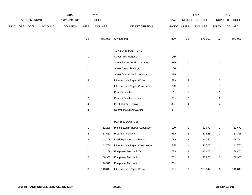|      |     |                |                | 2015               |                           | 2016           |                                       |             |                           | 2017             |                           | 2017            |
|------|-----|----------------|----------------|--------------------|---------------------------|----------------|---------------------------------------|-------------|---------------------------|------------------|---------------------------|-----------------|
|      |     | ACCOUNT NUMBER |                | <b>EXPENDITURE</b> |                           | <b>BUDGET</b>  |                                       | PAY         |                           | REQUESTED BUDGET |                           | PROPOSED BUDGET |
| FUND | ORG | SBCL           | <b>ACCOUNT</b> | <b>DOLLARS</b>     | <b>UNITS</b>              | <b>DOLLARS</b> | LINE DESCRIPTION                      | RANGE UNITS |                           | <b>DOLLARS</b>   | <b>UNITS</b>              | <b>DOLLARS</b>  |
|      |     |                |                |                    | 32                        | 871,000        | <b>City Laborer</b>                   | 8DN         | 32                        | 871,000          | 32                        | 871,000         |
|      |     |                |                |                    |                           |                | <b>AUXILIARY POSITIONS</b>            |             |                           |                  |                           |                 |
|      |     |                |                |                    | $\mathbf{1}$              |                | Street Area Manager                   | 1HX         |                           |                  |                           |                 |
|      |     |                |                |                    |                           |                | <b>Street Repair District Manager</b> | 1FX         | $\mathbf{1}$              |                  | $\mathbf{1}$              |                 |
|      |     |                |                |                    | $\mathbf{1}$              |                | <b>Street District Manager</b>        | 1DX         |                           |                  |                           |                 |
|      |     |                |                |                    |                           |                | <b>Street Operations Supervisor</b>   | 1BX         | $\mathbf{1}$              |                  | $\mathbf{1}$              |                 |
|      |     |                |                |                    | $\ensuremath{\mathsf{3}}$ |                | Infrastructure Repair Worker          | 8FN         | $\ensuremath{\mathsf{3}}$ |                  | $\ensuremath{\mathsf{3}}$ |                 |
|      |     |                |                |                    | $\mathbf{1}$              |                | Infrastructure Repair Crew Leader     | <b>8IN</b>  | $\mathbf{1}$              |                  | $\mathbf{1}$              |                 |
|      |     |                |                |                    | $\mathbf{1}$              |                | <b>Cement Finisher</b>                | 7K          | $\mathbf{1}$              |                  | $\mathbf{1}$              |                 |
|      |     |                |                |                    | $\overline{c}$            |                | Cement Finisher Helper                | 8FN         | $\sqrt{2}$                |                  | $\sqrt{2}$                |                 |
|      |     |                |                |                    | 4                         |                | City Laborer (Regular)                | 8DN         | 4                         |                  | $\pmb{4}$                 |                 |
|      |     |                |                |                    | 4                         |                | <b>Operations Driver/Worker</b>       | 8KN         |                           |                  |                           |                 |
|      |     |                |                |                    |                           |                | PLANT & EQUIPMENT                     |             |                           |                  |                           |                 |
|      |     |                |                |                    | $\mathbf{1}$              | 62,225         | Plant & Equip. Repair Supervisor      | 1DX         | $\mathbf{1}$              | 62,673           | $\mathbf{1}$              | 62,673          |
|      |     |                |                |                    | $\overline{c}$            | 87,662         | Program Assistant I                   | 5EN         | $\overline{c}$            | 87,828           | $\sqrt{2}$                | 87,828          |
|      |     |                |                |                    | $\ensuremath{\mathsf{3}}$ | 142,105        | Lead Equipment Mechanic               | 7FN         | $\sqrt{2}$                | 94,750           | $\sqrt{2}$                | 94,750          |
|      |     |                |                |                    | $\mathbf{1}$              | 41,700         | Infrastructure Repair Crew Leader     | <b>8IN</b>  | $\mathbf{1}$              | 41,700           | $\mathbf{1}$              | 41,700          |
|      |     |                |                |                    | $\mathbf{1}$              | 42,168         | <b>Equipment Mechanic IV</b>          | 7EN         | $\overline{2}$            | 84,400           | $\boldsymbol{2}$          | 84,400          |
|      |     |                |                |                    | $\overline{c}$            | 86,362         | <b>Equipment Mechanic II</b>          | 7CN         | 3                         | 130,900          | 3                         | 130,900         |
|      |     |                |                |                    | $\mathbf{1}$              | 44,513         | Equipment Mechanic I                  | 7BN         |                           |                  |                           |                 |
|      |     |                |                |                    | $\sqrt{3}$                | 118,847        | Infrastructure Repair Worker          | 8FN         | 3                         | 118,847          | 3                         | 118,847         |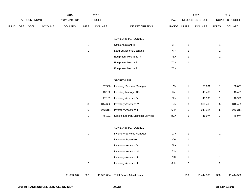|      |     |                |                | 2015               |                | 2016           |                                      |       |                | 2017             |                | 2017            |
|------|-----|----------------|----------------|--------------------|----------------|----------------|--------------------------------------|-------|----------------|------------------|----------------|-----------------|
|      |     | ACCOUNT NUMBER |                | <b>EXPENDITURE</b> |                | <b>BUDGET</b>  |                                      | PAY   |                | REQUESTED BUDGET |                | PROPOSED BUDGET |
| FUND | ORG | <b>SBCL</b>    | <b>ACCOUNT</b> | <b>DOLLARS</b>     | <b>UNITS</b>   | <b>DOLLARS</b> | LINE DESCRIPTION                     | RANGE | <b>UNITS</b>   | <b>DOLLARS</b>   | <b>UNITS</b>   | <b>DOLLARS</b>  |
|      |     |                |                |                    |                |                | AUXILIARY PERSONNEL                  |       |                |                  |                |                 |
|      |     |                |                |                    | $\mathbf{1}$   |                | Office Assistant III                 | 6FN   | $\mathbf{1}$   |                  | $\mathbf{1}$   |                 |
|      |     |                |                |                    | $\mathbf{1}$   |                | Lead Equipment Mechanic              | 7FN   | $\mathbf{1}$   |                  | $\mathbf{1}$   |                 |
|      |     |                |                |                    |                |                | Equipment Mechanic IV                | 7EN   | $\mathbf{1}$   |                  | $\mathbf{1}$   |                 |
|      |     |                |                |                    | $\mathbf{1}$   |                | Equipment Mechanic II                | 7CN   | $\mathbf{1}$   |                  | $\mathbf{1}$   |                 |
|      |     |                |                |                    | $\mathbf{1}$   |                | Equipment Mechanic I                 | 7BN   |                |                  |                |                 |
|      |     |                |                |                    |                |                | <b>STORES UNIT</b>                   |       |                |                  |                |                 |
|      |     |                |                |                    | $\mathbf{1}$   | 57,586         | <b>Inventory Services Manager</b>    | 1CX   | $\mathbf{1}$   | 58,001           | $\mathbf{1}$   | 58,001          |
|      |     |                |                |                    | $\mathbf{1}$   | 48,122         | Inventory Manager (X)                | 1AX   | $\mathbf{1}$   | 48,469           | $\mathbf{1}$   | 48,469          |
|      |     |                |                |                    | $\mathbf{1}$   | 47,161         | Inventory Assistant V                | 6LN   | $\mathbf{1}$   | 46,990           | $\mathbf{1}$   | 46,990          |
|      |     |                |                |                    | $\bf8$         | 344,682        | <b>Inventory Assistant IV</b>        | 6JN   | $\,8\,$        | 316,469          | 8              | 316,469         |
|      |     |                |                |                    | 6              | 243,314        | <b>Inventory Assistant II</b>        | 6HN   | $\,6$          | 243,314          | 6              | 243,314         |
|      |     |                |                |                    | $\mathbf{1}$   | 46,131         | Special Laborer, Electrical Services | 8GN   | $\mathbf{1}$   | 46,074           | $\mathbf{1}$   | 46,074          |
|      |     |                |                |                    |                |                | AUXILIARY PERSONNEL                  |       |                |                  |                |                 |
|      |     |                |                |                    | $\mathbf{1}$   |                | <b>Inventory Services Manager</b>    | 1CX   | $\mathbf{1}$   |                  | $\mathbf{1}$   |                 |
|      |     |                |                |                    | $\mathbf{1}$   |                | <b>Inventory Supervisor</b>          | 2DN   | $\mathbf{1}$   |                  | $\mathbf{1}$   |                 |
|      |     |                |                |                    | $\mathbf{1}$   |                | Inventory Assistant V                | 6LN   | $\overline{1}$ |                  | $\mathbf{1}$   |                 |
|      |     |                |                |                    | $\mathbf{1}$   |                | <b>Inventory Assistant IV</b>        | 6JN   | $\mathbf{1}$   |                  | $\mathbf{1}$   |                 |
|      |     |                |                |                    | $\mathbf{1}$   |                | <b>Inventory Assistant III</b>       | 6IN   | $\mathbf{1}$   |                  | $\mathbf{1}$   |                 |
|      |     |                |                |                    | $\overline{c}$ |                | <b>Inventory Assistant II</b>        | 6HN   | $\overline{c}$ |                  | $\overline{a}$ |                 |
|      |     |                |                | 11,603,648         | 302            | 11,521,064     | <b>Total Before Adjustments</b>      |       | 299            | 11,444,580       | 300            | 11,444,580      |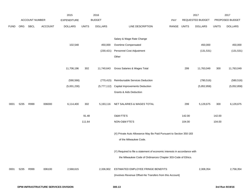|             |      |                       |                                             | 2015               |              | 2016           |                                                                           |            |              | 2017             |              | 2017            |
|-------------|------|-----------------------|---------------------------------------------|--------------------|--------------|----------------|---------------------------------------------------------------------------|------------|--------------|------------------|--------------|-----------------|
|             |      | <b>ACCOUNT NUMBER</b> |                                             | <b>EXPENDITURE</b> |              | <b>BUDGET</b>  |                                                                           | <b>PAY</b> |              | REQUESTED BUDGET |              | PROPOSED BUDGET |
| <b>FUND</b> | ORG  | SBCL                  | <b>ACCOUNT</b>                              | <b>DOLLARS</b>     | <b>UNITS</b> | <b>DOLLARS</b> | LINE DESCRIPTION                                                          | RANGE      | <b>UNITS</b> | <b>DOLLARS</b>   | <b>UNITS</b> | <b>DOLLARS</b>  |
|             |      |                       |                                             |                    |              |                | Salary & Wage Rate Change                                                 |            |              |                  |              |                 |
|             |      |                       |                                             | 102,548            |              | 450,000        | Overtime Compensated                                                      |            |              | 450,000          |              | 450,000         |
|             |      |                       |                                             |                    |              | (230, 421)     | Personnel Cost Adjustment                                                 |            |              | (131, 531)       |              | (131, 531)      |
|             |      |                       |                                             |                    |              |                | Other                                                                     |            |              |                  |              |                 |
|             |      |                       |                                             | 11,706,196         | 302          | 11,740,643     | Gross Salaries & Wages Total                                              |            | 299          | 11,763,049       | 300          | 11,763,049      |
|             |      |                       |                                             | (590, 566)         |              | (770, 415)     | Reimbursable Services Deduction                                           |            |              | (780, 516)       |              | (580, 516)      |
|             |      |                       |                                             | (5,001,230)        |              | (5,777,112)    | <b>Capital Improvements Deduction</b>                                     |            |              | (5,852,858)      |              | (5,052,858)     |
|             |      |                       |                                             |                    |              |                | Grants & Aids Deduction                                                   |            |              |                  |              |                 |
| 0001        | 5235 | R999                  | 006000                                      | 6,114,400          | 302          | 5,193,116      | NET SALARIES & WAGES TOTAL                                                |            | 299          | 5,129,675        | 300          | 6,129,675       |
|             |      |                       |                                             |                    | 91.48        |                | O&M FTE'S                                                                 |            | 142.00       |                  | 142.00       |                 |
|             |      |                       |                                             |                    | 111.64       |                | NON-O&M FTE'S                                                             |            | 104.00       |                  | 104.00       |                 |
|             |      |                       |                                             |                    |              |                | (X) Private Auto Allowance May Be Paid Pursuant to Section 350-183        |            |              |                  |              |                 |
|             |      |                       |                                             |                    |              |                | of the Milwaukee Code.                                                    |            |              |                  |              |                 |
|             |      |                       |                                             |                    |              |                | (Y) Required to file a statement of economic interests in accordance with |            |              |                  |              |                 |
|             |      |                       |                                             |                    |              |                | the Milwaukee Code of Ordinances Chapter 303-Code of Ethics.              |            |              |                  |              |                 |
| 0001        | 5235 | R999                  | 006100                                      | 2,568,615          |              | 2,336,902      | ESTIMATED EMPLOYEE FRINGE BENEFITS                                        |            |              | 2,308,354        |              | 2,758,354       |
|             |      |                       |                                             |                    |              |                | (Involves Revenue Offset-No Transfers from this Account)                  |            |              |                  |              |                 |
|             |      |                       | <b>DPW-INFRASTRUCTURE SERVICES DIVISION</b> |                    |              |                | 300.13                                                                    |            |              |                  |              | 3rd Run 9/19/16 |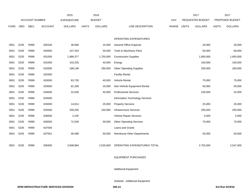|             |            |                       |                | 2015               |              | 2016           |                                    |       | 2017         |                         | 2017         |                 |
|-------------|------------|-----------------------|----------------|--------------------|--------------|----------------|------------------------------------|-------|--------------|-------------------------|--------------|-----------------|
|             |            | <b>ACCOUNT NUMBER</b> |                | <b>EXPENDITURE</b> |              | <b>BUDGET</b>  |                                    | PAY   |              | <b>REQUESTED BUDGET</b> |              | PROPOSED BUDGET |
| <b>FUND</b> | <b>ORG</b> | <b>SBCL</b>           | <b>ACCOUNT</b> | <b>DOLLARS</b>     | <b>UNITS</b> | <b>DOLLARS</b> | LINE DESCRIPTION                   | RANGE | <b>UNITS</b> | <b>DOLLARS</b>          | <b>UNITS</b> | <b>DOLLARS</b>  |
|             |            |                       |                |                    |              |                |                                    |       |              |                         |              |                 |
|             |            |                       |                |                    |              |                | OPERATING EXPENDITURES             |       |              |                         |              |                 |
| 0001        | 5235       | R999                  | 630100         | 39,568             |              | 15,000         | General Office Expense             |       |              | 20,000                  |              | 20,000          |
| 0001        | 5235       | R999                  | 630500         | 107,333            |              | 55,000         | Tools & Machinery Parts            |       |              | 60,000                  |              | 60,000          |
| 0001        | 5235       | R999                  | 631000         | 1,988,377          |              | 1,750,000      | <b>Construction Supplies</b>       |       |              | 1,800,000               |              | 1,650,000       |
| 0001        | 5235       | R999                  | 631500         | 103,235            |              | 40,000         | Energy                             |       |              | 100,000                 |              | 100,000         |
| 0001        | 5235       | R999                  | 632000         | 188,148            |              | 290,000        | <b>Other Operating Supplies</b>    |       |              | 200,000                 |              | 200,000         |
| 0001        | 5235       | R999                  | 632500         |                    |              |                | <b>Facility Rental</b>             |       |              |                         |              |                 |
| 0001        | 5235       | R999                  | 633000         | 83,728             |              | 40,000         | <b>Vehicle Rental</b>              |       |              | 75,000                  |              | 75,000          |
| 0001        | 5235       | R999                  | 633500         | 81,309             |              | 25,000         | Non-Vehicle Equipment Rental       |       |              | 50,000                  |              | 50,000          |
| 0001        | 5235       | R999                  | 634000         | 22,036             |              | 45,000         | <b>Professional Services</b>       |       |              | 100,000                 |              | 42,000          |
| 0001        | 5235       | R999                  | 634500         |                    |              |                | Information Technology Services    |       |              |                         |              |                 |
| 0001        | 5235       | R999                  | 635000         | 14,814             |              | 25,000         | <b>Property Services</b>           |       |              | 25,000                  |              | 25,000          |
| 0001        | 5235       | R999                  | 635500         | 259,205            |              | 150,000        | <b>Infrastructure Services</b>     |       |              | 200,000                 |              | 200,000         |
| 0001        | 5235       | R999                  | 636000         | 2,105              |              |                | Vehicle Repair Services            |       |              | 5,000                   |              | 5,000           |
| 0001        | 5235       | R999                  | 636500         | 72,538             |              | 50,000         | <b>Other Operating Services</b>    |       |              | 70,000                  |              | 70,000          |
| 0001        | 5235       | R999                  | 637000         |                    |              |                | Loans and Grants                   |       |              |                         |              |                 |
| 0001        | 5235       | R999                  | 637501         | 46,488             |              | 50,000         | <b>Reimburse Other Departments</b> |       |              | 50,000                  |              | 50,000          |
|             |            |                       |                |                    |              |                |                                    |       |              |                         |              |                 |
| 0001        | 5235       | R999                  | 006300         | 3,008,884          |              | 2,535,000      | OPERATING EXPENDITURES TOTAL       |       |              | 2,755,000               |              | 2,547,000       |

#### EQUIPMENT PURCHASES

Additional Equipment

Subtotal - Additional Equipment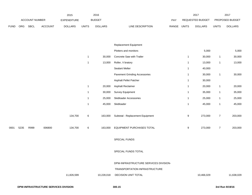|             |      |                |         | 2015               |              | 2016           |                                       |             |                  | 2017             |                  | 2017            |
|-------------|------|----------------|---------|--------------------|--------------|----------------|---------------------------------------|-------------|------------------|------------------|------------------|-----------------|
|             |      | ACCOUNT NUMBER |         | <b>EXPENDITURE</b> |              | <b>BUDGET</b>  |                                       | PAY         |                  | REQUESTED BUDGET |                  | PROPOSED BUDGET |
| <b>FUND</b> | ORG  | <b>SBCL</b>    | ACCOUNT | <b>DOLLARS</b>     | <b>UNITS</b> | <b>DOLLARS</b> | LINE DESCRIPTION                      | RANGE UNITS |                  | <b>DOLLARS</b>   | <b>UNITS</b>     | <b>DOLLARS</b>  |
|             |      |                |         |                    |              |                |                                       |             |                  |                  |                  |                 |
|             |      |                |         |                    |              |                |                                       |             |                  |                  |                  |                 |
|             |      |                |         |                    |              |                | Replacement Equipment                 |             |                  |                  |                  |                 |
|             |      |                |         |                    |              |                | Plotters and monitors                 |             |                  | 5,000            |                  | 5,000           |
|             |      |                |         |                    | $\mathbf{1}$ | 30,000         | Concrete Saw with Trailer             |             | $\mathbf{1}$     | 30,000           | $\mathbf{1}$     | 30,000          |
|             |      |                |         |                    | $\mathbf{1}$ | 13,000         | Roller, V bratory                     |             | $\mathbf{1}$     | 13,000           | $\mathbf{1}$     | 13,000          |
|             |      |                |         |                    |              |                | Sealant Melter                        |             | $\mathbf{1}$     | 40,000           |                  |                 |
|             |      |                |         |                    |              |                | <b>Pavement Grinding Accessories</b>  |             | $\mathbf{1}$     | 30,000           | $\mathbf{1}$     | 30,000          |
|             |      |                |         |                    |              |                | Asphalt Pellet Patcher                |             | $\mathbf{1}$     | 30,000           |                  |                 |
|             |      |                |         |                    | $\mathbf{1}$ | 20,000         | Asphalt Reclaimer                     |             | $\mathbf{1}$     | 20,000           | $\mathbf{1}$     | 20,000          |
|             |      |                |         |                    | $\mathbf{1}$ | 30,000         | Survey Equipment                      |             | $\mathbf{1}$     | 35,000           | $\mathbf{1}$     | 35,000          |
|             |      |                |         |                    | $\mathbf{1}$ | 25,000         | <b>Skidloader Accessories</b>         |             | $\mathbf{1}$     | 25,000           | $\mathbf{1}$     | 25,000          |
|             |      |                |         |                    | $\mathbf{1}$ | 45,000         | Skidloader                            |             | $\mathbf{1}$     | 45,000           | $\mathbf{1}$     | 45,000          |
|             |      |                |         |                    |              |                |                                       |             |                  |                  |                  |                 |
|             |      |                |         | 134,700            | 6            | 163,000        | Subtotal - Replacement Equipment      |             | 9                | 273,000          | $\boldsymbol{7}$ | 203,000         |
|             |      |                |         |                    |              |                |                                       |             |                  |                  |                  |                 |
| 0001        | 5235 | R999           | 006800  | 134,700            | 6            | 163,000        | EQUIPMENT PURCHASES TOTAL             |             | $\boldsymbol{9}$ | 273,000          | $\boldsymbol{7}$ | 203,000         |
|             |      |                |         |                    |              |                |                                       |             |                  |                  |                  |                 |
|             |      |                |         |                    |              |                | SPECIAL FUNDS                         |             |                  |                  |                  |                 |
|             |      |                |         |                    |              |                |                                       |             |                  |                  |                  |                 |
|             |      |                |         |                    |              |                | SPECIAL FUNDS TOTAL                   |             |                  |                  |                  |                 |
|             |      |                |         |                    |              |                |                                       |             |                  |                  |                  |                 |
|             |      |                |         |                    |              |                | DPW-INFRASTRUCTURE SERVICES DIVISION- |             |                  |                  |                  |                 |
|             |      |                |         |                    |              |                | TRANSPORTATION INFRASTRUCTURE         |             |                  |                  |                  |                 |
|             |      |                |         | 11,826,599         |              | 10,228,018     | DECISION UNIT TOTAL                   |             |                  | 10,466,029       |                  | 11,638,029      |
|             |      |                |         |                    |              |                |                                       |             |                  |                  |                  |                 |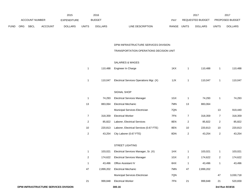|             |                       |             |                | 2015           |              | 2016           |                           | 2017             |                |              | 2017                   |
|-------------|-----------------------|-------------|----------------|----------------|--------------|----------------|---------------------------|------------------|----------------|--------------|------------------------|
|             | <b>ACCOUNT NUMBER</b> |             |                | EXPENDITURE    |              | <b>BUDGET</b>  | PAY                       | REQUESTED BUDGET |                |              | <b>PROPOSED BUDGET</b> |
| <b>FUND</b> | <b>ORG</b>            | <b>SBCL</b> | <b>ACCOUNT</b> | <b>DOLLARS</b> | <b>UNITS</b> | <b>DOLLARS</b> | RANGE<br>LINE DESCRIPTION | <b>UNITS</b>     | <b>DOLLARS</b> | <b>UNITS</b> | <b>DOLLARS</b>         |

# DPW-INFRASTRUCTURE SERVICES DIVISION-

# TRANSPORTATION OPERATIONS DECISION UNIT

#### SALARIES & WAGES

| 1              | 110,488   | Engineer In Charge                      | 1KX | 1              | 110,488   | 1              | 110,488   |
|----------------|-----------|-----------------------------------------|-----|----------------|-----------|----------------|-----------|
| 1              | 110,047   | Electrical Services Operations Mgr. (X) | 1JX | 1              | 110,047   | 1              | 110,047   |
|                |           | SIGNAL SHOP                             |     |                |           |                |           |
| $\mathbf{1}$   | 74,293    | <b>Electrical Services Manager</b>      | 1GX | 1              | 74,293    | $\mathbf{1}$   | 74,293    |
| 13             | 883,064   | <b>Electrical Mechanic</b>              | 7MN | 13             | 883,064   |                |           |
|                |           | Municipal Services Electrician          | 7QN |                |           | 13             | 919,440   |
| $\overline{7}$ | 318,359   | <b>Electrical Worker</b>                | 7FN | 7              | 318,359   | 7              | 318,359   |
| $\overline{2}$ | 85,822    | Laborer, Electrical Services            | 8EN | $\overline{c}$ | 85,822    | 2              | 85,822    |
| 10             | 220,813   | Laborer, Electrical Services (0.67 FTE) | 8EN | 10             | 220,813   | 10             | 220,813   |
| $\overline{2}$ | 43,254    | City Laborer (0.67 FTE)                 | 8DN | $\overline{2}$ | 43,254    | $\sqrt{2}$     | 43,254    |
|                |           | <b>STREET LIGHTING</b>                  |     |                |           |                |           |
| 1              | 103,021   | Electrical Services Manager, Sr. (X)    | 1HX | 1              | 103,021   | 1              | 103,021   |
| 2              | 174,622   | <b>Electrical Services Manager</b>      | 1GX | $\overline{c}$ | 174,622   | $\overline{c}$ | 174,622   |
| 1              | 43,496    | Office Assistant IV                     | 6HX | 1              | 43,496    | 1              | 43,496    |
| 47             | 2,899,202 | <b>Electrical Mechanic</b>              | 7MN | 47             | 2,899,202 |                |           |
|                |           | Municipal Services Electrician          | 7QN |                |           | 47             | 3,030,718 |
| 21             | 999,848   | <b>Electrical Worker</b>                | 7FN | 21             | 999,848   | 21             | 520,659   |
|                |           |                                         |     |                |           |                |           |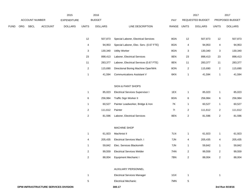|             |     |                |         | 2015               |                  | 2016              |                                                          |             |                         | 2017              |                         | 2017              |
|-------------|-----|----------------|---------|--------------------|------------------|-------------------|----------------------------------------------------------|-------------|-------------------------|-------------------|-------------------------|-------------------|
|             |     | ACCOUNT NUMBER |         | <b>EXPENDITURE</b> |                  | <b>BUDGET</b>     |                                                          | PAY         |                         | REQUESTED BUDGET  |                         | PROPOSED BUDGET   |
| <b>FUND</b> | ORG | <b>SBCL</b>    | ACCOUNT | <b>DOLLARS</b>     | <b>UNITS</b>     | <b>DOLLARS</b>    | LINE DESCRIPTION                                         | RANGE UNITS |                         | <b>DOLLARS</b>    | <b>UNITS</b>            | <b>DOLLARS</b>    |
|             |     |                |         |                    | 12               | 507,873           | Special Laborer, Electrical Services                     | 8GN         | 12                      | 507,873           | 12                      | 507,873           |
|             |     |                |         |                    | 4                | 94,953            | Special Laborer, Elec. Serv. (0.67 FTE)                  | 8GN         | 4                       | 94,953            | 4                       | 94,953            |
|             |     |                |         |                    | 3                | 130,340           | <b>Utility Worker</b>                                    | 8GN         | 3                       | 130,340           | 3                       | 130,340           |
|             |     |                |         |                    | 23               | 898,413           | Laborer, Electrical Services                             | 8EN         | 23                      | 898,413           | 23                      | 898,413           |
|             |     |                |         |                    | 11               | 283,377           | Laborer, Electrical Services (0.67 FTE)                  | 8EN         | 11                      | 283,377           | 11                      | 283,377           |
|             |     |                |         |                    | $\overline{2}$   | 115,690           | Directional Boring Machine Oper/Wrk                      | 8ON         | $\overline{\mathbf{c}}$ | 115,690           | $\overline{\mathbf{c}}$ | 115,690           |
|             |     |                |         |                    | $\mathbf{1}$     | 41,594            | <b>Communications Assistant V</b>                        | 6KN         | 1                       | 41,594            | $\mathbf{1}$            | 41,594            |
|             |     |                |         |                    |                  |                   | <b>SIGN &amp; PAINT SHOPS</b>                            |             |                         |                   |                         |                   |
|             |     |                |         |                    | $\mathbf{1}$     | 85,023            | <b>Electrical Services Supervisor I</b>                  | 1EX         | $\mathbf{1}$            | 85,023            | $\mathbf{1}$            | 85,023            |
|             |     |                |         |                    | 6                | 256,984           | Traffic Sign Worker II                                   | 8GN         | 6                       | 256,984           | 6                       | 256,984           |
|             |     |                |         |                    | $\mathbf{1}$     | 60,527            | Painter Leadworker, Bridge & Iron                        | <b>7K</b>   | 1                       | 60,527            | $\mathbf{1}$            | 60,527            |
|             |     |                |         |                    | $\overline{2}$   | 111,612           | Painter                                                  | 71          | $\overline{\mathbf{c}}$ | 111,612           | $\overline{2}$          | 111,612           |
|             |     |                |         |                    | $\boldsymbol{2}$ | 81,596            | Laborer, Electrical Services                             | 8EN         | $\overline{\mathbf{c}}$ | 81,596            | $\overline{2}$          | 81,596            |
|             |     |                |         |                    |                  |                   | MACHINE SHOP                                             |             |                         |                   |                         |                   |
|             |     |                |         |                    |                  |                   | Machinist II                                             | 7LN         |                         |                   |                         |                   |
|             |     |                |         |                    | $\mathbf{1}$     | 61,923            |                                                          |             | $\mathbf{1}$            | 61,923            | 1                       | 61,923            |
|             |     |                |         |                    | 4<br>1           | 205,435<br>59,842 | Electrical Services Mach. I<br>Elec. Services Blacksmith | 7JN<br>7JN  | 4<br>$\mathbf{1}$       | 205,435<br>59,842 | 4<br>-1                 | 205,435<br>59,842 |
|             |     |                |         |                    | 2                | 99,559            | <b>Electrical Services Welder</b>                        | 7HN         | $\overline{2}$          | 99,559            | $\overline{2}$          | 99,559            |
|             |     |                |         |                    | $\overline{2}$   | 88,004            | Equipment Mechanic I                                     | 7BN         | $\overline{2}$          | 88,004            | $\overline{2}$          | 88,004            |
|             |     |                |         |                    |                  |                   |                                                          |             |                         |                   |                         |                   |
|             |     |                |         |                    |                  |                   | AUXILIARY PERSONNEL                                      |             |                         |                   |                         |                   |
|             |     |                |         |                    | $\mathbf{1}$     |                   | <b>Electrical Services Manager</b>                       | 1GX         | $\mathbf{1}$            |                   | $\mathbf{1}$            |                   |
|             |     |                |         |                    | $\,$ 5 $\,$      |                   | <b>Electrical Mechanic</b>                               | 7MN         | 5                       |                   |                         |                   |
|             |     |                |         |                    |                  |                   |                                                          |             |                         |                   |                         |                   |

**DPW-INFRASTRUCTURE SERVICES DIVISION**<br> **300.17** 3rd Run 9/19/16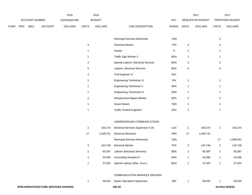|      |     |                |                                      | 2015               |                         | 2016           |                                       |       |                | 2017             |                 | 2017            |
|------|-----|----------------|--------------------------------------|--------------------|-------------------------|----------------|---------------------------------------|-------|----------------|------------------|-----------------|-----------------|
|      |     | ACCOUNT NUMBER |                                      | <b>EXPENDITURE</b> |                         | <b>BUDGET</b>  |                                       | PAY   |                | REQUESTED BUDGET |                 | PROPOSED BUDGET |
| FUND | ORG | <b>SBCL</b>    | <b>ACCOUNT</b>                       | <b>DOLLARS</b>     | <b>UNITS</b>            | <b>DOLLARS</b> | LINE DESCRIPTION                      | RANGE | <b>UNITS</b>   | <b>DOLLARS</b>   | <b>UNITS</b>    | <b>DOLLARS</b>  |
|      |     |                |                                      |                    |                         |                | Municipal Services Electrician        | 7QN   |                |                  | $5\phantom{.0}$ |                 |
|      |     |                |                                      |                    | 4                       |                | <b>Electrical Worker</b>              | 7FN   | 4              |                  | 4               |                 |
|      |     |                |                                      |                    | $\mathbf{1}$            |                | Painter                               | 71    | $\mathbf{1}$   |                  | 1               |                 |
|      |     |                |                                      |                    | $\mathbf{1}$            |                | Traffic Sign Worker II                | 8GN   | $\mathbf{1}$   |                  | 1               |                 |
|      |     |                |                                      |                    | 3                       |                | Special Laborer, Electrical Services  | 8GN   | 3              |                  | 3               |                 |
|      |     |                |                                      |                    | 6                       |                | Laborer, Electrical Services          | 8EN   | 6              |                  | 6               |                 |
|      |     |                |                                      |                    | $\overline{\mathbf{c}}$ |                | Civil Engineer IV                     | 2KX   |                |                  |                 |                 |
|      |     |                |                                      |                    | $\mathbf{1}$            |                | Engineering Technician VI             | 2IN   | $\mathbf{1}$   |                  | $\mathbf{1}$    |                 |
|      |     |                |                                      |                    | $\mathbf{1}$            |                | Engineering Technician V              | 3RN   | $\mathbf{1}$   |                  | 1               |                 |
|      |     |                |                                      |                    | $\mathbf{1}$            |                | Engineering Technician IV             | 3NN   | $\mathbf{1}$   |                  | $\mathbf{1}$    |                 |
|      |     |                |                                      |                    | $\overline{2}$          |                | Infrastructure Repair Worker          | 8FN   | $\overline{2}$ |                  | $\overline{a}$  |                 |
|      |     |                |                                      |                    | $\mathbf{1}$            |                | Sewer Mason                           | 7QN   | $\mathbf{1}$   |                  | $\mathbf{1}$    |                 |
|      |     |                |                                      |                    | $\mathbf{1}$            |                | <b>Traffic Control Engineer I</b>     | 2EN   | $\mathbf{1}$   |                  | $\mathbf{1}$    |                 |
|      |     |                |                                      |                    |                         |                | UNDERGROUND COMMUNICATIONS            |       |                |                  |                 |                 |
|      |     |                |                                      |                    | $\overline{c}$          | 193,274        | Electrical Services Supervisor II (X) | 1GX   | $\overline{2}$ | 193,274          | $\mathbf{2}$    | 193,274         |
|      |     |                |                                      |                    | 17                      | 1,048,741      | <b>Electrical Mechanic</b>            | 7MN   | 17             | 1,048,741        |                 |                 |
|      |     |                |                                      |                    |                         |                | Municipal Services Electrician        | 7QN   |                |                  | 17              | 1,096,541       |
|      |     |                |                                      |                    | 3                       | 142,748        | <b>Electrical Worker</b>              | 7FN   | $\mathsf 3$    | 142,748          | 3               | 142,748         |
|      |     |                |                                      |                    | $\overline{2}$          | 85,397         | Laborer (Electrical Services)         | 8EN   | $\overline{2}$ | 85,397           | $\overline{2}$  | 85,397          |
|      |     |                |                                      |                    | $\mathbf{1}$            | 43,496         | <b>Accounting Assistant II</b>        | 6HN   | $\mathbf{1}$   | 43,496           | $\mathbf{1}$    | 43,496          |
|      |     |                |                                      |                    | $\mathbf{1}$            | 37,502         | Special Laborer (Elec. Svcs.)         | 8GN   | $\mathbf{1}$   | 37,502           | $\mathbf{1}$    | 37,502          |
|      |     |                |                                      |                    |                         |                | <b>COMMUNICATION MANHOLE REPAIRS</b>  |       |                |                  |                 |                 |
|      |     |                |                                      |                    | $\mathbf{1}$            | 56,534         | Sewer Operations Supervisor           | 1BX   | $\mathbf{1}$   | 56,534           | 1               | 56,534          |
|      |     |                | DPW-INFRASTRUCTURE SERVICES DIVISION |                    |                         |                | 300.18                                |       |                |                  |                 | 3rd Run 9/19/16 |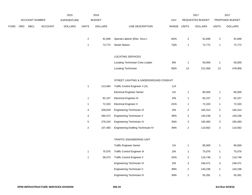|      |     |                       |                | 2015               |                | 2016           |                                           |             |                           | 2017             |                         | 2017            |
|------|-----|-----------------------|----------------|--------------------|----------------|----------------|-------------------------------------------|-------------|---------------------------|------------------|-------------------------|-----------------|
|      |     | <b>ACCOUNT NUMBER</b> |                | <b>EXPENDITURE</b> |                | <b>BUDGET</b>  |                                           | PAY         |                           | REQUESTED BUDGET |                         | PROPOSED BUDGET |
| FUND | ORG | <b>SBCL</b>           | <b>ACCOUNT</b> | <b>DOLLARS</b>     | <b>UNITS</b>   | <b>DOLLARS</b> | LINE DESCRIPTION                          | RANGE UNITS |                           | <b>DOLLARS</b>   | <b>UNITS</b>            | <b>DOLLARS</b>  |
|      |     |                       |                |                    |                |                |                                           |             |                           |                  |                         |                 |
|      |     |                       |                |                    | $\overline{2}$ | 91,848         | Special Laborer (Elec. Svcs.)             | 8GN         | $\sqrt{2}$                | 91,848           | $\overline{c}$          | 91,848          |
|      |     |                       |                |                    | $\mathbf{1}$   | 72,772         | Sewer Mason                               | 7QN         | $\mathbf{1}$              | 72,772           | $\mathbf{1}$            | 72,772          |
|      |     |                       |                |                    |                |                |                                           |             |                           |                  |                         |                 |
|      |     |                       |                |                    |                |                | <b>LOCATING SERVICES</b>                  |             |                           |                  |                         |                 |
|      |     |                       |                |                    |                |                | Locating Technician Crew Leader           | 8IN         | $\mathbf{1}$              | 50,000           | $\mathbf{1}$            | 50,000          |
|      |     |                       |                |                    |                |                | Locating Technician                       | 8DN         | 13                        | 221,058          | 13                      | 478,959         |
|      |     |                       |                |                    |                |                | STREET LIGHTING & UNDERGROUND CONDUIT     |             |                           |                  |                         |                 |
|      |     |                       |                |                    | $\mathbf{1}$   | 113,464        | Traffic Control Engineer V (X)            | 1JX         |                           |                  |                         |                 |
|      |     |                       |                |                    |                |                | <b>Electrical Engineer Senior</b>         | 11X         | $\mathbf{1}$              | 85,000           | $\mathbf{1}$            | 85,000          |
|      |     |                       |                |                    | $\mathbf{1}$   | 82,157         | <b>Electrical Engineer III</b>            | 2IN         | $\mathbf{1}$              | 82,157           | $\mathbf{1}$            | 82,157          |
|      |     |                       |                |                    | $\mathbf{1}$   | 72,333         | <b>Electrical Engineer II</b>             | 2GN         | $\mathbf{1}$              | 72,333           | $\mathbf{1}$            | 72,333          |
|      |     |                       |                |                    | 4              | 328,629        | Engineering Technician VI                 | 2IN         | $\sqrt{2}$                | 164,314          | $\overline{a}$          | 164,314         |
|      |     |                       |                |                    | 4              | 280,472        | Engineering Technician V                  | 3RN         | $\overline{2}$            | 140,236          | $\overline{2}$          | 140,236         |
|      |     |                       |                |                    | $\mathbf 5$    | 279,243        | Engineering Technician IV                 | 3NN         | $\ensuremath{\mathsf{3}}$ | 165,483          | $\mathbf{3}$            | 165,483         |
|      |     |                       |                |                    | $\sqrt{2}$     | 107,483        | <b>Engineering Drafting Technician IV</b> | 3NN         | $\sqrt{2}$                | 110,562          | $\overline{a}$          | 110,562         |
|      |     |                       |                |                    |                |                |                                           |             |                           |                  |                         |                 |
|      |     |                       |                |                    |                |                | TRAFFIC ENGINEERING UNIT                  |             |                           |                  |                         |                 |
|      |     |                       |                |                    |                |                | <b>Traffic Engineer Senior</b>            | 11X         | $\mathbf{1}$              | 85,000           | $\mathbf{1}$            | 85,000          |
|      |     |                       |                |                    | $\mathbf{1}$   | 75,076         | <b>Traffic Control Engineer III</b>       | 2IN         | $\mathbf{1}$              | 75,076           | $\mathbf{1}$            | 75,076          |
|      |     |                       |                |                    | $\mathbf{1}$   | 58,373         | <b>Traffic Control Engineer II</b>        | 2GN         | $\sqrt{2}$                | 116,746          | $\overline{2}$          | 116,746         |
|      |     |                       |                |                    |                |                | Engineering Technician VI                 | 2IN         | $\ensuremath{\mathsf{3}}$ | 246,471          | 3                       | 246,471         |
|      |     |                       |                |                    |                |                | Engineering Technician V                  | 3RN         | $\sqrt{2}$                | 140,236          | $\overline{\mathbf{c}}$ | 140,236         |
|      |     |                       |                |                    |                |                | Engineering Technician IV                 | 3NN         | $\mathbf{1}$              | 55,281           | $\mathbf{1}$            | 55,281          |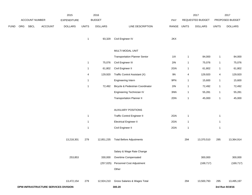|             |     |                |                                      | 2015               |              | 2016           |                                      |       |              | 2017             |                         | 2017            |
|-------------|-----|----------------|--------------------------------------|--------------------|--------------|----------------|--------------------------------------|-------|--------------|------------------|-------------------------|-----------------|
|             |     | ACCOUNT NUMBER |                                      | <b>EXPENDITURE</b> |              | <b>BUDGET</b>  |                                      | PAY   |              | REQUESTED BUDGET |                         | PROPOSED BUDGET |
| <b>FUND</b> | ORG | SBCL           | ACCOUNT                              | <b>DOLLARS</b>     | <b>UNITS</b> | <b>DOLLARS</b> | LINE DESCRIPTION                     | RANGE | <b>UNITS</b> | <b>DOLLARS</b>   | <b>UNITS</b>            | <b>DOLLARS</b>  |
|             |     |                |                                      |                    | $\mathbf{1}$ | 93,329         | Civil Engineer IV                    | 2KX   |              |                  |                         |                 |
|             |     |                |                                      |                    |              |                | MULTI MODAL UNIT                     |       |              |                  |                         |                 |
|             |     |                |                                      |                    |              |                | <b>Transportation Planner Senior</b> | $11X$ | $\mathbf{1}$ | 84,000           | $\mathbf{1}$            | 84,000          |
|             |     |                |                                      |                    | $\mathbf{1}$ | 75,076         | Civil Engineer III                   | 2IN   | $\mathbf{1}$ | 75,076           | $\mathbf{1}$            | 75,076          |
|             |     |                |                                      |                    | $\mathbf{1}$ | 61,802         | Civil Engineer II                    | 2GN   | $\mathbf{1}$ | 61,802           | $\mathbf{1}$            | 61,802          |
|             |     |                |                                      |                    | 4            | 129,920        | Traffic Control Assistant (X)        | 9N    | 4            | 129,920          | $\overline{\mathbf{4}}$ | 129,920         |
|             |     |                |                                      |                    | $\mathbf{1}$ |                | Engineering Intern                   | 9PN   | $\mathbf{1}$ | 15,600           | $\mathbf{1}$            | 15,600          |
|             |     |                |                                      |                    | $\mathbf{1}$ | 72,492         | Bicycle & Pedestrian Coordinator     | 2IN   | $\mathbf{1}$ | 72,492           | $\mathbf{1}$            | 72,492          |
|             |     |                |                                      |                    |              |                | Engineering Technician IV            | 3NN   | $\mathbf{1}$ | 55,281           | $\mathbf{1}$            | 55,281          |
|             |     |                |                                      |                    |              |                | <b>Transportation Planner II</b>     | 2DN   | $\mathbf{1}$ | 45,000           | $\overline{1}$          | 45,000          |
|             |     |                |                                      |                    |              |                |                                      |       |              |                  |                         |                 |
|             |     |                |                                      |                    |              |                | <b>AUXILIARY POSITIONS</b>           |       |              |                  |                         |                 |
|             |     |                |                                      |                    | $\mathbf{1}$ |                | <b>Traffic Control Engineer II</b>   | 2GN   | $\mathbf{1}$ |                  | $\mathbf{1}$            |                 |
|             |     |                |                                      |                    | $\mathbf{1}$ |                | <b>Electrical Engineer II</b>        | 2GN   | $\mathbf{1}$ |                  | $\mathbf{1}$            |                 |
|             |     |                |                                      |                    | $\mathbf{1}$ |                | Civil Engineer II                    | 2GN   | $\mathbf{1}$ |                  | $\overline{1}$          |                 |
|             |     |                |                                      | 13,218,301         | 279          | 12,851,235     | <b>Total Before Adjustments</b>      |       | 294          | 13,370,510       | 295                     | 13,364,914      |
|             |     |                |                                      |                    |              |                | Salary & Wage Rate Change            |       |              |                  |                         |                 |
|             |     |                |                                      | 253,853            |              | 330,000        | Overtime Compensated                 |       |              | 300,000          |                         | 300,000         |
|             |     |                |                                      |                    |              | (257, 025)     | Personnel Cost Adjustment            |       |              | (169, 717)       |                         | (169, 717)      |
|             |     |                |                                      |                    |              |                | Other                                |       |              |                  |                         |                 |
|             |     |                |                                      | 13,472,154         | 279          | 12,924,210     | Gross Salaries & Wages Total         |       | 294          | 13,500,793       | 295                     | 13,495,197      |
|             |     |                | DPW-INFRASTRUCTURE SERVICES DIVISION |                    |              |                | 300.20                               |       |              |                  |                         | 3rd Run 9/19/16 |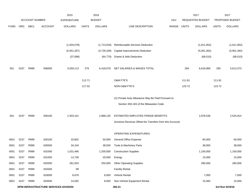|             |                                      |                       |                | 2015               |              | 2016           |                                                                                              |             |        | 2017             |              | 2017            |
|-------------|--------------------------------------|-----------------------|----------------|--------------------|--------------|----------------|----------------------------------------------------------------------------------------------|-------------|--------|------------------|--------------|-----------------|
|             |                                      | <b>ACCOUNT NUMBER</b> |                | <b>EXPENDITURE</b> |              | <b>BUDGET</b>  |                                                                                              | <b>PAY</b>  |        | REQUESTED BUDGET |              | PROPOSED BUDGET |
| <b>FUND</b> | ORG                                  | <b>SBCL</b>           | <b>ACCOUNT</b> | <b>DOLLARS</b>     | <b>UNITS</b> | <b>DOLLARS</b> | LINE DESCRIPTION                                                                             | RANGE UNITS |        | <b>DOLLARS</b>   | <b>UNITS</b> | <b>DOLLARS</b>  |
|             |                                      |                       |                |                    |              |                |                                                                                              |             |        |                  |              |                 |
|             |                                      |                       |                | (1,934,078)        |              | (1,713,034)    | Reimbursable Services Deduction                                                              |             |        | (1,811,952)      |              | (1,911,952)     |
|             |                                      |                       |                | (5,941,267)        |              | (4,728,328)    | <b>Capital Improvements Deduction</b>                                                        |             |        | (5,001,362)      |              | (5,901,362)     |
|             |                                      |                       |                | (37, 696)          |              | (64, 770)      | <b>Grants &amp; Aids Deduction</b>                                                           |             |        | (68, 510)        |              | (68, 510)       |
| 001         | 5237                                 | R999                  | 006000         | 5,559,113          | 279          | 6,418,078      | NET SALARIES & WAGES TOTAL                                                                   |             | 294    | 6,618,969        | 295          | 5,613,373       |
|             |                                      |                       |                |                    | 112.71       |                | O&M FTE'S                                                                                    |             | 111.81 |                  | 111.81       |                 |
|             |                                      |                       |                |                    | 117.02       |                | NON-O&M FTE'S                                                                                |             | 123.72 |                  | 123.72       |                 |
|             |                                      |                       |                |                    |              |                | (X) Private Auto Allowance May Be Paid Pursuant to<br>Section 350-183 of the Milwaukee Code. |             |        |                  |              |                 |
| 001         | 5237                                 | R999                  | 006100         | 2,303,101          |              | 2,888,135      | ESTIMATED EMPLOYEE FRINGE BENEFITS                                                           |             |        | 2,978,536        |              | 2,525,914       |
|             |                                      |                       |                |                    |              |                | (Involves Revenue Offset-No Transfers from this Account)                                     |             |        |                  |              |                 |
|             |                                      |                       |                |                    |              |                | OPERATING EXPENDITURES                                                                       |             |        |                  |              |                 |
| 0001        | 5237                                 | R999                  | 630100         | 33,802             |              | 50,000         | General Office Expense                                                                       |             |        | 60,000           |              | 60,000          |
| 0001        | 5237                                 | R999                  | 630500         | 34,104             |              | 38,500         | Tools & Machinery Parts                                                                      |             |        | 38,000           |              | 38,000          |
| 0001        | 5237                                 | R999                  | 631000         | 1,031,466          |              | 1,200,000      | <b>Construction Supplies</b>                                                                 |             |        | 1,100,000        |              | 1,100,000       |
| 0001        | 5237                                 | R999                  | 631500         | 13,738             |              | 20,000         | Energy                                                                                       |             |        | 15,000           |              | 15,000          |
| 0001        | 5237                                 | R999                  | 632000         | 281,053            |              | 250,000        | <b>Other Operating Supplies</b>                                                              |             |        | 280,000          |              | 280,000         |
| 0001        | 5237                                 | R999                  | 632500         | 99                 |              |                | <b>Facility Rental</b>                                                                       |             |        |                  |              |                 |
| 0001        | 5237                                 | R999                  | 633000         | 6,678              |              | 8,000          | Vehicle Rental                                                                               |             |        | 7,000            |              | 7,000           |
| 0001        | 5237                                 | R999                  | 633500         | 14,592             |              | 8,000          | Non-Vehicle Equipment Rental                                                                 |             |        | 15,000           |              | 15,000          |
|             | DPW-INFRASTRUCTURE SERVICES DIVISION |                       |                |                    |              |                | 300.21                                                                                       |             |        |                  |              | 3rd Run 9/19/16 |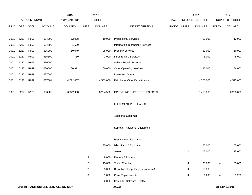|             |      |                       | 2015                                 | 2016               |                |                | 2017                              |       | 2017         |                  |              |                 |
|-------------|------|-----------------------|--------------------------------------|--------------------|----------------|----------------|-----------------------------------|-------|--------------|------------------|--------------|-----------------|
|             |      | <b>ACCOUNT NUMBER</b> |                                      | <b>EXPENDITURE</b> |                | <b>BUDGET</b>  |                                   | PAY   |              | REQUESTED BUDGET |              | PROPOSED BUDGET |
| <b>FUND</b> | ORG  | <b>SBCL</b>           | <b>ACCOUNT</b>                       | <b>DOLLARS</b>     | <b>UNITS</b>   | <b>DOLLARS</b> | LINE DESCRIPTION                  | RANGE | <b>UNITS</b> | <b>DOLLARS</b>   | <b>UNITS</b> | <b>DOLLARS</b>  |
|             |      |                       |                                      |                    |                |                |                                   |       |              |                  |              |                 |
| 0001        | 5237 | R999                  | 634000                               | 12,028             |                | 10,000         | <b>Professional Services</b>      |       |              | 12,000           |              | 12,000          |
| 0001        | 5237 | R999                  | 634500                               | 1,620              |                |                | Information Technology Services   |       |              |                  |              |                 |
| 0001        | 5237 | R999                  | 635000                               | 50,049             |                | 85,000         | <b>Property Services</b>          |       |              | 60,000           |              | 60,000          |
| 0001        | 5237 | R999                  | 635500                               | 4,750              |                | 2,000          | Infrastructure Services           |       |              | 5,000            |              | 5,000           |
| 0001        | 5237 | R999                  | 636000                               |                    |                |                | Vehicle Repair Services           |       |              |                  |              |                 |
| 0001        | 5237 | R999                  | 636500                               | 86,312             |                | 60,000         | <b>Other Operating Services</b>   |       |              | 86,000           |              | 86,000          |
| 0001        | 5237 | R999                  | 637000                               |                    |                |                | Loans and Grants                  |       |              |                  |              |                 |
| 0001        | 5237 | R999                  | 637501                               | 4,772,667          |                | 4,553,000      | Reimburse Other Departments       |       |              | 4,775,000        |              | 4,525,000       |
|             |      |                       |                                      |                    |                |                |                                   |       |              |                  |              |                 |
| 0001        | 5237 | R999                  | 006300                               | 6,342,958          |                | 6,284,500      | OPERATING EXPENDITURES TOTAL      |       |              | 6,453,000        |              | 6,203,000       |
|             |      |                       |                                      |                    |                |                |                                   |       |              |                  |              |                 |
|             |      |                       |                                      |                    |                |                | <b>EQUIPMENT PURCHASES</b>        |       |              |                  |              |                 |
|             |      |                       |                                      |                    |                |                |                                   |       |              |                  |              |                 |
|             |      |                       |                                      |                    |                |                | <b>Additional Equipment</b>       |       |              |                  |              |                 |
|             |      |                       |                                      |                    |                |                |                                   |       |              |                  |              |                 |
|             |      |                       |                                      |                    |                |                | Subtotal - Additional Equipment   |       |              |                  |              |                 |
|             |      |                       |                                      |                    |                |                |                                   |       |              |                  |              |                 |
|             |      |                       |                                      |                    |                |                | Replacement Equipment             |       |              |                  |              |                 |
|             |      |                       |                                      |                    | 1              | 35,000         | Misc. Parts & Equipment           |       |              | 65,000           |              | 55,000          |
|             |      |                       |                                      |                    |                |                | Server                            |       | 1            | 15,000           | $\mathbf{1}$ | 15,000          |
|             |      |                       |                                      |                    | 3              | 8,000          | Plotters & Printers               |       |              |                  |              |                 |
|             |      |                       |                                      |                    | $\overline{7}$ | 15,000         | <b>Traffic Counters</b>           |       | 4            | 35,000           | 4            | 35,000          |
|             |      |                       |                                      |                    | $\overline{a}$ | 5,000          | Desk Top Computer (new positions) |       | 4            | 15,000           |              |                 |
|             |      |                       |                                      |                    | 3              | 1,000          | <b>Chair Replacements</b>         |       | 4            | 1,200            | 4            | 1,200           |
|             |      |                       |                                      |                    | 1              | 2,000          | Computer Software - Traffic       |       |              |                  |              |                 |
|             |      |                       | DPW-INFRASTRUCTURE SERVICES DIVISION |                    |                |                | 300.22                            |       |              |                  |              | 3rd Run 9/19/16 |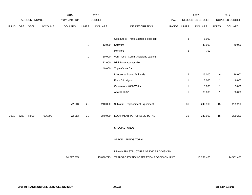|             |      |                | 2016<br>2015 |                    |                |                |                                         | 2017        |                           | 2017             |              |                 |
|-------------|------|----------------|--------------|--------------------|----------------|----------------|-----------------------------------------|-------------|---------------------------|------------------|--------------|-----------------|
|             |      | ACCOUNT NUMBER |              | <b>EXPENDITURE</b> |                | <b>BUDGET</b>  |                                         | PAY         |                           | REQUESTED BUDGET |              | PROPOSED BUDGET |
| <b>FUND</b> | ORG  | <b>SBCL</b>    | ACCOUNT      | <b>DOLLARS</b>     | <b>UNITS</b>   | <b>DOLLARS</b> | LINE DESCRIPTION                        | RANGE UNITS |                           | <b>DOLLARS</b>   | <b>UNITS</b> | <b>DOLLARS</b>  |
|             |      |                |              |                    |                |                |                                         |             |                           |                  |              |                 |
|             |      |                |              |                    |                |                | Computers- Traffic Laptop & desk top    |             | $\ensuremath{\mathsf{3}}$ | 6,000            |              |                 |
|             |      |                |              |                    | $\mathbf{1}$   | 12,000         | Software                                |             |                           | 40,000           |              | 40,000          |
|             |      |                |              |                    |                |                | Monitors                                |             | 6                         | 700              |              |                 |
|             |      |                |              |                    | $\mathbf{1}$   | 50,000         | Van/Truck - Communications cabling      |             |                           |                  |              |                 |
|             |      |                |              |                    | $\mathbf{1}$   | 72,000         | Mini Excavator w/trailer                |             |                           |                  |              |                 |
|             |      |                |              |                    | $\overline{1}$ | 40,000         | Triple Cable Cart                       |             |                           |                  |              |                 |
|             |      |                |              |                    |                |                | Directional Boring Drill rods           |             | 6                         | 16,000           | $\,6\,$      | 16,000          |
|             |      |                |              |                    |                |                | Rock Drill signs                        |             | $\mathbf{1}$              | 6,000            | $\mathbf{1}$ | 6,000           |
|             |      |                |              |                    |                |                | Generator - 4000 Watts                  |             | $\mathbf{1}$              | 3,000            | $\mathbf{1}$ | 3,000           |
|             |      |                |              |                    |                |                | Aerial Lift 32'                         |             | $\mathbf{1}$              | 38,000           | $\mathbf{1}$ | 38,000          |
|             |      |                |              |                    |                |                |                                         |             |                           |                  |              |                 |
|             |      |                |              | 72,113             | 21             | 240,000        | Subtotal - Replacement Equipment        |             | 31                        | 240,900          | 18           | 209,200         |
|             |      |                |              |                    |                |                |                                         |             |                           |                  |              |                 |
| 0001        | 5237 | R999           | 006800       | 72,113             | 21             | 240,000        | EQUIPMENT PURCHASES TOTAL               |             | 31                        | 240,900          | 18           | 209,200         |
|             |      |                |              |                    |                |                |                                         |             |                           |                  |              |                 |
|             |      |                |              |                    |                |                | SPECIAL FUNDS                           |             |                           |                  |              |                 |
|             |      |                |              |                    |                |                |                                         |             |                           |                  |              |                 |
|             |      |                |              |                    |                |                | SPECIAL FUNDS TOTAL                     |             |                           |                  |              |                 |
|             |      |                |              |                    |                |                |                                         |             |                           |                  |              |                 |
|             |      |                |              |                    |                |                | DPW-INFRASTRUCTURE SERVICES DIVISION-   |             |                           |                  |              |                 |
|             |      |                |              | 14,277,285         |                | 15,830,713     | TRANSPORTATION OPERATIONS DECISION UNIT |             |                           | 16,291,405       |              | 14,551,487      |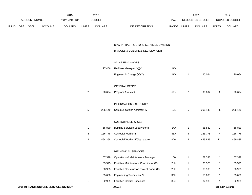|      |     |                | 2015<br>2016   |                    |                |                |                                           | 2017        |                  | 2017           |                  |                |
|------|-----|----------------|----------------|--------------------|----------------|----------------|-------------------------------------------|-------------|------------------|----------------|------------------|----------------|
|      |     | ACCOUNT NUMBER |                | <b>EXPENDITURE</b> |                | <b>BUDGET</b>  |                                           | PAY         | REQUESTED BUDGET |                | PROPOSED BUDGET  |                |
| FUND | ORG | <b>SBCL</b>    | <b>ACCOUNT</b> | <b>DOLLARS</b>     | <b>UNITS</b>   | <b>DOLLARS</b> | LINE DESCRIPTION                          | RANGE UNITS |                  | <b>DOLLARS</b> | <b>UNITS</b>     | <b>DOLLARS</b> |
|      |     |                |                |                    |                |                |                                           |             |                  |                |                  |                |
|      |     |                |                |                    |                |                |                                           |             |                  |                |                  |                |
|      |     |                |                |                    |                |                | DPW-INFRASTRUCTURE SERVICES DIVISION      |             |                  |                |                  |                |
|      |     |                |                |                    |                |                | BRIDGES & BUILDINGS DECISION UNIT         |             |                  |                |                  |                |
|      |     |                |                |                    |                |                |                                           |             |                  |                |                  |                |
|      |     |                |                |                    |                |                | <b>SALARIES &amp; WAGES</b>               |             |                  |                |                  |                |
|      |     |                |                |                    | $\mathbf{1}$   | 97,456         | Facilities Manager (X)(Y)                 | 1KX         |                  |                |                  |                |
|      |     |                |                |                    |                |                | Engineer in Charge (X)(Y)                 | 1KX         | $\mathbf{1}$     | 120,064        | $\mathbf{1}$     | 120,064        |
|      |     |                |                |                    |                |                |                                           |             |                  |                |                  |                |
|      |     |                |                |                    |                |                | <b>GENERAL OFFICE</b>                     |             |                  |                |                  |                |
|      |     |                |                |                    | $\overline{a}$ | 90,694         | Program Assistant II                      | 5FN         | $\overline{c}$   | 90,694         | $\boldsymbol{2}$ | 90,694         |
|      |     |                |                |                    |                |                |                                           |             |                  |                |                  |                |
|      |     |                |                |                    |                |                | <b>INFORMATION &amp; SECURITY</b>         |             |                  |                |                  |                |
|      |     |                |                |                    | $\mathbf 5$    | 206,149        | <b>Communications Assistant IV</b>        | 6JN         | $\,$ 5 $\,$      | 206,149        | $\mathbf 5$      | 206,149        |
|      |     |                |                |                    |                |                |                                           |             |                  |                |                  |                |
|      |     |                |                |                    |                |                | <b>CUSTODIAL SERVICES</b>                 |             |                  |                |                  |                |
|      |     |                |                |                    | $\mathbf{1}$   | 65,889         | <b>Building Services Supervisor II</b>    | 1AX         | $\mathbf{1}$     | 65,889         | $\mathbf{1}$     | 65,889         |
|      |     |                |                |                    | 4              | 166,778        | <b>Custodial Worker III</b>               | 8EN         | 4                | 166,778        | 4                | 166,778        |
|      |     |                |                |                    | 12             | 464,368        | Custodial Worker II/City Laborer          | 8DN         | 12               | 469,885        | 12               | 469,885        |
|      |     |                |                |                    |                |                |                                           |             |                  |                |                  |                |
|      |     |                |                |                    |                |                | MECHANICAL SERVICES                       |             |                  |                |                  |                |
|      |     |                |                |                    | 1              | 67,398         | Operations & Maintenance Manager          | 1GX         | -1               | 67,398         | $\mathbf{1}$     | 67,398         |
|      |     |                |                |                    | $\mathbf{1}$   | 63,575         | Facilities Maintenance Coordinator (X)    | 2HN         | 1                | 63,575         | $\mathbf{1}$     | 63,575         |
|      |     |                |                |                    | $\mathbf{1}$   | 68,935         | Facilities Construction Project Coord.(X) | 2HN         | $\mathbf{1}$     | 68,935         | $\mathbf{1}$     | 68,935         |
|      |     |                |                |                    | $\mathbf{1}$   | 55,688         | Engineering Technician IV                 | 3NN         | $\mathbf{1}$     | 55,688         | $\mathbf{1}$     | 55,688         |
|      |     |                |                |                    | $\mathbf{1}$   | 82,989         | <b>Facilities Control Specialist</b>      | 3SN         | $\mathbf{1}$     | 82,989         | $\mathbf{1}$     | 82,989         |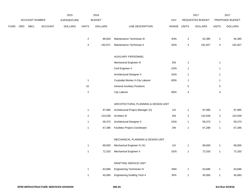|             | ACCOUNT NUMBER |      |                | 2015<br><b>EXPENDITURE</b> |                         | 2016           |                                         |             |                | 2017             | 2017<br>PROPOSED BUDGET |                |
|-------------|----------------|------|----------------|----------------------------|-------------------------|----------------|-----------------------------------------|-------------|----------------|------------------|-------------------------|----------------|
|             |                |      |                |                            |                         | <b>BUDGET</b>  |                                         | PAY         |                | REQUESTED BUDGET |                         |                |
| <b>FUND</b> | ORG            | SBCL | <b>ACCOUNT</b> | <b>DOLLARS</b>             | <b>UNITS</b>            | <b>DOLLARS</b> | LINE DESCRIPTION                        | RANGE UNITS |                | <b>DOLLARS</b>   | <b>UNITS</b>            | <b>DOLLARS</b> |
|             |                |      |                |                            | $\overline{a}$          | 89,926         | Maintenance Technician III              | 3HN         | $\overline{2}$ | 92,385           | $\overline{a}$          | 92,385         |
|             |                |      |                |                            | 4                       | 192,871        | Maintenance Technician II               | 3GN         | 4              | 191,827          | 4                       | 191,827        |
|             |                |      |                |                            |                         |                | AUXILIARY PERSONNEL                     |             |                |                  |                         |                |
|             |                |      |                |                            |                         |                | <b>Mechanical Engineer III</b>          | 2IN         |                |                  |                         |                |
|             |                |      |                |                            |                         |                |                                         |             | $\mathbf{1}$   |                  | $\mathbf{1}$            |                |
|             |                |      |                |                            |                         |                | Civil Engineer II                       | 2GN         | $\mathbf{1}$   |                  | $\mathbf{1}$            |                |
|             |                |      |                |                            |                         |                | Architectural Designer II               | 2GN         | $\mathbf{1}$   |                  | $\mathbf{1}$            |                |
|             |                |      |                |                            | $\mathbf{1}$            |                | <b>Custodial Worker II-City Laborer</b> | 8DN         | $\mathbf{1}$   |                  | $\mathbf{1}$            |                |
|             |                |      |                |                            | 10                      |                | <b>General Auxiliary Positions</b>      |             | 5              |                  | 5                       |                |
|             |                |      |                |                            | $\sqrt{2}$              |                | City Laborer                            | 8DN         | 4              |                  | 4                       |                |
|             |                |      |                |                            |                         |                | ARCHITECTURAL PLANNING & DESIGN UNIT    |             |                |                  |                         |                |
|             |                |      |                |                            | $\mathbf{1}$            | 97,995         | Architectural Project Manager (X)       | 11X         | $\mathbf{1}$   | 97,995           | $\mathbf{1}$            | 97,995         |
|             |                |      |                |                            | $\overline{\mathbf{c}}$ | 133,538        | Architect III                           | 2IN         | $\overline{2}$ | 132,649          | $\overline{a}$          | 132,649        |
|             |                |      |                |                            | $\mathbf{1}$            | 58,373         | Architectural Designer II               | 2GN         | $\mathbf{1}$   | 58,373           | $\mathbf{1}$            | 58,373         |
|             |                |      |                |                            | $\mathbf{1}$            | 67,286         | <b>Facilities Project Coordinator</b>   | 2IN         | $\mathbf{1}$   | 67,286           | $\mathbf{1}$            | 67,286         |
|             |                |      |                |                            |                         |                | MECHANICAL PLANNING & DESIGN UNIT       |             |                |                  |                         |                |
|             |                |      |                |                            | $\mathbf{1}$            | 89,000         | Mechanical Engineer IV (X)              | 11X         | $\mathbf{1}$   | 89,000           | $\mathbf{1}$            | 89,000         |
|             |                |      |                |                            | $\mathbf{1}$            | 72,333         | <b>Mechanical Engineer II</b>           | 2GN         | $\mathbf{1}$   | 72,333           | $\mathbf{1}$            | 72,333         |
|             |                |      |                |                            |                         |                |                                         |             |                |                  |                         |                |
|             |                |      |                |                            |                         |                | DRAFTING SERVICE UNIT                   |             |                |                  |                         |                |
|             |                |      |                |                            | $\mathbf{1}$            | 63,686         | Engineering Technician IV               | 3NN         | $\mathbf{1}$   | 63,686           | $\mathbf{1}$            | 63,686         |
|             |                |      |                |                            | $\mathbf{1}$            | 45,060         | <b>Engineering Drafting Tech II</b>     | 3FN         | $\mathbf{1}$   | 45,060           | $\mathbf{1}$            | 45,060         |
|             |                |      |                |                            |                         |                |                                         |             |                |                  |                         |                |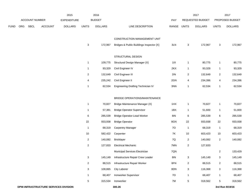|      |     |                | 2015           |                    |                           | 2016           |                                          |       | 2017                    |                  | 2017                    |                 |
|------|-----|----------------|----------------|--------------------|---------------------------|----------------|------------------------------------------|-------|-------------------------|------------------|-------------------------|-----------------|
|      |     | ACCOUNT NUMBER |                | <b>EXPENDITURE</b> |                           | <b>BUDGET</b>  |                                          | PAY   |                         | REQUESTED BUDGET |                         | PROPOSED BUDGET |
| FUND | ORG | <b>SBCL</b>    | <b>ACCOUNT</b> | <b>DOLLARS</b>     | <b>UNITS</b>              | <b>DOLLARS</b> | LINE DESCRIPTION                         | RANGE | <b>UNITS</b>            | <b>DOLLARS</b>   | <b>UNITS</b>            | <b>DOLLARS</b>  |
|      |     |                |                |                    |                           |                | CONSTRUCTION MANAGEMENT UNIT             |       |                         |                  |                         |                 |
|      |     |                |                |                    | 3                         | 172,967        | Bridges & Public Buildings Inspector (X) | 3LN   | 3                       | 172,967          | 3                       | 172,967         |
|      |     |                |                |                    |                           |                | STRUCTURAL DESIGN                        |       |                         |                  |                         |                 |
|      |     |                |                |                    | $\mathbf{1}$              | 109,775        | Structural Design Manager (X)            | 11X   | 1                       | 80,775           | $\mathbf{1}$            | 80,775          |
|      |     |                |                |                    | $\mathbf{1}$              | 93,329         | Civil Engineer IV                        | 2KX   | 1                       | 93,329           | $\mathbf{1}$            | 93,329          |
|      |     |                |                |                    | $\overline{c}$            | 132,649        | Civil Engineer III                       | 2IN   | $\overline{c}$          | 132,649          | $\overline{2}$          | 132,649         |
|      |     |                |                |                    | $\overline{4}$            | 235,242        | Civil Engineer II                        | 2GN   | 4                       | 234,396          | 4                       | 234,396         |
|      |     |                |                |                    | $\mathbf{1}$              | 62,534         | Engineering Drafting Technician IV       | 3NN   | 1                       | 62,534           | $\mathbf{1}$            | 62,534          |
|      |     |                |                |                    |                           |                | BRIDGE OPERATIONS/MAINTENANCE            |       |                         |                  |                         |                 |
|      |     |                |                |                    | $\mathbf{1}$              | 70,827         | Bridge Maintenance Manager (X)           | 1HX   | $\mathbf{1}$            | 70,827           | $\mathbf{1}$            | 70,827          |
|      |     |                |                |                    | $\mathbf{1}$              | 57,381         | <b>Bridge Operator Supervisor</b>        | 1BX   | 1                       | 51,600           | $\mathbf{1}$            | 51,600          |
|      |     |                |                |                    | 6                         | 285,539        | <b>Bridge Operator-Lead Worker</b>       | 8IN   | 6                       | 285,539          | 6                       | 285,539         |
|      |     |                |                |                    | 22                        | 933,938        | <b>Bridge Operator</b>                   | 8GN   | 22                      | 933,938          | 22                      | 933,938         |
|      |     |                |                |                    | $\mathbf{1}$              | 68,319         | <b>Carpentry Manager</b>                 | 70    | $\mathbf{1}$            | 68,319           | $\overline{1}$          | 68,319          |
|      |     |                |                |                    | 10                        | 582,422        | Carpenter                                | 7K    | $10$                    | 603,423          | $10$                    | 603,423         |
|      |     |                |                |                    | $\overline{c}$            | 140,082        | Bricklayer                               | 7Q    | 2                       | 140,082          | $\overline{2}$          | 140,082         |
|      |     |                |                |                    | $\overline{c}$            | 127,833        | <b>Electrical Mechanic</b>               | 7MN   | 2                       | 127,833          |                         |                 |
|      |     |                |                |                    |                           |                | Municipal Services Electrician           | 7QN   |                         |                  | $\overline{2}$          | 133,429         |
|      |     |                |                |                    | $\mathbf{3}$              | 145,149        | Infrastructure Repair Crew Leader        | 8I    | 3                       | 145,149          | $\mathbf{3}$            | 145,149         |
|      |     |                |                |                    | $\overline{a}$            | 88,515         | Infrastructure Repair Worker             | 8FN   | $\overline{\mathbf{c}}$ | 88,515           | $\overline{\mathbf{c}}$ | 88,515          |
|      |     |                |                |                    | $\ensuremath{\mathsf{3}}$ | 108,865        | <b>City Laborer</b>                      | 8DN   | 3                       | 116,368          | $\mathbf{3}$            | 116,368         |
|      |     |                |                |                    | $\mathbf{1}$              | 68,407         | Ironworker Supervisor                    | 70    | 1                       | 68,407           | $\mathbf{1}$            | 68,407          |
|      |     |                |                |                    | 5                         | 315,534        | Ironworker                               | 7M    | 5                       | 318,562          | $\overline{5}$          | 318,562         |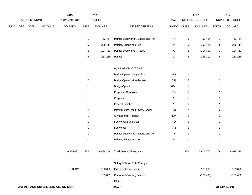|             |     |                |                                      | 2015               | 2016           |                |                                     |           | 2017         |                  | 2017           |                 |
|-------------|-----|----------------|--------------------------------------|--------------------|----------------|----------------|-------------------------------------|-----------|--------------|------------------|----------------|-----------------|
|             |     | ACCOUNT NUMBER |                                      | <b>EXPENDITURE</b> |                | <b>BUDGET</b>  |                                     | PAY       |              | REQUESTED BUDGET |                | PROPOSED BUDGET |
| <b>FUND</b> | ORG | <b>SBCL</b>    | <b>ACCOUNT</b>                       | <b>DOLLARS</b>     | <b>UNITS</b>   | <b>DOLLARS</b> | LINE DESCRIPTION                    | RANGE     | <b>UNITS</b> | <b>DOLLARS</b>   | <b>UNITS</b>   | <b>DOLLARS</b>  |
|             |     |                |                                      |                    |                |                |                                     |           |              |                  |                |                 |
|             |     |                |                                      |                    | $\mathbf{1}$   | 62,464         | Painter Leadworker, Bridge and Iron | 7K        | $\mathbf{1}$ | 62,464           | $\mathbf{1}$   | 62,464          |
|             |     |                |                                      |                    | 5              | 298,414        | Painter, Bridge and Iron            | 7J        | $\sqrt{5}$   | 298,414          | $\sqrt{5}$     | 298,414         |
|             |     |                |                                      |                    | $\overline{2}$ | 104,753        | Painter Leadworker, House           | $7J$      | $\sqrt{2}$   | 104,753          | $\sqrt{2}$     | 104,753         |
|             |     |                |                                      |                    | $\overline{5}$ | 283,219        | Painter                             | 71        | $\,$ 5 $\,$  | 283,219          | $\,$ 5 $\,$    | 283,219         |
|             |     |                |                                      |                    |                |                | <b>AUXILIARY POSITIONS</b>          |           |              |                  |                |                 |
|             |     |                |                                      |                    | $\mathbf{1}$   |                | <b>Bridge Operator Supervisor</b>   | 1BX       | $\mathbf{1}$ |                  | $\mathbf{1}$   |                 |
|             |     |                |                                      |                    | $\overline{2}$ |                | <b>Bridge Operator-Leadworker</b>   | 8IN       | $\sqrt{2}$   |                  | $\overline{2}$ |                 |
|             |     |                |                                      |                    | $\mathbf 1$    |                | <b>Bridge Operator</b>              | 8GN       | $\mathbf{1}$ |                  | $\mathbf{1}$   |                 |
|             |     |                |                                      |                    | $\mathbf{1}$   |                | Carpenter Supervisor                | 70        | $\mathbf{1}$ |                  | $\mathbf{1}$   |                 |
|             |     |                |                                      |                    | $\mathbf{1}$   |                | Carpenter                           | <b>7K</b> | $\mathbf{1}$ |                  | $\mathbf{1}$   |                 |
|             |     |                |                                      |                    | $\overline{1}$ |                | <b>Cement Finisher</b>              | <b>7K</b> | $\mathbf{1}$ |                  | $\mathbf{1}$   |                 |
|             |     |                |                                      |                    | $\overline{2}$ |                | Infrastructure Repair Crew leader   | 8IN       | $\sqrt{2}$   |                  | $\overline{2}$ |                 |
|             |     |                |                                      |                    | $\overline{1}$ |                | City Laborer (Regular)              | 8DN       | $\mathbf{1}$ |                  | $\mathbf{1}$   |                 |
|             |     |                |                                      |                    | $\mathbf{1}$   |                | Ironworker Supervisor               | 70        | $\mathbf{1}$ |                  | $\mathbf{1}$   |                 |
|             |     |                |                                      |                    | $\mathbf{1}$   |                | Ironworker                          | 7M        | $\mathbf{1}$ |                  | $\mathbf{1}$   |                 |
|             |     |                |                                      |                    | $\mathbf{1}$   |                | Painter Leadworker, Bridge and Iron | 7K        | $\mathbf{1}$ |                  | $\mathbf{1}$   |                 |
|             |     |                |                                      |                    | $\overline{1}$ |                | Painter, Bridge and Iron            | $7J$      | $\mathbf{1}$ |                  | $\mathbf{1}$   |                 |
|             |     |                |                                      | 6,829,031          | 156            | 6,888,144      | <b>Total Before Adjustments</b>     |           | 156          | 6,912,700        | 156            | 6,918,296       |
|             |     |                |                                      |                    |                |                | Salary & Wage Rate Change           |           |              |                  |                |                 |
|             |     |                |                                      | 133,012            |                | 100,000        | Overtime Compensated                |           |              | 125,000          |                | 125,000         |
|             |     |                |                                      |                    |                | (139, 831)     | Personnel Cost Adjustment           |           |              | (121, 400)       |                | (121, 400)      |
|             |     |                |                                      |                    |                |                | Other                               |           |              |                  |                |                 |
|             |     |                | DPW-INFRASTRUCTURE SERVICES DIVISION |                    |                |                | 300.27                              |           |              |                  |                | 3rd Run 9/19/16 |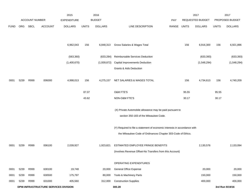|             |      |                       |                                             | 2015               |              | 2016           |                                                                           |            |              | 2017             |              | 2017            |
|-------------|------|-----------------------|---------------------------------------------|--------------------|--------------|----------------|---------------------------------------------------------------------------|------------|--------------|------------------|--------------|-----------------|
|             |      | <b>ACCOUNT NUMBER</b> |                                             | <b>EXPENDITURE</b> |              | <b>BUDGET</b>  |                                                                           | <b>PAY</b> |              | REQUESTED BUDGET |              | PROPOSED BUDGET |
| <b>FUND</b> | ORG  | SBCL                  | <b>ACCOUNT</b>                              | <b>DOLLARS</b>     | <b>UNITS</b> | <b>DOLLARS</b> | LINE DESCRIPTION                                                          | RANGE      | <b>UNITS</b> | <b>DOLLARS</b>   | <b>UNITS</b> | <b>DOLLARS</b>  |
|             |      |                       |                                             |                    |              |                |                                                                           |            |              |                  |              |                 |
|             |      |                       |                                             |                    |              |                |                                                                           |            |              |                  |              |                 |
|             |      |                       |                                             | 6,962,043          | 156          | 6,848,313      | Gross Salaries & Wages Total                                              |            | 156          | 6,916,300        | 156          | 6,921,896       |
|             |      |                       |                                             |                    |              |                |                                                                           |            |              |                  |              |                 |
|             |      |                       |                                             | (563, 360)         |              | (633, 284)     | Reimbursable Services Deduction                                           |            |              | (633, 393)       |              | (633, 393)      |
|             |      |                       |                                             | (1,400,670)        |              | (1,939,872)    | Capital Improvements Deduction                                            |            |              | (1,548,294)      |              | (1,548,294)     |
|             |      |                       |                                             |                    |              |                | Grants & Aids Deduction                                                   |            |              |                  |              |                 |
| 0001        | 5239 | R999                  | 006000                                      | 4,998,013          | 156          | 4,275,157      | NET SALARIES & WAGES TOTAL                                                |            | 156          | 4,734,613        | 156          | 4,740,209       |
|             |      |                       |                                             |                    |              |                |                                                                           |            |              |                  |              |                 |
|             |      |                       |                                             |                    | 87.07        |                | O&M FTE'S                                                                 |            | 95.55        |                  | 95.55        |                 |
|             |      |                       |                                             |                    | 43.62        |                | NON-O&M FTE'S                                                             |            | 30.17        |                  | 30.17        |                 |
|             |      |                       |                                             |                    |              |                |                                                                           |            |              |                  |              |                 |
|             |      |                       |                                             |                    |              |                | (X) Private Automobile allowance may be paid pursuant to                  |            |              |                  |              |                 |
|             |      |                       |                                             |                    |              |                | section 350-183 of the Milwaukee Code.                                    |            |              |                  |              |                 |
|             |      |                       |                                             |                    |              |                | (Y) Required to file a statement of economic interests in accordance with |            |              |                  |              |                 |
|             |      |                       |                                             |                    |              |                | the Milwaukee Code of Ordinances Chapter 303-Code of Ethics.              |            |              |                  |              |                 |
|             |      |                       |                                             |                    |              |                |                                                                           |            |              |                  |              |                 |
| 0001        | 5239 | R999                  | 006100                                      | 2,039,927          |              | 1,923,821      | ESTIMATED EMPLOYEE FRINGE BENEFITS                                        |            |              | 2,130,576        |              | 2,133,094       |
|             |      |                       |                                             |                    |              |                | (Involves Revenue Offset-No Transfers from this Account)                  |            |              |                  |              |                 |
|             |      |                       |                                             |                    |              |                | OPERATING EXPENDITURES                                                    |            |              |                  |              |                 |
| 0001        | 5239 | R999                  | 630100                                      | 19,748             |              | 20,000         | General Office Expense                                                    |            |              | 20,000           |              | 20,000          |
| 0001        | 5239 | R999                  | 630500                                      | 175,797            |              | 80,000         | Tools & Machinery Parts                                                   |            |              | 150,000          |              | 150,000         |
| 0001        | 5239 | R999                  | 631000                                      | 405,560            |              | 312,000        | <b>Construction Supplies</b>                                              |            |              | 400,000          |              | 400,000         |
|             |      |                       | <b>DPW-INFRASTRUCTURE SERVICES DIVISION</b> |                    |              |                | 300.28                                                                    |            |              |                  |              | 3rd Run 9/19/16 |
|             |      |                       |                                             |                    |              |                |                                                                           |            |              |                  |              |                 |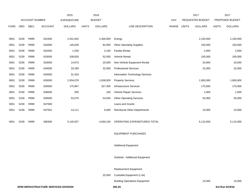|             |      |                       |                                      | 2015               |              | 2016           |                                      |       |              | 2017             |              | 2017            |
|-------------|------|-----------------------|--------------------------------------|--------------------|--------------|----------------|--------------------------------------|-------|--------------|------------------|--------------|-----------------|
|             |      | <b>ACCOUNT NUMBER</b> |                                      | <b>EXPENDITURE</b> |              | <b>BUDGET</b>  |                                      | PAY   |              | REQUESTED BUDGET |              | PROPOSED BUDGET |
| <b>FUND</b> | ORG  | <b>SBCL</b>           | <b>ACCOUNT</b>                       | <b>DOLLARS</b>     | <b>UNITS</b> | <b>DOLLARS</b> | LINE DESCRIPTION                     | RANGE | <b>UNITS</b> | <b>DOLLARS</b>   | <b>UNITS</b> | <b>DOLLARS</b>  |
|             |      |                       |                                      |                    |              |                |                                      |       |              |                  |              |                 |
| 0001        | 5239 | R999                  | 631500                               | 2,031,942          |              | 2,300,000      | Energy                               |       |              | 2,100,000        |              | 2,100,000       |
| 0001        | 5239 | R999                  | 632000                               | 145,639            |              | 82,000         | <b>Other Operating Supplies</b>      |       |              | 150,000          |              | 150,000         |
| 0001        | 5239 | R999                  | 632500                               | 1,200              |              | 3,100          | <b>Facility Rental</b>               |       |              | 2,000            |              | 2,000           |
| 0001        | 5239 | R999                  | 633000                               | 108,826            |              | 52,000         | Vehicle Rental                       |       |              | 100,000          |              | 100,000         |
| 0001        | 5239 | R999                  | 633500                               | 14,873             |              | 20,000         | Non-Vehicle Equipment Rental         |       |              | 20,000           |              | 20,000          |
| 0001        | 5239 | R999                  | 634000                               | 33,299             |              | 32,000         | <b>Professional Services</b>         |       |              | 32,000           |              | 32,000          |
| 0001        | 5239 | R999                  | 634500                               | 31,433             |              |                | Information Technology Services      |       |              |                  |              |                 |
| 0001        | 5239 | R999                  | 635000                               | 1,934,078          |              | 1,638,000      | <b>Property Services</b>             |       |              | 1,900,000        |              | 1,900,000       |
| 0001        | 5239 | R999                  | 635500                               | 175,967            |              | 327,400        | Infrastructure Services              |       |              | 175,000          |              | 175,000         |
| 0001        | 5239 | R999                  | 636000                               | 505                |              | 100            | Vehicle Repair Services              |       |              | 1,000            |              | 1,000           |
| 0001        | 5239 | R999                  | 636500                               | 53,579             |              | 54,500         | <b>Other Operating Services</b>      |       |              | 55,000           |              | 55,000          |
| 0001        | 5239 | R999                  | 637000                               |                    |              |                | Loans and Grants                     |       |              |                  |              |                 |
| 0001        | 5239 | R999                  | 637501                               | 13,111             |              | 9,000          | Reimburse Other Departments          |       |              | 10,000           |              | 10,000          |
|             |      |                       |                                      |                    |              |                |                                      |       |              |                  |              |                 |
| 0001        | 5239 | R999                  | 006300                               | 5,145,557          |              | 4,930,100      | OPERATING EXPENDITURES TOTAL         |       |              | 5,115,000        |              | 5,115,000       |
|             |      |                       |                                      |                    |              |                |                                      |       |              |                  |              |                 |
|             |      |                       |                                      |                    |              |                | <b>EQUIPMENT PURCHASES</b>           |       |              |                  |              |                 |
|             |      |                       |                                      |                    |              |                |                                      |       |              |                  |              |                 |
|             |      |                       |                                      |                    |              |                | <b>Additional Equipment</b>          |       |              |                  |              |                 |
|             |      |                       |                                      |                    |              |                |                                      |       |              |                  |              |                 |
|             |      |                       |                                      |                    |              |                | Subtotal - Additional Equipment      |       |              |                  |              |                 |
|             |      |                       |                                      |                    |              |                |                                      |       |              |                  |              |                 |
|             |      |                       |                                      |                    |              |                | Replacement Equipment                |       |              |                  |              |                 |
|             |      |                       |                                      |                    |              | 25,000         | Custodial Equipment (1 lot)          |       |              |                  |              |                 |
|             |      |                       |                                      |                    |              |                | <b>Building Operations Equipment</b> |       |              | 15,000           |              | 15,000          |
|             |      |                       | DPW-INFRASTRUCTURE SERVICES DIVISION |                    |              |                | 300.29                               |       |              |                  |              | 3rd Run 9/19/16 |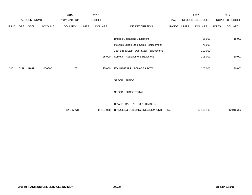|             |            |                       |                | 2015               |              | 2016           |                                           |       |              | 2017                    |              | 2017            |
|-------------|------------|-----------------------|----------------|--------------------|--------------|----------------|-------------------------------------------|-------|--------------|-------------------------|--------------|-----------------|
|             |            | <b>ACCOUNT NUMBER</b> |                | <b>EXPENDITURE</b> |              | <b>BUDGET</b>  |                                           | PAY   |              | <b>REQUESTED BUDGET</b> |              | PROPOSED BUDGET |
| <b>FUND</b> | <b>ORG</b> | SBCL                  | <b>ACCOUNT</b> | <b>DOLLARS</b>     | <b>UNITS</b> | <b>DOLLARS</b> | LINE DESCRIPTION                          | RANGE | <b>UNITS</b> | <b>DOLLARS</b>          | <b>UNITS</b> | <b>DOLLARS</b>  |
|             |            |                       |                |                    |              |                |                                           |       |              |                         |              |                 |
|             |            |                       |                |                    |              |                | <b>Bridges Operations Equipment</b>       |       |              | 15,000                  |              | 15,000          |
|             |            |                       |                |                    |              |                | Movable Bridge Steel Cable Replacement    |       |              | 75,000                  |              |                 |
|             |            |                       |                |                    |              |                | 16th Street Stair Tower Steel Replacement |       |              | 100,000                 |              |                 |
|             |            |                       |                |                    |              | 25,000         | Subtotal - Replacement Equipment          |       |              | 205,000                 |              | 30,000          |
|             |            |                       |                |                    |              |                |                                           |       |              |                         |              |                 |
| 0001        | 5239       | R999                  | 006800         | 1,781              |              | 25,000         | EQUIPMENT PURCHASES TOTAL                 |       |              | 205,000                 |              | 30,000          |
|             |            |                       |                |                    |              |                |                                           |       |              |                         |              |                 |
|             |            |                       |                |                    |              |                | SPECIAL FUNDS                             |       |              |                         |              |                 |
|             |            |                       |                |                    |              |                |                                           |       |              |                         |              |                 |
|             |            |                       |                |                    |              |                | SPECIAL FUNDS TOTAL                       |       |              |                         |              |                 |
|             |            |                       |                |                    |              |                |                                           |       |              |                         |              |                 |
|             |            |                       |                |                    |              |                | DPW-INFRASTRUCTURE DIVISION               |       |              |                         |              |                 |
|             |            |                       |                | 12,185,278         |              | 11,154,078     | BRIDGES & BUILDINGS DECISION UNIT TOTAL   |       |              | 12,185,189              |              | 12,018,303      |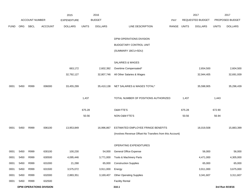|             |            |                       |                                | 2015               |              | 2016           |                                                          |             |        | 2017             |              | 2017            |
|-------------|------------|-----------------------|--------------------------------|--------------------|--------------|----------------|----------------------------------------------------------|-------------|--------|------------------|--------------|-----------------|
|             |            | <b>ACCOUNT NUMBER</b> |                                | <b>EXPENDITURE</b> |              | <b>BUDGET</b>  |                                                          | PAY         |        | REQUESTED BUDGET |              | PROPOSED BUDGET |
| <b>FUND</b> | <b>ORG</b> | SBCL                  | <b>ACCOUNT</b>                 | <b>DOLLARS</b>     | <b>UNITS</b> | <b>DOLLARS</b> | LINE DESCRIPTION                                         | RANGE UNITS |        | <b>DOLLARS</b>   | <b>UNITS</b> | <b>DOLLARS</b>  |
|             |            |                       |                                |                    |              |                | DPW-OPERATIONS DIVISION                                  |             |        |                  |              |                 |
|             |            |                       |                                |                    |              |                | <b>BUDGETARY CONTROL UNIT</b>                            |             |        |                  |              |                 |
|             |            |                       |                                |                    |              |                | (SUMMARY 1BCU=5DU)                                       |             |        |                  |              |                 |
|             |            |                       |                                |                    |              |                | SALARIES & WAGES                                         |             |        |                  |              |                 |
|             |            |                       |                                | 663,172            |              | 2,602,392      | Overtime Compensated*                                    |             |        | 2,654,500        |              | 2,604,500       |
|             |            |                       |                                | 32,792,127         |              | 32,807,746     | All Other Salaries & Wages                               |             |        | 32,944,405       |              | 32,691,939      |
| 0001        | 5450       | R999                  | 006000                         | 33,455,299         |              | 35,410,138     | NET SALARIES & WAGES TOTAL*                              |             |        | 35,598,905       |              | 35,296,439      |
|             |            |                       |                                |                    | 1,437        |                | TOTAL NUMBER OF POSITIONS AUTHORIZED                     |             | 1,437  |                  | 1,443        |                 |
|             |            |                       |                                |                    | 675.28       |                | O&M FTE'S                                                |             | 675.28 |                  | 672.90       |                 |
|             |            |                       |                                |                    | 50.56        |                | NON-O&M FTE'S                                            |             | 50.56  |                  | 56.94        |                 |
| 0001        | 5450       | R999                  | 006100                         | 13,953,849         |              | 16,996,867     | ESTIMATED EMPLOYEE FRINGE BENEFITS                       |             |        | 16,019,508       |              | 15,883,399      |
|             |            |                       |                                |                    |              |                | (Involves Revenue Offset-No Transfers from this Account) |             |        |                  |              |                 |
|             |            |                       |                                |                    |              |                | OPERATING EXPENDITURES                                   |             |        |                  |              |                 |
| 0001        | 5450       | R999                  | 630100                         | 100,230            |              | 54,000         | General Office Expense                                   |             |        | 56,000           |              | 56,000          |
| 0001        | 5450       | R999                  | 630500                         | 4,095,446          |              | 3,771,000      | Tools & Machinery Parts                                  |             |        | 4,471,000        |              | 4,305,000       |
| 0001        | 5450       | R999                  | 631000                         | 21,288             |              | 65,000         | <b>Construction Supplies</b>                             |             |        | 65,000           |              | 65,000          |
| 0001        | 5450       | R999                  | 631500                         | 3,575,072          |              | 3,911,000      | Energy                                                   |             |        | 3,911,000        |              | 3,675,000       |
| 0001        | 5450       | R999                  | 632000                         | 2,883,351          |              | 3,169,407      | <b>Other Operating Supplies</b>                          |             |        | 3,341,607        |              | 3,311,607       |
| 0001        | 5450       | R999                  | 632500                         |                    |              |                | <b>Facility Rental</b>                                   |             |        |                  |              |                 |
|             |            |                       | <b>DPW-OPERATIONS DIVISION</b> |                    |              |                | 310.1                                                    |             |        |                  |              | 3rd Run 9/19/16 |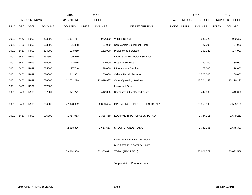|             |      |                       |                | 2015               |              | 2016           |                                    |       |              | 2017             |              | 2017            |
|-------------|------|-----------------------|----------------|--------------------|--------------|----------------|------------------------------------|-------|--------------|------------------|--------------|-----------------|
|             |      | <b>ACCOUNT NUMBER</b> |                | <b>EXPENDITURE</b> |              | <b>BUDGET</b>  |                                    | PAY   |              | REQUESTED BUDGET |              | PROPOSED BUDGET |
| <b>FUND</b> | ORG  | SBCL                  | <b>ACCOUNT</b> | <b>DOLLARS</b>     | <b>UNITS</b> | <b>DOLLARS</b> | LINE DESCRIPTION                   | RANGE | <b>UNITS</b> | <b>DOLLARS</b>   | <b>UNITS</b> | <b>DOLLARS</b>  |
|             |      |                       |                |                    |              |                |                                    |       |              |                  |              |                 |
| 0001        | 5450 | R999                  | 633000         | 1,607,717          |              | 980,320        | Vehicle Rental                     |       |              | 980,320          |              | 980,320         |
| 0001        | 5450 | R999                  | 633500         | 21,858             |              | 27,000         | Non-Vehicle Equipment Rental       |       |              | 27,000           |              | 27,000          |
| 0001        | 5450 | R999                  | 634000         | 193,969            |              | 152,920        | <b>Professional Services</b>       |       |              | 152,920          |              | 144,920         |
| 0001        | 5450 | R999                  | 634500         | 109,919            |              |                | Information Technology Services    |       |              |                  |              |                 |
| 0001        | 5450 | R999                  | 635000         | 148,015            |              | 120,000        | <b>Property Services</b>           |       |              | 130,000          |              | 130,000         |
| 0001        | 5450 | R999                  | 635500         | 97,746             |              | 78,000         | <b>Infrastructure Services</b>     |       |              | 78,000           |              | 78,000          |
| 0001        | 5450 | R999                  | 636000         | 1,641,861          |              | 1,200,000      | Vehicle Repair Services            |       |              | 1,500,000        |              | 1,200,000       |
| 0001        | 5450 | R999                  | 636500         | 12,761,219         |              | 12,919,837     | <b>Other Operating Services</b>    |       |              | 13,704,143       |              | 13,110,292      |
| 0001        | 5450 | R999                  | 637000         |                    |              |                | Loans and Grants                   |       |              |                  |              |                 |
| 0001        | 5450 | R999                  | 637501         | 671,271            |              | 442,000        | <b>Reimburse Other Departments</b> |       |              | 442,000          |              | 442,000         |
|             |      |                       |                |                    |              |                |                                    |       |              |                  |              |                 |
| 0001        | 5450 | R999                  | 006300         | 27,928,962         |              | 26,890,484     | OPERATING EXPENDITURES TOTAL*      |       |              | 28,858,990       |              | 27,525,139      |
|             |      |                       |                |                    |              |                |                                    |       |              |                  |              |                 |
| 0001        | 5450 | R999                  | 006800         | 1,757,953          |              | 1,385,469      | EQUIPMENT PURCHASES TOTAL*         |       |              | 1,784,211        |              | 1,649,211       |
|             |      |                       |                |                    |              |                |                                    |       |              |                  |              |                 |
|             |      |                       |                | 2,518,306          |              | 2,617,653      | SPECIAL FUNDS TOTAL                |       |              | 2,739,965        |              | 2,678,320       |
|             |      |                       |                |                    |              |                |                                    |       |              |                  |              |                 |
|             |      |                       |                |                    |              |                | DPW-OPERATIONS DIVISION            |       |              |                  |              |                 |
|             |      |                       |                |                    |              |                | <b>BUDGETARY CONTROL UNIT</b>      |       |              |                  |              |                 |
|             |      |                       |                | 79,614,369         |              | 83,300,611     | TOTAL (1BCU=5DU)                   |       |              | 85,001,579       |              | 83,032,508      |
|             |      |                       |                |                    |              |                |                                    |       |              |                  |              |                 |

\*Appropriation Control Account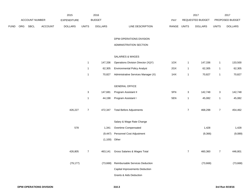|      |     |                |                | 2015           |                           | 2016            |                                     |             |                  | 2017             |                | 2017            |
|------|-----|----------------|----------------|----------------|---------------------------|-----------------|-------------------------------------|-------------|------------------|------------------|----------------|-----------------|
|      |     | ACCOUNT NUMBER |                | EXPENDITURE    |                           | <b>BUDGET</b>   |                                     | PAY         |                  | REQUESTED BUDGET |                | PROPOSED BUDGET |
| FUND | ORG | SBCL           | <b>ACCOUNT</b> | <b>DOLLARS</b> | <b>UNITS</b>              | <b>DOLLARS</b>  | LINE DESCRIPTION                    | RANGE UNITS |                  | <b>DOLLARS</b>   | <b>UNITS</b>   | <b>DOLLARS</b>  |
|      |     |                |                |                |                           |                 |                                     |             |                  |                  |                |                 |
|      |     |                |                |                |                           |                 | DPW-OPERATIONS DIVISION             |             |                  |                  |                |                 |
|      |     |                |                |                |                           |                 | ADMINISTRATION SECTION              |             |                  |                  |                |                 |
|      |     |                |                |                |                           |                 |                                     |             |                  |                  |                |                 |
|      |     |                |                |                |                           |                 | SALARIES & WAGES                    |             |                  |                  |                |                 |
|      |     |                |                |                | $\mathbf{1}$              | 147,336         | Operations Division Director (X)(Y) | 1OX         | $\mathbf{1}$     | 147,336          | $\mathbf{1}$   | 133,500         |
|      |     |                |                |                | $\mathbf{1}$              | 62,305          | <b>Environmental Policy Analyst</b> | 2GX         | $\mathbf{1}$     | 62,305           | $\mathbf{1}$   | 62,305          |
|      |     |                |                |                | $\mathbf{1}$              | 70,827          | Administrative Services Manager (X) | 1HX         | $\mathbf{1}$     | 70,827           | $\mathbf{1}$   | 70,827          |
|      |     |                |                |                |                           |                 |                                     |             |                  |                  |                |                 |
|      |     |                |                |                |                           |                 | <b>GENERAL OFFICE</b>               |             |                  |                  |                |                 |
|      |     |                |                |                | $\ensuremath{\mathsf{3}}$ | 147,681         | Program Assistant II                | 5FN         | 3                | 142,748          | $\mathbf 3$    | 142,748         |
|      |     |                |                |                | $\mathbf{1}$              | 44,198          | Program Assistant I                 | 5EN         | $\mathbf{1}$     | 45,082           | $\mathbf{1}$   | 45,082          |
|      |     |                |                |                |                           |                 |                                     |             |                  |                  |                |                 |
|      |     |                |                | 426,227        | $\boldsymbol{7}$          | 472,347         | <b>Total Before Adjustments</b>     |             | $\boldsymbol{7}$ | 468,298          | $\overline{7}$ | 454,462         |
|      |     |                |                |                |                           |                 |                                     |             |                  |                  |                |                 |
|      |     |                |                |                |                           |                 | Salary & Wage Rate Change           |             |                  |                  |                |                 |
|      |     |                |                | 578            |                           | 1,341           | Overtime Compensated                |             |                  | 1,428            |                | 1,428           |
|      |     |                |                |                |                           | (9, 447)        | Personnel Cost Adjustment           |             |                  | (9,366)          |                | (9,089)         |
|      |     |                |                |                |                           | $(1,100)$ Other |                                     |             |                  |                  |                |                 |
|      |     |                |                |                |                           |                 |                                     |             |                  |                  |                |                 |
|      |     |                |                | 426,805        | $\boldsymbol{7}$          | 463,141         | Gross Salaries & Wages Total        |             | $\overline{7}$   | 460,360          | $\overline{7}$ | 446,801         |
|      |     |                |                | (79, 177)      |                           | (73,668)        | Reimbursable Services Deduction     |             |                  | (73, 668)        |                | (73, 668)       |
|      |     |                |                |                |                           |                 | Capital Improvements Deduction      |             |                  |                  |                |                 |
|      |     |                |                |                |                           |                 | <b>Grants &amp; Aids Deduction</b>  |             |                  |                  |                |                 |
|      |     |                |                |                |                           |                 |                                     |             |                  |                  |                |                 |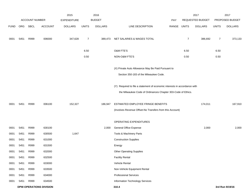|             |      |                |                                | 2015               |                | 2016           |                                                                                                                                           |             |                | 2017             |                | 2017            |
|-------------|------|----------------|--------------------------------|--------------------|----------------|----------------|-------------------------------------------------------------------------------------------------------------------------------------------|-------------|----------------|------------------|----------------|-----------------|
|             |      | ACCOUNT NUMBER |                                | <b>EXPENDITURE</b> |                | <b>BUDGET</b>  |                                                                                                                                           | PAY         |                | REQUESTED BUDGET |                | PROPOSED BUDGET |
| <b>FUND</b> | ORG  | SBCL           | <b>ACCOUNT</b>                 | <b>DOLLARS</b>     | <b>UNITS</b>   | <b>DOLLARS</b> | LINE DESCRIPTION                                                                                                                          | RANGE UNITS |                | <b>DOLLARS</b>   | <b>UNITS</b>   | <b>DOLLARS</b>  |
| 0001        | 5451 | R999           | 006000                         | 347,628            | $\overline{7}$ | 389,473        | NET SALARIES & WAGES TOTAL                                                                                                                |             | $\overline{7}$ | 386,692          | $\overline{7}$ | 373,133         |
|             |      |                |                                |                    | 6.50           |                | O&M FTE'S                                                                                                                                 |             | 6.50           |                  | 6.50           |                 |
|             |      |                |                                |                    | 0.50           |                | NON-O&M FTE'S                                                                                                                             |             | 0.50           |                  | 0.50           |                 |
|             |      |                |                                |                    |                |                | (X) Private Auto Allowance May Be Paid Pursuant to<br>Section 350-183 of the Milwaukee Code.                                              |             |                |                  |                |                 |
|             |      |                |                                |                    |                |                | (Y) Required to file a statement of economic interests in accordance with<br>the Milwaukee Code of Ordinances Chapter 303-Code of Ethics. |             |                |                  |                |                 |
| 0001        | 5451 | R999           | 006100                         | 152,327            |                | 186,947        | ESTIMATED EMPLOYEE FRINGE BENEFITS<br>(Involves Revenue Offset-No Transfers from this Account)                                            |             |                | 174,011          |                | 167,910         |
|             |      |                |                                |                    |                |                | OPERATING EXPENDITURES                                                                                                                    |             |                |                  |                |                 |
| 0001        | 5451 | R999           | 630100                         |                    |                | 2,000          | <b>General Office Expense</b>                                                                                                             |             |                | 2,000            |                | 2,000           |
| 0001        | 5451 | R999           | 630500                         | 1,647              |                |                | Tools & Machinery Parts                                                                                                                   |             |                |                  |                |                 |
| 0001        | 5451 | R999           | 631000                         |                    |                |                | <b>Construction Supplies</b>                                                                                                              |             |                |                  |                |                 |
| 0001        | 5451 | R999           | 631500                         |                    |                |                | Energy                                                                                                                                    |             |                |                  |                |                 |
| 0001        | 5451 | R999           | 632000                         |                    |                |                | <b>Other Operating Supplies</b>                                                                                                           |             |                |                  |                |                 |
| 0001        | 5451 | R999           | 632500                         |                    |                |                | <b>Facility Rental</b>                                                                                                                    |             |                |                  |                |                 |
| 0001        | 5451 | R999           | 633000                         |                    |                |                | Vehicle Rental                                                                                                                            |             |                |                  |                |                 |
| 0001        | 5451 | R999           | 633500                         |                    |                |                | Non-Vehicle Equipment Rental                                                                                                              |             |                |                  |                |                 |
| 0001        | 5451 | R999           | 634000                         |                    |                |                | <b>Professional Services</b>                                                                                                              |             |                |                  |                |                 |
| 0001        | 5451 | R999           | 634500                         |                    |                |                | Information Technology Services                                                                                                           |             |                |                  |                |                 |
|             |      |                | <b>DPW-OPERATIONS DIVISION</b> |                    |                |                | 310.4                                                                                                                                     |             |                |                  |                | 3rd Run 9/19/16 |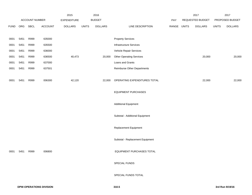|             |      |                |                | 2015           |              | 2016           |                                    |             | 2017             |              | 2017            |
|-------------|------|----------------|----------------|----------------|--------------|----------------|------------------------------------|-------------|------------------|--------------|-----------------|
|             |      | ACCOUNT NUMBER |                | EXPENDITURE    |              | <b>BUDGET</b>  |                                    | PAY         | REQUESTED BUDGET |              | PROPOSED BUDGET |
| <b>FUND</b> | ORG  | <b>SBCL</b>    | <b>ACCOUNT</b> | <b>DOLLARS</b> | <b>UNITS</b> | <b>DOLLARS</b> | LINE DESCRIPTION                   | RANGE UNITS | <b>DOLLARS</b>   | <b>UNITS</b> | <b>DOLLARS</b>  |
|             |      |                |                |                |              |                |                                    |             |                  |              |                 |
| 0001        | 5451 | R999           | 635000         |                |              |                | <b>Property Services</b>           |             |                  |              |                 |
| 0001        | 5451 | R999           | 635500         |                |              |                | <b>Infrastructure Services</b>     |             |                  |              |                 |
| 0001        | 5451 | R999           | 636000         |                |              |                | Vehicle Repair Services            |             |                  |              |                 |
| 0001        | 5451 | R999           | 636500         | 40,473         |              | 20,000         | <b>Other Operating Services</b>    |             | 20,000           |              | 20,000          |
| 0001        | 5451 | R999           | 637000         |                |              |                | Loans and Grants                   |             |                  |              |                 |
| 0001        | 5451 | R999           | 637501         |                |              |                | <b>Reimburse Other Departments</b> |             |                  |              |                 |
| 0001        | 5451 | R999           | 006300         | 42,120         |              | 22,000         | OPERATING EXPENDITURES TOTAL       |             | 22,000           |              | 22,000          |
|             |      |                |                |                |              |                | <b>EQUIPMENT PURCHASES</b>         |             |                  |              |                 |
|             |      |                |                |                |              |                | <b>Additional Equipment</b>        |             |                  |              |                 |
|             |      |                |                |                |              |                | Subtotal - Additional Equipment    |             |                  |              |                 |
|             |      |                |                |                |              |                | Replacement Equipment              |             |                  |              |                 |
|             |      |                |                |                |              |                | Subtotal - Replacement Equipment   |             |                  |              |                 |
| 0001        | 5451 | R999           | 006800         |                |              |                | EQUIPMENT PURCHASES TOTAL          |             |                  |              |                 |
|             |      |                |                |                |              |                | SPECIAL FUNDS                      |             |                  |              |                 |
|             |      |                |                |                |              |                | SPECIAL FUNDS TOTAL                |             |                  |              |                 |
|             |      |                |                |                |              |                |                                    |             |                  |              |                 |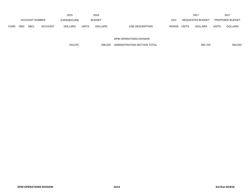|             |            |                |                | 2015           |              | 2016           |                  |              |              | 2017             |              | 2017                   |
|-------------|------------|----------------|----------------|----------------|--------------|----------------|------------------|--------------|--------------|------------------|--------------|------------------------|
|             |            | ACCOUNT NUMBER |                | EXPENDITURE    |              | <b>BUDGET</b>  |                  | PAY          |              | REQUESTED BUDGET |              | <b>PROPOSED BUDGET</b> |
| <b>FUND</b> | <b>ORG</b> | <b>SBCL</b>    | <b>ACCOUNT</b> | <b>DOLLARS</b> | <b>UNITS</b> | <b>DOLLARS</b> | LINE DESCRIPTION | <b>RANGE</b> | <b>UNITS</b> | <b>DOLLARS</b>   | <b>UNITS</b> | <b>DOLLARS</b>         |

| 598.420<br>542.075 | ADMINISTRATION SECTION TOTAL | 582.703<br>$\sim$ $\sim$ | 563,043 |
|--------------------|------------------------------|--------------------------|---------|
|--------------------|------------------------------|--------------------------|---------|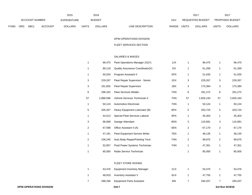|             |     |                       |                | 2015               |              | 2016           |                                  | 2017                           |       | 2017                   |
|-------------|-----|-----------------------|----------------|--------------------|--------------|----------------|----------------------------------|--------------------------------|-------|------------------------|
|             |     | <b>ACCOUNT NUMBER</b> |                | <b>EXPENDITURE</b> |              | <b>BUDGET</b>  | PAY                              | <b>REQUESTED BUDGET</b>        |       | <b>PROPOSED BUDGET</b> |
| <b>FUND</b> | ORG | <b>SBCL</b>           | <b>ACCOUNT</b> | <b>DOLLARS</b>     | <b>UNITS</b> | <b>DOLLARS</b> | LINE DESCRIPTION<br><b>RANGE</b> | <b>UNITS</b><br><b>DOLLARS</b> | UNITS | <b>DOLLARS</b>         |

## FLEET SERVICES SECTION

# SALARIES & WAGES

|    | 96,475                    | Fleet Operations Manager (X)(Y)  | 1JX |                | 96,475    | -1                      | 96,475    |
|----|---------------------------|----------------------------------|-----|----------------|-----------|-------------------------|-----------|
|    | 89,118                    | Quality Assurance Coordinator(X) | 2IX |                | 61,269    | $\overline{1}$          | 61,269    |
|    | 50,034                    | Program Assistant II             | 5FN |                | 51,035    | $\overline{\mathbf{1}}$ | 51,035    |
|    | 3<br>229,267              | Fleet Repair Supervisor - Senior | 1DX | 3              | 229,267   | 3                       | 229,267   |
|    | 3<br>191,602              | <b>Fleet Repair Supervisor</b>   | 1BX | 3              | 175,384   | 3                       | 175,384   |
|    | 6<br>296,332              | <b>Fleet Services Welder</b>     | 7HN | 6              | 291,272   | 6                       | 291,272   |
| 57 | 2,886,596                 | Vehicle Services Technician II   | 7HN | 57             | 2,826,193 | 57                      | 2,826,193 |
|    | 50,124                    | Automotive Electrician           | 7HN |                | 50,124    | $\overline{1}$          | 50,124    |
|    | 5<br>205,457              | Heavy Equipment Lubricator (B)   | 8FN | $\,$ 5 $\,$    | 203,724   | 5                       | 203,724   |
|    | 44,513                    | Special Fleet Services Laborer   | 8FN | $\mathbf{1}$   | 45,403    | $\overline{1}$          | 45,403    |
|    | 3<br>96,068               | Garage Attendant                 | 8DN | 3              | 115,681   | 3                       | 115,681   |
|    | $\overline{2}$<br>67,598  | Office Assistant II (A)          | 6EN | $\overline{2}$ | 67,170    | $\overline{2}$          | 67,170    |
|    | 47,191                    | Fleet Equipment Service Writer   | 7EN |                | 48,135    | $\overline{1}$          | 48,135    |
|    | $\overline{2}$<br>106,245 | Auto Body Repair/Painting Tech.  | 7HN | $\overline{2}$ | 99,975    | $\overline{2}$          | 99,975    |
|    | 52,857                    | Fluid Power Systems Technician   | 7HN | $\mathbf{1}$   | 47,351    | $\overline{1}$          | 47,351    |
|    | 85,000                    | Radio Service Technician         |     |                | 85,000    |                         | 85,000    |

#### FLEET STORE ROOMS

|  | 53,476 Equipment Inventory Manager | 1CX | 53.476  | 53,476  |
|--|------------------------------------|-----|---------|---------|
|  | 46,819 Inventory Assistant V       | 6LN | 47.755  | 47,755  |
|  | 288,256 Equipment Parts Assistant  | 6IN | 294.207 | 294,207 |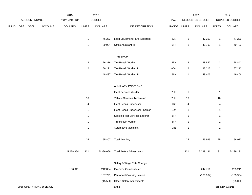|             |     |                                |         | 2015           |                | 2016           |                                  |       |                  | 2017             |                           | 2017            |
|-------------|-----|--------------------------------|---------|----------------|----------------|----------------|----------------------------------|-------|------------------|------------------|---------------------------|-----------------|
|             |     | ACCOUNT NUMBER                 |         | EXPENDITURE    |                | <b>BUDGET</b>  |                                  | PAY   |                  | REQUESTED BUDGET |                           | PROPOSED BUDGET |
| <b>FUND</b> | ORG | <b>SBCL</b>                    | ACCOUNT | <b>DOLLARS</b> | <b>UNITS</b>   | <b>DOLLARS</b> | LINE DESCRIPTION                 | RANGE | <b>UNITS</b>     | <b>DOLLARS</b>   | <b>UNITS</b>              | <b>DOLLARS</b>  |
|             |     |                                |         |                |                |                |                                  |       |                  |                  |                           |                 |
|             |     |                                |         |                | $\mathbf{1}$   | 46,283         | Lead Equipment Parts Assistant   | 6JN   | $\mathbf{1}$     | 47,209           | $\mathbf{1}$              | 47,209          |
|             |     |                                |         |                | $\mathbf{1}$   | 39,904         | Office Assistant III             | 6FN   | $\mathbf{1}$     | 40,702           | $\overline{1}$            | 40,702          |
|             |     |                                |         |                |                |                | <b>TIRE SHOP</b>                 |       |                  |                  |                           |                 |
|             |     |                                |         |                | 3              | 126,316        | Tire Repair Worker I             | 8FN   | 3                | 128,842          | $\ensuremath{\mathsf{3}}$ | 128,842         |
|             |     |                                |         |                | $\overline{c}$ | 86,291         | Tire Repair Worker II            | 8GN   | $\boldsymbol{2}$ | 87,213           | $\overline{a}$            | 87,213          |
|             |     |                                |         |                | $\mathbf{1}$   | 48,437         | Tire Repair Worker III           | 8LN   | $\mathbf{1}$     | 49,406           | $\mathbf{1}$              | 49,406          |
|             |     |                                |         |                |                |                | <b>AUXILIARY POSITIONS</b>       |       |                  |                  |                           |                 |
|             |     |                                |         |                | $\mathbf{1}$   |                | Fleet Services Welder            | 7HN   | $\mathbf{1}$     |                  | $\overline{1}$            |                 |
|             |     |                                |         |                | 16             |                | Vehicle Services Technician II   | 7HN   | 16               |                  | 16                        |                 |
|             |     |                                |         |                | $\overline{4}$ |                | <b>Fleet Repair Supervisor</b>   | 1BX   | 4                |                  | $\overline{4}$            |                 |
|             |     |                                |         |                | $\mathbf{1}$   |                | Fleet Repair Supervisor - Senior | 1DX   | $\mathbf{1}$     |                  | $\mathbf{1}$              |                 |
|             |     |                                |         |                | $\mathbf{1}$   |                | Special Fleet Services Laborer   | 8FN   | $\mathbf{1}$     |                  | $\mathbf{1}$              |                 |
|             |     |                                |         |                | $\mathbf{1}$   |                | Tire Repair Worker I             | 8FN   | $\mathbf{1}$     |                  | $\overline{1}$            |                 |
|             |     |                                |         |                | $\mathbf{1}$   |                | Automotive Machinist             | 7IN   | $\mathbf{1}$     |                  | $\mathbf{1}$              |                 |
|             |     |                                |         |                | 25             | 55,807         | <b>Total Auxiliary</b>           |       | 25               | 56,923           | 25                        | 56,923          |
|             |     |                                |         | 5,278,354      | 131            | 5,386,066      | <b>Total Before Adjustments</b>  |       | 131              | 5,299,191        | 131                       | 5,299,191       |
|             |     |                                |         |                |                |                | Salary & Wage Rate Change        |       |                  |                  |                           |                 |
|             |     |                                |         | 156,011        |                | 242,854        | Overtime Compensated             |       |                  | 247,711          |                           | 235,211         |
|             |     |                                |         |                |                | (107, 721)     | Personnel Cost Adjustment        |       |                  | (105, 984)       |                           | (105, 984)      |
|             |     |                                |         |                |                | (15,500)       | Other- Salary Adjustments        |       |                  |                  |                           | (25,000)        |
|             |     | <b>DPW-OPERATIONS DIVISION</b> |         |                |                |                | 310.8                            |       |                  |                  |                           | 3rd Run 9/19/16 |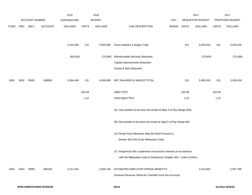|             |      |                       |                                | 2015               |              | 2016           |                                                                      |            |              | 2017             |              | 2017            |
|-------------|------|-----------------------|--------------------------------|--------------------|--------------|----------------|----------------------------------------------------------------------|------------|--------------|------------------|--------------|-----------------|
|             |      | <b>ACCOUNT NUMBER</b> |                                | <b>EXPENDITURE</b> |              | <b>BUDGET</b>  |                                                                      | <b>PAY</b> |              | REQUESTED BUDGET |              | PROPOSED BUDGET |
| <b>FUND</b> | ORG  | SBCL                  | <b>ACCOUNT</b>                 | <b>DOLLARS</b>     | <b>UNITS</b> | <b>DOLLARS</b> | LINE DESCRIPTION                                                     | RANGE      | <b>UNITS</b> | <b>DOLLARS</b>   | <b>UNITS</b> | <b>DOLLARS</b>  |
|             |      |                       |                                |                    |              |                |                                                                      |            |              |                  |              |                 |
|             |      |                       |                                | 5,434,365          | 131          | 5,505,699      | Gross Salaries & Wages Total                                         |            | 131          | 5,440,918        | 131          | 5,403,418       |
|             |      |                       |                                | (69, 919)          |              | (75,000)       | Reimbursable Services Deduction                                      |            |              | (75,000)         |              | (75,000)        |
|             |      |                       |                                |                    |              |                | Capital Improvements Deduction                                       |            |              |                  |              |                 |
|             |      |                       |                                |                    |              |                | Grants & Aids Deduction                                              |            |              |                  |              |                 |
| 0001        | 5452 | R999                  | 006000                         | 5,364,446          | 131          | 5,430,699      | NET SALARIES & WAGES TOTAL                                           |            | 131          | 5,365,918        | 131          | 5,328,418       |
|             |      |                       |                                |                    | 104.39       |                | O&M FTE'S                                                            |            | 104.39       |                  | 104.39       |                 |
|             |      |                       |                                |                    | 1.22         |                | NON-O&M FTE'S                                                        |            | 1.22         |                  | 1.22         |                 |
|             |      |                       |                                |                    |              |                | (A) One position to be hard red-circled at Step 4 of Pay Range 6HN.  |            |              |                  |              |                 |
|             |      |                       |                                |                    |              |                | (B) One position to be hard red-circled at Step 5 of Pay Range 6IN.  |            |              |                  |              |                 |
|             |      |                       |                                |                    |              |                | (X) Private Auto Allowance May Be Paid Pursuant to                   |            |              |                  |              |                 |
|             |      |                       |                                |                    |              |                | Section 350-183 of the Milwaukee Code.                               |            |              |                  |              |                 |
|             |      |                       |                                |                    |              |                | (Y) Required to file a statement of economic interests in accordance |            |              |                  |              |                 |
|             |      |                       |                                |                    |              |                | with the Milwaukee code of Ordinances Chapter 303 - Code of Ethics.  |            |              |                  |              |                 |
| 0001        | 5452 | R999                  | 006100                         | 2,211,331          |              | 2,606,736      | ESTIMATED EMPLOYEE FRINGE BENEFITS                                   |            |              | 2,414,663        |              | 2,397,788       |
|             |      |                       |                                |                    |              |                | (Involves Revenue Offset-No Transfers from this Account)             |            |              |                  |              |                 |
|             |      |                       | <b>DPW-OPERATIONS DIVISION</b> |                    |              |                | 310.9                                                                |            |              |                  |              | 3rd Run 9/19/16 |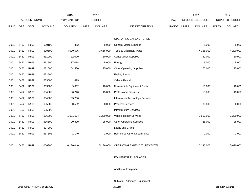|             |            |                       |                | 2015               |              | 2016           |                                    |       |              | 2017                    |              | 2017            |
|-------------|------------|-----------------------|----------------|--------------------|--------------|----------------|------------------------------------|-------|--------------|-------------------------|--------------|-----------------|
|             |            | <b>ACCOUNT NUMBER</b> |                | <b>EXPENDITURE</b> |              | <b>BUDGET</b>  |                                    | PAY   |              | <b>REQUESTED BUDGET</b> |              | PROPOSED BUDGET |
| <b>FUND</b> | <b>ORG</b> | <b>SBCL</b>           | <b>ACCOUNT</b> | <b>DOLLARS</b>     | <b>UNITS</b> | <b>DOLLARS</b> | LINE DESCRIPTION                   | RANGE | <b>UNITS</b> | <b>DOLLARS</b>          | <b>UNITS</b> | <b>DOLLARS</b>  |
|             |            |                       |                |                    |              |                |                                    |       |              |                         |              |                 |
|             |            |                       |                |                    |              |                | OPERATING EXPENDITURES             |       |              |                         |              |                 |
| 0001        | 5452       | R999                  | 630100         | 4,852              |              | 8,000          | General Office Expense             |       |              | 8,000                   |              | 8,000           |
| 0001        | 5452       | R999                  | 630500         | 4,000,676          |              | 3,666,000      | Tools & Machinery Parts            |       |              | 4,366,000               |              | 4,200,000       |
| 0001        | 5452       | R999                  | 631000         | 12,020             |              | 50,000         | <b>Construction Supplies</b>       |       |              | 50,000                  |              | 50,000          |
| 0001        | 5452       | R999                  | 631500         | 87,014             |              | 5,000          | Energy                             |       |              | 5,000                   |              | 5,000           |
| 0001        | 5452       | R999                  | 632000         | 154,580            |              | 75,000         | <b>Other Operating Supplies</b>    |       |              | 75,000                  |              | 75,000          |
| 0001        | 5452       | R999                  | 632500         |                    |              |                | <b>Facility Rental</b>             |       |              |                         |              |                 |
| 0001        | 5452       | R999                  | 633000         | 1,619              |              |                | Vehicle Rental                     |       |              |                         |              |                 |
| 0001        | 5452       | R999                  | 633500         | 9,652              |              | 10,000         | Non-Vehicle Equipment Rental       |       |              | 10,000                  |              | 10,000          |
| 0001        | 5452       | R999                  | 634000         | 36,246             |              | 15,000         | <b>Professional Services</b>       |       |              | 15,000                  |              | 15,000          |
| 0001        | 5452       | R999                  | 634500         | 105,706            |              |                | Information Technology Services    |       |              |                         |              |                 |
| 0001        | 5452       | R999                  | 635000         | 60,532             |              | 80,000         | <b>Property Services</b>           |       |              | 80,000                  |              | 80,000          |
| 0001        | 5452       | R999                  | 635500         |                    |              |                | <b>Infrastructure Services</b>     |       |              |                         |              |                 |
| 0001        | 5452       | R999                  | 636000         | 1,631,674          |              | 1,200,000      | Vehicle Repair Services            |       |              | 1,500,000               |              | 1,200,000       |
| 0001        | 5452       | R999                  | 636500         | 20,329             |              | 25,000         | <b>Other Operating Services</b>    |       |              | 25,000                  |              | 25,000          |
| 0001        | 5452       | R999                  | 637000         |                    |              |                | Loans and Grants                   |       |              |                         |              |                 |
| 0001        | 5452       | R999                  | 637501         | 1,140              |              | 2,000          | <b>Reimburse Other Departments</b> |       |              | 2,000                   |              | 2,000           |
|             |            |                       |                |                    |              |                |                                    |       |              |                         |              |                 |
| 0001        | 5452       | R999                  | 006300         | 6,126,040          |              | 5,136,000      | OPERATING EXPENDITURES TOTAL       |       |              | 6,136,000               |              | 5,670,000       |

# EQUIPMENT PURCHASES

Additional Equipment

Subtotal - Additional Equipment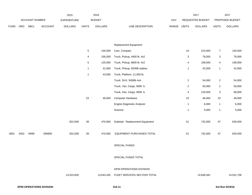|             |      |                |         | 2015           |                 | 2016           |                                  |             |                | 2017             |                | 2017            |
|-------------|------|----------------|---------|----------------|-----------------|----------------|----------------------------------|-------------|----------------|------------------|----------------|-----------------|
|             |      | ACCOUNT NUMBER |         | EXPENDITURE    |                 | <b>BUDGET</b>  |                                  | PAY         |                | REQUESTED BUDGET |                | PROPOSED BUDGET |
| <b>FUND</b> | ORG  | <b>SBCL</b>    | ACCOUNT | <b>DOLLARS</b> | <b>UNITS</b>    | <b>DOLLARS</b> | LINE DESCRIPTION                 | RANGE UNITS |                | <b>DOLLARS</b>   | <b>UNITS</b>   | <b>DOLLARS</b>  |
|             |      |                |         |                |                 |                |                                  |             |                |                  |                |                 |
|             |      |                |         |                |                 |                | Replacement Equipment            |             |                |                  |                |                 |
|             |      |                |         |                | $5\phantom{.0}$ | 105,000        | Cars, Compact                    |             | $10$           | 215,000          | $\overline{7}$ | 150,500         |
|             |      |                |         |                | 4               | 100,000        | Truck, Pickup, 4400 lb. 4x2      |             | 3              | 78,000           | $\mathbf{3}$   | 78,000          |
|             |      |                |         |                | $\sqrt{5}$      | 135,000        | Truck, Pickup, 8600 lb. 4x2      |             | 4              | 108,000          | 4              | 108,000         |
|             |      |                |         |                | $\mathbf{1}$    | 41,000         | Truck, Pickup, 9200lb w/plow     |             | $\mathbf{1}$   | 42,000           | $\mathbf{1}$   | 42,000          |
|             |      |                |         |                | $\mathbf{1}$    | 43,000         | Truck, Platform, 11,000 lb.      |             |                |                  |                |                 |
|             |      |                |         |                |                 |                | Truck, SUV, 5000lb 4x4           |             | $\overline{2}$ | 54,000           | $\mathbf{2}$   | 54,000          |
|             |      |                |         |                |                 |                | Truck, Van, Cargo, 6000 b.       |             | $\overline{2}$ | 50,000           | $\overline{a}$ | 50,000          |
|             |      |                |         |                |                 |                | Truck, Van, Cargo, 9500 b.       |             | 4              | 128,000          | $\mathbf 3$    | 96,000          |
|             |      |                |         |                | 23              | 46,000         | Computer Hardware                |             | 23             | 46,000           | 23             | 46,000          |
|             |      |                |         |                |                 |                | Engine Diagnostic Analyzer       |             | $\mathbf{1}$   | 6,000            | $\mathbf{1}$   | 6,000           |
|             |      |                |         |                |                 |                | Scanner                          |             | $\mathbf{1}$   | 5,000            | $\mathbf{1}$   | 5,000           |
|             |      |                |         | 822,009        | 39              | 470,000        | Subtotal - Replacement Equipment |             | 51             | 732,000          | 47             | 635,500         |
| 0001        | 5452 | R999           | 006800  | 822,009        | 39              | 470,000        | EQUIPMENT PURCHASES TOTAL        |             | 51             | 732,000          | 47             | 635,500         |
|             |      |                |         |                |                 |                | SPECIAL FUNDS                    |             |                |                  |                |                 |
|             |      |                |         |                |                 |                | SPECIAL FUNDS TOTAL              |             |                |                  |                |                 |
|             |      |                |         |                |                 |                | DPW-OPERATIONS DIVISION          |             |                |                  |                |                 |
|             |      |                |         | 14,523,826     |                 | 13,643,435     | FLEET SERVICES SECTION TOTAL     |             |                | 14,648,581       |                | 14,031,706      |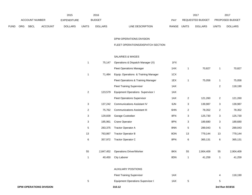|             |                       |             |                    | 2015           |               | 2016           |                                  | 2017                           |                        | 2017           |
|-------------|-----------------------|-------------|--------------------|----------------|---------------|----------------|----------------------------------|--------------------------------|------------------------|----------------|
|             | <b>ACCOUNT NUMBER</b> |             | <b>EXPENDITURE</b> |                | <b>BUDGET</b> | PAY            | <b>REQUESTED BUDGET</b>          |                                | <b>PROPOSED BUDGET</b> |                |
| <b>FUND</b> | ORG                   | <b>SBCL</b> | <b>ACCOUNT</b>     | <b>DOLLARS</b> | <b>UNITS</b>  | <b>DOLLARS</b> | <b>RANGE</b><br>LINE DESCRIPTION | <b>UNITS</b><br><b>DOLLARS</b> | UNITS                  | <b>DOLLARS</b> |

#### FLEET OPERATIONS/DISPATCH SECTION

# SALARIES & WAGES

| <b>DPW-OPERATIONS DIVISION</b> |                |           | 310.12                                   |     |                |           | 3rd Run 9/19/16 |           |
|--------------------------------|----------------|-----------|------------------------------------------|-----|----------------|-----------|-----------------|-----------|
|                                | 5              |           | <b>Equipment Operations Supervisor I</b> | 1AX | $\,$ 5 $\,$    |           | 5               |           |
|                                |                |           | <b>Fleet Training Supervisor</b>         | 1AX |                |           | 4               | 118,190   |
|                                |                |           | <b>AUXILIARY POSITIONS</b>               |     |                |           |                 |           |
|                                |                |           |                                          |     |                |           |                 |           |
|                                | $\mathbf{1}$   | 40,450    | <b>City Laborer</b>                      | 8DN | $\mathbf{1}$   | 41,259    | $\mathbf{1}$    | 41,259    |
|                                | 55             | 2,847,452 | <b>Operations Driver/Worker</b>          | 8KN | 55             | 2,904,409 | 55              | 2,904,409 |
|                                | 6              | 357,972   | Tractor Operator C                       | 8PN | 6              | 365,131   | 6               | 365,131   |
|                                | 13             | 763,867   | <b>Tractor Operator B</b>                | 8ON | 13             | 779,144   | 13              | 779,144   |
|                                | 5              | 283,375   | <b>Tractor Operator A</b>                | 8NN | 5              | 289,043   | $\,$ 5 $\,$     | 289,043   |
|                                | 3              | 185,961   | <b>Crane Operator</b>                    | 8PN | 3              | 189,680   | 3               | 189,680   |
|                                | 3              | 129,839   | Garage Custodian                         | 8FN | 3              | 125,730   | 3               | 125,730   |
|                                | $\overline{c}$ | 75,762    | <b>Communications Assistant III</b>      | 6HN | $\overline{c}$ | 78,352    | $\overline{a}$  | 78,352    |
|                                | 3              | 137,242   | <b>Communications Assistant IV</b>       | 6JN | 3              | 139,987   | 3               | 139,987   |
|                                |                |           | <b>Fleet Operations Supervisor</b>       | 1AX | $\overline{a}$ | 121,260   | $\overline{a}$  | 121,260   |
|                                | $\overline{a}$ | 123,579   | <b>Equipment Operations Supervisor I</b> | 1AX |                |           |                 |           |
|                                |                |           | <b>Fleet Training Supervisor</b>         | 1AX |                |           | $\overline{2}$  | 118,190   |
|                                |                |           | Fleet Operations & Training Manager      | 1EX | 1              | 75,058    | $\mathbf{1}$    | 75,058    |
|                                | $\mathbf{1}$   | 71,484    | Equip. Operations & Training Manager     | 1CX |                |           |                 |           |
|                                |                |           | <b>Fleet Operations Manager</b>          | 1HX | $\mathbf{1}$   | 70,827    | $\overline{1}$  | 70,827    |
|                                | $\mathbf{1}$   | 75,147    | Operations & Dispatch Manager (X)        | 1FX |                |           |                 |           |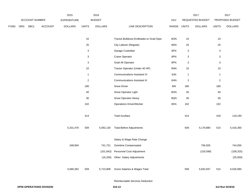|             |     |                |                | 2015               |                           | 2016           |                                              |             |                           | 2017             |                           | 2017            |
|-------------|-----|----------------|----------------|--------------------|---------------------------|----------------|----------------------------------------------|-------------|---------------------------|------------------|---------------------------|-----------------|
|             |     | ACCOUNT NUMBER |                | <b>EXPENDITURE</b> |                           | <b>BUDGET</b>  |                                              | PAY         |                           | REQUESTED BUDGET |                           | PROPOSED BUDGET |
| <b>FUND</b> | ORG | SBCL           | <b>ACCOUNT</b> | <b>DOLLARS</b>     | <b>UNITS</b>              | <b>DOLLARS</b> | LINE DESCRIPTION                             | RANGE UNITS |                           | <b>DOLLARS</b>   | <b>UNITS</b>              | <b>DOLLARS</b>  |
|             |     |                |                |                    | $10$                      |                | Tractor, Bulldozer, Endloader, or Grad Oper. | 8ON         | 10                        |                  | 10                        |                 |
|             |     |                |                |                    | $25\,$                    |                | City Laborer (Regular)                       | 8DN         | 25                        |                  | $25\,$                    |                 |
|             |     |                |                |                    | 3                         |                | Garage Custodian                             | 8FN         | $\mathsf 3$               |                  | $\ensuremath{\mathsf{3}}$ |                 |
|             |     |                |                |                    | $\ensuremath{\mathsf{3}}$ |                | Crane Operator                               | 8PN         | $\ensuremath{\mathsf{3}}$ |                  | $\ensuremath{\mathsf{3}}$ |                 |
|             |     |                |                |                    | 3                         |                | Grad All Operator                            | 8PN         | $\ensuremath{\mathsf{3}}$ |                  | $\ensuremath{\mathsf{3}}$ |                 |
|             |     |                |                |                    | $10$                      |                | Tractor Operator (Under 40 HP)               | 8NN         | 10                        |                  | $10$                      |                 |
|             |     |                |                |                    | $\overline{1}$            |                | <b>Communications Assistant IV</b>           | 6JN         | $\mathbf{1}$              |                  | $\mathbf{1}$              |                 |
|             |     |                |                |                    | $\overline{2}$            |                | <b>Communications Assistant III</b>          | 6HN         | $\overline{2}$            |                  | $\mathbf{2}$              |                 |
|             |     |                |                |                    | 180                       |                | Snow Driver                                  | <b>8IN</b>  | 180                       |                  | 180                       |                 |
|             |     |                |                |                    | 40                        |                | Snow Operator Light                          | 8ON         | 40                        |                  | 40                        |                 |
|             |     |                |                |                    | $30\,$                    |                | Snow Operator Heavy                          | 8QN         | $30\,$                    |                  | $30\,$                    |                 |
|             |     |                |                |                    | 102                       |                | <b>Operations Driver/Worker</b>              | 8KN         | 102                       |                  | 102                       |                 |
|             |     |                |                |                    | 414                       |                | <b>Total Auxiliary</b>                       |             | 414                       |                  | 418                       | 118,190         |
|             |     |                |                | 5,331,478          | 509                       | 5,092,130      | <b>Total Before Adjustments</b>              |             | 509                       | 5,179,880        | 515                       | 5,416,260       |
|             |     |                |                |                    |                           |                | Salary & Wage Rate Change                    |             |                           |                  |                           |                 |
|             |     |                |                | 348,804            |                           | 741,721        | Overtime Compensated                         |             |                           | 756,555          |                           | 744,055         |
|             |     |                |                |                    |                           | (101, 843)     | Personnel Cost Adjustment                    |             |                           | (103, 598)       |                           | (108, 325)      |
|             |     |                |                |                    |                           |                | (16,200) Other- Salary Adjustments           |             |                           |                  |                           | (25,000)        |
|             |     |                |                | 5,680,282          | 509                       | 5,715,808      | Gross Salaries & Wages Total                 |             | 509                       | 5,832,837        | 515                       | 6,026,990       |
|             |     |                |                |                    |                           |                | Reimbursable Services Deduction              |             |                           |                  |                           |                 |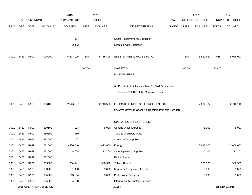|             |      |                       |                                | 2015               |              | 2016           |                                                          |       |              | 2017             |              | 2017            |
|-------------|------|-----------------------|--------------------------------|--------------------|--------------|----------------|----------------------------------------------------------|-------|--------------|------------------|--------------|-----------------|
|             |      | <b>ACCOUNT NUMBER</b> |                                | <b>EXPENDITURE</b> |              | <b>BUDGET</b>  |                                                          | PAY   |              | REQUESTED BUDGET |              | PROPOSED BUDGET |
| <b>FUND</b> | ORG  | SBCL                  | <b>ACCOUNT</b>                 | <b>DOLLARS</b>     | <b>UNITS</b> | <b>DOLLARS</b> | LINE DESCRIPTION                                         | RANGE | <b>UNITS</b> | <b>DOLLARS</b>   | <b>UNITS</b> | <b>DOLLARS</b>  |
|             |      |                       |                                |                    |              |                |                                                          |       |              |                  |              |                 |
|             |      |                       |                                | (294)              |              |                | Capital Improvements Deduction                           |       |              |                  |              |                 |
|             |      |                       |                                | (2,882)            |              |                | Grants & Aids Deduction                                  |       |              |                  |              |                 |
|             |      |                       |                                |                    |              |                |                                                          |       |              |                  |              |                 |
| 0001        | 5453 | R999                  | 006000                         | 5,677,106          | 509          | 5,715,808      | NET SALARIES & WAGES TOTAL                               |       | 509          | 5,832,837        | 515          | 6,026,990       |
|             |      |                       |                                |                    | 105.00       |                | O&M FTE'S                                                |       | 105.00       |                  | 109.00       |                 |
|             |      |                       |                                |                    |              |                | NON-O&M FTE'S                                            |       |              |                  |              |                 |
|             |      |                       |                                |                    |              |                |                                                          |       |              |                  |              |                 |
|             |      |                       |                                |                    |              |                | (X) Private Auto Allowance May Be Paid Pursuant to       |       |              |                  |              |                 |
|             |      |                       |                                |                    |              |                | Section 350-183 of the Milwaukee Code.                   |       |              |                  |              |                 |
|             |      |                       |                                |                    |              |                |                                                          |       |              |                  |              |                 |
| 0001        | 5453 | R999                  | 006100                         | 2,546,157          |              | 2,743,588      | ESTIMATED EMPLOYEE FRINGE BENEFITS                       |       |              | 2,624,777        |              | 2,712,146       |
|             |      |                       |                                |                    |              |                | (Involves Revenue Offset-No Transfers from this Account) |       |              |                  |              |                 |
|             |      |                       |                                |                    |              |                | OPERATING EXPENDITURES                                   |       |              |                  |              |                 |
| 0001        | 5453 | R999                  | 630100                         | 4,123              |              | 5,000          | <b>General Office Expense</b>                            |       |              | 5,000            |              | 5,000           |
| 0001        | 5453 | R999                  | 630500                         | 419                |              |                | Tools & Machinery Parts                                  |       |              |                  |              |                 |
| 0001        | 5453 | R999                  | 631000                         | 1,127              |              |                | <b>Construction Supplies</b>                             |       |              |                  |              |                 |
| 0001        | 5453 | R999                  | 631500                         | 3,480,740          |              | 3,892,000      | Energy                                                   |       |              | 3,892,000        |              | 3,656,000       |
| 0001        | 5453 | R999                  | 632000                         | 8,708              |              | 11,100         | <b>Other Operating Supplies</b>                          |       |              | 11,100           |              | 11,100          |
| 0001        | 5453 | R999                  | 632500                         |                    |              |                | <b>Facility Rental</b>                                   |       |              |                  |              |                 |
| 0001        | 5453 | R999                  | 633000                         | 1,604,541          |              | 980,320        | Vehicle Rental                                           |       |              | 980,320          |              | 980,320         |
| 0001        | 5453 | R999                  | 633500                         | 1,088              |              | 5,000          | Non-Vehicle Equipment Rental                             |       |              | 5,000            |              | 5,000           |
| 0001        | 5453 | R999                  | 634000                         | 13,104             |              | 5,000          | <b>Professional Services</b>                             |       |              | 5,000            |              | 5,000           |
| 0001        | 5453 | R999                  | 634500                         | 4,158              |              |                | Information Technology Services                          |       |              |                  |              |                 |
|             |      |                       | <b>DPW-OPERATIONS DIVISION</b> |                    |              |                | 310.14                                                   |       |              |                  |              | 3rd Run 9/19/16 |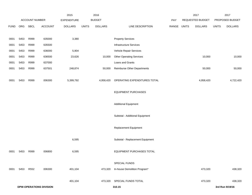|             |      |                |                                | 2015               |              | 2016           |                                    |             | 2017             |              | 2017            |
|-------------|------|----------------|--------------------------------|--------------------|--------------|----------------|------------------------------------|-------------|------------------|--------------|-----------------|
|             |      | ACCOUNT NUMBER |                                | <b>EXPENDITURE</b> |              | <b>BUDGET</b>  |                                    | PAY         | REQUESTED BUDGET |              | PROPOSED BUDGET |
| <b>FUND</b> | ORG  | SBCL           | ACCOUNT                        | <b>DOLLARS</b>     | <b>UNITS</b> | <b>DOLLARS</b> | LINE DESCRIPTION                   | RANGE UNITS | <b>DOLLARS</b>   | <b>UNITS</b> | <b>DOLLARS</b>  |
| 0001        | 5453 | R999           | 635000                         | 3,380              |              |                | <b>Property Services</b>           |             |                  |              |                 |
| 0001        | 5453 | R999           | 635500                         |                    |              |                | Infrastructure Services            |             |                  |              |                 |
| 0001        | 5453 | R999           | 636000                         | 5,904              |              |                | Vehicle Repair Services            |             |                  |              |                 |
| 0001        | 5453 | R999           | 636500                         | 23,626             |              | 10,000         | <b>Other Operating Services</b>    |             | 10,000           |              | 10,000          |
| 0001        | 5453 | R999           | 637000                         |                    |              |                | Loans and Grants                   |             |                  |              |                 |
| 0001        | 5453 | R999           | 637501                         | 248,874            |              | 50,000         | <b>Reimburse Other Departments</b> |             | 50,000           |              | 50,000          |
| 0001        | 5453 | R999           | 006300                         | 5,399,792          |              | 4,958,420      | OPERATING EXPENDITURES TOTAL       |             | 4,958,420        |              | 4,722,420       |
|             |      |                |                                |                    |              |                | <b>EQUIPMENT PURCHASES</b>         |             |                  |              |                 |
|             |      |                |                                |                    |              |                | <b>Additional Equipment</b>        |             |                  |              |                 |
|             |      |                |                                |                    |              |                | Subtotal - Additional Equipment    |             |                  |              |                 |
|             |      |                |                                |                    |              |                | Replacement Equipment              |             |                  |              |                 |
|             |      |                |                                | 6,595              |              |                | Subtotal - Replacement Equipment   |             |                  |              |                 |
| 0001        | 5453 | R999           | 006800                         | 6,595              |              |                | EQUIPMENT PURCHASES TOTAL          |             |                  |              |                 |
|             |      |                |                                |                    |              |                | SPECIAL FUNDS                      |             |                  |              |                 |
| 0001        | 5453 | R552           | 006300                         | 401,104            |              | 473,320        | In-house Demolition Program*       |             | 473,320          |              | 438,320         |
|             |      |                |                                | 401,104            |              | 473,320        | SPECIAL FUNDS TOTAL                |             | 473,320          |              | 438,320         |
|             |      |                | <b>DPW-OPERATIONS DIVISION</b> |                    |              |                | 310.15                             |             |                  |              | 3rd Run 9/19/16 |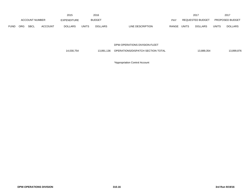|             |                       |             |                | 2015                                |       | 2016           |                                  | 201                            |              | 2017                   |  |
|-------------|-----------------------|-------------|----------------|-------------------------------------|-------|----------------|----------------------------------|--------------------------------|--------------|------------------------|--|
|             | <b>ACCOUNT NUMBER</b> |             |                | <b>BUDGET</b><br><b>EXPENDITURE</b> |       |                | PAY                              | <b>REQUESTED BUDGET</b>        |              | <b>PROPOSED BUDGET</b> |  |
| <b>FUND</b> | <b>ORG</b>            | <b>SBCL</b> | <b>ACCOUNT</b> | <b>DOLLARS</b>                      | UNITS | <b>DOLLARS</b> | <b>RANGE</b><br>LINE DESCRIPTION | <b>UNITS</b><br><b>DOLLARS</b> | <b>UNITS</b> | <b>DOLLARS</b>         |  |

DPW-OPERATIONS DIVISION-FLEET

| 14.030.754<br>13.891.136 | OPERATIONS/DISPATCH SECTION TOTAL | 13.889.354 | 13.899.876 |
|--------------------------|-----------------------------------|------------|------------|
|--------------------------|-----------------------------------|------------|------------|

\*Appropriation Control Account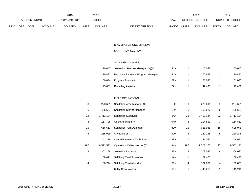|             |                       |             |                | 2015               |              | 2016           |                           |       | 2017             |              | 201                    |
|-------------|-----------------------|-------------|----------------|--------------------|--------------|----------------|---------------------------|-------|------------------|--------------|------------------------|
|             | <b>ACCOUNT NUMBER</b> |             |                | <b>EXPENDITURE</b> |              | <b>BUDGET</b>  | PAY                       |       | REQUESTED BUDGET |              | <b>PROPOSED BUDGET</b> |
| <b>FUND</b> | ORG                   | <b>SBCL</b> | <b>ACCOUNT</b> | <b>DOLLARS</b>     | <b>UNITS</b> | <b>DOLLARS</b> | RANGE<br>LINE DESCRIPTION | UNITS | <b>DOLLARS</b>   | <b>UNITS</b> | <b>DOLLARS</b>         |

# DPW-OPERATIONS DIVISION SANITATION SECTION

# SALARIES & WAGES

| 110.047 | Sanitation Services Manager (X)(Y) | 1JX | 110.047 | 100.047 |
|---------|------------------------------------|-----|---------|---------|
| 70.883  | Resource Recovery Program Manager  | 2JX | 70.883  | 70,883  |
| 50.034  | Program Assistant II               | 5FN | 51.035  | 51,035  |
| 43,051  | <b>Recycling Assistant</b>         | 2AN | 42.436  | 42,436  |

# FIELD OPERATIONS

| 3   | 273,691   | Sanitation Area Manager (X)        | 1HX | 3   | 273,691   | 3   | 267,691   |
|-----|-----------|------------------------------------|-----|-----|-----------|-----|-----------|
| 6   | 465,627   | <b>Sanitation District Manager</b> | 1DX | 6   | 465,627   | 6   | 465,627   |
| 22  | 1,413,134 | <b>Sanitation Supervisor</b>       | 1AX | 22  | 1,413,134 | 22  | 1,413,134 |
| 3   | 117,798   | <b>Office Assistant IV</b>         | 6HN | 3   | 114,852   | 3   | 114,852   |
| 15  | 616.613   | <b>Sanitation Yard Attendant</b>   | 8DN | 15  | 628,945   | 15  | 628,945   |
| 5   | 215,929   | City Laborer (A)                   | 8DN | 5   | 220,248   | 5   | 220,248   |
| 1   | 43,186    | Cart Maintenance Technician        | 8EN | 1   | 44,050    | 1   | 44,050    |
| 197 | 9,573,533 | Operations Driver Worker (D)       | 8KN | 197 | 9,502,173 | 197 | 9,502,173 |
| 8   | 302,258   | Sanitation Inspector               | 3BN | 8   | 308,032   | 8   | 308,032   |
| 1   | 58,011    | Self Help Yard Supervisor          | 1AX | 1   | 59,470    | 1   | 59,470    |
| 4   | 160,744   | Self Help Yard Attendant           | 8FN | 4   | 162,851   | 4   | 162,851   |
|     |           | <b>Utility Crew Worker</b>         | 8FN |     | 45,210    |     | 45,210    |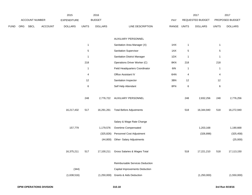|      |     |                       |         | 2015           |                         | 2016           |                                       |            |                | 2017             |                | 2017            |
|------|-----|-----------------------|---------|----------------|-------------------------|----------------|---------------------------------------|------------|----------------|------------------|----------------|-----------------|
|      |     | <b>ACCOUNT NUMBER</b> |         | EXPENDITURE    |                         | <b>BUDGET</b>  |                                       | <b>PAY</b> |                | REQUESTED BUDGET |                | PROPOSED BUDGET |
| FUND | ORG | <b>SBCL</b>           | ACCOUNT | <b>DOLLARS</b> | <b>UNITS</b>            | <b>DOLLARS</b> | LINE DESCRIPTION                      | RANGE      | <b>UNITS</b>   | <b>DOLLARS</b>   | <b>UNITS</b>   | <b>DOLLARS</b>  |
|      |     |                       |         |                |                         |                |                                       |            |                |                  |                |                 |
|      |     |                       |         |                |                         |                | AUXILIARY PERSONNEL                   |            |                |                  |                |                 |
|      |     |                       |         |                | $\mathbf{1}$            |                | Sanitation Area Manager (X)           | 1HX        | $\overline{1}$ |                  | $\mathbf{1}$   |                 |
|      |     |                       |         |                | $\,$ 5 $\,$             |                | Sanitation Supervisor                 | 1AX        | $\,$ 5 $\,$    |                  | $\,$ 5 $\,$    |                 |
|      |     |                       |         |                | $\mathbf{1}$            |                | <b>Sanitation District Manager</b>    | 1DX        | $\overline{1}$ |                  | $\mathbf{1}$   |                 |
|      |     |                       |         |                | 218                     |                | Operations Driver Worker (C)          | 8KN        | 218            |                  | 218            |                 |
|      |     |                       |         |                | $\mathbf{1}$            |                | Field Headquarters Coordinator        | 6IN        | $\overline{1}$ |                  | $\mathbf{1}$   |                 |
|      |     |                       |         |                | $\overline{\mathbf{4}}$ |                | <b>Office Assistant IV</b>            | 6HN        | 4              |                  | $\overline{4}$ |                 |
|      |     |                       |         |                | 12                      |                | Sanitation Inspector                  | 3BN        | 12             |                  | 12             |                 |
|      |     |                       |         |                | 6                       |                | Self Help Attendant                   | 8FN        | 6              |                  | $\,6\,$        |                 |
|      |     |                       |         |                | 248                     | 2,776,722      | <b>AUXILIARY PERSONNEL</b>            |            | 248            | 2,832,256        | 248            | 2,776,256       |
|      |     |                       |         | 16,217,432     | 517                     | 16,291,261     | <b>Total Before Adjustments</b>       |            | 518            | 16,344,940       | 518            | 16,272,940      |
|      |     |                       |         |                |                         |                | Salary & Wage Rate Change             |            |                |                  |                |                 |
|      |     |                       |         | 157,779        |                         | 1,179,576      | Overtime Compensated                  |            |                | 1,203,168        |                | 1,190,668       |
|      |     |                       |         |                |                         | (325, 826)     | Personnel Cost Adjustment             |            |                | (326, 898)       |                | (325, 458)      |
|      |     |                       |         |                |                         | (44, 800)      | Other- Salary Adjustments             |            |                |                  |                | (25,000)        |
|      |     |                       |         | 16,375,211     | 517                     | 17,100,211     | Gross Salaries & Wages Total          |            | 518            | 17,221,210       | 518            | 17,113,150      |
|      |     |                       |         |                |                         |                | Reimbursable Services Deduction       |            |                |                  |                |                 |
|      |     |                       |         | (344)          |                         |                | <b>Capital Improvements Deduction</b> |            |                |                  |                |                 |
|      |     |                       |         | (1,638,516)    |                         | (1,250,000)    | <b>Grants &amp; Aids Deduction</b>    |            |                | (1,250,000)      |                | (1,550,000)     |
|      |     |                       |         |                |                         |                |                                       |            |                |                  |                |                 |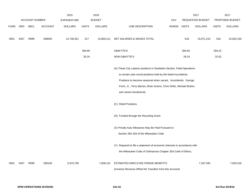|             |      |                       |                | 2015               |              | 2016           |                                                                           |       |              | 2017                    |              | 2017            |
|-------------|------|-----------------------|----------------|--------------------|--------------|----------------|---------------------------------------------------------------------------|-------|--------------|-------------------------|--------------|-----------------|
|             |      | <b>ACCOUNT NUMBER</b> |                | <b>EXPENDITURE</b> |              | <b>BUDGET</b>  |                                                                           | PAY   |              | <b>REQUESTED BUDGET</b> |              | PROPOSED BUDGET |
| <b>FUND</b> | ORG  | <b>SBCL</b>           | <b>ACCOUNT</b> | <b>DOLLARS</b>     | <b>UNITS</b> | <b>DOLLARS</b> | LINE DESCRIPTION                                                          | RANGE | <b>UNITS</b> | <b>DOLLARS</b>          | <b>UNITS</b> | <b>DOLLARS</b>  |
| 0001        | 5457 | R999                  | 006000         | 14,736,351         | 517          | 15,850,211     | NET SALARIES & WAGES TOTAL                                                |       | 518          | 15,971,210              | 518          | 15,563,150      |
|             |      |                       |                |                    | 300.60       |                | <b>O&amp;M FTE'S</b>                                                      |       | 300.60       |                         | 294.22       |                 |
|             |      |                       |                |                    | 26.24        |                | NON-O&M FTE'S                                                             |       | 26.24        |                         | 32.62        |                 |
|             |      |                       |                |                    |              |                | (A) These City Laborer positions in Sanitation Section, Field Operations  |       |              |                         |              |                 |
|             |      |                       |                |                    |              |                | to remain year-round positions held by the listed incumbents.             |       |              |                         |              |                 |
|             |      |                       |                |                    |              |                | Positions to become seasonal when vacant. Incumbents: George              |       |              |                         |              |                 |
|             |      |                       |                |                    |              |                | Finch, Jr., Terry Barnes, Brian Grams, Chris Shiltz, Michael Brahm,       |       |              |                         |              |                 |
|             |      |                       |                |                    |              |                | and James Kendzierski.                                                    |       |              |                         |              |                 |
|             |      |                       |                |                    |              |                | (C) Relief Positions.                                                     |       |              |                         |              |                 |
|             |      |                       |                |                    |              |                | (D) Funded through the Recycling Grant.                                   |       |              |                         |              |                 |
|             |      |                       |                |                    |              |                | (X) Private Auto Allowance May Be Paid Pursuant to                        |       |              |                         |              |                 |
|             |      |                       |                |                    |              |                | Section 350-183 of the Milwaukee Code.                                    |       |              |                         |              |                 |
|             |      |                       |                |                    |              |                | (Y) Required to file a statement of economic interests in accordance with |       |              |                         |              |                 |
|             |      |                       |                |                    |              |                | the Milwaukee Code of Ordinances Chapter 303-Code of Ethics.              |       |              |                         |              |                 |
| 0001        | 5457 | R999                  | 006100         | 5,970,769          |              | 7,608,101      | ESTIMATED EMPLOYEE FRINGE BENEFITS                                        |       |              | 7,187,045               |              | 7,003,418       |
|             |      |                       |                |                    |              |                | (Involves Revenue Offset-No Transfers from this Account)                  |       |              |                         |              |                 |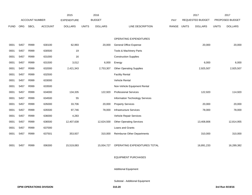|             |            |                       |                | 2015               |              | 2016           |                                 |       |              | 2017                    |              | 2017            |
|-------------|------------|-----------------------|----------------|--------------------|--------------|----------------|---------------------------------|-------|--------------|-------------------------|--------------|-----------------|
|             |            | <b>ACCOUNT NUMBER</b> |                | <b>EXPENDITURE</b> |              | <b>BUDGET</b>  |                                 | PAY   |              | <b>REQUESTED BUDGET</b> |              | PROPOSED BUDGET |
| <b>FUND</b> | <b>ORG</b> | SBCL                  | <b>ACCOUNT</b> | <b>DOLLARS</b>     | <b>UNITS</b> | <b>DOLLARS</b> | LINE DESCRIPTION                | RANGE | <b>UNITS</b> | <b>DOLLARS</b>          | <b>UNITS</b> | <b>DOLLARS</b>  |
|             |            |                       |                |                    |              |                |                                 |       |              |                         |              |                 |
|             |            |                       |                |                    |              |                | OPERATING EXPENDITURES          |       |              |                         |              |                 |
| 0001        | 5457       | R999                  | 630100         | 62,993             |              | 20,000         | <b>General Office Expense</b>   |       |              | 20,000                  |              | 20,000          |
| 0001        | 5457       | R999                  | 630500         | 19                 |              |                | Tools & Machinery Parts         |       |              |                         |              |                 |
| 0001        | 5457       | R999                  | 631000         | 16                 |              |                | <b>Construction Supplies</b>    |       |              |                         |              |                 |
| 0001        | 5457       | R999                  | 631500         | 3,012              |              | 6,000          | Energy                          |       |              | 6,000                   |              | 6,000           |
| 0001        | 5457       | R999                  | 632000         | 2,421,343          |              | 2,753,307      | <b>Other Operating Supplies</b> |       |              | 2,925,507               |              | 2,925,507       |
| 0001        | 5457       | R999                  | 632500         |                    |              |                | <b>Facility Rental</b>          |       |              |                         |              |                 |
| 0001        | 5457       | R999                  | 633000         |                    |              |                | Vehicle Rental                  |       |              |                         |              |                 |
| 0001        | 5457       | R999                  | 633500         |                    |              |                | Non-Vehicle Equipment Rental    |       |              |                         |              |                 |
| 0001        | 5457       | R999                  | 634000         | 134,335            |              | 122,920        | <b>Professional Services</b>    |       |              | 122,920                 |              | 114,920         |
| 0001        | 5457       | R999                  | 634500         | 55                 |              |                | Information Technology Services |       |              |                         |              |                 |
| 0001        | 5457       | R999                  | 635000         | 33,706             |              | 20,000         | <b>Property Services</b>        |       |              | 20,000                  |              | 20,000          |
| 0001        | 5457       | R999                  | 635500         | 97,746             |              | 78,000         | <b>Infrastructure Services</b>  |       |              | 78,000                  |              | 78,000          |
| 0001        | 5457       | R999                  | 636000         | 4,283              |              |                | Vehicle Repair Services         |       |              |                         |              |                 |
| 0001        | 5457       | R999                  | 636500         | 12,407,638         |              | 12,624,500     | <b>Other Operating Services</b> |       |              | 13,408,806              |              | 12,814,955      |
| 0001        | 5457       | R999                  | 637000         |                    |              |                | <b>Loans and Grants</b>         |       |              |                         |              |                 |
| 0001        | 5457       | R999                  | 637501         | 353,937            |              | 310,000        | Reimburse Other Departments     |       |              | 310,000                 |              | 310,000         |
|             |            |                       |                |                    |              |                |                                 |       |              |                         |              |                 |
| 0001        | 5457       | R999                  | 006300         | 15,519,083         |              | 15,934,727     | OPERATING EXPENDITURES TOTAL    |       |              | 16,891,233              |              | 16,289,382      |

# EQUIPMENT PURCHASES

Additional Equipment

Subtotal - Additional Equipment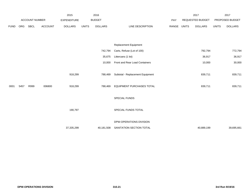|             |      |                |                | 2015               |              | 2016           |                                  |       |              | 2017             |              | 2017            |
|-------------|------|----------------|----------------|--------------------|--------------|----------------|----------------------------------|-------|--------------|------------------|--------------|-----------------|
|             |      | ACCOUNT NUMBER |                | <b>EXPENDITURE</b> |              | <b>BUDGET</b>  |                                  | PAY   |              | REQUESTED BUDGET |              | PROPOSED BUDGET |
| <b>FUND</b> | ORG  | SBCL           | <b>ACCOUNT</b> | <b>DOLLARS</b>     | <b>UNITS</b> | <b>DOLLARS</b> | LINE DESCRIPTION                 | RANGE | <b>UNITS</b> | <b>DOLLARS</b>   | <b>UNITS</b> | <b>DOLLARS</b>  |
|             |      |                |                |                    |              |                |                                  |       |              |                  |              |                 |
|             |      |                |                |                    |              |                |                                  |       |              |                  |              |                 |
|             |      |                |                |                    |              |                | <b>Replacement Equipment</b>     |       |              |                  |              |                 |
|             |      |                |                |                    |              | 742,794        | Carts, Refuse (Lot of 100)       |       |              | 792,794          |              | 772,794         |
|             |      |                |                |                    |              | 35,675         | Littercans (1 lot)               |       |              | 36,917           |              | 36,917          |
|             |      |                |                |                    |              | 10,000         | Front and Rear Load Containers   |       |              | 10,000           |              | 30,000          |
|             |      |                |                |                    |              |                |                                  |       |              |                  |              |                 |
|             |      |                |                | 918,299            |              | 788,469        | Subtotal - Replacement Equipment |       |              | 839,711          |              | 839,711         |
|             |      |                |                |                    |              |                |                                  |       |              |                  |              |                 |
| 0001        | 5457 | R999           | 006800         | 918,299            |              | 788,469        | EQUIPMENT PURCHASES TOTAL        |       |              | 839,711          |              | 839,711         |
|             |      |                |                |                    |              |                | SPECIAL FUNDS                    |       |              |                  |              |                 |
|             |      |                |                |                    |              |                |                                  |       |              |                  |              |                 |
|             |      |                |                | 190,797            |              |                | SPECIAL FUNDS TOTAL              |       |              |                  |              |                 |
|             |      |                |                |                    |              |                |                                  |       |              |                  |              |                 |
|             |      |                |                |                    |              |                | DPW-OPERATIONS DIVISION          |       |              |                  |              |                 |
|             |      |                |                | 37,335,299         |              | 40,181,508     | SANITATION SECTION TOTAL         |       |              | 40,889,199       |              | 39,695,661      |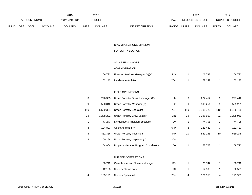|             |     |                       |                | 2015               |              | 2016           |                           |       | 2017             |              | 201                    |
|-------------|-----|-----------------------|----------------|--------------------|--------------|----------------|---------------------------|-------|------------------|--------------|------------------------|
|             |     | <b>ACCOUNT NUMBER</b> |                | <b>EXPENDITURE</b> |              | <b>BUDGET</b>  | PAY                       |       | REQUESTED BUDGET |              | <b>PROPOSED BUDGET</b> |
| <b>FUND</b> | ORG | <b>SBCL</b>           | <b>ACCOUNT</b> | <b>DOLLARS</b>     | <b>UNITS</b> | <b>DOLLARS</b> | RANGE<br>LINE DESCRIPTION | UNITS | <b>DOLLARS</b>   | <b>UNITS</b> | <b>DOLLARS</b>         |

# FORESTRY SECTION

# SALARIES & WAGES

# ADMINISTRATION

|  | 106,733 Forestry Services Manager (X)(Y) | 1JX | 106.733 | 106,733 |
|--|------------------------------------------|-----|---------|---------|
|  | 62,142 Landscape Architect               | 2GN | 62.142  | 62,142  |

# FIELD OPERATIONS

| 3   | 226.335   | Urban Forestry District Manager (X)  | 1HX | 3   | 227.412   | 3   | 227,412   |
|-----|-----------|--------------------------------------|-----|-----|-----------|-----|-----------|
| 9   | 590.840   | Urban Forestry Manager (X)           | 1DX | 9   | 599,251   | 9   | 599,251   |
| 119 | 5.509.334 | <b>Urban Forestry Specialist</b>     | 7EN | 119 | 5,488,725 | 119 | 5,488,725 |
| 22  | 1.238.292 | Urban Forestry Crew Leader           | 7IN | 22  | 1.228.959 | 22  | 1,228,959 |
|     | 73.243    | Landscape & Irrigation Specialist    | 7QN | 1   | 74.708    |     | 74,708    |
| 3   | 124.823   | <b>Office Assistant IV</b>           | 6HN | 3   | 131.433   | 3   | 131,433   |
| 8   | 452.366   | Urban Forestry Technician            | 3NN | 10  | 569.245   | 10  | 569,245   |
| 2   | 100.164   | Urban Forestry Inspector (X)         | 3GN |     |           |     |           |
|     | 54.864    | Property Manager Program Coordinator | 1DX |     | 58.723    |     | 58,723    |

## NURSERY OPERATIONS

|   | 60.742  | Greenhouse and Nursery Manager | 1EX | 60.742  | 60,742  |
|---|---------|--------------------------------|-----|---------|---------|
|   |         | 42,188 Nursery Crew Leader     | 81N | 52.503  | 52,503  |
| 4 | 165,191 | Nursery Specialist             | 7BN | 171.955 | 171,955 |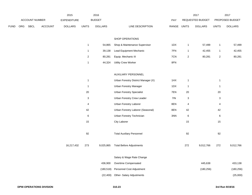|      |     |                |         | 2015           |                | 2016           |                                     |             |                  | 2017             |                         | 2017            |
|------|-----|----------------|---------|----------------|----------------|----------------|-------------------------------------|-------------|------------------|------------------|-------------------------|-----------------|
|      |     | ACCOUNT NUMBER |         | EXPENDITURE    |                | <b>BUDGET</b>  |                                     | PAY         |                  | REQUESTED BUDGET |                         | PROPOSED BUDGET |
| FUND | ORG | <b>SBCL</b>    | ACCOUNT | <b>DOLLARS</b> | <b>UNITS</b>   | <b>DOLLARS</b> | LINE DESCRIPTION                    | RANGE UNITS |                  | <b>DOLLARS</b>   | <b>UNITS</b>            | <b>DOLLARS</b>  |
|      |     |                |         |                |                |                |                                     |             |                  |                  |                         |                 |
|      |     |                |         |                |                |                | SHOP OPERATIONS                     |             |                  |                  |                         |                 |
|      |     |                |         |                | $\mathbf{1}$   | 54,865         | Shop & Maintenance Supervisor       | 1DX         | $\mathbf{1}$     | 57,499           | $\mathbf{1}$            | 57,499          |
|      |     |                |         |                | $\mathbf{1}$   | 39,138         | Lead Equipment Mechanic             | 7FN         | $\mathbf{1}$     | 42,455           | $\mathbf{1}$            | 42,455          |
|      |     |                |         |                | $\overline{2}$ | 80,281         | Equip. Mechanic III                 | 7CN         | $\boldsymbol{2}$ | 80,281           | $\overline{2}$          | 80,281          |
|      |     |                |         |                | $\mathbf{1}$   | 44,324         | <b>Utility Crew Worker</b>          | 8FN         |                  |                  |                         |                 |
|      |     |                |         |                |                |                | AUXILIARY PERSONNEL                 |             |                  |                  |                         |                 |
|      |     |                |         |                | $\mathbf{1}$   |                | Urban Forestry District Manager (X) | 1HX         | $\mathbf{1}$     |                  | $\mathbf{1}$            |                 |
|      |     |                |         |                | $\mathbf{1}$   |                | <b>Urban Forestry Manager</b>       | 1DX         | $\mathbf{1}$     |                  | $\mathbf{1}$            |                 |
|      |     |                |         |                | 20             |                | <b>Urban Forestry Specialist</b>    | 7EN         | 20               |                  | 20                      |                 |
|      |     |                |         |                | 3              |                | Urban Forestry Crew Leader          | 7IN         | 3                |                  | 3                       |                 |
|      |     |                |         |                | 4              |                | Urban Forestry Laborer              | 8EN         | $\overline{4}$   |                  | $\overline{\mathbf{4}}$ |                 |
|      |     |                |         |                | 42             |                | Urban Forestry Laborer (Seasonal)   | 8EN         | 42               |                  | 42                      |                 |
|      |     |                |         |                | $\,6\,$        |                | Urban Forestry Technician           | 3NN         | $\,6\,$          |                  | 6                       |                 |
|      |     |                |         |                | 15             |                | City Laborer                        |             | 15               |                  | 15                      |                 |
|      |     |                |         |                |                |                |                                     |             |                  |                  |                         |                 |
|      |     |                |         |                | 92             |                | <b>Total Auxiliary Personnel</b>    |             | 92               |                  | 92                      |                 |
|      |     |                |         | 16,217,432     | 273            | 9,025,865      | <b>Total Before Adjustments</b>     |             | 272              | 9,012,766        | 272                     | 9,012,766       |
|      |     |                |         |                |                |                | Salary & Wage Rate Change           |             |                  |                  |                         |                 |
|      |     |                |         |                |                | 436,900        | Overtime Compensated                |             |                  | 445,638          |                         | 433,138         |
|      |     |                |         |                |                | (180, 518)     | Personnel Cost Adjustment           |             |                  | (180, 256)       |                         | (180, 256)      |
|      |     |                |         |                |                | (22, 400)      | Other- Salary Adjustments           |             |                  |                  |                         | (25,000)        |
|      |     |                |         |                |                |                |                                     |             |                  |                  |                         |                 |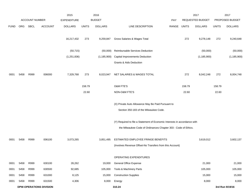|             |      |                       |                                | 2015               |              | 2016           |                                                                           |            |              | 2017                    |              | 2017            |
|-------------|------|-----------------------|--------------------------------|--------------------|--------------|----------------|---------------------------------------------------------------------------|------------|--------------|-------------------------|--------------|-----------------|
|             |      | <b>ACCOUNT NUMBER</b> |                                | <b>EXPENDITURE</b> |              | <b>BUDGET</b>  |                                                                           | <b>PAY</b> |              | <b>REQUESTED BUDGET</b> |              | PROPOSED BUDGET |
| <b>FUND</b> | ORG  | SBCL                  | <b>ACCOUNT</b>                 | <b>DOLLARS</b>     | <b>UNITS</b> | <b>DOLLARS</b> | LINE DESCRIPTION                                                          | RANGE      | <b>UNITS</b> | <b>DOLLARS</b>          | <b>UNITS</b> | <b>DOLLARS</b>  |
|             |      |                       |                                |                    |              |                |                                                                           |            |              |                         |              |                 |
|             |      |                       |                                | 16,217,432         | 273          | 9,259,847      | Gross Salaries & Wages Total                                              |            | 272          | 9,278,148               | 272          | 9,240,648       |
|             |      |                       |                                |                    |              |                |                                                                           |            |              |                         |              |                 |
|             |      |                       |                                | (50, 715)          |              | (50,000)       | Reimbursable Services Deduction                                           |            |              | (50,000)                |              | (50,000)        |
|             |      |                       |                                | (1, 251, 836)      |              | (1, 185, 900)  | <b>Capital Improvements Deduction</b>                                     |            |              | (1, 185, 900)           |              | (1, 185, 900)   |
|             |      |                       |                                |                    |              |                | Grants & Aids Deduction                                                   |            |              |                         |              |                 |
|             |      |                       |                                |                    |              |                |                                                                           |            |              |                         |              |                 |
| 0001        | 5458 | R999                  | 006000                         | 7,329,768          | 273          | 8,023,947      | NET SALARIES & WAGES TOTAL                                                |            | 272          | 8,042,248               | 272          | 8,004,748       |
|             |      |                       |                                |                    |              |                |                                                                           |            |              |                         |              |                 |
|             |      |                       |                                |                    | 158.79       |                | O&M FTE'S                                                                 |            | 158.79       |                         | 158.79       |                 |
|             |      |                       |                                |                    | 22.60        |                | NON-O&M FTE'S                                                             |            | 22.60        |                         | 22.60        |                 |
|             |      |                       |                                |                    |              |                | (X) Private Auto Allowance May Be Paid Pursuant to                        |            |              |                         |              |                 |
|             |      |                       |                                |                    |              |                |                                                                           |            |              |                         |              |                 |
|             |      |                       |                                |                    |              |                | Section 350-183 of the Milwaukee Code.                                    |            |              |                         |              |                 |
|             |      |                       |                                |                    |              |                | (Y) Required to file a Statement of Economic Interests in accordance with |            |              |                         |              |                 |
|             |      |                       |                                |                    |              |                | the Milwaukee Code of Ordinances Chapter 303 - Code of Ethics.            |            |              |                         |              |                 |
|             |      |                       |                                |                    |              |                |                                                                           |            |              |                         |              |                 |
| 0001        | 5458 | R999                  | 006100                         | 3,073,265          |              | 3,851,495      | ESTIMATED EMPLOYEE FRINGE BENEFITS                                        |            |              | 3,619,012               |              | 3,602,137       |
|             |      |                       |                                |                    |              |                | (Involves Revenue Offset-No Transfers from this Account)                  |            |              |                         |              |                 |
|             |      |                       |                                |                    |              |                |                                                                           |            |              |                         |              |                 |
|             |      |                       |                                |                    |              |                | OPERATING EXPENDITURES                                                    |            |              |                         |              |                 |
| 0001        | 5458 | R999                  | 630100                         | 28,262             |              | 19,000         | General Office Expense                                                    |            |              | 21,000                  |              | 21,000          |
| 0001        | 5458 | R999                  | 630500                         | 92,685             |              | 105,000        | Tools & Machinery Parts                                                   |            |              | 105,000                 |              | 105,000         |
| 0001        | 5458 | R999                  | 631000                         | 8,125              |              | 15,000         | <b>Construction Supplies</b>                                              |            |              | 15,000                  |              | 15,000          |
| 0001        | 5458 | R999                  | 631500                         | 4,306              |              | 8,000          | Energy                                                                    |            |              | 8,000                   |              | 8,000           |
|             |      |                       | <b>DPW-OPERATIONS DIVISION</b> |                    |              |                | 310.24                                                                    |            |              |                         |              | 3rd Run 9/19/16 |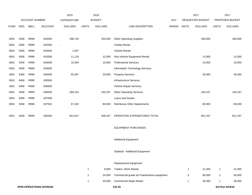|             |      |                       |                                | 2015               |              | 2016           |                                             |       |              | 2017             |                | 2017            |
|-------------|------|-----------------------|--------------------------------|--------------------|--------------|----------------|---------------------------------------------|-------|--------------|------------------|----------------|-----------------|
|             |      | <b>ACCOUNT NUMBER</b> |                                | <b>EXPENDITURE</b> |              | <b>BUDGET</b>  |                                             | PAY   |              | REQUESTED BUDGET |                | PROPOSED BUDGET |
| <b>FUND</b> | ORG  | <b>SBCL</b>           | <b>ACCOUNT</b>                 | <b>DOLLARS</b>     | <b>UNITS</b> | <b>DOLLARS</b> | LINE DESCRIPTION                            | RANGE | <b>UNITS</b> | <b>DOLLARS</b>   | <b>UNITS</b>   | <b>DOLLARS</b>  |
|             |      |                       |                                |                    |              |                |                                             |       |              |                  |                |                 |
| 0001        | 5458 | R999                  | 632000                         | 298,720            |              | 330,000        | <b>Other Operating Supplies</b>             |       |              | 330,000          |                | 300,000         |
| 0001        | 5458 | R999                  | 632500                         | $\blacksquare$     |              |                | <b>Facility Rental</b>                      |       |              |                  |                |                 |
| 0001        | 5458 | R999                  | 633000                         | 1,557              |              |                | Vehicle Rental                              |       |              |                  |                |                 |
| 0001        | 5458 | R999                  | 633500                         | 11,118             |              | 12,000         | Non-Vehicle Equipment Rental                |       |              | 12,000           |                | 12,000          |
| 0001        | 5458 | R999                  | 634000                         | 10,284             |              | 10,000         | <b>Professional Services</b>                |       |              | 10,000           |                | 10,000          |
| 0001        | 5458 | R999                  | 634500                         |                    |              |                | Information Technology Services             |       |              |                  |                |                 |
| 0001        | 5458 | R999                  | 635000                         | 50,397             |              | 20,000         | <b>Property Services</b>                    |       |              | 30,000           |                | 30,000          |
| 0001        | 5458 | R999                  | 635500                         |                    |              |                | Infrastructure Services                     |       |              |                  |                |                 |
| 0001        | 5458 | R999                  | 636000                         |                    |              |                | Vehicle Repair Services                     |       |              |                  |                |                 |
| 0001        | 5458 | R999                  | 636500                         | 269,153            |              | 240,337        | <b>Other Operating Services</b>             |       |              | 240,337          |                | 240,337         |
| 0001        | 5458 | R999                  | 637000                         |                    |              |                | Loans and Grants                            |       |              |                  |                |                 |
| 0001        | 5458 | R999                  | 637501                         | 67,320             |              | 80,000         | <b>Reimburse Other Departments</b>          |       |              | 80,000           |                | 80,000          |
|             |      |                       |                                |                    |              |                |                                             |       |              |                  |                |                 |
| 0001        | 5458 | R999                  | 006300                         | 841,927            |              | 839,337        | OPERATING EXPENDITURES TOTAL                |       |              | 851,337          |                | 821,337         |
|             |      |                       |                                |                    |              |                |                                             |       |              |                  |                |                 |
|             |      |                       |                                |                    |              |                | <b>EQUIPMENT PURCHASES</b>                  |       |              |                  |                |                 |
|             |      |                       |                                |                    |              |                |                                             |       |              |                  |                |                 |
|             |      |                       |                                |                    |              |                | <b>Additional Equipment</b>                 |       |              |                  |                |                 |
|             |      |                       |                                |                    |              |                |                                             |       |              |                  |                |                 |
|             |      |                       |                                |                    |              |                | Subtotal - Additional Equipment             |       |              |                  |                |                 |
|             |      |                       |                                |                    |              |                | Replacement Equipment                       |       |              |                  |                |                 |
|             |      |                       |                                |                    | $\mathbf{1}$ | 8,000          | Trailers, Work Shanty                       |       | $\mathbf{1}$ | 21,000           | $\mathbf{1}$   | 21,000          |
|             |      |                       |                                |                    | $\mathbf{1}$ | 24,000         | Commercial grade turf maintenance equipment |       | 3            | 90,000           | $\overline{2}$ | 60,000          |
|             |      |                       |                                |                    | $\mathbf{1}$ | 45,000         | <b>Commercial Slope Mower</b>               |       | $\mathbf{1}$ | 35,000           | $\mathbf{1}$   | 35,000          |
|             |      |                       | <b>DPW-OPERATIONS DIVISION</b> |                    |              |                | 310.25                                      |       |              |                  |                | 3rd Run 9/19/16 |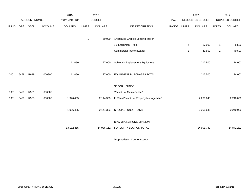|             |      |                       |                | 2015               |              | 2016           |                                        |       |                | 2017                    |              | 2017            |
|-------------|------|-----------------------|----------------|--------------------|--------------|----------------|----------------------------------------|-------|----------------|-------------------------|--------------|-----------------|
|             |      | <b>ACCOUNT NUMBER</b> |                | <b>EXPENDITURE</b> |              | <b>BUDGET</b>  |                                        | PAY   |                | <b>REQUESTED BUDGET</b> |              | PROPOSED BUDGET |
| <b>FUND</b> | ORG  | <b>SBCL</b>           | <b>ACCOUNT</b> | <b>DOLLARS</b>     | <b>UNITS</b> | <b>DOLLARS</b> | <b>LINE DESCRIPTION</b>                | RANGE | <b>UNITS</b>   | <b>DOLLARS</b>          | <b>UNITS</b> | <b>DOLLARS</b>  |
|             |      |                       |                |                    |              |                |                                        |       |                |                         |              |                 |
|             |      |                       |                |                    | $\mathbf{1}$ | 50,000         | Articulated Grapple Loading Trailer    |       |                |                         |              |                 |
|             |      |                       |                |                    |              |                | 16' Equipment Trailer                  |       | $\overline{2}$ | 17,000                  | $\mathbf{1}$ | 8,500           |
|             |      |                       |                |                    |              |                | Commercial Tractor/Loader              |       | $\overline{1}$ | 49,500                  | $\mathbf{1}$ | 49,500          |
|             |      |                       |                |                    |              |                |                                        |       |                |                         |              |                 |
|             |      |                       |                | 11,050             |              | 127,000        | Subtotal - Replacement Equipment       |       |                | 212,500                 |              | 174,000         |
|             |      |                       |                |                    |              |                |                                        |       |                |                         |              |                 |
| 0001        | 5458 | R999                  | 006800         | 11,050             |              | 127,000        | <b>EQUIPMENT PURCHASES TOTAL</b>       |       |                | 212,500                 |              | 174,000         |
|             |      |                       |                |                    |              |                |                                        |       |                |                         |              |                 |
|             |      |                       |                |                    |              |                | SPECIAL FUNDS                          |       |                |                         |              |                 |
| 0001        | 5458 | R551                  | 006300         |                    |              |                | Vacant Lot Maintenance*                |       |                |                         |              |                 |
| 0001        | 5458 | R553                  | 006300         | 1,926,405          |              | 2,144,333      | In Rem/Vacant Lot Property Management* |       |                | 2,266,645               |              | 2,240,000       |
|             |      |                       |                |                    |              |                |                                        |       |                |                         |              |                 |
|             |      |                       |                | 1,926,405          |              | 2,144,333      | SPECIAL FUNDS TOTAL                    |       |                | 2,266,645               |              | 2,240,000       |
|             |      |                       |                |                    |              |                | DPW-OPERATIONS DIVISION                |       |                |                         |              |                 |
|             |      |                       |                |                    |              |                |                                        |       |                |                         |              |                 |
|             |      |                       |                | 13,182,415         |              | 14,986,112     | FORESTRY SECTION TOTAL                 |       |                | 14,991,742              |              | 14,842,222      |
|             |      |                       |                |                    |              |                |                                        |       |                |                         |              |                 |

\*Appropriation Control Account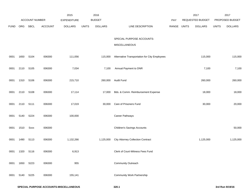|             |      |                       |                | 2015               |              | 2016           |                                               |       |              | 2017             |              | 2017            |
|-------------|------|-----------------------|----------------|--------------------|--------------|----------------|-----------------------------------------------|-------|--------------|------------------|--------------|-----------------|
|             |      | <b>ACCOUNT NUMBER</b> |                | <b>EXPENDITURE</b> |              | <b>BUDGET</b>  |                                               | PAY   |              | REQUESTED BUDGET |              | PROPOSED BUDGET |
| <b>FUND</b> | ORG  | SBCL                  | <b>ACCOUNT</b> | <b>DOLLARS</b>     | <b>UNITS</b> | <b>DOLLARS</b> | LINE DESCRIPTION                              | RANGE | <b>UNITS</b> | <b>DOLLARS</b>   | <b>UNITS</b> | <b>DOLLARS</b>  |
|             |      |                       |                |                    |              |                | SPECIAL PURPOSE ACCOUNTS-                     |       |              |                  |              |                 |
|             |      |                       |                |                    |              |                | <b>MISCELLANEOUS</b>                          |       |              |                  |              |                 |
| 0001        | 1650 | S104                  | 006300         | 111,056            |              | 115,000        | Alternative Transportation for City Employees |       |              | 115,000          |              | 115,000         |
| 0001        | 2110 | S105                  | 006300         | 7,034              |              | 7,100          | Annual Payment to DNR                         |       |              | 7,100            |              | 7,100           |
| 0001        | 1310 | S106                  | 006300         | 215,710            |              |                | 260,000 Audit Fund                            |       |              | 260,000          |              | 260,000         |
| 0001        | 2110 | S108                  | 006300         | 17,114             |              | 17,000         | Bds. & Comm. Reimbursement Expense            |       |              | 18,000           |              | 18,000          |
| 0001        | 2110 | S111                  | 006300         | 17,019             |              | 30,000         | Care of Prisoners Fund                        |       |              | 30,000           |              | 20,000          |
| 0001        | 5140 | S224                  | 006300         | 100,000            |              |                | Career Pathways                               |       |              |                  |              |                 |
| 0001        | 1510 | Sxxx                  | 006300         |                    |              |                | <b>Children's Savings Accounts</b>            |       |              |                  |              | 50,000          |
| 0001        | 1490 | S113                  | 006300         | 1,132,266          |              | 1,125,000      | <b>City Attorney Collection Contract</b>      |       |              | 1,125,000        |              | 1,125,000       |
| 0001        | 1320 | S116                  | 006300         | 6,913              |              |                | Clerk of Court-Witness Fees Fund              |       |              |                  |              |                 |
| 0001        | 1650 | S223                  | 006300         | 955                |              |                | <b>Community Outreach</b>                     |       |              |                  |              |                 |
| 0001        | 5140 | S225                  | 006300         | 155,141            |              |                | <b>Community Work Partnership</b>             |       |              |                  |              |                 |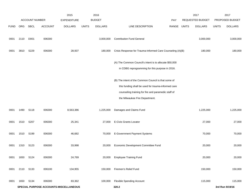|             |      | ACCOUNT NUMBER |         | 2015<br><b>EXPENDITURE</b>             |              | 2016<br><b>BUDGET</b> |                                                                                                                                                                                                      | <b>PAY</b>  | 2017<br>REQUESTED BUDGET |              | 2017<br>PROPOSED BUDGET |
|-------------|------|----------------|---------|----------------------------------------|--------------|-----------------------|------------------------------------------------------------------------------------------------------------------------------------------------------------------------------------------------------|-------------|--------------------------|--------------|-------------------------|
| <b>FUND</b> | ORG  | SBCL           | ACCOUNT | <b>DOLLARS</b>                         | <b>UNITS</b> | <b>DOLLARS</b>        | LINE DESCRIPTION                                                                                                                                                                                     | RANGE UNITS | <b>DOLLARS</b>           | <b>UNITS</b> | <b>DOLLARS</b>          |
| 0001        | 2110 | D001           | 006300  |                                        |              | 3,000,000             | <b>Contribution Fund General</b>                                                                                                                                                                     |             | 3,000,000                |              | 3,000,000               |
| 0001        | 3810 | S229           | 006300  | 28,937                                 |              | 180,000               | Crisis Response for Trauma-Informed Care Counseling (A)(B)                                                                                                                                           |             | 180,000                  |              | 180,000                 |
|             |      |                |         |                                        |              |                       | (A) The Common Council's intent is to allocate \$50,000<br>in CDBG reprogramming for this purpose in 2016.                                                                                           |             |                          |              |                         |
|             |      |                |         |                                        |              |                       | (B) The intent of the Common Council is that some of<br>this funding shall be used for trauma-informed care<br>counseling training for fire and paramedic staff of<br>the Milwaukee Fire Department. |             |                          |              |                         |
| 0001        | 1490 | S118           | 006300  | 8,563,386                              |              | 1,225,000             | Damages and Claims Fund                                                                                                                                                                              |             | 1,225,000                |              | 1,225,000               |
| 0001        | 1510 | S207           | 006300  | 25,341                                 |              | 27,000                | E-Civis Grants Locator                                                                                                                                                                               |             | 27,000                   |              | 27,000                  |
| 0001        | 1510 | S199           | 006300  | 46,682                                 |              | 70,000                | E-Government Payment Systems                                                                                                                                                                         |             | 70,000                   |              | 70,000                  |
| 0001        | 1310 | S123           | 006300  | 33,998                                 |              | 20,000                | Economic Development Committee Fund                                                                                                                                                                  |             | 20,000                   |              | 20,000                  |
| 0001        | 1650 | S124           | 006300  | 24,769                                 |              | 20,000                | <b>Employee Training Fund</b>                                                                                                                                                                        |             | 20,000                   |              | 20,000                  |
| 0001        | 2110 | S133           | 006100  | 134,955                                |              | 150,000               | Firemen's Relief Fund                                                                                                                                                                                |             | 150,000                  |              | 150,000                 |
| 0001        | 1650 | S134           | 006300  | 83,362                                 |              | 100,000               | <b>Flexible Spending Account</b>                                                                                                                                                                     |             | 115,000                  |              | 115,000                 |
|             |      |                |         | SPECIAL PURPOSE ACCOUNTS-MISCELLANEOUS |              |                       | 320.2                                                                                                                                                                                                |             |                          |              | 3rd Run 9/19/16         |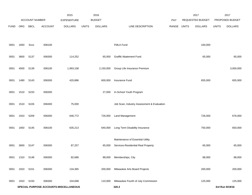|             |      | ACCOUNT NUMBER |                | 2015<br><b>EXPENDITURE</b>             |              | 2016<br><b>BUDGET</b> |                                            | <b>PAY</b>  | 2017<br>REQUESTED BUDGET |              | 2017<br>PROPOSED BUDGET |
|-------------|------|----------------|----------------|----------------------------------------|--------------|-----------------------|--------------------------------------------|-------------|--------------------------|--------------|-------------------------|
| <b>FUND</b> | ORG  | SBCL           | <b>ACCOUNT</b> | <b>DOLLARS</b>                         | <b>UNITS</b> | <b>DOLLARS</b>        | LINE DESCRIPTION                           | RANGE UNITS | <b>DOLLARS</b>           | <b>UNITS</b> | <b>DOLLARS</b>          |
|             |      |                |                |                                        |              |                       |                                            |             |                          |              |                         |
| 0001        | 1650 | <b>Sxxx</b>    | 006100         |                                        |              |                       | FMLA Fund                                  |             | 100,000                  |              |                         |
| 0001        | 3600 | S137           | 006300         | 114,252                                |              | 65,000                | Graffiti Abatement Fund                    |             | 65,000                   |              | 65,000                  |
| 0001        | 4500 | S139           | 006100         | 1,993,108                              |              | 2,150,000             | Group Life Insurance Premium               |             |                          |              | 3,000,000               |
| 0001        | 1490 | S143           | 006300         | 420,886                                |              | 600,000               | Insurance Fund                             |             | 655,000                  |              | 655,000                 |
| 0001        | 1510 | S233           | 006300         |                                        |              | 27,000                | In-School Youth Program                    |             |                          |              |                         |
| 0001        | 1510 | S226           | 006300         | 75,000                                 |              |                       | Job Scan, Industry Assessment & Evaluation |             |                          |              |                         |
| 0001        | 1910 | S209           | 006300         | 646,772                                |              | 726,000               | <b>Land Management</b>                     |             | 726,000                  |              | 676,000                 |
| 0001        | 1650 | S145           | 006100         | 635,213                                |              | 640,000               | Long Term Disability Insurance             |             | 750,000                  |              | 650,000                 |
|             |      |                |                |                                        |              |                       | Maintenance of Essential Utility           |             |                          |              |                         |
| 0001        | 3600 | S147           | 006300         | 87,257                                 |              | 65,000                | Services-Residential Real Property         |             | 65,000                   |              | 65,000                  |
| 0001        | 1310 | S148           | 006300         | 82,686                                 |              | 88,000                | Memberships, City                          |             | 88,000                   |              | 88,000                  |
| 0001        | 1910 | S151           | 006300         | 134,365                                |              | 200,000               | Milwaukee Arts Board Projects              |             | 200,000                  |              | 200,000                 |
| 0001        | 1910 | S150           | 006300         | 104,698                                |              | 110,000               | Milwaukee Fourth of July Commission        |             | 125,000                  |              | 125,000                 |
|             |      |                |                | SPECIAL PURPOSE ACCOUNTS-MISCELLANEOUS |              |                       | 320.3                                      |             |                          |              | 3rd Run 9/19/16         |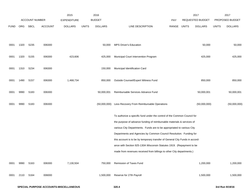|             |      |                       |                | 2015               | 2016                           |           |                                                                                                                                               |             | 2017             |              | 2017            |
|-------------|------|-----------------------|----------------|--------------------|--------------------------------|-----------|-----------------------------------------------------------------------------------------------------------------------------------------------|-------------|------------------|--------------|-----------------|
|             |      | <b>ACCOUNT NUMBER</b> |                | <b>EXPENDITURE</b> | <b>BUDGET</b>                  |           |                                                                                                                                               | <b>PAY</b>  | REQUESTED BUDGET |              | PROPOSED BUDGET |
| <b>FUND</b> | ORG  | SBCL                  | <b>ACCOUNT</b> | <b>DOLLARS</b>     | <b>DOLLARS</b><br><b>UNITS</b> |           | LINE DESCRIPTION                                                                                                                              | RANGE UNITS | <b>DOLLARS</b>   | <b>UNITS</b> | <b>DOLLARS</b>  |
|             |      |                       |                |                    |                                |           |                                                                                                                                               |             |                  |              |                 |
|             |      |                       |                |                    |                                |           |                                                                                                                                               |             |                  |              |                 |
| 0001        | 1320 | S235                  | 006300         |                    |                                | 50,000    | <b>MPS Driver's Education</b>                                                                                                                 |             | 50,000           |              | 50,000          |
| 0001        | 1320 | S <sub>155</sub>      | 006300         | 423,606            |                                | 425,000   | Municipal Court Intervention Program                                                                                                          |             | 425,000          |              | 425,000         |
|             |      |                       |                |                    |                                |           |                                                                                                                                               |             |                  |              |                 |
| 0001        | 1310 | S234                  | 006300         |                    |                                | 150,000   | Municipal Identification Card                                                                                                                 |             |                  |              |                 |
|             |      |                       |                |                    |                                |           |                                                                                                                                               |             |                  |              |                 |
| 0001        | 1490 | S <sub>157</sub>      | 006300         | 1,468,734          |                                | 850,000   | Outside Counsel/Expert Witness Fund                                                                                                           |             | 850,000          |              | 850,000         |
|             |      |                       |                |                    |                                |           |                                                                                                                                               |             |                  |              |                 |
| 0001        | 9990 | S183                  | 006300         |                    | 50,000,001                     |           | Reimbursable Services Advance Fund                                                                                                            |             | 50,000,001       |              | 50,000,001      |
|             |      |                       |                |                    |                                |           |                                                                                                                                               |             |                  |              |                 |
| 0001        | 9990 | S183                  | 006300         |                    | (50,000,000)                   |           | Less Recovery From Reimbursable Operations                                                                                                    |             | (50,000,000)     |              | (50,000,000)    |
|             |      |                       |                |                    |                                |           |                                                                                                                                               |             |                  |              |                 |
|             |      |                       |                |                    |                                |           | To authorize a specific fund under the control of the Common Council for                                                                      |             |                  |              |                 |
|             |      |                       |                |                    |                                |           | the purpose of advance funding of reimbursable materials & services of                                                                        |             |                  |              |                 |
|             |      |                       |                |                    |                                |           | various City Departments. Funds are to be appropriated to various City                                                                        |             |                  |              |                 |
|             |      |                       |                |                    |                                |           | Departments and Agencies by Common Council Resolution. Funding for                                                                            |             |                  |              |                 |
|             |      |                       |                |                    |                                |           | this account is to be by temporary transfer of General City Funds in accord-                                                                  |             |                  |              |                 |
|             |      |                       |                |                    |                                |           | ance with Section 925-130A Wisconsin Statutes 1919. (Repayment to be<br>made from revenues received from billings to other City departments.) |             |                  |              |                 |
|             |      |                       |                |                    |                                |           |                                                                                                                                               |             |                  |              |                 |
| 0001        | 9990 | S <sub>163</sub>      | 006300         | 7,130,504          |                                | 750,000   | Remission of Taxes Fund                                                                                                                       |             | 1,200,000        |              | 1,200,000       |
|             |      |                       |                |                    |                                |           |                                                                                                                                               |             |                  |              |                 |
| 0001        | 2110 | S164                  | 006000         |                    |                                | 1,500,000 | Reserve for 27th Payroll                                                                                                                      |             | 1,500,000        |              | 1,500,000       |
|             |      |                       |                |                    |                                |           |                                                                                                                                               |             |                  |              |                 |
|             |      |                       |                |                    |                                |           |                                                                                                                                               |             |                  |              |                 |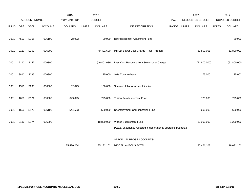|             |            |                       |                | 2015               |              | 2016           |                                                                  |            |              | 2017                    |              | 2017            |
|-------------|------------|-----------------------|----------------|--------------------|--------------|----------------|------------------------------------------------------------------|------------|--------------|-------------------------|--------------|-----------------|
|             |            | <b>ACCOUNT NUMBER</b> |                | <b>EXPENDITURE</b> |              | <b>BUDGET</b>  |                                                                  | <b>PAY</b> |              | <b>REQUESTED BUDGET</b> |              | PROPOSED BUDGET |
| <b>FUND</b> | <b>ORG</b> | <b>SBCL</b>           | <b>ACCOUNT</b> | <b>DOLLARS</b>     | <b>UNITS</b> | <b>DOLLARS</b> | LINE DESCRIPTION                                                 | RANGE      | <b>UNITS</b> | <b>DOLLARS</b>          | <b>UNITS</b> | <b>DOLLARS</b>  |
| 0001        | 4500       | S165                  | 006100         | 78,922             |              | 90,000         | Retirees Benefit Adjustment Fund                                 |            |              |                         |              | 80,000          |
|             |            |                       |                |                    |              |                |                                                                  |            |              |                         |              |                 |
| 0001        | 2110       | S152                  | 006300         |                    |              | 49,401,690     | MMSD-Sewer User Charge- Pass Through                             |            |              | 51,800,001              |              | 51,800,001      |
|             |            |                       |                |                    |              |                |                                                                  |            |              |                         |              |                 |
| 0001        | 2110       | S <sub>152</sub>      | 006300         |                    |              | (49, 401, 689) | Less Cost Recovery from Sewer User Charge                        |            |              | (51,800,000)            |              | (51,800,000)    |
|             |            |                       |                |                    |              |                |                                                                  |            |              |                         |              |                 |
| 0001        | 3810       | S236                  | 006300         |                    |              | 75,000         | Safe Zone Initiative                                             |            |              | 75,000                  |              | 75,000          |
| 0001        | 1510       | S230                  | 006300         | 132,025            |              | 150,000        | Summer Jobs for Adults Initiative                                |            |              |                         |              |                 |
|             |            |                       |                |                    |              |                |                                                                  |            |              |                         |              |                 |
| 0001        | 1650       | S171                  | 006300         | 649,095            |              | 725,000        | <b>Tuition Reimbursement Fund</b>                                |            |              | 725,000                 |              | 725,000         |
|             |            |                       |                |                    |              |                |                                                                  |            |              |                         |              |                 |
| 0001        | 1650       | S172                  | 006100         | 544,503            |              | 550,000        | Unemployment Compensation Fund                                   |            |              | 600,000                 |              | 600,000         |
|             |            |                       |                |                    |              |                |                                                                  |            |              |                         |              |                 |
| 0001        | 2110       | S174                  | 006000         |                    |              | 18,800,000     | Wages Supplement Fund                                            |            |              | 12,900,000              |              | 1,200,000       |
|             |            |                       |                |                    |              |                | (Actual experience reflected in departmental operating budgets.) |            |              |                         |              |                 |
|             |            |                       |                |                    |              |                | SPECIAL PURPOSE ACCOUNTS-                                        |            |              |                         |              |                 |
|             |            |                       |                | 25,426,264         |              | 35,132,102     | MISCELLANEOUS TOTAL                                              |            |              | 27,461,102              |              | 18,631,102      |
|             |            |                       |                |                    |              |                |                                                                  |            |              |                         |              |                 |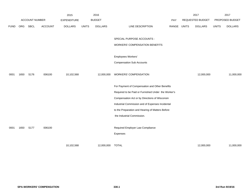|             |      |                       |                | 2015               |              | 2016           |                                                     |       |              | 2017             |              | 2017            |
|-------------|------|-----------------------|----------------|--------------------|--------------|----------------|-----------------------------------------------------|-------|--------------|------------------|--------------|-----------------|
|             |      | <b>ACCOUNT NUMBER</b> |                | <b>EXPENDITURE</b> |              | <b>BUDGET</b>  |                                                     | PAY   |              | REQUESTED BUDGET |              | PROPOSED BUDGET |
| <b>FUND</b> | ORG  | SBCL                  | <b>ACCOUNT</b> | <b>DOLLARS</b>     | <b>UNITS</b> | <b>DOLLARS</b> | LINE DESCRIPTION                                    | RANGE | <b>UNITS</b> | <b>DOLLARS</b>   | <b>UNITS</b> | <b>DOLLARS</b>  |
|             |      |                       |                |                    |              |                |                                                     |       |              |                  |              |                 |
|             |      |                       |                |                    |              |                | SPECIAL PURPOSE ACCOUNTS -                          |       |              |                  |              |                 |
|             |      |                       |                |                    |              |                | <b>WORKERS' COMPENSATION BENEFITS</b>               |       |              |                  |              |                 |
|             |      |                       |                |                    |              |                |                                                     |       |              |                  |              |                 |
|             |      |                       |                |                    |              |                | Employees Workers'                                  |       |              |                  |              |                 |
|             |      |                       |                |                    |              |                | <b>Compensation Sub Accounts</b>                    |       |              |                  |              |                 |
|             |      |                       |                |                    |              |                |                                                     |       |              |                  |              |                 |
| 0001        | 1650 | S176                  | 006100         | 10,102,568         |              | 12,000,000     | <b>WORKERS' COMPENSATION</b>                        |       |              | 12,000,000       |              | 11,000,000      |
|             |      |                       |                |                    |              |                | For Payment of Compensation and Other Benefits      |       |              |                  |              |                 |
|             |      |                       |                |                    |              |                |                                                     |       |              |                  |              |                 |
|             |      |                       |                |                    |              |                | Required to be Paid or Furnished Under the Worker's |       |              |                  |              |                 |
|             |      |                       |                |                    |              |                | Compensation Act or by Directions of Wisconsin      |       |              |                  |              |                 |
|             |      |                       |                |                    |              |                | Industrial Commission and of Expenses Incidental    |       |              |                  |              |                 |
|             |      |                       |                |                    |              |                | to the Preparation and Hearing of Matters Before    |       |              |                  |              |                 |
|             |      |                       |                |                    |              |                | the Industrial Commission.                          |       |              |                  |              |                 |
|             |      |                       |                |                    |              |                |                                                     |       |              |                  |              |                 |
| 0001        | 1650 | S177                  | 006100         |                    |              |                | Required Employer Law Compliance                    |       |              |                  |              |                 |
|             |      |                       |                |                    |              |                | Expenses                                            |       |              |                  |              |                 |
|             |      |                       |                |                    |              |                |                                                     |       |              |                  |              |                 |
|             |      |                       |                | 10,102,568         |              | 12,000,000     | <b>TOTAL</b>                                        |       |              | 12,000,000       |              | 11,000,000      |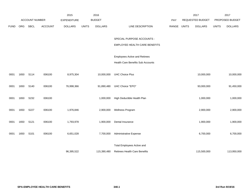|             |      |                       |                | 2015               |              | 2016           |                                      |       |              | 2017                    |              | 2017            |
|-------------|------|-----------------------|----------------|--------------------|--------------|----------------|--------------------------------------|-------|--------------|-------------------------|--------------|-----------------|
|             |      | <b>ACCOUNT NUMBER</b> |                | <b>EXPENDITURE</b> |              | <b>BUDGET</b>  |                                      | PAY   |              | <b>REQUESTED BUDGET</b> |              | PROPOSED BUDGET |
| <b>FUND</b> | ORG  | SBCL                  | <b>ACCOUNT</b> | <b>DOLLARS</b>     | <b>UNITS</b> | <b>DOLLARS</b> | LINE DESCRIPTION                     | RANGE | <b>UNITS</b> | <b>DOLLARS</b>          | <b>UNITS</b> | <b>DOLLARS</b>  |
|             |      |                       |                |                    |              |                |                                      |       |              |                         |              |                 |
|             |      |                       |                |                    |              |                | SPECIAL PURPOSE ACCOUNTS -           |       |              |                         |              |                 |
|             |      |                       |                |                    |              |                | EMPLOYEE HEALTH CARE BENEFITS        |       |              |                         |              |                 |
|             |      |                       |                |                    |              |                |                                      |       |              |                         |              |                 |
|             |      |                       |                |                    |              |                | <b>Employees Active and Retirees</b> |       |              |                         |              |                 |
|             |      |                       |                |                    |              |                | Health Care Benefits Sub Accounts    |       |              |                         |              |                 |
|             |      |                       |                |                    |              |                |                                      |       |              |                         |              |                 |
| 0001        | 1650 | S114                  | 006100         | 8,975,304          |              | 10,000,000     | <b>UHC Choice Plus</b>               |       |              | 10,000,000              |              | 10,000,000      |
| 0001        | 1650 | S140                  | 006100         | 76,998,366         |              | 91,890,480     | UHC Choice "EPO"                     |       |              | 93,000,000              |              | 91,450,000      |
|             |      |                       |                |                    |              |                |                                      |       |              |                         |              |                 |
| 0001        | 1650 | S232                  | 006100         |                    |              | 1,000,000      | High Deductible Health Plan          |       |              | 1,000,000               |              | 1,000,000       |
|             |      |                       |                |                    |              |                |                                      |       |              |                         |              |                 |
| 0001        | 1650 | S227                  | 006100         | 1,976,846          |              | 2,900,000      | Wellness Program                     |       |              | 2,900,000               |              | 2,900,000       |
|             |      |                       |                |                    |              |                |                                      |       |              |                         |              |                 |
| 0001        | 1650 | S121                  | 006100         | 1,793,978          |              | 1,900,000      | Dental Insurance                     |       |              | 1,900,000               |              | 1,900,000       |
|             |      |                       |                |                    |              |                |                                      |       |              |                         |              |                 |
| 0001        | 1650 | S101                  | 006100         | 6,651,028          |              | 7,700,000      | Administrative Expense               |       |              | 6,700,000               |              | 6,700,000       |
|             |      |                       |                |                    |              |                | <b>Total Employees Active and</b>    |       |              |                         |              |                 |
|             |      |                       |                | 96,395,522         |              | 115,390,480    | Retirees Health Care Benefits        |       |              | 115,500,000             |              | 113,950,000     |
|             |      |                       |                |                    |              |                |                                      |       |              |                         |              |                 |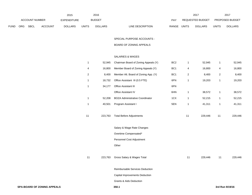|             |     |                       |                | 2015               |              | 2016           |                                  | 2017                    |              | 2017                   |
|-------------|-----|-----------------------|----------------|--------------------|--------------|----------------|----------------------------------|-------------------------|--------------|------------------------|
|             |     | <b>ACCOUNT NUMBER</b> |                | <b>EXPENDITURE</b> |              | <b>BUDGET</b>  | PAY                              | <b>REQUESTED BUDGET</b> |              | <b>PROPOSED BUDGET</b> |
| <b>FUND</b> | ORG | <b>SBCL</b>           | <b>ACCOUNT</b> | <b>DOLLARS</b>     | <b>UNITS</b> | <b>DOLLARS</b> | <b>RANGE</b><br>LINE DESCRIPTION | UNITS<br><b>DOLLARS</b> | <b>UNITS</b> | <b>DOLLARS</b>         |

SPECIAL PURPOSE ACCOUNTS -

# BOARD OF ZONING APPEALS

# SALARIES & WAGES

| 1            | 52,945  | Chairman Board of Zoning Appeals (Y)   | BC <sub>2</sub> | 1              | 52,945  | 1            | 52,945  |
|--------------|---------|----------------------------------------|-----------------|----------------|---------|--------------|---------|
| 4            | 16,800  | Member Board of Zoning Appeals (Y)     | BC <sub>1</sub> | 4              | 16,800  | 4            | 16,800  |
| 2            | 8,400   | Member Alt. Board of Zoning App. (Y)   | BC <sub>1</sub> | $\overline{c}$ | 8,400   | 2            | 8,400   |
| 1            | 18,732  | Office Assistant III (0.5 FTE)         | 6FN             | 1              | 19,203  | 1            | 19,203  |
| $\mathbf{1}$ | 34,177  | Office Assistant III                   | 6FN             |                |         |              |         |
|              |         | Office Assistant IV                    | 6HN             | 1              | 38,572  | 1            | 38,572  |
| 1            | 52,208  | <b>BOZA Administrative Coordinator</b> | 1CX             | 1              | 52,215  | $\mathbf{1}$ | 52,215  |
| $\mathbf{1}$ | 40,501  | Program Assistant I                    | 5EN             | 1              | 41,311  | 1            | 41,311  |
| 11           | 223,763 | <b>Total Before Adjustments</b>        |                 | 11             | 229,446 | 11           | 229,446 |
|              |         | Salary & Wage Rate Changes             |                 |                |         |              |         |
|              |         | Overtime Compensated*                  |                 |                |         |              |         |
|              |         | Personnel Cost Adjustment              |                 |                |         |              |         |
|              |         | Other                                  |                 |                |         |              |         |
| 11           | 223,763 | Gross Salary & Wages Total             |                 | 11             | 229,446 | 11           | 229,446 |
|              |         | Reimbursable Services Deduction        |                 |                |         |              |         |
|              |         | Capital Improvements Deduction         |                 |                |         |              |         |
|              |         | <b>Grants &amp; Aids Deduction</b>     |                 |                |         |              |         |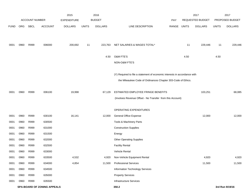|             |      |                       |                             | 2015               |              | 2016           |                                                                           |             |      | 2017             |              | 2017            |
|-------------|------|-----------------------|-----------------------------|--------------------|--------------|----------------|---------------------------------------------------------------------------|-------------|------|------------------|--------------|-----------------|
|             |      | <b>ACCOUNT NUMBER</b> |                             | <b>EXPENDITURE</b> |              | <b>BUDGET</b>  |                                                                           | PAY         |      | REQUESTED BUDGET |              | PROPOSED BUDGET |
| <b>FUND</b> | ORG  | <b>SBCL</b>           | <b>ACCOUNT</b>              | <b>DOLLARS</b>     | <b>UNITS</b> | <b>DOLLARS</b> | LINE DESCRIPTION                                                          | RANGE UNITS |      | <b>DOLLARS</b>   | <b>UNITS</b> | <b>DOLLARS</b>  |
|             |      |                       |                             |                    |              |                |                                                                           |             |      |                  |              |                 |
| 0001        | 0960 | R999                  | 006000                      | 200,692            | 11           | 223,763        | NET SALARIES & WAGES TOTAL*                                               |             | 11   | 229,446          | 11           | 229,446         |
|             |      |                       |                             |                    |              |                |                                                                           |             |      |                  |              |                 |
|             |      |                       |                             |                    |              | 4.50           | O&M FTE'S                                                                 |             | 4.50 |                  | 4.50         |                 |
|             |      |                       |                             |                    |              |                | NON-O&M FTE'S                                                             |             |      |                  |              |                 |
|             |      |                       |                             |                    |              |                | (Y) Required to file a statement of economic interests in accordance with |             |      |                  |              |                 |
|             |      |                       |                             |                    |              |                | the Milwaukee Code of Ordinances Chapter 303-Code of Ethics.              |             |      |                  |              |                 |
|             |      |                       |                             |                    |              |                |                                                                           |             |      |                  |              |                 |
| 0001        | 0960 | R999                  | 006100                      | 19,998             |              | 67,129         | ESTIMATED EMPLOYEE FRINGE BENEFITS                                        |             |      | 103,251          |              | 68,085          |
|             |      |                       |                             |                    |              |                | (Involves Revenue Offset - No Transfer from this Account)                 |             |      |                  |              |                 |
|             |      |                       |                             |                    |              |                |                                                                           |             |      |                  |              |                 |
|             |      |                       |                             |                    |              |                | OPERATING EXPENDITURES                                                    |             |      |                  |              |                 |
| 0001        | 0960 | R999                  | 630100                      | 16,141             |              | 12,000         | <b>General Office Expense</b>                                             |             |      | 12,000           |              | 12,000          |
| 0001        | 0960 | R999                  | 630500                      |                    |              |                | Tools & Machinery Parts                                                   |             |      |                  |              |                 |
| 0001        | 0960 | R999                  | 631000                      |                    |              |                | <b>Construction Supplies</b>                                              |             |      |                  |              |                 |
| 0001        | 0960 | R999                  | 631500                      |                    |              |                | Energy                                                                    |             |      |                  |              |                 |
| 0001        | 0960 | R999                  | 632000                      |                    |              |                | <b>Other Operating Supplies</b>                                           |             |      |                  |              |                 |
| 0001        | 0960 | R999                  | 632500                      |                    |              |                | <b>Facility Rental</b>                                                    |             |      |                  |              |                 |
| 0001        | 0960 | R999                  | 633000                      |                    |              |                | Vehicle Rental                                                            |             |      |                  |              |                 |
| 0001        | 0960 | R999                  | 633500                      | 4,532              |              | 4,920          | Non-Vehicle Equipment Rental                                              |             |      | 4,920            |              | 4,920           |
| 0001        | 0960 | R999                  | 634000                      | 4,854              |              | 11,500         | <b>Professional Services</b>                                              |             |      | 11,500           |              | 11,500          |
| 0001        | 0960 | R999                  | 634500                      |                    |              |                | Information Technology Services                                           |             |      |                  |              |                 |
| 0001        | 0960 | R999                  | 635000                      |                    |              |                | <b>Property Services</b>                                                  |             |      |                  |              |                 |
| 0001        | 0960 | R999                  | 635500                      |                    |              |                | Infrastructure Services                                                   |             |      |                  |              |                 |
|             |      |                       | SPA-BOARD OF ZONING APPEALS |                    |              |                | 350.2                                                                     |             |      |                  |              | 3rd Run 9/19/16 |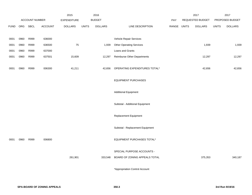|             |      |                |         | 2015               |              | 2016           |                                  |            |              | 2017             |              | 2017            |
|-------------|------|----------------|---------|--------------------|--------------|----------------|----------------------------------|------------|--------------|------------------|--------------|-----------------|
|             |      | ACCOUNT NUMBER |         | <b>EXPENDITURE</b> |              | <b>BUDGET</b>  |                                  | <b>PAY</b> |              | REQUESTED BUDGET |              | PROPOSED BUDGET |
| <b>FUND</b> | ORG  | <b>SBCL</b>    | ACCOUNT | <b>DOLLARS</b>     | <b>UNITS</b> | <b>DOLLARS</b> | LINE DESCRIPTION                 | RANGE      | <b>UNITS</b> | <b>DOLLARS</b>   | <b>UNITS</b> | <b>DOLLARS</b>  |
|             |      |                |         |                    |              |                |                                  |            |              |                  |              |                 |
| 0001        | 0960 | R999           | 636000  |                    |              |                | Vehicle Repair Services          |            |              |                  |              |                 |
| 0001        | 0960 | R999           | 636500  | 75                 |              | 1,939          | <b>Other Operating Services</b>  |            |              | 1,939            |              | 1,939           |
| 0001        | 0960 | R999           | 637000  |                    |              |                | Loans and Grants                 |            |              |                  |              |                 |
| 0001        | 0960 | R999           | 637501  | 15,609             |              | 12,297         | Reimburse Other Departments      |            |              | 12,297           |              | 12,297          |
| 0001        | 0960 | R999           | 006300  | 41,211             |              | 42,656         | OPERATING EXPENDITURES TOTAL*    |            |              | 42,656           |              | 42,656          |
|             |      |                |         |                    |              |                | <b>EQUIPMENT PURCHASES</b>       |            |              |                  |              |                 |
|             |      |                |         |                    |              |                | <b>Additional Equipment</b>      |            |              |                  |              |                 |
|             |      |                |         |                    |              |                | Subtotal - Additional Equipment  |            |              |                  |              |                 |
|             |      |                |         |                    |              |                | Replacement Equipment            |            |              |                  |              |                 |
|             |      |                |         |                    |              |                | Subtotal - Replacement Equipment |            |              |                  |              |                 |
| 0001        | 0960 | R999           | 006800  |                    |              |                | EQUIPMENT PURCHASES TOTAL*       |            |              |                  |              |                 |
|             |      |                |         |                    |              |                | SPECIAL PURPOSE ACCOUNTS -       |            |              |                  |              |                 |
|             |      |                |         | 261,901            |              | 333,548        | BOARD OF ZONING APPEALS TOTAL    |            |              | 375,353          |              | 340,187         |
|             |      |                |         |                    |              |                | *Appropriation Control Account   |            |              |                  |              |                 |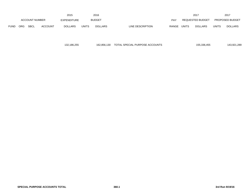|                       | 2015       |                    |                |                | 2016         |                  | 2017                             |                                | 2017  |                |
|-----------------------|------------|--------------------|----------------|----------------|--------------|------------------|----------------------------------|--------------------------------|-------|----------------|
| <b>ACCOUNT NUMBER</b> |            | <b>EXPENDITURE</b> |                | <b>BUDGET</b>  | PAY          | REQUESTED BUDGET |                                  | <b>PROPOSED BUDGET</b>         |       |                |
| <b>FUND</b>           | <b>ORG</b> | <b>SBCL</b>        | <b>ACCOUNT</b> | <b>DOLLARS</b> | <b>UNITS</b> | <b>DOLLARS</b>   | LINE DESCRIPTION<br><b>RANGE</b> | <b>UNITS</b><br><b>DOLLARS</b> | UNITS | <b>DOLLARS</b> |

| 132,186,255 | 162.856.130 TOTAL SPECIAL PURPOSE ACCOUNTS | 155.336.455 | 143.921.289 |
|-------------|--------------------------------------------|-------------|-------------|
|             |                                            |             |             |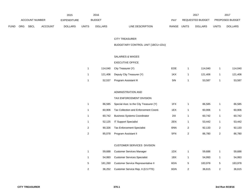|                       | 2015 |                    |                |                | 2016         |                |                           | 2017         |                        | 201          |                |
|-----------------------|------|--------------------|----------------|----------------|--------------|----------------|---------------------------|--------------|------------------------|--------------|----------------|
| <b>ACCOUNT NUMBER</b> |      | <b>EXPENDITURE</b> |                | <b>BUDGET</b>  | PAY          |                | REQUESTED BUDGET          |              | <b>PROPOSED BUDGET</b> |              |                |
| <b>FUND</b>           | ORG  | SBCL               | <b>ACCOUNT</b> | <b>DOLLARS</b> | <b>UNITS</b> | <b>DOLLARS</b> | LINE DESCRIPTION<br>RANGE | <b>UNITS</b> | <b>DOLLARS</b>         | <b>UNITS</b> | <b>DOLLARS</b> |

#### CITY TREASURER

## BUDGETARY CONTROL UNIT (1BCU=1DU)

## SALARIES & WAGES

#### EXECUTIVE OFFICE

|        | 114,040 City Treasurer (Y)        | EOE | 114.040 | 114.040 |
|--------|-----------------------------------|-----|---------|---------|
|        | 121,406 Deputy City Treasurer (Y) | 1KX | 121.406 | 121,406 |
| 52,537 | Program Assistant III             | 5IN | 53.587  | 53,587  |

### ADMINISTRATION AND

#### TAX ENFORCEMENT DIVISION

| 86.585 | Special Asst. to the City Treasurer (Y) | 1FX |   | 86.585 |   | 86,585 |
|--------|-----------------------------------------|-----|---|--------|---|--------|
| 60.906 | Tax Collection and Enforcement Coord.   | 1EX |   | 60.906 |   | 60,906 |
| 60.742 | <b>Business Systems Coordinator</b>     | 2IX |   | 60.742 |   | 60,742 |
| 52.125 | <b>IT Support Specialist</b>            | 2EN |   | 53.442 |   | 53,442 |
| 90.326 | <b>Tax Enforcement Specialist</b>       | 6NN | 2 | 92.133 | 2 | 92,133 |
| 85.078 | Program Assistant II                    | 5FN |   | 86.780 | າ | 86,780 |

# CUSTOMER SERVICES DIVISION

|   | 59.688  | <b>Customer Services Manager</b>    | 1DX | 59.688  |   | 59.688  |
|---|---------|-------------------------------------|-----|---------|---|---------|
|   | 54.993  | <b>Customer Services Specialist</b> | 1BX | 54.993  |   | 54,993  |
| 5 | 181.260 | Customer Service Representative II  | 6GN | 183.978 | 5 | 183,978 |
| 2 | 36,252  | Customer Service Rep. II (0.5 FTE)  | 6GN | 36.615  |   | 36,615  |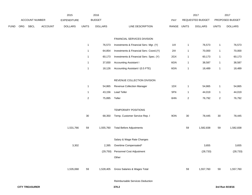|             |     |                       |                | 2015               |                | 2016           |                                         |       |                         | 2017             |                | 2017            |
|-------------|-----|-----------------------|----------------|--------------------|----------------|----------------|-----------------------------------------|-------|-------------------------|------------------|----------------|-----------------|
|             |     | ACCOUNT NUMBER        |                | <b>EXPENDITURE</b> |                | <b>BUDGET</b>  |                                         | PAY   |                         | REQUESTED BUDGET |                | PROPOSED BUDGET |
| <b>FUND</b> | ORG | SBCL                  | <b>ACCOUNT</b> | <b>DOLLARS</b>     | <b>UNITS</b>   | <b>DOLLARS</b> | LINE DESCRIPTION                        | RANGE | <b>UNITS</b>            | <b>DOLLARS</b>   | <b>UNITS</b>   | <b>DOLLARS</b>  |
|             |     |                       |                |                    |                |                | FINANCIAL SERVICES DIVISION             |       |                         |                  |                |                 |
|             |     |                       |                |                    | $\overline{1}$ | 76,573         | Investments & Financial Serv. Mgr. (Y)  | 11X   | $\mathbf{1}$            | 76,573           | $\mathbf{1}$   | 76,573          |
|             |     |                       |                |                    | $\overline{1}$ | 64,854         | Investments & Financial Serv. Coord.(Y) | 2IX   | $\mathbf{1}$            | 70,000           | $\mathbf{1}$   | 70,000          |
|             |     |                       |                |                    | $\overline{1}$ | 60,173         | Investments & Financial Serv. Spec. (Y) | 2GX   | $\mathbf{1}$            | 60,173           | $\mathbf{1}$   | 60,173          |
|             |     |                       |                |                    | $\overline{1}$ | 37,830         | <b>Accounting Assistant I</b>           | 6GN   | $\mathbf{1}$            | 38,587           | $\mathbf{1}$   | 38,587          |
|             |     |                       |                |                    | $\overline{1}$ | 18,126         | Accounting Assistant I (0.5 FTE)        | 6GN   | $\mathbf{1}$            | 18,489           | $\mathbf{1}$   | 18,489          |
|             |     |                       |                |                    |                |                | REVENUE COLLECTION DIVISION             |       |                         |                  |                |                 |
|             |     |                       |                |                    | $\overline{1}$ | 54,865         | Revenue Collection Manager              | 1DX   | $\mathbf{1}$            | 54,865           | $\mathbf{1}$   | 54,865          |
|             |     |                       |                |                    | $\overline{1}$ | 43,156         | <b>Lead Teller</b>                      | 5FN   | $\mathbf{1}$            | 44,019           | $\mathbf{1}$   | 44,019          |
|             |     |                       |                |                    | $\overline{2}$ | 75,895         | Teller                                  | 6HN   | $\overline{\mathbf{c}}$ | 76,792           | $\overline{2}$ | 76,792          |
|             |     |                       |                |                    |                |                | TEMPORARY POSITIONS                     |       |                         |                  |                |                 |
|             |     |                       |                |                    | $30\,$         | 68,350         | Temp. Customer Service Rep. I           | 9ON   | $30\,$                  | 78,445           | $30\,$         | 78,445          |
|             |     |                       |                | 1,531,766          | 59             | 1,555,760      | <b>Total Before Adjustments</b>         |       | 59                      | 1,582,838        | 59             | 1,582,838       |
|             |     |                       |                |                    |                |                | Salary & Wage Rate Changes              |       |                         |                  |                |                 |
|             |     |                       |                | 3,302              |                | 2,395          | Overtime Compensated*                   |       |                         | 3,655            |                | 3,655           |
|             |     |                       |                |                    |                | (29, 750)      | Personnel Cost Adjustment               |       |                         | (28, 733)        |                | (28, 733)       |
|             |     |                       |                |                    |                |                | Other                                   |       |                         |                  |                |                 |
|             |     |                       |                | 1,535,068          | 59             | 1,528,405      | Gross Salaries & Wages Total            |       | 59                      | 1,557,760        | 59             | 1,557,760       |
|             |     |                       |                |                    |                |                | Reimbursable Services Deduction         |       |                         |                  |                |                 |
|             |     | <b>CITY TREASURER</b> |                |                    |                |                | 370.2                                   |       |                         |                  |                | 3rd Run 9/19/16 |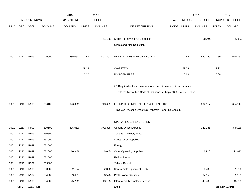|             |      |                       |                | 2015               |              | 2016           |                                                                      |            |              | 2017             |              | 2017            |
|-------------|------|-----------------------|----------------|--------------------|--------------|----------------|----------------------------------------------------------------------|------------|--------------|------------------|--------------|-----------------|
|             |      | <b>ACCOUNT NUMBER</b> |                | <b>EXPENDITURE</b> |              | <b>BUDGET</b>  |                                                                      | <b>PAY</b> |              | REQUESTED BUDGET |              | PROPOSED BUDGET |
| <b>FUND</b> | ORG  | SBCL                  | <b>ACCOUNT</b> | <b>DOLLARS</b>     | <b>UNITS</b> | <b>DOLLARS</b> | LINE DESCRIPTION                                                     | RANGE      | <b>UNITS</b> | <b>DOLLARS</b>   | <b>UNITS</b> | <b>DOLLARS</b>  |
|             |      |                       |                |                    |              |                |                                                                      |            |              |                  |              |                 |
|             |      |                       |                |                    |              | (31, 198)      | <b>Capital Improvements Deduction</b>                                |            |              | $-37,500$        |              | $-37,500$       |
|             |      |                       |                |                    |              |                | Grants and Aids Deduction                                            |            |              |                  |              |                 |
| 0001        | 2210 | R999                  | 006000         | 1,535,068          | 59           | 1,497,207      | NET SALARIES & WAGES TOTAL*                                          |            | 59           | 1,520,260        | 59           | 1,520,260       |
|             |      |                       |                |                    | 29.23        |                | <b>O&amp;M FTE'S</b>                                                 |            | 29.23        |                  | 29.23        |                 |
|             |      |                       |                |                    | 0.30         |                | NON-O&M FTE'S                                                        |            | 0.69         |                  | 0.69         |                 |
|             |      |                       |                |                    |              |                | (Y) Required to file a statement of economic interests in accordance |            |              |                  |              |                 |
|             |      |                       |                |                    |              |                | with the Milwaukee Code of Ordinances Chapter 303-Code of Ethics.    |            |              |                  |              |                 |
| 0001        | 2210 | R999                  | 006100         | 626,082            |              | 718,659        | ESTIMATED EMPLOYEE FRINGE BENEFITS                                   |            |              | 684,117          |              | 684,117         |
|             |      |                       |                |                    |              |                | (Involves Revenue Offset-No Transfers From This Account)             |            |              |                  |              |                 |
|             |      |                       |                |                    |              |                |                                                                      |            |              |                  |              |                 |
|             |      |                       |                |                    |              |                | OPERATING EXPENDITURES                                               |            |              |                  |              |                 |
| 0001        | 2210 | R999                  | 630100         | 335,062            |              | 372,395        | General Office Expense                                               |            |              | 349,185          |              | 349,185         |
| 0001        | 2210 | R999                  | 630500         |                    |              |                | Tools & Machinery Parts                                              |            |              |                  |              |                 |
| 0001        | 2210 | R999                  | 631000         |                    |              |                | <b>Construction Supplies</b>                                         |            |              |                  |              |                 |
| 0001        | 2210 | R999                  | 631500         |                    |              |                | Energy                                                               |            |              |                  |              |                 |
| 0001        | 2210 | R999                  | 632000         | 10,945             |              | 6,645          | <b>Other Operating Supplies</b>                                      |            |              | 11,910           |              | 11,910          |
| 0001        | 2210 | R999                  | 632500         |                    |              |                | <b>Facility Rental</b>                                               |            |              |                  |              |                 |
| 0001        | 2210 | R999                  | 633000         |                    |              |                | Vehicle Rental                                                       |            |              |                  |              |                 |
| 0001        | 2210 | R999                  | 633500         | 2,184              |              | 2,380          | Non-Vehicle Equipment Rental                                         |            |              | 1,730            |              | 1,730           |
| 0001        | 2210 | R999                  | 634000         | 63,661             |              | 86,590         | <b>Professional Services</b>                                         |            |              | 62,155           |              | 62,155          |
| 0001        | 2210 | R999                  | 634500         | 25,762             |              | 43,185         | Information Technology Services                                      |            |              | 43,735           |              | 43,735          |
|             |      | <b>CITY TREASURER</b> |                |                    |              |                | 370.3                                                                |            |              |                  |              | 3rd Run 9/19/16 |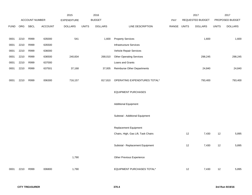|             |      |                |                | 2015               |              | 2016           |                                     |       |              | 2017             |              | 2017            |
|-------------|------|----------------|----------------|--------------------|--------------|----------------|-------------------------------------|-------|--------------|------------------|--------------|-----------------|
|             |      | ACCOUNT NUMBER |                | <b>EXPENDITURE</b> |              | <b>BUDGET</b>  |                                     | PAY   |              | REQUESTED BUDGET |              | PROPOSED BUDGET |
| <b>FUND</b> | ORG  | <b>SBCL</b>    | <b>ACCOUNT</b> | <b>DOLLARS</b>     | <b>UNITS</b> | <b>DOLLARS</b> | LINE DESCRIPTION                    | RANGE | <b>UNITS</b> | <b>DOLLARS</b>   | <b>UNITS</b> | <b>DOLLARS</b>  |
|             |      |                |                |                    |              |                |                                     |       |              |                  |              |                 |
| 0001        | 2210 | R999           | 635000         | 541                |              | 1,600          | <b>Property Services</b>            |       |              | 1,600            |              | 1,600           |
| 0001        | 2210 | R999           | 635500         |                    |              |                | <b>Infrastructure Services</b>      |       |              |                  |              |                 |
| 0001        | 2210 | R999           | 636000         |                    |              |                | Vehicle Repair Services             |       |              |                  |              |                 |
| 0001        | 2210 | R999           | 636500         | 240,834            |              | 268,010        | <b>Other Operating Services</b>     |       |              | 298,245          |              | 298,245         |
| 0001        | 2210 | R999           | 637000         |                    |              |                | Loans and Grants                    |       |              |                  |              |                 |
| 0001        | 2210 | R999           | 637501         | 37,168             |              | 37,005         | <b>Reimburse Other Departments</b>  |       |              | 24,840           |              | 24,840          |
|             |      |                |                |                    |              |                |                                     |       |              |                  |              |                 |
| 0001        | 2210 | R999           | 006300         | 716,157            |              | 817,810        | OPERATING EXPENDITURES TOTAL*       |       |              | 793,400          |              | 793,400         |
|             |      |                |                |                    |              |                |                                     |       |              |                  |              |                 |
|             |      |                |                |                    |              |                | <b>EQUIPMENT PURCHASES</b>          |       |              |                  |              |                 |
|             |      |                |                |                    |              |                |                                     |       |              |                  |              |                 |
|             |      |                |                |                    |              |                | <b>Additional Equipment</b>         |       |              |                  |              |                 |
|             |      |                |                |                    |              |                | Subtotal - Additional Equipment     |       |              |                  |              |                 |
|             |      |                |                |                    |              |                |                                     |       |              |                  |              |                 |
|             |      |                |                |                    |              |                | Replacement Equipment               |       |              |                  |              |                 |
|             |      |                |                |                    |              |                | Chairs, High, Gas Lift, Task Chairs |       | 12           | 7,430            | 12           | 5,895           |
|             |      |                |                |                    |              |                |                                     |       |              |                  |              |                 |
|             |      |                |                |                    |              |                | Subtotal - Replacement Equipment    |       | 12           | 7,430            | 12           | 5,895           |
|             |      |                |                |                    |              |                |                                     |       |              |                  |              |                 |
|             |      |                |                | 1,790              |              |                | Other Previous Experience           |       |              |                  |              |                 |
|             |      |                |                |                    |              |                |                                     |       |              |                  |              |                 |
| 0001        | 2210 | R999           | 006800         | 1,790              |              |                | <b>EQUIPMENT PURCHASES TOTAL*</b>   |       | 12           | 7,430            | 12           | 5,895           |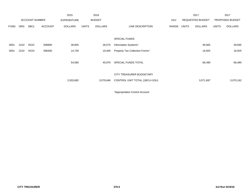|             |            |                       |                | 2015               |              | 2016           |                                |            |       | 2017                    |              | 2017            |
|-------------|------------|-----------------------|----------------|--------------------|--------------|----------------|--------------------------------|------------|-------|-------------------------|--------------|-----------------|
|             |            | <b>ACCOUNT NUMBER</b> |                | <b>EXPENDITURE</b> |              | <b>BUDGET</b>  |                                | <b>PAY</b> |       | <b>REQUESTED BUDGET</b> |              | PROPOSED BUDGET |
| <b>FUND</b> | <b>ORG</b> | <b>SBCL</b>           | <b>ACCOUNT</b> | <b>DOLLARS</b>     | <b>UNITS</b> | <b>DOLLARS</b> | LINE DESCRIPTION               | RANGE      | UNITS | <b>DOLLARS</b>          | <b>UNITS</b> | <b>DOLLARS</b>  |
|             |            |                       |                |                    |              |                |                                |            |       |                         |              |                 |
|             |            |                       |                |                    |              |                | <b>SPECIAL FUNDS</b>           |            |       |                         |              |                 |
| 0001        | 2210       | R222                  | 006800         | 39,855             |              | 26,570         | Information Systems*           |            |       | 49,565                  |              | 49,565          |
| 0001        | 2210       | R223                  | 006300         | 14,730             |              | 19,400         | Property Tax Collection Forms* |            |       | 16,925                  |              | 16,925          |
|             |            |                       |                |                    |              |                |                                |            |       |                         |              |                 |
|             |            |                       |                | 54,585             |              | 45,970         | SPECIAL FUNDS TOTAL            |            |       | 66,490                  |              | 66,490          |
|             |            |                       |                |                    |              |                |                                |            |       |                         |              |                 |
|             |            |                       |                |                    |              |                | CITY TREASURER BUDGETARY       |            |       |                         |              |                 |
|             |            |                       |                | 2,933,682          |              | 3,079,646      | CONTROL UNIT TOTAL (1BCU=1DU)  |            |       | 3,071,697               |              | 3,070,162       |
|             |            |                       |                |                    |              |                |                                |            |       |                         |              |                 |

\*Appropriation Control Account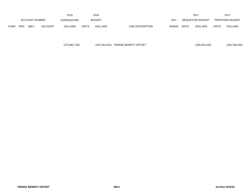|             |                       |             |                | 2015               |       | 2016           |                  |       |              | 2017             |              | 2017                   |
|-------------|-----------------------|-------------|----------------|--------------------|-------|----------------|------------------|-------|--------------|------------------|--------------|------------------------|
|             | <b>ACCOUNT NUMBER</b> |             |                | <b>EXPENDITURE</b> |       | <b>BUDGET</b>  |                  | PAY   |              | REQUESTED BUDGET |              | <b>PROPOSED BUDGET</b> |
| <b>FUND</b> | <b>ORG</b>            | <b>SBCL</b> | <b>ACCOUNT</b> | <b>DOLLARS</b>     | UNITS | <b>DOLLARS</b> | LINE DESCRIPTION | RANGE | <b>UNITS</b> | <b>DOLLARS</b>   | <b>UNITS</b> | <b>DOLLARS</b>         |

(170,862,733) (187,542,614) FRINGE BENEFIT OFFSET (183,910,155) (185,768,325)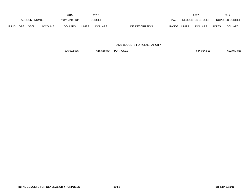|             |                       |             |                | 2015               |              | 2016           |                           |       | 2017             |       | 2017                   |
|-------------|-----------------------|-------------|----------------|--------------------|--------------|----------------|---------------------------|-------|------------------|-------|------------------------|
|             | <b>ACCOUNT NUMBER</b> |             |                | <b>EXPENDITURE</b> |              | <b>BUDGET</b>  | PAY                       |       | REQUESTED BUDGET |       | <b>PROPOSED BUDGET</b> |
| <b>FUND</b> | <b>ORG</b>            | <b>SBCL</b> | <b>ACCOUNT</b> | <b>DOLLARS</b>     | <b>UNITS</b> | <b>DOLLARS</b> | LINE DESCRIPTION<br>RANGE | UNITS | <b>DOLLARS</b>   | UNITS | <b>DOLLARS</b>         |

TOTAL BUDGETS FOR GENERAL CITY

596,672,085 615,568,884 PURPOSES 644,054,511 632,043,859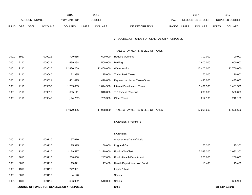|             |      |                       |                | 2015                                      |              | 2016           |                                              |       |              | 2017             |              | 2017            |
|-------------|------|-----------------------|----------------|-------------------------------------------|--------------|----------------|----------------------------------------------|-------|--------------|------------------|--------------|-----------------|
|             |      | <b>ACCOUNT NUMBER</b> |                | <b>EXPENDITURE</b>                        |              | <b>BUDGET</b>  |                                              | PAY   |              | REQUESTED BUDGET |              | PROPOSED BUDGET |
| <b>FUND</b> | ORG  | <b>SBCL</b>           | <b>ACCOUNT</b> | <b>DOLLARS</b>                            | <b>UNITS</b> | <b>DOLLARS</b> | LINE DESCRIPTION                             | RANGE | <b>UNITS</b> | <b>DOLLARS</b>   | <b>UNITS</b> | <b>DOLLARS</b>  |
|             |      |                       |                |                                           |              |                | 2. SOURCE OF FUNDS FOR GENERAL CITY PURPOSES |       |              |                  |              |                 |
|             |      |                       |                |                                           |              |                | TAXES & PAYMENTS IN LIEU OF TAXES            |       |              |                  |              |                 |
| 0001        | 1910 |                       | 009021         | 729,615                                   |              | 690,000        | <b>Housing Authority</b>                     |       |              | 700,000          |              | 700,000         |
| 0001        | 2110 |                       | 009021         | 1,669,268                                 |              | 1,500,000      | Parking                                      |       |              | 1,600,000        |              | 1,600,000       |
| 0001        | 2110 |                       | 009020         | 12,880,259                                |              | 12,400,000     | <b>Water Works</b>                           |       |              | 12,400,000       |              | 12,700,000      |
| 0001        | 2110 |                       | 009040         | 72,935                                    |              | 75,000         | <b>Trailer Park Taxes</b>                    |       |              | 70,000           |              | 70,000          |
| 0001        | 2110 |                       | 009021         | 451,415                                   |              | 420,000        | Payment in Lieu of Taxes-Other               |       |              | 435,000          |              | 435,000         |
| 0001        | 2110 |                       | 009030         | 1,705,055                                 |              | 1,844,500      | Interest/Penalties on Taxes                  |       |              | 1,481,500        |              | 1,481,500       |
| 0001        | 2110 |                       | 009019         | 665,111                                   |              | 340,000        | <b>TID Excess Revenue</b>                    |       |              | 200,000          |              | 500,000         |
| 0001        | 2110 |                       | 009040         | (194, 252)                                |              | 709,300        | <b>Other Taxes</b>                           |       |              | 212,100          |              | 212,100         |
|             |      |                       |                | 17,979,406                                |              | 17,978,800     | TAXES & PAYMENTS IN LIEU OF TAXES            |       |              | 17,098,600       |              | 17,698,600      |
|             |      |                       |                |                                           |              |                | <b>LICENSES &amp; PERMITS</b>                |       |              |                  |              |                 |
|             |      |                       |                |                                           |              |                | <b>LICENSES</b>                              |       |              |                  |              |                 |
| 0001        | 1310 |                       | 009110         | 67,610                                    |              |                | Amusement Dance/Music                        |       |              |                  |              |                 |
| 0001        | 2210 |                       | 009120         | 75,315                                    |              | 80,000         | Dog and Cat                                  |       |              | 75,300           |              | 75,300          |
| 0001        | 1310 |                       | 009110         | 2,179,577                                 |              | 2,220,000      | Food - City Clerk                            |       |              | 2,083,300        |              | 2,083,300       |
| 0001        | 3810 |                       | 009110         | 208,468                                   |              | 247,000        | Food - Health Department                     |       |              | 200,000          |              | 200,000         |
| 0001        | 3810 |                       | 009110         | 15,871                                    |              | 17,400         | Health Department-Non Food                   |       |              | 15,400           |              | 15,400          |
| 0001        | 1310 |                       | 009110         | 242,991                                   |              |                | Liquor & Malt                                |       |              |                  |              |                 |
| 0001        | 3810 |                       | 009110         | 4,120                                     |              |                | Scales                                       |       |              |                  |              |                 |
| 0001        | 1310 |                       | 009110         | 686,902                                   |              | 540,000        | Scales                                       |       |              |                  |              | 686,900         |
|             |      |                       |                | SOURCE OF FUNDS FOR GENERAL CITY PURPOSES |              |                | 400.1                                        |       |              |                  |              | 3rd Run 9/19/16 |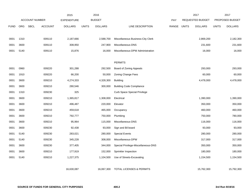|             |            |                               | 2015               |              | 2016           |                                     |       |              | 2017             |              | 2017            |
|-------------|------------|-------------------------------|--------------------|--------------|----------------|-------------------------------------|-------|--------------|------------------|--------------|-----------------|
|             |            | <b>ACCOUNT NUMBER</b>         | <b>EXPENDITURE</b> |              | <b>BUDGET</b>  |                                     | PAY   |              | REQUESTED BUDGET |              | PROPOSED BUDGET |
| <b>FUND</b> | <b>ORG</b> | <b>SBCL</b><br><b>ACCOUNT</b> | <b>DOLLARS</b>     | <b>UNITS</b> | <b>DOLLARS</b> | LINE DESCRIPTION                    | RANGE | <b>UNITS</b> | <b>DOLLARS</b>   | <b>UNITS</b> | <b>DOLLARS</b>  |
|             |            |                               |                    |              |                |                                     |       |              |                  |              |                 |
| 0001        | 1310       | 009110                        | 2,187,666          |              | 2,588,700      | Miscellaneous Business-City Clerk   |       |              | 2,869,200        |              | 2,182,300       |
| 0001        | 3600       | 009110                        | 308,950            |              | 247,900        | Miscellaneous-DNS                   |       |              | 231,600          |              | 231,600         |
| 0001        | 5140       | 009110                        | 15,876             |              | 16,000         | Miscellaneous-DPW Administration    |       |              | 16,000           |              | 16,000          |
|             |            |                               |                    |              |                |                                     |       |              |                  |              |                 |
|             |            |                               |                    |              |                | <b>PERMITS</b>                      |       |              |                  |              |                 |
| 0001        | 0960       | 009220                        | 301,288            |              | 292,500        | Board of Zoning Appeals             |       |              | 293,000          |              | 293,000         |
| 0001        | 1910       | 009220                        | 66,200             |              | 50,000         | <b>Zoning Change Fees</b>           |       |              | 60,000           |              | 60,000          |
| 0001        | 3600       | 009210                        | 4,274,333          |              | 4,328,300      | <b>Building</b>                     |       |              | 4,478,000        |              | 4,478,000       |
| 0001        | 3600       | 009210                        | 280,546            |              | 300,000        | <b>Building Code Compliance</b>     |       |              |                  |              |                 |
| 0001        | 1310       | 009230                        | 325                |              |                | <b>Curb Space Special Privilege</b> |       |              |                  |              |                 |
| 0001        | 3600       | 009210                        | 1,365,817          |              | 1,308,000      | Electrical                          |       |              | 1,390,000        |              | 1,390,000       |
| 0001        | 3600       | 009210                        | 496,487            |              | 220,000        | Elevator                            |       |              | 350,000          |              | 350,000         |
| 0001        | 3600       | 009210                        | 459,618            |              | 465,000        | Occupancy                           |       |              | 460,000          |              | 460,000         |
| 0001        | 3600       | 009210                        | 792,777            |              | 750,000        | Plumbing                            |       |              | 750,000          |              | 780,000         |
| 0001        | 3600       | 009210                        | 95,964             |              | 115,000        | Miscellaneous-DNS                   |       |              | 116,000          |              | 116,000         |
| 0001        | 3600       | 009230                        | 92,438             |              | 93,000         | Sign and Bil board                  |       |              | 93,000           |              | 93,000          |
| 0001        | 5140       | 009230                        | 283,021            |              | 280,000        | <b>Special Events</b>               |       |              | 280,000          |              | 280,000         |
| 0001        | 5140       | 009230                        | 345,228            |              | 308,000        | Miscellaneous-DPW                   |       |              | 317,000          |              | 317,000         |
| 0001        | 3600       | 009230                        | 377,405            |              | 344,000        | Special Privilege-Miscellaneous-DNS |       |              | 350,000          |              | 350,000         |
| 0001        | 3600       | 009210                        | 177,919            |              | 152,000        | Sprinkler Inspection                |       |              | 180,000          |              | 180,000         |
| 0001        | 5140       | 009210                        | 1,227,375          |              | 1,104,500      | Use of Streets-Excavating           |       |              | 1,154,500        |              | 1,154,500       |
|             |            |                               |                    |              |                |                                     |       |              |                  |              |                 |
|             |            |                               | 16,630,087         |              | 16,067,300     | <b>TOTAL LICENSES &amp; PERMITS</b> |       |              | 15,762,300       |              | 15,792,300      |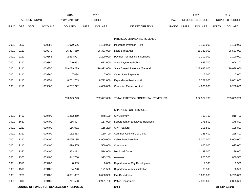|             |            |                        | 2015                                      | 2016                           |                                  |       |              | 2017                    |              | 2017            |
|-------------|------------|------------------------|-------------------------------------------|--------------------------------|----------------------------------|-------|--------------|-------------------------|--------------|-----------------|
|             |            | <b>ACCOUNT NUMBER</b>  | <b>EXPENDITURE</b>                        | <b>BUDGET</b>                  |                                  | PAY   |              | <b>REQUESTED BUDGET</b> |              | PROPOSED BUDGET |
| <b>FUND</b> | <b>ORG</b> | SBCL<br><b>ACCOUNT</b> | <b>DOLLARS</b>                            | <b>DOLLARS</b><br><b>UNITS</b> | LINE DESCRIPTION                 | RANGE | <b>UNITS</b> | <b>DOLLARS</b>          | <b>UNITS</b> | <b>DOLLARS</b>  |
|             |            |                        |                                           |                                |                                  |       |              |                         |              |                 |
|             |            |                        |                                           |                                | INTERGOVERNMENTAL REVENUE        |       |              |                         |              |                 |
| 0001        | 3600       | 009352                 | 1,079,636                                 | 1,100,000                      | Insurance Premium - Fire         |       |              | 1,100,000               |              | 1,100,000       |
| 0001        | 2110       | 009370                 | 26,434,660                                | 26,383,000                     | <b>Local Street Aids</b>         |       |              | 26,383,000              |              | 26,583,000      |
| 0001        | 2110       | 009365                 | 2,513,997                                 | 2,200,000                      | Payment for Municipal Services   |       |              | 2,100,000               |              | 2,100,000       |
| 0001        | 3310       | 009360                 | 740,662                                   | 673,600                        | State Payments-Police            |       |              | 683,700                 |              | 1,006,200       |
| 0001        | 2110       | 009350                 | 219,039,229                               | 218,992,000                    | State Shared Revenue (General)   |       |              | 218,992,000             |              | 219,038,000     |
| 0001        | 2110       | 009360                 | 7,034                                     | 7,000                          | Other State Payments             |       |              | 7,000                   |              | 7,000           |
| 0001        | 2110       | 009351                 | 8,751,753                                 | 8,722,000                      | <b>Expenditure Restraint Aid</b> |       |              | 8,722,000               |              | 9,001,000       |
| 0001        | 2110       | 009360                 | 4,782,272                                 | 4,600,000                      | <b>Computer Exemption Aid</b>    |       |              | 4,600,000               |              | 6,200,000       |
|             |            |                        |                                           |                                |                                  |       |              |                         |              |                 |
|             |            |                        | 263,349,243                               | 262,677,600                    | TOTAL INTERGOVERNMENTAL REVENUES |       |              | 262,587,700             |              | 265,035,200     |
|             |            |                        |                                           |                                |                                  |       |              |                         |              |                 |
|             |            |                        |                                           |                                | <b>CHARGES FOR SERVICES</b>      |       |              |                         |              |                 |
| 0001        | 1490       | 009400                 | 1,252,359                                 | 878,100                        | <b>City Attorney</b>             |       |              | 793,700                 |              | 818,700         |
| 0001        | 1650       | 009400                 | 166,597                                   | 167,000                        | Department of Employee Relations |       |              | 178,800                 |              | 178,800         |
| 0001        | 2210       | 009400                 | 156,081                                   | 165,200                        | <b>City Treasurer</b>            |       |              | 108,800                 |              | 108,800         |
| 0001        | 1310       | 009400                 | 152,853                                   | 150,700                        | Common Council-City Clerk        |       |              | 225,400                 |              | 225,400         |
| 0001        | 1310       | 009400                 | 5,025,185                                 | 4,900,000                      | Cable Franchise Fee              |       |              | 5,000,000               |              | 5,000,000       |
| 0001        | 2110       | 009400                 | 698,565                                   | 580,000                        | Comptroller                      |       |              | 625,000                 |              | 625,000         |
| 0001        | 1320       | 009400                 | 1,353,212                                 | 1,514,000                      | <b>Municipal Court</b>           |       |              | 1,139,000               |              | 1,139,000       |
| 0001        | 2300       | 009400                 | 842,786                                   | 913,200                        | Assessor                         |       |              | 805,500                 |              | 850,500         |
| 0001        | 1910       | 009400                 | 8,983                                     | 8,000                          | Department of City Development   |       |              | 9,500                   |              | 9,500           |
| 0001        | 1510       | 009400                 | 164,720                                   | 171,500                        | Department of Administration     |       |              | 80,500                  |              | 80,500          |
| 0001        | 3280       | 009400                 | 6,651,837                                 | 6,688,300                      | Fire Department                  |       |              | 6,695,000               |              | 6,795,000       |
| 0001        | 3310       | 009400                 | 711,563                                   | 2,921,700                      | <b>Police Department</b>         |       |              | 2,888,600               |              | 2,888,600       |
|             |            |                        | SOURCE OF FUNDS FOR GENERAL CITY PURPOSES |                                | 400.3                            |       |              |                         |              | 3rd Run 9/19/16 |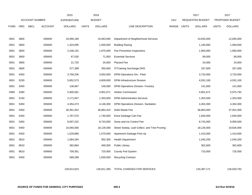|             |      |                       |                | 2015               |              | 2016           |                                              |            |       | 2017             |              | 2017            |
|-------------|------|-----------------------|----------------|--------------------|--------------|----------------|----------------------------------------------|------------|-------|------------------|--------------|-----------------|
|             |      | <b>ACCOUNT NUMBER</b> |                | <b>EXPENDITURE</b> |              | <b>BUDGET</b>  |                                              | <b>PAY</b> |       | REQUESTED BUDGET |              | PROPOSED BUDGET |
| <b>FUND</b> | ORG  | <b>SBCL</b>           | <b>ACCOUNT</b> | <b>DOLLARS</b>     | <b>UNITS</b> | <b>DOLLARS</b> | LINE DESCRIPTION                             | RANGE      | UNITS | <b>DOLLARS</b>   | <b>UNITS</b> | <b>DOLLARS</b>  |
| 0001        | 3600 |                       | 009400         | 16,090,166         |              | 15,063,000     | Department of Neighborhood Services          |            |       | 10,635,000       |              | 12,835,000      |
| 0001        | 3600 |                       | 009400         | 1,424,005          |              | 1,000,000      | <b>Building Razing</b>                       |            |       | 1,100,000        |              | 1,000,000       |
| 0001        | 3600 |                       | 009400         | 2,248,191          |              | 1,975,000      | Fire Prevention Inspections                  |            |       | 1,900,000        |              | 1,900,000       |
| 0001        | 3600 |                       | 009400         | 67,530             |              | 71,000         | <b>Essential Services</b>                    |            |       | 69,000           |              | 69,000          |
| 0001        | 3600 |                       | 009400         | 21,720             |              | 25,000         | Placard Fee                                  |            |       | 24,000           |              | 24,000          |
| 0001        | 3600 |                       | 009400         | 377,398            |              | 350,000        | <b>IT/Training Surcharge-DNS</b>             |            |       | 337,000          |              | 337,000         |
| 0001        | 5450 |                       | 009400         | 3,766,206          |              | 3,650,000      | DPW-Operations Div.- Fleet                   |            |       | 3,720,000        |              | 3,720,000       |
| 0001        | 5230 |                       | 009400         | 5,852,573          |              | 4,609,000      | DPW-Infrastructure Division                  |            |       | 4,552,100        |              | 4,552,100       |
| 0001        | 5450 |                       | 009400         | 136,967            |              | 146,000        | DPW-Operations Division- Forestry            |            |       | 141,000          |              | 141,000         |
| 0480        | 4280 |                       | 009400         | 5,905,581          |              | 4,801,671      | <b>Harbor Commission</b>                     |            |       | 4,801,671        |              | 5,975,792       |
| 0001        | 5140 |                       | 009400         | 2,171,847          |              | 1,350,000      | <b>DPW-Administrative Services</b>           |            |       | 1,353,500        |              | 1,353,500       |
| 0001        | 5450 |                       | 009400         | 4,354,473          |              | 4,148,300      | DPW-Operations Division- Sanitation          |            |       | 4,304,300        |              | 4,304,300       |
| 0001        | 5450 |                       | 009400         | 36,391,922         |              | 36,863,424     | Solid Waste Fee                              |            |       | 36,863,000       |              | 37,931,000      |
| 0001        | 5450 |                       | 009400         | 1,767,570          |              | 1,740,000      | Extra Garbage Cart Fee                       |            |       | 1,640,000        |              | 1,640,000       |
| 0001        | 5450 |                       | 009400         | 8,697,232          |              | 8,743,000      | Snow and Ice Control Fee                     |            |       | 8,743,000        |              | 8,958,500       |
| 0001        | 5450 |                       | 009400         | 16,060,000         |              | 18,126,000     | Street Sweep, Leaf Collect. and Tree Pruning |            |       | 18,126,000       |              | 19,626,000      |
| 0001        | 5450 |                       | 009400         | 1,529,886          |              | 1,570,000      | Apartment Garbage Pick-Up                    |            |       | 1,410,000        |              | 1,410,000       |
| 0001        | 3810 |                       | 009400         | 1,084,294          |              | 902,300        | <b>Health Department</b>                     |            |       | 1,045,200        |              | 1,045,200       |
| 0001        | 8610 |                       | 009400         | 382,864            |              | 400,000        | Public Library                               |            |       | 362,600          |              | 362,600         |
| 0001        | 8610 |                       | 009400         | 709,361            |              | 720,000        | County Fed System                            |            |       | 710,000          |              | 725,000         |
| 0001        | 5450 |                       | 009400         | 589,288            |              | 1,500,000      | <b>Recycling Contract</b>                    |            |       |                  |              |                 |
|             |      |                       |                | 126,813,815        |              | 126,811,395    | TOTAL CHARGES FOR SERVICES                   |            |       | 120,387,171      |              | 126,629,792     |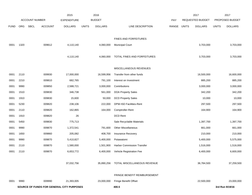|             |            |                                           | 2015               | 2016                           |                                     |       |              | 2017             |              | 2017            |
|-------------|------------|-------------------------------------------|--------------------|--------------------------------|-------------------------------------|-------|--------------|------------------|--------------|-----------------|
|             |            | <b>ACCOUNT NUMBER</b>                     | <b>EXPENDITURE</b> | <b>BUDGET</b>                  |                                     | PAY   |              | REQUESTED BUDGET |              | PROPOSED BUDGET |
| <b>FUND</b> | <b>ORG</b> | SBCL<br><b>ACCOUNT</b>                    | <b>DOLLARS</b>     | <b>UNITS</b><br><b>DOLLARS</b> | LINE DESCRIPTION                    | RANGE | <b>UNITS</b> | <b>DOLLARS</b>   | <b>UNITS</b> | <b>DOLLARS</b>  |
|             |            |                                           |                    |                                |                                     |       |              |                  |              |                 |
|             |            |                                           |                    |                                | FINES AND FORFEITURES               |       |              |                  |              |                 |
| 0001        | 1320       | 009612                                    | 4,110,140          | 4,060,000                      | <b>Municipal Court</b>              |       |              | 3,703,000        |              | 3,703,000       |
|             |            |                                           |                    |                                |                                     |       |              |                  |              |                 |
|             |            |                                           | 4,110,140          | 4,060,000                      | TOTAL FINES AND FORFEITURES         |       |              | 3,703,000        |              | 3,703,000       |
|             |            |                                           |                    |                                | MISCELLANEOUS REVENUES              |       |              |                  |              |                 |
| 0001        | 2110       | 009930                                    | 17,000,000         | 16,599,956                     | Transfer from other funds           |       |              | 16,500,000       |              | 16,600,000      |
| 0001        | 2210       | 009810                                    | 682,765            | 791,100                        | Interest on Investment              |       |              | 885,200          |              | 885,200         |
| 0001        | 9990       | 009850                                    | 2,588,721          | 3,000,000                      | Contributions                       |       |              | 3,000,000        |              | 3,000,000       |
| 0001        | 1510       | 009830                                    | 346,738            | 561,000                        | <b>DOA Property Sales</b>           |       |              | 342,200          |              | 342,200         |
| 0001        | 1910       | 009830                                    | 15,600             | 50,000                         | <b>DCD Property Sales</b>           |       |              | 10,000           |              | 10,000          |
| 0001        | 5230       | 009820                                    | 238,106            | 222,000                        | DPW-ISD Facilities-Rent             |       |              | 297,500          |              | 297,500         |
| 0001        | 2110       | 009820                                    | 162,865            | 164,000                        | Comptroller-Rent                    |       |              | 164,900          |              | 164,900         |
| 0001        | 1910       | 009820                                    | 26                 |                                | DCD Rent                            |       |              |                  |              |                 |
| 0001        | 5450       | 009830                                    | 775,713            |                                | Sale Recyclable Materials           |       |              | 1,397,700        |              | 1,397,700       |
| 0001        | 9990       | 009870                                    | 1,372,541          | 791,600                        | <b>Other Miscellaneous</b>          |       |              | 661,000          |              | 661,000         |
| 0001        | 1650       | 009860                                    | 205,082            | 408,700                        | Insurance Recovery                  |       |              | 210,000          |              | 210,000         |
| 0001        | 9990       | 009870                                    | 5,410,827          | 5,400,000                      | Potawatomi                          |       |              | 5,400,000        |              | 5,575,000       |
| 0001        | 2110       | 009870                                    | 1,580,000          | 1,501,900                      | Harbor Commission Transfer          |       |              | 1,516,000        |              | 1,516,000       |
| 0001        | 2110       | 009870                                    | 6,653,772          | 6,400,000                      | Vehicle Registration Fee            |       |              | 6,400,000        |              | 6,600,000       |
|             |            |                                           |                    |                                |                                     |       |              |                  |              |                 |
|             |            |                                           | 37,032,756         | 35,890,256                     | TOTAL MISCELLANEOUS REVENUE         |       |              | 36,784,500       |              | 37,259,500      |
|             |            |                                           |                    |                                | <b>FRINGE BENEFIT REIMBURSEMENT</b> |       |              |                  |              |                 |
| 0001        | 9990       | 009990                                    | 21,393,005         | 23,000,000                     | Fringe Benefit Offset               |       |              | 22,500,000       |              | 23,000,000      |
|             |            | SOURCE OF FUNDS FOR GENERAL CITY PURPOSES |                    |                                | 400.5                               |       |              |                  |              | 3rd Run 9/19/16 |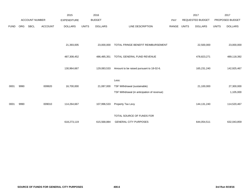|             |            |                       |                | 2015               |              | 2016           |                                             |       |              | 2017                    |              | 2017            |
|-------------|------------|-----------------------|----------------|--------------------|--------------|----------------|---------------------------------------------|-------|--------------|-------------------------|--------------|-----------------|
|             |            | <b>ACCOUNT NUMBER</b> |                | <b>EXPENDITURE</b> |              | <b>BUDGET</b>  |                                             | PAY   |              | <b>REQUESTED BUDGET</b> |              | PROPOSED BUDGET |
| <b>FUND</b> | <b>ORG</b> | <b>SBCL</b>           | <b>ACCOUNT</b> | <b>DOLLARS</b>     | <b>UNITS</b> | <b>DOLLARS</b> | LINE DESCRIPTION                            | RANGE | <b>UNITS</b> | <b>DOLLARS</b>          | <b>UNITS</b> | <b>DOLLARS</b>  |
|             |            |                       |                |                    |              |                |                                             |       |              |                         |              |                 |
|             |            |                       |                | 21,393,005         |              | 23,000,000     | TOTAL FRINGE BENEFIT REIMBURSEMENT          |       |              | 22,500,000              |              | 23,000,000      |
|             |            |                       |                |                    |              |                |                                             |       |              |                         |              |                 |
|             |            |                       |                | 487,308,452        |              | 486,485,351    | TOTAL GENERAL FUND REVENUE                  |       |              | 478,823,271             |              | 489,118,392     |
|             |            |                       |                | 130,964,667        |              | 129,083,533    | Amount to be raised pursuant to 18-02-6.    |       |              | 165,231,240             |              | 142,925,467     |
|             |            |                       |                |                    |              |                |                                             |       |              |                         |              |                 |
|             |            |                       |                |                    |              |                | Less:                                       |       |              |                         |              |                 |
| 0001        | 9990       |                       | 009920         | 16,700,000         |              | 21,087,000     | TSF Withdrawal (sustainable)                |       |              | 21,100,000              |              | 27,300,000      |
|             |            |                       |                |                    |              |                | TSF Withdrawal (in anticipation of revenue) |       |              |                         |              | 1,105,000       |
|             |            |                       |                |                    |              |                |                                             |       |              |                         |              |                 |
| 0001        | 9990       |                       | 009010         | 114,264,667        |              | 107,996,533    | Property Tax Levy                           |       |              | 144,131,240             |              | 114,520,467     |
|             |            |                       |                |                    |              |                | TOTAL SOURCE OF FUNDS FOR                   |       |              |                         |              |                 |
|             |            |                       |                | 618,273,119        |              | 615,568,884    | <b>GENERAL CITY PURPOSES</b>                |       |              | 644,054,511             |              | 632,043,859     |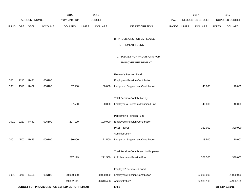|             |      |                       |                | 2015                                          |              | 2016           |                                               |            |              | 2017             |              | 2017            |
|-------------|------|-----------------------|----------------|-----------------------------------------------|--------------|----------------|-----------------------------------------------|------------|--------------|------------------|--------------|-----------------|
|             |      | <b>ACCOUNT NUMBER</b> |                | <b>EXPENDITURE</b>                            |              | <b>BUDGET</b>  |                                               | <b>PAY</b> |              | REQUESTED BUDGET |              | PROPOSED BUDGET |
| <b>FUND</b> | ORG  | SBCL                  | <b>ACCOUNT</b> | <b>DOLLARS</b>                                | <b>UNITS</b> | <b>DOLLARS</b> | LINE DESCRIPTION                              | RANGE      | <b>UNITS</b> | <b>DOLLARS</b>   | <b>UNITS</b> | <b>DOLLARS</b>  |
|             |      |                       |                |                                               |              |                |                                               |            |              |                  |              |                 |
|             |      |                       |                |                                               |              |                | <b>B. PROVISIONS FOR EMPLOYEE</b>             |            |              |                  |              |                 |
|             |      |                       |                |                                               |              |                | <b>RETIREMENT FUNDS</b>                       |            |              |                  |              |                 |
|             |      |                       |                |                                               |              |                | 1. BUDGET FOR PROVISIONS FOR                  |            |              |                  |              |                 |
|             |      |                       |                |                                               |              |                | <b>EMPLOYEE RETIREMENT</b>                    |            |              |                  |              |                 |
|             |      |                       |                |                                               |              |                |                                               |            |              |                  |              |                 |
|             |      |                       |                |                                               |              |                | Firemen's Pension Fund                        |            |              |                  |              |                 |
| 0001        | 2210 | R431                  | 006100         |                                               |              |                | <b>Employer's Pension Contribution</b>        |            |              |                  |              |                 |
| 0001        | 1510 | R432                  | 006100         | 67,500                                        |              | 50,000         | Lump-sum Supplement Contr bution              |            |              | 40,000           |              | 40,000          |
|             |      |                       |                |                                               |              |                |                                               |            |              |                  |              |                 |
|             |      |                       |                |                                               |              |                | <b>Total Pension Contribution by</b>          |            |              |                  |              |                 |
|             |      |                       |                | 67,500                                        |              | 50,000         | Employer to Firemen's Pension Fund            |            |              | 40,000           |              | 40,000          |
|             |      |                       |                |                                               |              |                | Policemen's Pension Fund                      |            |              |                  |              |                 |
| 0001        | 2210 | R441                  | 006100         | 207,199                                       |              | 190,000        | <b>Employer's Pension Contribution</b>        |            |              |                  |              |                 |
|             |      |                       |                |                                               |              |                | PABF Payroll                                  |            |              | 360,000          |              | 320,000         |
|             |      |                       |                |                                               |              |                | Administration*                               |            |              |                  |              |                 |
| 0001        | 4500 | R443                  | 006100         | 30,000                                        |              | 21,500         | Lump-sum Supplement Contr bution              |            |              | 18,500           |              | 10,000          |
|             |      |                       |                |                                               |              |                |                                               |            |              |                  |              |                 |
|             |      |                       |                |                                               |              |                | <b>Total Pension Contribution by Employer</b> |            |              |                  |              |                 |
|             |      |                       |                | 237,199                                       |              | 211,500        | to Policemen's Pension Fund                   |            |              | 378,500          |              | 330,000         |
|             |      |                       |                |                                               |              |                | Employes' Retirement Fund                     |            |              |                  |              |                 |
| 0001        | 2210 | R454                  | 006100         | 60,000,000                                    |              | 60,000,000     | <b>Employer's Pension Contribution</b>        |            |              | 62,000,000       |              | 61,000,000      |
|             |      |                       |                | 19,802,111                                    |              | 26,643,423     | Administration*                               |            |              | 24,983,109       |              | 24,983,109      |
|             |      |                       |                | BUDGET FOR PROVISIONS FOR EMPLOYEE RETIREMENT |              |                | 410.1                                         |            |              |                  |              | 3rd Run 9/19/16 |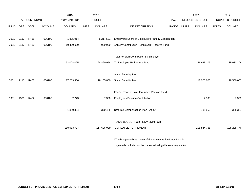|             |      |                       |                | 2015               |              | 2016           |                                                               |       |              | 2017             |              | 2017            |
|-------------|------|-----------------------|----------------|--------------------|--------------|----------------|---------------------------------------------------------------|-------|--------------|------------------|--------------|-----------------|
|             |      | <b>ACCOUNT NUMBER</b> |                | <b>EXPENDITURE</b> |              | <b>BUDGET</b>  |                                                               | PAY   |              | REQUESTED BUDGET |              | PROPOSED BUDGET |
| <b>FUND</b> | ORG  | SBCL                  | <b>ACCOUNT</b> | <b>DOLLARS</b>     | <b>UNITS</b> | <b>DOLLARS</b> | LINE DESCRIPTION                                              | RANGE | <b>UNITS</b> | <b>DOLLARS</b>   | <b>UNITS</b> | <b>DOLLARS</b>  |
|             |      |                       |                |                    |              |                |                                                               |       |              |                  |              |                 |
| 0001        | 2110 | R455                  | 006100         | 1,805,914          |              | 5,217,531      | Employer's Share of Employee's Annuity Contribution           |       |              |                  |              |                 |
| 0001        | 2110 | R460                  | 006100         | 10,400,000         |              | 7,000,000      | Annuity Contribution - Employers' Reserve Fund                |       |              |                  |              |                 |
|             |      |                       |                |                    |              |                |                                                               |       |              |                  |              |                 |
|             |      |                       |                |                    |              |                | <b>Total Pension Contribution By Employer</b>                 |       |              |                  |              |                 |
|             |      |                       |                | 92,008,025         |              | 98,860,954     | To Employes' Retirement Fund                                  |       |              | 86,983,109       |              | 85,983,109      |
|             |      |                       |                |                    |              |                |                                                               |       |              |                  |              |                 |
|             |      |                       |                |                    |              |                | Social Security Tax                                           |       |              |                  |              |                 |
| 0001        | 2110 | R453                  | 006100         | 17,283,366         |              | 18,105,800     | Social Security Tax                                           |       |              | 18,000,000       |              | 18,500,000      |
|             |      |                       |                |                    |              |                |                                                               |       |              |                  |              |                 |
|             |      |                       |                |                    |              |                | Former Town of Lake Firemen's Pension Fund                    |       |              |                  |              |                 |
| 0001        | 4500 | R452                  | 006100         | 7,273              |              | 7,300          | <b>Employer's Pension Contribution</b>                        |       |              | 7,300            |              | 7,300           |
|             |      |                       |                |                    |              |                |                                                               |       |              |                  |              |                 |
|             |      |                       |                | 1,380,364          |              | 370,485        | Deferred Compensation Plan - Adm.*                            |       |              | 435,859          |              | 365,367         |
|             |      |                       |                |                    |              |                |                                                               |       |              |                  |              |                 |
|             |      |                       |                |                    |              |                | TOTAL BUDGET FOR PROVISION FOR                                |       |              |                  |              |                 |
|             |      |                       |                | 110,983,727        |              | 117,606,039    | <b>EMPLOYEE RETIREMENT</b>                                    |       |              | 105,844,768      |              | 105,225,776     |
|             |      |                       |                |                    |              |                |                                                               |       |              |                  |              |                 |
|             |      |                       |                |                    |              |                | *The budgetary breakdown of the administration funds for this |       |              |                  |              |                 |

system is included on the pages following this summary section.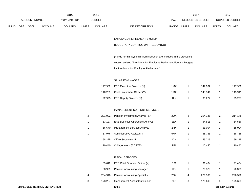|             |                       |             |                | 2015               |              | 2016           |                                  |              | 2017             |              | 201                    |
|-------------|-----------------------|-------------|----------------|--------------------|--------------|----------------|----------------------------------|--------------|------------------|--------------|------------------------|
|             | <b>ACCOUNT NUMBER</b> |             |                | <b>EXPENDITURE</b> |              | <b>BUDGET</b>  | PAY                              |              | REQUESTED BUDGET |              | <b>PROPOSED BUDGET</b> |
| <b>FUND</b> | <b>ORG</b>            | <b>SBCL</b> | <b>ACCOUNT</b> | <b>DOLLARS</b>     | <b>UNITS</b> | <b>DOLLARS</b> | LINE DESCRIPTION<br><b>RANGE</b> | <b>UNITS</b> | <b>DOLLARS</b>   | <b>UNITS</b> | <b>DOLLARS</b>         |

## EMPLOYES' RETIREMENT SYSTEM

### BUDGETARY CONTROL UNIT (1BCU=1DU)

(Funds for this System's Administration are included in the preceding

section entitled "Provisions for Employee Retirement Funds - Budgets

for Provisions for Employee Retirement")

## SALARIES & WAGES

|  | 147,902 ERS Executive Director (Y)   | 1MX | 147.902 | 147,902 |
|--|--------------------------------------|-----|---------|---------|
|  | 140,269 Chief Investment Officer (Y) | 1MX | 145.941 | 145,941 |
|  | 92,995 ERS Deputy Director (Y)       | 1LX | 95.227  | 95,227  |
|  |                                      |     |         |         |

### MANAGEMENT SUPPORT SERVICES

| 2 | 201.002 | Pension Investment Analyst - Sr.       | 2OX | 2 | 214.145 | 2 | 214,145 |
|---|---------|----------------------------------------|-----|---|---------|---|---------|
| 1 | 63.127  | <b>ERS Business Operations Analyst</b> | 1EX |   | 64.516  |   | 64,516  |
| 1 | 66.670  | <b>Management Services Analyst</b>     | 2HX |   | 68.004  |   | 68,004  |
| 1 | 37.976  | Administrative Assistant II            | 6HN |   | 38.735  |   | 38,735  |
| 1 | 58.225  | Office Supervisor II                   | 2CN |   | 59.215  |   | 59,215  |
| 1 | 10.440  | College Intern (0.5 FTE)               | 9IN |   | 10.440  |   | 10,440  |

#### FISCAL SERVICES

|   | 89.612  | ERS Chief Financial Officer (Y)      | 1 I X |   | 91.404  |   | 91,404  |
|---|---------|--------------------------------------|-------|---|---------|---|---------|
|   | 68.999  | <b>Pension Accounting Manager</b>    | 1EX   |   | 70.379  |   | 70,379  |
| 4 | 234.948 | <b>Pension Accounting Specialist</b> | 2GX   | 4 | 226.596 | 4 | 226,596 |
| 3 | 173.287 | Management Accountant-Senior         | 2EX   |   | 175.693 |   | 175,693 |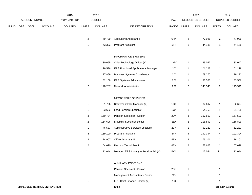|             |     |                       |                | 2015               |                | 2016           |                                            |             |                         | 2017             |                         | 2017            |
|-------------|-----|-----------------------|----------------|--------------------|----------------|----------------|--------------------------------------------|-------------|-------------------------|------------------|-------------------------|-----------------|
|             |     | <b>ACCOUNT NUMBER</b> |                | <b>EXPENDITURE</b> |                | <b>BUDGET</b>  |                                            | PAY         |                         | REQUESTED BUDGET |                         | PROPOSED BUDGET |
| <b>FUND</b> | ORG | <b>SBCL</b>           | <b>ACCOUNT</b> | <b>DOLLARS</b>     | <b>UNITS</b>   | <b>DOLLARS</b> | LINE DESCRIPTION                           | RANGE UNITS |                         | <b>DOLLARS</b>   | <b>UNITS</b>            | <b>DOLLARS</b>  |
|             |     |                       |                |                    |                |                |                                            |             |                         |                  |                         |                 |
|             |     |                       |                |                    | $\mathbf{2}$   | 79,729         | <b>Accounting Assistant II</b>             | 6HN         | $\overline{\mathbf{c}}$ | 77,926           | $\mathbf{2}$            | 77,926          |
|             |     |                       |                |                    | $\mathbf{1}$   | 43,322         | Program Assistant II                       | 5FN         | $\mathbf{1}$            | 44,188           | $\mathbf{1}$            | 44,188          |
|             |     |                       |                |                    |                |                | <b>INFORMATION SYSTEMS</b>                 |             |                         |                  |                         |                 |
|             |     |                       |                |                    | $\mathbf{1}$   | 130,695        | Chief Technology Officer (Y)               | 1MX         | $\mathbf{1}$            | 133,047          | $\mathbf{1}$            | 133,047         |
|             |     |                       |                |                    | $\mathbf{1}$   | 99,536         | <b>ERS Functional Applications Manager</b> | 11X         | 1                       | 101,228          | $\mathbf{1}$            | 101,228         |
|             |     |                       |                |                    | $\mathbf{1}$   | 77,869         | <b>Business Systems Coordinator</b>        | 2IX         | $\mathbf{1}$            | 79,270           | 1                       | 79,270          |
|             |     |                       |                |                    | $\mathbf{1}$   | 82,159         | ERS Systems Administrator                  | 2IX         | $\mathbf{1}$            | 83,556           | 1                       | 83,556          |
|             |     |                       |                |                    |                |                |                                            |             |                         | 145,540          |                         | 145,540         |
|             |     |                       |                |                    | $\mathbf{2}$   | 148,287        | Network Administrator                      | 2IX         | $\overline{\mathbf{c}}$ |                  | $\mathbf{2}$            |                 |
|             |     |                       |                |                    |                |                | MEMBERSHIP SERVICES                        |             |                         |                  |                         |                 |
|             |     |                       |                |                    | $\mathbf{1}$   | 81,796         | Retirement Plan Manager (Y)                | 1GX         | $\mathbf{1}$            | 82,697           | $\mathbf{1}$            | 82,697          |
|             |     |                       |                |                    | $\mathbf{1}$   | 53,682         | <b>Lead Pension Specialist</b>             | 1CX         | 1                       | 54,755           | $\mathbf{1}$            | 54,755          |
|             |     |                       |                |                    | 3              | 160,734        | Pension Specialist - Senior                | 2DN         | 3                       | 167,500          | 3                       | 167,500         |
|             |     |                       |                |                    | $\mathbf{2}$   | 114,696        | <b>Disability Specialist Senior</b>        | 2EX         | $\overline{\mathbf{c}}$ | 116,899          | $\overline{2}$          | 116,899         |
|             |     |                       |                |                    | $\mathbf{1}$   | 46,583         | Administrative Services Specialist         | 2BN         | 1                       | 52,223           | $\mathbf{1}$            | 52,223          |
|             |     |                       |                |                    | 4              | 189,190        | Program Assistant II                       | 5FN         | 4                       | 192,394          | 4                       | 192,394         |
|             |     |                       |                |                    | $\overline{c}$ | 74,907         | <b>Office Assistant III</b>                | 6FN         | 2                       | 76,101           | $\overline{2}$          | 76,101          |
|             |     |                       |                |                    | $\overline{c}$ | 54,690         | Records Technician II                      | 6EN         | $\overline{c}$          | 57,628           | $\overline{\mathbf{c}}$ | 57,628          |
|             |     |                       |                |                    | 11             | 12,044         | Member, ERS Annuity & Pension Bd. (Y)      | BC1         | 11                      | 12,044           | 11                      | 12,044          |
|             |     |                       |                |                    |                |                | <b>AUXILIARY POSITIONS</b>                 |             |                         |                  |                         |                 |
|             |     |                       |                |                    |                |                |                                            |             |                         |                  |                         |                 |
|             |     |                       |                |                    | $\mathbf{1}$   |                | Pension Specialist - Senior                | 2DN         | 1                       |                  | 1                       |                 |
|             |     |                       |                |                    | $\mathbf{1}$   |                | Management Accountant - Senior             | 2EX         | $\mathbf{1}$            |                  | $\mathbf{1}$            |                 |

**ERS Chief Financial Officer (Y)** 11X 1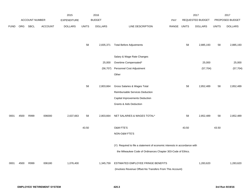|             |      |                       |                | 2015               |              | 2016           |                                                                           |       |              | 2017                    |              | 2017            |
|-------------|------|-----------------------|----------------|--------------------|--------------|----------------|---------------------------------------------------------------------------|-------|--------------|-------------------------|--------------|-----------------|
|             |      | <b>ACCOUNT NUMBER</b> |                | <b>EXPENDITURE</b> |              | <b>BUDGET</b>  |                                                                           | PAY   |              | <b>REQUESTED BUDGET</b> |              | PROPOSED BUDGET |
| <b>FUND</b> | ORG  | <b>SBCL</b>           | <b>ACCOUNT</b> | <b>DOLLARS</b>     | <b>UNITS</b> | <b>DOLLARS</b> | LINE DESCRIPTION                                                          | RANGE | <b>UNITS</b> | <b>DOLLARS</b>          | <b>UNITS</b> | <b>DOLLARS</b>  |
|             |      |                       |                |                    |              |                |                                                                           |       |              |                         |              |                 |
|             |      |                       |                |                    |              |                |                                                                           |       |              |                         |              |                 |
|             |      |                       |                |                    | 58           | 2,835,371      | <b>Total Before Adjustments</b>                                           |       | 58           | 2,885,193               | 58           | 2,885,193       |
|             |      |                       |                |                    |              |                |                                                                           |       |              |                         |              |                 |
|             |      |                       |                |                    |              |                | Salary & Wage Rate Changes                                                |       |              |                         |              |                 |
|             |      |                       |                |                    |              | 25,000         | Overtime Compensated*                                                     |       |              | 25,000                  |              | 25,000          |
|             |      |                       |                |                    |              | (56, 707)      | Personnel Cost Adjustment                                                 |       |              | (57, 704)               |              | (57, 704)       |
|             |      |                       |                |                    |              |                | Other                                                                     |       |              |                         |              |                 |
|             |      |                       |                |                    |              |                |                                                                           |       |              |                         |              |                 |
|             |      |                       |                |                    | 58           | 2,803,664      | Gross Salaries & Wages Total                                              |       | 58           | 2,852,489               | 58           | 2,852,489       |
|             |      |                       |                |                    |              |                | Reimbursable Services Deduction                                           |       |              |                         |              |                 |
|             |      |                       |                |                    |              |                | Capital Improvements Deduction                                            |       |              |                         |              |                 |
|             |      |                       |                |                    |              |                | <b>Grants &amp; Aids Deduction</b>                                        |       |              |                         |              |                 |
| 0001        | 4500 | R999                  | 006000         | 2,637,663          | 58           | 2,803,664      | NET SALARIES & WAGES TOTAL*                                               |       | 58           | 2,852,489               | 58           | 2,852,489       |
|             |      |                       |                |                    |              |                |                                                                           |       |              |                         |              |                 |
|             |      |                       |                |                    | 43.50        |                | O&M FTE'S                                                                 |       | 43.50        |                         | 43.50        |                 |
|             |      |                       |                |                    |              |                | NON-O&M FTE'S                                                             |       |              |                         |              |                 |
|             |      |                       |                |                    |              |                |                                                                           |       |              |                         |              |                 |
|             |      |                       |                |                    |              |                | (Y) Required to file a statement of economic interests in accordance with |       |              |                         |              |                 |
|             |      |                       |                |                    |              |                | the Milwaukee Code of Ordinances Chapter 303-Code of Ethics.              |       |              |                         |              |                 |
|             |      |                       |                |                    |              |                |                                                                           |       |              |                         |              |                 |
| 0001        | 4500 | R999                  | 006180         | 1,076,400          |              | 1,345,759      | ESTIMATED EMPLOYEE FRINGE BENEFITS                                        |       |              | 1,283,620               |              | 1,283,620       |
|             |      |                       |                |                    |              |                | (Involves Revenue Offset-No Transfers From This Account)                  |       |              |                         |              |                 |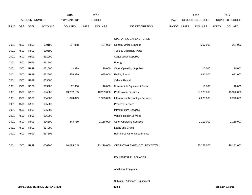|             |            |                       |                | 2015               | 2016          |                |                                    |       |              | 2017             |              | 2017            |
|-------------|------------|-----------------------|----------------|--------------------|---------------|----------------|------------------------------------|-------|--------------|------------------|--------------|-----------------|
|             |            | <b>ACCOUNT NUMBER</b> |                | <b>EXPENDITURE</b> | <b>BUDGET</b> |                |                                    | PAY   |              | REQUESTED BUDGET |              | PROPOSED BUDGET |
| <b>FUND</b> | <b>ORG</b> | SBCL                  | <b>ACCOUNT</b> | <b>DOLLARS</b>     | <b>UNITS</b>  | <b>DOLLARS</b> | LINE DESCRIPTION                   | RANGE | <b>UNITS</b> | <b>DOLLARS</b>   | <b>UNITS</b> | <b>DOLLARS</b>  |
|             |            |                       |                |                    |               |                |                                    |       |              |                  |              |                 |
|             |            |                       |                |                    |               |                | OPERATING EXPENDITURES             |       |              |                  |              |                 |
| 0001        | 4500       | R999                  | 630100         | 164,958            |               | 197,000        | <b>General Office Expense</b>      |       |              | 207,000          |              | 207,000         |
| 0001        | 4500       | R999                  | 630500         |                    |               |                | Tools & Machinery Parts            |       |              |                  |              |                 |
| 0001        | 4500       | R999                  | 631000         |                    |               |                | <b>Construction Supplies</b>       |       |              |                  |              |                 |
| 0001        | 4500       | R999                  | 631500         |                    |               |                | Energy                             |       |              |                  |              |                 |
| 0001        | 4500       | R999                  | 632000         | 3,329              |               | 10,000         | <b>Other Operating Supplies</b>    |       |              | 10,000           |              | 10,000          |
| 0001        | 4500       | R999                  | 632500         | 575,389            |               | 685,000        | <b>Facility Rental</b>             |       |              | 691,000          |              | 691,000         |
| 0001        | 4500       | R999                  | 633000         |                    |               |                | Vehicle Rental                     |       |              |                  |              |                 |
| 0001        | 4500       | R999                  | 633500         | 12,306             |               | 16,000         | Non-Vehicle Equipment Rental       |       |              | 16,000           |              | 16,000          |
| 0001        | 4500       | R999                  | 634000         | 13,202,165         |               | 18,269,000     | <b>Professional Services</b>       |       |              | 15,970,000       |              | 15,970,000      |
| 0001        | 4500       | R999                  | 634500         | 1,623,829          |               | 1,995,000      | Information Technology Services    |       |              | 2,270,000        |              | 2,270,000       |
| 0001        | 4500       | R999                  | 635000         |                    |               |                | <b>Property Services</b>           |       |              |                  |              |                 |
| 0001        | 4500       | R999                  | 635500         |                    |               |                | Infrastructure Services            |       |              |                  |              |                 |
| 0001        | 4500       | R999                  | 636000         |                    |               |                | Vehicle Repair Services            |       |              |                  |              |                 |
| 0001        | 4500       | R999                  | 636500         | 443,769            |               | 1,118,000      | <b>Other Operating Services</b>    |       |              | 1,119,000        |              | 1,119,000       |
| 0001        | 4500       | R999                  | 637000         |                    |               |                | Loans and Grants                   |       |              |                  |              |                 |
| 0001        | 4500       | R999                  | 637501         |                    |               |                | <b>Reimburse Other Departments</b> |       |              |                  |              |                 |
|             |            |                       |                |                    |               |                |                                    |       |              |                  |              |                 |
| 0001        | 4500       | R999                  | 006300         | 16,025,745         |               | 22,290,000     | OPERATING EXPENDITURES TOTAL*      |       |              | 20,283,000       |              | 20,283,000      |
|             |            |                       |                |                    |               |                |                                    |       |              |                  |              |                 |
|             |            |                       |                |                    |               |                | <b>EQUIPMENT PURCHASES</b>         |       |              |                  |              |                 |
|             |            |                       |                |                    |               |                |                                    |       |              |                  |              |                 |
|             |            |                       |                |                    |               |                | <b>Additional Equipment</b>        |       |              |                  |              |                 |
|             |            |                       |                |                    |               |                |                                    |       |              |                  |              |                 |
|             |            |                       |                |                    |               |                |                                    |       |              |                  |              |                 |

Subtotal - Additional Equipment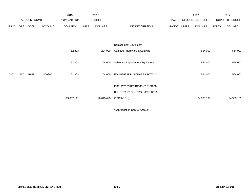|             |            |                       |                | 2015               |              | 2016           |                                    |       |       | 2017             |              | 2017            |
|-------------|------------|-----------------------|----------------|--------------------|--------------|----------------|------------------------------------|-------|-------|------------------|--------------|-----------------|
|             |            | <b>ACCOUNT NUMBER</b> |                | <b>EXPENDITURE</b> |              | <b>BUDGET</b>  |                                    | PAY   |       | REQUESTED BUDGET |              | PROPOSED BUDGET |
| <b>FUND</b> | <b>ORG</b> | SBCL                  | <b>ACCOUNT</b> | <b>DOLLARS</b>     | <b>UNITS</b> | <b>DOLLARS</b> | LINE DESCRIPTION                   | RANGE | UNITS | <b>DOLLARS</b>   | <b>UNITS</b> | <b>DOLLARS</b>  |
|             |            |                       |                |                    |              |                |                                    |       |       |                  |              |                 |
|             |            |                       |                |                    |              |                |                                    |       |       |                  |              |                 |
|             |            |                       |                |                    |              |                | Replacement Equipment              |       |       |                  |              |                 |
|             |            |                       |                | 62,303             |              | 204,000        | Computer Hardware & Software       |       |       | 564,000          |              | 564,000         |
|             |            |                       |                |                    |              |                |                                    |       |       |                  |              |                 |
|             |            |                       |                | 62,303             |              | 204,000        | Subtotal - Replacement Equipment   |       |       | 564,000          |              | 564,000         |
|             |            |                       |                |                    |              |                |                                    |       |       |                  |              |                 |
| 0001        | 4500       | R999                  | 006800         | 62,303             |              | 204,000        | EQUIPMENT PURCHASES TOTAL*         |       |       | 564,000          |              | 564,000         |
|             |            |                       |                |                    |              |                |                                    |       |       |                  |              |                 |
|             |            |                       |                |                    |              |                | <b>EMPLOYES' RETIREMENT SYSTEM</b> |       |       |                  |              |                 |
|             |            |                       |                |                    |              |                | BUDGETARY CONTROL UNIT TOTAL       |       |       |                  |              |                 |
|             |            |                       |                | 19,802,111         |              | 26,643,423     | $(1BCU=1DU)$                       |       |       | 24,983,109       |              | 24,983,109      |
|             |            |                       |                |                    |              |                |                                    |       |       |                  |              |                 |

\*Appropriation Control Account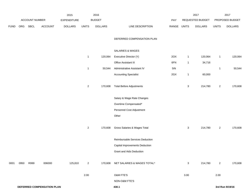|             |                            |                |         | 2015           |                | 2016           |                                 |             |                | 2017             |                | 2017            |
|-------------|----------------------------|----------------|---------|----------------|----------------|----------------|---------------------------------|-------------|----------------|------------------|----------------|-----------------|
|             |                            | ACCOUNT NUMBER |         | EXPENDITURE    |                | <b>BUDGET</b>  |                                 | PAY         |                | REQUESTED BUDGET |                | PROPOSED BUDGET |
| <b>FUND</b> | ORG                        | <b>SBCL</b>    | ACCOUNT | <b>DOLLARS</b> | <b>UNITS</b>   | <b>DOLLARS</b> | LINE DESCRIPTION                | RANGE UNITS |                | <b>DOLLARS</b>   | <b>UNITS</b>   | <b>DOLLARS</b>  |
|             |                            |                |         |                |                |                | DEFERRED COMPENSATION PLAN      |             |                |                  |                |                 |
|             |                            |                |         |                |                |                | SALARIES & WAGES                |             |                |                  |                |                 |
|             |                            |                |         |                | $\mathbf{1}$   | 120,064        | Executive Director (Y)          | 20X         | $\mathbf{1}$   | 120,064          | $\overline{1}$ | 120,064         |
|             |                            |                |         |                |                |                | Office Assistant III            | 6FN         | $\overline{1}$ | 34,716           |                |                 |
|             |                            |                |         |                | $\mathbf{1}$   | 50,544         | Administrative Assistant IV     | 5IN         |                |                  | $\mathbf{1}$   | 50,544          |
|             |                            |                |         |                |                |                | <b>Accounting Specialist</b>    | 2GX         | $\overline{1}$ | 60,000           |                |                 |
|             |                            |                |         |                | $\overline{a}$ | 170,608        | <b>Total Before Adjustments</b> |             | $\sqrt{3}$     | 214,780          | $\overline{c}$ | 170,608         |
|             |                            |                |         |                |                |                | Salary & Wage Rate Changes      |             |                |                  |                |                 |
|             |                            |                |         |                |                |                | Overtime Compensated*           |             |                |                  |                |                 |
|             |                            |                |         |                |                |                | Personnel Cost Adjustment       |             |                |                  |                |                 |
|             |                            |                |         |                |                |                | Other                           |             |                |                  |                |                 |
|             |                            |                |         |                | $\overline{a}$ | 170,608        | Gross Salaries & Wages Total    |             | $\sqrt{3}$     | 214,780          | $\overline{2}$ | 170,608         |
|             |                            |                |         |                |                |                | Reimbursable Services Deduction |             |                |                  |                |                 |
|             |                            |                |         |                |                |                | Capital Improvements Deduction  |             |                |                  |                |                 |
|             |                            |                |         |                |                |                | <b>Grant and Aids Deduction</b> |             |                |                  |                |                 |
| 0001        | 0950                       | R999           | 006000  | 125,810        | $\overline{a}$ | 170,608        | NET SALARIES & WAGES TOTAL*     |             | 3              | 214,780          | $\overline{2}$ | 170,608         |
|             |                            |                |         |                | 2.00           |                | O&M FTE'S                       |             | 3.00           |                  | 2.00           |                 |
|             |                            |                |         |                |                |                | NON-O&M FTE'S                   |             |                |                  |                |                 |
|             | DEFERRED COMPENSATION PLAN |                |         |                |                |                | 430.1                           |             |                |                  |                | 3rd Run 9/19/16 |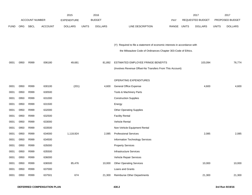|             |            |                       |                | 2015               |              | 2016           |                                                                           |       |              | 2017             |              | 2017            |
|-------------|------------|-----------------------|----------------|--------------------|--------------|----------------|---------------------------------------------------------------------------|-------|--------------|------------------|--------------|-----------------|
|             |            | <b>ACCOUNT NUMBER</b> |                | <b>EXPENDITURE</b> |              | <b>BUDGET</b>  |                                                                           | PAY   |              | REQUESTED BUDGET |              | PROPOSED BUDGET |
| <b>FUND</b> | <b>ORG</b> | <b>SBCL</b>           | <b>ACCOUNT</b> | <b>DOLLARS</b>     | <b>UNITS</b> | <b>DOLLARS</b> | LINE DESCRIPTION                                                          | RANGE | <b>UNITS</b> | <b>DOLLARS</b>   | <b>UNITS</b> | <b>DOLLARS</b>  |
|             |            |                       |                |                    |              |                |                                                                           |       |              |                  |              |                 |
|             |            |                       |                |                    |              |                |                                                                           |       |              |                  |              |                 |
|             |            |                       |                |                    |              |                | (Y) Required to file a statement of economic interests in accordance with |       |              |                  |              |                 |
|             |            |                       |                |                    |              |                | the Milwaukee Code of Ordinances Chapter 303-Code of Ethics.              |       |              |                  |              |                 |
|             |            |                       |                |                    |              |                |                                                                           |       |              |                  |              |                 |
| 0001        | 0950       | R999                  | 006180         | 49,681             |              | 81,892         | ESTIMATED EMPLOYEE FRINGE BENEFITS                                        |       |              | 103,094          |              | 76,774          |
|             |            |                       |                |                    |              |                | (Involves Revenue Offset-No Transfers From This Account)                  |       |              |                  |              |                 |
|             |            |                       |                |                    |              |                |                                                                           |       |              |                  |              |                 |
|             |            |                       |                |                    |              |                | OPERATING EXPENDITURES                                                    |       |              |                  |              |                 |
| 0001        | 0950       | R999                  | 630100         | (201)              |              | 4,600          | <b>General Office Expense</b>                                             |       |              | 4,600            |              | 4,600           |
| 0001        | 0950       | R999                  | 630500         |                    |              |                | Tools & Machinery Parts                                                   |       |              |                  |              |                 |
| 0001        | 0950       | R999                  | 631000         |                    |              |                | <b>Construction Supplies</b>                                              |       |              |                  |              |                 |
| 0001        | 0950       | R999                  | 631500         |                    |              |                | Energy                                                                    |       |              |                  |              |                 |
| 0001        | 0950       | R999                  | 632000         |                    |              |                | <b>Other Operating Supplies</b>                                           |       |              |                  |              |                 |
| 0001        | 0950       | R999                  | 632500         |                    |              |                | <b>Facility Rental</b>                                                    |       |              |                  |              |                 |
| 0001        | 0950       | R999                  | 633000         |                    |              |                | Vehicle Rental                                                            |       |              |                  |              |                 |
| 0001        | 0950       | R999                  | 633500         |                    |              |                | Non-Vehicle Equipment Rental                                              |       |              |                  |              |                 |
| 0001        | 0950       | R999                  | 634000         | 1,118,924          |              | 2,085          | <b>Professional Services</b>                                              |       |              | 2,085            |              | 2,085           |
| 0001        | 0950       | R999                  | 634500         |                    |              |                | Information Technology Services                                           |       |              |                  |              |                 |
| 0001        | 0950       | R999                  | 635000         |                    |              |                | <b>Property Services</b>                                                  |       |              |                  |              |                 |
| 0001        | 0950       | R999                  | 635500         |                    |              |                | Infrastructure Services                                                   |       |              |                  |              |                 |
| 0001        | 0950       | R999                  | 636000         |                    |              |                | Vehicle Repair Services                                                   |       |              |                  |              |                 |
| 0001        | 0950       | R999                  | 636500         | 85,476             |              | 10,000         | <b>Other Operating Services</b>                                           |       |              | 10,000           |              | 10,000          |
| 0001        | 0950       | R999                  | 637000         |                    |              |                | Loans and Grants                                                          |       |              |                  |              |                 |
| 0001        | 0950       | R999                  | 637501         | 674                |              | 21,300         | <b>Reimburse Other Departments</b>                                        |       |              | 21,300           |              | 21,300          |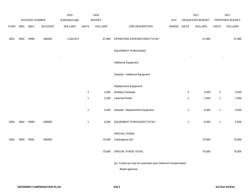|             |          |                       |                | 2015           |                | 2016           |                                                           |             |              | 2017             |                  | 2017            |
|-------------|----------|-----------------------|----------------|----------------|----------------|----------------|-----------------------------------------------------------|-------------|--------------|------------------|------------------|-----------------|
|             |          | <b>ACCOUNT NUMBER</b> |                | EXPENDITURE    |                | <b>BUDGET</b>  |                                                           | PAY         |              | REQUESTED BUDGET |                  | PROPOSED BUDGET |
| <b>FUND</b> | ORG SBCL |                       | <b>ACCOUNT</b> | <b>DOLLARS</b> | <b>UNITS</b>   | <b>DOLLARS</b> | LINE DESCRIPTION                                          | RANGE UNITS |              | <b>DOLLARS</b>   | <b>UNITS</b>     | <b>DOLLARS</b>  |
|             |          |                       |                |                |                |                |                                                           |             |              |                  |                  |                 |
| 0001        | 0950     | R999                  | 006300         | 1,204,873      |                | 37,985         | OPERATING EXPENDITURES TOTAL*                             |             |              | 37,985           |                  | 37,985          |
|             |          |                       |                |                |                |                |                                                           |             |              |                  |                  |                 |
|             |          |                       |                |                |                |                | <b>EQUIPMENT PURCHASES</b>                                |             |              |                  |                  |                 |
|             |          |                       |                |                |                |                | <b>Additional Equipment</b>                               |             |              |                  |                  |                 |
|             |          |                       |                |                |                |                |                                                           |             |              |                  |                  |                 |
|             |          |                       |                |                |                |                | Subtotal - Additional Equipment                           |             |              |                  |                  |                 |
|             |          |                       |                |                |                |                |                                                           |             |              |                  |                  |                 |
|             |          |                       |                |                |                |                | Replacement Equipment                                     |             |              |                  |                  |                 |
|             |          |                       |                |                | $\overline{2}$ | 4,000          | Desktop Computer                                          |             | $\sqrt{2}$   | 4,000            | $\boldsymbol{2}$ | 4,000           |
|             |          |                       |                |                | $\mathbf{1}$   | 1,000          | LaserJet Printer                                          |             | $\mathbf{1}$ | 1,000            | $\mathbf{1}$     | 1,000           |
|             |          |                       |                |                |                |                |                                                           |             |              |                  |                  |                 |
|             |          |                       |                |                | $\mathbf{1}$   | 5,000          | Subtotal - Replacement Equipment                          |             | $\mathbf{1}$ | 5,000            | $\mathbf{1}$     | 5,000           |
| 0001        | 0950     | R999                  | 006800         |                | $\mathbf{1}$   | 5,000          | EQUIPMENT PURCHASES TOTAL*                                |             | $\mathbf{1}$ | 5,000            | $\mathbf{1}$     | 5,000           |
|             |          |                       |                |                |                |                |                                                           |             |              |                  |                  |                 |
|             |          |                       |                |                |                |                | SPECIAL FUNDS                                             |             |              |                  |                  |                 |
| 0001        | 0950     | R091                  | 006300         |                |                | 75,000         | Contingency (A)*                                          |             |              | 75,000           |                  | 75,000          |
|             |          |                       |                |                |                |                |                                                           |             |              |                  |                  |                 |
|             |          |                       |                |                |                | 75,000         | SPECIAL FUNDS TOTAL                                       |             |              | 75,000           |                  | 75,000          |
|             |          |                       |                |                |                |                |                                                           |             |              |                  |                  |                 |
|             |          |                       |                |                |                |                | (A) Funds can only be expended upon Deferred Compensation |             |              |                  |                  |                 |
|             |          |                       |                |                |                |                | Board approval.                                           |             |              |                  |                  |                 |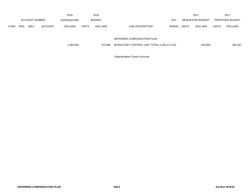|             |            | 2015                  |         |                |              | 2016           |                            |            |              | 2017             | 2017         |                        |
|-------------|------------|-----------------------|---------|----------------|--------------|----------------|----------------------------|------------|--------------|------------------|--------------|------------------------|
|             |            | <b>ACCOUNT NUMBER</b> |         | EXPENDITURE    |              | <b>BUDGET</b>  |                            | <b>PAY</b> |              | REQUESTED BUDGET |              | <b>PROPOSED BUDGET</b> |
| <b>FUND</b> | <b>ORG</b> | <b>SBCL</b>           | ACCOUNT | <b>DOLLARS</b> | <b>UNITS</b> | <b>DOLLARS</b> | LINE DESCRIPTION           | RANGE      | <b>UNITS</b> | <b>DOLLARS</b>   | <b>UNITS</b> | <b>DOLLARS</b>         |
|             |            |                       |         |                |              |                | DEFERRED COMPENSATION PLAN |            |              |                  |              |                        |

| 1,380,364 | 370.485 | BUDGETARY CONTROL UNIT TOTAL (1 BCU=1 DU) | 435,859 | 365,367 |
|-----------|---------|-------------------------------------------|---------|---------|
|-----------|---------|-------------------------------------------|---------|---------|

\*Appropriation Control Account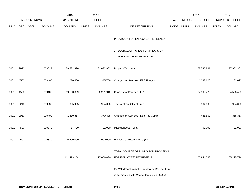|             |      |                |                | 2015               |              | 2016           |                                                                                                  |       |              | 2017             |              | 2017            |
|-------------|------|----------------|----------------|--------------------|--------------|----------------|--------------------------------------------------------------------------------------------------|-------|--------------|------------------|--------------|-----------------|
|             |      | ACCOUNT NUMBER |                | <b>EXPENDITURE</b> |              | <b>BUDGET</b>  |                                                                                                  | PAY   |              | REQUESTED BUDGET |              | PROPOSED BUDGET |
| <b>FUND</b> | ORG  | SBCL           | <b>ACCOUNT</b> | <b>DOLLARS</b>     | <b>UNITS</b> | <b>DOLLARS</b> | LINE DESCRIPTION                                                                                 | RANGE | <b>UNITS</b> | <b>DOLLARS</b>   | <b>UNITS</b> | <b>DOLLARS</b>  |
|             |      |                |                |                    |              |                | PROVISION FOR EMPLOYES' RETIREMENT                                                               |       |              |                  |              |                 |
|             |      |                |                |                    |              |                | 2. SOURCE OF FUNDS FOR PROVISION<br>FOR EMPLOYES' RETIREMENT                                     |       |              |                  |              |                 |
| 0001        | 9990 |                | 009013         | 78,532,396         |              | 81,632,883     | Property Tax Levy                                                                                |       |              | 78,530,861       |              | 77,982,361      |
| 0001        | 4500 |                | 009400         | 1,076,400          |              | 1,345,759      | Charges for Services - ERS Fringes                                                               |       |              | 1,283,620        |              | 1,283,620       |
| 0001        | 4500 |                | 009400         | 19,163,339         |              | 26,261,912     | Charges for Services - ERS                                                                       |       |              | 24,598,428       |              | 24,598,428      |
| 0001        | 2210 |                | 009930         | 855,955            |              | 904,000        | Transfer from Other Funds                                                                        |       |              | 904,000          |              | 904,000         |
| 0001        | 0950 |                | 009400         | 1,380,364          |              | 370,485        | Charges for Services - Deferred Comp.                                                            |       |              | 435,859          |              | 365,367         |
| 0001        | 4500 |                | 009870         | 84,700             |              | 91,000         | Miscellaneous - ERS                                                                              |       |              | 92,000           |              | 92,000          |
| 0001        | 4500 |                | 009870         | 10,400,000         |              | 7,000,000      | Employers' Reserve Fund (A)                                                                      |       |              |                  |              |                 |
|             |      |                |                | 111,493,154        |              |                | TOTAL SOURCE OF FUNDS FOR PROVISION<br>117,606,039 FOR EMPLOYES' RETIREMENT                      |       |              | 105,844,768      |              | 105,225,776     |
|             |      |                |                |                    |              |                | (A) Withdrawal from the Employers' Reserve Fund<br>in accordance with Charter Ordinance 36-08-8. |       |              |                  |              |                 |
|             |      |                |                |                    |              |                |                                                                                                  |       |              |                  |              |                 |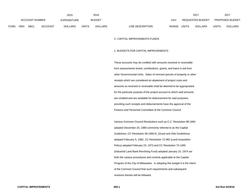|             |                |      |                | 2015           |       | 2016           |                                  | 2017                           | 2017                           |
|-------------|----------------|------|----------------|----------------|-------|----------------|----------------------------------|--------------------------------|--------------------------------|
|             | ACCOUNT NUMBER |      |                | EXPENDITURE    |       | <b>BUDGET</b>  | PAY                              | REQUESTED BUDGET               | <b>PROPOSED BUDGET</b>         |
| <b>FUND</b> | ORG            | SBCL | <b>ACCOUNT</b> | <b>DOLLARS</b> | UNITS | <b>DOLLARS</b> | <b>RANGE</b><br>LINE DESCRIPTION | <b>UNITS</b><br><b>DOLLARS</b> | <b>UNITS</b><br><b>DOLLARS</b> |

### C. CAPITAL IMPROVEMENTS FUNDS

#### 1. BUDGETS FOR CAPITAL IMPROVEMENTS

These accounts may be credited with amounts received or receivable from assessments levied, contributions, grants, and loans in aid from other Governmental Units. Sales of remnant parcels of property or other receipts which are considered an abatement of project costs and amounts so received or receivable shall be deemed to be appropriated for the particular purpose of the project account to which said amounts are credited and are available for disbursement for said purposes, providing such receipts and disbursements have the approval of the Finance and Personnel Committee of the Common Council.

Various Common Council Resolutions such as C.C. Resolution 88-1664 adopted December 20, 1988 commonly referred to as the Capital Guidelines; CC Resolution 66-1893-E, (Grant and Aids Guidelines) adopted February 5, 1982, CC Resolution 72-982 (Land Acquisition Policy) adopted February 23, 1973 and CC Resolution 73-1365 (Industrial Land Bank Revolving Fund) adopted January 15, 1974 set forth the various procedures and controls applicable to the Capital Program of the City of Milwaukee. In adopting this budget it is the intent of the Common Council that such requirements and subsequent revisions thereto will be followed.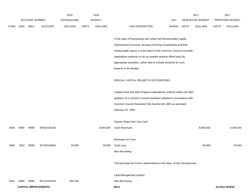|             |      |                       |                             | 2015               |              | 2016           |                                                                          |             | 2017             |              | 2017            |
|-------------|------|-----------------------|-----------------------------|--------------------|--------------|----------------|--------------------------------------------------------------------------|-------------|------------------|--------------|-----------------|
|             |      | <b>ACCOUNT NUMBER</b> |                             | <b>EXPENDITURE</b> |              | <b>BUDGET</b>  |                                                                          | PAY         | REQUESTED BUDGET |              | PROPOSED BUDGET |
| <b>FUND</b> | ORG  | SBCL                  | <b>ACCOUNT</b>              | <b>DOLLARS</b>     | <b>UNITS</b> | <b>DOLLARS</b> | LINE DESCRIPTION                                                         | RANGE UNITS | <b>DOLLARS</b>   | <b>UNITS</b> | <b>DOLLARS</b>  |
|             |      |                       |                             |                    |              |                |                                                                          |             |                  |              |                 |
|             |      |                       |                             |                    |              |                | In the case of Expressway and Urban Aid Reimbursable Capital             |             |                  |              |                 |
|             |      |                       |                             |                    |              |                | Improvement Accounts, because of timing uncertainties and their          |             |                  |              |                 |
|             |      |                       |                             |                    |              |                | reimbursable nature, it is the intent of the Common Council to provide   |             |                  |              |                 |
|             |      |                       |                             |                    |              |                | expenditure authority on an as-needed revenue offset basis by            |             |                  |              |                 |
|             |      |                       |                             |                    |              |                | appropriate resolution, rather than to include amounts for such          |             |                  |              |                 |
|             |      |                       |                             |                    |              |                | projects in the Budget.                                                  |             |                  |              |                 |
|             |      |                       |                             |                    |              |                |                                                                          |             |                  |              |                 |
|             |      |                       |                             |                    |              |                | SPECIAL CAPITAL PROJECTS OR PURPOSES                                     |             |                  |              |                 |
|             |      |                       |                             |                    |              |                |                                                                          |             |                  |              |                 |
|             |      |                       |                             |                    |              |                | Capital Grant and Aids Program expenditures shall be made only after     |             |                  |              |                 |
|             |      |                       |                             |                    |              |                | adoption of a Common Council resolution adopted in accordance with       |             |                  |              |                 |
|             |      |                       |                             |                    |              |                | Common Council Resolution File Number 66-1893 as amended                 |             |                  |              |                 |
|             |      |                       |                             |                    |              |                | February 25, 1982.                                                       |             |                  |              |                 |
|             |      |                       |                             |                    |              |                |                                                                          |             |                  |              |                 |
|             |      |                       |                             |                    |              |                | Grantor Share-Non City Cash                                              |             |                  |              |                 |
| 0306        | 9990 | R999                  | SP032160100                 |                    |              | 8,000,000      | Cash Revenues                                                            |             | 8,000,000        |              | 8,000,000       |
|             |      |                       |                             |                    |              |                |                                                                          |             |                  |              |                 |
|             |      |                       |                             |                    |              |                | Municipal Art Fund                                                       |             |                  |              |                 |
| 0306        | 1910 | R999                  | SP150160000                 | 16,050             |              | 25,000         | Cash Levy                                                                |             | 50,000           |              | 50,000          |
|             |      |                       |                             |                    |              |                | New Borrowing                                                            |             |                  |              |                 |
|             |      |                       |                             |                    |              |                |                                                                          |             |                  |              |                 |
|             |      |                       |                             |                    |              |                | The Municipal Art Fund is administered in the Dept. of City Development. |             |                  |              |                 |
|             |      |                       |                             |                    |              |                |                                                                          |             |                  |              |                 |
|             |      |                       |                             |                    |              |                | Land Management System                                                   |             |                  |              |                 |
| 0321        | 9990 | R999                  | BU110120100                 | 594,788            |              |                | New Borrowing                                                            |             |                  |              |                 |
|             |      |                       | <b>CAPITAL IMPROVEMENTS</b> |                    |              |                | 450.2                                                                    |             |                  |              | 3rd Run 9/19/16 |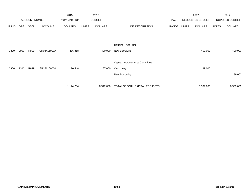|             |            |                       |                | 2015               |              | 2016           |                                |       |                  | 2017           |              | 2017            |
|-------------|------------|-----------------------|----------------|--------------------|--------------|----------------|--------------------------------|-------|------------------|----------------|--------------|-----------------|
|             |            | <b>ACCOUNT NUMBER</b> |                | <b>EXPENDITURE</b> |              | <b>BUDGET</b>  |                                | PAY   | REQUESTED BUDGET |                |              | PROPOSED BUDGET |
| <b>FUND</b> | <b>ORG</b> | <b>SBCL</b>           | <b>ACCOUNT</b> | <b>DOLLARS</b>     | <b>UNITS</b> | <b>DOLLARS</b> | LINE DESCRIPTION               | RANGE | <b>UNITS</b>     | <b>DOLLARS</b> | <b>UNITS</b> | <b>DOLLARS</b>  |
|             |            |                       |                |                    |              |                |                                |       |                  |                |              |                 |
|             |            |                       |                |                    |              |                |                                |       |                  |                |              |                 |
|             |            |                       |                |                    |              |                | <b>Housing Trust Fund</b>      |       |                  |                |              |                 |
| 0339        | 9990       | R999                  | UR04416000A    | 486,818            |              | 400,000        | New Borrowing                  |       |                  | 400,000        |              | 400,000         |
|             |            |                       |                |                    |              |                |                                |       |                  |                |              |                 |
|             |            |                       |                |                    |              |                | Capital Improvements Committee |       |                  |                |              |                 |
| 0306        | 1310       | R999                  | SP151160000    | 76,548             |              | 87,000         | Cash Levy                      |       |                  | 89,000         |              |                 |
|             |            |                       |                |                    |              |                | New Borrowing                  |       |                  |                |              | 89,000          |
|             |            |                       |                |                    |              |                |                                |       |                  |                |              |                 |
|             |            |                       |                | 1,174,204          |              | 8,512,000      | TOTAL SPECIAL CAPITAL PROJECTS |       |                  | 8,539,000      |              | 8,539,000       |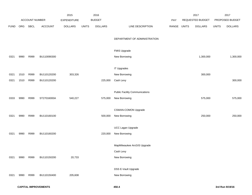|             |      |                |                | 2015               |              | 2016           |                                       |             | 2017             |              | 2017            |
|-------------|------|----------------|----------------|--------------------|--------------|----------------|---------------------------------------|-------------|------------------|--------------|-----------------|
|             |      | ACCOUNT NUMBER |                | <b>EXPENDITURE</b> |              | <b>BUDGET</b>  |                                       | PAY         | REQUESTED BUDGET |              | PROPOSED BUDGET |
| <b>FUND</b> | ORG  | SBCL           | <b>ACCOUNT</b> | <b>DOLLARS</b>     | <b>UNITS</b> | <b>DOLLARS</b> | LINE DESCRIPTION                      | RANGE UNITS | <b>DOLLARS</b>   | <b>UNITS</b> | <b>DOLLARS</b>  |
|             |      |                |                |                    |              |                |                                       |             |                  |              |                 |
|             |      |                |                |                    |              |                | DEPARTMENT OF ADMINISTRATION          |             |                  |              |                 |
|             |      |                |                |                    |              |                |                                       |             |                  |              |                 |
|             |      |                |                |                    |              |                | FMIS Upgrade                          |             |                  |              |                 |
| 0321        | 9990 | R999           | BU110090300    |                    |              |                | New Borrowing                         |             | 1,300,000        |              | 1,300,000       |
|             |      |                |                |                    |              |                | <b>IT Upgrades</b>                    |             |                  |              |                 |
| 0321        | 1510 | R999           | BU110120200    | 303,326            |              |                | New Borrowing                         |             | 300,000          |              |                 |
|             |      |                |                |                    |              |                |                                       |             |                  |              | 300,000         |
| 0321        | 1510 | R999           | BU110120200    |                    |              | 225,000        | Cash Levy                             |             |                  |              |                 |
|             |      |                |                |                    |              |                | <b>Public Facility Communications</b> |             |                  |              |                 |
| 0333        | 9990 | R999           | ST27016000A    | 540,227            |              | 575,000        | New Borrowing                         |             | 575,000          |              | 575,000         |
|             |      |                |                |                    |              |                |                                       |             |                  |              |                 |
|             |      |                |                |                    |              |                | CSWAN-COMON Upgrade                   |             |                  |              |                 |
| 0321        | 9990 | R999           | BU110160100    |                    |              | 500,000        | New Borrowing                         |             | 250,000          |              | 250,000         |
|             |      |                |                |                    |              |                |                                       |             |                  |              |                 |
|             |      |                |                |                    |              |                | UCC Lagan Upgrade                     |             |                  |              |                 |
| 0321        | 9990 | R999           | BU110160200    |                    |              | 220,000        | New Borrowing                         |             |                  |              |                 |
|             |      |                |                |                    |              |                |                                       |             |                  |              |                 |
|             |      |                |                |                    |              |                | MapMilwaukee ArcGIS Upgrade           |             |                  |              |                 |
|             |      |                |                |                    |              |                | Cash Levy                             |             |                  |              |                 |
| 0321        | 9990 | R999           | BU110150200    | 20,733             |              |                | New Borrowing                         |             |                  |              |                 |
|             |      |                |                |                    |              |                | DSS E-Vault Upgrade                   |             |                  |              |                 |
| 0321        | 9990 | R999           | BU110150400    | 205,608            |              |                | New Borrowing                         |             |                  |              |                 |
|             |      |                |                |                    |              |                |                                       |             |                  |              |                 |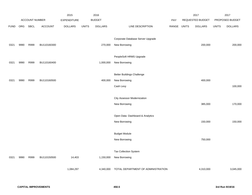|             |      |                |                | 2015               |              | 2016           |                                    |            |                  | 2017           |              | 2017            |
|-------------|------|----------------|----------------|--------------------|--------------|----------------|------------------------------------|------------|------------------|----------------|--------------|-----------------|
|             |      | ACCOUNT NUMBER |                | <b>EXPENDITURE</b> |              | <b>BUDGET</b>  |                                    | <b>PAY</b> | REQUESTED BUDGET |                |              | PROPOSED BUDGET |
| <b>FUND</b> | ORG  | SBCL           | <b>ACCOUNT</b> | <b>DOLLARS</b>     | <b>UNITS</b> | <b>DOLLARS</b> | LINE DESCRIPTION                   | RANGE      | <b>UNITS</b>     | <b>DOLLARS</b> | <b>UNITS</b> | <b>DOLLARS</b>  |
|             |      |                |                |                    |              |                |                                    |            |                  |                |              |                 |
|             |      |                |                |                    |              |                | Corporate Database Server Upgrade  |            |                  |                |              |                 |
| 0321        | 9990 | R999           | BU110160300    |                    |              | 270,000        | New Borrowing                      |            |                  | 200,000        |              | 200,000         |
|             |      |                |                |                    |              |                |                                    |            |                  |                |              |                 |
|             |      |                |                |                    |              |                | PeopleSoft HRMS Upgrade            |            |                  |                |              |                 |
| 0321        | 9990 | R999           | BU110160400    |                    |              | 1,000,000      | New Borrowing                      |            |                  |                |              |                 |
|             |      |                |                |                    |              |                | <b>Better Buildings Challenge</b>  |            |                  |                |              |                 |
|             | 9990 | R999           | BU110160500    |                    |              | 400,000        | New Borrowing                      |            |                  | 400,000        |              |                 |
| 0321        |      |                |                |                    |              |                |                                    |            |                  |                |              |                 |
|             |      |                |                |                    |              |                | Cash Levy                          |            |                  |                |              | 100,000         |
|             |      |                |                |                    |              |                | <b>City Assessor Modernization</b> |            |                  |                |              |                 |
|             |      |                |                |                    |              |                | New Borrowing                      |            |                  | 385,000        |              | 170,000         |
|             |      |                |                |                    |              |                |                                    |            |                  |                |              |                 |
|             |      |                |                |                    |              |                | Open Data- Dashboard & Analytics   |            |                  |                |              |                 |
|             |      |                |                |                    |              |                | New Borrowing                      |            |                  | 150,000        |              | 150,000         |
|             |      |                |                |                    |              |                |                                    |            |                  |                |              |                 |
|             |      |                |                |                    |              |                | <b>Budget Module</b>               |            |                  |                |              |                 |
|             |      |                |                |                    |              |                | New Borrowing                      |            |                  | 750,000        |              |                 |
|             |      |                |                |                    |              |                |                                    |            |                  |                |              |                 |
|             |      |                |                |                    |              |                | Tax Collection System              |            |                  |                |              |                 |
| 0321        | 9990 | R999           | BU110150500    | 14,403             |              | 1,150,000      | New Borrowing                      |            |                  |                |              |                 |
|             |      |                |                | 1,084,297          |              | 4,340,000      | TOTAL DEPARTMENT OF ADMINISTRATION |            |                  | 4,310,000      |              | 3,045,000       |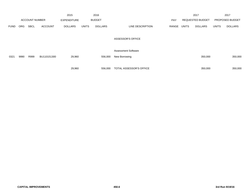|             |            |                       |                | 2015               |              | 2016           |                            |            |                         | 2017           |              | 2017            |
|-------------|------------|-----------------------|----------------|--------------------|--------------|----------------|----------------------------|------------|-------------------------|----------------|--------------|-----------------|
|             |            | <b>ACCOUNT NUMBER</b> |                | <b>EXPENDITURE</b> |              | <b>BUDGET</b>  |                            | <b>PAY</b> | <b>REQUESTED BUDGET</b> |                |              | PROPOSED BUDGET |
| <b>FUND</b> | <b>ORG</b> | <b>SBCL</b>           | <b>ACCOUNT</b> | <b>DOLLARS</b>     | <b>UNITS</b> | <b>DOLLARS</b> | LINE DESCRIPTION           | RANGE      | UNITS                   | <b>DOLLARS</b> | <b>UNITS</b> | <b>DOLLARS</b>  |
|             |            |                       |                |                    |              |                | <b>ASSESSOR'S OFFICE</b>   |            |                         |                |              |                 |
|             |            |                       |                |                    |              |                | <b>Assessment Software</b> |            |                         |                |              |                 |
| 0321        | 9990       | R999                  | BU110151300    | 29,960             |              | 556,000        | New Borrowing              |            |                         | 350,000        |              | 350,000         |
|             |            |                       |                |                    |              |                |                            |            |                         |                |              |                 |
|             |            |                       |                | 29,960             |              | 556,000        | TOTAL ASSESSOR'S OFFICE    |            |                         | 350,000        |              | 350,000         |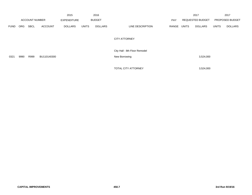|             |            |                       |                | 2015               |               | 2016           |                                                |       |              | 2017                    |              | 2017            |
|-------------|------------|-----------------------|----------------|--------------------|---------------|----------------|------------------------------------------------|-------|--------------|-------------------------|--------------|-----------------|
|             |            | <b>ACCOUNT NUMBER</b> |                | <b>EXPENDITURE</b> | <b>BUDGET</b> |                |                                                | PAY   |              | <b>REQUESTED BUDGET</b> |              | PROPOSED BUDGET |
| <b>FUND</b> | <b>ORG</b> | <b>SBCL</b>           | <b>ACCOUNT</b> | <b>DOLLARS</b>     | <b>UNITS</b>  | <b>DOLLARS</b> | LINE DESCRIPTION                               | RANGE | <b>UNITS</b> | <b>DOLLARS</b>          | <b>UNITS</b> | <b>DOLLARS</b>  |
|             |            |                       |                |                    |               |                | <b>CITY ATTORNEY</b>                           |       |              |                         |              |                 |
| 0321        | 9990       | R999                  | BU110140300    |                    |               |                | City Hall - 8th Floor Remodel<br>New Borrowing |       |              | 3,524,000               |              |                 |
|             |            |                       |                |                    |               |                | TOTAL CITY ATTORNEY                            |       |              | 3,524,000               |              |                 |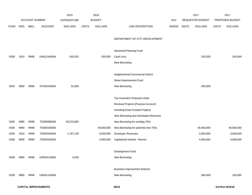|             |      |                       |                | 2015           |              | 2016           |                                       |            |              | 2017             |              | 2017            |
|-------------|------|-----------------------|----------------|----------------|--------------|----------------|---------------------------------------|------------|--------------|------------------|--------------|-----------------|
|             |      | <b>ACCOUNT NUMBER</b> |                | EXPENDITURE    |              | <b>BUDGET</b>  |                                       | <b>PAY</b> |              | REQUESTED BUDGET |              | PROPOSED BUDGET |
| <b>FUND</b> | ORG  | SBCL                  | <b>ACCOUNT</b> | <b>DOLLARS</b> | <b>UNITS</b> | <b>DOLLARS</b> | LINE DESCRIPTION                      | RANGE      | <b>UNITS</b> | <b>DOLLARS</b>   | <b>UNITS</b> | <b>DOLLARS</b>  |
|             |      |                       |                |                |              |                | DEPARTMENT OF CITY DEVELOPMENT        |            |              |                  |              |                 |
|             |      |                       |                |                |              |                | Advanced Planning Fund                |            |              |                  |              |                 |
| 0339        | 1910 | R999                  | UR01216000A    | 245,815        |              | 150,000        | Cash Levy                             |            |              | 150,000          |              | 150,000         |
|             |      |                       |                |                |              |                | New Borrowing                         |            |              |                  |              |                 |
|             |      |                       |                |                |              |                |                                       |            |              |                  |              |                 |
|             |      |                       |                |                |              |                | Neighborhood Commercial District      |            |              |                  |              |                 |
|             |      |                       |                |                |              |                | Street Improvement Fund               |            |              |                  |              |                 |
| 0333        | 9990 | R999                  | ST04015000A    | 31,856         |              |                | New Borrowing                         |            |              | 300,000          |              |                 |
|             |      |                       |                |                |              |                | Tax Increment Financed Urban          |            |              |                  |              |                 |
|             |      |                       |                |                |              |                | Renewal Projects (Purpose Account)    |            |              |                  |              |                 |
|             |      |                       |                |                |              |                | Including Grant Funded Projects       |            |              |                  |              |                 |
|             |      |                       |                |                |              |                | New Borrowing and Developer Revenues  |            |              |                  |              |                 |
| 0336        | 9990 | R999                  | TD000080000    | 49,218,955     |              |                | New Borrowing for existing TIDs       |            |              |                  |              |                 |
| 0336        | 9990 | R999                  | TD000160000    |                |              | 49,000,000     | New Borrowing for potential new TIDs  |            |              | 40,000,000       |              | 40,000,000      |
| 0336        | 1910 | R999                  | TD000160003    | 1,787,139      |              | 3,000,000      | Developer Revenues                    |            |              | 3,500,000        |              | 3,500,000       |
| 0336        | 9990 | R999                  | TD000160000    |                |              | 4,900,000      | Capitalized Interest - Borrow         |            |              | 4,000,000        |              | 4,000,000       |
|             |      |                       |                |                |              |                | Development Fund                      |            |              |                  |              |                 |
| 0339        | 9990 | R999                  | UR03311000A    | 3,620          |              |                | New Borrowing                         |            |              |                  |              |                 |
|             |      |                       |                |                |              |                |                                       |            |              |                  |              |                 |
|             |      |                       |                |                |              |                | <b>Business Improvement Districts</b> |            |              |                  |              |                 |
| 0339        | 9990 | R999                  | UR04115000A    |                |              |                | New Borrowing                         |            |              | 300,000          |              | 150,000         |
|             |      |                       |                |                |              |                |                                       |            |              |                  |              |                 |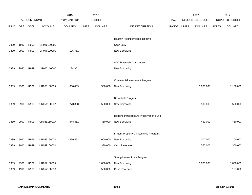|             |      |                |                | 2015               |              | 2016           |                                          |       |              | 2017                    |              | 2017            |
|-------------|------|----------------|----------------|--------------------|--------------|----------------|------------------------------------------|-------|--------------|-------------------------|--------------|-----------------|
|             |      | ACCOUNT NUMBER |                | <b>EXPENDITURE</b> |              | <b>BUDGET</b>  |                                          | PAY   |              | <b>REQUESTED BUDGET</b> |              | PROPOSED BUDGET |
| <b>FUND</b> | ORG  | <b>SBCL</b>    | <b>ACCOUNT</b> | <b>DOLLARS</b>     | <b>UNITS</b> | <b>DOLLARS</b> | LINE DESCRIPTION                         | RANGE | <b>UNITS</b> | <b>DOLLARS</b>          | <b>UNITS</b> | <b>DOLLARS</b>  |
|             |      |                |                |                    |              |                |                                          |       |              |                         |              |                 |
|             |      |                |                |                    |              |                | Healthy Neighborhoods Initiative         |       |              |                         |              |                 |
| 0339        | 1910 | R999           | UR046130000    |                    |              |                | Cash Levy                                |       |              |                         |              |                 |
| 0339        | 9990 | R999           | UR046130000    | 126,761            |              |                | New Borrowing                            |       |              |                         |              |                 |
|             |      |                |                |                    |              |                |                                          |       |              |                         |              |                 |
|             |      |                |                |                    |              |                | <b>ADA Riverwalk Construction</b>        |       |              |                         |              |                 |
| 0339        | 9990 | R999           | UR047110000    | 124,951            |              |                | New Borrowing                            |       |              |                         |              |                 |
|             |      |                |                |                    |              |                |                                          |       |              |                         |              |                 |
|             |      |                |                |                    |              |                | <b>Commercial Investment Program</b>     |       |              |                         |              |                 |
| 0339        | 9990 | R999           | UR05016000A    | 800,439            |              | 500,000        | New Borrowing                            |       |              | 1,000,000               |              | 1,100,000       |
|             |      |                |                |                    |              |                |                                          |       |              |                         |              |                 |
|             |      |                |                |                    |              |                | <b>Brownfield Program</b>                |       |              |                         |              |                 |
| 0339        | 9990 | R999           | UR05116000A    | 270,358            |              | 500,000        | New Borrowing                            |       |              | 500,000                 |              | 500,000         |
|             |      |                |                |                    |              |                |                                          |       |              |                         |              |                 |
|             |      |                |                |                    |              |                | Housing Infrastructure Preservation Fund |       |              |                         |              |                 |
| 0339        | 9990 | R999           | UR04816000A    | 648,461            |              | 450,000        | New Borrowing                            |       |              | 450,000                 |              | 450,000         |
|             |      |                |                |                    |              |                |                                          |       |              |                         |              |                 |
|             |      |                |                |                    |              |                | In Rem Property Maintenance Program      |       |              |                         |              |                 |
| 0339        | 9990 | R999           | UR04916000A    | 2,299,462          |              | 1,000,000      | New Borrowing                            |       |              | 1,000,000               |              | 1,200,000       |
| 0339        | 1910 | R999           | UR04916000A    |                    |              | 330,000        | Cash Revenues                            |       |              | 550,000                 |              | 350,000         |
|             |      |                |                |                    |              |                |                                          |       |              |                         |              |                 |
|             |      |                |                |                    |              |                | Strong Homes Loan Program                |       |              |                         |              |                 |
| 0339        | 9990 | R999           | UR05716000A    |                    |              | 1,000,000      | New Borrowing                            |       |              | 1,000,000               |              | 1,000,000       |
| 0339        | 1910 | R999           | UR05716000A    |                    |              | 500,000        | Cash Revenues                            |       |              |                         |              | 167,000         |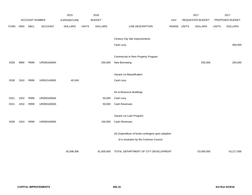|             |      |                       |                | 2015               |              | 2016           |                                                   |            |              | 2017             |              | 2017            |
|-------------|------|-----------------------|----------------|--------------------|--------------|----------------|---------------------------------------------------|------------|--------------|------------------|--------------|-----------------|
|             |      | <b>ACCOUNT NUMBER</b> |                | <b>EXPENDITURE</b> |              | <b>BUDGET</b>  |                                                   | <b>PAY</b> |              | REQUESTED BUDGET |              | PROPOSED BUDGET |
| <b>FUND</b> | ORG  | SBCL                  | <b>ACCOUNT</b> | <b>DOLLARS</b>     | <b>UNITS</b> | <b>DOLLARS</b> | LINE DESCRIPTION                                  | RANGE      | <b>UNITS</b> | <b>DOLLARS</b>   | <b>UNITS</b> | <b>DOLLARS</b>  |
|             |      |                       |                |                    |              |                |                                                   |            |              |                  |              |                 |
|             |      |                       |                |                    |              |                | Century City Site Improvements                    |            |              |                  |              |                 |
|             |      |                       |                |                    |              |                | Cash Levy                                         |            |              |                  |              | 400,000         |
|             |      |                       |                |                    |              |                |                                                   |            |              |                  |              |                 |
|             |      |                       |                |                    |              |                | Commercial In Rem Property Program                |            |              |                  |              |                 |
| 0339        | 9990 | R999                  | UR05616000A    |                    |              | 250,000        | New Borrowing                                     |            |              | 250,000          |              | 250,000         |
|             |      |                       |                |                    |              |                |                                                   |            |              |                  |              |                 |
|             |      |                       |                |                    |              |                | Vacant Lot Beautification                         |            |              |                  |              |                 |
| 0339        | 1910 | R999                  | UR052140000    | 40,549             |              |                | Cash Levy                                         |            |              |                  |              |                 |
|             |      |                       |                |                    |              |                |                                                   |            |              |                  |              |                 |
|             |      |                       |                |                    |              |                | Art & Resource Buildings                          |            |              |                  |              |                 |
| 0321        | 1910 | R999                  | UR05816000A    |                    |              | 50,000         | Cash Levy                                         |            |              |                  |              |                 |
| 0321        | 1910 | R999                  | UR05816000A    |                    |              | 50,000         | Cash Revenues                                     |            |              |                  |              |                 |
|             |      |                       |                |                    |              |                |                                                   |            |              |                  |              |                 |
|             |      |                       |                |                    |              |                | Vacant Lot Loan Program                           |            |              |                  |              |                 |
| 0339        | 1910 | R999                  | UR05916000A    |                    |              | 150,000        | Cash Revenues                                     |            |              |                  |              |                 |
|             |      |                       |                |                    |              |                | (A) Expenditure of funds contingent upon adoption |            |              |                  |              |                 |
|             |      |                       |                |                    |              |                | of a resolution by the Common Council             |            |              |                  |              |                 |
|             |      |                       |                |                    |              |                |                                                   |            |              |                  |              |                 |
|             |      |                       |                | 55,598,366         |              | 61,830,000     | TOTAL DEPARTMENT OF CITY DEVELOPMENT              |            |              | 53,000,000       |              | 53,217,000      |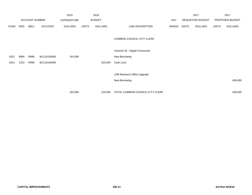|             |      |                       |                | 2015               |              | 2016           |                                 |            |       | 2017             |              | 2017            |
|-------------|------|-----------------------|----------------|--------------------|--------------|----------------|---------------------------------|------------|-------|------------------|--------------|-----------------|
|             |      | <b>ACCOUNT NUMBER</b> |                | <b>EXPENDITURE</b> |              | <b>BUDGET</b>  |                                 | <b>PAY</b> |       | REQUESTED BUDGET |              | PROPOSED BUDGET |
| <b>FUND</b> | ORG  | SBCL                  | <b>ACCOUNT</b> | <b>DOLLARS</b>     | <b>UNITS</b> | <b>DOLLARS</b> | LINE DESCRIPTION                | RANGE      | UNITS | <b>DOLLARS</b>   | <b>UNITS</b> | <b>DOLLARS</b>  |
|             |      |                       |                |                    |              |                | COMMON COUNCIL-CITY CLERK       |            |       |                  |              |                 |
|             |      |                       |                |                    |              |                | Channel 25 - Digital Conversion |            |       |                  |              |                 |
| 0321        | 9990 | R999                  | BU110150400    | 163,588            |              |                | New Borrowing                   |            |       |                  |              |                 |
| 0321        | 1310 | R999                  | BU110140400    |                    |              | 225,000        | Cash Levy                       |            |       |                  |              |                 |
|             |      |                       |                |                    |              |                |                                 |            |       |                  |              |                 |
|             |      |                       |                |                    |              |                | LRB Research Office Upgrade     |            |       |                  |              |                 |
|             |      |                       |                |                    |              |                | New Borrowing                   |            |       |                  |              | 438,000         |
|             |      |                       |                |                    |              |                |                                 |            |       |                  |              |                 |
|             |      |                       |                | 163,588            |              | 225,000        | TOTAL COMMON COUNCIL-CITY CLERK |            |       |                  |              | 438,000         |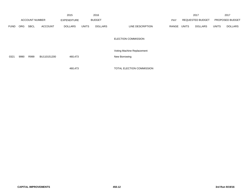|             |            |                       |                | 2015               |              | 2016           |                            |            |              | 2017                    |              | 2017            |
|-------------|------------|-----------------------|----------------|--------------------|--------------|----------------|----------------------------|------------|--------------|-------------------------|--------------|-----------------|
|             |            | <b>ACCOUNT NUMBER</b> |                | <b>EXPENDITURE</b> |              | <b>BUDGET</b>  |                            | <b>PAY</b> |              | <b>REQUESTED BUDGET</b> |              | PROPOSED BUDGET |
| <b>FUND</b> | <b>ORG</b> | <b>SBCL</b>           | <b>ACCOUNT</b> | <b>DOLLARS</b>     | <b>UNITS</b> | <b>DOLLARS</b> | LINE DESCRIPTION           | RANGE      | <b>UNITS</b> | <b>DOLLARS</b>          | <b>UNITS</b> | <b>DOLLARS</b>  |
|             |            |                       |                |                    |              |                | <b>ELECTION COMMISSION</b> |            |              |                         |              |                 |
|             |            |                       |                |                    |              |                | Voting Machine Replacement |            |              |                         |              |                 |
| 0321        | 9990       | R999                  | BU110151200    | 460,473            |              |                | New Borrowing              |            |              |                         |              |                 |
|             |            |                       |                |                    |              |                |                            |            |              |                         |              |                 |
|             |            |                       |                | 460,473            |              |                | TOTAL ELECTION COMMISSION  |            |              |                         |              |                 |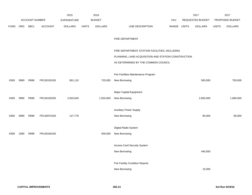|             |            |                |                | 2015               |              | 2016           |                                                     |            |              | 2017             |              | 2017            |
|-------------|------------|----------------|----------------|--------------------|--------------|----------------|-----------------------------------------------------|------------|--------------|------------------|--------------|-----------------|
|             |            | ACCOUNT NUMBER |                | <b>EXPENDITURE</b> |              | <b>BUDGET</b>  |                                                     | <b>PAY</b> |              | REQUESTED BUDGET |              | PROPOSED BUDGET |
| <b>FUND</b> | <b>ORG</b> | SBCL           | <b>ACCOUNT</b> | <b>DOLLARS</b>     | <b>UNITS</b> | <b>DOLLARS</b> | LINE DESCRIPTION                                    | RANGE      | <b>UNITS</b> | <b>DOLLARS</b>   | <b>UNITS</b> | <b>DOLLARS</b>  |
|             |            |                |                |                    |              |                |                                                     |            |              |                  |              |                 |
|             |            |                |                |                    |              |                | FIRE DEPARTMENT                                     |            |              |                  |              |                 |
|             |            |                |                |                    |              |                |                                                     |            |              |                  |              |                 |
|             |            |                |                |                    |              |                | FIRE DEPARTMENT STATION FACILITIES, INCLUDING       |            |              |                  |              |                 |
|             |            |                |                |                    |              |                | PLANNING, LAND ACQUISITION AND STATION CONSTRUCTION |            |              |                  |              |                 |
|             |            |                |                |                    |              |                | AS DETERMINED BY THE COMMON COUNCIL                 |            |              |                  |              |                 |
|             |            |                |                |                    |              |                | Fire Facilities Maintenance Program                 |            |              |                  |              |                 |
| 0309        | 9990       | R999           | FR130150100    | 891,110            |              | 725,000        | New Borrowing                                       |            |              | 500,000          |              | 700,000         |
|             |            |                |                |                    |              |                |                                                     |            |              |                  |              |                 |
|             |            |                |                |                    |              |                | Major Capital Equipment                             |            |              |                  |              |                 |
| 0309        | 9990       | R999           | FR130150200    | 2,943,640          |              | 1,504,000      | New Borrowing                                       |            |              | 2,803,000        |              | 1,680,000       |
|             |            |                |                |                    |              |                |                                                     |            |              |                  |              |                 |
|             |            |                |                |                    |              |                | <b>Auxiliary Power Supply</b>                       |            |              |                  |              |                 |
| 0309        | 9990       | R999           | FR130070100    | 127,776            |              |                | New Borrowing                                       |            |              | 85,000           |              | 85,000          |
|             |            |                |                |                    |              |                | Digital Radio System                                |            |              |                  |              |                 |
|             |            |                |                |                    |              |                |                                                     |            |              |                  |              |                 |
| 0309        | 3280       | R999           | FR130160100    |                    |              | 400,000        | New Borrowing                                       |            |              |                  |              |                 |
|             |            |                |                |                    |              |                | <b>Access Card Security System</b>                  |            |              |                  |              |                 |
|             |            |                |                |                    |              |                | New Borrowing                                       |            |              | 440,000          |              |                 |
|             |            |                |                |                    |              |                |                                                     |            |              |                  |              |                 |
|             |            |                |                |                    |              |                | <b>Fire Facility Condition Reports</b>              |            |              |                  |              |                 |
|             |            |                |                |                    |              |                | New Borrowing                                       |            |              | 15,000           |              |                 |
|             |            |                |                |                    |              |                |                                                     |            |              |                  |              |                 |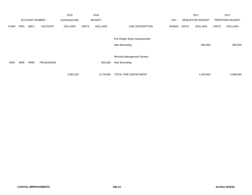|             |            |                       |                | 2015               |              | 2016           |                               |            |              | 2017                    |              | 2017            |
|-------------|------------|-----------------------|----------------|--------------------|--------------|----------------|-------------------------------|------------|--------------|-------------------------|--------------|-----------------|
|             |            | <b>ACCOUNT NUMBER</b> |                | <b>EXPENDITURE</b> |              | <b>BUDGET</b>  |                               | <b>PAY</b> |              | <b>REQUESTED BUDGET</b> |              | PROPOSED BUDGET |
| <b>FUND</b> | <b>ORG</b> | <b>SBCL</b>           | <b>ACCOUNT</b> | <b>DOLLARS</b>     | <b>UNITS</b> | <b>DOLLARS</b> | LINE DESCRIPTION              | RANGE      | <b>UNITS</b> | <b>DOLLARS</b>          | <b>UNITS</b> | <b>DOLLARS</b>  |
|             |            |                       |                |                    |              |                | Fire Repair Shop Improvements |            |              |                         |              |                 |
|             |            |                       |                |                    |              |                | New Borrowing                 |            |              | 483,000                 |              | 483,000         |
|             |            |                       |                |                    |              |                |                               |            |              |                         |              |                 |
|             |            |                       |                |                    |              |                | Records Management System     |            |              |                         |              |                 |
| 0309        | 9990       | R999                  | FR130160200    |                    |              | 550,000        | New Borrowing                 |            |              |                         |              |                 |
|             |            |                       |                |                    |              |                |                               |            |              |                         |              |                 |
|             |            |                       |                | 3,962,526          |              | 3,179,000      | TOTAL FIRE DEPARTMENT         |            |              | 4,326,000               |              | 2,948,000       |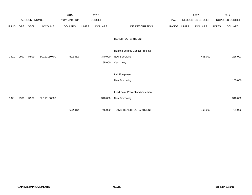|             |      |                       |                | 2015               |              | 2016           |                                           |       |              | 2017             |              | 2017            |
|-------------|------|-----------------------|----------------|--------------------|--------------|----------------|-------------------------------------------|-------|--------------|------------------|--------------|-----------------|
|             |      | <b>ACCOUNT NUMBER</b> |                | <b>EXPENDITURE</b> |              | <b>BUDGET</b>  |                                           | PAY   |              | REQUESTED BUDGET |              | PROPOSED BUDGET |
| <b>FUND</b> | ORG  | SBCL                  | <b>ACCOUNT</b> | DOLLARS            | <b>UNITS</b> | <b>DOLLARS</b> | LINE DESCRIPTION                          | RANGE | <b>UNITS</b> | <b>DOLLARS</b>   | <b>UNITS</b> | <b>DOLLARS</b>  |
|             |      |                       |                |                    |              |                | <b>HEALTH DEPARTMENT</b>                  |       |              |                  |              |                 |
|             |      |                       |                |                    |              |                | <b>Health Facilities Capital Projects</b> |       |              |                  |              |                 |
| 0321        | 9990 | R999                  | BU110150700    | 622,312            |              | 340,000        | New Borrowing                             |       |              | 498,000          |              | 226,000         |
|             |      |                       |                |                    |              | 65,000         | Cash Levy                                 |       |              |                  |              |                 |
|             |      |                       |                |                    |              |                |                                           |       |              |                  |              |                 |
|             |      |                       |                |                    |              |                | Lab Equipment                             |       |              |                  |              |                 |
|             |      |                       |                |                    |              |                | New Borrowing                             |       |              |                  |              | 165,000         |
|             |      |                       |                |                    |              |                |                                           |       |              |                  |              |                 |
|             |      |                       |                |                    |              |                | Lead Paint Prevention/Abatement           |       |              |                  |              |                 |
| 0321        | 9990 | R999                  | BU110160600    |                    |              | 340,000        | New Borrowing                             |       |              |                  |              | 340,000         |
|             |      |                       |                |                    |              |                |                                           |       |              |                  |              |                 |
|             |      |                       |                | 622,312            |              | 745,000        | TOTAL HEALTH DEPARTMENT                   |       |              | 498,000          |              | 731,000         |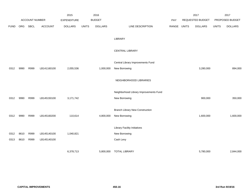|             |      |                |                | 2015               |              | 2016           |                                        |       |              | 2017             |              | 2017            |
|-------------|------|----------------|----------------|--------------------|--------------|----------------|----------------------------------------|-------|--------------|------------------|--------------|-----------------|
|             |      | ACCOUNT NUMBER |                | <b>EXPENDITURE</b> |              | <b>BUDGET</b>  |                                        | PAY   |              | REQUESTED BUDGET |              | PROPOSED BUDGET |
| <b>FUND</b> | ORG  | <b>SBCL</b>    | <b>ACCOUNT</b> | <b>DOLLARS</b>     | <b>UNITS</b> | <b>DOLLARS</b> | LINE DESCRIPTION                       | RANGE | <b>UNITS</b> | <b>DOLLARS</b>   | <b>UNITS</b> | <b>DOLLARS</b>  |
|             |      |                |                |                    |              |                |                                        |       |              |                  |              |                 |
|             |      |                |                |                    |              |                | LIBRARY                                |       |              |                  |              |                 |
|             |      |                |                |                    |              |                | CENTRAL LIBRARY                        |       |              |                  |              |                 |
|             |      |                |                |                    |              |                |                                        |       |              |                  |              |                 |
|             |      |                |                |                    |              |                | Central Library Improvements Fund      |       |              |                  |              |                 |
| 0312        | 9990 | R999           | LB141160100    | 2,055,536          |              | 1,000,000      | New Borrowing                          |       |              | 3,280,000        |              | 894,000         |
|             |      |                |                |                    |              |                |                                        |       |              |                  |              |                 |
|             |      |                |                |                    |              |                | NEIGHBORHOOD LIBRARIES                 |       |              |                  |              |                 |
|             |      |                |                |                    |              |                |                                        |       |              |                  |              |                 |
|             |      |                |                |                    |              |                | Neighborhood Library Improvements Fund |       |              |                  |              |                 |
| 0312        | 9990 | R999           | LB145150100    | 3,171,742          |              |                | New Borrowing                          |       |              | 900,000          |              | 350,000         |
|             |      |                |                |                    |              |                | <b>Branch Library New Construction</b> |       |              |                  |              |                 |
| 0312        | 9990 | R999           | LB145160200    | 110,614            |              | 4,800,000      | New Borrowing                          |       |              | 1,600,000        |              | 1,600,000       |
|             |      |                |                |                    |              |                |                                        |       |              |                  |              |                 |
|             |      |                |                |                    |              |                | <b>Library Facility Initiatives</b>    |       |              |                  |              |                 |
| 0312        | 8610 | R999           | LB145140100    | 1,040,821          |              |                | New Borrowing                          |       |              |                  |              |                 |
| 0313        | 8610 | R999           | LB145140100    |                    |              |                | Cash Levy                              |       |              |                  |              |                 |
|             |      |                |                |                    |              |                |                                        |       |              |                  |              |                 |
|             |      |                |                | 6,378,713          |              | 5,800,000      | <b>TOTAL LIBRARY</b>                   |       |              | 5,780,000        |              | 2,844,000       |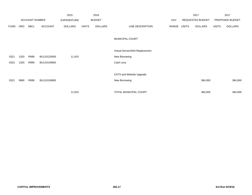|             |            |                       |                | 2015               |              | 2016           |                                |       |       | 2017             |              | 2017            |
|-------------|------------|-----------------------|----------------|--------------------|--------------|----------------|--------------------------------|-------|-------|------------------|--------------|-----------------|
|             |            | <b>ACCOUNT NUMBER</b> |                | <b>EXPENDITURE</b> |              | <b>BUDGET</b>  |                                | PAY   |       | REQUESTED BUDGET |              | PROPOSED BUDGET |
| <b>FUND</b> | <b>ORG</b> | <b>SBCL</b>           | <b>ACCOUNT</b> | <b>DOLLARS</b>     | <b>UNITS</b> | <b>DOLLARS</b> | LINE DESCRIPTION               | RANGE | UNITS | <b>DOLLARS</b>   | <b>UNITS</b> | <b>DOLLARS</b>  |
|             |            |                       |                |                    |              |                | MUNICIPAL COURT                |       |       |                  |              |                 |
|             |            |                       |                |                    |              |                | Virtual Server/SAN Replacement |       |       |                  |              |                 |
| 0321        | 1320       | R999                  | BU110120000    | 11,915             |              |                | New Borrowing                  |       |       |                  |              |                 |
| 0322        | 1320       | R999                  | BU110140600    |                    |              |                | Cash Levy                      |       |       |                  |              |                 |
|             |            |                       |                |                    |              |                |                                |       |       |                  |              |                 |
|             |            |                       |                |                    |              |                | CATS and Website Upgrade       |       |       |                  |              |                 |
| 0321        | 9990       | R999                  | BU110150800    |                    |              |                | New Borrowing                  |       |       | 384,000          |              | 384,000         |
|             |            |                       |                |                    |              |                |                                |       |       |                  |              |                 |
|             |            |                       |                | 11,915             |              |                | TOTAL MUNICIPAL COURT          |       |       | 384,000          |              | 384,000         |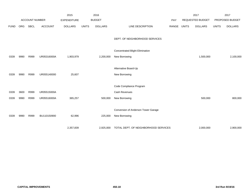|             |      | ACCOUNT NUMBER |                | 2015<br><b>EXPENDITURE</b> |              | 2016<br><b>BUDGET</b> |                                                         | PAY   |              | 2017<br>REQUESTED BUDGET |              | 2017<br>PROPOSED BUDGET |
|-------------|------|----------------|----------------|----------------------------|--------------|-----------------------|---------------------------------------------------------|-------|--------------|--------------------------|--------------|-------------------------|
| <b>FUND</b> | ORG  | <b>SBCL</b>    | <b>ACCOUNT</b> | <b>DOLLARS</b>             | <b>UNITS</b> | <b>DOLLARS</b>        | LINE DESCRIPTION                                        | RANGE | <b>UNITS</b> | <b>DOLLARS</b>           | <b>UNITS</b> | <b>DOLLARS</b>          |
|             |      |                |                |                            |              |                       | DEPT. OF NEIGHBORHOOD SERVICES                          |       |              |                          |              |                         |
| 0339        | 9990 | R999           | UR05316000A    | 1,903,979                  |              | 2,200,000             | <b>Concentrated Blight Elimination</b><br>New Borrowing |       |              | 1,500,000                |              | 2,100,000               |
|             |      |                |                |                            |              |                       |                                                         |       |              |                          |              |                         |
|             |      |                |                |                            |              |                       | Alternative Board-Up                                    |       |              |                          |              |                         |
| 0339        | 9990 | R999           | UR055140000    | 25,607                     |              |                       | New Borrowing                                           |       |              |                          |              |                         |
|             |      |                |                |                            |              |                       | Code Compliance Program                                 |       |              |                          |              |                         |
| 0339        | 3600 | R999           | UR05515000A    |                            |              |                       | Cash Revenues                                           |       |              |                          |              |                         |
| 0339        | 9990 | R999           | UR05516000A    | 365,257                    |              | 500,000               | New Borrowing                                           |       |              | 500,000                  |              | 800,000                 |
|             |      |                |                |                            |              |                       | Conversion of Anderson Tower Garage                     |       |              |                          |              |                         |
| 0339        | 9990 | R999           | BU110150900    | 62,996                     |              | 225,000               | New Borrowing                                           |       |              |                          |              |                         |
|             |      |                |                | 2,357,839                  |              | 2,925,000             | TOTAL DEPT. OF NEIGHBORHOOD SERVICES                    |       |              | 2,000,000                |              | 2,900,000               |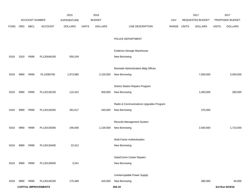|             |      |                |                             | 2015               |              | 2016           |                                         |       |              | 2017             |              | 2017            |
|-------------|------|----------------|-----------------------------|--------------------|--------------|----------------|-----------------------------------------|-------|--------------|------------------|--------------|-----------------|
|             |      | ACCOUNT NUMBER |                             | <b>EXPENDITURE</b> |              | <b>BUDGET</b>  |                                         | PAY   |              | REQUESTED BUDGET |              | PROPOSED BUDGET |
| <b>FUND</b> | ORG  | SBCL           | <b>ACCOUNT</b>              | <b>DOLLARS</b>     | <b>UNITS</b> | <b>DOLLARS</b> | LINE DESCRIPTION                        | RANGE | <b>UNITS</b> | <b>DOLLARS</b>   | <b>UNITS</b> | <b>DOLLARS</b>  |
|             |      |                |                             |                    |              |                |                                         |       |              |                  |              |                 |
|             |      |                |                             |                    |              |                | POLICE DEPARTMENT                       |       |              |                  |              |                 |
|             |      |                |                             |                    |              |                |                                         |       |              |                  |              |                 |
|             |      |                |                             |                    |              |                | Evidence Storage Warehouse              |       |              |                  |              |                 |
| 0318        | 3310 | R999           | PL120040100                 | 550,249            |              |                | New Borrowing                           |       |              |                  |              |                 |
|             |      |                |                             |                    |              |                | Remodel Administration Bldg Offices     |       |              |                  |              |                 |
| 0318        | 9990 | R999           | PL12080700                  | 1,973,980          |              | 2,100,000      | New Borrowing                           |       |              | 7,000,000        |              | 5,500,000       |
|             |      |                |                             |                    |              |                |                                         |       |              |                  |              |                 |
|             |      |                |                             |                    |              |                | <b>District Station Repairs Program</b> |       |              |                  |              |                 |
| 0318        | 9990 | R999           | PL120130100                 | 115,422            |              | 500,000        | New Borrowing                           |       |              | 1,000,000        |              | 280,000         |
|             |      |                |                             |                    |              |                |                                         |       |              |                  |              |                 |
|             |      |                |                             |                    |              |                | Radio & Communications Upgrades Program |       |              |                  |              |                 |
| 0318        | 9990 | R999           | PL120130200                 | 391,617            |              | 440,000        | New Borrowing                           |       |              | 375,000          |              |                 |
|             |      |                |                             |                    |              |                | Records Management System               |       |              |                  |              |                 |
| 0318        | 9990 | R999           | PL120130300                 | 246,836            |              | 1,100,000      | New Borrowing                           |       |              | 2,500,000        |              | 1,715,000       |
|             |      |                |                             |                    |              |                |                                         |       |              |                  |              |                 |
|             |      |                |                             |                    |              |                | Multi-Factor Authentication             |       |              |                  |              |                 |
| 0318        | 9990 | R999           | PL120130400                 | 23,312             |              |                | New Borrowing                           |       |              |                  |              |                 |
|             |      |                |                             |                    |              |                |                                         |       |              |                  |              |                 |
|             |      |                |                             |                    |              |                | Data/Comm Center Repairs                |       |              |                  |              |                 |
| 0318        | 9990 | R999           | PL120130500                 | 3,341              |              |                | New Borrowing                           |       |              |                  |              |                 |
|             |      |                |                             |                    |              |                | Uninterruptable Power Supply            |       |              |                  |              |                 |
| 0318        | 9990 | R999           | PL120140100                 | 175,489            |              | 425,000        | New Borrowing                           |       |              | 380,000          |              | 94,000          |
|             |      |                | <b>CAPITAL IMPROVEMENTS</b> |                    |              |                | 450.19                                  |       |              |                  |              | 3rd Run 9/19/16 |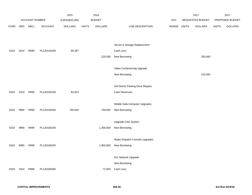|             |            |                |                | 2015               |              | 2016           |                                   |       |              | 2017             |              | 2017            |
|-------------|------------|----------------|----------------|--------------------|--------------|----------------|-----------------------------------|-------|--------------|------------------|--------------|-----------------|
|             |            | ACCOUNT NUMBER |                | <b>EXPENDITURE</b> |              | <b>BUDGET</b>  |                                   | PAY   |              | REQUESTED BUDGET |              | PROPOSED BUDGET |
| <b>FUND</b> | <b>ORG</b> | <b>SBCL</b>    | <b>ACCOUNT</b> | <b>DOLLARS</b>     | <b>UNITS</b> | <b>DOLLARS</b> | LINE DESCRIPTION                  | RANGE | <b>UNITS</b> | <b>DOLLARS</b>   | <b>UNITS</b> | <b>DOLLARS</b>  |
|             |            |                |                |                    |              |                |                                   |       |              |                  |              |                 |
|             |            |                |                |                    |              |                | Server & Storage Replacement      |       |              |                  |              |                 |
| 0318        | 3310       | R999           | PL120140200    | 89,397             |              |                | Cash Levy                         |       |              |                  |              |                 |
|             |            |                |                |                    |              | 225,000        | New Borrowing                     |       |              | 250,000          |              |                 |
|             |            |                |                |                    |              |                | Video Conferencing Upgrade        |       |              |                  |              |                 |
|             |            |                |                |                    |              |                | New Borrowing                     |       |              | 125,000          |              |                 |
|             |            |                |                |                    |              |                |                                   |       |              |                  |              |                 |
|             |            |                |                |                    |              |                | 3rd District Parking Deck Repairs |       |              |                  |              |                 |
| 0318        | 3310       | R999           | PL120150100    | 83,823             |              |                | Cash Revenues                     |       |              |                  |              |                 |
|             |            |                |                |                    |              |                |                                   |       |              |                  |              |                 |
|             |            |                |                |                    |              |                | Mobile Data Computer Upgrades     |       |              |                  |              |                 |
| 0318        | 9990       | R999           | PL120150200    | 795,583            |              | 758,000        | New Borrowing                     |       |              |                  |              |                 |
|             |            |                |                |                    |              |                | Upgrade CAD System                |       |              |                  |              |                 |
| 0318        | 9990       | R999           | PL120160100    |                    |              | 1,300,000      | New Borrowing                     |       |              |                  |              |                 |
|             |            |                |                |                    |              |                |                                   |       |              |                  |              |                 |
|             |            |                |                |                    |              |                | Radio Dispatch Console Upgrades   |       |              |                  |              |                 |
| 0318        | 9990       | R999           | PL120160200    |                    |              | 1,900,000      | New Borrowing                     |       |              |                  |              |                 |
|             |            |                |                |                    |              |                |                                   |       |              |                  |              |                 |
|             |            |                |                |                    |              |                | 911 Network Upgrade               |       |              |                  |              |                 |
|             |            |                |                |                    |              |                | New Borrowing                     |       |              |                  |              |                 |
| 0318        | 3310       | R999           | PL120160300    |                    |              | 72,000         | Cash Levy                         |       |              |                  |              |                 |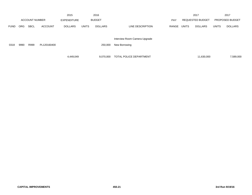|             |      |                       |                | 2015               |              | 2016           |                                |            |              | 2017                    |              | 2017            |
|-------------|------|-----------------------|----------------|--------------------|--------------|----------------|--------------------------------|------------|--------------|-------------------------|--------------|-----------------|
|             |      | <b>ACCOUNT NUMBER</b> |                | <b>EXPENDITURE</b> |              | <b>BUDGET</b>  |                                | <b>PAY</b> |              | <b>REQUESTED BUDGET</b> |              | PROPOSED BUDGET |
| <b>FUND</b> | ORG. | <b>SBCL</b>           | <b>ACCOUNT</b> | <b>DOLLARS</b>     | <b>UNITS</b> | <b>DOLLARS</b> | LINE DESCRIPTION               | RANGE      | <b>UNITS</b> | <b>DOLLARS</b>          | <b>UNITS</b> | <b>DOLLARS</b>  |
|             |      |                       |                |                    |              |                | Interview Room Camera Upgrade  |            |              |                         |              |                 |
| 0318        | 9990 | R999                  | PL120160400    |                    |              | 250,000        | New Borrowing                  |            |              |                         |              |                 |
|             |      |                       |                | 4,449,049          |              | 9,070,000      | <b>TOTAL POLICE DEPARTMENT</b> |            |              | 11,630,000              |              | 7,589,000       |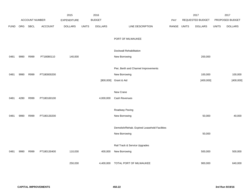|             |      |                |                | 2015               |              | 2016           |                                              |       |              | 2017             |              | 2017            |
|-------------|------|----------------|----------------|--------------------|--------------|----------------|----------------------------------------------|-------|--------------|------------------|--------------|-----------------|
|             |      | ACCOUNT NUMBER |                | <b>EXPENDITURE</b> |              | <b>BUDGET</b>  |                                              | PAY   |              | REQUESTED BUDGET |              | PROPOSED BUDGET |
| <b>FUND</b> | ORG  | SBCL           | <b>ACCOUNT</b> | <b>DOLLARS</b>     | <b>UNITS</b> | <b>DOLLARS</b> | LINE DESCRIPTION                             | RANGE | <b>UNITS</b> | <b>DOLLARS</b>   | <b>UNITS</b> | <b>DOLLARS</b>  |
|             |      |                |                |                    |              |                |                                              |       |              |                  |              |                 |
|             |      |                |                |                    |              |                | PORT OF MILWAUKEE                            |       |              |                  |              |                 |
|             |      |                |                |                    |              |                |                                              |       |              |                  |              |                 |
|             |      |                |                |                    |              |                | Dockwall Rehabilitation                      |       |              |                  |              |                 |
| 0481        | 9990 | R999           | PT18080110     | 140,000            |              |                | New Borrowing                                |       |              | 200,000          |              |                 |
|             |      |                |                |                    |              |                |                                              |       |              |                  |              |                 |
|             |      |                |                |                    |              |                | Pier, Berth and Channel Improvements         |       |              |                  |              |                 |
| 0481        | 9990 | R999           | PT180000200    |                    |              |                | New Borrowing                                |       |              | 100,000          |              | 100,000         |
|             |      |                |                |                    |              |                | [800,000] Grant & Aid                        |       |              | [400,000]        |              | [400,000]       |
|             |      |                |                |                    |              |                |                                              |       |              |                  |              |                 |
|             |      |                |                |                    |              |                | New Crane                                    |       |              |                  |              |                 |
| 0481        | 4280 | R999           | PT180160100    |                    |              | 4,000,000      | Cash Revenues                                |       |              |                  |              |                 |
|             |      |                |                |                    |              |                |                                              |       |              |                  |              |                 |
|             |      |                |                |                    |              |                | Roadway Paving                               |       |              |                  |              |                 |
| 0481        | 9990 | R999           | PT180130200    |                    |              |                | New Borrowing                                |       |              | 50,000           |              | 40,000          |
|             |      |                |                |                    |              |                |                                              |       |              |                  |              |                 |
|             |      |                |                |                    |              |                | Demolish/Rehab. Expired Leasehold Facilities |       |              |                  |              |                 |
|             |      |                |                |                    |              |                | New Borrowing                                |       |              | 50,000           |              |                 |
|             |      |                |                |                    |              |                |                                              |       |              |                  |              |                 |
|             |      |                |                |                    |              |                | Rail Track & Service Upgrades                |       |              |                  |              |                 |
| 0481        | 9990 | R999           | PT180130400    | 110,030            |              | 400,000        | New Borrowing                                |       |              | 500,000          |              | 500,000         |
|             |      |                |                |                    |              |                |                                              |       |              |                  |              |                 |
|             |      |                |                | 250,030            |              | 4,400,000      | TOTAL PORT OF MILWAUKEE                      |       |              | 900,000          |              | 640,000         |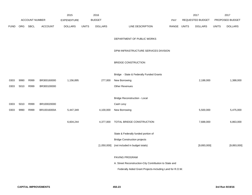|             |      |                       |             | 2015               |              | 2016           |                                                          |             | 2017             |              | 2017            |
|-------------|------|-----------------------|-------------|--------------------|--------------|----------------|----------------------------------------------------------|-------------|------------------|--------------|-----------------|
|             |      | <b>ACCOUNT NUMBER</b> |             | <b>EXPENDITURE</b> |              | <b>BUDGET</b>  |                                                          | <b>PAY</b>  | REQUESTED BUDGET |              | PROPOSED BUDGET |
| <b>FUND</b> | ORG  | SBCL                  | ACCOUNT     | <b>DOLLARS</b>     | <b>UNITS</b> | <b>DOLLARS</b> | LINE DESCRIPTION                                         | RANGE UNITS | <b>DOLLARS</b>   | <b>UNITS</b> | <b>DOLLARS</b>  |
|             |      |                       |             |                    |              |                | DEPARTMENT OF PUBLIC WORKS                               |             |                  |              |                 |
|             |      |                       |             |                    |              |                | DPW-INFRASTRUCTURE SERVICES DIVISION                     |             |                  |              |                 |
|             |      |                       |             |                    |              |                | <b>BRIDGE CONSTRUCTION</b>                               |             |                  |              |                 |
|             |      |                       |             |                    |              |                | Bridge - State & Federally Funded Grants                 |             |                  |              |                 |
| 0303        | 9990 | R999                  | BR300160000 | 1,156,895          |              | 277,000        | New Borrowing                                            |             | 2,188,000        |              | 1,388,000       |
| 0303        | 5010 | R999                  | BR300100000 |                    |              |                | <b>Other Revenues</b>                                    |             |                  |              |                 |
|             |      |                       |             |                    |              |                | <b>Bridge Reconstruction - Local</b>                     |             |                  |              |                 |
| 0303        | 5010 | R999                  | BR100020000 |                    |              |                | Cash Levy                                                |             |                  |              |                 |
| 0303        | 9990 | R999                  | BR10016000A | 5,447,349          |              | 4,100,000      | New Borrowing                                            |             | 5,500,000        |              | 5,475,000       |
|             |      |                       |             | 6,604,244          |              | 4,377,000      | TOTAL BRIDGE CONSTRUCTION                                |             | 7,688,000        |              | 6,863,000       |
|             |      |                       |             |                    |              |                | State & Federally funded portion of                      |             |                  |              |                 |
|             |      |                       |             |                    |              |                | <b>Bridge Construction projects</b>                      |             |                  |              |                 |
|             |      |                       |             |                    |              | [1,050,000]    | (not included in budget totals)                          |             | [9,893,000]      |              | [9,893,000]     |
|             |      |                       |             |                    |              |                | PAVING PROGRAM                                           |             |                  |              |                 |
|             |      |                       |             |                    |              |                | A. Street Reconstruction-City Contribution to State and  |             |                  |              |                 |
|             |      |                       |             |                    |              |                | Federally Aided Grant Projects-Including Land for R.O.W. |             |                  |              |                 |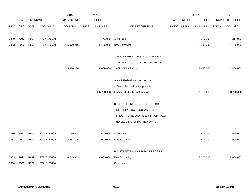|             |      |                       |                | 2015               |              | 2016           |                                           |       |              | 2017             |              | 2017            |
|-------------|------|-----------------------|----------------|--------------------|--------------|----------------|-------------------------------------------|-------|--------------|------------------|--------------|-----------------|
|             |      | <b>ACCOUNT NUMBER</b> |                | <b>EXPENDITURE</b> |              | <b>BUDGET</b>  |                                           | PAY   |              | REQUESTED BUDGET |              | PROPOSED BUDGET |
| <b>FUND</b> | ORG  | <b>SBCL</b>           | <b>ACCOUNT</b> | <b>DOLLARS</b>     | <b>UNITS</b> | <b>DOLLARS</b> | LINE DESCRIPTION                          | RANGE | <b>UNITS</b> | <b>DOLLARS</b>   | <b>UNITS</b> | <b>DOLLARS</b>  |
|             |      |                       |                |                    |              |                |                                           |       |              |                  |              |                 |
| 0330        | 5010 | R999                  | ST320160000    |                    |              | 473,000        | Assessable                                |       |              | 317,000          |              | 317,000         |
| 0333        | 9990 | R999                  | ST320160000    | 15,970,216         |              | 8,136,000      | New Borrowing                             |       |              | 8,139,000        |              | 4,139,000       |
|             |      |                       |                |                    |              |                |                                           |       |              |                  |              |                 |
|             |      |                       |                |                    |              |                | TOTAL STREET CONSTRUCTION-CITY            |       |              |                  |              |                 |
|             |      |                       |                |                    |              |                | CONTRIBUTION TO AIDED PROJECTS            |       |              |                  |              |                 |
|             |      |                       |                | 15,970,216         |              | 8,609,000      | INCLUDING R.O.W.                          |       |              | 8,456,000        |              | 4,456,000       |
|             |      |                       |                |                    |              |                |                                           |       |              |                  |              |                 |
|             |      |                       |                |                    |              |                | State & Federally funded portion          |       |              |                  |              |                 |
|             |      |                       |                |                    |              |                | of Street Reconstruction projects         |       |              |                  |              |                 |
|             |      |                       |                |                    |              | [30,788,000]   | (not included in budget totals)           |       |              | [33,750,000]     |              | [33,750,000]    |
|             |      |                       |                |                    |              |                |                                           |       |              |                  |              |                 |
|             |      |                       |                |                    |              |                | <b>B.1. STREET RECONSTRUCTION OR</b>      |       |              |                  |              |                 |
|             |      |                       |                |                    |              |                | <b>RESURFACING REGULAR CITY</b>           |       |              |                  |              |                 |
|             |      |                       |                |                    |              |                | PROGRAM-INCLUDING LAND FOR R.O.W.         |       |              |                  |              |                 |
|             |      |                       |                |                    |              |                | (EXCLUDING URBAN RENEWAL)                 |       |              |                  |              |                 |
|             |      |                       |                |                    |              |                |                                           |       |              |                  |              |                 |
| 0330        | 5010 | R999                  | ST21116000A    | 759,003            |              | 600,000        | Assessable                                |       |              | 500,000          |              | 500,000         |
| 0333        | 9990 | R999                  | ST21116000A    | 12,434,105         |              | 7,000,000      | New Borrowing                             |       |              | 7,500,000        |              | 7,500,000       |
|             |      |                       |                |                    |              |                |                                           |       |              |                  |              |                 |
|             |      |                       |                |                    |              |                | <b>B.2. STREETS - HIGH IMPACT PROGRAM</b> |       |              |                  |              |                 |
| 0333        | 9990 | R999                  | ST21616000A    | 6,745,353          |              | 8,000,000      | New Borrowing                             |       |              | 8,000,000        |              | 8,000,000       |
| 0334        | 9990 | R999                  | ST21615000A    |                    |              |                | Cash Levy                                 |       |              |                  |              |                 |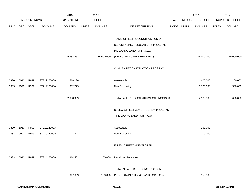|             |      |                       |                | 2015               |              | 2016           |                                    |             | 2017             |              | 2017            |
|-------------|------|-----------------------|----------------|--------------------|--------------|----------------|------------------------------------|-------------|------------------|--------------|-----------------|
|             |      | <b>ACCOUNT NUMBER</b> |                | <b>EXPENDITURE</b> |              | <b>BUDGET</b>  |                                    | PAY         | REQUESTED BUDGET |              | PROPOSED BUDGET |
| <b>FUND</b> | ORG  | SBCL                  | <b>ACCOUNT</b> | <b>DOLLARS</b>     | <b>UNITS</b> | <b>DOLLARS</b> | LINE DESCRIPTION                   | RANGE UNITS | <b>DOLLARS</b>   | <b>UNITS</b> | <b>DOLLARS</b>  |
|             |      |                       |                |                    |              |                |                                    |             |                  |              |                 |
|             |      |                       |                |                    |              |                | TOTAL STREET RECONSTRUCTION OR     |             |                  |              |                 |
|             |      |                       |                |                    |              |                | RESURFACING-REGULAR CITY PROGRAM   |             |                  |              |                 |
|             |      |                       |                |                    |              |                | INCLUDING LAND FOR R.O.W.          |             |                  |              |                 |
|             |      |                       |                | 19,938,461         |              | 15,600,000     | (EXCLUDING URBAN RENEWAL)          |             | 16,000,000       |              | 16,000,000      |
|             |      |                       |                |                    |              |                |                                    |             |                  |              |                 |
|             |      |                       |                |                    |              |                | C. ALLEY RECONSTRUCTION PROGRAM    |             |                  |              |                 |
|             |      |                       |                |                    |              |                |                                    |             |                  |              |                 |
| 0330        | 5010 | R999                  | ST21216000A    | 518,136            |              |                | Assessable                         |             | 400,000          |              | 100,000         |
| 0333        | 9990 | R999                  | ST21216000A    | 1,832,773          |              |                | New Borrowing                      |             | 1,725,000        |              | 500,000         |
|             |      |                       |                | 2,350,909          |              |                | TOTAL ALLEY RECONSTRUCTION PROGRAM |             | 2,125,000        |              | 600,000         |
|             |      |                       |                |                    |              |                |                                    |             |                  |              |                 |
|             |      |                       |                |                    |              |                | D. NEW STREET CONSTRUCTION PROGRAM |             |                  |              |                 |
|             |      |                       |                |                    |              |                | INCLUDING LAND FOR R.O.W.          |             |                  |              |                 |
|             |      |                       |                |                    |              |                |                                    |             |                  |              |                 |
| 0330        | 5010 | R999                  | ST21014000A    |                    |              |                | Assessable                         |             | 150,000          |              |                 |
| 0333        | 9990 | R999                  | ST21014000A    | 3,242              |              |                | New Borrowing                      |             | 200,000          |              |                 |
|             |      |                       |                |                    |              |                |                                    |             |                  |              |                 |
|             |      |                       |                |                    |              |                | E. NEW STREET - DEVELOPER          |             |                  |              |                 |
|             |      |                       |                |                    |              |                |                                    |             |                  |              |                 |
| 0333        | 5010 | R999                  | ST21416000A    | 914,561            |              | 100,000        | Developer Revenues                 |             |                  |              |                 |
|             |      |                       |                |                    |              |                |                                    |             |                  |              |                 |
|             |      |                       |                |                    |              |                | TOTAL NEW STREET CONSTRUCTION      |             |                  |              |                 |
|             |      |                       |                | 917,803            |              | 100,000        | PROGRAM-INCLUDING LAND FOR R.O.W.  |             | 350,000          |              |                 |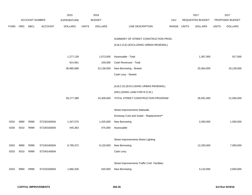|             |            |                       |                | 2015               |              | 2016           |                                              |             | 2017             |              | 2017            |
|-------------|------------|-----------------------|----------------|--------------------|--------------|----------------|----------------------------------------------|-------------|------------------|--------------|-----------------|
|             |            | <b>ACCOUNT NUMBER</b> |                | <b>EXPENDITURE</b> |              | <b>BUDGET</b>  |                                              | <b>PAY</b>  | REQUESTED BUDGET |              | PROPOSED BUDGET |
| <b>FUND</b> | <b>ORG</b> | SBCL                  | <b>ACCOUNT</b> | <b>DOLLARS</b>     | <b>UNITS</b> | <b>DOLLARS</b> | LINE DESCRIPTION                             | RANGE UNITS | <b>DOLLARS</b>   | <b>UNITS</b> | <b>DOLLARS</b>  |
|             |            |                       |                |                    |              |                |                                              |             |                  |              |                 |
|             |            |                       |                |                    |              |                | SUMMARY OF STREET CONSTRUCTION PROG.         |             |                  |              |                 |
|             |            |                       |                |                    |              |                | (A,B,C,D,E) (EXCLUDING URBAN RENEWAL)        |             |                  |              |                 |
|             |            |                       |                |                    |              |                |                                              |             |                  |              |                 |
|             |            |                       |                | 1,277,139          |              | 1,073,000      | Assessable - Total                           |             | 1,367,000        |              | 917,000         |
|             |            |                       |                | 914,561            |              | 100,000        | Cash Revenues - Total                        |             |                  |              |                 |
|             |            |                       |                | 36,985,689         |              | 23,136,000     | New Borrowing - Streets                      |             | 25,564,000       |              | 20,139,000      |
|             |            |                       |                |                    |              |                | Cash Levy - Streets                          |             |                  |              |                 |
|             |            |                       |                |                    |              |                |                                              |             |                  |              |                 |
|             |            |                       |                |                    |              |                | (A,B,C,D) (EXCLUDING URBAN RENEWAL)          |             |                  |              |                 |
|             |            |                       |                |                    |              |                | (INCLUDING LAND FOR R.O.W.)                  |             |                  |              |                 |
|             |            |                       |                | 39,177,389         |              | 24,309,000     | TOTAL STREET CONSTRUCTION PROGRAM            |             | 26,931,000       |              | 21,056,000      |
|             |            |                       |                |                    |              |                |                                              |             |                  |              |                 |
|             |            |                       |                |                    |              |                | Street Improvements-Sidewalk,                |             |                  |              |                 |
|             |            |                       |                |                    |              |                | Driveway Curb and Gutter - Replacement**     |             |                  |              |                 |
| 0333        | 9990       | R999                  | ST23016000A    | 1,347,575          |              | 1,425,000      | New Borrowing                                |             | 2,000,000        |              | 1,500,000       |
| 0330        | 5010       | R999                  | ST23016000A    | 445,363            |              | 475,000        | Assessable                                   |             |                  |              |                 |
|             |            |                       |                |                    |              |                |                                              |             |                  |              |                 |
|             |            |                       |                |                    |              |                | Street Improvements-Street Lighting          |             |                  |              |                 |
| 0333        | 9990       | R999                  | ST24016000A    | 6,790,372          |              | 9,120,000      | New Borrowing                                |             | 12,200,000       |              | 7,000,000       |
| 0333        | 5010       | R999                  | ST24014000A    |                    |              |                | Cash Levy                                    |             |                  |              |                 |
|             |            |                       |                |                    |              |                |                                              |             |                  |              |                 |
|             |            |                       |                |                    |              |                | Street Improvements-Traffic Cntrl Facilities |             |                  |              |                 |
| 0333        | 9990       | R999                  | ST22016000A    | 1,660,330          |              | 520,000        | New Borrowing                                |             | 3,110,000        |              | 2,600,000       |
|             |            |                       |                |                    |              |                |                                              |             |                  |              |                 |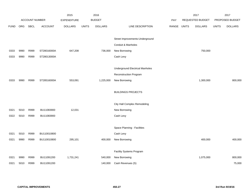|             |      |                       |                | 2015               |              | 2016           |                                        |       |              | 2017                    |              | 2017            |
|-------------|------|-----------------------|----------------|--------------------|--------------|----------------|----------------------------------------|-------|--------------|-------------------------|--------------|-----------------|
|             |      | <b>ACCOUNT NUMBER</b> |                | <b>EXPENDITURE</b> |              | <b>BUDGET</b>  |                                        | PAY   |              | <b>REQUESTED BUDGET</b> |              | PROPOSED BUDGET |
| <b>FUND</b> | ORG  | <b>SBCL</b>           | <b>ACCOUNT</b> | <b>DOLLARS</b>     | <b>UNITS</b> | <b>DOLLARS</b> | LINE DESCRIPTION                       | RANGE | <b>UNITS</b> | <b>DOLLARS</b>          | <b>UNITS</b> | <b>DOLLARS</b>  |
|             |      |                       |                |                    |              |                |                                        |       |              |                         |              |                 |
|             |      |                       |                |                    |              |                | Street Improvements-Underground        |       |              |                         |              |                 |
|             |      |                       |                |                    |              |                | Conduit & Manholes                     |       |              |                         |              |                 |
| 0333        | 9990 | R999                  | ST28016000A    | 647,208            |              | 736,000        | New Borrowing                          |       |              | 750,000                 |              |                 |
| 0333        | 9990 | R999                  | ST28013000A    |                    |              |                | Cash Levy                              |       |              |                         |              |                 |
|             |      |                       |                |                    |              |                |                                        |       |              |                         |              |                 |
|             |      |                       |                |                    |              |                | <b>Underground Electrical Manholes</b> |       |              |                         |              |                 |
|             |      |                       |                |                    |              |                | Reconstruction Program                 |       |              |                         |              |                 |
| 0333        | 9990 | R999                  | ST28516000A    | 553,091            |              | 1,225,000      | New Borrowing                          |       |              | 1,300,000               |              | 800,000         |
|             |      |                       |                |                    |              |                |                                        |       |              |                         |              |                 |
|             |      |                       |                |                    |              |                | <b>BUILDINGS PROJECTS</b>              |       |              |                         |              |                 |
|             |      |                       |                |                    |              |                |                                        |       |              |                         |              |                 |
|             |      |                       |                |                    |              |                | City Hall Complex Remodeling           |       |              |                         |              |                 |
| 0321        | 5010 | R999                  | BU11083900     | 12,031             |              |                | New Borrowing                          |       |              |                         |              |                 |
| 0322        | 5010 | R999                  | BU11083900     |                    |              |                | Cash Levy                              |       |              |                         |              |                 |
|             |      |                       |                |                    |              |                |                                        |       |              |                         |              |                 |
|             |      |                       |                |                    |              |                | Space Planning - Facilities            |       |              |                         |              |                 |
| 0321        | 5010 | R999                  | BU110010800    |                    |              |                | Cash Levy                              |       |              |                         |              |                 |
| 0321        | 9990 | R999                  | BU110010800    | 295,101            |              | 400,000        | New Borrowing                          |       |              | 400,000                 |              | 400,000         |
|             |      |                       |                |                    |              |                |                                        |       |              |                         |              |                 |
|             |      |                       |                |                    |              |                | Facility Systems Program               |       |              |                         |              |                 |
| 0321        | 9990 | R999                  | BU11091200     | 1,731,241          |              | 540,000        | New Borrowing                          |       |              | 1,075,000               |              | 800,000         |
| 0321        | 5010 | R999                  | BU11091200     |                    |              | 140,000        | Cash Revenues (S)                      |       |              |                         |              | 75,000          |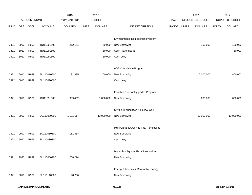|             |      |                       |                | 2015               |              | 2016           |                                          |       |              | 2017             |              | 2017            |
|-------------|------|-----------------------|----------------|--------------------|--------------|----------------|------------------------------------------|-------|--------------|------------------|--------------|-----------------|
|             |      | <b>ACCOUNT NUMBER</b> |                | <b>EXPENDITURE</b> |              | <b>BUDGET</b>  |                                          | PAY   |              | REQUESTED BUDGET |              | PROPOSED BUDGET |
| <b>FUND</b> | ORG  | SBCL                  | <b>ACCOUNT</b> | <b>DOLLARS</b>     | <b>UNITS</b> | <b>DOLLARS</b> | LINE DESCRIPTION                         | RANGE | <b>UNITS</b> | <b>DOLLARS</b>   | <b>UNITS</b> | <b>DOLLARS</b>  |
|             |      |                       |                |                    |              |                |                                          |       |              |                  |              |                 |
|             |      |                       |                |                    |              |                | <b>Environmental Remediation Program</b> |       |              |                  |              |                 |
| 0321        | 9990 | R999                  | BU11091500     | 212,151            |              | 50,000         | New Borrowing                            |       |              | 150,000          |              | 100,000         |
| 0321        | 5010 | R999                  | BU11091500     |                    |              | 50,000         | Cash Revenues (S)                        |       |              |                  |              | 50,000          |
| 0321        | 5010 | R999                  | BU11091500     |                    |              | 50,000         | Cash Levy                                |       |              |                  |              |                 |
|             |      |                       |                |                    |              |                |                                          |       |              |                  |              |                 |
|             |      |                       |                |                    |              |                | ADA Compliance Program                   |       |              |                  |              |                 |
| 0321        | 5010 | R999                  | BU110010500    | 191,335            |              | 200,000        | New Borrowing                            |       |              | 2,000,000        |              | 1,800,000       |
| 0322        | 5010 | R999                  | BU110010500    |                    |              |                | Cash Levy                                |       |              |                  |              |                 |
|             |      |                       |                |                    |              |                |                                          |       |              |                  |              |                 |
|             |      |                       |                |                    |              |                | Facilities Exterior Upgrades Program     |       |              |                  |              |                 |
| 0321        | 5010 | R999                  | BU11091300     | 939,402            |              | 1,000,000      | New Borrowing                            |       |              | 600,000          |              | 600,000         |
|             |      |                       |                |                    |              |                |                                          |       |              |                  |              |                 |
|             |      |                       |                |                    |              |                | City Hall Foundation & Hollow Walk       |       |              |                  |              |                 |
| 0321        | 9990 | R999                  | BU110080800    | 1,131,117          |              | 13,000,000     | New Borrowing                            |       |              | 13,000,000       |              | 13,000,000      |
|             |      |                       |                |                    |              |                |                                          |       |              |                  |              |                 |
|             |      |                       |                |                    |              |                | Muni Garages/Outlying Fac. Remodeling    |       |              |                  |              |                 |
| 0321        | 9990 | R999                  | BU110030300    | 181,464            |              |                | New Borrowing                            |       |              |                  |              |                 |
| 0322        | 9990 | R999                  | BU110030300    |                    |              |                | Cash Levy                                |       |              |                  |              |                 |
|             |      |                       |                |                    |              |                |                                          |       |              |                  |              |                 |
|             |      |                       |                |                    |              |                | MacArthur Square Plaza Restoration       |       |              |                  |              |                 |
| 0321        | 9990 | R999                  | BU110080900    | 208,224            |              |                | New Borrowing                            |       |              |                  |              |                 |
|             |      |                       |                |                    |              |                |                                          |       |              |                  |              |                 |
|             |      |                       |                |                    |              |                | Energy Efficiency & Renewable Energy     |       |              |                  |              |                 |
| 0321        | 5010 | R999                  | BU110110600    | 190,266            |              |                | New Borrowing                            |       |              |                  |              |                 |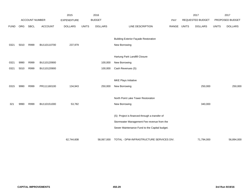|             |      |                       |                | 2015               |              | 2016           |                                               |       |              | 2017             |              | 2017            |
|-------------|------|-----------------------|----------------|--------------------|--------------|----------------|-----------------------------------------------|-------|--------------|------------------|--------------|-----------------|
|             |      | <b>ACCOUNT NUMBER</b> |                | <b>EXPENDITURE</b> |              | <b>BUDGET</b>  |                                               | PAY   |              | REQUESTED BUDGET |              | PROPOSED BUDGET |
| <b>FUND</b> | ORG  | <b>SBCL</b>           | <b>ACCOUNT</b> | <b>DOLLARS</b>     | <b>UNITS</b> | <b>DOLLARS</b> | LINE DESCRIPTION                              | RANGE | <b>UNITS</b> | <b>DOLLARS</b>   | <b>UNITS</b> | <b>DOLLARS</b>  |
|             |      |                       |                |                    |              |                |                                               |       |              |                  |              |                 |
|             |      |                       |                |                    |              |                | <b>Building Exterior Façade Restoration</b>   |       |              |                  |              |                 |
| 0321        | 5010 | R999                  | BU110110700    | 237,979            |              |                | New Borrowing                                 |       |              |                  |              |                 |
|             |      |                       |                |                    |              |                |                                               |       |              |                  |              |                 |
|             |      |                       |                |                    |              |                | Hartung Park Landfill Closure                 |       |              |                  |              |                 |
| 0321        | 9990 | R999                  | BU110120900    |                    |              | 100,000        | New Borrowing                                 |       |              |                  |              |                 |
| 0321        | 5010 | R999                  | BU110120900    |                    |              | 100,000        | Cash Revenues (S)                             |       |              |                  |              |                 |
|             |      |                       |                |                    |              |                |                                               |       |              |                  |              |                 |
|             |      |                       |                |                    |              |                | <b>MKE Plays Initiative</b>                   |       |              |                  |              |                 |
| 0315        | 9990 | R999                  | PR111160100    | 134,943            |              | 250,000        | New Borrowing                                 |       |              | 250,000          |              | 250,000         |
|             |      |                       |                |                    |              |                |                                               |       |              |                  |              |                 |
|             |      |                       |                |                    |              |                | North Point Lake Tower Restoration            |       |              |                  |              |                 |
| 321         | 9990 | R999                  | BU110151000    | 53,782             |              |                | New Borrowing                                 |       |              | 340,000          |              |                 |
|             |      |                       |                |                    |              |                |                                               |       |              |                  |              |                 |
|             |      |                       |                |                    |              |                | (S) Project is financed through a transfer of |       |              |                  |              |                 |
|             |      |                       |                |                    |              |                | Stormwater Management Fee revenue from the    |       |              |                  |              |                 |
|             |      |                       |                |                    |              |                | Sewer Maintenance Fund to the Capital budget. |       |              |                  |              |                 |
|             |      |                       |                |                    |              |                |                                               |       |              |                  |              |                 |
|             |      |                       |                | 62,744,608         |              | 58,067,000     | TOTAL - DPW-INFRASTRUCTURE SERVICES DIV.      |       |              | 71,794,000       |              | 56,894,000      |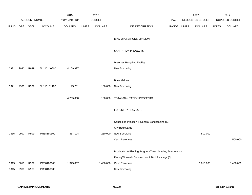|             |      |                |                | 2015               |              | 2016           |                                                           |             | 2017             |              | 2017            |
|-------------|------|----------------|----------------|--------------------|--------------|----------------|-----------------------------------------------------------|-------------|------------------|--------------|-----------------|
|             |      | ACCOUNT NUMBER |                | <b>EXPENDITURE</b> |              | <b>BUDGET</b>  |                                                           | <b>PAY</b>  | REQUESTED BUDGET |              | PROPOSED BUDGET |
| <b>FUND</b> | ORG  | <b>SBCL</b>    | <b>ACCOUNT</b> | <b>DOLLARS</b>     | <b>UNITS</b> | <b>DOLLARS</b> | LINE DESCRIPTION                                          | RANGE UNITS | <b>DOLLARS</b>   | <b>UNITS</b> | <b>DOLLARS</b>  |
|             |      |                |                |                    |              |                |                                                           |             |                  |              |                 |
|             |      |                |                |                    |              |                | DPW-OPERATIONS DIVISION                                   |             |                  |              |                 |
|             |      |                |                |                    |              |                |                                                           |             |                  |              |                 |
|             |      |                |                |                    |              |                | SANITATION PROJECTS                                       |             |                  |              |                 |
|             |      |                |                |                    |              |                |                                                           |             |                  |              |                 |
|             |      |                |                |                    |              |                | <b>Materials Recycling Facility</b>                       |             |                  |              |                 |
| 0321        | 9990 | R999           | BU110140800    | 4,109,827          |              |                | New Borrowing                                             |             |                  |              |                 |
|             |      |                |                |                    |              |                |                                                           |             |                  |              |                 |
|             |      |                |                |                    |              |                | <b>Brine Makers</b>                                       |             |                  |              |                 |
| 0321        | 9990 | R999           | BU110151100    | 95,231             |              | 100,000        | New Borrowing                                             |             |                  |              |                 |
|             |      |                |                |                    |              |                |                                                           |             |                  |              |                 |
|             |      |                |                | 4,205,058          |              | 100,000        | TOTAL-SANITATION PROJECTS                                 |             |                  |              |                 |
|             |      |                |                |                    |              |                |                                                           |             |                  |              |                 |
|             |      |                |                |                    |              |                | FORESTRY PROJECTS                                         |             |                  |              |                 |
|             |      |                |                |                    |              |                |                                                           |             |                  |              |                 |
|             |      |                |                |                    |              |                | Concealed Irrigation & General Landscaping (S)            |             |                  |              |                 |
|             |      |                |                |                    |              |                | <b>City Boulevards</b>                                    |             |                  |              |                 |
| 0315        | 9990 | R999           | PR58180300     | 367,124            |              | 250,000        | New Borrowing                                             |             | 500,000          |              |                 |
|             |      |                |                |                    |              |                | Cash Revenues                                             |             |                  |              | 500,000         |
|             |      |                |                |                    |              |                |                                                           |             |                  |              |                 |
|             |      |                |                |                    |              |                | Production & Planting Program-Trees, Shrubs, Evergreens - |             |                  |              |                 |
|             |      |                |                |                    |              |                | Paving/Sidewalk Construction & Blvd Plantings (S)         |             |                  |              |                 |
| 0315        | 5010 | R999           | PR58180100     | 1,375,857          |              | 1,400,000      | Cash Revenues                                             |             | 1,615,000        |              | 1,450,000       |
| 0315        | 9990 | R999           | PR58180100     |                    |              |                | New Borrowing                                             |             |                  |              |                 |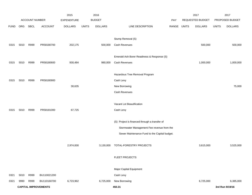|             |      |                       |                             | 2015               |              | 2016           |                                               |       |              | 2017             |              | 2017            |
|-------------|------|-----------------------|-----------------------------|--------------------|--------------|----------------|-----------------------------------------------|-------|--------------|------------------|--------------|-----------------|
|             |      | <b>ACCOUNT NUMBER</b> |                             | <b>EXPENDITURE</b> |              | <b>BUDGET</b>  |                                               | PAY   |              | REQUESTED BUDGET |              | PROPOSED BUDGET |
| <b>FUND</b> | ORG  | SBCL                  | <b>ACCOUNT</b>              | <b>DOLLARS</b>     | <b>UNITS</b> | <b>DOLLARS</b> | LINE DESCRIPTION                              | RANGE | <b>UNITS</b> | <b>DOLLARS</b>   | <b>UNITS</b> | <b>DOLLARS</b>  |
|             |      |                       |                             |                    |              |                |                                               |       |              |                  |              |                 |
|             |      |                       |                             |                    |              |                | Stump Removal (S)                             |       |              |                  |              |                 |
| 0315        | 5010 | R999                  | PR58180700                  | 202,175            |              | 500,000        | Cash Revenues                                 |       |              | 500,000          |              | 500,000         |
|             |      |                       |                             |                    |              |                |                                               |       |              |                  |              |                 |
|             |      |                       |                             |                    |              |                | Emerald Ash Borer Readiness & Response (S)    |       |              |                  |              |                 |
| 0315        | 5010 | R999                  | PR58180600                  | 930,484            |              | 980,000        | Cash Revenues                                 |       |              | 1,000,000        |              | 1,000,000       |
|             |      |                       |                             |                    |              |                |                                               |       |              |                  |              |                 |
|             |      |                       |                             |                    |              |                | Hazardous Tree Removal Program                |       |              |                  |              |                 |
| 0315        | 5010 | R999                  | PR58180900                  |                    |              |                | Cash Levy                                     |       |              |                  |              |                 |
|             |      |                       |                             | 30,635             |              |                | New Borrowing                                 |       |              |                  |              | 75,000          |
|             |      |                       |                             |                    |              |                | Cash Revenues                                 |       |              |                  |              |                 |
|             |      |                       |                             |                    |              |                |                                               |       |              |                  |              |                 |
|             |      |                       |                             |                    |              |                | Vacant Lot Beautification                     |       |              |                  |              |                 |
| 0315        | 5010 | R999                  | PR58181000                  | 67,725             |              |                | Cash Levy                                     |       |              |                  |              |                 |
|             |      |                       |                             |                    |              |                |                                               |       |              |                  |              |                 |
|             |      |                       |                             |                    |              |                | (S) Project is financed through a transfer of |       |              |                  |              |                 |
|             |      |                       |                             |                    |              |                | Stormwater Management Fee revenue from the    |       |              |                  |              |                 |
|             |      |                       |                             |                    |              |                | Sewer Maintenance Fund to the Capital budget. |       |              |                  |              |                 |
|             |      |                       |                             |                    |              |                |                                               |       |              |                  |              |                 |
|             |      |                       |                             | 2,974,000          |              | 3,130,000      | TOTAL-FORESTRY PROJECTS                       |       |              | 3,615,000        |              | 3,525,000       |
|             |      |                       |                             |                    |              |                |                                               |       |              |                  |              |                 |
|             |      |                       |                             |                    |              |                | FLEET PROJECTS                                |       |              |                  |              |                 |
|             |      |                       |                             |                    |              |                |                                               |       |              |                  |              |                 |
|             |      |                       |                             |                    |              |                | Major Capital Equipment                       |       |              |                  |              |                 |
| 0321        | 5010 | R999                  | BU110021200                 |                    |              |                | Cash Levy                                     |       |              |                  |              |                 |
| 0321        | 9990 | R999                  | BU110160700                 | 6,723,962          |              | 6,725,000      | New Borrowing                                 |       |              | 6,725,000        |              | 6,385,000       |
|             |      |                       | <b>CAPITAL IMPROVEMENTS</b> |                    |              |                | 450.31                                        |       |              |                  |              | 3rd Run 9/19/16 |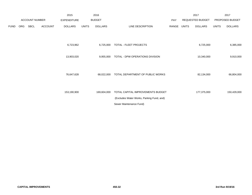|             |     |                       |                | 2015               |              | 2016           |                                                                                |       |              | 2017             |              | 2017            |
|-------------|-----|-----------------------|----------------|--------------------|--------------|----------------|--------------------------------------------------------------------------------|-------|--------------|------------------|--------------|-----------------|
|             |     | <b>ACCOUNT NUMBER</b> |                | <b>EXPENDITURE</b> |              | <b>BUDGET</b>  |                                                                                | PAY   |              | REQUESTED BUDGET |              | PROPOSED BUDGET |
| <b>FUND</b> | ORG | SBCL                  | <b>ACCOUNT</b> | <b>DOLLARS</b>     | <b>UNITS</b> | <b>DOLLARS</b> | LINE DESCRIPTION                                                               | RANGE | <b>UNITS</b> | <b>DOLLARS</b>   | <b>UNITS</b> | <b>DOLLARS</b>  |
|             |     |                       |                |                    |              |                |                                                                                |       |              |                  |              |                 |
|             |     |                       |                | 6,723,962          |              | 6,725,000      | TOTAL - FLEET PROJECTS                                                         |       |              | 6,725,000        |              | 6,385,000       |
|             |     |                       |                | 13,903,020         |              | 9,955,000      | TOTAL - DPW OPERATIONS DIVISION                                                |       |              | 10,340,000       |              | 9,910,000       |
|             |     |                       |                | 76,647,628         |              | 68,022,000     | TOTAL DEPARTMENT OF PUBLIC WORKS                                               |       |              | 82,134,000       |              | 66,804,000      |
|             |     |                       |                | 153,190,900        |              | 169,604,000    | TOTAL CAPITAL IMPROVEMENTS BUDGET<br>(Excludes Water Works, Parking Fund, and) |       |              | 177,375,000      |              | 150,429,000     |
|             |     |                       |                |                    |              |                | Sewer Maintenance Fund)                                                        |       |              |                  |              |                 |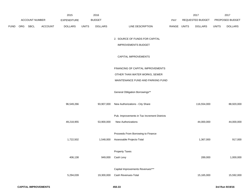|             |          |                       |                | 2015               |              | 2016           |                                              |             | 2017             |              | 2017            |
|-------------|----------|-----------------------|----------------|--------------------|--------------|----------------|----------------------------------------------|-------------|------------------|--------------|-----------------|
|             |          | <b>ACCOUNT NUMBER</b> |                | <b>EXPENDITURE</b> |              | <b>BUDGET</b>  |                                              | <b>PAY</b>  | REQUESTED BUDGET |              | PROPOSED BUDGET |
| <b>FUND</b> | ORG SBCL |                       | <b>ACCOUNT</b> | <b>DOLLARS</b>     | <b>UNITS</b> | <b>DOLLARS</b> | LINE DESCRIPTION                             | RANGE UNITS | <b>DOLLARS</b>   | <b>UNITS</b> | <b>DOLLARS</b>  |
|             |          |                       |                |                    |              |                |                                              |             |                  |              |                 |
|             |          |                       |                |                    |              |                | 2. SOURCE OF FUNDS FOR CAPITAL               |             |                  |              |                 |
|             |          |                       |                |                    |              |                | <b>IMPROVEMENTS BUDGET</b>                   |             |                  |              |                 |
|             |          |                       |                |                    |              |                | CAPITAL IMPROVEMENTS                         |             |                  |              |                 |
|             |          |                       |                |                    |              |                | FINANCING OF CAPITAL IMPROVEMENTS            |             |                  |              |                 |
|             |          |                       |                |                    |              |                | OTHER THAN WATER WORKS, SEWER                |             |                  |              |                 |
|             |          |                       |                |                    |              |                | MAINTENANCE FUND AND PARKING FUND            |             |                  |              |                 |
|             |          |                       |                |                    |              |                | General Obligation Borrowings**              |             |                  |              |                 |
|             |          |                       |                | 96,549,266         |              | 93,907,000     | New Authorizations - City Share              |             | 116,554,000      |              | 88,920,000      |
|             |          |                       |                |                    |              |                | Pub. Improvements in Tax Increment Districts |             |                  |              |                 |
|             |          |                       |                | 49,218,955         |              | 53,900,000     | <b>New Authorizations</b>                    |             | 44,000,000       |              | 44,000,000      |
|             |          |                       |                |                    |              |                |                                              |             |                  |              |                 |
|             |          |                       |                |                    |              |                | Proceeds From Borrowing to Finance           |             |                  |              |                 |
|             |          |                       |                | 1,722,502          |              | 1,548,000      | Assessable Projects-Total                    |             | 1,367,000        |              | 917,000         |
|             |          |                       |                |                    |              |                | <b>Property Taxes</b>                        |             |                  |              |                 |
|             |          |                       |                |                    |              |                |                                              |             |                  |              |                 |
|             |          |                       |                | 406,138            |              | 949,000        | Cash Levy                                    |             | 289,000          |              | 1,000,000       |
|             |          |                       |                |                    |              |                | Capital Improvements Revenues***             |             |                  |              |                 |
|             |          |                       |                | 5,294,039          |              | 19,300,000     | Cash Revenues-Total                          |             | 15,165,000       |              | 15,592,000      |
|             |          |                       |                |                    |              |                |                                              |             |                  |              |                 |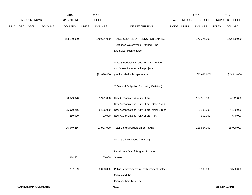|      |     |                             |                | 2015           |              | 2016            |                                                |             | 2017             |              | 2017            |
|------|-----|-----------------------------|----------------|----------------|--------------|-----------------|------------------------------------------------|-------------|------------------|--------------|-----------------|
|      |     | ACCOUNT NUMBER              |                | EXPENDITURE    |              | <b>BUDGET</b>   |                                                | PAY         | REQUESTED BUDGET |              | PROPOSED BUDGET |
| FUND | ORG | <b>SBCL</b>                 | <b>ACCOUNT</b> | <b>DOLLARS</b> | <b>UNITS</b> | <b>DOLLARS</b>  | LINE DESCRIPTION                               | RANGE UNITS | <b>DOLLARS</b>   | <b>UNITS</b> | <b>DOLLARS</b>  |
|      |     |                             |                |                |              |                 |                                                |             |                  |              |                 |
|      |     |                             |                | 153,190,900    |              | 169,604,000     | TOTAL SOURCE OF FUNDS FOR CAPITAL              |             | 177,375,000      |              | 150,429,000     |
|      |     |                             |                |                |              |                 | (Excludes Water Works, Parking Fund            |             |                  |              |                 |
|      |     |                             |                |                |              |                 | and Sewer Maintenance)                         |             |                  |              |                 |
|      |     |                             |                |                |              |                 | State & Federally funded portion of Bridge     |             |                  |              |                 |
|      |     |                             |                |                |              |                 | and Street Reconstruction projects             |             |                  |              |                 |
|      |     |                             |                |                |              | [32, 638, 000]  | (not included in budget totals)                |             | [43, 643, 000]   |              | [43, 643, 000]  |
|      |     |                             |                |                |              |                 |                                                |             |                  |              |                 |
|      |     |                             |                |                |              |                 | ** General Obligation Borrowing (Detailed)     |             |                  |              |                 |
|      |     |                             |                |                |              |                 |                                                |             |                  |              |                 |
|      |     |                             |                | 80,329,020     |              | 85,371,000      | New Authorizations - City Share                |             | 107,515,000      |              | 84,141,000      |
|      |     |                             |                |                |              |                 | New Authorizations - City Share, Grant & Aid   |             |                  |              |                 |
|      |     |                             |                | 15,970,216     |              | 8,136,000       | New Authorizations - City Share, Major Street  |             | 8,139,000        |              | 4,139,000       |
|      |     |                             |                | 250,030        |              | 400,000         | New Authorizations - City Share, Port          |             | 900,000          |              | 640,000         |
|      |     |                             |                | 96,549,266     |              | 93,907,000      | <b>Total General Obligation Borrowing</b>      |             | 116,554,000      |              | 88,920,000      |
|      |     |                             |                |                |              |                 |                                                |             |                  |              |                 |
|      |     |                             |                |                |              |                 | *** Capital Revenues (Detailed)                |             |                  |              |                 |
|      |     |                             |                |                |              |                 | Developers Out of Program Projects             |             |                  |              |                 |
|      |     |                             |                | 914,561        |              | 100,000 Streets |                                                |             |                  |              |                 |
|      |     |                             |                |                |              |                 |                                                |             |                  |              |                 |
|      |     |                             |                | 1,787,139      |              | 3,000,000       | Public Improvements in Tax Increment Districts |             | 3,500,000        |              | 3,500,000       |
|      |     |                             |                |                |              |                 | Grants and Aids                                |             |                  |              |                 |
|      |     |                             |                |                |              |                 | Grantor Share-Non City                         |             |                  |              |                 |
|      |     | <b>CAPITAL IMPROVEMENTS</b> |                |                |              |                 | 450.34                                         |             |                  |              | 3rd Run 9/19/16 |
|      |     |                             |                |                |              |                 |                                                |             |                  |              |                 |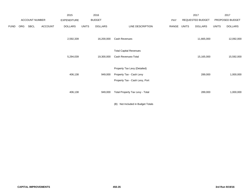|             |     |                       |                | 2015               |              | 2016           |                                                      |       |              | 2017             |              | 2017            |
|-------------|-----|-----------------------|----------------|--------------------|--------------|----------------|------------------------------------------------------|-------|--------------|------------------|--------------|-----------------|
|             |     | <b>ACCOUNT NUMBER</b> |                | <b>EXPENDITURE</b> |              | <b>BUDGET</b>  |                                                      | PAY   |              | REQUESTED BUDGET |              | PROPOSED BUDGET |
| <b>FUND</b> | ORG | SBCL                  | <b>ACCOUNT</b> | <b>DOLLARS</b>     | <b>UNITS</b> | <b>DOLLARS</b> | LINE DESCRIPTION                                     | RANGE | <b>UNITS</b> | <b>DOLLARS</b>   | <b>UNITS</b> | <b>DOLLARS</b>  |
|             |     |                       |                | 2,592,339          |              | 16,200,000     | Cash Revenues                                        |       |              | 11,665,000       |              | 12,092,000      |
|             |     |                       |                | 5,294,039          |              | 19,300,000     | <b>Total Capital Revenues</b><br>Cash Revenues-Total |       |              | 15,165,000       |              | 15,592,000      |
|             |     |                       |                |                    |              |                |                                                      |       |              |                  |              |                 |
|             |     |                       |                |                    |              |                | Property Tax Levy (Detailed)                         |       |              |                  |              |                 |
|             |     |                       |                | 406,138            |              | 949,000        | Property Tax - Cash Levy                             |       |              | 289,000          |              | 1,000,000       |
|             |     |                       |                |                    |              |                | Property Tax - Cash Levy, Port                       |       |              |                  |              |                 |
|             |     |                       |                | 406,138            |              | 949,000        | Total Property Tax Levy - Total                      |       |              | 289,000          |              | 1,000,000       |

(B) Not Included in Budget Totals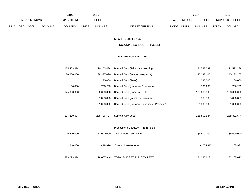|      |     |                |                | 2015               |              | 2016           |                                           |             | 2017             |              | 2017            |  |
|------|-----|----------------|----------------|--------------------|--------------|----------------|-------------------------------------------|-------------|------------------|--------------|-----------------|--|
|      |     | ACCOUNT NUMBER |                | <b>EXPENDITURE</b> |              | <b>BUDGET</b>  |                                           | PAY         | REQUESTED BUDGET |              | PROPOSED BUDGET |  |
| FUND | ORG | SBCL           | <b>ACCOUNT</b> | <b>DOLLARS</b>     | <b>UNITS</b> | <b>DOLLARS</b> | LINE DESCRIPTION                          | RANGE UNITS | <b>DOLLARS</b>   | <b>UNITS</b> | <b>DOLLARS</b>  |  |
|      |     |                |                |                    |              |                |                                           |             |                  |              |                 |  |
|      |     |                |                |                    |              |                | D. CITY DEBT FUNDS                        |             |                  |              |                 |  |
|      |     |                |                |                    |              |                | (INCLUDING SCHOOL PURPOSES)               |             |                  |              |                 |  |
|      |     |                |                |                    |              |                |                                           |             |                  |              |                 |  |
|      |     |                |                |                    |              |                | 1. BUDGET FOR CITY DEBT                   |             |                  |              |                 |  |
|      |     |                |                |                    |              |                |                                           |             |                  |              |                 |  |
|      |     |                |                | 134,453,674        |              | 120,153,434    | Bonded Debt (Principal - maturing)        |             | 121,592,239      |              | 121,592,239     |  |
|      |     |                |                | 36,606,000         |              | 38,337,090     | Bonded Debt (Interest - expense)          |             | 40,233,105       |              | 40,233,105      |  |
|      |     |                |                |                    |              | 230,000        | Bonded Debt (Fees)                        |             | 280,000          |              | 280,000         |  |
|      |     |                |                | 1,180,000          |              | 706,200        | Bonded Debt (Issuance Expenses)           |             | 786,200          |              | 786,200         |  |
|      |     |                |                | 125,000,000        |              | 120,000,000    | Bonded Debt (Principal - Offset)          |             | 120,000,000      |              | 120,000,000     |  |
|      |     |                |                |                    |              | 5,000,000      | Bonded Debt (Interest - Premium)          |             | 5,000,000        |              | 5,000,000       |  |
|      |     |                |                |                    |              | 1,000,000      | Bonded Debt (Issuance Expenses - Premium) |             | 1,000,000        |              | 1,000,000       |  |
|      |     |                |                |                    |              |                |                                           |             |                  |              |                 |  |
|      |     |                |                | 297,239,674        |              | 285,426,724    | Subtotal City Debt                        |             | 288,891,544      |              | 288,891,544     |  |
|      |     |                |                |                    |              |                |                                           |             |                  |              |                 |  |
|      |     |                |                |                    |              |                | Prepayment Deduction (From Public         |             |                  |              |                 |  |
|      |     |                |                | (5,500,000)        |              | (7,000,000)    | Debt Amortization Fund)                   |             | (4,500,000)      |              | (6,500,000)     |  |
|      |     |                |                |                    |              |                |                                           |             |                  |              |                 |  |
|      |     |                |                | (2,646,000)        |              | (418, 876)     | <b>Special Assessments</b>                |             | (105, 931)       |              | (105, 931)      |  |
|      |     |                |                |                    |              |                |                                           |             |                  |              |                 |  |
|      |     |                |                | 289,093,674        |              | 278,007,848    | TOTAL BUDGET FOR CITY DEBT                |             | 284,285,613      |              | 282,285,613     |  |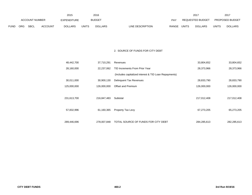|             |                |      |                | 2015           |              | 2016          |                                  |              | 2017                    |              | 2017                   |
|-------------|----------------|------|----------------|----------------|--------------|---------------|----------------------------------|--------------|-------------------------|--------------|------------------------|
|             | ACCOUNT NUMBER |      |                | EXPENDITURE    |              | <b>BUDGET</b> | <b>PAY</b>                       |              | <b>REQUESTED BUDGET</b> |              | <b>PROPOSED BUDGET</b> |
| <b>FUND</b> | <b>ORG</b>     | SBCL | <b>ACCOUNT</b> | <b>DOLLARS</b> | <b>UNITS</b> | DOLLARS       | <b>RANGE</b><br>LINE DESCRIPTION | <b>UNITS</b> | <b>DOLLARS</b>          | <b>UNITS</b> | <b>DOLLARS</b>         |

# 2. SOURCE OF FUNDS FOR CITY DEBT

| 48,442,700  | 37,710,291  | Revenues                                              | 33,804,652  | 33,804,652  |
|-------------|-------------|-------------------------------------------------------|-------------|-------------|
| 28,160,000  | 22,237,062  | TID Increments From Prior Year                        | 28,373,966  | 28,373,966  |
|             |             | (Includes capitalized interest & TID Loan Repayments) |             |             |
| 30,011,000  | 30,900,130  | Delinquent Tax Revenues                               | 28,833,790  | 28,833,790  |
| 125,000,000 | 126,000,000 | <b>Offset and Premium</b>                             | 126,000,000 | 126,000,000 |
|             |             |                                                       |             |             |
| 231,613,700 | 216,847,483 | Subtotal                                              | 217,012,408 | 217,012,408 |
|             |             |                                                       |             |             |
| 57,832,996  | 61,160,365  | Property Tax Levy                                     | 67,273,205  | 65,273,205  |
|             |             |                                                       |             |             |
| 289,446,696 | 278.007.848 | TOTAL SOURCE OF FUNDS FOR CITY DEBT                   | 284,285,613 | 282,285,613 |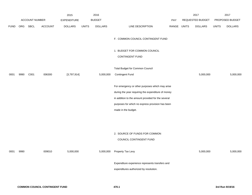|             |      |                |         | 2015               |              | 2016           |                                                                                                                                                                                                                                        |             | 2017             |              | 2017            |
|-------------|------|----------------|---------|--------------------|--------------|----------------|----------------------------------------------------------------------------------------------------------------------------------------------------------------------------------------------------------------------------------------|-------------|------------------|--------------|-----------------|
|             |      | ACCOUNT NUMBER |         | <b>EXPENDITURE</b> |              | <b>BUDGET</b>  |                                                                                                                                                                                                                                        | PAY         | REQUESTED BUDGET |              | PROPOSED BUDGET |
| <b>FUND</b> | ORG  | <b>SBCL</b>    | ACCOUNT | <b>DOLLARS</b>     | <b>UNITS</b> | <b>DOLLARS</b> | LINE DESCRIPTION                                                                                                                                                                                                                       | RANGE UNITS | <b>DOLLARS</b>   | <b>UNITS</b> | <b>DOLLARS</b>  |
|             |      |                |         |                    |              |                | F. COMMON COUNCIL CONTINGENT FUND                                                                                                                                                                                                      |             |                  |              |                 |
|             |      |                |         |                    |              |                | 1. BUDGET FOR COMMON COUNCIL<br><b>CONTINGENT FUND</b>                                                                                                                                                                                 |             |                  |              |                 |
|             |      |                |         |                    |              |                | Total Budget for Common Council                                                                                                                                                                                                        |             |                  |              |                 |
| 0001        | 9990 | C001           | 006300  | [3,797,914]        |              | 5,000,000      | Contingent Fund                                                                                                                                                                                                                        |             | 5,000,000        |              | 5,000,000       |
|             |      |                |         |                    |              |                | For emergency or other purposes which may arise<br>during the year requiring the expenditure of money<br>in addition to the amount provided for the several<br>purposes for which no express provision has been<br>made in the budget. |             |                  |              |                 |
| 0001        | 9990 |                | 009010  | 5,000,000          |              | 5,000,000      | 2. SOURCE OF FUNDS FOR COMMON<br>COUNCIL CONTINGENT FUND<br>Property Tax Levy                                                                                                                                                          |             | 5,000,000        |              | 5,000,000       |
|             |      |                |         |                    |              |                | Expenditure experience represents transfers and<br>expenditures authorized by resolution.                                                                                                                                              |             |                  |              |                 |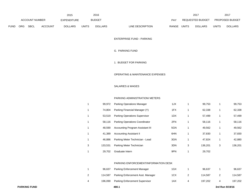|      |                |      |                | 2015               |              | 2016           |                           |       | 2017                    |              | 2017                   |
|------|----------------|------|----------------|--------------------|--------------|----------------|---------------------------|-------|-------------------------|--------------|------------------------|
|      | ACCOUNT NUMBER |      |                | <b>EXPENDITURE</b> |              | <b>BUDGET</b>  | PAY                       |       | <b>REQUESTED BUDGET</b> |              | <b>PROPOSED BUDGET</b> |
| FUND | <b>ORG</b>     | SBCL | <b>ACCOUNT</b> | <b>DOLLARS</b>     | <b>UNITS</b> | <b>DOLLARS</b> | RANGE<br>LINE DESCRIPTION | UNITS | <b>DOLLARS</b>          | <b>UNITS</b> | <b>DOLLARS</b>         |

ENTERPRISE FUND - PARKING

## G. PARKING FUND

1. BUDGET FOR PARKING

#### OPERATING & MAINTENANCE EXPENSES

## SALARIES & WAGES

### PARKING ADMINISTRATION/ METERS

|   | 99.972  | <b>Parking Operations Manager</b>     | 1JX |   | 99,753  |   | 99,753  |
|---|---------|---------------------------------------|-----|---|---------|---|---------|
| 1 | 74.804  | Parking Financial Manager (Y)         | 1FX |   | 62,338  |   | 62,338  |
| 1 | 53.519  | <b>Parking Operations Supervisor</b>  | 1DX |   | 57,499  |   | 57,499  |
| 1 | 58.116  | <b>Parking Operations Coordinator</b> | 2FN |   | 58,116  | 1 | 58,116  |
| 1 | 48.590  | Accounting Program Assistant III      | 5GN |   | 49,562  |   | 49,562  |
| 1 | 41.389  | <b>Accounting Assistant II</b>        | 6HN | 1 | 37,830  |   | 37,830  |
| 1 | 46.886  | Parking Meter Technician - Lead       | 3GN |   | 47.824  | 1 | 42,880  |
| 3 | 133.531 | Parking Meter Technician              | 3DN | 3 | 136.201 | 3 | 136,201 |
|   | 29,702  | Graduate Intern                       | 9PN |   | 29,702  |   |         |

#### PARKING ENFORCEMENT/INFORMATION DESK

|   | 96.637  | Parking Enforcement Manager           | 1GX |   | 96.637  | 96.637  |
|---|---------|---------------------------------------|-----|---|---------|---------|
|   | 114.587 | Parking Enforcement Asst. Manager     | 1CX |   | 114.587 | 114.587 |
| 4 | 196.090 | <b>Parking Enforcement Supervisor</b> | 1AX | 4 | 197.202 | 197,202 |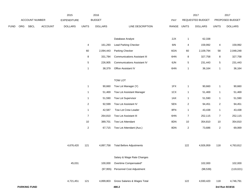|             |     |                     |                | 2015               |                  | 2016           |                                     |             |                  | 2017             |                | 2017            |
|-------------|-----|---------------------|----------------|--------------------|------------------|----------------|-------------------------------------|-------------|------------------|------------------|----------------|-----------------|
|             |     | ACCOUNT NUMBER      |                | <b>EXPENDITURE</b> |                  | <b>BUDGET</b>  |                                     | PAY         |                  | REQUESTED BUDGET |                | PROPOSED BUDGET |
| <b>FUND</b> | ORG | <b>SBCL</b>         | <b>ACCOUNT</b> | <b>DOLLARS</b>     | <b>UNITS</b>     | <b>DOLLARS</b> | LINE DESCRIPTION                    | RANGE UNITS |                  | <b>DOLLARS</b>   | <b>UNITS</b>   | <b>DOLLARS</b>  |
|             |     |                     |                |                    |                  |                |                                     |             |                  |                  |                |                 |
|             |     |                     |                |                    |                  |                | Database Analyst                    | 2JX         | $\mathbf{1}$     | 62,338           |                |                 |
|             |     |                     |                |                    | 4                | 161,293        | Lead Parking Checker                | 6IN         | 4                | 159,992          | 4              | 159,992         |
|             |     |                     |                |                    | 60               | 2,094,443      | Parking Checker                     | 6GN         | 60               | 2,109,794        | 58             | 2,048,248       |
|             |     |                     |                |                    | 8                | 331,784        | <b>Communications Assistant III</b> | 6HN         | 8                | 327,758          | 8              | 327,758         |
|             |     |                     |                |                    | 5                | 226,905        | <b>Communications Assistant IV</b>  | 6JN         | 5                | 231,443          | $\,$ 5 $\,$    | 231,443         |
|             |     |                     |                |                    | $\mathbf{1}$     | 38,379         | Office Assistant IV                 | 6HN         | 1                | 36,164           | $\mathbf{1}$   | 36,164          |
|             |     |                     |                |                    |                  |                | <b>TOW LOT</b>                      |             |                  |                  |                |                 |
|             |     |                     |                |                    | $\mathbf{1}$     | 90,660         | Tow Lot Manager (Y)                 | 1FX         | $\mathbf{1}$     | 90,660           | $\mathbf{1}$   | 90,660          |
|             |     |                     |                |                    | $\mathbf{1}$     |                | Tow Lot Assistant Manager           | 1CX         | 1                | 51,469           | $\mathbf{1}$   | 51,469          |
|             |     |                     |                |                    | $\mathbf{1}$     | 51,469         | Tow Lot Supervisor                  | 1AX         |                  |                  |                |                 |
|             |     |                     |                |                    |                  | 51,590         |                                     |             | 1                | 51,590           | $\mathbf{1}$   | 51,590          |
|             |     |                     |                |                    | $\overline{c}$   | 92,599         | Tow Lot Assistant IV                | 5EN         | $\boldsymbol{2}$ | 94,451           | $\overline{c}$ | 94,451          |
|             |     |                     |                |                    | $\mathbf{1}$     | 42,587         | Tow Lot Crew Leader                 | 8FN         | $\mathbf{1}$     | 43,438           | $\mathbf{1}$   | 43,438          |
|             |     |                     |                |                    | $\overline{7}$   | 264,810        | Tow Lot Assistant III               | 6HN         | $\overline{7}$   | 252,115          | $\overline{7}$ | 252,115         |
|             |     |                     |                |                    | $10$             | 389,701        | Tow Lot Attendant                   | 8DN         | 10               | 354,810          | 10             | 354,810         |
|             |     |                     |                |                    | $\boldsymbol{2}$ | 67,715         | Tow Lot Attendant (Aux.)            | 8DN         | 2                | 73,686           | $\overline{c}$ | 69,069          |
|             |     |                     |                |                    |                  |                |                                     |             |                  |                  |                |                 |
|             |     |                     |                | 4,676,420          | 121              | 4,897,758      | <b>Total Before Adjustments</b>     |             | 122              | 4,926,959        | 118            | 4,763,812       |
|             |     |                     |                |                    |                  |                | Salary & Wage Rate Changes          |             |                  |                  |                |                 |
|             |     |                     |                | 45,031             |                  | 100,000        | Overtime Compensated*               |             |                  | 102,000          |                | 102,000         |
|             |     |                     |                |                    |                  | (97, 955)      | Personnel Cost Adjustment           |             |                  | (98, 539)        |                | (119, 021)      |
|             |     |                     |                | 4,721,451          | 121              | 4,899,803      | Gross Salaries & Wages Total        |             | 122              | 4,930,420        | 118            | 4,746,791       |
|             |     | <b>PARKING FUND</b> |                |                    |                  |                | 480.2                               |             |                  |                  |                | 3rd Run 9/19/16 |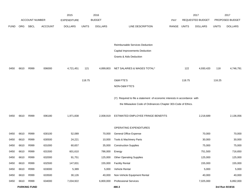|             |      |                       |                | 2015               |              | 2016           |                                                                           |             |        | 2017             |              | 2017            |
|-------------|------|-----------------------|----------------|--------------------|--------------|----------------|---------------------------------------------------------------------------|-------------|--------|------------------|--------------|-----------------|
|             |      | <b>ACCOUNT NUMBER</b> |                | <b>EXPENDITURE</b> |              | <b>BUDGET</b>  |                                                                           | PAY         |        | REQUESTED BUDGET |              | PROPOSED BUDGET |
| <b>FUND</b> | ORG  | SBCL                  | <b>ACCOUNT</b> | <b>DOLLARS</b>     | <b>UNITS</b> | <b>DOLLARS</b> | LINE DESCRIPTION                                                          | RANGE UNITS |        | <b>DOLLARS</b>   | <b>UNITS</b> | <b>DOLLARS</b>  |
|             |      |                       |                |                    |              |                |                                                                           |             |        |                  |              |                 |
|             |      |                       |                |                    |              |                | Reimbursable Services Deduction                                           |             |        |                  |              |                 |
|             |      |                       |                |                    |              |                | Capital Improvements Deduction                                            |             |        |                  |              |                 |
|             |      |                       |                |                    |              |                | Grants & Aids Deduction                                                   |             |        |                  |              |                 |
|             |      |                       |                |                    |              |                |                                                                           |             |        |                  |              |                 |
| 0450        | 6610 | R999                  | 006000         | 4,721,451          | 121          | 4,899,803      | NET SALARIES & WAGES TOTAL*                                               |             | 122    | 4,930,420        | 118          | 4,746,791       |
|             |      |                       |                |                    | 118.75       |                | O&M FTE'S                                                                 |             | 118.75 |                  | 116.25       |                 |
|             |      |                       |                |                    |              |                | NON-O&M FTE'S                                                             |             |        |                  |              |                 |
|             |      |                       |                |                    |              |                |                                                                           |             |        |                  |              |                 |
|             |      |                       |                |                    |              |                | (Y) Required to file a statement of economic interests in accordance with |             |        |                  |              |                 |
|             |      |                       |                |                    |              |                | the Milwaukee Code of Ordinances Chapter 303-Code of Ethics.              |             |        |                  |              |                 |
| 0450        | 6610 | R999                  | 006180         | 1,971,838          |              | 2,008,919      | ESTIMATED EMPLOYEE FRINGE BENEFITS                                        |             |        | 2,218,689        |              | 2,136,056       |
|             |      |                       |                |                    |              |                | OPERATING EXPENDITURES                                                    |             |        |                  |              |                 |
| 0450        | 6610 | R999                  | 630100         | 52,089             |              | 70,000         | <b>General Office Expense</b>                                             |             |        | 70,000           |              | 70,000          |
| 0450        | 6610 | R999                  | 630500         | 24,221             |              | 10,000         | Tools & Machinery Parts                                                   |             |        | 30,000           |              | 30,000          |
| 0450        | 6610 | R999                  | 631000         | 60,657             |              | 35,000         | <b>Construction Supplies</b>                                              |             |        | 75,000           |              | 75,000          |
| 0450        | 6610 | R999                  | 631500         | 601,610            |              | 786,000        | Energy                                                                    |             |        | 751,500          |              | 716,650         |
| 0450        | 6610 | R999                  | 632000         | 91,751             |              | 125,000        | <b>Other Operating Supplies</b>                                           |             |        | 125,000          |              | 125,000         |
| 0450        | 6610 | R999                  | 632500         | 147,831            |              | 155,000        | <b>Facility Rental</b>                                                    |             |        | 155,000          |              | 155,000         |
| 0450        | 6610 | R999                  | 633000         | 5,389              |              | 5,000          | Vehicle Rental                                                            |             |        | 5,000            |              | 5,000           |
| 0450        | 6610 | R999                  | 633500         | 30,126             |              | 40,000         | Non-Vehicle Equipment Rental                                              |             |        | 40,000           |              | 40,000          |
| 0450        | 6610 | R999                  | 634000         | 7,034,922          |              | 6,800,000      | <b>Professional Services</b>                                              |             |        | 7,025,000        |              | 6,892,000       |
|             |      | <b>PARKING FUND</b>   |                |                    |              |                | 480.3                                                                     |             |        |                  |              | 3rd Run 9/19/16 |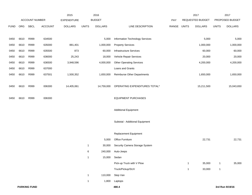|             | <b>ACCOUNT NUMBER</b> |                     | 2015           | 2016                                 |              |                                 |                                    | 2017<br>REQUESTED BUDGET |              | 2017<br>PROPOSED BUDGET |              |                 |
|-------------|-----------------------|---------------------|----------------|--------------------------------------|--------------|---------------------------------|------------------------------------|--------------------------|--------------|-------------------------|--------------|-----------------|
| <b>FUND</b> | ORG                   | <b>SBCL</b>         | <b>ACCOUNT</b> | <b>EXPENDITURE</b><br><b>DOLLARS</b> | <b>UNITS</b> | <b>BUDGET</b><br><b>DOLLARS</b> | LINE DESCRIPTION                   | PAY<br>RANGE             | <b>UNITS</b> | <b>DOLLARS</b>          | <b>UNITS</b> | <b>DOLLARS</b>  |
|             |                       |                     |                |                                      |              |                                 |                                    |                          |              |                         |              |                 |
| 0450        | 6610                  | R999                | 634500         |                                      |              | 5,000                           | Information Technology Services    |                          |              | 5,000                   |              | 5,000           |
| 0450        | 6610                  | R999                | 635000         | 881,401                              |              | 1,000,000                       | <b>Property Services</b>           |                          |              | 1,000,000               |              | 1,000,000       |
| 0450        | 6610                  | R999                | 635500         | 873                                  |              | 60,000                          | Infrastructure Services            |                          |              | 60,000                  |              | 60,000          |
| 0450        | 6610                  | R999                | 636000         | 25,243                               |              | 18,000                          | Vehicle Repair Services            |                          |              | 20,000                  |              | 20,000          |
| 0450        | 6610                  | R999                | 636500         | 3,948,596                            |              | 4,000,000                       | <b>Other Operating Services</b>    |                          |              | 4,200,000               |              | 4,200,000       |
| 0450        | 6610                  | R999                | 637000         |                                      |              |                                 | Loans and Grants                   |                          |              |                         |              |                 |
| 0450        | 6610                  | R999                | 637501         | 1,500,352                            |              | 1,650,000                       | <b>Reimburse Other Departments</b> |                          |              | 1,650,000               |              | 1,650,000       |
|             |                       |                     |                |                                      |              |                                 |                                    |                          |              |                         |              |                 |
| 0450        | 6610                  | R999                | 006300         | 14,405,061                           |              | 14,759,000                      | OPERATING EXPENDITURES TOTAL*      |                          |              | 15,211,500              |              | 15,043,650      |
|             |                       |                     |                |                                      |              |                                 |                                    |                          |              |                         |              |                 |
| 0450        | 6610                  | R999                | 006300         |                                      |              |                                 | <b>EQUIPMENT PURCHASES</b>         |                          |              |                         |              |                 |
|             |                       |                     |                |                                      |              |                                 |                                    |                          |              |                         |              |                 |
|             |                       |                     |                |                                      |              |                                 | <b>Additional Equipment</b>        |                          |              |                         |              |                 |
|             |                       |                     |                |                                      |              |                                 |                                    |                          |              |                         |              |                 |
|             |                       |                     |                |                                      |              |                                 | Subtotal - Additional Equipment    |                          |              |                         |              |                 |
|             |                       |                     |                |                                      |              |                                 |                                    |                          |              |                         |              |                 |
|             |                       |                     |                |                                      |              |                                 | <b>Replacement Equipment</b>       |                          |              |                         |              |                 |
|             |                       |                     |                |                                      |              | 5,000                           | Office Furniture                   |                          |              | 22,731                  |              | 22,731          |
|             |                       |                     |                |                                      | $\mathbf{1}$ | 30,000                          | Security Camera Storage System     |                          |              |                         |              |                 |
|             |                       |                     |                |                                      | 6            | 240,000                         | Auto-Jeeps                         |                          |              |                         |              |                 |
|             |                       |                     |                |                                      | $\mathbf{1}$ | 15,000                          | Sedan                              |                          |              |                         |              |                 |
|             |                       |                     |                |                                      |              |                                 | Pick-up Truck with V Plow          |                          | $\mathbf{1}$ | 35,000                  | $\mathbf{1}$ | 35,000          |
|             |                       |                     |                |                                      |              |                                 | Truck/Pickup/SUV                   |                          | $\mathbf{1}$ | 33,000                  | $\mathbf{1}$ |                 |
|             |                       |                     |                |                                      | $\mathbf{1}$ | 110,000                         | Step Van                           |                          |              |                         |              |                 |
|             |                       |                     |                |                                      | $\mathbf{1}$ | 1,800                           | Laptops                            |                          |              |                         |              |                 |
|             |                       | <b>PARKING FUND</b> |                |                                      |              |                                 | 480.4                              |                          |              |                         |              | 3rd Run 9/19/16 |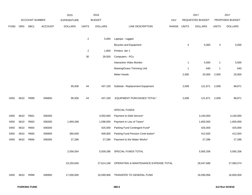|             |                       |      |                    | 2015           |                | 2016           |                                                  |       |                  | 2017           |                 | 2017           |
|-------------|-----------------------|------|--------------------|----------------|----------------|----------------|--------------------------------------------------|-------|------------------|----------------|-----------------|----------------|
|             | <b>ACCOUNT NUMBER</b> |      | <b>EXPENDITURE</b> | <b>BUDGET</b>  |                |                | PAY                                              |       | REQUESTED BUDGET |                | PROPOSED BUDGET |                |
| <b>FUND</b> | ORG                   | SBCL | <b>ACCOUNT</b>     | <b>DOLLARS</b> | <b>UNITS</b>   | <b>DOLLARS</b> | LINE DESCRIPTION                                 | RANGE | <b>UNITS</b>     | <b>DOLLARS</b> | <b>UNITS</b>    | <b>DOLLARS</b> |
|             |                       |      |                    |                |                |                |                                                  |       |                  |                |                 |                |
|             |                       |      |                    |                | $\overline{2}$ | 5,000          | Laptops - rugged                                 |       |                  |                |                 |                |
|             |                       |      |                    |                |                |                | <b>Bicycles and Equipment</b>                    |       | 4                | 5,000          | 4               | 5,000          |
|             |                       |      |                    |                | $\overline{2}$ | 1,800          | Printers -tier 1                                 |       |                  |                |                 |                |
|             |                       |      |                    |                | 30             | 28,500         | Computers - PCs                                  |       |                  |                |                 |                |
|             |                       |      |                    |                |                |                | Interactive Video Monitor                        |       | $\mathbf{1}$     | 5,500          | 1               | 5,500          |
|             |                       |      |                    |                |                |                | Mowing/Grass Trimming Unit                       |       | $\overline{1}$   | 640            | $\mathbf 1$     | 640            |
|             |                       |      |                    |                |                |                | Meter Hoods                                      |       | 2,000            | 20,000         | 2,000           | 20,000         |
|             |                       |      |                    |                |                |                |                                                  |       |                  |                |                 |                |
|             |                       |      |                    | 95,936         | 44             | 437,100        | Subtotal - Replacement Equipment                 |       | 2,008            | 121,871        | 2,008           | 88,871         |
|             |                       |      |                    |                |                |                |                                                  |       |                  |                |                 |                |
| 0450        | 6610                  | R999 | 006800             | 95,936         | 44             | 437,100        | EQUIPMENT PURCHASES TOTAL*                       |       | 2,008            | 121,871        | 2,008           | 88,871         |
|             |                       |      |                    |                |                |                |                                                  |       |                  |                |                 |                |
|             |                       |      |                    |                |                |                | SPECIAL FUNDS                                    |       |                  |                |                 |                |
| 0450        | 6610                  | R661 | 006300             |                |                | 3,050,000      | Payment to Debt Service*                         |       |                  | 3,100,000      |                 | 3,100,000      |
| 0450        | 6610                  | R663 | 006300             | 1,669,268      |                | 1,598,000      | Payment in Lieu of Taxes*                        |       |                  | 1,600,000      |                 | 1,600,000      |
| 0450        | 6610                  | R664 | 006300             |                |                | 425,000        | Parking Fund Contingent Fund*                    |       |                  | 425,000        |                 | 425,000        |
| 0450        | 6610                  | R665 | 006900             | 360,000        |                | 409,000        | Parking Fund Pension Contr bution*               |       |                  | 412,920        |                 | 412,920        |
| 0450        | 6610                  | R666 | 006300             | 27,286         |                | 27,286         | Payment to the Water Works*                      |       |                  | 27,286         |                 | 27,286         |
|             |                       |      |                    |                |                |                |                                                  |       |                  |                |                 |                |
|             |                       |      |                    | 2,056,554      |                | 5,509,286      | SPECIAL FUNDS TOTAL                              |       |                  | 5,565,206      |                 | 5,565,206      |
|             |                       |      |                    |                |                |                |                                                  |       |                  |                |                 |                |
|             |                       |      |                    | 23,250,840     |                |                | 27,614,108 OPERATING & MAINTENANCE EXPENSE TOTAL |       |                  | 28,047,686     |                 | 27,580,574     |
|             |                       |      |                    |                |                |                |                                                  |       |                  |                |                 |                |
| 0450        | 6610                  | R999 | 006900             | 17,000,000     |                | 16,599,956     | TRANSFER TO GENERAL FUND                         |       |                  | 16,599,956     |                 | 16,600,000     |
|             |                       |      |                    |                |                |                |                                                  |       |                  |                |                 |                |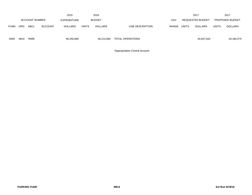|             | 2015                  |             |                | 2016                                |              |            |                  | 2017  |                  | 2017           |                        |                |
|-------------|-----------------------|-------------|----------------|-------------------------------------|--------------|------------|------------------|-------|------------------|----------------|------------------------|----------------|
|             | <b>ACCOUNT NUMBER</b> |             |                | <b>BUDGET</b><br><b>EXPENDITURE</b> |              |            |                  | PAY   | REQUESTED BUDGET |                | <b>PROPOSED BUDGET</b> |                |
| <b>FUND</b> | ORG.                  | <b>SBCL</b> | <b>ACCOUNT</b> | <b>DOLLARS</b>                      | <b>UNITS</b> | DOLLARS    | LINE DESCRIPTION | RANGE | UNITS            | <b>DOLLARS</b> | <b>UNITS</b>           | <b>DOLLARS</b> |
| 0450        | 6610                  | R999        |                | 40,250,840                          |              | 44.214.064 | TOTAL OPERATIONS |       |                  | 44,647,642     |                        | 44,180,574     |

\*Appropriation Control Account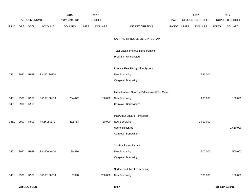|             |            |                |                | 2015               |       | 2016           |                                                 |       |              | 2017             |              | 2017            |
|-------------|------------|----------------|----------------|--------------------|-------|----------------|-------------------------------------------------|-------|--------------|------------------|--------------|-----------------|
|             |            | ACCOUNT NUMBER |                | <b>EXPENDITURE</b> |       | <b>BUDGET</b>  |                                                 | PAY   |              | REQUESTED BUDGET |              | PROPOSED BUDGET |
| <b>FUND</b> | <b>ORG</b> | SBCL           | <b>ACCOUNT</b> | <b>DOLLARS</b>     | UNITS | <b>DOLLARS</b> | LINE DESCRIPTION                                | RANGE | <b>UNITS</b> | <b>DOLLARS</b>   | <b>UNITS</b> | <b>DOLLARS</b>  |
|             |            |                |                |                    |       |                |                                                 |       |              |                  |              |                 |
|             |            |                |                |                    |       |                | CAPITAL IMPROVEMENTS PROGRAM                    |       |              |                  |              |                 |
|             |            |                |                |                    |       |                | <b>Total Capital Improvements-Parking</b>       |       |              |                  |              |                 |
|             |            |                |                |                    |       |                | Program - Unallocated                           |       |              |                  |              |                 |
|             |            |                |                |                    |       |                |                                                 |       |              |                  |              |                 |
|             |            |                |                |                    |       |                | License Plate Recognition System                |       |              |                  |              |                 |
| 0451        | 9990       | R999           | PA160130200    |                    |       |                | New Borrowing                                   |       |              | 586,000          |              |                 |
|             |            |                |                |                    |       |                | Carryover Borrowing**                           |       |              |                  |              |                 |
|             |            |                |                |                    |       |                |                                                 |       |              |                  |              |                 |
|             |            |                |                |                    |       |                | Miscellaneous Structural/Mechanical/Elec Maint. |       |              |                  |              |                 |
| 0451        | 9990       | R999           | PA160150100    | 254,472            |       | 100,000        | New Borrowing                                   |       |              | 200,000          |              | 100,000         |
| 0451        | 9990       | R999           |                |                    |       |                | Carryover Borrowing**                           |       |              |                  |              |                 |
|             |            |                |                |                    |       |                |                                                 |       |              |                  |              |                 |
|             |            |                |                |                    |       |                | MacArthur Square Renovation                     |       |              |                  |              |                 |
| 0451        | 9990       | R999           | PA16080170     | 412,763            |       | 30,000         | New Borrowing                                   |       |              | 1,610,000        |              |                 |
|             |            |                |                |                    |       |                | Use of Reserves                                 |       |              |                  |              | 1,610,000       |
|             |            |                |                |                    |       |                | Carryover Borrowing**                           |       |              |                  |              |                 |
|             |            |                |                |                    |       |                |                                                 |       |              |                  |              |                 |
|             |            |                |                |                    |       |                | 2nd/Plankinton Repairs                          |       |              |                  |              |                 |
| 0451        | 9990       | R999           | PA160040100    | 38,876             |       |                | New Borrowing                                   |       |              | 500,000          |              | 500,000         |
|             |            |                |                |                    |       |                | Carryover Borrowing**                           |       |              |                  |              |                 |
|             |            |                |                |                    |       |                |                                                 |       |              |                  |              |                 |
|             |            |                |                |                    |       |                | Surface and Tow Lot Repaving                    |       |              |                  |              |                 |
| 0451        | 9990       | R999           | PA160150200    | 2,698              |       | 200,000        | New Borrowing                                   |       |              | 130,000          |              | 130,000         |
|             |            |                |                |                    |       |                |                                                 |       |              |                  |              |                 |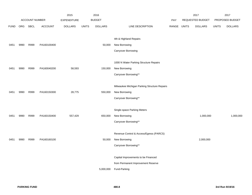| ACCOUNT NUMBER<br><b>BUDGET</b><br>REQUESTED BUDGET<br>PROPOSED BUDGET<br><b>EXPENDITURE</b><br><b>PAY</b><br>ORG<br><b>SBCL</b><br><b>ACCOUNT</b><br><b>DOLLARS</b><br><b>UNITS</b><br><b>DOLLARS</b><br>LINE DESCRIPTION<br>RANGE<br><b>UNITS</b><br><b>DOLLARS</b><br><b>DOLLARS</b><br><b>UNITS</b><br><b>FUND</b><br>4th & Highland Repairs<br>R999<br>PA160100400<br>New Borrowing<br>50,000<br>9990<br>0451<br>Carryover Borrowing<br>1000 N Water Parking Structure Repairs<br>New Borrowing<br>9990<br>R999<br>PA160040200<br>58,593<br>150,000<br>0451<br>Carryover Borrowing**<br>Milwaukee Michigan Parking Structure Repairs<br>28,775<br>New Borrowing<br>9990<br>R999<br>PA160150300<br>550,000<br>0451<br>Carryover Borrowing**<br>Single-space Parking Meters<br>R999<br>PA160150400<br>557,429<br>New Borrowing<br>1,000,000<br>1,000,000<br>9990<br>650,000<br>0451<br>Carryover Borrowing**<br>Revenue Control & Access/Egress (PARCS)<br>New Borrowing<br>2,000,000<br>9990<br>R999<br>PA160160100<br>50,000<br>0451<br>Carryover Borrowing** |  |  | 2015 | 2016 |  | 2017 | 2017 |
|--------------------------------------------------------------------------------------------------------------------------------------------------------------------------------------------------------------------------------------------------------------------------------------------------------------------------------------------------------------------------------------------------------------------------------------------------------------------------------------------------------------------------------------------------------------------------------------------------------------------------------------------------------------------------------------------------------------------------------------------------------------------------------------------------------------------------------------------------------------------------------------------------------------------------------------------------------------------------------------------------------------------------------------------------------------------|--|--|------|------|--|------|------|
|                                                                                                                                                                                                                                                                                                                                                                                                                                                                                                                                                                                                                                                                                                                                                                                                                                                                                                                                                                                                                                                                    |  |  |      |      |  |      |      |
|                                                                                                                                                                                                                                                                                                                                                                                                                                                                                                                                                                                                                                                                                                                                                                                                                                                                                                                                                                                                                                                                    |  |  |      |      |  |      |      |
|                                                                                                                                                                                                                                                                                                                                                                                                                                                                                                                                                                                                                                                                                                                                                                                                                                                                                                                                                                                                                                                                    |  |  |      |      |  |      |      |
|                                                                                                                                                                                                                                                                                                                                                                                                                                                                                                                                                                                                                                                                                                                                                                                                                                                                                                                                                                                                                                                                    |  |  |      |      |  |      |      |
|                                                                                                                                                                                                                                                                                                                                                                                                                                                                                                                                                                                                                                                                                                                                                                                                                                                                                                                                                                                                                                                                    |  |  |      |      |  |      |      |
|                                                                                                                                                                                                                                                                                                                                                                                                                                                                                                                                                                                                                                                                                                                                                                                                                                                                                                                                                                                                                                                                    |  |  |      |      |  |      |      |
|                                                                                                                                                                                                                                                                                                                                                                                                                                                                                                                                                                                                                                                                                                                                                                                                                                                                                                                                                                                                                                                                    |  |  |      |      |  |      |      |
|                                                                                                                                                                                                                                                                                                                                                                                                                                                                                                                                                                                                                                                                                                                                                                                                                                                                                                                                                                                                                                                                    |  |  |      |      |  |      |      |
|                                                                                                                                                                                                                                                                                                                                                                                                                                                                                                                                                                                                                                                                                                                                                                                                                                                                                                                                                                                                                                                                    |  |  |      |      |  |      |      |
|                                                                                                                                                                                                                                                                                                                                                                                                                                                                                                                                                                                                                                                                                                                                                                                                                                                                                                                                                                                                                                                                    |  |  |      |      |  |      |      |
|                                                                                                                                                                                                                                                                                                                                                                                                                                                                                                                                                                                                                                                                                                                                                                                                                                                                                                                                                                                                                                                                    |  |  |      |      |  |      |      |
|                                                                                                                                                                                                                                                                                                                                                                                                                                                                                                                                                                                                                                                                                                                                                                                                                                                                                                                                                                                                                                                                    |  |  |      |      |  |      |      |
|                                                                                                                                                                                                                                                                                                                                                                                                                                                                                                                                                                                                                                                                                                                                                                                                                                                                                                                                                                                                                                                                    |  |  |      |      |  |      |      |
|                                                                                                                                                                                                                                                                                                                                                                                                                                                                                                                                                                                                                                                                                                                                                                                                                                                                                                                                                                                                                                                                    |  |  |      |      |  |      |      |
|                                                                                                                                                                                                                                                                                                                                                                                                                                                                                                                                                                                                                                                                                                                                                                                                                                                                                                                                                                                                                                                                    |  |  |      |      |  |      |      |
|                                                                                                                                                                                                                                                                                                                                                                                                                                                                                                                                                                                                                                                                                                                                                                                                                                                                                                                                                                                                                                                                    |  |  |      |      |  |      |      |
|                                                                                                                                                                                                                                                                                                                                                                                                                                                                                                                                                                                                                                                                                                                                                                                                                                                                                                                                                                                                                                                                    |  |  |      |      |  |      |      |
|                                                                                                                                                                                                                                                                                                                                                                                                                                                                                                                                                                                                                                                                                                                                                                                                                                                                                                                                                                                                                                                                    |  |  |      |      |  |      |      |
|                                                                                                                                                                                                                                                                                                                                                                                                                                                                                                                                                                                                                                                                                                                                                                                                                                                                                                                                                                                                                                                                    |  |  |      |      |  |      |      |
|                                                                                                                                                                                                                                                                                                                                                                                                                                                                                                                                                                                                                                                                                                                                                                                                                                                                                                                                                                                                                                                                    |  |  |      |      |  |      |      |
|                                                                                                                                                                                                                                                                                                                                                                                                                                                                                                                                                                                                                                                                                                                                                                                                                                                                                                                                                                                                                                                                    |  |  |      |      |  |      |      |
|                                                                                                                                                                                                                                                                                                                                                                                                                                                                                                                                                                                                                                                                                                                                                                                                                                                                                                                                                                                                                                                                    |  |  |      |      |  |      |      |
| Capital Improvements to be Financed                                                                                                                                                                                                                                                                                                                                                                                                                                                                                                                                                                                                                                                                                                                                                                                                                                                                                                                                                                                                                                |  |  |      |      |  |      |      |
| from Permanent Improvement Reserve                                                                                                                                                                                                                                                                                                                                                                                                                                                                                                                                                                                                                                                                                                                                                                                                                                                                                                                                                                                                                                 |  |  |      |      |  |      |      |
| 5,000,000<br>Fund-Parking                                                                                                                                                                                                                                                                                                                                                                                                                                                                                                                                                                                                                                                                                                                                                                                                                                                                                                                                                                                                                                          |  |  |      |      |  |      |      |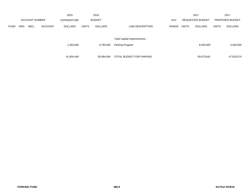|             |            |                       |                | 2015               |              | 2016           |                                     |       |              | 2017                    |              | 2017            |
|-------------|------------|-----------------------|----------------|--------------------|--------------|----------------|-------------------------------------|-------|--------------|-------------------------|--------------|-----------------|
|             |            | <b>ACCOUNT NUMBER</b> |                | <b>EXPENDITURE</b> |              | <b>BUDGET</b>  |                                     | PAY   |              | <b>REQUESTED BUDGET</b> |              | PROPOSED BUDGET |
| <b>FUND</b> | <b>ORG</b> | <b>SBCL</b>           | <b>ACCOUNT</b> | <b>DOLLARS</b>     | <b>UNITS</b> | <b>DOLLARS</b> | LINE DESCRIPTION                    | RANGE | <b>UNITS</b> | <b>DOLLARS</b>          | <b>UNITS</b> | <b>DOLLARS</b>  |
|             |            |                       |                |                    |              |                |                                     |       |              |                         |              |                 |
|             |            |                       |                |                    |              |                | <b>Total Capital Improvements -</b> |       |              |                         |              |                 |
|             |            |                       |                | 1,353,606          |              | 6,780,000      | Parking Program                     |       |              | 6,026,000               |              | 3,340,000       |
|             |            |                       |                |                    |              |                |                                     |       |              |                         |              |                 |
|             |            |                       |                | 41,604,446         |              | 50,994,064     | TOTAL BUDGET FOR PARKING            |       |              | 50,673,642              |              | 47,520,574      |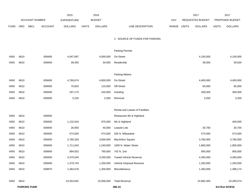|             |      |                     |                | 2015               |              | 2016           |                                 |       |              | 2017             |              | 2017            |
|-------------|------|---------------------|----------------|--------------------|--------------|----------------|---------------------------------|-------|--------------|------------------|--------------|-----------------|
|             |      | ACCOUNT NUMBER      |                | <b>EXPENDITURE</b> |              | <b>BUDGET</b>  |                                 | PAY   |              | REQUESTED BUDGET |              | PROPOSED BUDGET |
| <b>FUND</b> | ORG  | <b>SBCL</b>         | <b>ACCOUNT</b> | <b>DOLLARS</b>     | <b>UNITS</b> | <b>DOLLARS</b> | LINE DESCRIPTION                | RANGE | <b>UNITS</b> | <b>DOLLARS</b>   | <b>UNITS</b> | <b>DOLLARS</b>  |
|             |      |                     |                |                    |              |                |                                 |       |              |                  |              |                 |
|             |      |                     |                |                    |              |                | 2. SOURCE OF FUNDS FOR PARKING  |       |              |                  |              |                 |
|             |      |                     |                |                    |              |                | <b>Parking Permits</b>          |       |              |                  |              |                 |
| 0450        | 6610 |                     | 009400         | 4,047,697          |              | 4,000,000      | On-Street                       |       |              | 4,100,000        |              | 4,100,000       |
| 0450        | 6610 |                     | 009400         | 39,455             |              | 34,000         | Residential                     |       |              | 39,500           |              | 39,500          |
|             |      |                     |                |                    |              |                |                                 |       |              |                  |              |                 |
|             |      |                     |                |                    |              |                | <b>Parking Meters</b>           |       |              |                  |              |                 |
| 0450        | 6610 |                     | 009400         | 4,769,674          |              | 4,800,000      | On-Street                       |       |              | 4,400,000        |              | 4,400,000       |
| 0450        | 6610 |                     | 009400         | 70,820             |              | 110,000        | Off-Street                      |       |              | 65,000           |              | 65,000          |
| 0450        | 6610 |                     | 009400         | 297,174            |              | 240,000        | Hooding                         |       |              | 300,000          |              | 300,000         |
| 0450        | 6610 |                     | 009400         | 3,226              |              | 2,500          | Removal                         |       |              | 3,200            |              | 3,200           |
|             |      |                     |                |                    |              |                |                                 |       |              |                  |              |                 |
|             |      |                     |                |                    |              |                | Rental and Leases of Facilities |       |              |                  |              |                 |
| 0450        | 6610 |                     | 009400         |                    |              |                | Restaurant 4th & Highland       |       |              |                  |              |                 |
| 0450        | 6610 |                     | 009400         | 1,132,544          |              | 975,000        | 4th & Highland                  |       |              |                  |              | 400,000         |
| 0450        | 6610 |                     | 009400         | 26,955             |              | 40,000         | Leased Lots                     |       |              | 30,700           |              | 30,700          |
| 0450        | 6610 |                     | 009400         | 574,500            |              | 574,500        | 535 N. Milwaukee                |       |              | 574,000          |              | 574,000         |
| 0450        | 6610 |                     | 009400         | 3,780,329          |              | 3,600,000      | MacArthur Square                |       |              | 3,780,000        |              | 3,780,000       |
| 0450        | 6610 |                     | 009400         | 1,711,043          |              | 1,240,000      | 1000 N. Water Street            |       |              | 1,800,000        |              | 1,800,000       |
| 0450        | 6610 |                     | 009400         | 894,552            |              | 790,000        | 742 N. 2nd                      |       |              | 900,000          |              | 900,000         |
| 0450        | 6610 |                     | 009400         | 4,370,544          |              | 4,200,000      | Towed Vehicle Revenue           |       |              | 4,300,000        |              | 4,300,000       |
| 0450        | 6610 |                     | 009400         | 1,370,743          |              | 1,200,000      | Vehicle Disposal Revenue        |       |              | 1,200,000        |              | 1,200,000       |
| 0450        | 6610 |                     | 009870         | 1,464,576          |              | 1,200,000      | Miscellaneous                   |       |              | 1,400,000        |              | 1,398,174       |
|             |      |                     |                |                    |              |                |                                 |       |              |                  |              |                 |
| 0450        | 6610 |                     |                | 24,553,832         |              | 23,006,000     | <b>Total Revenue</b>            |       |              | 22,892,400       |              | 23,290,574      |
|             |      | <b>PARKING FUND</b> |                |                    |              |                | 480.10                          |       |              |                  |              | 3rd Run 9/19/16 |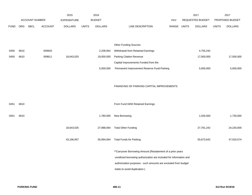|             |      |                       |         | 2015               |              | 2016           |                                                                     |            |              | 2017             |              | 2017            |
|-------------|------|-----------------------|---------|--------------------|--------------|----------------|---------------------------------------------------------------------|------------|--------------|------------------|--------------|-----------------|
|             |      | <b>ACCOUNT NUMBER</b> |         | <b>EXPENDITURE</b> |              | <b>BUDGET</b>  |                                                                     | <b>PAY</b> |              | REQUESTED BUDGET |              | PROPOSED BUDGET |
| <b>FUND</b> | ORG  | SBCL                  | ACCOUNT | <b>DOLLARS</b>     | <b>UNITS</b> | <b>DOLLARS</b> | LINE DESCRIPTION                                                    | RANGE      | <b>UNITS</b> | <b>DOLLARS</b>   | <b>UNITS</b> | <b>DOLLARS</b>  |
|             |      |                       |         |                    |              |                |                                                                     |            |              |                  |              |                 |
|             |      |                       |         |                    |              |                |                                                                     |            |              |                  |              |                 |
|             |      |                       |         |                    |              |                | <b>Other Funding Sources</b>                                        |            |              |                  |              |                 |
| 0450        | 6610 |                       | 009920  |                    |              | 2,208,064      | Withdrawal from Retained Earnings                                   |            |              | 4,755,242        |              |                 |
| 0450        | 6610 |                       | 009611  | 18,643,025         |              | 19,000,000     | <b>Parking Citation Revenue</b>                                     |            |              | 17,000,000       |              | 17,500,000      |
|             |      |                       |         |                    |              |                | Capital Improvements Funded from the                                |            |              |                  |              |                 |
|             |      |                       |         |                    |              | 5,000,000      | Permanent Improvement Reserve Fund-Parking                          |            |              | 5,000,000        |              | 5,000,000       |
|             |      |                       |         |                    |              |                |                                                                     |            |              |                  |              |                 |
|             |      |                       |         |                    |              |                | FINANCING OF PARKING CAPITAL IMPROVEMENTS                           |            |              |                  |              |                 |
|             |      |                       |         |                    |              |                |                                                                     |            |              |                  |              |                 |
|             |      |                       |         |                    |              |                |                                                                     |            |              |                  |              |                 |
| 0451        | 6610 |                       |         |                    |              |                | From Fund 0450 Retained Earnings                                    |            |              |                  |              |                 |
|             |      |                       |         |                    |              |                |                                                                     |            |              |                  |              |                 |
| 0451        | 6610 |                       |         |                    |              | 1,780,000      | New Borrowing                                                       |            |              | 1,026,000        |              | 1,730,000       |
|             |      |                       |         | 18,643,025         |              | 27,988,064     | <b>Total Other Funding</b>                                          |            |              | 27,781,242       |              | 24,230,000      |
|             |      |                       |         |                    |              |                |                                                                     |            |              |                  |              |                 |
|             |      |                       |         | 43,196,857         |              | 50,994,064     | <b>Total Funds for Parking</b>                                      |            |              | 50,673,642       |              | 47,520,574      |
|             |      |                       |         |                    |              |                |                                                                     |            |              |                  |              |                 |
|             |      |                       |         |                    |              |                | ** Carryover Borrowing Amount (Restatement of a prior years         |            |              |                  |              |                 |
|             |      |                       |         |                    |              |                | unutilized borrowing authorization are included for information and |            |              |                  |              |                 |
|             |      |                       |         |                    |              |                | authorization purposes - such amounts are excluded from budget      |            |              |                  |              |                 |
|             |      |                       |         |                    |              |                | totals to avoid duplication.)                                       |            |              |                  |              |                 |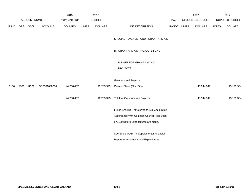|             |      |                       |                | 2015               |              | 2016           |                                                                                                            |       |              | 2017             |              | 2017            |
|-------------|------|-----------------------|----------------|--------------------|--------------|----------------|------------------------------------------------------------------------------------------------------------|-------|--------------|------------------|--------------|-----------------|
|             |      | <b>ACCOUNT NUMBER</b> |                | <b>EXPENDITURE</b> |              | <b>BUDGET</b>  |                                                                                                            | PAY   |              | REQUESTED BUDGET |              | PROPOSED BUDGET |
| <b>FUND</b> | ORG  | SBCL                  | <b>ACCOUNT</b> | <b>DOLLARS</b>     | <b>UNITS</b> | <b>DOLLARS</b> | LINE DESCRIPTION                                                                                           | RANGE | <b>UNITS</b> | <b>DOLLARS</b>   | <b>UNITS</b> | <b>DOLLARS</b>  |
|             |      |                       |                |                    |              |                | SPECIAL REVENUE FUND - GRANT AND AID                                                                       |       |              |                  |              |                 |
|             |      |                       |                |                    |              |                | H. GRANT AND AID PROJECTS FUND                                                                             |       |              |                  |              |                 |
|             |      |                       |                |                    |              |                | 1. BUDGET FOR GRANT AND AID                                                                                |       |              |                  |              |                 |
|             |      |                       |                |                    |              |                |                                                                                                            |       |              |                  |              |                 |
|             |      |                       |                |                    |              |                | <b>Grant and Aid Projects</b>                                                                              |       |              |                  |              |                 |
| 0150        | 9990 | R999                  | GR0001600000   | 44,738,407         |              | 42,285,325     | Grantor Share (Non-City)                                                                                   |       |              | 48,944,949       |              | 45,199,364      |
|             |      |                       |                | 44,738,407         |              | 42,285,325     | Total for Grant and Aid Projects                                                                           |       |              | 48,944,949       |              | 45,199,364      |
|             |      |                       |                |                    |              |                | Funds Shall Be Transferred to Sub Accounts in                                                              |       |              |                  |              |                 |
|             |      |                       |                |                    |              |                | Accordance With Common Council Resolution                                                                  |       |              |                  |              |                 |
|             |      |                       |                |                    |              |                | 872120 Before Expenditures are made.                                                                       |       |              |                  |              |                 |
|             |      |                       |                |                    |              |                |                                                                                                            |       |              |                  |              |                 |
|             |      |                       |                |                    |              |                |                                                                                                            |       |              |                  |              |                 |
|             |      |                       |                |                    |              |                | <b>PROJECTS</b><br>See Single Audit Act Supplemental Financial<br>Report for Allocations and Expenditures. |       |              |                  |              |                 |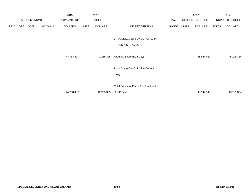|             |     |                       |                | 2015               |              | 2016                      |                                     |       |              | 2017             |              | 2017            |
|-------------|-----|-----------------------|----------------|--------------------|--------------|---------------------------|-------------------------------------|-------|--------------|------------------|--------------|-----------------|
|             |     | <b>ACCOUNT NUMBER</b> |                | <b>EXPENDITURE</b> |              | <b>BUDGET</b>             |                                     | PAY   |              | REQUESTED BUDGET |              | PROPOSED BUDGET |
| <b>FUND</b> | ORG | SBCL                  | <b>ACCOUNT</b> | <b>DOLLARS</b>     | <b>UNITS</b> | <b>DOLLARS</b>            | LINE DESCRIPTION                    | RANGE | <b>UNITS</b> | <b>DOLLARS</b>   | <b>UNITS</b> | <b>DOLLARS</b>  |
|             |     |                       |                |                    |              |                           | 2. SOURCES OF FUNDS FOR GRANT       |       |              |                  |              |                 |
|             |     |                       |                |                    |              |                           | AND AID PROJECTS                    |       |              |                  |              |                 |
|             |     |                       | 44,738,407     |                    | 42,285,325   | Grantors Share (Non-City) |                                     |       | 48,944,949   |                  | 45,199,364   |                 |
|             |     |                       |                |                    |              |                           | Local Share Out-Of Pocket Current   |       |              |                  |              |                 |
|             |     |                       |                |                    |              |                           | Levy                                |       |              |                  |              |                 |
|             |     |                       |                |                    |              |                           |                                     |       |              |                  |              |                 |
|             |     |                       |                |                    |              |                           | Total Source of Funds For Grant and |       |              |                  |              |                 |
|             |     |                       |                | 44,738,407         |              | 42,285,325                | Aid Projects                        |       |              | 48,944,949       |              | 45,199,364      |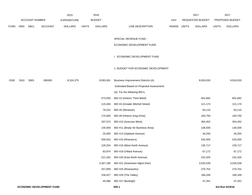|             |            |                       |                                  | 2015               |              | 2016           |                                          |             | 2017             |              | 2017            |
|-------------|------------|-----------------------|----------------------------------|--------------------|--------------|----------------|------------------------------------------|-------------|------------------|--------------|-----------------|
|             |            | <b>ACCOUNT NUMBER</b> |                                  | <b>EXPENDITURE</b> |              | <b>BUDGET</b>  |                                          | PAY         | REQUESTED BUDGET |              | PROPOSED BUDGET |
| <b>FUND</b> | <b>ORG</b> | SBCL                  | <b>ACCOUNT</b>                   | <b>DOLLARS</b>     | <b>UNITS</b> | <b>DOLLARS</b> | LINE DESCRIPTION                         | RANGE UNITS | <b>DOLLARS</b>   | <b>UNITS</b> | <b>DOLLARS</b>  |
|             |            |                       |                                  |                    |              |                |                                          |             |                  |              |                 |
|             |            |                       |                                  |                    |              |                | SPECIAL REVENUE FUND -                   |             |                  |              |                 |
|             |            |                       |                                  |                    |              |                | ECONOMIC DEVELOPMENT FUND                |             |                  |              |                 |
|             |            |                       |                                  |                    |              |                | I. ECONOMIC DEVELOPMENT FUND             |             |                  |              |                 |
|             |            |                       |                                  |                    |              |                | 1. BUDGET FOR ECONOMIC DEVELOPMENT       |             |                  |              |                 |
| 0190        | 1910       | S001                  | 006300                           | 8,324,375          |              | 9,093,361      | Business Improvement Districts (A)       |             | 9,918,033        |              | 9,918,033       |
|             |            |                       |                                  |                    |              |                | Estimated Based on Projected Assessment: |             |                  |              |                 |
|             |            |                       |                                  |                    |              |                | (A) For the following BID's;             |             |                  |              |                 |
|             |            |                       |                                  |                    |              | 573,030        | BID #2 (Historic Third Ward)             |             | 601,682          |              | 601,682         |
|             |            |                       |                                  |                    |              | 115,404        | BID #4 (Greater Mitchell Street)         |             | 121,174          |              | 121,174         |
|             |            |                       |                                  |                    |              | 79,152         | BID #5 (Westown)                         |             | 83,110           |              | 83,110          |
|             |            |                       |                                  |                    |              | 175,000        | BID #8 (Historic King Drive)             |             | 183,750          |              | 183,750         |
|             |            |                       |                                  |                    |              | 337,573        | BID #10 (Avenues West)                   |             | 354,452          |              | 354,452         |
|             |            |                       |                                  |                    |              | 130,000        | BID #11 (Brady Str Business Area)        |             | 136,500          |              | 136,500         |
|             |            |                       |                                  |                    |              | 25,000         | BID #13 (Oakland Avenue)                 |             | 26,250           |              | 26,250          |
|             |            |                       |                                  |                    |              | 500,052        | BID #15 (Riverwa k)                      |             | 525,055          |              | 525,055         |
|             |            |                       |                                  |                    |              | 129,254        | BID #16 (West North Avenue)              |             | 135,717          |              | 135,717         |
|             |            |                       |                                  |                    |              | 63,974         | BID #19 (Villard Avenue)                 |             | 67,172           |              | 67,172          |
|             |            |                       |                                  |                    |              | 221,262        | BID #20 (East North Avenue)              |             | 232,325          |              | 232,325         |
|             |            |                       |                                  |                    |              | 3,367,180      | BID #21 (Downtown Mgmt Distr)            |             | 3,535,539        |              | 3,535,539       |
|             |            |                       |                                  |                    |              | 257,859        | BID #25 (Riverworks)                     |             | 270,752          |              | 270,752         |
|             |            |                       |                                  |                    |              | 158,427        | BID #26 (The Valley)                     |             | 166,349          |              | 166,349         |
|             |            |                       |                                  |                    |              | 45,086         | BID #27 (Burleigh)                       |             | 47,341           |              | 47,341          |
|             |            |                       | <b>ECONOMIC DEVELOPMENT FUND</b> |                    |              |                | 500.1                                    |             |                  |              | 3rd Run 9/19/16 |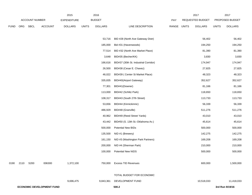|             |      |                       |                                  | 2015               |              | 2016           |                                       |       |              | 2017             |              | 2017            |
|-------------|------|-----------------------|----------------------------------|--------------------|--------------|----------------|---------------------------------------|-------|--------------|------------------|--------------|-----------------|
|             |      | <b>ACCOUNT NUMBER</b> |                                  | <b>EXPENDITURE</b> |              | <b>BUDGET</b>  |                                       | PAY   |              | REQUESTED BUDGET |              | PROPOSED BUDGET |
| <b>FUND</b> | ORG  | <b>SBCL</b>           | <b>ACCOUNT</b>                   | <b>DOLLARS</b>     | <b>UNITS</b> | <b>DOLLARS</b> | LINE DESCRIPTION                      | RANGE | <b>UNITS</b> | <b>DOLLARS</b>   | <b>UNITS</b> | <b>DOLLARS</b>  |
|             |      |                       |                                  |                    |              |                |                                       |       |              |                  |              |                 |
|             |      |                       |                                  |                    |              | 53,716         | BID #28 (North Ave Gateway Distr)     |       |              | 56,402           |              | 56,402          |
|             |      |                       |                                  |                    |              | 185,000        | Bid #31 (Havenwoods)                  |       |              | 194,250          |              | 194,250         |
|             |      |                       |                                  |                    |              | 77,514         | BID #32 (North Ave Market Place)      |       |              | 81,390           |              | 81,390          |
|             |      |                       |                                  |                    |              | 3,648          | BID#35 (Becher/KK)                    |       |              | 3,830            |              | 3,830           |
|             |      |                       |                                  |                    |              | 166,616        | BID#37 (30th St. Industrial Corridor) |       |              | 174,947          |              | 174,947         |
|             |      |                       |                                  |                    |              | 26,500         | BID#38 (Cesar E. Chavez)              |       |              | 27,825           |              | 27,825          |
|             |      |                       |                                  |                    |              | 46,022         | BID#39 ( Center St Market Place)      |       |              | 48,323           |              | 48,323          |
|             |      |                       |                                  |                    |              | 335,835        | BID#40(Airport Gateway)               |       |              | 352,627          |              | 352,627         |
|             |      |                       |                                  |                    |              | 77,301         | BID#41(Downer)                        |       |              | 81,166           |              | 81,166          |
|             |      |                       |                                  |                    |              | 113,000        | BID#42 (Schlitz Park)                 |       |              | 118,650          |              | 118,650         |
|             |      |                       |                                  |                    |              | 108,317        | BID#43 (South 27th Street)            |       |              | 113,733          |              | 113,733         |
|             |      |                       |                                  |                    |              | 53,656         | BID#44 (Kinnickinnic)                 |       |              | 56,339           |              | 56,339          |
|             |      |                       |                                  |                    |              | 486,929        | BID#48 (Granville)                    |       |              | 511,276          |              | 511,276         |
|             |      |                       |                                  |                    |              | 40,962         | BID#49 (Reed Street Yards)            |       |              | 43,010           |              | 43,010          |
|             |      |                       |                                  |                    |              | 43,442         | BID#50 (S. 13th St.-Oklahoma Av.)     |       |              | 45,614           |              | 45,614          |
|             |      |                       |                                  |                    |              | 500,000        | Potential New BIDs                    |       |              | 500,000          |              | 500,000         |
|             |      |                       |                                  |                    |              | 135,500        | NID #1 (Brewery)                      |       |              | 142,275          |              | 142,275         |
|             |      |                       |                                  |                    |              | 161,150        | NID #3 (Washington Park Partners)     |       |              | 169,208          |              | 169,208         |
|             |      |                       |                                  |                    |              | 200,000        | NID #4 (Sherman Park)                 |       |              | 210,000          |              | 210,000         |
|             |      |                       |                                  |                    |              | 100,000        | <b>Potential New NIDS</b>             |       |              | 500,000          |              | 500,000         |
|             |      |                       |                                  |                    |              |                |                                       |       |              |                  |              |                 |
| 0190        | 2110 | S200                  | 006300                           | 1,372,100          |              |                | 750,000 Excess TID Revenues           |       |              | 600,000          |              | 1,500,000       |
|             |      |                       |                                  |                    |              |                |                                       |       |              |                  |              |                 |
|             |      |                       |                                  |                    |              |                | TOTAL BUDGET FOR ECONOMIC             |       |              |                  |              |                 |
|             |      |                       |                                  | 9,696,475          |              | 9,843,361      | DEVELOPMENT FUND                      |       |              | 10,518,033       |              | 11,418,033      |
|             |      |                       | <b>ECONOMIC DEVELOPMENT FUND</b> |                    |              |                | 500.2                                 |       |              |                  |              | 3rd Run 9/19/16 |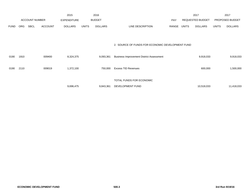|             |            |                       |                | 2015               |              | 2016           |                                                  |       |       | 2017                    |              | 2017            |
|-------------|------------|-----------------------|----------------|--------------------|--------------|----------------|--------------------------------------------------|-------|-------|-------------------------|--------------|-----------------|
|             |            | <b>ACCOUNT NUMBER</b> |                | <b>EXPENDITURE</b> |              | <b>BUDGET</b>  |                                                  | PAY   |       | <b>REQUESTED BUDGET</b> |              | PROPOSED BUDGET |
| <b>FUND</b> | <b>ORG</b> | <b>SBCL</b>           | <b>ACCOUNT</b> | <b>DOLLARS</b>     | <b>UNITS</b> | <b>DOLLARS</b> | LINE DESCRIPTION                                 | RANGE | UNITS | <b>DOLLARS</b>          | <b>UNITS</b> | <b>DOLLARS</b>  |
|             |            |                       |                |                    |              |                |                                                  |       |       |                         |              |                 |
|             |            |                       |                |                    |              |                |                                                  |       |       |                         |              |                 |
|             |            |                       |                |                    |              |                | 2. SOURCE OF FUNDS FOR ECONOMIC DEVELOPMENT FUND |       |       |                         |              |                 |
| 0190        | 1910       |                       | 009400         | 8,324,375          |              | 9,093,361      | <b>Business Improvement District Assessment</b>  |       |       | 9,918,033               |              |                 |
|             |            |                       |                |                    |              |                |                                                  |       |       |                         |              | 9,918,033       |
| 0190        | 2110       |                       | 009019         | 1,372,100          |              | 750,000        | <b>Excess TID Revenues</b>                       |       |       | 600,000                 |              | 1,500,000       |
|             |            |                       |                |                    |              |                |                                                  |       |       |                         |              |                 |
|             |            |                       |                |                    |              |                | TOTAL FUNDS FOR ECONOMIC                         |       |       |                         |              |                 |
|             |            |                       |                | 9,696,475          |              | 9,843,361      | DEVELOPMENT FUND                                 |       |       | 10,518,033              |              | 11,418,033      |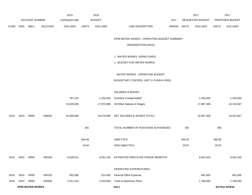|             | ACCOUNT NUMBER |                        |                | <b>EXPENDITURE</b> |              | <b>BUDGET</b>  |                                              | PAY         |        | REQUESTED BUDGET |              | PROPOSED BUDGET |
|-------------|----------------|------------------------|----------------|--------------------|--------------|----------------|----------------------------------------------|-------------|--------|------------------|--------------|-----------------|
| <b>FUND</b> | ORG            | <b>SBCL</b>            | <b>ACCOUNT</b> | <b>DOLLARS</b>     | <b>UNITS</b> | <b>DOLLARS</b> | LINE DESCRIPTION                             | RANGE UNITS |        | <b>DOLLARS</b>   | <b>UNITS</b> | <b>DOLLARS</b>  |
|             |                |                        |                |                    |              |                |                                              |             |        |                  |              |                 |
|             |                |                        |                |                    |              |                | DPW-WATER WORKS - OPERATING BUDGET SUMMARY   |             |        |                  |              |                 |
|             |                |                        |                |                    |              |                | ORGANIZATION (6410)                          |             |        |                  |              |                 |
|             |                |                        |                |                    |              |                |                                              |             |        |                  |              |                 |
|             |                |                        |                |                    |              |                | J. WATER WORKS (DPW) FUNDS                   |             |        |                  |              |                 |
|             |                |                        |                |                    |              |                | 1. BUDGET FOR WATER WORKS                    |             |        |                  |              |                 |
|             |                |                        |                |                    |              |                | WATER WORKS - OPERATING BUDGET               |             |        |                  |              |                 |
|             |                |                        |                |                    |              |                | BUDGETARY CONTROL UNIT (1 FUND=6 ORG)        |             |        |                  |              |                 |
|             |                |                        |                |                    |              |                |                                              |             |        |                  |              |                 |
|             |                |                        |                |                    |              |                | SALARIES & WAGES                             |             |        |                  |              |                 |
|             |                |                        |                | 767,225            |              | 1,100,000      | Overtime Compensated*                        |             |        | 1,100,000        |              | 1,100,000       |
|             |                |                        |                | 15,629,655         |              | 17,970,896     | All Other Salaries & Wages                   |             |        | 17,997,308       |              | 18,152,667      |
|             |                |                        |                |                    |              |                |                                              |             |        |                  |              |                 |
| 0410        | 6410           | R999                   | 006000         | 16,396,880         |              |                | 19,070,896 NET SALARIES & WAGES TOTAL*       |             |        | 19,097,308       |              | 19,252,667      |
|             |                |                        |                |                    | 381          |                | TOTAL NUMBER OF POSITIONS AUTHORIZED         |             | 392    |                  | 395          |                 |
|             |                |                        |                |                    |              |                |                                              |             |        |                  |              |                 |
|             |                |                        |                |                    | 349.48       |                | O&M FTE'S                                    |             | 356.45 |                  | 358.95       |                 |
|             |                |                        |                |                    | 19.94        |                | NON-O&M FTE'S                                |             | 20.97  |                  | 20.97        |                 |
|             |                | R999                   | 006180         |                    |              |                | 9,251,194 ESTIMATED EMPLOYEE FRINGE BENEFITS |             |        |                  |              |                 |
| 0410        | 6410           |                        |                | 6,629,511          |              |                |                                              |             |        | 9,262,816        |              | 9,331,333       |
|             |                |                        |                |                    |              |                | OPERATING EXPENDITURES                       |             |        |                  |              |                 |
| 0410        | 6410           | R999                   | 630100         | 602,890            |              | 614,000        | <b>General Office Expense</b>                |             |        | 691,000          |              | 691,000         |
| 0410        | 6410           | R999                   | 630500         | 2,011,101          |              | 2,016,800      | Tools & Machinery Parts                      |             |        | 1,788,000        |              | 1,788,000       |
|             |                | <b>DPW-WATER WORKS</b> |                |                    |              |                | 510.1                                        |             |        |                  |              | 3rd Run 9/19/16 |

2017

2017

2015

2016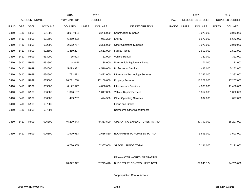|             |            |                       |                | 2015               |              | 2016           |                                        |       |              | 2017             |              | 2017            |
|-------------|------------|-----------------------|----------------|--------------------|--------------|----------------|----------------------------------------|-------|--------------|------------------|--------------|-----------------|
|             |            | <b>ACCOUNT NUMBER</b> |                | <b>EXPENDITURE</b> |              | <b>BUDGET</b>  |                                        | PAY   |              | REQUESTED BUDGET |              | PROPOSED BUDGET |
| <b>FUND</b> | <b>ORG</b> | <b>SBCL</b>           | <b>ACCOUNT</b> | <b>DOLLARS</b>     | <b>UNITS</b> | <b>DOLLARS</b> | LINE DESCRIPTION                       | RANGE | <b>UNITS</b> | <b>DOLLARS</b>   | <b>UNITS</b> | <b>DOLLARS</b>  |
| 0410        | 6410       | R999                  | 631000         | 3,087,984          |              | 3,286,000      | <b>Construction Supplies</b>           |       |              | 3,073,000        |              | 3,073,000       |
| 0410        | 6410       | R999                  | 631500         | 6,259,433          |              | 7,051,200      | Energy                                 |       |              | 6,672,000        |              | 6,672,000       |
| 0410        | 6410       | R999                  | 632000         | 2,562,767          |              | 3,305,000      | <b>Other Operating Supplies</b>        |       |              | 2,970,000        |              | 3,070,000       |
| 0410        | 6410       | R999                  | 632500         | 1,469,227          |              | 1,511,000      | <b>Facility Rental</b>                 |       |              | 1,502,000        |              | 1,502,000       |
| 0410        | 6410       | R999                  | 633000         | 15,603             |              | 51,000         | Vehicle Rental                         |       |              | 322,000          |              | 322,000         |
| 0410        | 6410       | R999                  | 633500         | 44,045             |              | 88,000         | Non-Vehicle Equipment Rental           |       |              | 71,000           |              | 71,000          |
| 0410        | 6410       | R999                  | 634000         | 5,093,832          |              | 4,510,000      | <b>Professional Services</b>           |       |              | 4,482,000        |              | 5,282,000       |
| 0410        | 6410       | R999                  | 634500         | 782,472            |              | 3,422,000      | <b>Information Technology Services</b> |       |              | 2,382,000        |              | 2,382,000       |
| 0410        | 6410       | R999                  | 635000         | 16,711,788         |              | 17,169,000     | <b>Property Services</b>               |       |              | 17,207,000       |              | 17,207,000      |
| 0410        | 6410       | R999                  | 635500         | 6,122,527          |              | 4,838,000      | <b>Infrastructure Services</b>         |       |              | 4,888,000        |              | 11,488,000      |
| 0410        | 6410       | R999                  | 636000         | 1,016,137          |              | 1,017,000      | Vehicle Repair Services                |       |              | 1,052,000        |              | 1,052,000       |
| 0410        | 6410       | R999                  | 636500         | 499,737            |              | 474,500        | <b>Other Operating Services</b>        |       |              | 697,000          |              | 697,000         |
| 0410        | 6410       | R999                  | 637000         |                    |              |                | Loans and Grants                       |       |              |                  |              |                 |
| 0410        | 6410       | R999                  | 637501         |                    |              |                | <b>Reimburse Other Departments</b>     |       |              |                  |              |                 |
|             |            |                       |                |                    |              |                |                                        |       |              |                  |              |                 |
| 0410        | 6410       | R999                  | 006300         | 46,279,543         |              | 49,353,500     | OPERATING EXPENDITURES TOTAL*          |       |              | 47,797,000       |              | 55,297,000      |
|             |            |                       |                |                    |              |                |                                        |       |              |                  |              |                 |
| 0410        | 6410       | R999                  | 006800         | 1,979,933          |              | 2,686,850      | <b>EQUIPMENT PURCHASES TOTAL*</b>      |       |              | 3,693,000        |              | 3,693,000       |
|             |            |                       |                |                    |              |                |                                        |       |              |                  |              |                 |
|             |            |                       |                | 6,736,805          |              | 7,387,000      | SPECIAL FUNDS TOTAL                    |       |              | 7,191,000        |              | 7,191,000       |
|             |            |                       |                |                    |              |                |                                        |       |              |                  |              |                 |
|             |            |                       |                |                    |              |                | DPW-WATER WORKS OPERATING              |       |              |                  |              |                 |
|             |            |                       |                | 78,022,672         |              | 87,749,440     | BUDGETARY CONTROL UNIT TOTAL           |       |              | 87,041,124       |              | 94,765,000      |
|             |            |                       |                |                    |              |                |                                        |       |              |                  |              |                 |
|             |            |                       |                |                    |              |                | *Appropriation Control Account         |       |              |                  |              |                 |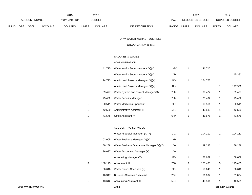|             |     |                       |                | 2015               |              | 2016           |                                  |       | 2017                    |       | 201                    |
|-------------|-----|-----------------------|----------------|--------------------|--------------|----------------|----------------------------------|-------|-------------------------|-------|------------------------|
|             |     | <b>ACCOUNT NUMBER</b> |                | <b>EXPENDITURE</b> |              | <b>BUDGET</b>  | PAY                              |       | <b>REQUESTED BUDGET</b> |       | <b>PROPOSED BUDGET</b> |
| <b>FUND</b> | ORG | <b>SBCL</b>           | <b>ACCOUNT</b> | <b>DOLLARS</b>     | <b>UNITS</b> | <b>DOLLARS</b> | LINE DESCRIPTION<br><b>RANGE</b> | UNITS | <b>DOLLARS</b>          | UNITS | <b>DOLLARS</b>         |

DPW-WATER WORKS - BUSINESS

ORGANIZATION (6411)

## SALARIES & WAGES

### ADMINISTRATION

| 1 | 141.715 | Water Works Superintendent (X)(Y)    | 1MX | 141,715 |   |         |
|---|---------|--------------------------------------|-----|---------|---|---------|
|   |         | Water Works Superintendent (X)(Y)    | 1NX |         |   | 145,382 |
| 1 | 124.723 | Admin. and Projects Manager (X)(Y)   | 1KX | 124,723 |   |         |
|   |         | Admin. and Projects Manager (X)(Y)   | 1LX |         | 1 | 127,962 |
| 1 | 69.477  | Water System and Project Manager (X) | 2HX | 69,477  | 1 | 69,477  |
| 1 | 75.432  | <b>Water Security Manager</b>        | 2HX | 75,432  | 1 | 75,432  |
| 1 | 60.511  | <b>Water Marketing Specialist</b>    | 2FX | 60,511  | 1 | 60,511  |
| 1 | 42.539  | Administrative Assistant III         | 5FN | 42,539  | 1 | 42,539  |
| 1 | 41.575  | <b>Office Assistant IV</b>           | 6HN | 41,575  |   | 41,575  |

#### ACCOUNTING SERVICES

|   |         | Water Financial Manager (X)(Y)           | 1IX |   | 104,112 |   | 104,112 |
|---|---------|------------------------------------------|-----|---|---------|---|---------|
| 1 | 103.005 | Water Business Manager (X)(Y)            | 1HX |   |         |   |         |
| 1 | 89.288  | Water Business Operations Manager (X)(Y) | 1GX |   | 89,288  |   | 89,288  |
| 1 | 96.637  | Water Accounting Manager (Y)             | 1GX |   |         |   |         |
|   |         | Accounting Manager (Y)                   | 1EX |   | 68,669  |   | 68,669  |
| 3 | 188.173 | Accountant III                           | 2GX | 3 | 175.465 | 3 | 175,465 |
| 1 | 56.646  | Water Claims Specialist (X)              | 2FX |   | 56,646  | 1 | 56,646  |
| 1 | 46.347  | <b>Business Services Specialist</b>      | 2DN | 1 | 51,004  | 1 | 51,004  |
| 1 | 43.612  | <b>Accounting Assistant III</b>          | 5EN |   | 40,501  |   | 40,501  |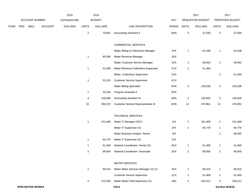|             |     |                        |                | 2015               |              | 2016           |                                      |       |                           | 2017             |                | 2017            |
|-------------|-----|------------------------|----------------|--------------------|--------------|----------------|--------------------------------------|-------|---------------------------|------------------|----------------|-----------------|
|             |     | ACCOUNT NUMBER         |                | <b>EXPENDITURE</b> |              | <b>BUDGET</b>  |                                      | PAY   |                           | REQUESTED BUDGET |                | PROPOSED BUDGET |
| <b>FUND</b> | ORG | <b>SBCL</b>            | <b>ACCOUNT</b> | <b>DOLLARS</b>     | <b>UNITS</b> | <b>DOLLARS</b> | LINE DESCRIPTION                     | RANGE | <b>UNITS</b>              | <b>DOLLARS</b>   | <b>UNITS</b>   | <b>DOLLARS</b>  |
|             |     |                        |                |                    | $\sqrt{2}$   | 75,661         | <b>Accounting Assistant II</b>       | 6HN   | $\overline{2}$            | 37,830           | $\overline{2}$ | 37,830          |
|             |     |                        |                |                    |              |                | COMMERCIAL SERVICES                  |       |                           |                  |                |                 |
|             |     |                        |                |                    |              |                | Water Billing & Collections Manager  | 1FX   | $\mathbf{1}$              | 62,338           | $\mathbf{1}$   | 62,338          |
|             |     |                        |                |                    | $\mathbf{1}$ | 85,036         | Water Revenue Manager                | 1EX   |                           |                  |                |                 |
|             |     |                        |                |                    |              |                | Water Customer Service Manager       | 1EX   | $\mathbf{1}$              | 58,462           | $\mathbf{1}$   | 58,462          |
|             |     |                        |                |                    | $\mathbf{1}$ | 51,469         | Water Revenue Collections Supervisor | 1CX   | $\mathbf{1}$              | 51,469           |                |                 |
|             |     |                        |                |                    |              |                | Water Collections Supervisor         | 1DX   |                           |                  | $\mathbf{1}$   | 51,469          |
|             |     |                        |                |                    | $\mathbf{1}$ | 52,215         | <b>Customer Service Supervisor</b>   | 1CX   |                           |                  |                |                 |
|             |     |                        |                |                    |              |                | <b>Water Billing Specialist</b>      | 5HN   | $\ensuremath{\mathsf{3}}$ | 135,038          | $\mathbf{3}$   | 135,038         |
|             |     |                        |                |                    | 1            | 42,539         | Program Assistant II                 | 5FN   |                           |                  |                |                 |
|             |     |                        |                |                    | 3            | 130,506        | <b>Accounting Assistant III</b>      | 5EN   | 3                         | 130,826          | 3              | 130,826         |
|             |     |                        |                |                    | $10$         | 394,372        | Customer Service Representative III  | 6HN   | 12                        | 470,961          | 12             | 470,961         |
|             |     |                        |                |                    |              |                | <b>TECHNICAL SERVICES</b>            |       |                           |                  |                |                 |
|             |     |                        |                |                    | $\mathbf{1}$ | 101,469        | Water IT Manager (X)(Y)              | 11X   | $\mathbf{1}$              | 101,469          | $\mathbf{1}$   | 101,469         |
|             |     |                        |                |                    |              |                | Water IT Supervisor (X)              | 1FX   | $\mathbf{1}$              | 64,770           | $\mathbf{1}$   | 64,770          |
|             |     |                        |                |                    |              |                | Water Business Analyst- Senior       | 2IX   |                           |                  | $\mathbf{1}$   | 58,462          |
|             |     |                        |                |                    | 1            | 64,770         | Water IT Supervisor (X)              | 2JX   |                           |                  |                |                 |
|             |     |                        |                |                    | $\mathbf{1}$ | 51,469         | Network Coordinator- Senior (X)      | 2GX   | $\mathbf{1}$              | 51,469           | $\mathbf{1}$   | 51,469          |
|             |     |                        |                |                    | 2            | 89,500         | Network Coordinator- Associate       | 2EX   | $\overline{2}$            | 89,500           | $\overline{2}$ | 89,500          |
|             |     |                        |                |                    |              |                | METER SERVICES                       |       |                           |                  |                |                 |
|             |     |                        |                |                    | $\mathbf{1}$ | 69,410         | Water Meter Services Manager (X) (Y) | 1EX   | $\mathbf{1}$              | 69,410           | $\mathbf{1}$   | 69,410          |
|             |     |                        |                |                    |              |                | <b>Customer Service Supervisor</b>   | 1CX   | $\mathbf{1}$              | 51,469           | $\mathbf{1}$   | 51,469          |
|             |     |                        |                |                    | 4            | 273,283        | Water Meter Field Supervisor (X)     | 1BX   | 4                         | 255,511          | 4              | 255,511         |
|             |     | <b>DPW-WATER WORKS</b> |                |                    |              |                | 510.4                                |       |                           |                  |                | 3rd Run 9/19/16 |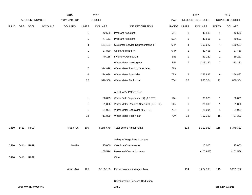|             |      |                        |                | 2015               |                         | 2016           |                                          |       |                  | 2017             |                | 2017            |
|-------------|------|------------------------|----------------|--------------------|-------------------------|----------------|------------------------------------------|-------|------------------|------------------|----------------|-----------------|
|             |      | ACCOUNT NUMBER         |                | <b>EXPENDITURE</b> |                         | <b>BUDGET</b>  |                                          | PAY   |                  | REQUESTED BUDGET |                | PROPOSED BUDGET |
| <b>FUND</b> | ORG  | SBCL                   | <b>ACCOUNT</b> | <b>DOLLARS</b>     | <b>UNITS</b>            | <b>DOLLARS</b> | LINE DESCRIPTION                         | RANGE | <b>UNITS</b>     | <b>DOLLARS</b>   | <b>UNITS</b>   | <b>DOLLARS</b>  |
|             |      |                        |                |                    | $\overline{1}$          | 42,539         | Program Assistant II                     | 5FN   | $\mathbf{1}$     | 42,539           | $\mathbf{1}$   | 42,539          |
|             |      |                        |                |                    | $\mathbf{1}$            | 47,161         | Program Assistant I                      | 5EN   | $\mathbf{1}$     | 40,501           | $\mathbf{1}$   | 40,501          |
|             |      |                        |                |                    | 4                       | 151,181        | Customer Service Representative III      | 6HN   | 4                | 150,627          | 4              | 150,627         |
|             |      |                        |                |                    | $\mathbf{1}$            | 37,830         | Office Assistant IV                      | 6HN   | $\mathbf{1}$     | 37,456           | $\mathbf{1}$   | 37,456          |
|             |      |                        |                |                    | $\overline{\mathbf{1}}$ | 40,135         | <b>Inventory Assistant III</b>           | 6IN   | $\mathbf{1}$     | 39,220           | $\mathbf{1}$   | 39,220          |
|             |      |                        |                |                    |                         |                | Water Meter Investigator                 | 8IN   | $\boldsymbol{7}$ | 313,132          | $\overline{7}$ | 313,132         |
|             |      |                        |                |                    | $\overline{7}$          | 314,828        | Water Meter Reading Specialist           | 6LN   |                  |                  |                |                 |
|             |      |                        |                |                    | 6                       | 274,696        | Water Meter Specialist                   | 7EN   | 6                | 256,887          | 6              | 256,887         |
|             |      |                        |                |                    | 22                      | 920,306        | Water Meter Technician                   | 7DN   | 22               | 880,304          | 22             | 880,304         |
|             |      |                        |                |                    |                         |                | <b>AUXILIARY POSITIONS</b>               |       |                  |                  |                |                 |
|             |      |                        |                |                    | $\overline{1}$          | 30,825         | Water Field Supervisor (X) (0.5 FTE)     | 1BX   | $\mathbf{1}$     | 30,825           | $\mathbf{1}$   | 30,825          |
|             |      |                        |                |                    | $\overline{1}$          | 21,806         | Water Meter Reading Specialist (0.5 FTE) | 6LN   | 1                | 21,806           | $\mathbf{1}$   | 21,806          |
|             |      |                        |                |                    | $\overline{1}$          | 21,094         | Water Meter Specialist (0.5 FTE)         | 7EN   | 1                | 21,094           | $\mathbf{1}$   | 21,094          |
|             |      |                        |                |                    | 18                      | 711,899        | Water Meter Technician                   | 7DN   | 18               | 707,393          | 18             | 707,393         |
| 0410        | 6411 | R999                   |                | 4,553,795          | 109                     | 5,275,679      | <b>Total Before Adjustments</b>          |       | 114              | 5,313,963        | 115            | 5,379,331       |
|             |      |                        |                |                    |                         |                | Salary & Wage Rate Changes               |       |                  |                  |                |                 |
| 0410        | 6411 | R999                   |                | 18,079             |                         | 15,000         | Overtime Compensated                     |       |                  | 15,000           |                | 15,000          |
|             |      |                        |                |                    |                         | (105, 514)     | Personnel Cost Adjustment                |       |                  | (100, 965)       |                | (102, 569)      |
| 0410        | 6411 | R999                   |                |                    |                         |                | Other                                    |       |                  |                  |                |                 |
|             |      |                        |                | 4,571,874          | 109                     | 5,185,165      | Gross Salaries & Wages Total             |       | 114              | 5,227,998        | 115            | 5,291,762       |
|             |      |                        |                |                    |                         |                | Reimbursable Services Deduction          |       |                  |                  |                |                 |
|             |      | <b>DPW-WATER WORKS</b> |                |                    |                         |                | 510.5                                    |       |                  |                  |                | 3rd Run 9/19/16 |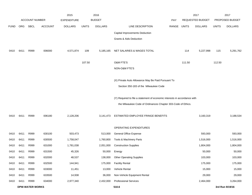|             |      |                        |                | 2015               |              | 2016           |                                                                           |       |              | 2017             |              | 2017            |
|-------------|------|------------------------|----------------|--------------------|--------------|----------------|---------------------------------------------------------------------------|-------|--------------|------------------|--------------|-----------------|
|             |      | <b>ACCOUNT NUMBER</b>  |                | <b>EXPENDITURE</b> |              | <b>BUDGET</b>  |                                                                           | PAY   |              | REQUESTED BUDGET |              | PROPOSED BUDGET |
| <b>FUND</b> | ORG  | SBCL                   | <b>ACCOUNT</b> | <b>DOLLARS</b>     | <b>UNITS</b> | <b>DOLLARS</b> | LINE DESCRIPTION                                                          | RANGE | <b>UNITS</b> | <b>DOLLARS</b>   | <b>UNITS</b> | <b>DOLLARS</b>  |
|             |      |                        |                |                    |              |                | Capital Improvements Deduction                                            |       |              |                  |              |                 |
|             |      |                        |                |                    |              |                | Grants & Aids Deduction                                                   |       |              |                  |              |                 |
|             |      |                        |                |                    |              |                |                                                                           |       |              |                  |              |                 |
| 0410        | 6411 | R999                   | 006000         | 4,571,874          | 109          | 5,185,165      | NET SALARIES & WAGES TOTAL                                                |       | 114          | 5,227,998        | 115          | 5,291,762       |
|             |      |                        |                |                    |              |                |                                                                           |       |              |                  |              |                 |
|             |      |                        |                |                    | 107.50       |                | O&M FTE'S                                                                 |       | 111.50       |                  | 112.50       |                 |
|             |      |                        |                |                    |              |                | NON-O&M FTE'S                                                             |       |              |                  |              |                 |
|             |      |                        |                |                    |              |                | (X) Private Auto Allowance May Be Paid Pursuant To                        |       |              |                  |              |                 |
|             |      |                        |                |                    |              |                | Section 350-183 of the Milwaukee Code                                     |       |              |                  |              |                 |
|             |      |                        |                |                    |              |                |                                                                           |       |              |                  |              |                 |
|             |      |                        |                |                    |              |                | (Y) Required to file a statement of economic interests in accordance with |       |              |                  |              |                 |
|             |      |                        |                |                    |              |                | the Milwaukee Code of Ordinances Chapter 303-Code of Ethics.              |       |              |                  |              |                 |
|             |      |                        |                |                    |              |                |                                                                           |       |              |                  |              |                 |
| 0410        | 6411 | R999                   | 006180         | 2,128,206          |              | 3,141,473      | ESTIMATED EMPLOYEE FRINGE BENEFITS                                        |       |              | 3,160,319        |              | 3,188,534       |
|             |      |                        |                |                    |              |                | OPERATING EXPENDITURES                                                    |       |              |                  |              |                 |
| 0410        | 6411 | R999                   | 630100         | 503,473            |              | 513,000        | General Office Expense                                                    |       |              | 593,000          |              | 593,000         |
| 0410        | 6411 | R999                   | 630500         | 1,758,047          |              | 1,760,800      | Tools & Machinery Parts                                                   |       |              | 1,516,000        |              | 1,516,000       |
| 0410        | 6411 | R999                   | 631000         | 1,781,038          |              | 2,051,000      | <b>Construction Supplies</b>                                              |       |              | 1,804,000        |              | 1,804,000       |
| 0410        | 6411 | R999                   | 631500         | 45,326             |              | 50,000         | Energy                                                                    |       |              | 50,000           |              | 50,000          |
| 0410        | 6411 | R999                   | 632000         | 48,537             |              | 138,000        | <b>Other Operating Supplies</b>                                           |       |              | 103,000          |              | 103,000         |
| 0410        | 6411 | R999                   | 632500         | 144,941            |              | 175,000        | <b>Facility Rental</b>                                                    |       |              | 175,000          |              | 175,000         |
| 0410        | 6411 | R999                   | 633000         | 11,451             |              | 13,000         | Vehicle Rental                                                            |       |              | 15,000           |              | 15,000          |
| 0410        | 6411 | R999                   | 633500         | 14,938             |              | 36,000         | Non-Vehicle Equipment Rental                                              |       |              | 29,000           |              | 29,000          |
| 0410        | 6411 | R999                   | 634000         | 2,977,340          |              | 2,432,000      | <b>Professional Services</b>                                              |       |              | 2,464,000        |              | 3,264,000       |
|             |      | <b>DPW-WATER WORKS</b> |                |                    |              |                | 510.6                                                                     |       |              |                  |              | 3rd Run 9/19/16 |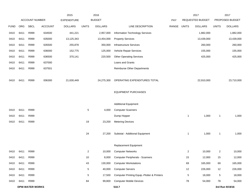|             |      |                        |                | 2015               |                | 2016           |                                             |       |                | 2017             |                | 2017            |
|-------------|------|------------------------|----------------|--------------------|----------------|----------------|---------------------------------------------|-------|----------------|------------------|----------------|-----------------|
|             |      | <b>ACCOUNT NUMBER</b>  |                | <b>EXPENDITURE</b> |                | <b>BUDGET</b>  |                                             | PAY   |                | REQUESTED BUDGET |                | PROPOSED BUDGET |
| <b>FUND</b> | ORG  | <b>SBCL</b>            | <b>ACCOUNT</b> | <b>DOLLARS</b>     | <b>UNITS</b>   | <b>DOLLARS</b> | LINE DESCRIPTION                            | RANGE | <b>UNITS</b>   | <b>DOLLARS</b>   | <b>UNITS</b>   | <b>DOLLARS</b>  |
| 0410        | 6411 | R999                   | 634500         | 441,221            |                | 2,957,000      | Information Technology Services             |       |                | 1,882,000        |                | 1,882,000       |
| 0410        | 6411 | R999                   | 635000         | 13,125,343         |                | 13,454,000     | <b>Property Services</b>                    |       |                | 13,439,000       |                | 13,439,000      |
| 0410        | 6411 | R999                   | 635500         | 255,878            |                | 350,000        | <b>Infrastructure Services</b>              |       |                | 260,000          |                | 260,000         |
| 0410        | 6411 | R999                   | 636000         | 152,775            |                | 125,000        | Vehicle Repair Services                     |       |                | 155,000          |                | 155,000         |
| 0410        | 6411 | R999                   | 636500         | 370,141            |                | 220,500        | <b>Other Operating Services</b>             |       |                | 425,000          |                | 425,000         |
| 0410        | 6411 | R999                   | 637000         |                    |                |                | Loans and Grants                            |       |                |                  |                |                 |
| 0410        | 6411 | R999                   | 637501         |                    |                |                | <b>Reimburse Other Departments</b>          |       |                |                  |                |                 |
| 0410        | 6411 | R999                   | 006300         | 21,630,449         |                | 24,275,300     | OPERATING EXPENDITURES TOTAL                |       |                | 22,910,000       |                | 23,710,000      |
|             |      |                        |                |                    |                |                | <b>EQUIPMENT PURCHASES</b>                  |       |                |                  |                |                 |
|             |      |                        |                |                    |                |                | <b>Additional Equipment</b>                 |       |                |                  |                |                 |
| 0410        | 6411 | R999                   |                |                    | 5              | 4,000          | <b>Computer Scanners</b>                    |       |                |                  |                |                 |
| 0410        | 6411 | R999                   |                |                    |                |                | Dump Hopper                                 |       | $\mathbf{1}$   | 1,000            | 1              | 1,000           |
| 0410        | 6411 | R999                   |                |                    | 19             | 23,200         | <b>Metering Devices</b>                     |       |                |                  |                |                 |
|             |      |                        |                |                    | 24             | 27,200         | Subtotal - Additional Equipment             |       | 1              | 1,000            | 1              | 1,000           |
|             |      |                        |                |                    |                |                | <b>Replacement Equipment</b>                |       |                |                  |                |                 |
| 0410        | 6411 | R999                   |                |                    | $\overline{2}$ | 10,000         | <b>Computer Networks</b>                    |       | $\overline{2}$ | 10,000           | $\overline{2}$ | 10,000          |
| 0410        | 6411 | R999                   |                |                    | 10             | 8,000          | <b>Computer Peripherals - Scanners</b>      |       | 15             | 12,000           | 15             | 12,000          |
| 0410        | 6411 | R999                   |                |                    | 43             | 130,000        | <b>Computer Workstations</b>                |       | 69             | 165,000          | 69             | 165,000         |
| 0410        | 6411 | R999                   |                |                    | 5              | 40,000         | <b>Computer Servers</b>                     |       | 12             | 226,000          | 12             | 226,000         |
| 0410        | 6411 | R999                   |                |                    | 5              | 17,500         | Computer Printing Equip.-Plotter & Printers |       | 5              | 18,000           | 5              | 18,000          |
| 0410        | 6411 | R999                   |                |                    | 84             | 99,800         | <b>Computer Mobile Devices</b>              |       | 78             | 54,000           | 78             | 54,000          |
|             |      | <b>DPW-WATER WORKS</b> |                |                    |                |                | 510.7                                       |       |                |                  |                | 3rd Run 9/19/16 |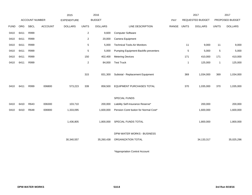|             |      |                |                | 2015               |                | 2016           |                                       |             |              | 2017                    |              | 2017            |
|-------------|------|----------------|----------------|--------------------|----------------|----------------|---------------------------------------|-------------|--------------|-------------------------|--------------|-----------------|
|             |      | ACCOUNT NUMBER |                | <b>EXPENDITURE</b> |                | <b>BUDGET</b>  |                                       | PAY         |              | <b>REQUESTED BUDGET</b> |              | PROPOSED BUDGET |
| <b>FUND</b> | ORG  | <b>SBCL</b>    | <b>ACCOUNT</b> | <b>DOLLARS</b>     | <b>UNITS</b>   | <b>DOLLARS</b> | LINE DESCRIPTION                      | RANGE UNITS |              | <b>DOLLARS</b>          | <b>UNITS</b> | <b>DOLLARS</b>  |
| 0410        | 6411 | R999           |                |                    | $\overline{2}$ | 9,600          | <b>Computer Software</b>              |             |              |                         |              |                 |
| 0410        | 6411 | R999           |                |                    | $\overline{c}$ | 20,000         | Camera Equipment                      |             |              |                         |              |                 |
| 0410        | 6411 | R999           |                |                    | 5              | 5,000          | <b>Technical Tools-Air Monitors</b>   |             | 11           | 9,000                   | 11           | 9,000           |
| 0410        | 6411 | R999           |                |                    | 5              | 5,000          | Pumping Equipment-Backflo preventers  |             | 5            | 5,000                   | 5            | 5,000           |
| 0410        | 6411 | R999           |                |                    | 150            | 402,400        | <b>Metering Devices</b>               |             | 171          | 410,000                 | 171          | 410,000         |
| 0410        | 6411 | R999           |                |                    | $\overline{2}$ | 84,000         | <b>Test Truck</b>                     |             | $\mathbf{1}$ | 125,000                 | $\mathbf{1}$ | 125,000         |
|             |      |                |                |                    |                |                |                                       |             |              |                         |              |                 |
|             |      |                |                |                    | 315            | 831,300        | Subtotal - Replacement Equipment      |             | 369          | 1,034,000               | 369          | 1,034,000       |
|             |      |                |                |                    |                |                |                                       |             |              |                         |              |                 |
| 0410        | 6411 | R999           | 006800         | 573,223            | 339            | 858,500        | <b>EQUIPMENT PURCHASES TOTAL</b>      |             | 370          | 1,035,000               | 370          | 1,035,000       |
|             |      |                |                |                    |                |                |                                       |             |              |                         |              |                 |
|             |      |                |                |                    |                |                | SPECIAL FUNDS                         |             |              |                         |              |                 |
| 0410        | 6410 | R643           | 006300         | 103,710            |                | 200,000        | Liability Self-Insurance Reserve*     |             |              | 200,000                 |              | 200,000         |
| 0410        | 6410 | R648           | 006900         | 1,333,095          |                | 1,600,000      | Pension Contr bution for Normal Cost* |             |              | 1,600,000               |              | 1,600,000       |
|             |      |                |                |                    |                |                |                                       |             |              |                         |              |                 |
|             |      |                |                | 1,436,805          |                | 1,800,000      | SPECIAL FUNDS TOTAL                   |             |              | 1,800,000               |              | 1,800,000       |
|             |      |                |                |                    |                |                |                                       |             |              |                         |              |                 |
|             |      |                |                |                    |                |                | DPW-WATER WORKS - BUSINESS            |             |              |                         |              |                 |
|             |      |                |                | 30,340,557         |                | 35,260,438     | ORGANIZATION TOTAL                    |             |              | 34, 133, 317            |              | 35,025,296      |
|             |      |                |                |                    |                |                |                                       |             |              |                         |              |                 |

\*Appropriation Control Account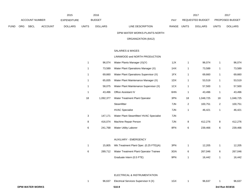|             |     |                |         | 2015           |              | 2016           |                              |       |       | 2017             |              | 2017                   |
|-------------|-----|----------------|---------|----------------|--------------|----------------|------------------------------|-------|-------|------------------|--------------|------------------------|
|             |     | ACCOUNT NUMBER |         | EXPENDITURE    |              | <b>BUDGET</b>  |                              | PAY   |       | REQUESTED BUDGET |              | <b>PROPOSED BUDGET</b> |
| <b>FUND</b> | ORG | <b>SBCL</b>    | ACCOUNT | <b>DOLLARS</b> | <b>UNITS</b> | <b>DOLLARS</b> | LINE DESCRIPTION             | RANGE | UNITS | <b>DOLLARS</b>   | <b>UNITS</b> | <b>DOLLARS</b>         |
|             |     |                |         |                |              |                | DPW-WATER WORKS-PLANTS-NORTH |       |       |                  |              |                        |

ORGANIZATION (6412)

# SALARIES & WAGES

## LINNWOOD and NORTH PRODUCTION

| 1  | 96,074    | Water Plants Manager (X)(Y)              | 1JX | 1  | 96,074    | 1              | 96,074    |
|----|-----------|------------------------------------------|-----|----|-----------|----------------|-----------|
| 1  | 73,589    | Water Plant Operations Manager (X)       | 1HX | 1  | 73,589    | 1              | 73,589    |
| 1  | 69,660    | Water Plant Operations Supervisor (X)    | 1FX | 1  | 69,660    | 1              | 69,660    |
| 1  | 65,835    | Water Plant Maintenance Manager (X)      | 1DX | 1  | 53,519    | 1              | 53,519    |
| 1  | 58,075    | Water Plant Maintenance Supervisor (X)   | 1CX | 1  | 57,500    | 1              | 57,500    |
| 1  | 43,496    | Office Assistant IV                      | 6HN | 1  | 43,496    | 1              | 43,496    |
| 18 | 1,092,377 | Water Treatment Plant Operator           | 3PN | 18 | 1,048,725 | 18             | 1,048,725 |
|    |           | Steamfitter                              | 7JN | 2  | 100,751   | $\overline{c}$ | 100,751   |
|    |           | <b>HVAC Specialist</b>                   | 7JN | 1  | 46,421    | 1              | 46,421    |
| 3  | 147,171   | Water Plant Steamfitter/ HVAC Specialist | 7JN |    |           |                |           |
| 8  | 416,074   | Machine Repair Person                    | 7JN | 8  | 412,276   | 8              | 412,276   |
| 6  | 241,768   | <b>Water Utility Laborer</b>             | 8FN | 6  | 239,466   | 6              | 239,466   |
|    |           | <b>AUXILIARY - EMERGENCY</b>             |     |    |           |                |           |
| 1  | 15,805    | Wtr.Treatment Plant Oper. (0.25 FTE)(A)  | 3PN | 1  | 12,205    | 1              | 12,205    |
| 6  | 289,712   | Water Treatment Plant Operator Trainee   | 3GN | 6  | 267,046   | 6              | 267,046   |
|    |           | Graduate Intern (0.5 FTE)                | 9PN | 1  | 16,442    | 1              | 16,442    |

#### ELECTRICAL & INSTRUMENTATION

| 96,637 Electrical Services Supervisor II (X)<br>1GX<br>96.637 |  |  |  |  |  |  |  | 96,637 |
|---------------------------------------------------------------|--|--|--|--|--|--|--|--------|
|---------------------------------------------------------------|--|--|--|--|--|--|--|--------|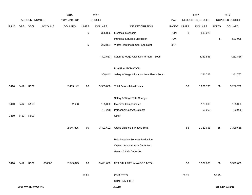|             |      |                        |                | 2015               |              | 2016           |                                             |       |              | 2017             |              | 2017            |
|-------------|------|------------------------|----------------|--------------------|--------------|----------------|---------------------------------------------|-------|--------------|------------------|--------------|-----------------|
|             |      | ACCOUNT NUMBER         |                | <b>EXPENDITURE</b> |              | <b>BUDGET</b>  |                                             | PAY   |              | REQUESTED BUDGET |              | PROPOSED BUDGET |
| <b>FUND</b> | ORG  | SBCL                   | <b>ACCOUNT</b> | <b>DOLLARS</b>     | <b>UNITS</b> | <b>DOLLARS</b> | LINE DESCRIPTION                            | RANGE | <b>UNITS</b> | <b>DOLLARS</b>   | <b>UNITS</b> | <b>DOLLARS</b>  |
|             |      |                        |                |                    | 6            | 395,866        | <b>Electrical Mechanic</b>                  | 7MN   | 8            | 533,028          |              |                 |
|             |      |                        |                |                    |              |                | Muncipal Services Electrician               | 7QN   |              |                  | 8            | 533,028         |
|             |      |                        |                |                    | $\,$ 5 $\,$  | 263,831        | Water Plant Instrument Specialist           | 3KN   |              |                  |              |                 |
|             |      |                        |                |                    |              | (302, 533)     | Salary & Wage Allocation to Plant - South   |       |              | (251, 866)       |              | (251, 866)      |
|             |      |                        |                |                    |              |                | PLANT AUTOMATION                            |       |              |                  |              |                 |
|             |      |                        |                |                    |              | 300,443        | Salary & Wage Allocation from Plant - South |       |              | 351,767          |              | 351,767         |
| 0410        | 6412 | R999                   |                | 2,463,142          | 60           | 3,363,880      | <b>Total Before Adjustments</b>             |       | 58           | 3,266,736        | 58           | 3,266,736       |
|             |      |                        |                |                    |              |                | Salary & Wage Rate Change                   |       |              |                  |              |                 |
| 0410        | 6412 | R999                   |                | 82,683             |              | 125,000        | Overtime Compensated                        |       |              | 125,000          |              | 125,000         |
|             |      |                        |                |                    |              | (67, 278)      | Personnel Cost Adjustment                   |       |              | (62,068)         |              | (62,068)        |
| 0410        | 6412 | R999                   |                |                    |              |                | Other                                       |       |              |                  |              |                 |
|             |      |                        |                | 2,545,825          | 60           | 3,421,602      | Gross Salaries & Wages Total                |       | 58           | 3,329,668        | 58           | 3,329,668       |
|             |      |                        |                |                    |              |                | Reimbursable Services Deduction             |       |              |                  |              |                 |
|             |      |                        |                |                    |              |                | Capital Improvements Deduction              |       |              |                  |              |                 |
|             |      |                        |                |                    |              |                | Grants & Aids Deduction                     |       |              |                  |              |                 |
| 0410        | 6412 | R999                   | 006000         | 2,545,825          | 60           |                | 3,421,602 NET SALARIES & WAGES TOTAL        |       | 58           | 3,329,668        | 58           | 3,329,668       |
|             |      |                        |                |                    | 59.25        |                | <b>O&amp;M FTE'S</b>                        |       | 56.75        |                  | 56.75        |                 |
|             |      |                        |                |                    |              |                | NON-O&M FTE'S                               |       |              |                  |              |                 |
|             |      | <b>DPW-WATER WORKS</b> |                |                    |              |                | 510.10                                      |       |              |                  |              | 3rd Run 9/19/16 |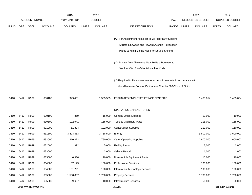|             |      |                        |                | 2015               |              | 2016           |                                                                           |            |              | 2017             |              | 2017            |
|-------------|------|------------------------|----------------|--------------------|--------------|----------------|---------------------------------------------------------------------------|------------|--------------|------------------|--------------|-----------------|
|             |      | <b>ACCOUNT NUMBER</b>  |                | <b>EXPENDITURE</b> |              | <b>BUDGET</b>  |                                                                           | <b>PAY</b> |              | REQUESTED BUDGET |              | PROPOSED BUDGET |
| <b>FUND</b> | ORG  | SBCL                   | <b>ACCOUNT</b> | <b>DOLLARS</b>     | <b>UNITS</b> | <b>DOLLARS</b> | LINE DESCRIPTION                                                          | RANGE      | <b>UNITS</b> | <b>DOLLARS</b>   | <b>UNITS</b> | <b>DOLLARS</b>  |
|             |      |                        |                |                    |              |                |                                                                           |            |              |                  |              |                 |
|             |      |                        |                |                    |              |                | (A) For Assignment As Relief To 24-Hour Duty Stations                     |            |              |                  |              |                 |
|             |      |                        |                |                    |              |                | At Both Linnwood and Howard Avenue Purification                           |            |              |                  |              |                 |
|             |      |                        |                |                    |              |                | Plants to Minimize the Need for Double Shifting.                          |            |              |                  |              |                 |
|             |      |                        |                |                    |              |                |                                                                           |            |              |                  |              |                 |
|             |      |                        |                |                    |              |                | (X) Private Auto Allowance May Be Paid Pursuant to                        |            |              |                  |              |                 |
|             |      |                        |                |                    |              |                | Section 350-183 of the Milwaukee Code.                                    |            |              |                  |              |                 |
|             |      |                        |                |                    |              |                | (Y) Required to file a statement of economic interests in accordance with |            |              |                  |              |                 |
|             |      |                        |                |                    |              |                | the Milwaukee Code of Ordinances Chapter 303-Code of Ethics.              |            |              |                  |              |                 |
|             |      |                        |                |                    |              |                |                                                                           |            |              |                  |              |                 |
| 0410        | 6412 | R999                   | 006180         | 949,451            |              | 1,505,505      | ESTIMATED EMPLOYEE FRINGE BENEFITS                                        |            |              | 1,465,054        |              | 1,465,054       |
|             |      |                        |                |                    |              |                |                                                                           |            |              |                  |              |                 |
|             |      |                        |                |                    |              |                | OPERATING EXPENDITURES                                                    |            |              |                  |              |                 |
| 0410        | 6412 | R999                   | 630100         | 4,869              |              | 15,000         | General Office Expense                                                    |            |              | 10,000           |              | 10,000          |
| 0410        | 6412 | R999                   | 630500         | 102,941            |              | 115,000        | Tools & Machinery Parts                                                   |            |              | 115,000          |              | 115,000         |
| 0410        | 6412 | R999                   | 631000         | 61,824             |              | 122,000        | <b>Construction Supplies</b>                                              |            |              | 110,000          |              | 110,000         |
| 0410        | 6412 | R999                   | 631500         | 3,423,313          |              | 3,738,500      | Energy                                                                    |            |              | 3,600,000        |              | 3,600,000       |
| 0410        | 6412 | R999                   | 632000         | 1,310,372          |              | 1,750,000      | <b>Other Operating Supplies</b>                                           |            |              | 1,600,000        |              | 1,600,000       |
| 0410        | 6412 | R999                   | 632500         | 972                |              | 5,000          | <b>Facility Rental</b>                                                    |            |              | 2,000            |              | 2,000           |
| 0410        | 6412 | R999                   | 633000         |                    |              | 3,000          | Vehicle Rental                                                            |            |              | 1,000            |              | 1,000           |
| 0410        | 6412 | R999                   | 633500         | 6,936              |              | 10,000         | Non-Vehicle Equipment Rental                                              |            |              | 10,000           |              | 10,000          |
| 0410        | 6412 | R999                   | 634000         | 37,123             |              | 100,000        | <b>Professional Services</b>                                              |            |              | 100,000          |              | 100,000         |
| 0410        | 6412 | R999                   | 634500         | 101,791            |              | 190,000        | Information Technology Services                                           |            |              | 190,000          |              | 190,000         |
| 0410        | 6412 | R999                   | 635000         | 1,588,887          |              | 1,700,000      | <b>Property Services</b>                                                  |            |              | 1,700,000        |              | 1,700,000       |
| 0410        | 6412 | R999                   | 635500         | 59,657             |              | 10,000         | Infrastructure Services                                                   |            |              | 50,000           |              | 50,000          |
|             |      | <b>DPW-WATER WORKS</b> |                |                    |              |                | 510.11                                                                    |            |              |                  |              | 3rd Run 9/19/16 |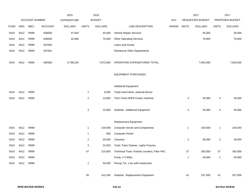|             |      |                       |                | 2015               |                | 2016           |                                                |       |                | 2017             |                | 2017            |
|-------------|------|-----------------------|----------------|--------------------|----------------|----------------|------------------------------------------------|-------|----------------|------------------|----------------|-----------------|
|             |      | <b>ACCOUNT NUMBER</b> |                | <b>EXPENDITURE</b> |                | <b>BUDGET</b>  |                                                | PAY   |                | REQUESTED BUDGET |                | PROPOSED BUDGET |
| <b>FUND</b> | ORG  | <b>SBCL</b>           | <b>ACCOUNT</b> | <b>DOLLARS</b>     | <b>UNITS</b>   | <b>DOLLARS</b> | LINE DESCRIPTION                               | RANGE | <b>UNITS</b>   | <b>DOLLARS</b>   | <b>UNITS</b>   | <b>DOLLARS</b>  |
| 0410        | 6412 | R999                  | 636000         | 47,044             |                | 45,000         | Vehicle Repair Services                        |       |                | 45,000           |                | 45,000          |
| 0410        | 6412 | R999                  | 636500         | 42,606             |                | 70,000         | <b>Other Operating Services</b>                |       |                | 70,000           |                | 70,000          |
| 0410        | 6412 | R999                  | 637000         |                    |                |                | Loans and Grants                               |       |                |                  |                |                 |
| 0410        | 6412 | R999                  | 637501         |                    |                |                | <b>Reimburse Other Departments</b>             |       |                |                  |                |                 |
| 0410        | 6412 | R999                  | 006300         | 6,788,335          |                | 7,873,500      | OPERATING EXPENDITURES TOTAL                   |       |                | 7,603,000        |                | 7,603,000       |
|             |      |                       |                |                    |                |                | <b>EQUIPMENT PURCHASES</b>                     |       |                |                  |                |                 |
|             |      |                       |                |                    |                |                | <b>Additional Equipment</b>                    |       |                |                  |                |                 |
| 0410        | 6412 | R999                  |                |                    | $\overline{1}$ | 8,000          | Tools-hoist frame, retrieval device            |       |                |                  |                |                 |
| 0410        | 6412 | R999                  |                |                    | $\overline{2}$ | 14,800         | Tech.Tools-HDPE Fusion machine                 |       | 4              | 45,000           | 4              | 45,000          |
|             |      |                       |                |                    | $\mathbf{3}$   | 22,800         | Subtotal - Additional Equipment                |       | 4              | 45,000           | 4              | 45,000          |
|             |      |                       |                |                    |                |                | Replacement Equipment                          |       |                |                  |                |                 |
| 0410        | 6412 | R999                  |                |                    | $\overline{1}$ | 100,000        | <b>Computer Server and Components</b>          |       | $\overline{1}$ | 100,000          | $\mathbf{1}$   | 100,000         |
| 0410        | 6412 | R999                  |                |                    | $\overline{1}$ | 500            | <b>Computer Printer</b>                        |       |                |                  |                |                 |
| 0410        | 6412 | R999                  |                |                    | $\overline{2}$ | 20,000         | Cameras                                        |       | $\overline{2}$ | 30,000           | $\overline{2}$ | 30,000          |
| 0410        | 6412 | R999                  |                |                    | 3              | 24,250         | Tools: Parts Cleaner, Lights Fixtures          |       |                |                  |                |                 |
| 0410        | 6412 | R999                  |                |                    | 47             | 215,600        | Technical Tools: Particle counters, Filter PAC |       | 37             | 363,000          | 37             | 363,000         |
| 0410        | 6412 | R999                  |                |                    |                |                | Pump, #5 60hp                                  |       | $\mathbf{1}$   | 44,000           | $\mathbf{1}$   | 44,000          |
| 0410        | 6412 | R999                  |                |                    | $\overline{1}$ | 55,000         | Pickup Trk, 1 ton with hoist/crane             |       |                |                  |                |                 |
|             |      |                       |                |                    | 55             | 415,350        | Subtotal - Replacement Equipment               |       | 41             | 537,000          | 41             | 537,000         |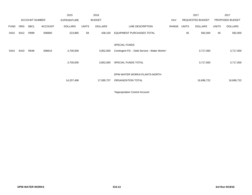|             |            |                       |                | 2015               |              | 2016           |                                              |            |              | 2017                    |              | 2017            |
|-------------|------------|-----------------------|----------------|--------------------|--------------|----------------|----------------------------------------------|------------|--------------|-------------------------|--------------|-----------------|
|             |            | <b>ACCOUNT NUMBER</b> |                | <b>EXPENDITURE</b> |              | <b>BUDGET</b>  |                                              | <b>PAY</b> |              | <b>REQUESTED BUDGET</b> |              | PROPOSED BUDGET |
| <b>FUND</b> | <b>ORG</b> | <b>SBCL</b>           | <b>ACCOUNT</b> | <b>DOLLARS</b>     | <b>UNITS</b> | <b>DOLLARS</b> | LINE DESCRIPTION                             | RANGE      | <b>UNITS</b> | <b>DOLLARS</b>          | <b>UNITS</b> | <b>DOLLARS</b>  |
| 0410        | 6412       | R999                  | 006800         | 223,885            | 58           | 438,150        | <b>EQUIPMENT PURCHASES TOTAL</b>             |            | 45           | 582,000                 | 45           | 582,000         |
|             |            |                       |                |                    |              |                |                                              |            |              |                         |              |                 |
|             |            |                       |                |                    |              |                | <b>SPECIAL FUNDS</b>                         |            |              |                         |              |                 |
| 0410        | 6410       | R646                  | 006610         | 3,700,000          |              | 3,852,000      | Contingent FD. - Debt Service - Water Works* |            |              | 3,717,000               |              | 3,717,000       |
|             |            |                       |                |                    |              |                |                                              |            |              |                         |              |                 |
|             |            |                       |                | 3,700,000          |              | 3,852,000      | SPECIAL FUNDS TOTAL                          |            |              | 3,717,000               |              | 3,717,000       |
|             |            |                       |                |                    |              |                |                                              |            |              |                         |              |                 |
|             |            |                       |                |                    |              |                | DPW-WATER WORKS-PLANTS-NORTH                 |            |              |                         |              |                 |
|             |            |                       |                | 14,207,496         |              | 17,090,757     | ORGANIZATION TOTAL                           |            |              | 16,696,722              |              | 16,696,722      |
|             |            |                       |                |                    |              |                |                                              |            |              |                         |              |                 |

\*Appropriation Control Account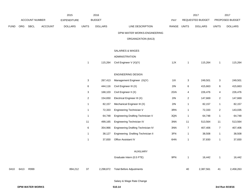|             |      |                       |         | 2015           |                           | 2016           |                                    |       |                         | 2017             |                  | 2017            |
|-------------|------|-----------------------|---------|----------------|---------------------------|----------------|------------------------------------|-------|-------------------------|------------------|------------------|-----------------|
|             |      | <b>ACCOUNT NUMBER</b> |         | EXPENDITURE    |                           | <b>BUDGET</b>  |                                    | PAY   |                         | REQUESTED BUDGET |                  | PROPOSED BUDGET |
| <b>FUND</b> | ORG  | SBCL                  | ACCOUNT | <b>DOLLARS</b> | <b>UNITS</b>              | <b>DOLLARS</b> | LINE DESCRIPTION                   | RANGE | <b>UNITS</b>            | <b>DOLLARS</b>   | <b>UNITS</b>     | <b>DOLLARS</b>  |
|             |      |                       |         |                |                           |                | DPW-WATER WORKS-ENGINEERING        |       |                         |                  |                  |                 |
|             |      |                       |         |                |                           |                | ORGANIZATION (6413)                |       |                         |                  |                  |                 |
|             |      |                       |         |                |                           |                | SALARIES & WAGES                   |       |                         |                  |                  |                 |
|             |      |                       |         |                |                           |                | ADMINISTRATION                     |       |                         |                  |                  |                 |
|             |      |                       |         |                | $\mathbf{1}$              | 115,264        | Civil Engineer V (X)(Y)            | 1JX   | $\mathbf{1}$            | 115,264          | $\mathbf{1}$     | 115,264         |
|             |      |                       |         |                |                           |                | <b>ENGINEERING DESIGN</b>          |       |                         |                  |                  |                 |
|             |      |                       |         |                | $\ensuremath{\mathsf{3}}$ | 267,413        | Management Engineer (X)(Y)         | 11X   | $\mathbf{3}$            | 249,501          | 3                | 249,501         |
|             |      |                       |         |                | 6                         | 444,116        | Civil Engineer III (X)             | 2IN   | 6                       | 415,663          | 6                | 415,663         |
|             |      |                       |         |                | 3                         | 168,103        | Civil Engineer II (X)              | 2GN   | 4                       | 226,476          | 4                | 226,476         |
|             |      |                       |         |                | $\overline{a}$            | 154,650        | Electrical Engineer III (X)        | 2IN   | $\overline{\mathbf{c}}$ | 147,669          | $\overline{c}$   | 147,669         |
|             |      |                       |         |                | 1                         | 82,157         | Mechanical Engineer III (X)        | 2IN   | $\mathbf{1}$            | 82,157           | 1                | 82,157          |
|             |      |                       |         |                | 1                         | 72,333         | Engineering Technician V           | 3RN   | $\mathbf{1}$            | 72,333           | $\overline{c}$   | 143,035         |
|             |      |                       |         |                | $\mathbf{1}$              | 64,748         | Engineering Drafting Technician V  | 3QN   | $\mathbf{1}$            | 64,748           | $\mathbf{1}$     | 64,748          |
|             |      |                       |         |                | 11                        | 499,165        | Engineering Technician IV          | 3NN   | 11                      | 513,564          | $11$             | 513,564         |
|             |      |                       |         |                | 6                         | 354,966        | Engineering Drafting Technician IV | 3NN   | $\boldsymbol{7}$        | 407,406          | $\boldsymbol{7}$ | 407,406         |
|             |      |                       |         |                | $\mathbf{1}$              | 38,127         | Engineering Drafting Technician II | 3FN   | $\mathbf{1}$            | 38,508           | 1                | 38,508          |
|             |      |                       |         |                | 1                         | 37,830         | Office Assistant IV                | 6HN   | $\mathbf{1}$            | 37,830           | 1                | 37,830          |
|             |      |                       |         |                |                           |                | <b>AUXILIARY</b>                   |       |                         |                  |                  |                 |
|             |      |                       |         |                |                           |                | Graduate Intern (0.5 FTE)          | 9PN   | $\mathbf{1}$            | 16,442           | $\mathbf{1}$     | 16,442          |
| 0410        | 6413 | R999                  |         | 894,212        | 37                        | 2,298,872      | <b>Total Before Adjustments</b>    |       | 40                      | 2,387,561        | 41               | 2,458,263       |
|             |      |                       |         |                |                           |                | Salary & Wage Rate Change          |       |                         |                  |                  |                 |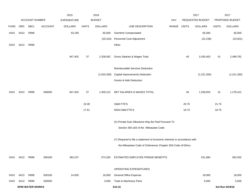|             |      |                        |                | 2015               |              | 2016           |                                                                                             |             |       | 2017             |              | 2017            |
|-------------|------|------------------------|----------------|--------------------|--------------|----------------|---------------------------------------------------------------------------------------------|-------------|-------|------------------|--------------|-----------------|
|             |      | <b>ACCOUNT NUMBER</b>  |                | <b>EXPENDITURE</b> |              | <b>BUDGET</b>  |                                                                                             | PAY         |       | REQUESTED BUDGET |              | PROPOSED BUDGET |
| <b>FUND</b> | ORG  | <b>SBCL</b>            | <b>ACCOUNT</b> | <b>DOLLARS</b>     | <b>UNITS</b> | <b>DOLLARS</b> | LINE DESCRIPTION                                                                            | RANGE UNITS |       | <b>DOLLARS</b>   | <b>UNITS</b> | <b>DOLLARS</b>  |
| 0410        | 6413 | R999                   |                | 53,190             |              | 65,000         | Overtime Compensated                                                                        |             |       | 65,000           |              | 65,000          |
|             |      |                        |                |                    |              | (25, 310)      | Personnel Cost Adjustment                                                                   |             |       | (22, 158)        |              | (23, 501)       |
| 0410        | 6413 | R999                   |                |                    |              |                | Other                                                                                       |             |       |                  |              |                 |
|             |      |                        |                | 947,402            | 37           | 2,338,562      | Gross Salaries & Wages Total                                                                |             | 40    | 2,430,403        | 41           | 2,499,762       |
|             |      |                        |                |                    |              |                | Reimbursable Services Deduction                                                             |             |       |                  |              |                 |
|             |      |                        |                |                    |              | (1,033,350)    | Capital Improvements Deduction                                                              |             |       | (1,221,350)      |              | (1,221,350)     |
|             |      |                        |                |                    |              |                | Grants & Aids Deduction                                                                     |             |       |                  |              |                 |
| 0410        | 6413 | R999                   | 006000         | 947,402            | 37           | 1,305,212      | NET SALARIES & WAGES TOTAL                                                                  |             | 40    | 1,209,053        | 41           | 1,278,412       |
|             |      |                        |                |                    | 19.39        |                | O&M FTE'S                                                                                   |             | 20.75 |                  | 21.75        |                 |
|             |      |                        |                |                    | 17.61        |                | NON-O&M FTE'S                                                                               |             | 18.75 |                  | 18.75        |                 |
|             |      |                        |                |                    |              |                | (X) Private Auto Allowance May Be Paid Pursuant To<br>Section 350-183 of the Milwaukee Code |             |       |                  |              |                 |
|             |      |                        |                |                    |              |                | (Y) Required to file a statement of economic interests in accordance with                   |             |       |                  |              |                 |
|             |      |                        |                |                    |              |                | the Milwaukee Code of Ordinances Chapter 303-Code of Ethics.                                |             |       |                  |              |                 |
| 0410        | 6413 | R999                   | 006180         | 382,237            |              | 574,293        | ESTIMATED EMPLOYEE FRINGE BENEFITS                                                          |             |       | 531,984          |              | 562,502         |
|             |      |                        |                |                    |              |                | OPERATING EXPENDITURES                                                                      |             |       |                  |              |                 |
| 0410        | 6413 | R999                   | 630100         | 14,935             |              | 16,000         | <b>General Office Expense</b>                                                               |             |       | 18,000           |              | 18,000          |
| 0410        | 6413 | R999                   | 630500         |                    |              | 3,000          | Tools & Machinery Parts                                                                     |             |       | 5,000            |              | 5,000           |
|             |      | <b>DPW-WATER WORKS</b> |                |                    |              |                | 510.15                                                                                      |             |       |                  |              | 3rd Run 9/19/16 |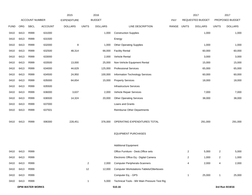|             |      |                        |                | 2015               |                | 2016           |                                              |       |                | 2017             |                | 2017            |
|-------------|------|------------------------|----------------|--------------------|----------------|----------------|----------------------------------------------|-------|----------------|------------------|----------------|-----------------|
|             |      | <b>ACCOUNT NUMBER</b>  |                | <b>EXPENDITURE</b> |                | <b>BUDGET</b>  |                                              | PAY   |                | REQUESTED BUDGET |                | PROPOSED BUDGET |
| <b>FUND</b> | ORG  | <b>SBCL</b>            | <b>ACCOUNT</b> | <b>DOLLARS</b>     | <b>UNITS</b>   | <b>DOLLARS</b> | LINE DESCRIPTION                             | RANGE | <b>UNITS</b>   | <b>DOLLARS</b>   | <b>UNITS</b>   | <b>DOLLARS</b>  |
| 0410        | 6413 | R999                   | 631000         |                    |                | 1,000          | <b>Construction Supplies</b>                 |       |                | 1,000            |                | 1,000           |
| 0410        | 6413 | R999                   | 631500         |                    |                |                | Energy                                       |       |                |                  |                |                 |
| 0410        | 6413 | R999                   | 632000         | 8                  |                | 1,000          | <b>Other Operating Supplies</b>              |       |                | 1,000            |                | 1,000           |
| 0410        | 6413 | R999                   | 632500         | 48,314             |                | 66,000         | <b>Facility Rental</b>                       |       |                | 60,000           |                | 60,000          |
| 0410        | 6413 | R999                   | 633000         |                    |                | 2,000          | Vehicle Rental                               |       |                | 3,000            |                | 3,000           |
| 0410        | 6413 | R999                   | 633500         | 13,000             |                | 25,000         | Non-Vehicle Equipment Rental                 |       |                | 15,000           |                | 15,000          |
| 0410        | 6413 | R999                   | 634000         | 44,629             |                | 125,000        | <b>Professional Services</b>                 |       |                | 65,000           |                | 65,000          |
| 0410        | 6413 | R999                   | 634500         | 24,950             |                | 100,000        | Information Technology Services              |       |                | 60,000           |                | 60,000          |
| 0410        | 6413 | R999                   | 635000         | 64,654             |                | 15,000         | <b>Property Services</b>                     |       |                | 18,000           |                | 18,000          |
| 0410        | 6413 | R999                   | 635500         |                    |                |                | <b>Infrastructure Services</b>               |       |                |                  |                |                 |
| 0410        | 6413 | R999                   | 636000         | 3,637              |                | 2,000          | Vehicle Repair Services                      |       |                | 7,000            |                | 7,000           |
| 0410        | 6413 | R999                   | 636500         | 14,324             |                | 20,000         | <b>Other Operating Services</b>              |       |                | 38,000           |                | 38,000          |
| 0410        | 6413 | R999                   | 637000         |                    |                |                | Loans and Grants                             |       |                |                  |                |                 |
| 0410        | 6413 | R999                   | 637501         |                    |                |                | <b>Reimburse Other Departments</b>           |       |                |                  |                |                 |
|             |      |                        |                |                    |                |                |                                              |       |                |                  |                |                 |
| 0410        | 6413 | R999                   | 006300         | 228,451            |                | 376,000        | OPERATING EXPENDITURES TOTAL                 |       |                | 291,000          |                | 291,000         |
|             |      |                        |                |                    |                |                |                                              |       |                |                  |                |                 |
|             |      |                        |                |                    |                |                | <b>EQUIPMENT PURCHASES</b>                   |       |                |                  |                |                 |
|             |      |                        |                |                    |                |                |                                              |       |                |                  |                |                 |
|             |      |                        |                |                    |                |                | <b>Additional Equipment</b>                  |       |                |                  |                |                 |
| 0410        | 6413 | R999                   |                |                    |                |                | Office Furniture - Desk, Office sets         |       | $\overline{2}$ | 5,000            | $\overline{2}$ | 5,000           |
| 0410        | 6413 | R999                   |                |                    |                |                | Electronic Office Eq - Digital Camera        |       | $\overline{2}$ | 1,000            | $\overline{2}$ | 1,000           |
| 0410        | 6413 | R999                   |                |                    | $\overline{2}$ | 2,000          | <b>Computer Peripherals-Scanners</b>         |       | 4              | 2,000            | 4              | 2,000           |
| 0410        | 6413 | R999                   |                |                    | 12             | 12,000         | Computer Workstations-Tablets/Otterboxes     |       |                |                  |                |                 |
| 0410        | 6413 | R999                   |                |                    |                |                | Computer Eq. - GPS                           |       | $\mathbf{1}$   | 25,000           | $\mathbf{1}$   | 25,000          |
| 0410        | 6413 | R999                   |                |                    | $\overline{1}$ | 5,000          | Technical Tools - Wtr Main Pressure Test Rig |       |                |                  |                |                 |
|             |      | <b>DPW-WATER WORKS</b> |                |                    |                |                | 510.16                                       |       |                |                  |                | 3rd Run 9/19/16 |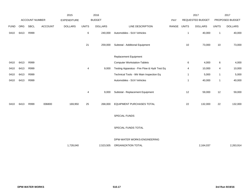|             |      |                       |                | 2015               |              | 2016           |                                              |       |              | 2017             |              | 2017            |
|-------------|------|-----------------------|----------------|--------------------|--------------|----------------|----------------------------------------------|-------|--------------|------------------|--------------|-----------------|
|             |      | <b>ACCOUNT NUMBER</b> |                | <b>EXPENDITURE</b> |              | <b>BUDGET</b>  |                                              | PAY   |              | REQUESTED BUDGET |              | PROPOSED BUDGET |
| <b>FUND</b> | ORG  | SBCL                  | <b>ACCOUNT</b> | <b>DOLLARS</b>     | <b>UNITS</b> | <b>DOLLARS</b> | LINE DESCRIPTION                             | RANGE | <b>UNITS</b> | <b>DOLLARS</b>   | <b>UNITS</b> | <b>DOLLARS</b>  |
| 0410        | 6413 | R999                  |                |                    | 6            | 240,000        | Automobiles - SUV Vehicles                   |       | $\mathbf{1}$ | 40,000           | $\mathbf{1}$ | 40,000          |
|             |      |                       |                |                    | 21           | 259,000        | Subtotal - Additional Equipment              |       | 10           | 73,000           | $10$         | 73,000          |
|             |      |                       |                |                    |              |                | Replacement Equipment                        |       |              |                  |              |                 |
| 0410        | 6413 | R999                  |                |                    |              |                | <b>Computer Workstation-Tablets</b>          |       | 6            | 4,000            | $\,6\,$      | 4,000           |
| 0410        | 6413 | R999                  |                |                    | 4            | 9,000          | Testing Apparatus - Fire Flow & Hydr Test Eq |       | 4            | 10,000           | 4            | 10,000          |
| 0410        | 6413 | R999                  |                |                    |              |                | Technical Tools - Wtr Main Inspection Eq     |       | $\mathbf{1}$ | 5,000            | $\mathbf{1}$ | 5,000           |
| 0410        | 6413 | R999                  |                |                    |              |                | Automobiles - SUV Vehicles                   |       | $\mathbf{1}$ | 40,000           | $\mathbf{1}$ | 40,000          |
|             |      |                       |                |                    | 4            | 9,000          | Subtotal - Replacement Equipment             |       | 12           | 59,000           | 12           | 59,000          |
| 0410        | 6413 | R999                  | 006800         | 169,950            | 25           | 268,000        | EQUIPMENT PURCHASES TOTAL                    |       | 22           | 132,000          | 22           | 132,000         |
|             |      |                       |                |                    |              |                | SPECIAL FUNDS                                |       |              |                  |              |                 |
|             |      |                       |                |                    |              |                | SPECIAL FUNDS TOTAL                          |       |              |                  |              |                 |
|             |      |                       |                |                    |              |                | DPW-WATER WORKS-ENGINEERING                  |       |              |                  |              |                 |
|             |      |                       |                | 1,728,040          |              | 2,523,505      | ORGANIZATION TOTAL                           |       |              | 2,164,037        |              | 2,263,914       |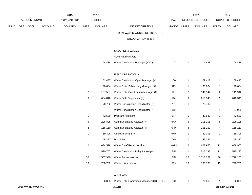|      |     |                        |                | 2015               |                | 2016           |                                            |       |                | 2017             |                | 2017            |
|------|-----|------------------------|----------------|--------------------|----------------|----------------|--------------------------------------------|-------|----------------|------------------|----------------|-----------------|
|      |     | ACCOUNT NUMBER         |                | <b>EXPENDITURE</b> |                | <b>BUDGET</b>  |                                            | PAY   |                | REQUESTED BUDGET |                | PROPOSED BUDGET |
| FUND | ORG | SBCL                   | <b>ACCOUNT</b> | <b>DOLLARS</b>     | <b>UNITS</b>   | <b>DOLLARS</b> | LINE DESCRIPTION                           | RANGE | <b>UNITS</b>   | <b>DOLLARS</b>   | <b>UNITS</b>   | <b>DOLLARS</b>  |
|      |     |                        |                |                    |                |                | DPW-WATER WORKS-DISTRIBUTION               |       |                |                  |                |                 |
|      |     |                        |                |                    |                |                | ORGANIZATION (6414)                        |       |                |                  |                |                 |
|      |     |                        |                |                    |                |                | SALARIES & WAGES                           |       |                |                  |                |                 |
|      |     |                        |                |                    |                |                | ADMINISTRATION                             |       |                |                  |                |                 |
|      |     |                        |                |                    | $\mathbf{1}$   | 104,438        | Water Distribution Manager (X)(Y)          | 11X   | $\mathbf{1}$   | 104,438          | $\mathbf{1}$   | 104,438         |
|      |     |                        |                |                    |                |                | FIELD OPERATIONS                           |       |                |                  |                |                 |
|      |     |                        |                |                    | $\mathbf{1}$   | 81,437         | Water Distribution Oper. Manager (X)       | 1GX   | $\mathbf{1}$   | 69,417           | $\mathbf{1}$   | 69,417          |
|      |     |                        |                |                    | $\mathbf{1}$   | 90,664         | Water Distr. Scheduling Manager (X)        | 1FX   | $\mathbf{1}$   | 90,664           | $\mathbf{1}$   | 90,664          |
|      |     |                        |                |                    | $\overline{2}$ | 137,567        | Water Distr. Construction Manager (X)      | 1EX   | $\overline{2}$ | 141,942          | $\overline{c}$ | 141,942         |
|      |     |                        |                |                    | 9              | 604,816        | Water Field Supervisor (X)                 | 1BX   | 9              | 610,343          | 9              | 610,343         |
|      |     |                        |                |                    | $\mathbf{1}$   | 70,702         | Water Construction Coordinator (X)         | 7PN   | $\mathbf{1}$   | 70,702           |                |                 |
|      |     |                        |                |                    |                |                | Water Construction Coordinator (X)         | 1BX   |                |                  | 1              | 57,955          |
|      |     |                        |                |                    | $\mathbf{1}$   | 42,539         | Program Assistant II                       | 5FN   | $\mathbf{1}$   | 42,539           | 1              | 42,539          |
|      |     |                        |                |                    | 5              | 208,805        | <b>Communications Assistant V</b>          | 6KN   | $\sqrt{5}$     | 205,108          | $\overline{5}$ | 205,108         |
|      |     |                        |                |                    | 4              | 155,150        | <b>Communications Assistant III</b>        | 6HN   | 4              | 155,150          | 4              | 155,150         |
|      |     |                        |                |                    | 1              | 39,306         | Office Assistant IV                        | 6HN   | $\mathbf{1}$   | 39,306           | $\mathbf{1}$   | 39,306          |
|      |     |                        |                |                    | $\mathbf{1}$   | 45,327         | Machinist                                  | 7HN   | $\mathbf{1}$   | 45,327           | $\mathbf{1}$   | 45,327          |
|      |     |                        |                |                    | 12             | 634,578        | Water Chief Repair Worker                  | 8MN   | 12             | 668,955          | 12             | 668,955         |
|      |     |                        |                |                    | 11             | 520,707        | Water Distribution Utility Investigator    | 8IN   | 11             | 515,237          | $11$           | 515,237         |
|      |     |                        |                |                    | 36             | 1,587,940      | Water Repair Worker                        | 81N   | 36             | 1,718,257        | 36             | 1,718,257       |
|      |     |                        |                |                    | 19             | 788,782        | <b>Water Utility Laborer</b>               | 8FN   | 19             | 790,700          | $19$           | 790,700         |
|      |     |                        |                |                    |                |                | AUXILIARY                                  |       |                |                  |                |                 |
|      |     |                        |                |                    | $\mathbf{1}$   | 26,063         | Water Distr. Operations Manager (0.33 FTE) | 1GX   | $\mathbf{1}$   | 26,063           | 1              | 26,063          |
|      |     | <b>DPW-WATER WORKS</b> |                |                    |                |                | 510.18                                     |       |                |                  |                | 3rd Run 9/19/16 |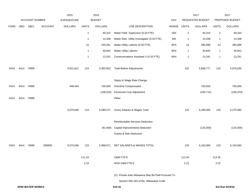|             |      |                        |                | 2015               |                | 2016           |                                                    |       |              | 2017             |              | 2017            |
|-------------|------|------------------------|----------------|--------------------|----------------|----------------|----------------------------------------------------|-------|--------------|------------------|--------------|-----------------|
|             |      | <b>ACCOUNT NUMBER</b>  |                | <b>EXPENDITURE</b> |                | <b>BUDGET</b>  |                                                    | PAY   |              | REQUESTED BUDGET |              | PROPOSED BUDGET |
| <b>FUND</b> | ORG  | <b>SBCL</b>            | <b>ACCOUNT</b> | <b>DOLLARS</b>     | <b>UNITS</b>   | <b>DOLLARS</b> | LINE DESCRIPTION                                   | RANGE | <b>UNITS</b> | <b>DOLLARS</b>   | <b>UNITS</b> | <b>DOLLARS</b>  |
|             |      |                        |                |                    | $\overline{c}$ | 40,310         | Water Field Supervisor (0.33 FTE)                  | 1BX   | $\sqrt{2}$   | 40,310           | $\sqrt{2}$   | 40,310          |
|             |      |                        |                |                    | $\overline{1}$ | 14,338         | Water Distr. Utility Investigator (0.33 FTE)       | 8IN   | $\mathbf{1}$ | 14,338           | $\mathbf{1}$ | 14,338          |
|             |      |                        |                |                    | 12             | 245,051        | Water Utility Laborer (0.50 FTE)                   | 8FN   | 14           | 285,898          | 14           | 285,898         |
|             |      |                        |                |                    | $\overline{1}$ | 40,842         | Water Utility Laborer                              | 8FN   | $\mathbf{1}$ | 40,842           | $\mathbf{1}$ | 40,842          |
|             |      |                        |                |                    | $\mathbf 1$    | 13,241         | Communications Assistant V (0.33 FTE)              | 6KN   | 1            | 13,241           | $\mathbf{1}$ | 13,241          |
| 0410        | 6414 | R999                   |                | 4,621,612          | 123            | 5,492,603      | <b>Total Before Adjustments</b>                    |       | 125          | 5,688,777        | 125          | 5,676,030       |
|             |      |                        |                |                    |                |                | Salary & Wage Rate Change                          |       |              |                  |              |                 |
| 0410        | 6414 | R999                   |                | 448,444            |                | 705,000        | Overtime Compensated                               |       |              | 705,000          |              | 705,000         |
|             |      |                        |                |                    |                | (108, 032)     | Personnel Cost Adjustment                          |       |              | (105, 712)       |              | (105, 470)      |
| 0410        | 6414 | R999                   |                |                    |                |                | Other                                              |       |              |                  |              |                 |
|             |      |                        |                | 5,070,056          | 123            | 6,089,571      | Gross Salaries & Wages Total                       |       | 125          | 6,288,065        | 125          | 6,275,560       |
|             |      |                        |                |                    |                |                | Reimbursable Services Deduction                    |       |              |                  |              |                 |
|             |      |                        |                |                    |                | (91,000)       | <b>Capital Improvements Deduction</b>              |       |              | (125,000)        |              | (125,000)       |
|             |      |                        |                |                    |                |                | Grants & Aids Deduction                            |       |              |                  |              |                 |
| 0410        | 6414 | R999                   | 006000         | 5,070,056          | 123            | 5,998,571      | NET SALARIES & WAGES TOTAL                         |       | 125          | 6,163,065        | 125          | 6,150,560       |
|             |      |                        |                |                    | 111.34         |                | O&M FTE'S                                          |       | 112.45       |                  | 112.45       |                 |
|             |      |                        |                |                    | 2.33           |                | NON-O&M FTE'S                                      |       | 2.22         |                  | 2.22         |                 |
|             |      |                        |                |                    |                |                | (X) Private Auto Allowance May Be Paid Pursuant To |       |              |                  |              |                 |
|             |      |                        |                |                    |                |                | Section 350-183 of the Milwaukee Code              |       |              |                  |              |                 |
|             |      | <b>DPW-WATER WORKS</b> |                |                    |                |                | 510.19                                             |       |              |                  |              | 3rd Run 9/19/16 |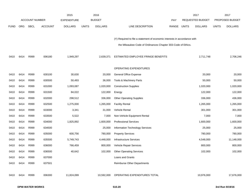|             |            |                       |                | 2015               |              | 2016           |                                                                           |       |       | 2017                    |              | 2017            |
|-------------|------------|-----------------------|----------------|--------------------|--------------|----------------|---------------------------------------------------------------------------|-------|-------|-------------------------|--------------|-----------------|
|             |            | <b>ACCOUNT NUMBER</b> |                | <b>EXPENDITURE</b> |              | <b>BUDGET</b>  |                                                                           | PAY   |       | <b>REQUESTED BUDGET</b> |              | PROPOSED BUDGET |
| <b>FUND</b> | <b>ORG</b> | SBCL                  | <b>ACCOUNT</b> | <b>DOLLARS</b>     | <b>UNITS</b> | <b>DOLLARS</b> | LINE DESCRIPTION                                                          | RANGE | UNITS | <b>DOLLARS</b>          | <b>UNITS</b> | <b>DOLLARS</b>  |
|             |            |                       |                |                    |              |                |                                                                           |       |       |                         |              |                 |
|             |            |                       |                |                    |              |                | (Y) Required to file a statement of economic interests in accordance with |       |       |                         |              |                 |
|             |            |                       |                |                    |              |                | the Milwaukee Code of Ordinances Chapter 303-Code of Ethics.              |       |       |                         |              |                 |
|             |            |                       |                |                    |              |                |                                                                           |       |       |                         |              |                 |
| 0410        | 6414       | R999                  | 006180         | 1,949,297          |              | 2,639,371      | ESTIMATED EMPLOYEE FRINGE BENEFITS                                        |       |       | 2,711,748               |              | 2,706,246       |
|             |            |                       |                |                    |              |                |                                                                           |       |       |                         |              |                 |
|             |            |                       |                |                    |              |                | OPERATING EXPENDITURES                                                    |       |       |                         |              |                 |
| 0410        | 6414       | R999                  | 630100         | 30,630             |              | 20,000         | <b>General Office Expense</b>                                             |       |       | 20,000                  |              | 20,000          |
| 0410        | 6414       | R999                  | 630500         | 50,493             |              | 36,000         | Tools & Machinery Parts                                                   |       |       | 50,000                  |              | 50,000          |
| 0410        | 6414       | R999                  | 631000         | 1,093,087          |              | 1,020,000      | <b>Construction Supplies</b>                                              |       |       | 1,020,000               |              | 1,020,000       |
| 0410        | 6414       | R999                  | 631500         | 84,022             |              | 122,000        | Energy                                                                    |       |       | 122,000                 |              | 122,000         |
| 0410        | 6414       | R999                  | 632000         | 298,512            |              | 336,000        | <b>Other Operating Supplies</b>                                           |       |       | 336,000                 |              | 436,000         |
| 0410        | 6414       | R999                  | 632500         | 1,275,000          |              | 1,265,000      | <b>Facility Rental</b>                                                    |       |       | 1,265,000               |              | 1,265,000       |
| 0410        | 6414       | R999                  | 633000         | 3,341              |              | 31,000         | Vehicle Rental                                                            |       |       | 301,000                 |              | 301,000         |
| 0410        | 6414       | R999                  | 633500         | 5,522              |              | 7,000          | Non-Vehicle Equipment Rental                                              |       |       | 7,000                   |              | 7,000           |
| 0410        | 6414       | R999                  | 634000         | 1,825,892          |              | 1,600,000      | <b>Professional Services</b>                                              |       |       | 1,600,000               |              | 1,600,000       |
| 0410        | 6414       | R999                  | 634500         |                    |              | 25,000         | Information Technology Services                                           |       |       | 25,000                  |              | 25,000          |
| 0410        | 6414       | R999                  | 635000         | 600,756            |              | 780,000        | <b>Property Services</b>                                                  |       |       | 780,000                 |              | 780,000         |
| 0410        | 6414       | R999                  | 635500         | 5,749,743          |              | 4,448,000      | <b>Infrastructure Services</b>                                            |       |       | 4,548,000               |              | 11,148,000      |
| 0410        | 6414       | R999                  | 636000         | 766,459            |              | 800,000        | Vehicle Repair Services                                                   |       |       | 800,000                 |              | 800,000         |
| 0410        | 6414       | R999                  | 636500         | 40,642             |              | 102,000        | <b>Other Operating Services</b>                                           |       |       | 102,000                 |              | 102,000         |
| 0410        | 6414       | R999                  | 637000         |                    |              |                | Loans and Grants                                                          |       |       |                         |              |                 |
| 0410        | 6414       | R999                  | 637501         |                    |              |                | <b>Reimburse Other Departments</b>                                        |       |       |                         |              |                 |
|             |            |                       |                |                    |              |                |                                                                           |       |       |                         |              |                 |
| 0410        | 6414       | R999                  | 006300         | 11,824,099         |              | 10,592,000     | OPERATING EXPENDITURES TOTAL                                              |       |       | 10,976,000              |              | 17,676,000      |
|             |            |                       |                |                    |              |                |                                                                           |       |       |                         |              |                 |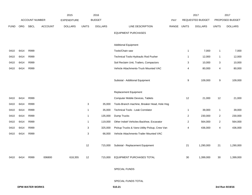|             |            |                       |                | 2015               |                | 2016           |                                               |            |                         | 2017                    |                         | 2017            |
|-------------|------------|-----------------------|----------------|--------------------|----------------|----------------|-----------------------------------------------|------------|-------------------------|-------------------------|-------------------------|-----------------|
|             |            | <b>ACCOUNT NUMBER</b> |                | <b>EXPENDITURE</b> |                | <b>BUDGET</b>  |                                               | <b>PAY</b> |                         | <b>REQUESTED BUDGET</b> |                         | PROPOSED BUDGET |
| <b>FUND</b> | <b>ORG</b> | <b>SBCL</b>           | <b>ACCOUNT</b> | <b>DOLLARS</b>     | <b>UNITS</b>   | <b>DOLLARS</b> | LINE DESCRIPTION                              | RANGE      | <b>UNITS</b>            | <b>DOLLARS</b>          | <b>UNITS</b>            | <b>DOLLARS</b>  |
|             |            |                       |                |                    |                |                | <b>EQUIPMENT PURCHASES</b>                    |            |                         |                         |                         |                 |
|             |            |                       |                |                    |                |                |                                               |            |                         |                         |                         |                 |
|             |            |                       |                |                    |                |                | <b>Additional Equipment</b>                   |            |                         |                         |                         |                 |
| 0410        | 6414       | R999                  |                |                    |                |                | Tools/Chain saw                               |            | 1                       | 7,000                   | $\mathbf{1}$            | 7,000           |
| 0410        | 6414       | R999                  |                |                    |                |                | Technical Tools-Hydraulic Rod Pusher          |            | $\mathbf{1}$            | 12,000                  | $\mathbf{1}$            | 12,000          |
| 0410        | 6414       | R999                  |                |                    |                |                | Soil Reclaim Unit, Trailers, Compactors       |            | 3                       | 10,000                  | 3                       | 10,000          |
| 0410        | 6414       | R999                  |                |                    |                |                | Vehicle Attachments-Truck Mounted VAC         |            | 4                       | 80,000                  | $\overline{\mathbf{4}}$ | 80,000          |
|             |            |                       |                |                    |                |                |                                               |            |                         |                         |                         |                 |
|             |            |                       |                |                    |                |                | Subtotal - Additional Equipment               |            | 9                       | 109,000                 | 9                       | 109,000         |
|             |            |                       |                |                    |                |                |                                               |            |                         |                         |                         |                 |
|             |            |                       |                |                    |                |                | <b>Replacement Equipment</b>                  |            |                         |                         |                         |                 |
| 0410        | 6414       | R999                  |                |                    |                |                | Computer Mobile Devices, Tablets              |            | 12                      | 21,000                  | 12                      | 21,000          |
| 0410        | 6414       | R999                  |                |                    | 3              | 35,000         | Tools-Branch machine, Breaker Head, Hole Hog  |            |                         |                         |                         |                 |
| 0410        | 6414       | R999                  |                |                    | $\mathbf{1}$   | 35,000         | <b>Technical Tools - Leak Correlator</b>      |            | $\mathbf{1}$            | 39,000                  | $\mathbf{1}$            | 39,000          |
| 0410        | 6414       | R999                  |                |                    | $\overline{1}$ | 135,000        | Dump Trucks                                   |            | $\overline{c}$          | 230,000                 | $\overline{2}$          | 230,000         |
| 0410        | 6414       | R999                  |                |                    | $\overline{1}$ | 119,000        | Other Indstrl Vehicles-Backhoe, Excavator     |            | $\boldsymbol{2}$        | 564,000                 | $\sqrt{2}$              | 564,000         |
| 0410        | 6414       | R999                  |                |                    | 3              | 325,000        | Pickup Trucks & Vans-Utility Pickup, Crew Van |            | $\overline{\mathbf{4}}$ | 436,000                 | $\overline{\mathbf{4}}$ | 436,000         |
| 0410        | 6414       | R999                  |                |                    | $\sqrt{3}$     | 66,000         | Vehicle Attachments-Trailer Mounted VAC       |            |                         |                         |                         |                 |
|             |            |                       |                |                    |                |                |                                               |            |                         |                         |                         |                 |
|             |            |                       |                |                    | 12             | 715,000        | Subtotal - Replacement Equipment              |            | 21                      | 1,290,000               | 21                      | 1,290,000       |
|             |            |                       |                |                    |                |                |                                               |            |                         |                         |                         |                 |
| 0410        | 6414       | R999                  | 006800         | 618,355            | 12             | 715,000        | <b>EQUIPMENT PURCHASES TOTAL</b>              |            | 30                      | 1,399,000               | 30                      | 1,399,000       |
|             |            |                       |                |                    |                |                |                                               |            |                         |                         |                         |                 |
|             |            |                       |                |                    |                |                | <b>SPECIAL FUNDS</b>                          |            |                         |                         |                         |                 |

SPECIAL FUNDS TOTAL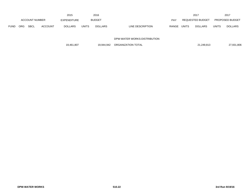|             |                       |             |                | 2015               |              | 2016           |                           | 2017                    |       | 2017                   |
|-------------|-----------------------|-------------|----------------|--------------------|--------------|----------------|---------------------------|-------------------------|-------|------------------------|
|             | <b>ACCOUNT NUMBER</b> |             |                | <b>EXPENDITURE</b> |              | <b>BUDGET</b>  | PAY                       | <b>REQUESTED BUDGET</b> |       | <b>PROPOSED BUDGET</b> |
| <b>FUND</b> | <b>ORG</b>            | <b>SBCL</b> | <b>ACCOUNT</b> | <b>DOLLARS</b>     | <b>UNITS</b> | <b>DOLLARS</b> | LINE DESCRIPTION<br>RANGE | UNITS<br><b>DOLLARS</b> | UNITS | <b>DOLLARS</b>         |

#### DPW-WATER WORKS-DISTRIBUTION

|  | 19,461,807 | 19,944,942 | ORGANIZATION TOTAL | 21.249.813 | 27,931,806 |
|--|------------|------------|--------------------|------------|------------|
|--|------------|------------|--------------------|------------|------------|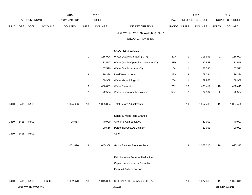|             |      |                        | 2015    | 2016               |                |                |                                      |       | 2017           |                  | 2017           |                 |
|-------------|------|------------------------|---------|--------------------|----------------|----------------|--------------------------------------|-------|----------------|------------------|----------------|-----------------|
|             |      | <b>ACCOUNT NUMBER</b>  |         | <b>EXPENDITURE</b> |                | <b>BUDGET</b>  |                                      | PAY   |                | REQUESTED BUDGET |                | PROPOSED BUDGET |
| <b>FUND</b> | ORG  | SBCL                   | ACCOUNT | <b>DOLLARS</b>     | <b>UNITS</b>   | <b>DOLLARS</b> | LINE DESCRIPTION                     | RANGE | <b>UNITS</b>   | <b>DOLLARS</b>   | <b>UNITS</b>   | <b>DOLLARS</b>  |
|             |      |                        |         |                    |                |                | DPW-WATER WORKS-WATER QUALITY        |       |                |                  |                |                 |
|             |      |                        |         |                    |                |                | ORGANIZATION (6415)                  |       |                |                  |                |                 |
|             |      |                        |         |                    |                |                | SALARIES & WAGES                     |       |                |                  |                |                 |
|             |      |                        |         |                    | 1              | 116,994        | Water Quality Manager (X)(Y)         | 1JX   | $\mathbf{1}$   | 116,993          | $\mathbf{1}$   | 116,993         |
|             |      |                        |         |                    | $\mathbf{1}$   | 82,547         | Water Quality Operations Manager (X) | 1FX   | $\mathbf{1}$   | 82,548           | $\mathbf{1}$   | 82,548          |
|             |      |                        |         |                    | 1              | 57,590         | Water Quality Analyst (X)            | 2GN   | $\mathbf{1}$   | 57,590           | $\mathbf{1}$   | 57,590          |
|             |      |                        |         |                    | 3              | 179,394        | Lead Water Chemist                   | 2EN   | 3              | 179,394          | 3              | 179,394         |
|             |      |                        |         |                    | $\mathbf{1}$   | 59,958         | Water Microbiologist II              | 2DN   | $\mathbf{1}$   | 59,958           | $\mathbf{1}$   | 59,958          |
|             |      |                        |         |                    | 9              | 456,837        | Water Chemist II                     | 2CN   | 10             | 488,419          | 10             | 488,419         |
|             |      |                        |         |                    | $\overline{a}$ | 72,504         | Water Laboratory Technician          | 5DN   | $\overline{2}$ | 72,504           | $\overline{2}$ | 72,504          |
| 0410        | 6415 | R999                   |         | 1,024,606          | 18             | 1,025,824      | <b>Total Before Adjustments</b>      |       | 19             | 1,057,406        | 19             | 1,057,406       |
|             |      |                        |         |                    |                |                | Salary & Wage Rate Change            |       |                |                  |                |                 |
| 0410        | 6415 | R999                   |         | 28,064             |                | 40,000         | Overtime Compensated                 |       |                | 40,000           |                | 40,000          |
|             |      |                        |         |                    |                | (20, 516)      | Personnel Cost Adjustment            |       |                | (20,091)         |                | (20,091)        |
| 0410        | 6415 | R999                   |         |                    |                |                | Other                                |       |                |                  |                |                 |
|             |      |                        |         | 1,052,670          | 18             | 1,045,308      | Gross Salaries & Wages Total         |       | 19             | 1,077,315        | 19             | 1,077,315       |
|             |      |                        |         |                    |                |                | Reimbursable Services Deduction      |       |                |                  |                |                 |
|             |      |                        |         |                    |                |                | Capital Improvements Deduction       |       |                |                  |                |                 |
|             |      |                        |         |                    |                |                | Grants & Aids Deduction              |       |                |                  |                |                 |
| 0410        | 6415 | R999                   | 006000  | 1,052,670          | 18             | 1,045,308      | NET SALARIES & WAGES TOTAL           |       | 19             | 1,077,315        | 19             | 1,077,315       |
|             |      | <b>DPW-WATER WORKS</b> |         |                    |                |                | 510.23                               |       |                |                  |                | 3rd Run 9/19/16 |
|             |      |                        |         |                    |                |                |                                      |       |                |                  |                |                 |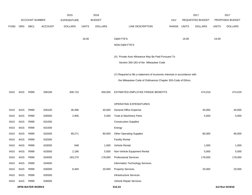|             |      |                        |                | 2015               |              | 2016           |                                                                           |       |              | 2017             |              | 2017            |
|-------------|------|------------------------|----------------|--------------------|--------------|----------------|---------------------------------------------------------------------------|-------|--------------|------------------|--------------|-----------------|
|             |      | <b>ACCOUNT NUMBER</b>  |                | <b>EXPENDITURE</b> |              | <b>BUDGET</b>  |                                                                           | PAY   |              | REQUESTED BUDGET |              | PROPOSED BUDGET |
| <b>FUND</b> | ORG  | <b>SBCL</b>            | <b>ACCOUNT</b> | <b>DOLLARS</b>     | <b>UNITS</b> | <b>DOLLARS</b> | LINE DESCRIPTION                                                          | RANGE | <b>UNITS</b> | <b>DOLLARS</b>   | <b>UNITS</b> | <b>DOLLARS</b>  |
|             |      |                        |                |                    |              |                |                                                                           |       |              |                  |              |                 |
|             |      |                        |                |                    | 18.00        |                | O&M FTE'S                                                                 |       | 19.00        |                  | 19.00        |                 |
|             |      |                        |                |                    |              |                | NON-O&M FTE'S                                                             |       |              |                  |              |                 |
|             |      |                        |                |                    |              |                |                                                                           |       |              |                  |              |                 |
|             |      |                        |                |                    |              |                | (X) Private Auto Allowance May Be Paid Pursuant To                        |       |              |                  |              |                 |
|             |      |                        |                |                    |              |                | Section 350-183 of the Milwaukee Code                                     |       |              |                  |              |                 |
|             |      |                        |                |                    |              |                |                                                                           |       |              |                  |              |                 |
|             |      |                        |                |                    |              |                | (Y) Required to file a statement of economic interests in accordance with |       |              |                  |              |                 |
|             |      |                        |                |                    |              |                | the Milwaukee Code of Ordinances Chapter 303-Code of Ethics.              |       |              |                  |              |                 |
| 0410        | 6415 | R999                   | 006180         | 406,710            |              | 459,935        | ESTIMATED EMPLOYEE FRINGE BENEFITS                                        |       |              | 474,019          |              | 474,019         |
|             |      |                        |                |                    |              |                |                                                                           |       |              |                  |              |                 |
|             |      |                        |                |                    |              |                | OPERATING EXPENDITURES                                                    |       |              |                  |              |                 |
| 0410        | 6415 | R999                   | 630100         | 36,486             |              | 40,000         | <b>General Office Expense</b>                                             |       |              | 40,000           |              | 40,000          |
| 0410        | 6415 | R999                   | 630500         | 2,905              |              | 5,000          | Tools & Machinery Parts                                                   |       |              | 5,000            |              | 5,000           |
| 0410        | 6415 | R999                   | 631000         |                    |              |                | <b>Construction Supplies</b>                                              |       |              |                  |              |                 |
| 0410        | 6415 | R999                   | 631500         |                    |              |                | Energy                                                                    |       |              |                  |              |                 |
| 0410        | 6415 | R999                   | 632000         | 69,271             |              | 80,000         | <b>Other Operating Supplies</b>                                           |       |              | 80,000           |              | 80,000          |
| 0410        | 6415 | R999                   | 632500         |                    |              |                | <b>Facility Rental</b>                                                    |       |              |                  |              |                 |
| 0410        | 6415 | R999                   | 633000         | 648                |              | 1,000          | Vehicle Rental                                                            |       |              | 1,000            |              | 1,000           |
| 0410        | 6415 | R999                   | 633500         | 2,186              |              | 5,000          | Non-Vehicle Equipment Rental                                              |       |              | 5,000            |              | 5,000           |
| 0410        | 6415 | R999                   | 634000         | 183,270            |              | 178,000        | <b>Professional Services</b>                                              |       |              | 178,000          |              | 178,000         |
| 0410        | 6415 | R999                   | 634500         |                    |              |                | Information Technology Services                                           |       |              |                  |              |                 |
| 0410        | 6415 | R999                   | 635000         | 8,494              |              | 20,000         | <b>Property Services</b>                                                  |       |              | 20,000           |              | 20,000          |
| 0410        | 6415 | R999                   | 635500         |                    |              |                | Infrastructure Services                                                   |       |              |                  |              |                 |
| 0410        | 6415 | R999                   | 636000         |                    |              |                | Vehicle Repair Services                                                   |       |              |                  |              |                 |
|             |      | <b>DPW-WATER WORKS</b> |                |                    |              |                | 510.24                                                                    |       |              |                  |              | 3rd Run 9/19/16 |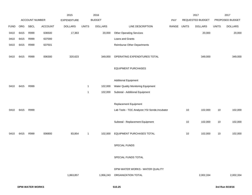|             |      |                       |                | 2015           |                | 2016           |                                                       |             |              | 2017           |              | 2017           |  |                  |  |                 |  |
|-------------|------|-----------------------|----------------|----------------|----------------|----------------|-------------------------------------------------------|-------------|--------------|----------------|--------------|----------------|--|------------------|--|-----------------|--|
|             |      | <b>ACCOUNT NUMBER</b> |                |                |                |                |                                                       | EXPENDITURE |              | <b>BUDGET</b>  |              | PAY            |  | REQUESTED BUDGET |  | PROPOSED BUDGET |  |
| <b>FUND</b> | ORG  | <b>SBCL</b>           | <b>ACCOUNT</b> | <b>DOLLARS</b> | <b>UNITS</b>   | <b>DOLLARS</b> | LINE DESCRIPTION                                      | RANGE       | <b>UNITS</b> | <b>DOLLARS</b> | <b>UNITS</b> | <b>DOLLARS</b> |  |                  |  |                 |  |
| 0410        | 6415 | R999                  | 636500         | 17,363         |                | 20,000         | <b>Other Operating Services</b>                       |             |              | 20,000         |              | 20,000         |  |                  |  |                 |  |
| 0410        | 6415 | R999                  | 637000         |                |                |                | Loans and Grants                                      |             |              |                |              |                |  |                  |  |                 |  |
| 0410        | 6415 | R999                  | 637501         |                |                |                | Reimburse Other Departments                           |             |              |                |              |                |  |                  |  |                 |  |
| 0410        | 6415 | R999                  | 006300         | 320,623        |                | 349,000        | OPERATING EXPENDITURES TOTAL                          |             |              | 349,000        |              | 349,000        |  |                  |  |                 |  |
|             |      |                       |                |                |                |                | <b>EQUIPMENT PURCHASES</b>                            |             |              |                |              |                |  |                  |  |                 |  |
|             |      |                       |                |                |                |                | <b>Additional Equipment</b>                           |             |              |                |              |                |  |                  |  |                 |  |
| 0410        | 6415 | R999                  |                |                | $\overline{1}$ | 102,000        | Water Quality Monitoring Equipment                    |             |              |                |              |                |  |                  |  |                 |  |
|             |      |                       |                |                | $\mathbf{1}$   | 102,000        | Subtotal - Additional Equipment                       |             |              |                |              |                |  |                  |  |                 |  |
|             |      |                       |                |                |                |                | Replacement Equipment                                 |             |              |                |              |                |  |                  |  |                 |  |
| 0410        | 6415 | R999                  |                |                |                |                | Lab Tools - TOC Analyzer, YSI Sonde, Incubator        |             | 10           | 102,000        | $10$         | 102,000        |  |                  |  |                 |  |
|             |      |                       |                |                |                |                | Subtotal - Replacement Equipment                      |             | 10           | 102,000        | $10$         | 102,000        |  |                  |  |                 |  |
| 0410        | 6415 | R999                  | 006800         | 83,854         | $\mathbf{1}$   | 102,000        | EQUIPMENT PURCHASES TOTAL                             |             | 10           | 102,000        | 10           | 102,000        |  |                  |  |                 |  |
|             |      |                       |                |                |                |                | SPECIAL FUNDS                                         |             |              |                |              |                |  |                  |  |                 |  |
|             |      |                       |                |                |                |                | SPECIAL FUNDS TOTAL                                   |             |              |                |              |                |  |                  |  |                 |  |
|             |      |                       |                | 1,863,857      |                | 1,956,243      | DPW-WATER WORKS - WATER QUALITY<br>ORGANIZATION TOTAL |             |              | 2,002,334      |              | 2,002,334      |  |                  |  |                 |  |
|             |      |                       |                |                |                |                |                                                       |             |              |                |              |                |  |                  |  |                 |  |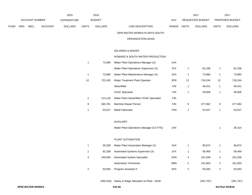| ACCOUNT NUMBER |                        |      | 2015<br><b>EXPENDITURE</b> |                | 2016<br><b>BUDGET</b> |                | PAY                                                 | 2017<br>REQUESTED BUDGET |                         |                | 2017<br>PROPOSED BUDGET |                |  |
|----------------|------------------------|------|----------------------------|----------------|-----------------------|----------------|-----------------------------------------------------|--------------------------|-------------------------|----------------|-------------------------|----------------|--|
| FUND           | ORG                    | SBCL | <b>ACCOUNT</b>             | <b>DOLLARS</b> | <b>UNITS</b>          | <b>DOLLARS</b> | LINE DESCRIPTION                                    | RANGE UNITS              |                         | <b>DOLLARS</b> | <b>UNITS</b>            | <b>DOLLARS</b> |  |
|                |                        |      |                            |                |                       |                | DPW-WATER WORKS-PLANTS-SOUTH                        |                          |                         |                |                         |                |  |
|                |                        |      |                            |                |                       |                | ORGANIZATION (6416)                                 |                          |                         |                |                         |                |  |
|                |                        |      |                            |                |                       |                | SALARIES & WAGES                                    |                          |                         |                |                         |                |  |
|                |                        |      |                            |                |                       |                | HOWARD & SOUTH WATER PRODUCTION                     |                          |                         |                |                         |                |  |
|                |                        |      |                            |                | $\mathbf{1}$          | 73,589         | Water Plant Operations Manager (X)                  | 1HX                      |                         |                |                         |                |  |
|                |                        |      |                            |                |                       |                | Water Plant Operations Supervisor (X)               | 1FX                      | $\mathbf 1$             | 62,338         | $\mathbf{1}$            | 62,338         |  |
|                |                        |      |                            |                | $\mathbf{1}$          | 73,860         | Water Plant Maintenance Manager (X)                 | 1DX                      | $\overline{1}$          | 73,860         | $\mathbf{1}$            | 73,860         |  |
|                |                        |      |                            |                | 12                    | 722,435        | Water Treatment Plant Operator                      | 3PN                      | 12                      | 718,244        | 12                      | 718,244        |  |
|                |                        |      |                            |                |                       |                | Steamfitter                                         | 7JN                      | $\overline{1}$          | 46,421         | $\mathbf{1}$            | 46,421         |  |
|                |                        |      |                            |                |                       |                | <b>HVAC Specialist</b>                              | 7JN                      | $\mathbf{1}$            | 59,958         | $\mathbf{1}$            | 59,958         |  |
|                |                        |      |                            |                | $\overline{2}$        | 113,120        | Water Plant Steamfitter/ HVAC Specialist            | 7JN                      |                         |                |                         |                |  |
|                |                        |      |                            |                | 9                     | 465,781        | Machine Repair Person                               | 7JN                      | 9                       | 477,062        | 9                       | 477,062        |  |
|                |                        |      |                            |                | -1                    | 53,527         | Metal Fabricator                                    | 7HN                      | $\overline{1}$          | 53,527         | $\mathbf{1}$            | 53,527         |  |
|                |                        |      |                            |                |                       |                | AUXILIARY                                           |                          |                         |                |                         |                |  |
|                |                        |      |                            |                |                       |                | Water Plant Operations Manager (0.5 FTE)            | 1HX                      |                         |                | 1                       | 35,414         |  |
|                |                        |      |                            |                |                       |                | PLANT AUTOMATION                                    |                          |                         |                |                         |                |  |
|                |                        |      |                            |                | 1                     | 95,208         | Water Plant Automation Manager (X)                  | 1HX                      | $\mathbf{1}$            | 90,674         | $\mathbf{1}$            | 90,674         |  |
|                |                        |      |                            |                | $\mathbf{1}$          | 62,338         | Automated Systems Supervisor (X)                    | 1FX                      | $\overline{1}$          | 58,469         | $\mathbf{1}$            | 58,469         |  |
|                |                        |      |                            |                | 4                     |                | 249,600 Automated System Specialist                 | 2GN                      | 4                       | 241,939        | 4                       | 241,939        |  |
|                |                        |      |                            |                |                       |                | <b>Automation Technician</b>                        | 3MN                      | $\overline{\mathbf{c}}$ | 101,603        | $\overline{2}$          | 101,603        |  |
|                |                        |      |                            |                | $\overline{2}$        | 93,593         | Program Assistant II                                | 5FN                      | $\overline{\mathbf{c}}$ | 93,593         | $\overline{2}$          | 93,593         |  |
|                |                        |      |                            |                |                       |                | (300,443) Salary & Wage Allocation to Plant - North |                          |                         | (351, 767)     |                         | (351, 767)     |  |
|                | <b>DPW-WATER WORKS</b> |      |                            |                | 510.26                |                |                                                     |                          |                         |                |                         |                |  |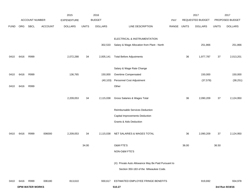|             |      |                        |                | 2015               |              | 2016           |                                                    |       |              | 2017             |              | 2017            |
|-------------|------|------------------------|----------------|--------------------|--------------|----------------|----------------------------------------------------|-------|--------------|------------------|--------------|-----------------|
|             |      | ACCOUNT NUMBER         |                | <b>EXPENDITURE</b> |              | <b>BUDGET</b>  |                                                    | PAY   |              | REQUESTED BUDGET |              | PROPOSED BUDGET |
| <b>FUND</b> | ORG  | SBCL                   | <b>ACCOUNT</b> | <b>DOLLARS</b>     | <b>UNITS</b> | <b>DOLLARS</b> | LINE DESCRIPTION                                   | RANGE | <b>UNITS</b> | <b>DOLLARS</b>   | <b>UNITS</b> | <b>DOLLARS</b>  |
|             |      |                        |                |                    |              |                | ELECTRICAL & INSTRUMENTATION                       |       |              |                  |              |                 |
|             |      |                        |                |                    |              | 302,533        | Salary & Wage Allocation from Plant - North        |       |              | 251,866          |              | 251,866         |
| 0410        | 6416 | R999                   |                | 2,072,288          | 34           | 2,005,141      | <b>Total Before Adjustments</b>                    |       | 36           | 1,977,787        | $37\,$       | 2,013,201       |
|             |      |                        |                |                    |              |                | Salary & Wage Rate Change                          |       |              |                  |              |                 |
| 0410        | 6416 | R999                   |                | 136,765            |              | 150,000        | Overtime Compensated                               |       |              | 150,000          |              | 150,000         |
|             |      |                        |                |                    |              | (40, 103)      | Personnel Cost Adjustment                          |       |              | (37, 578)        |              | (38, 251)       |
| 0410        | 6416 | R999                   |                |                    |              |                | Other                                              |       |              |                  |              |                 |
|             |      |                        |                | 2,209,053          | 34           | 2,115,038      | Gross Salaries & Wages Total                       |       | 36           | 2,090,209        | 37           | 2,124,950       |
|             |      |                        |                |                    |              |                | Reimbursable Services Deduction                    |       |              |                  |              |                 |
|             |      |                        |                |                    |              |                | Capital Improvements Deduction                     |       |              |                  |              |                 |
|             |      |                        |                |                    |              |                | <b>Grants &amp; Aids Deduction</b>                 |       |              |                  |              |                 |
| 0410        | 6416 | R999                   | 006000         | 2,209,053          | 34           | 2,115,038      | NET SALARIES & WAGES TOTAL                         |       | 36           | 2,090,209        | 37           | 2,124,950       |
|             |      |                        |                |                    | 34.00        |                | O&M FTE'S                                          |       | 36.00        |                  | 36.50        |                 |
|             |      |                        |                |                    |              |                | NON-O&M FTE'S                                      |       |              |                  |              |                 |
|             |      |                        |                |                    |              |                | (X) Private Auto Allowance May Be Paid Pursuant to |       |              |                  |              |                 |
|             |      |                        |                |                    |              |                | Section 350-183 of the Milwaukee Code.             |       |              |                  |              |                 |
| 0410        | 6416 | R999                   | 006180         | 813,610            |              | 930,617        | ESTIMATED EMPLOYEE FRINGE BENEFITS                 |       |              | 919,692          |              | 934,978         |
|             |      | <b>DPW-WATER WORKS</b> |                |                    |              |                | 510.27                                             |       |              |                  |              | 3rd Run 9/19/16 |
|             |      |                        |                |                    |              |                |                                                    |       |              |                  |              |                 |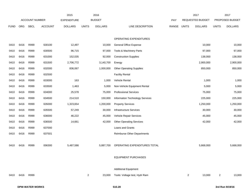|             |      |                       |                | 2015               |                | 2016           |                                    |             |                | 2017             |                | 2017            |
|-------------|------|-----------------------|----------------|--------------------|----------------|----------------|------------------------------------|-------------|----------------|------------------|----------------|-----------------|
|             |      | <b>ACCOUNT NUMBER</b> |                | <b>EXPENDITURE</b> |                | <b>BUDGET</b>  |                                    | PAY         |                | REQUESTED BUDGET |                | PROPOSED BUDGET |
| <b>FUND</b> | ORG  | <b>SBCL</b>           | <b>ACCOUNT</b> | <b>DOLLARS</b>     | <b>UNITS</b>   | <b>DOLLARS</b> | LINE DESCRIPTION                   | RANGE UNITS |                | <b>DOLLARS</b>   | <b>UNITS</b>   | <b>DOLLARS</b>  |
|             |      |                       |                |                    |                |                |                                    |             |                |                  |                |                 |
|             |      |                       |                |                    |                |                | OPERATING EXPENDITURES             |             |                |                  |                |                 |
| 0410        | 6416 | R999                  | 630100         | 12,497             |                | 10,000         | <b>General Office Expense</b>      |             |                | 10,000           |                | 10,000          |
| 0410        | 6416 | R999                  | 630500         | 96,715             |                | 97,000         | Tools & Machinery Parts            |             |                | 97,000           |                | 97,000          |
| 0410        | 6416 | R999                  | 631000         | 152,035            |                | 92,000         | <b>Construction Supplies</b>       |             |                | 138,000          |                | 138,000         |
| 0410        | 6416 | R999                  | 631500         | 2,706,772          |                | 3,140,700      | Energy                             |             |                | 2,900,000        |                | 2,900,000       |
| 0410        | 6416 | R999                  | 632000         | 836,067            |                | 1,000,000      | <b>Other Operating Supplies</b>    |             |                | 850,000          |                | 850,000         |
| 0410        | 6416 | R999                  | 632500         |                    |                |                | <b>Facility Rental</b>             |             |                |                  |                |                 |
| 0410        | 6416 | R999                  | 633000         | 163                |                | 1,000          | Vehicle Rental                     |             |                | 1,000            |                | 1,000           |
| 0410        | 6416 | R999                  | 633500         | 1,463              |                | 5,000          | Non-Vehicle Equipment Rental       |             |                | 5,000            |                | 5,000           |
| 0410        | 6416 | R999                  | 634000         | 25,578             |                | 75,000         | <b>Professional Services</b>       |             |                | 75,000           |                | 75,000          |
| 0410        | 6416 | R999                  | 634500         | 214,510            |                | 150,000        | Information Technology Services    |             |                | 225,000          |                | 225,000         |
| 0410        | 6416 | R999                  | 635000         | 1,323,654          |                | 1,200,000      | <b>Property Services</b>           |             |                | 1,250,000        |                | 1,250,000       |
| 0410        | 6416 | R999                  | 635500         | 57,249             |                | 30,000         | <b>Infrastructure Services</b>     |             |                | 30,000           |                | 30,000          |
| 0410        | 6416 | R999                  | 636000         | 46,222             |                | 45,000         | Vehicle Repair Services            |             |                | 45,000           |                | 45,000          |
| 0410        | 6416 | R999                  | 636500         | 14,661             |                | 42,000         | <b>Other Operating Services</b>    |             |                | 42,000           |                | 42,000          |
| 0410        | 6416 | R999                  | 637000         |                    |                |                | Loans and Grants                   |             |                |                  |                |                 |
| 0410        | 6416 | R999                  | 637501         |                    |                |                | <b>Reimburse Other Departments</b> |             |                |                  |                |                 |
|             |      |                       |                |                    |                |                |                                    |             |                |                  |                |                 |
| 0410        | 6416 | R999                  | 006300         | 5,487,586          |                | 5,887,700      | OPERATING EXPENDITURES TOTAL       |             |                | 5,668,000        |                | 5,668,000       |
|             |      |                       |                |                    |                |                |                                    |             |                |                  |                |                 |
|             |      |                       |                |                    |                |                | <b>EQUIPMENT PURCHASES</b>         |             |                |                  |                |                 |
|             |      |                       |                |                    |                |                |                                    |             |                |                  |                |                 |
|             |      |                       |                |                    |                |                | <b>Additional Equipment</b>        |             |                |                  |                |                 |
| 0410        | 6416 | R999                  |                |                    | $\overline{a}$ | 23,000         | Tools: Voltage test, Hydr Ram      |             | $\overline{2}$ | 13,000           | $\overline{2}$ | 13,000          |
|             |      |                       |                |                    |                |                |                                    |             |                |                  |                |                 |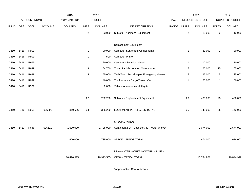|             |      |                       |                | 2015           |                         | 2016           |                                                      |            |                | 2017             |                | 2017            |
|-------------|------|-----------------------|----------------|----------------|-------------------------|----------------|------------------------------------------------------|------------|----------------|------------------|----------------|-----------------|
|             |      | <b>ACCOUNT NUMBER</b> |                | EXPENDITURE    |                         | <b>BUDGET</b>  |                                                      | <b>PAY</b> |                | REQUESTED BUDGET |                | PROPOSED BUDGET |
| <b>FUND</b> | ORG  | <b>SBCL</b>           | <b>ACCOUNT</b> | <b>DOLLARS</b> | <b>UNITS</b>            | <b>DOLLARS</b> | LINE DESCRIPTION                                     | RANGE      | <b>UNITS</b>   | <b>DOLLARS</b>   | <b>UNITS</b>   | <b>DOLLARS</b>  |
|             |      |                       |                |                | $\mathbf 2$             | 23,000         | Subtotal - Additional Equipment                      |            | 2              | 13,000           | $\overline{2}$ | 13,000          |
|             |      |                       |                |                |                         |                | <b>Replacement Equipment</b>                         |            |                |                  |                |                 |
| 0410        | 6416 | R999                  |                |                | $\overline{1}$          | 80,000         | <b>Computer Server and Components</b>                |            | $\mathbf{1}$   | 80,000           | -1             | 80,000          |
| 0410        | 6416 | R999                  |                |                | $\overline{\mathbf{1}}$ | 500            | <b>Computer Printer</b>                              |            |                |                  |                |                 |
| 0410        | 6416 | R999                  |                |                | $\overline{1}$          | 20,000         | Cameras - Security related                           |            | $\overline{1}$ | 10,000           | -1             | 10,000          |
| 0410        | 6416 | R999                  |                |                | 3                       | 84,700         | Tools: Particle counter, Motor starter               |            | 15             | 165,000          | 15             | 165,000         |
| 0410        | 6416 | R999                  |                |                | 14                      | 55,000         | Tech. Tools: Security gate, Emergency shower         |            | $\,$ 5 $\,$    | 125,000          | 5              | 125,000         |
| 0410        | 6416 | R999                  |                |                | $\overline{1}$          | 40,000         | Trucks-Vans - Cargo Transit Van                      |            | $\overline{1}$ | 50,000           | $\mathbf{1}$   | 50,000          |
| 0410        | 6416 | R999                  |                |                | $\overline{1}$          | 2,000          | Vehicle Accessories - Lift gate                      |            |                |                  |                |                 |
|             |      |                       |                |                | 22                      | 282,200        | Subtotal - Replacement Equipment                     |            | 23             | 430,000          | 23             | 430,000         |
| 0410        | 6416 | R999                  | 006800         | 310,666        | 24                      | 305,200        | EQUIPMENT PURCHASES TOTAL                            |            | 25             | 443,000          | 25             | 443,000         |
|             |      |                       |                |                |                         |                | SPECIAL FUNDS                                        |            |                |                  |                |                 |
| 0410        | 6410 | R646                  | 006610         | 1,600,000      |                         | 1,735,000      | Contingent FD. - Debt Service - Water Works*         |            |                | 1,674,000        |                | 1,674,000       |
|             |      |                       |                | 1,600,000      |                         | 1,735,000      | SPECIAL FUNDS TOTAL                                  |            |                | 1,674,000        |                | 1,674,000       |
|             |      |                       |                | 10,420,915     |                         | 10,973,555     | DPW-WATER WORKS-HOWARD - SOUTH<br>ORGANIZATION TOTAL |            |                | 10,794,901       |                | 10,844,928      |
|             |      |                       |                |                |                         |                |                                                      |            |                |                  |                |                 |

\*Appropriation Control Account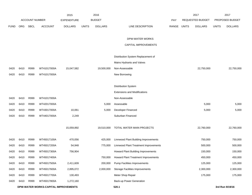|             |      |                       |                                      | 2015               |              | 2016           |                                        |       |              | 2017                    |              | 2017            |
|-------------|------|-----------------------|--------------------------------------|--------------------|--------------|----------------|----------------------------------------|-------|--------------|-------------------------|--------------|-----------------|
|             |      | <b>ACCOUNT NUMBER</b> |                                      | <b>EXPENDITURE</b> |              | <b>BUDGET</b>  |                                        | PAY   |              | <b>REQUESTED BUDGET</b> |              | PROPOSED BUDGET |
| <b>FUND</b> | ORG  | SBCL                  | <b>ACCOUNT</b>                       | <b>DOLLARS</b>     | <b>UNITS</b> | <b>DOLLARS</b> | LINE DESCRIPTION                       | RANGE | <b>UNITS</b> | <b>DOLLARS</b>          | <b>UNITS</b> | <b>DOLLARS</b>  |
|             |      |                       |                                      |                    |              |                |                                        |       |              |                         |              |                 |
|             |      |                       |                                      |                    |              |                | DPW-WATER WORKS                        |       |              |                         |              |                 |
|             |      |                       |                                      |                    |              |                | CAPITAL IMPROVEMENTS                   |       |              |                         |              |                 |
|             |      |                       |                                      |                    |              |                | Distribution System Replacement of     |       |              |                         |              |                 |
|             |      |                       |                                      |                    |              |                | Mains Hydrants and Valves              |       |              |                         |              |                 |
| 0420        | 6410 | R999                  | WT41017000A                          | 15,047,582         |              | 19,500,000     | Non-Assessable                         |       |              | 22,750,000              |              | 22,750,000      |
| 0420        | 6410 | R999                  | WT41017000A                          |                    |              |                | New Borrowing                          |       |              |                         |              |                 |
|             |      |                       |                                      |                    |              |                |                                        |       |              |                         |              |                 |
|             |      |                       |                                      |                    |              |                | Distribution System                    |       |              |                         |              |                 |
|             |      |                       |                                      |                    |              |                | <b>Extensions and Modifications</b>    |       |              |                         |              |                 |
| 0420        | 6410 | R999                  | WT41017000A                          |                    |              |                | Non-Assessable                         |       |              |                         |              |                 |
| 0420        | 6410 | R999                  | WT42017000A                          |                    |              | 5,000          | Assessable                             |       |              | 5,000                   |              | 5,000           |
| 0420        | 6410 | R999                  | WT43017000A                          | 10,061             |              | 5,000          | Developer Financed                     |       |              | 5,000                   |              | 5,000           |
| 0420        | 6410 | R999                  | WT44017000A                          | 2,249              |              |                | Suburban Financed                      |       |              |                         |              |                 |
|             |      |                       |                                      |                    |              |                |                                        |       |              |                         |              |                 |
|             |      |                       |                                      | 15,059,892         |              | 19,510,000     | TOTAL WATER MAIN PROJECTS              |       |              | 22,760,000              |              | 22,760,000      |
|             |      |                       |                                      |                    |              |                |                                        |       |              |                         |              |                 |
| 0420        | 6410 | R999                  | WT45017100A                          | 470,056            |              | 425,000        | Linnwood Plant Building Improvements   |       |              | 750,000                 |              | 750,000         |
| 0420        | 6410 | R999                  | WT45017200A                          | 54,948             |              | 775,000        | Linnwood Plant Treatment Improvements  |       |              | 500,000                 |              | 500,000         |
| 0420        | 6410 | R999                  | WT45017300A                          | 756,904            |              |                | Howard Plant Building Improvements     |       |              | 150,000                 |              | 150,000         |
| 0420        | 6410 | R999                  | WT45017400A                          |                    |              | 750,000        | Howard Plant Treatment Improvements    |       |              | 450,000                 |              | 450,000         |
| 0420        | 6410 | R999                  | WT45017500A                          | 2,411,609          |              | 200,000        | Pump Facilities Improvements           |       |              | 125,000                 |              | 125,000         |
| 0420        | 6410 | R999                  | WT45017600A                          | 2,895,072          |              | 2,000,000      | <b>Storage Facilities Improvements</b> |       |              | 2,300,000               |              | 2,300,000       |
| 0420        | 6410 | R999                  | WT45017700A                          | 130,493            |              |                | Meter Shop Repair                      |       |              | 175,000                 |              | 175,000         |
| 0420        | 6410 | R999                  | WT45017800A                          | 1,272,160          |              |                | Back-up Power Generation               |       |              |                         |              |                 |
|             |      |                       | DPW-WATER WORKS-CAPITAL IMPROVEMENTS |                    |              |                | 520.1                                  |       |              |                         |              | 3rd Run 9/19/16 |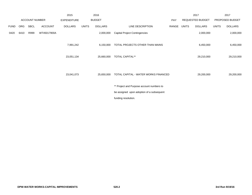|             |            |                       |                | 2015               |              | 2016           |                                           |       |       | 2017             |              | 2017            |
|-------------|------------|-----------------------|----------------|--------------------|--------------|----------------|-------------------------------------------|-------|-------|------------------|--------------|-----------------|
|             |            | <b>ACCOUNT NUMBER</b> |                | <b>EXPENDITURE</b> |              | <b>BUDGET</b>  |                                           | PAY   |       | REQUESTED BUDGET |              | PROPOSED BUDGET |
| <b>FUND</b> | <b>ORG</b> | SBCL                  | <b>ACCOUNT</b> | <b>DOLLARS</b>     | <b>UNITS</b> | <b>DOLLARS</b> | LINE DESCRIPTION                          | RANGE | UNITS | DOLLARS          | <b>UNITS</b> | <b>DOLLARS</b>  |
| 0420        | 6410       | R999                  | WT45017900A    |                    |              | 2,000,000      | <b>Capital Project Contingencies</b>      |       |       | 2,000,000        |              | 2,000,000       |
|             |            |                       |                | 7,991,242          |              | 6,150,000      | TOTAL PROJECTS OTHER THAN MAINS           |       |       | 6,450,000        |              | 6,450,000       |
|             |            |                       |                | 23,051,134         |              | 25,660,000     | <b>TOTAL CAPITAL**</b>                    |       |       | 29,210,000       |              | 29,210,000      |
|             |            |                       |                | 23,041,073         |              | 25,650,000     | TOTAL CAPITAL - WATER WORKS FINANCED      |       |       | 29,200,000       |              | 29,200,000      |
|             |            |                       |                |                    |              |                | ** Project and Purpose account numbers to |       |       |                  |              |                 |
|             |            |                       |                |                    |              |                | be assigned upon adoption of a subsequent |       |       |                  |              |                 |
|             |            |                       |                |                    |              |                | funding resolution.                       |       |       |                  |              |                 |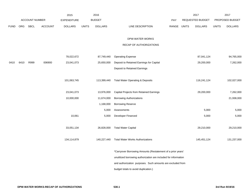|             |      |                |                | 2015               |              | 2016           |                                                                 |             | 2017             |              | 2017            |
|-------------|------|----------------|----------------|--------------------|--------------|----------------|-----------------------------------------------------------------|-------------|------------------|--------------|-----------------|
|             |      | ACCOUNT NUMBER |                | <b>EXPENDITURE</b> |              | <b>BUDGET</b>  |                                                                 | PAY         | REQUESTED BUDGET |              | PROPOSED BUDGET |
| <b>FUND</b> | ORG  | SBCL           | <b>ACCOUNT</b> | <b>DOLLARS</b>     | <b>UNITS</b> | <b>DOLLARS</b> | LINE DESCRIPTION                                                | RANGE UNITS | <b>DOLLARS</b>   | <b>UNITS</b> | <b>DOLLARS</b>  |
|             |      |                |                |                    |              |                | DPW-WATER WORKS                                                 |             |                  |              |                 |
|             |      |                |                |                    |              |                | RECAP OF AUTHORIZATIONS                                         |             |                  |              |                 |
|             |      |                |                | 78,022,672         |              | 87,749,440     | <b>Operating Expense</b>                                        |             | 87,041,124       |              | 94,765,000      |
| 0410        | 6410 | R999           | 006900         | 23,041,073         |              | 25,650,000     | Deposit to Retained Earnings for Capital                        |             | 29,200,000       |              | 7,262,000       |
|             |      |                |                |                    |              |                | Deposit to Retained Earnings                                    |             |                  |              |                 |
|             |      |                |                | 101,063,745        |              | 113,399,440    | <b>Total Water Operating &amp; Deposits</b>                     |             | 116,241,124      |              | 102,027,000     |
|             |      |                |                | 23,041,073         |              | 13,976,000     | Capital Projects from Retained Earnings                         |             | 29,200,000       |              | 7,262,000       |
|             |      |                |                | 10,000,000         |              | 11,674,000     | <b>Borrowing Authorizations</b>                                 |             |                  |              | 21,938,000      |
|             |      |                |                |                    |              | 1,168,000      | <b>Borrowing Reserve</b>                                        |             |                  |              |                 |
|             |      |                |                |                    |              | 5,000          | Assessments                                                     |             | 5,000            |              | 5,000           |
|             |      |                |                | 10,061             |              | 5,000          | Developer Financed                                              |             | 5,000            |              | 5,000           |
|             |      |                |                | 33,051,134         |              | 26,828,000     | <b>Total Water Capital</b>                                      |             | 29,210,000       |              | 29,210,000      |
|             |      |                |                | 134,114,879        |              | 140,227,440    | <b>Total Water Works Authorizations</b>                         |             | 145,451,124      |              | 131,237,000     |
|             |      |                |                |                    |              |                | *Carryover Borrowing Amounts (Restatement of a prior years'     |             |                  |              |                 |
|             |      |                |                |                    |              |                | unutilized borrowing authorization are included for information |             |                  |              |                 |
|             |      |                |                |                    |              |                | and authorization purposes. Such amounts are excluded from      |             |                  |              |                 |
|             |      |                |                |                    |              |                | budget totals to avoid duplication.)                            |             |                  |              |                 |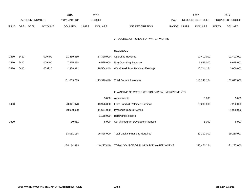|             |            |                       |                | 2015               |              | 2016           |                                               |       |              | 2017                    |              | 2017            |
|-------------|------------|-----------------------|----------------|--------------------|--------------|----------------|-----------------------------------------------|-------|--------------|-------------------------|--------------|-----------------|
|             |            | <b>ACCOUNT NUMBER</b> |                | <b>EXPENDITURE</b> |              | <b>BUDGET</b>  |                                               | PAY   |              | <b>REQUESTED BUDGET</b> |              | PROPOSED BUDGET |
| <b>FUND</b> | <b>ORG</b> | SBCL                  | <b>ACCOUNT</b> | <b>DOLLARS</b>     | <b>UNITS</b> | <b>DOLLARS</b> | LINE DESCRIPTION                              | RANGE | <b>UNITS</b> | <b>DOLLARS</b>          | <b>UNITS</b> | <b>DOLLARS</b>  |
|             |            |                       |                |                    |              |                | 2. SOURCE OF FUNDS FOR WATER WORKS            |       |              |                         |              |                 |
|             |            |                       |                |                    |              |                |                                               |       |              |                         |              |                 |
|             |            |                       |                |                    |              |                | <b>REVENUES</b>                               |       |              |                         |              |                 |
| 0410        | 6410       |                       | 009400         | 91,459,569         |              | 87,320,000     | <b>Operating Revenue</b>                      |       |              | 92,402,000              |              | 92,402,000      |
| 0410        | 6410       |                       | 009400         | 7,215,258          |              | 6,525,000      | Non-Operating Revenue                         |       |              | 6,625,000               |              | 6,625,000       |
| 0410        | 6410       |                       | 009920         | 2,388,912          |              | 19,554,440     | Withdrawal From Retained Earnings             |       |              | 17,214,124              |              | 3,000,000       |
|             |            |                       |                |                    |              |                |                                               |       |              |                         |              |                 |
|             |            |                       |                | 101,063,739        |              | 113,399,440    | <b>Total Current Revenues</b>                 |       |              | 116,241,124             |              | 102,027,000     |
|             |            |                       |                |                    |              |                | FINANCING OF WATER WORKS CAPITAL IMPROVEMENTS |       |              |                         |              |                 |
|             |            |                       |                |                    |              | 5,000          | Assessments                                   |       |              | 5,000                   |              | 5,000           |
| 0420        |            |                       |                | 23,041,073         |              | 13,976,000     | From Fund 41 Retained Earnings                |       |              | 29,200,000              |              | 7,262,000       |
|             |            |                       |                | 10,000,000         |              | 11,674,000     | Proceeds from Borrowing                       |       |              |                         |              | 21,938,000      |
|             |            |                       |                |                    |              | 1,168,000      | <b>Borrowing Reserve</b>                      |       |              |                         |              |                 |
| 0420        |            |                       |                | 10,061             |              | 5,000          | Out Of Program-Developer Financed             |       |              | 5,000                   |              | 5,000           |
|             |            |                       |                |                    |              |                |                                               |       |              |                         |              |                 |
|             |            |                       |                | 33,051,134         |              | 26,828,000     | <b>Total Capital Financing Required</b>       |       |              | 29,210,000              |              | 29,210,000      |
|             |            |                       |                |                    |              |                |                                               |       |              |                         |              |                 |
|             |            |                       |                | 134,114,873        |              | 140,227,440    | TOTAL SOURCE OF FUNDS FOR WATER WORKS         |       |              | 145,451,124             |              | 131,237,000     |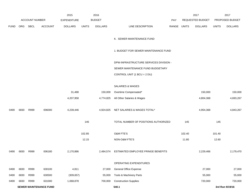|             |     |                       |                | 2015               |              | 2016                                 |                                        |            |              | 2017                    |              | 2017            |
|-------------|-----|-----------------------|----------------|--------------------|--------------|--------------------------------------|----------------------------------------|------------|--------------|-------------------------|--------------|-----------------|
|             |     | <b>ACCOUNT NUMBER</b> |                | <b>EXPENDITURE</b> |              | <b>BUDGET</b>                        |                                        | <b>PAY</b> |              | <b>REQUESTED BUDGET</b> |              | PROPOSED BUDGET |
| <b>FUND</b> | ORG | SBCL                  | <b>ACCOUNT</b> | <b>DOLLARS</b>     | <b>UNITS</b> | <b>DOLLARS</b>                       | LINE DESCRIPTION                       | RANGE      | <b>UNITS</b> | <b>DOLLARS</b>          | <b>UNITS</b> | <b>DOLLARS</b>  |
|             |     |                       |                |                    |              |                                      |                                        |            |              |                         |              |                 |
|             |     |                       |                |                    |              |                                      | K. SEWER MAINTENANCE FUND              |            |              |                         |              |                 |
|             |     |                       |                |                    |              |                                      |                                        |            |              |                         |              |                 |
|             |     |                       |                |                    |              | 1. BUDGET FOR SEWER MAINTENANCE FUND |                                        |            |              |                         |              |                 |
|             |     |                       |                |                    |              |                                      |                                        |            |              |                         |              |                 |
|             |     |                       |                |                    |              |                                      | DPW-INFRASTRUCTURE SERVICES DIVISION - |            |              |                         |              |                 |
|             |     |                       |                |                    |              |                                      |                                        |            |              |                         |              |                 |
|             |     |                       |                |                    |              | SEWER MAINTENANCE FUND BUDGETARY     |                                        |            |              |                         |              |                 |
|             |     |                       |                |                    |              |                                      | CONTROL UNIT (1 BCU = $2$ DU)          |            |              |                         |              |                 |
|             |     |                       |                |                    |              |                                      |                                        |            |              |                         |              |                 |

#### SALARIES & WAGES

|      |      |                               |        | 31,488     | 150,000   | Overtime Compensated*                |        | 150,000   | 150,000         |
|------|------|-------------------------------|--------|------------|-----------|--------------------------------------|--------|-----------|-----------------|
|      |      |                               |        | 4,207,958  | 4,774,825 | All Other Salaries & Wages           |        | 4,804,368 | 4,693,267       |
|      |      |                               |        |            |           |                                      |        |           |                 |
| 0490 | 6830 | R999                          | 006000 | 4,239,446  | 4,924,825 | NET SALARIES & WAGES TOTAL*          |        | 4,954,368 | 4,843,267       |
|      |      |                               |        |            |           |                                      |        |           |                 |
|      |      |                               |        | 146        |           | TOTAL NUMBER OF POSITIONS AUTHORIZED | 145    |           | 145             |
|      |      |                               |        |            |           |                                      |        |           |                 |
|      |      |                               |        | 102.85     |           | O&M FTE'S                            | 102.40 |           | 101.40          |
|      |      |                               |        | 12.15      |           | NON-O&M FTE'S                        | 11.80  |           | 12.60           |
| 0490 | 6830 | R999                          | 006180 | 2,170,886  | 2,484,574 | ESTIMATED EMPLOYEE FRINGE BENEFITS   |        | 2,229,466 | 2,179,470       |
|      |      |                               |        |            |           | OPERATING EXPENDITURES               |        |           |                 |
| 0490 | 6830 | R999                          | 630100 | 4,811      | 27,000    | General Office Expense               |        | 27,000    | 27,000          |
| 0490 | 6830 | R999                          | 630500 | (309, 657) | 55,000    | Tools & Machinery Parts              |        | 55,000    | 55,000          |
| 0490 | 6830 | R999                          | 631000 | 1,068,878  | 700,000   | <b>Construction Supplies</b>         |        | 720,000   | 720,000         |
|      |      | <b>SEWER MAINTENANCE FUND</b> |        |            |           | 540.1                                |        |           | 3rd Run 9/19/16 |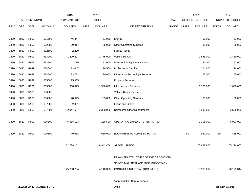|             |      |                |                | 2015               |              | 2016           |                                       |       |              | 2017             |              | 2017            |
|-------------|------|----------------|----------------|--------------------|--------------|----------------|---------------------------------------|-------|--------------|------------------|--------------|-----------------|
|             |      | ACCOUNT NUMBER |                | <b>EXPENDITURE</b> |              | <b>BUDGET</b>  |                                       | PAY   |              | REQUESTED BUDGET |              | PROPOSED BUDGET |
| <b>FUND</b> | ORG  | <b>SBCL</b>    | <b>ACCOUNT</b> | <b>DOLLARS</b>     | <b>UNITS</b> | <b>DOLLARS</b> | LINE DESCRIPTION                      | RANGE | <b>UNITS</b> | <b>DOLLARS</b>   | <b>UNITS</b> | <b>DOLLARS</b>  |
|             |      |                |                |                    |              |                |                                       |       |              |                  |              |                 |
| 0490        | 6830 | R999           | 631500         | 46,347             |              | 51,000         | Energy                                |       |              | 51,000           |              | 51,000          |
| 0490        | 6830 | R999           | 632000         | 20,914             |              | 35,000         | <b>Other Operating Supplies</b>       |       |              | 35,000           |              | 35,000          |
| 0490        | 6830 | R999           | 632500         | 2,200              |              |                | <b>Facility Rental</b>                |       |              |                  |              |                 |
| 0490        | 6830 | R999           | 633000         | 1,400,207          |              | 1,775,000      | Vehicle Rental                        |       |              | 1,555,000        |              | 1,480,000       |
| 0490        | 6830 | R999           | 633500         | 719                |              | 51,000         | Non-Vehicle Equipment Rental          |       |              | 51,000           |              | 51,000          |
| 0490        | 6830 | R999           | 634000         | 73,647             |              | 219,500        | <b>Professional Services</b>          |       |              | 224,000          |              | 224,000         |
| 0490        | 6830 | R999           | 634500         | 133,722            |              | 290,000        | Information Technology Services       |       |              | 65,000           |              | 65,000          |
| 0490        | 6830 | R999           | 635000         | 25,905             |              |                | <b>Property Services</b>              |       |              |                  |              |                 |
| 0490        | 6830 | R999           | 635500         | 1,968,923          |              | 1,500,000      | <b>Infrastructure Services</b>        |       |              | 1,700,000        |              | 1,660,000       |
| 0490        | 6830 | R999           | 636000         |                    |              |                | Vehicle Repair Services               |       |              |                  |              |                 |
| 0490        | 6830 | R999           | 636500         | 28,649             |              | 105,000        | <b>Other Operating Services</b>       |       |              | 30,000           |              | 30,000          |
| 0490        | 6830 | R999           | 637000         | 2,331              |              |                | Loans and Grants                      |       |              |                  |              |                 |
| 0490        | 6830 | R999           | 637501         | 2,047,507          |              | 2,330,000      | <b>Reimburse Other Departments</b>    |       |              | 2,595,000        |              | 2,595,000       |
|             |      |                |                |                    |              |                |                                       |       |              |                  |              |                 |
| 0490        | 6830 | R999           | 006300         | 6,515,103          |              | 7,138,500      | OPERATING EXPENDITURES TOTAL*         |       |              | 7,108,000        |              | 6,993,000       |
|             |      |                |                |                    |              |                |                                       |       |              |                  |              |                 |
| 0490        | 6830 | R999           | 006800         | 49,668             |              | 650,000        | EQUIPMENT PURCHASES TOTAL*            |       | 61           | 950,000          | 60           | 865,000         |
|             |      |                |                |                    |              |                |                                       |       |              |                  |              |                 |
|             |      |                |                | 32,728,151         |              | 48,942,484     | SPECIAL FUNDS                         |       |              | 53,688,803       |              | 55,294,607      |
|             |      |                |                |                    |              |                |                                       |       |              |                  |              |                 |
|             |      |                |                |                    |              |                | DPW-INFRASTRUCTURE SERVICES DIVISION- |       |              |                  |              |                 |
|             |      |                |                |                    |              |                | SEWER MAINTENANCE FUND BUDGETARY      |       |              |                  |              |                 |
|             |      |                |                | 45,703,254         |              | 64,140,383     | CONTROL UNIT TOTAL (1BCU=2DU)         |       |              | 68,930,637       |              | 70,175,344      |
|             |      |                |                |                    |              |                |                                       |       |              |                  |              |                 |
|             |      |                |                |                    |              |                | *Appropriation Control Account        |       |              |                  |              |                 |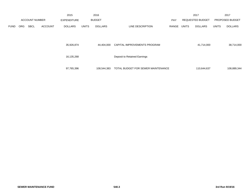|             |            |                       |                | 2015               |              | 2016                         |                                    |            |            | 2017                    |              | 2017            |
|-------------|------------|-----------------------|----------------|--------------------|--------------|------------------------------|------------------------------------|------------|------------|-------------------------|--------------|-----------------|
|             |            | <b>ACCOUNT NUMBER</b> |                | <b>EXPENDITURE</b> |              | <b>BUDGET</b>                |                                    | <b>PAY</b> |            | <b>REQUESTED BUDGET</b> |              | PROPOSED BUDGET |
| <b>FUND</b> | <b>ORG</b> | <b>SBCL</b>           | <b>ACCOUNT</b> | <b>DOLLARS</b>     | <b>UNITS</b> | <b>DOLLARS</b>               | LINE DESCRIPTION                   | RANGE      | UNITS      | <b>DOLLARS</b>          | <b>UNITS</b> | <b>DOLLARS</b>  |
|             |            |                       | 35,926,874     |                    | 44.404.000   | CAPITAL IMPROVEMENTS PROGRAM |                                    |            | 41,714,000 |                         | 38,714,000   |                 |
|             |            |                       |                | 16,135,268         |              |                              | Deposit to Retained Earnings       |            |            |                         |              |                 |
|             |            |                       |                | 97,765,396         |              | 108,544,383                  | TOTAL BUDGET FOR SEWER MAINTENANCE |            |            | 110,644,637             |              | 108,889,344     |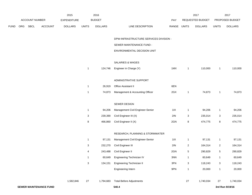|             |     |                       |                               | 2015               |                           | 2016           |                                        |                |                | 2017             |                         | 2017            |
|-------------|-----|-----------------------|-------------------------------|--------------------|---------------------------|----------------|----------------------------------------|----------------|----------------|------------------|-------------------------|-----------------|
|             |     | <b>ACCOUNT NUMBER</b> |                               | <b>EXPENDITURE</b> |                           | <b>BUDGET</b>  |                                        | PAY            |                | REQUESTED BUDGET |                         | PROPOSED BUDGET |
| <b>FUND</b> | ORG | SBCL                  | <b>ACCOUNT</b>                | <b>DOLLARS</b>     | <b>UNITS</b>              | <b>DOLLARS</b> | LINE DESCRIPTION                       | RANGE          | <b>UNITS</b>   | <b>DOLLARS</b>   | <b>UNITS</b>            | <b>DOLLARS</b>  |
|             |     |                       |                               |                    |                           |                | DPW-INFRASTRUCTURE SERVICES DIVISION - |                |                |                  |                         |                 |
|             |     |                       |                               |                    |                           |                | SEWER MAINTENANCE FUND -               |                |                |                  |                         |                 |
|             |     |                       |                               |                    |                           |                | ENVIRONMENTAL DECISION UNIT            |                |                |                  |                         |                 |
|             |     |                       |                               |                    |                           |                | <b>SALARIES &amp; WAGES</b>            |                |                |                  |                         |                 |
|             |     |                       |                               |                    | $\mathbf{1}$              | 124,746        | Engineer in Charge (Y)                 | 1MX            | $\overline{1}$ | 110,000          | $\mathbf{1}$            | 110,000         |
|             |     |                       |                               |                    |                           |                | ADMINISTRATIVE SUPPORT                 |                |                |                  |                         |                 |
|             |     |                       |                               |                    | $\mathbf{1}$              | 26,919         | Office Assistant II                    | 6EN            |                |                  |                         |                 |
|             |     |                       |                               |                    | $\mathbf{1}$              | 74,873         | Management & Accounting Officer        | 2GX            | $\mathbf{1}$   | 74,873           | $\mathbf{1}$            | 74,873          |
|             |     |                       |                               |                    |                           |                | SEWER DESIGN                           |                |                |                  |                         |                 |
|             |     |                       |                               |                    | $\mathbf{1}$              | 94,206         | Management Civil Engineer-Senior       | 11X            | $\mathbf{1}$   | 94,206           | 1                       | 94,206          |
|             |     |                       |                               |                    | 3                         | 239,390        | Civil Engineer III (X)                 | 2IN            | 3              | 235,014          | 3                       | 235,014         |
|             |     |                       |                               |                    | 8                         | 466,860        | Civil Engineer II (X)                  | 2GN            | 8              | 474,775          | 8                       | 474,775         |
|             |     |                       |                               |                    |                           |                | RESEARCH, PLANNING & STORMWATER        |                |                |                  |                         |                 |
|             |     |                       |                               |                    | $\mathbf{1}$              | 97,131         | Management Civil Engineer-Senior       | 11X            | $\mathbf{1}$   | 97,131           | 1                       | 97,131          |
|             |     |                       |                               |                    | 3                         | 232,270        | Civil Engineer III                     | 2IN            | $\overline{c}$ | 164,314          | $\overline{\mathbf{c}}$ | 164,314         |
|             |     |                       |                               |                    | 4                         | 243,488        | Civil Engineer II                      | 2GN            | 5              | 290,829          | 5                       | 290,829         |
|             |     |                       |                               |                    | $\mathbf{1}$              | 60,649         | Engineering Technician IV              | $3\mathrm{NN}$ | $\mathbf{1}$   | 60,649           | $\mathbf{1}$            | 60,649          |
|             |     |                       |                               |                    | $\ensuremath{\mathsf{3}}$ | 134,151        | <b>Engineering Technician II</b>       | 3FN            | $\mathbf{3}$   | 118,243          | $\mathbf{3}$            | 118,243         |
|             |     |                       |                               |                    |                           |                | Engineering Intern                     | 9PN            | $\mathbf{1}$   | 20,000           | $\mathbf{1}$            | 20,000          |
|             |     |                       |                               | 1,582,846          | 27                        | 1,794,683      | <b>Total Before Adjustments</b>        |                | 27             | 1,740,034        | 27                      | 1,740,034       |
|             |     |                       | <b>SEWER MAINTENANCE FUND</b> |                    |                           |                | 540.4                                  |                |                |                  |                         | 3rd Run 9/19/16 |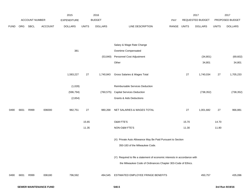|             |      |                |                | 2015               |              | 2016           |                                                                                                                                           |       |              | 2017             |              | 2017            |
|-------------|------|----------------|----------------|--------------------|--------------|----------------|-------------------------------------------------------------------------------------------------------------------------------------------|-------|--------------|------------------|--------------|-----------------|
|             |      | ACCOUNT NUMBER |                | <b>EXPENDITURE</b> |              | <b>BUDGET</b>  |                                                                                                                                           | PAY   |              | REQUESTED BUDGET |              | PROPOSED BUDGET |
| <b>FUND</b> | ORG  | <b>SBCL</b>    | <b>ACCOUNT</b> | <b>DOLLARS</b>     | <b>UNITS</b> | <b>DOLLARS</b> | LINE DESCRIPTION                                                                                                                          | RANGE | <b>UNITS</b> | <b>DOLLARS</b>   | <b>UNITS</b> | <b>DOLLARS</b>  |
|             |      |                |                |                    |              |                | Salary & Wage Rate Change                                                                                                                 |       |              |                  |              |                 |
|             |      |                |                | 381                |              |                | Overtime Compensated                                                                                                                      |       |              |                  |              |                 |
|             |      |                |                |                    |              | (53, 840)      | Personnel Cost Adjustment                                                                                                                 |       |              | (34, 801)        |              | (69, 602)       |
|             |      |                |                |                    |              |                | Other                                                                                                                                     |       |              | 34,801           |              | 34,801          |
|             |      |                |                | 1,583,227          | 27           | 1,740,843      | Gross Salaries & Wages Total                                                                                                              |       | 27           | 1,740,034        | $27\,$       | 1,705,233       |
|             |      |                |                | (1,028)            |              |                | Reimbursable Services Deduction                                                                                                           |       |              |                  |              |                 |
|             |      |                |                | (596, 794)         |              | (760, 575)     | <b>Capital Services Deduction</b>                                                                                                         |       |              | (738, 352)       |              | (738, 352)      |
|             |      |                |                | (2,654)            |              |                | <b>Grants &amp; Aids Deductions</b>                                                                                                       |       |              |                  |              |                 |
| 0490        | 6831 | R999           | 006000         | 982,751            | $27\,$       | 980,268        | NET SALARIES & WAGES TOTAL                                                                                                                |       | $27\,$       | 1,001,682        | $27\,$       | 966,881         |
|             |      |                |                |                    | 15.65        |                | O&M FTE'S                                                                                                                                 |       | 15.70        |                  | 14.70        |                 |
|             |      |                |                |                    | 11.35        |                | NON-O&M FTE'S                                                                                                                             |       | 11.30        |                  | 11.80        |                 |
|             |      |                |                |                    |              |                | (X) Private Auto Allowance May Be Paid Pursuant to Section<br>350-183 of the Milwaukee Code.                                              |       |              |                  |              |                 |
|             |      |                |                |                    |              |                | (Y) Required to file a statement of economic interests in accordance with<br>the Milwaukee Code of Ordinances Chapter 303-Code of Ethics. |       |              |                  |              |                 |
| 0490        | 6831 | R999           | 006180         | 796,592            |              | 494,545        | ESTIMATED EMPLOYEE FRINGE BENEFITS                                                                                                        |       |              | 450,757          |              | 435,096         |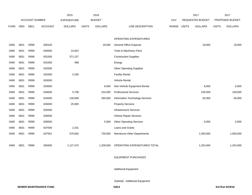|             |            |                       |                | 2015               |              | 2016           |                                    |       |              | 2017                    |              | 2017            |
|-------------|------------|-----------------------|----------------|--------------------|--------------|----------------|------------------------------------|-------|--------------|-------------------------|--------------|-----------------|
|             |            | <b>ACCOUNT NUMBER</b> |                | <b>EXPENDITURE</b> |              | <b>BUDGET</b>  |                                    | PAY   |              | <b>REQUESTED BUDGET</b> |              | PROPOSED BUDGET |
| <b>FUND</b> | <b>ORG</b> | <b>SBCL</b>           | <b>ACCOUNT</b> | <b>DOLLARS</b>     | <b>UNITS</b> | <b>DOLLARS</b> | LINE DESCRIPTION                   | RANGE | <b>UNITS</b> | <b>DOLLARS</b>          | <b>UNITS</b> | <b>DOLLARS</b>  |
|             |            |                       |                |                    |              |                |                                    |       |              |                         |              |                 |
|             |            |                       |                |                    |              |                | OPERATING EXPENDITURES             |       |              |                         |              |                 |
| 0490        | 6831       | R999                  | 630100         |                    |              | 19,000         | <b>General Office Expense</b>      |       |              | 19,000                  |              | 19,000          |
| 0490        | 6831       | R999                  | 630500         | 13,922             |              |                | Tools & Machinery Parts            |       |              |                         |              |                 |
| 0490        | 6831       | R999                  | 631000         | 371,157            |              |                | <b>Construction Supplies</b>       |       |              |                         |              |                 |
| 0490        | 6831       | R999                  | 631500         | 488                |              |                | Energy                             |       |              |                         |              |                 |
| 0490        | 6831       | R999                  | 632000         |                    |              |                | <b>Other Operating Supplies</b>    |       |              |                         |              |                 |
| 0490        | 6831       | R999                  | 632500         | 2,200              |              |                | <b>Facility Rental</b>             |       |              |                         |              |                 |
| 0490        | 6831       | R999                  | 633000         |                    |              |                | Vehicle Rental                     |       |              |                         |              |                 |
| 0490        | 6831       | R999                  | 633500         |                    |              | 6,000          | Non-Vehicle Equipment Rental       |       |              | 6,000                   |              | 6,000           |
| 0490        | 6831       | R999                  | 634000         | 5,708              |              | 154,500        | <b>Professional Services</b>       |       |              | 159,000                 |              | 159,000         |
| 0490        | 6831       | R999                  | 634500         | 130,069            |              | 290,000        | Information Technology Services    |       |              | 65,000                  |              | 65,000          |
| 0490        | 6831       | R999                  | 635000         | 25,905             |              |                | <b>Property Services</b>           |       |              |                         |              |                 |
| 0490        | 6831       | R999                  | 635500         |                    |              |                | <b>Infrastructure Services</b>     |       |              |                         |              |                 |
| 0490        | 6831       | R999                  | 636000         |                    |              |                | Vehicle Repair Services            |       |              |                         |              |                 |
| 0490        | 6831       | R999                  | 636500         |                    |              | 5,000          | <b>Other Operating Services</b>    |       |              | 5,000                   |              | 5,000           |
| 0490        | 6831       | R999                  | 637000         | 2,331              |              |                | Loans and Grants                   |       |              |                         |              |                 |
| 0490        | 6831       | R999                  | 637501         | 575,692            |              | 735,000        | <b>Reimburse Other Departments</b> |       |              | 1,000,000               |              | 1,000,000       |
|             |            |                       |                |                    |              |                |                                    |       |              |                         |              |                 |
| 0490        | 6831       | R999                  | 006300         | 1,127,472          |              | 1,209,500      | OPERATING EXPENDITURES TOTAL       |       |              | 1,254,000               |              | 1,254,000       |
|             |            |                       |                |                    |              |                |                                    |       |              |                         |              |                 |

#### EQUIPMENT PURCHASES

Additional Equipment

Subtotal - Additional Equipment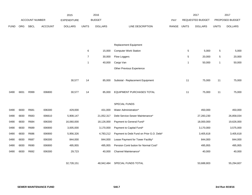|             |            |                |                | 2015               |                | 2016           |                                          |       |                 | 2017             |              | 2017            |
|-------------|------------|----------------|----------------|--------------------|----------------|----------------|------------------------------------------|-------|-----------------|------------------|--------------|-----------------|
|             |            | ACCOUNT NUMBER |                | <b>EXPENDITURE</b> |                | <b>BUDGET</b>  |                                          | PAY   |                 | REQUESTED BUDGET |              | PROPOSED BUDGET |
| <b>FUND</b> | <b>ORG</b> | <b>SBCL</b>    | <b>ACCOUNT</b> | <b>DOLLARS</b>     | <b>UNITS</b>   | <b>DOLLARS</b> | LINE DESCRIPTION                         | RANGE | <b>UNITS</b>    | <b>DOLLARS</b>   | <b>UNITS</b> | <b>DOLLARS</b>  |
|             |            |                |                |                    |                |                |                                          |       |                 |                  |              |                 |
|             |            |                |                |                    |                |                |                                          |       |                 |                  |              |                 |
|             |            |                |                |                    |                |                | Replacement Equipment                    |       |                 |                  |              |                 |
|             |            |                |                |                    | 6              | 15,000         | <b>Computer Work Station</b>             |       | $5\phantom{.0}$ | 5,000            | 5            | 5,000           |
|             |            |                |                |                    | $\overline{7}$ | 30,000         | Flow Loggers                             |       | $\,$ 5 $\,$     | 20,000           | $\mathbf 5$  | 20,000          |
|             |            |                |                |                    | $\mathbf{1}$   | 40,000         | Cargo Van                                |       | $\mathbf 1$     | 50,000           | 1            | 50,000          |
|             |            |                |                |                    |                |                | Other Previous Experience                |       |                 |                  |              |                 |
|             |            |                |                |                    |                |                |                                          |       |                 |                  |              |                 |
|             |            |                |                | 30,577             | 14             | 85,000         | Subtotal - Replacement Equipment         |       | 11              | 75,000           | 11           | 75,000          |
|             |            |                |                |                    |                |                |                                          |       |                 |                  |              |                 |
| 0490        | 6831       | R999           | 006800         | 30,577             | 14             | 85,000         | EQUIPMENT PURCHASES TOTAL                |       | 11              | 75,000           | 11           | 75,000          |
|             |            |                |                |                    |                |                |                                          |       |                 |                  |              |                 |
|             |            |                |                |                    |                |                | SPECIAL FUNDS                            |       |                 |                  |              |                 |
| 0490        | 6830       | R681           | 006300         | 429,000            |                | 431,000        | Water Administration*                    |       |                 | 450,000          |              | 450,000         |
| 0490        | 6830       | R683           | 006610         | 5,908,147          |                | 21,052,317     | Debt Service-Sewer Maintenance*          |       |                 | 27,283,230       |              | 26,858,034      |
| 0490        | 6830       | R684           | 006300         | 16,060,000         |                | 18,126,000     | Payment to General Fund*                 |       |                 | 18,000,000       |              | 19,626,000      |
| 0490        | 6830       | R689           | 006900         | 3,005,000          |                | 3,170,000      | Payment to Capital Fund*                 |       |                 | 3,170,000        |              | 3,575,000       |
| 0490        | 6830       | R686           | 006900         | 5,956,326          |                | 4,783,212      | Payment to Debt Fund on Prior G.O. Debt* |       |                 | 3,405,618        |              | 3,405,618       |
| 0490        | 6830       | R687           | 006300         | 844,000            |                | 844,000        | Lease Payment for Tower Facility*        |       |                 | 844,000          |              | 844,000         |
| 0490        | 6830       | R690           | 006900         | 495,955            |                | 495,955        | Pension Contr bution for Normal Cost*    |       |                 | 495,955          |              | 495,955         |
| 0490        | 6830       | R692           | 006300         | 29,723             |                | 40,000         | Channel Maintenance*                     |       |                 | 40,000           |              | 40,000          |
|             |            |                |                |                    |                |                |                                          |       |                 |                  |              |                 |
|             |            |                |                | 32,728,151         |                | 48,942,484     | SPECIAL FUNDS TOTAL                      |       |                 | 53,688,803       |              | 55,294,607      |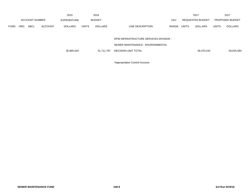|             |            |                       |                | 2015               |              | 2016           |                                        |            |              | 2017             |              | 2017                   |
|-------------|------------|-----------------------|----------------|--------------------|--------------|----------------|----------------------------------------|------------|--------------|------------------|--------------|------------------------|
|             |            | <b>ACCOUNT NUMBER</b> |                | <b>EXPENDITURE</b> |              | <b>BUDGET</b>  |                                        | <b>PAY</b> |              | REQUESTED BUDGET |              | <b>PROPOSED BUDGET</b> |
| <b>FUND</b> | <b>ORG</b> | <b>SBCL</b>           | <b>ACCOUNT</b> | <b>DOLLARS</b>     | <b>UNITS</b> | <b>DOLLARS</b> | LINE DESCRIPTION                       | RANGE      | <b>UNITS</b> | <b>DOLLARS</b>   | <b>UNITS</b> | <b>DOLLARS</b>         |
|             |            |                       |                |                    |              |                |                                        |            |              |                  |              |                        |
|             |            |                       |                |                    |              |                | DPW-INFRASTRUCTURE SERVICES DIVISION - |            |              |                  |              |                        |
|             |            |                       |                |                    |              |                | SEWER MAINTENANCE - ENVIRONMENTAL      |            |              |                  |              |                        |
|             |            |                       |                | 35,665,543         |              | 51,711,797     | DECISION UNIT TOTAL                    |            |              | 56,470,242       |              | 58,025,584             |

\*Appropriation Control Account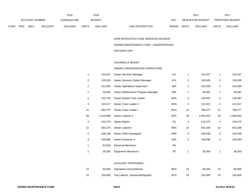|      |                |      |                | 2015           |              | 2016           |                                  | 2017                           |              | 201                    |
|------|----------------|------|----------------|----------------|--------------|----------------|----------------------------------|--------------------------------|--------------|------------------------|
|      | ACCOUNT NUMBER |      |                | EXPENDITURE    |              | <b>BUDGET</b>  | PAY                              | REQUESTED BUDGET               |              | <b>PROPOSED BUDGET</b> |
| FUND | ORG            | SBCL | <b>ACCOUNT</b> | <b>DOLLARS</b> | <b>UNITS</b> | <b>DOLLARS</b> | <b>RANGE</b><br>LINE DESCRIPTION | <b>UNITS</b><br><b>DOLLARS</b> | <b>UNITS</b> | <b>DOLLARS</b>         |

# DPW-INFRASTRUCTURE SERVICES DIVISION -

#### SEWER MAINTENANCE FUND - UNDERGROUND

#### DECISION UNIT

#### SALARIES & WAGES

#### SEWER UNDERGROUND OPERATIONS

| 1              | 103,257   | Sewer Services Manager            | 11X | 1  | 103,257   | 1              | 103,257   |
|----------------|-----------|-----------------------------------|-----|----|-----------|----------------|-----------|
| $\overline{2}$ | 130,026   | Sewer Services District Manager   | 1FX | 2  | 130,026   | $\overline{2}$ | 130,026   |
| 2              | 102,555   | Sewer Operations Supervisor       | 1BX | 2  | 103,269   | $\overline{c}$ | 103,269   |
| 1              | 58,462    | Sewer Maintenance Program Manager | 1BX | 1  | 58,462    | 1              | 58,462    |
| 5              | 142,792   | Sewer Repair Crew Leader          | 8KN | 5  | 138,497   | 5              | 138,497   |
| 3              | 140,217   | Sewer Crew Leader II              | 8HN | 3  | 121,917   | 3              | 121,917   |
| 21             | 803,757   | Sewer Crew Leader I               | 8GN | 21 | 786,077   | 21             | 786,077   |
| 28             | 1,016,686 | Sewer Laborer II                  | 8FN | 28 | 1,004,603 | 28             | 1,004,603 |
| 4              | 143,275   | Sewer Mason                       | 7Q  | 4  | 143,275   | 4              | 143,275   |
| 22             | 644,375   | Sewer Laborer I                   | 8EN | 22 | 643,206   | 22             | 643,206   |
| 5              | 236,196   | Sewer Field Investigator          | 8HN | 5  | 230,536   | 5              | 230,536   |
| 3              | 148,686   | Sewer Examiner II                 | 8JN | 3  | 148,490   | 3              | 148,490   |
| 1              | 63,003    | <b>Electrical Mechanic</b>        | 7M  |    |           |                |           |
| 1              | 38,350    | Equipment Mechanic I              | 7B  | 1  | 38,350    | 1              | 38,350    |

#### AUXILIARY PERSONNEL

| 10 | 60,000 Operations Driver/Worker          | 8KN | 10 | 60.000  | 60,000  |
|----|------------------------------------------|-----|----|---------|---------|
| 10 | 105,000 City Laborer, (Seasonal/Regular) | 8CN | 10 | 105.000 | 105,000 |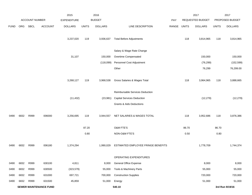|             |                               |                |         | 2015               |              | 2016           |                                     |             |       | 2017             |                 | 2017            |
|-------------|-------------------------------|----------------|---------|--------------------|--------------|----------------|-------------------------------------|-------------|-------|------------------|-----------------|-----------------|
|             |                               | ACCOUNT NUMBER |         | <b>EXPENDITURE</b> |              | <b>BUDGET</b>  |                                     | PAY         |       | REQUESTED BUDGET |                 | PROPOSED BUDGET |
| <b>FUND</b> | ORG                           | SBCL           | ACCOUNT | <b>DOLLARS</b>     | <b>UNITS</b> | <b>DOLLARS</b> | LINE DESCRIPTION                    | RANGE UNITS |       | <b>DOLLARS</b>   | <b>UNITS</b>    | <b>DOLLARS</b>  |
|             |                               |                |         | 3,237,020          | 119          | 3,936,637      | <b>Total Before Adjustments</b>     |             | 118   | 3,814,965        | 118             | 3,814,965       |
|             |                               |                |         |                    |              |                | Salary & Wage Rate Change           |             |       |                  |                 |                 |
|             |                               |                |         | 31,107             |              | 150,000        | Overtime Compensated                |             |       | 150,000          |                 | 150,000         |
|             |                               |                |         |                    |              | (118,099)      | Personnel Cost Adjustment           |             |       | (76, 299)        |                 | (152, 599)      |
|             |                               |                |         |                    |              |                | Other                               |             |       | 76,299           |                 | 76,299.00       |
|             |                               |                |         | 3,268,127          | 119          | 3,968,538      | Gross Salaries & Wages Total        |             | 118   | 3,964,965        | 118             | 3,888,665       |
|             |                               |                |         |                    |              |                | Reimbursable Services Deduction     |             |       |                  |                 |                 |
|             |                               |                |         | (11, 432)          |              | (23, 981)      | <b>Capital Services Deduction</b>   |             |       | (12, 279)        |                 | (12, 279)       |
|             |                               |                |         |                    |              |                | <b>Grants &amp; Aids Deductions</b> |             |       |                  |                 |                 |
| 0490        | 6832                          | R999           | 006000  | 3,256,695          | 119          | 3,944,557      | NET SALARIES & WAGES TOTAL          |             | 118   | 3,952,686        | 118             | 3,876,386       |
|             |                               |                |         |                    | 87.20        |                | <b>O&amp;M FTE'S</b>                |             | 86.70 |                  | 86.70           |                 |
|             |                               |                |         |                    | 0.80         |                | NON-O&M FTE'S                       |             | 0.50  |                  | 0.80            |                 |
| 0490        | 6832                          | R999           | 006180  | 1,374,294          |              | 1,990,029      | ESTIMATED EMPLOYEE FRINGE BENEFITS  |             |       | 1,778,709        |                 | 1,744,374       |
|             |                               |                |         |                    |              |                | OPERATING EXPENDITURES              |             |       |                  |                 |                 |
| 0490        | 6832                          | R999           | 630100  | 4,811              |              | 8,000          | General Office Expense              |             |       | 8,000            |                 | 8,000           |
| 0490        | 6832                          | R999           | 630500  | (323, 579)         |              | 55,000         | Tools & Machinery Parts             |             |       | 55,000           |                 | 55,000          |
| 0490        | 6832                          | R999           | 631000  | 697,721            |              | 700,000        | <b>Construction Supplies</b>        |             |       | 720,000          |                 | 720,000         |
| 0490        | 6832                          | R999           | 631500  | 45,859             |              | 51,000         | Energy                              |             |       | 51,000           |                 | 51,000          |
|             | <b>SEWER MAINTENANCE FUND</b> |                |         |                    |              |                | 540.10                              |             |       |                  | 3rd Run 9/19/16 |                 |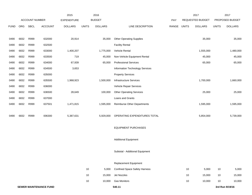|             |                               |                |                | 2015               |              | 2016           |                                      |       |              | 2017             |              | 2017            |
|-------------|-------------------------------|----------------|----------------|--------------------|--------------|----------------|--------------------------------------|-------|--------------|------------------|--------------|-----------------|
|             |                               | ACCOUNT NUMBER |                | <b>EXPENDITURE</b> |              | <b>BUDGET</b>  |                                      | PAY   |              | REQUESTED BUDGET |              | PROPOSED BUDGET |
| <b>FUND</b> | ORG                           | SBCL           | <b>ACCOUNT</b> | <b>DOLLARS</b>     | <b>UNITS</b> | <b>DOLLARS</b> | LINE DESCRIPTION                     | RANGE | <b>UNITS</b> | <b>DOLLARS</b>   | <b>UNITS</b> | <b>DOLLARS</b>  |
|             |                               |                |                |                    |              |                |                                      |       |              |                  |              |                 |
| 0490        | 6832                          | R999           | 632000         | 20,914             |              | 35,000         | <b>Other Operating Supplies</b>      |       |              | 35,000           |              | 35,000          |
| 0490        | 6832                          | R999           | 632500         |                    |              |                | <b>Facility Rental</b>               |       |              |                  |              |                 |
| 0490        | 6832                          | R999           | 633000         | 1,400,207          |              | 1,775,000      | Vehicle Rental                       |       |              | 1,555,000        |              | 1,480,000       |
| 0490        | 6832                          | R999           | 633500         | 719                |              | 45,000         | Non-Vehicle Equipment Rental         |       |              | 45,000           |              | 45,000          |
| 0490        | 6832                          | R999           | 634000         | 67,939             |              | 65,000         | <b>Professional Services</b>         |       |              | 65,000           |              | 65,000          |
| 0490        | 6832                          | R999           | 634500         | 3,653              |              |                | Information Technology Services      |       |              |                  |              |                 |
| 0490        | 6832                          | R999           | 635000         |                    |              |                | <b>Property Services</b>             |       |              |                  |              |                 |
| 0490        | 6832                          | R999           | 635500         | 1,968,923          |              | 1,500,000      | <b>Infrastructure Services</b>       |       |              | 1,700,000        |              | 1,660,000       |
| 0490        | 6832                          | R999           | 636000         |                    |              |                | Vehicle Repair Services              |       |              |                  |              |                 |
| 0490        | 6832                          | R999           | 636500         | 28,649             |              | 100,000        | <b>Other Operating Services</b>      |       |              | 25,000           |              | 25,000          |
| 0490        | 6832                          | R999           | 637000         |                    |              |                | Loans and Grants                     |       |              |                  |              |                 |
| 0490        | 6832                          | R999           | 637501         | 1,471,815          |              | 1,595,000      | <b>Reimburse Other Departments</b>   |       |              | 1,595,000        |              | 1,595,000       |
|             |                               |                |                |                    |              |                |                                      |       |              |                  |              |                 |
| 0490        | 6832                          | R999           | 006300         | 5,387,631          |              | 5,929,000      | OPERATING EXPENDITURES TOTAL         |       |              | 5,854,000        |              | 5,739,000       |
|             |                               |                |                |                    |              |                |                                      |       |              |                  |              |                 |
|             |                               |                |                |                    |              |                | <b>EQUIPMENT PURCHASES</b>           |       |              |                  |              |                 |
|             |                               |                |                |                    |              |                |                                      |       |              |                  |              |                 |
|             |                               |                |                |                    |              |                | <b>Additional Equipment</b>          |       |              |                  |              |                 |
|             |                               |                |                |                    |              |                |                                      |       |              |                  |              |                 |
|             |                               |                |                |                    |              |                | Subtotal - Additional Equipment      |       |              |                  |              |                 |
|             |                               |                |                |                    |              |                |                                      |       |              |                  |              |                 |
|             |                               |                |                |                    |              |                | <b>Replacement Equipment</b>         |       |              |                  |              |                 |
|             |                               |                |                |                    | 10           | 5,000          | <b>Confined Space Safety Harness</b> |       | 10           | 5,000            | 10           | 5,000           |
|             |                               |                |                |                    | 10           | 15,000         | Jet Nozzles                          |       | 10           | 15,000           | 10           | 15,000          |
|             |                               |                |                |                    | 10           | 10,000         | <b>Gas Monitors</b>                  |       | 10           | 10,000           | 10           | 10,000          |
|             | <b>SEWER MAINTENANCE FUND</b> |                |                |                    |              |                | 540.11                               |       |              |                  |              | 3rd Run 9/19/16 |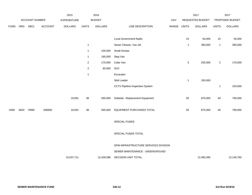|             |      |                |                | 2015               |                | 2016           |                                      |       |              | 2017             |              | 2017            |
|-------------|------|----------------|----------------|--------------------|----------------|----------------|--------------------------------------|-------|--------------|------------------|--------------|-----------------|
|             |      | ACCOUNT NUMBER |                | <b>EXPENDITURE</b> |                | <b>BUDGET</b>  |                                      | PAY   |              | REQUESTED BUDGET |              | PROPOSED BUDGET |
| <b>FUND</b> | ORG  | <b>SBCL</b>    | <b>ACCOUNT</b> | <b>DOLLARS</b>     | <b>UNITS</b>   | <b>DOLLARS</b> | LINE DESCRIPTION                     | RANGE | <b>UNITS</b> | <b>DOLLARS</b>   | <b>UNITS</b> | <b>DOLLARS</b>  |
|             |      |                |                |                    |                |                |                                      |       |              |                  |              |                 |
|             |      |                |                |                    |                |                | Local Government Radio               |       | 15           | 50,000           | 15           | 50,000          |
|             |      |                |                |                    | $\overline{1}$ |                | Sewer Cleaner, Vac-Jet               |       | $\mathbf{1}$ | 390,000          | $\mathbf{1}$ | 390,000         |
|             |      |                |                |                    | $\overline{1}$ | 100,000        | <b>Small Dumps</b>                   |       |              |                  |              |                 |
|             |      |                |                |                    | $\overline{1}$ | 185,000        | Step Van                             |       |              |                  |              |                 |
|             |      |                |                |                    | $\overline{2}$ | 170,000        | Cube Van                             |       | 3            | 255,000          | $\mathbf{2}$ | 170,000         |
|             |      |                |                |                    | $\overline{2}$ | 80,000         | SUV                                  |       |              |                  |              |                 |
|             |      |                |                |                    | $\overline{1}$ |                | Excavator                            |       |              |                  |              |                 |
|             |      |                |                |                    |                |                | Skid Loader                          |       | $\mathbf{1}$ | 150,000          |              |                 |
|             |      |                |                |                    |                |                | CCTV Pipeline Inspection System      |       |              |                  | $\mathbf{1}$ | 150,000         |
|             |      |                |                |                    |                |                |                                      |       |              |                  |              |                 |
|             |      |                |                | 19,091             | 38             | 565,000        | Subtotal - Replacement Equipment     |       | 50           | 875,000          | 49           | 790,000         |
|             |      |                |                |                    |                |                |                                      |       |              |                  |              |                 |
| 0490        | 6832 | R999           | 006800         | 19,091             | 38             | 565,000        | EQUIPMENT PURCHASES TOTAL            |       | 50           | 875,000          | 49           | 790,000         |
|             |      |                |                |                    |                |                |                                      |       |              |                  |              |                 |
|             |      |                |                |                    |                |                | SPECIAL FUNDS                        |       |              |                  |              |                 |
|             |      |                |                |                    |                |                |                                      |       |              |                  |              |                 |
|             |      |                |                |                    |                |                | SPECIAL FUNDS TOTAL                  |       |              |                  |              |                 |
|             |      |                |                |                    |                |                |                                      |       |              |                  |              |                 |
|             |      |                |                |                    |                |                | DPW-INFRASTRUCTURE SERVICES DIVISION |       |              |                  |              |                 |
|             |      |                |                |                    |                |                | SEWER MAINTENANCE - UNDERGROUND      |       |              |                  |              |                 |
|             |      |                |                | 10,037,711         |                | 12,428,586     | <b>DECISION UNIT TOTAL</b>           |       |              | 12,460,395       |              | 12,149,760      |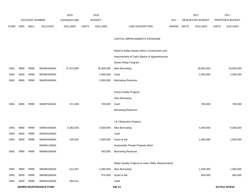|             |      |                       |                               | 2015               |              | 2016           |                                                  |            |              | 2017             |              | 2017            |
|-------------|------|-----------------------|-------------------------------|--------------------|--------------|----------------|--------------------------------------------------|------------|--------------|------------------|--------------|-----------------|
|             |      | <b>ACCOUNT NUMBER</b> |                               | <b>EXPENDITURE</b> |              | <b>BUDGET</b>  |                                                  | <b>PAY</b> |              | REQUESTED BUDGET |              | PROPOSED BUDGET |
| <b>FUND</b> | ORG  | <b>SBCL</b>           | <b>ACCOUNT</b>                | <b>DOLLARS</b>     | <b>UNITS</b> | <b>DOLLARS</b> | LINE DESCRIPTION                                 | RANGE      | <b>UNITS</b> | <b>DOLLARS</b>   | <b>UNITS</b> | <b>DOLLARS</b>  |
|             |      |                       |                               |                    |              |                |                                                  |            |              |                  |              |                 |
|             |      |                       |                               |                    |              |                | CAPITAL IMPROVEMENTS PROGRAM                     |            |              |                  |              |                 |
|             |      |                       |                               |                    |              |                | Relief & Relay Sewers-Minor Construction and     |            |              |                  |              |                 |
|             |      |                       |                               |                    |              |                | Improvement of Catch Basins & Appurtenances      |            |              |                  |              |                 |
|             |      |                       |                               |                    |              |                |                                                  |            |              |                  |              |                 |
| 0491        | 9990 | R999                  | SM49516000A                   | 27,973,699         |              | 26,000,000     | Sewer Relay Program<br>New Borrowing             |            |              | 29,000,000       |              | 26,000,000      |
| 0491        | 6830 | R999                  | SM49516000A                   |                    |              | 2,000,000      | Cash                                             |            |              | 2,000,000        |              | 2,000,000       |
| 0491        | 9990 | R999                  | SM49516000A                   |                    |              | 2,600,000      | <b>Borrowing Reserves</b>                        |            |              |                  |              |                 |
|             |      |                       |                               |                    |              |                |                                                  |            |              |                  |              |                 |
|             |      |                       |                               |                    |              |                | <b>Pump Facility Projects</b>                    |            |              |                  |              |                 |
|             |      |                       |                               |                    |              |                | New Borrowing                                    |            |              |                  |              |                 |
| 0491        | 6830 | R999                  | SM497160100                   | 471,548            |              | 700,000        | Cash                                             |            |              | 700,000          |              | 700,000         |
|             |      |                       |                               |                    |              |                | <b>Borrowing Reserves</b>                        |            |              |                  |              |                 |
|             |      |                       |                               |                    |              |                |                                                  |            |              |                  |              |                 |
|             |      |                       |                               |                    |              |                | I & I Reduction Projects                         |            |              |                  |              |                 |
| 0491        | 9990 | R999                  | SM49416000A                   | 6,363,828          |              | 4,500,000      | New Borrowing                                    |            |              | 5,000,000        |              | 5,000,000       |
| 0491        | 6830 | R999                  | SM49414000A                   |                    |              |                | Cash                                             |            |              |                  |              |                 |
| 0491        | 6830 | R999                  | SM49416000A                   | 105,628            |              | 1,650,000      | Grant & Aid                                      |            |              | 1,650,000        |              | 1,650,000       |
|             |      |                       | SM49411000A                   |                    |              |                | Assessable Private Property Work                 |            |              |                  |              |                 |
| 0491        | 9990 | R999                  | SM49416000A                   |                    |              | 450,000        | <b>Borrowing Reserves</b>                        |            |              |                  |              |                 |
|             |      |                       |                               |                    |              |                |                                                  |            |              |                  |              |                 |
|             |      |                       |                               |                    |              |                | Water Quality Projects to meet TMDL Requirements |            |              |                  |              |                 |
| 0491        | 9990 | R999                  | SM49916000A                   | 414,397            |              | 1,000,000      | New Borrowing                                    |            |              | 1,000,000        |              | 1,000,000       |
| 0491        | 6830 | R999                  | SM49916000A                   |                    |              | 674,000        | Grant & Aid                                      |            |              | 664,000          |              | 664,000         |
| 0491        | 6830 | R999                  | SM49313000A                   | 494,311            |              |                | Cash                                             |            |              |                  |              |                 |
|             |      |                       | <b>SEWER MAINTENANCE FUND</b> |                    |              |                | 540.13                                           |            |              |                  |              | 3rd Run 9/19/16 |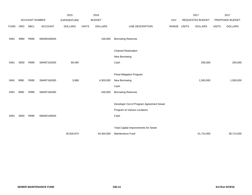|             |      |                |                | 2015               |              | 2016           |                                             |       | 2017         |                  | 2017         |                 |
|-------------|------|----------------|----------------|--------------------|--------------|----------------|---------------------------------------------|-------|--------------|------------------|--------------|-----------------|
|             |      | ACCOUNT NUMBER |                | <b>EXPENDITURE</b> |              | <b>BUDGET</b>  |                                             | PAY   |              | REQUESTED BUDGET |              | PROPOSED BUDGET |
| <b>FUND</b> | ORG  | <b>SBCL</b>    | <b>ACCOUNT</b> | <b>DOLLARS</b>     | <b>UNITS</b> | <b>DOLLARS</b> | LINE DESCRIPTION                            | RANGE | <b>UNITS</b> | <b>DOLLARS</b>   | <b>UNITS</b> | <b>DOLLARS</b>  |
|             |      |                |                |                    |              |                |                                             |       |              |                  |              |                 |
| 0491        | 9990 | R999           | SM49916000A    |                    |              | 100,000        | <b>Borrowing Reserves</b>                   |       |              |                  |              |                 |
|             |      |                |                |                    |              |                | <b>Channel Restoration</b>                  |       |              |                  |              |                 |
|             |      |                |                |                    |              |                |                                             |       |              |                  |              |                 |
|             |      |                |                |                    |              |                | New Borrowing                               |       |              |                  |              |                 |
| 0491        | 6830 | R999           | SM497150200    | 99,495             |              |                | Cash                                        |       |              | 200,000          |              | 200,000         |
|             |      |                |                |                    |              |                |                                             |       |              |                  |              |                 |
|             |      |                |                |                    |              |                | Flood Mitigation Program                    |       |              |                  |              |                 |
| 0491        | 9990 | R999           | SM497160300    | 3,968              |              | 4,300,000      | New Borrowing                               |       |              | 1,500,000        |              | 1,500,000       |
|             |      |                |                |                    |              |                | Cash                                        |       |              |                  |              |                 |
| 0491        | 9990 | R999           | SM497160300    |                    |              | 430,000        | <b>Borrowing Reserves</b>                   |       |              |                  |              |                 |
|             |      |                |                |                    |              |                |                                             |       |              |                  |              |                 |
|             |      |                |                |                    |              |                | Developer Out of Program Agreement Sewer    |       |              |                  |              |                 |
|             |      |                |                |                    |              |                | Program at Various Locations                |       |              |                  |              |                 |
| 0491        | 6830 | R999           | SM49214000A    |                    |              |                | Cash                                        |       |              |                  |              |                 |
|             |      |                |                |                    |              |                |                                             |       |              |                  |              |                 |
|             |      |                |                |                    |              |                | <b>Total Capital Improvements for Sewer</b> |       |              |                  |              |                 |
|             |      |                |                | 35,926,874         |              | 44,404,000     | Maintenance Fund                            |       |              | 41,714,000       |              | 38,714,000      |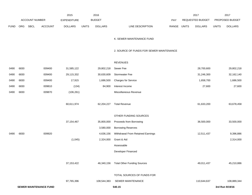|             |      |                       |                               | 2015           |              | 2016           |                                          |       | 2017             |                | 2017            |                 |
|-------------|------|-----------------------|-------------------------------|----------------|--------------|----------------|------------------------------------------|-------|------------------|----------------|-----------------|-----------------|
|             |      | <b>ACCOUNT NUMBER</b> |                               | EXPENDITURE    |              | <b>BUDGET</b>  |                                          | PAY   | REQUESTED BUDGET |                | PROPOSED BUDGET |                 |
| <b>FUND</b> | ORG  | <b>SBCL</b>           | <b>ACCOUNT</b>                | <b>DOLLARS</b> | <b>UNITS</b> | <b>DOLLARS</b> | LINE DESCRIPTION                         | RANGE | <b>UNITS</b>     | <b>DOLLARS</b> | <b>UNITS</b>    | <b>DOLLARS</b>  |
|             |      |                       |                               |                |              |                | K. SEWER MAINTENANCE FUND                |       |                  |                |                 |                 |
|             |      |                       |                               |                |              |                | 2. SOURCE OF FUNDS FOR SEWER MAINTENANCE |       |                  |                |                 |                 |
|             |      |                       |                               |                |              |                | <b>REVENUES</b>                          |       |                  |                |                 |                 |
| 0490        | 6830 |                       | 009400                        | 31,585,122     |              | 29,802,218     | Sewer Fee                                |       |                  | 28,700,600     |                 | 29,802,218      |
| 0490        | 6830 |                       | 009400                        | 29,115,332     |              | 30,630,609     | <b>Stormwater Fee</b>                    |       |                  | 31,246,300     |                 | 32,162,140      |
| 0490        | 6830 |                       | 009400                        | 17,915         |              | 1,686,500      | <b>Charges for Service</b>               |       |                  | 1,658,700      |                 | 1,686,500       |
| 0490        | 6830 |                       | 009810                        | (134)          |              | 84,900         | Interest Income                          |       |                  | 27,600         |                 | 27,600          |
| 0490        | 6830 |                       | 009870                        | (106, 261)     |              |                | Miscellaneous Revenue                    |       |                  |                |                 |                 |
|             |      |                       |                               | 60,611,974     |              | 62,204,227     | <b>Total Revenue</b>                     |       |                  | 61,633,200     |                 | 63,678,458      |
|             |      |                       |                               |                |              |                | OTHER FUNDING SOURCES                    |       |                  |                |                 |                 |
|             |      |                       |                               | 37, 154, 467   |              | 35,800,000     | Proceeds from Borrowing                  |       |                  | 36,500,000     |                 | 33,500,000      |
|             |      |                       |                               |                |              | 3,580,000      | <b>Borrowing Reserves</b>                |       |                  |                |                 |                 |
| 0490        | 6830 |                       | 009920                        |                |              | 4,636,156      | Withdrawal From Retained Earnings        |       |                  | 12,511,437     |                 | 9,396,886       |
|             |      |                       |                               | (1,045)        |              | 2,324,000      | Grant & Aid                              |       |                  |                |                 | 2,314,000       |
|             |      |                       |                               |                |              |                | Assessable                               |       |                  |                |                 |                 |
|             |      |                       |                               |                |              |                | Developer Financed                       |       |                  |                |                 |                 |
|             |      |                       |                               | 37, 153, 422   |              | 46,340,156     | <b>Total Other Funding Sources</b>       |       |                  | 49,011,437     |                 | 45,210,886      |
|             |      |                       |                               |                |              |                | TOTAL SOURCES OF FUNDS FOR               |       |                  |                |                 |                 |
|             |      |                       |                               | 97,765,396     |              | 108,544,383    | SEWER MAINTENANCE                        |       |                  | 110,644,637    |                 | 108,889,344     |
|             |      |                       | <b>SEWER MAINTENANCE FUND</b> |                |              |                | 540.15                                   |       |                  |                |                 | 3rd Run 9/19/16 |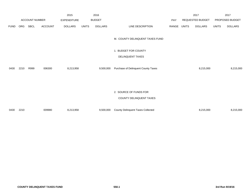|             |      |                       |                | 2015           |              | 2016           |                                          |       |                  | 2017           |                 | 2017           |
|-------------|------|-----------------------|----------------|----------------|--------------|----------------|------------------------------------------|-------|------------------|----------------|-----------------|----------------|
|             |      | <b>ACCOUNT NUMBER</b> |                | EXPENDITURE    |              | <b>BUDGET</b>  |                                          | PAY   | REQUESTED BUDGET |                | PROPOSED BUDGET |                |
| <b>FUND</b> | ORG  | SBCL                  | <b>ACCOUNT</b> | <b>DOLLARS</b> | <b>UNITS</b> | <b>DOLLARS</b> | LINE DESCRIPTION                         | RANGE | <b>UNITS</b>     | <b>DOLLARS</b> | <b>UNITS</b>    | <b>DOLLARS</b> |
|             |      |                       |                |                |              |                | M. COUNTY DELINQUENT TAXES FUND          |       |                  |                |                 |                |
|             |      |                       |                |                |              |                | 1. BUDGET FOR COUNTY                     |       |                  |                |                 |                |
|             |      |                       |                |                |              |                | DELINQUENT TAXES                         |       |                  |                |                 |                |
| 0430        | 2210 | R999                  | 006300         | 8,213,958      |              | 9,500,000      | Purchase of Delinquent County Taxes      |       |                  | 8,215,000      |                 | 8,215,000      |
|             |      |                       |                |                |              |                |                                          |       |                  |                |                 |                |
|             |      |                       |                |                |              |                | 2. SOURCE OF FUNDS FOR                   |       |                  |                |                 |                |
|             |      |                       |                |                |              |                | COUNTY DELINQUENT TAXES                  |       |                  |                |                 |                |
| 0430        | 2210 |                       | 009980         | 8,213,958      |              | 9,500,000      | <b>County Delinquent Taxes Collected</b> |       |                  | 8,215,000      |                 | 8,215,000      |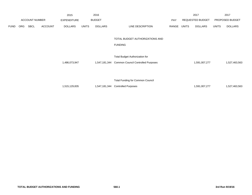|             |                       |             |                | 2015               |              | 2016           |                                                  |       |                  | 2017           |                 | 2017           |
|-------------|-----------------------|-------------|----------------|--------------------|--------------|----------------|--------------------------------------------------|-------|------------------|----------------|-----------------|----------------|
|             | <b>ACCOUNT NUMBER</b> |             |                | <b>EXPENDITURE</b> |              | <b>BUDGET</b>  |                                                  | PAY   | REQUESTED BUDGET |                | PROPOSED BUDGET |                |
| <b>FUND</b> | ORG                   | <b>SBCL</b> | <b>ACCOUNT</b> | <b>DOLLARS</b>     | <b>UNITS</b> | <b>DOLLARS</b> | LINE DESCRIPTION                                 | RANGE | UNITS            | <b>DOLLARS</b> | <b>UNITS</b>    | <b>DOLLARS</b> |
|             |                       |             |                |                    |              |                | TOTAL BUDGET AUTHORIZATIONS AND                  |       |                  |                |                 |                |
|             |                       |             |                |                    |              |                | <b>FUNDING</b>                                   |       |                  |                |                 |                |
|             |                       |             |                |                    |              |                | <b>Total Budget Authorization for</b>            |       |                  |                |                 |                |
|             |                       |             |                | 1,486,073,947      |              |                | 1,547,181,344 Common Council Controlled Purposes |       |                  | 1,591,007,277  |                 | 1,527,463,563  |
|             |                       |             |                |                    |              |                |                                                  |       |                  |                |                 |                |
|             |                       |             |                |                    |              |                | <b>Total Funding for Common Council</b>          |       |                  |                |                 |                |
|             |                       |             |                | 1,515,129,835      |              | 1,547,181,344  | <b>Controlled Purposes</b>                       |       |                  | 1,591,007,277  |                 | 1,527,463,563  |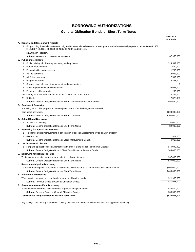# **II. BORROWING AUTHORIZATIONS**

## **General Obligation Bonds or Short Term Notes**

|                                                                                                                                                                                                             | <b>New 2017</b><br><b>Authortiv</b> |
|-------------------------------------------------------------------------------------------------------------------------------------------------------------------------------------------------------------|-------------------------------------|
| A. Renewal and Development Projects                                                                                                                                                                         |                                     |
| 1. For providing financial assistance to blight elimination, slum clearance, redevelopment and urban renewal projects under section 66.1301<br>to 66.1327, 66.1331, 66.1333, 66.1335, 66.1337, and 66.1105. |                                     |
| MEDC Loan Program.                                                                                                                                                                                          |                                     |
| <b>Subtotal Renewal and Development Projects.</b>                                                                                                                                                           | \$7,950,000                         |
| <b>B.</b> Public Improvements                                                                                                                                                                               |                                     |
| 1. Public buildings for housing machinery and equipment.                                                                                                                                                    | \$24,532,000                        |
| 2. Harbor improvements.                                                                                                                                                                                     | 640,000                             |
| Parking facility improvements.<br>3.                                                                                                                                                                        | 1,730,000                           |
| All Fire borrowing.<br>4.                                                                                                                                                                                   | 2,948,000                           |
| 5. All Police borrowing.                                                                                                                                                                                    | 7,589,000                           |
| Bridge and viaduct.<br>6.                                                                                                                                                                                   | 6,863,000                           |
| Sewage disposal, sewer improvement, and construction.<br>7.                                                                                                                                                 | $\Omega$                            |
| Street improvements and construction.<br>8.                                                                                                                                                                 | 32,931,000                          |
| Parks and public grounds.<br>9.                                                                                                                                                                             | 250,000                             |
| 10. Library improvements authorized under section 229.11 and 229.17.                                                                                                                                        | 2,844,000                           |
| 11. Rubbish.                                                                                                                                                                                                | 2,373,000                           |
| <b>Subtotal</b> General Obligation Bonds or Short Term Notes (Sections A and B).                                                                                                                            | \$90,650,000                        |
| C. Contingent Borrowing                                                                                                                                                                                     |                                     |
| Borrowing for a public purpose not contemplated at the time the budget was adopted.                                                                                                                         |                                     |
| Contingent borrowing.                                                                                                                                                                                       | \$200,000,000                       |
| <b>Subtotal</b> General Obligation Bonds or Short Term Notes.                                                                                                                                               | \$200,000,000                       |
| D. School Board Borrowing                                                                                                                                                                                   |                                     |
| 1. School purposes (1).                                                                                                                                                                                     | \$2,000,000                         |
| <b>Subtotal</b> General Obligation Bonds or Short Term Notes.                                                                                                                                               | \$2,000.000                         |
| E. Borrowing for Special Assessments                                                                                                                                                                        |                                     |
| 1. To finance public improvements in anticipation of special assessments levied against property.                                                                                                           |                                     |
| 2. General city.                                                                                                                                                                                            | \$917,000                           |
| Subtotal General Obligation Bonds or Local Improvements Bonds.                                                                                                                                              | \$917,000                           |
| <b>F.</b> Tax Incremental Districts                                                                                                                                                                         |                                     |
| 1. For paying project costs in accordance with project plans for Tax Incremental Districts.                                                                                                                 | \$44,000,000                        |
| <b>Subtotal General Obligation Bonds, Short Term Notes, or Revenue Bonds.</b>                                                                                                                               | \$44,000,000                        |
| G. Borrowing for Delinquent Taxes                                                                                                                                                                           |                                     |
| To finance general city purposes for an icipated delinquent taxes.                                                                                                                                          | \$37,000,000                        |
| <b>Subtotal</b> General Obligation Bonds or Short Term Notes.                                                                                                                                               | \$37,000,000                        |
| H. Revenue Anticipation Borrowing                                                                                                                                                                           |                                     |
| To borrow in anticipation of revenue in accordance wi h Section 67.12 of the Wisconsin State Statutes.                                                                                                      | \$400,000,000                       |
| Subtotal General Obligation Bonds or Short Term Notes.                                                                                                                                                      | \$400,000,000                       |
| I. Water Works Borrowing                                                                                                                                                                                    |                                     |
| Water Works mortgage revenue bonds or general obligation bonds.                                                                                                                                             | \$21,938,000                        |
| <b>Subtotal Revenue Bonds or General Obligation Bonds.</b>                                                                                                                                                  | \$21,938,000                        |
| J. Sewer Maintenance Fund Borrowing                                                                                                                                                                         |                                     |
| Sewer Maintenance Fund revenue bonds or general obligation bonds.                                                                                                                                           | \$33,500,000                        |
| <b>Subtotal Revenue Bonds or General Obligation Bonds.</b>                                                                                                                                                  | \$33,500,000                        |
| <b>Total General Obligation Bonds or Short Term Notes</b>                                                                                                                                                   | \$830,005,000                       |

(1) Design plans for any alteration to building exteriors and interiors shall be reviewed and approved by the city.